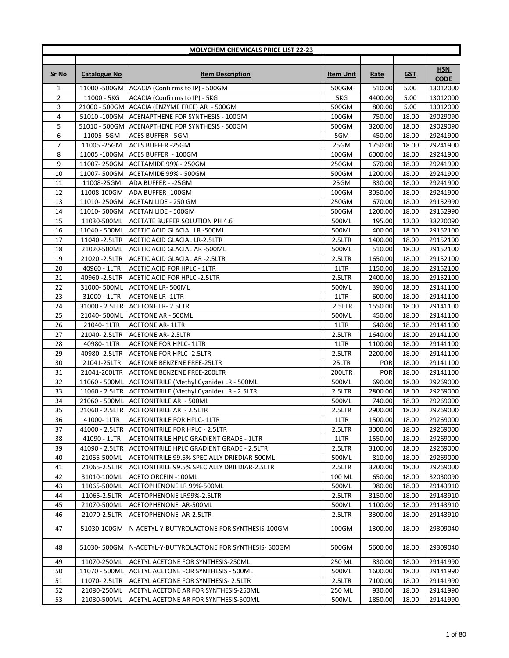|                |                                | <b>MOLYCHEM CHEMICALS PRICE LIST 22-23</b>                  |                  |                   |                |                      |
|----------------|--------------------------------|-------------------------------------------------------------|------------------|-------------------|----------------|----------------------|
|                |                                |                                                             |                  |                   |                |                      |
|                |                                |                                                             |                  |                   |                | <b>HSN</b>           |
| Sr No          | <b>Catalogue No</b>            | <b>Item Description</b>                                     | <b>Item Unit</b> | <u>Rate</u>       | <b>GST</b>     | <b>CODE</b>          |
| 1              |                                | 11000 - 500GM ACACIA (Confi rms to IP) - 500GM              | 500GM            | 510.00            | 5.00           | 13012000             |
| $\overline{2}$ | 11000 - 5KG                    | ACACIA (Confi rms to IP) - 5KG                              | 5KG              | 4400.00           | 5.00           | 13012000             |
| 3              |                                | 21000 - 500GM ACACIA (ENZYME FREE) AR - 500GM               | 500GM            | 800.00            | 5.00           | 13012000             |
| 4              |                                | 51010 - 100GM ACENAPTHENE FOR SYNTHESIS - 100GM             | 100GM            | 750.00            | 18.00          | 29029090             |
| 5              |                                | 51010 - 500GM ACENAPTHENE FOR SYNTHESIS - 500GM             | 500GM            | 3200.00           | 18.00          | 29029090             |
| 6              | 11005-5GM                      | <b>ACES BUFFER - 5GM</b>                                    | 5GM              | 450.00            | 18.00          | 29241900             |
| 7              | 11005 - 25GM                   | <b>ACES BUFFER -25GM</b>                                    | 25GM             | 1750.00           | 18.00          | 29241900             |
| 8              | 11005 -100GM                   | ACES BUFFER - 100GM                                         | 100GM            | 6000.00           | 18.00          | 29241900             |
| 9              | 11007-250GM                    | ACETAMIDE 99% - 250GM                                       | 250GM            | 670.00            | 18.00          | 29241900             |
| 10             |                                | 11007-500GM ACETAMIDE 99% - 500GM                           | 500GM            | 1200.00           | 18.00          | 29241900             |
| 11             | 11008-25GM                     | ADA BUFFER - -25GM                                          | 25GM             | 830.00            | 18.00          | 29241900             |
| 12             | 11008-100GM                    | ADA BUFFER -100GM                                           | 100GM            | 3050.00           | 18.00          | 29241900             |
| 13             | 11010-250GM                    | ACETANILIDE - 250 GM                                        | 250GM            | 670.00            | 18.00          | 29152990             |
| 14             | 11010-500GM                    | ACETANILIDE - 500GM                                         | 500GM            | 1200.00           | 18.00          | 29152990             |
| 15             | 11030-500ML                    | ACETATE BUFFER SOLUTION PH 4.6                              | 500ML            | 195.00            | 12.00          | 38220090             |
| 16             |                                | 11040 - 500ML ACETIC ACID GLACIAL LR -500ML                 | 500ML            | 400.00            | 18.00          | 29152100             |
| 17             | 11040 - 2.5 LTR                | ACETIC ACID GLACIAL LR-2.5LTR                               | 2.5LTR           | 1400.00           | 18.00          | 29152100             |
| 18             | 21020-500ML                    | ACETIC ACID GLACIAL AR -500ML                               | 500ML            | 510.00            | 18.00          | 29152100             |
| 19             | 21020 - 2.5LTR                 | ACETIC ACID GLACIAL AR -2.5LTR                              | 2.5LTR           | 1650.00           | 18.00          | 29152100             |
| 20             |                                |                                                             | 1LTR             | 1150.00           | 18.00          | 29152100             |
| 21             | 40960 - 1LTR                   | ACETIC ACID FOR HPLC - 1LTR<br>ACETIC ACID FOR HPLC -2.5LTR | 2.5LTR           | 2400.00           | 18.00          |                      |
|                | 40960 - 2.5 LTR                |                                                             |                  |                   |                | 29152100             |
| 22             | 31000-500ML                    | <b>ACETONE LR-500ML</b>                                     | 500ML            | 390.00            | 18.00          | 29141100             |
| 23<br>24       | 31000 - 1LTR<br>31000 - 2.5LTR | <b>ACETONE LR- 1LTR</b><br>ACETONE LR- 2.5LTR               | 1LTR<br>2.5LTR   | 600.00<br>1550.00 | 18.00<br>18.00 | 29141100<br>29141100 |
| 25             | 21040-500ML                    | <b>ACETONE AR - 500ML</b>                                   | 500ML            | 450.00            | 18.00          | 29141100             |
| 26             | 21040-1LTR                     | <b>ACETONE AR- 1LTR</b>                                     | 1LTR             | 640.00            | 18.00          | 29141100             |
| 27             | 21040-2.5LTR                   | <b>ACETONE AR- 2.5LTR</b>                                   | 2.5LTR           | 1640.00           | 18.00          | 29141100             |
| 28             | 40980-1LTR                     | <b>ACETONE FOR HPLC- 1LTR</b>                               | 1LTR             | 1100.00           | 18.00          | 29141100             |
| 29             | 40980-2.5LTR                   | ACETONE FOR HPLC- 2.5LTR                                    | 2.5LTR           | 2200.00           | 18.00          | 29141100             |
| 30             | 21041-25LTR                    | ACETONE BENZENE FREE-25LTR                                  | 25LTR            | <b>POR</b>        | 18.00          | 29141100             |
| 31             | 21041-200LTR                   | ACETONE BENZENE FREE-200LTR                                 | 200LTR           | <b>POR</b>        | 18.00          | 29141100             |
| 32             |                                | 11060 - 500ML ACETONITRILE (Methyl Cyanide) LR - 500ML      | 500ML            | 690.00            | 18.00          | 29269000             |
| 33             |                                | 11060 - 2.5LTR ACETONITRILE (Methyl Cyanide) LR - 2.5LTR    | 2.5LTR           | 2800.00           | 18.00          | 29269000             |
| 34             |                                | 21060 - 500ML ACETONITRILE AR - 500ML                       | 500ML            | 740.00            | 18.00          | 29269000             |
| 35             |                                | 21060 - 2.5LTR ACETONITRILE AR - 2.5LTR                     | 2.5LTR           | 2900.00           | 18.00          | 29269000             |
| 36             | 41000-1LTR                     | <b>ACETONITRILE FOR HPLC- 1LTR</b>                          | 1LTR             | 1500.00           | 18.00          | 29269000             |
| 37             | 41000 - 2.5LTR                 | <b>ACETONITRILE FOR HPLC - 2.5LTR</b>                       | 2.5LTR           | 3000.00           | 18.00          | 29269000             |
| 38             | 41090 - 1LTR                   | ACETONITRILE HPLC GRADIENT GRADE - 1LTR                     | 1LTR             | 1550.00           | 18.00          | 29269000             |
| 39             |                                | 41090 - 2.5LTR ACETONITRILE HPLC GRADIENT GRADE - 2.5LTR    | 2.5LTR           | 3100.00           | 18.00          | 29269000             |
| 40             | 21065-500ML                    | ACETONITRILE 99.5% SPECIALLY DRIEDIAR-500ML                 | 500ML            | 810.00            | 18.00          | 29269000             |
| 41             | 21065-2.5LTR                   | ACETONITRILE 99.5% SPECIALLY DRIEDIAR-2.5LTR                | 2.5LTR           | 3200.00           | 18.00          | 29269000             |
| 42             | 31010-100ML                    | <b>ACETO ORCEIN -100ML</b>                                  | 100 ML           | 650.00            | 18.00          | 32030090             |
| 43             | 11065-500ML                    | ACETOPHENONE LR 99%-500ML                                   | 500ML            | 980.00            | 18.00          | 29143910             |
| 44             | 11065-2.5LTR                   | ACETOPHENONE LR99%-2.5LTR                                   | 2.5LTR           | 3150.00           | 18.00          | 29143910             |
| 45             | 21070-500ML                    | ACETOPHENONE AR-500ML                                       | 500ML            | 1100.00           | 18.00          | 29143910             |
| 46             | 21070-2.5LTR                   | ACETOPHENONE AR-2.5LTR                                      | 2.5LTR           | 3300.00           | 18.00          | 29143910             |
|                |                                |                                                             |                  |                   |                |                      |
| 47             | 51030-100GM                    | N-ACETYL-Y-BUTYROLACTONE FOR SYNTHESIS-100GM                | 100GM            | 1300.00           | 18.00          | 29309040             |
| 48             | 51030-500GM                    | N-ACETYL-Y-BUTYROLACTONE FOR SYNTHESIS- 500GM               | 500GM            | 5600.00           | 18.00          | 29309040             |
| 49             | 11070-250ML                    | ACETYL ACETONE FOR SYNTHESIS-250ML                          | 250 ML           | 830.00            | 18.00          | 29141990             |
| 50             | 11070 - 500ML                  | ACETYL ACETONE FOR SYNTHESIS - 500ML                        | 500ML            | 1600.00           | 18.00          | 29141990             |
| 51             | 11070-2.5LTR                   | ACETYL ACETONE FOR SYNTHESIS- 2.5LTR                        | 2.5LTR           | 7100.00           | 18.00          | 29141990             |
| 52             | 21080-250ML                    | ACETYL ACETONE AR FOR SYNTHESIS-250ML                       | 250 ML           | 930.00            | 18.00          | 29141990             |
| 53             | 21080-500ML                    | ACETYL ACETONE AR FOR SYNTHESIS-500ML                       | 500ML            | 1850.00           | 18.00          | 29141990             |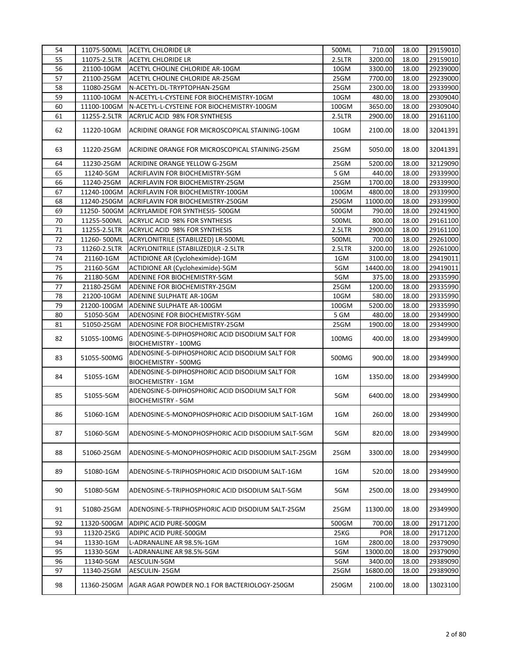|    | 11075-500ML  | ACETYL CHLORIDE LR                                                           | 500ML  | 710.00     | 18.00 | 29159010 |
|----|--------------|------------------------------------------------------------------------------|--------|------------|-------|----------|
| 55 | 11075-2.5LTR | <b>ACETYL CHLORIDE LR</b>                                                    | 2.5LTR | 3200.00    | 18.00 | 29159010 |
| 56 | 21100-10GM   | ACETYL CHOLINE CHLORIDE AR-10GM                                              | 10GM   | 3300.00    | 18.00 | 29239000 |
| 57 | 21100-25GM   | ACETYL CHOLINE CHLORIDE AR-25GM                                              | 25GM   | 7700.00    | 18.00 | 29239000 |
| 58 | 11080-25GM   | N-ACETYL-DL-TRYPTOPHAN-25GM                                                  | 25GM   | 2300.00    | 18.00 | 29339900 |
| 59 | 11100-10GM   | N-ACETYL-L-CYSTEINE FOR BIOCHEMISTRY-10GM                                    | 10GM   | 480.00     | 18.00 | 29309040 |
| 60 | 11100-100GM  | N-ACETYL-L-CYSTEINE FOR BIOCHEMISTRY-100GM                                   | 100GM  | 3650.00    | 18.00 | 29309040 |
| 61 | 11255-2.5LTR | ACRYLIC ACID 98% FOR SYNTHESIS                                               | 2.5LTR | 2900.00    | 18.00 | 29161100 |
| 62 | 11220-10GM   | ACRIDINE ORANGE FOR MICROSCOPICAL STAINING-10GM                              | 10GM   | 2100.00    | 18.00 | 32041391 |
| 63 | 11220-25GM   | ACRIDINE ORANGE FOR MICROSCOPICAL STAINING-25GM                              | 25GM   | 5050.00    | 18.00 | 32041391 |
| 64 | 11230-25GM   | ACRIDINE ORANGE YELLOW G-25GM                                                | 25GM   | 5200.00    | 18.00 | 32129090 |
| 65 | 11240-5GM    | ACRIFLAVIN FOR BIOCHEMISTRY-5GM                                              | 5 GM   | 440.00     | 18.00 | 29339900 |
| 66 | 11240-25GM   | ACRIFLAVIN FOR BIOCHEMISTRY-25GM                                             | 25GM   | 1700.00    | 18.00 | 29339900 |
| 67 | 11240-100GM  | ACRIFLAVIN FOR BIOCHEMISTRY-100GM                                            | 100GM  | 4800.00    | 18.00 | 29339900 |
| 68 | 11240-250GM  | ACRIFLAVIN FOR BIOCHEMISTRY-250GM                                            | 250GM  | 11000.00   | 18.00 | 29339900 |
| 69 | 11250-500GM  | ACRYLAMIDE FOR SYNTHESIS- 500GM                                              | 500GM  | 790.00     | 18.00 | 29241900 |
| 70 | 11255-500ML  | ACRYLIC ACID 98% FOR SYNTHESIS                                               | 500ML  | 800.00     | 18.00 | 29161100 |
| 71 | 11255-2.5LTR | ACRYLIC ACID 98% FOR SYNTHESIS                                               | 2.5LTR | 2900.00    | 18.00 | 29161100 |
| 72 | 11260-500ML  | ACRYLONITRILE (STABILIZED) LR-500ML                                          | 500ML  | 700.00     | 18.00 | 29261000 |
| 73 | 11260-2.5LTR | ACRYLONITRILE (STABILIZED)LR -2.5LTR                                         | 2.5LTR | 3200.00    | 18.00 | 29261000 |
| 74 | 21160-1GM    | ACTIDIONE AR (Cycloheximide)-1GM                                             | 1GM    | 3100.00    | 18.00 | 29419011 |
| 75 | 21160-5GM    | ACTIDIONE AR (Cycloheximide)-5GM                                             | 5GM    | 14400.00   | 18.00 | 29419011 |
| 76 | 21180-5GM    | ADENINE FOR BIOCHEMISTRY-5GM                                                 | 5GM    | 375.00     | 18.00 | 29335990 |
| 77 | 21180-25GM   | ADENINE FOR BIOCHEMISTRY-25GM                                                | 25GM   | 1200.00    | 18.00 | 29335990 |
| 78 | 21200-10GM   | ADENINE SULPHATE AR-10GM                                                     | 10GM   | 580.00     | 18.00 | 29335990 |
| 79 | 21200-100GM  | ADENINE SULPHATE AR-100GM                                                    | 100GM  | 5200.00    | 18.00 | 29335990 |
| 80 | 51050-5GM    | ADENOSINE FOR BIOCHEMISTRY-5GM                                               | 5 GM   | 480.00     | 18.00 | 29349900 |
| 81 | 51050-25GM   | ADENOSINE FOR BIOCHEMISTRY-25GM                                              | 25GM   | 1900.00    | 18.00 | 29349900 |
|    |              | ADENOSINE-5-DIPHOSPHORIC ACID DISODIUM SALT FOR                              |        |            |       |          |
| 82 | 51055-100MG  |                                                                              | 100MG  | 400.00     | 18.00 | 29349900 |
|    |              | BIOCHEMISTRY - 100MG                                                         |        |            |       |          |
| 83 | 51055-500MG  | ADENOSINE-5-DIPHOSPHORIC ACID DISODIUM SALT FOR<br>BIOCHEMISTRY - 500MG      | 500MG  | 900.00     | 18.00 | 29349900 |
| 84 | 51055-1GM    | ADENOSINE-5-DIPHOSPHORIC ACID DISODIUM SALT FOR<br><b>BIOCHEMISTRY - 1GM</b> | 1GM    | 1350.00    | 18.00 | 29349900 |
| 85 | 51055-5GM    | ADENOSINE-5-DIPHOSPHORIC ACID DISODIUM SALT FOR<br><b>BIOCHEMISTRY - 5GM</b> | 5GM    | 6400.00    | 18.00 | 29349900 |
| 86 | 51060-1GM    | ADENOSINE-5-MONOPHOSPHORIC ACID DISODIUM SALT-1GM                            | 1GM    | 260.00     | 18.00 | 29349900 |
| 87 | 51060-5GM    | ADENOSINE-5-MONOPHOSPHORIC ACID DISODIUM SALT-5GM                            | 5GM    | 820.00     | 18.00 | 29349900 |
| 88 | 51060-25GM   | ADENOSINE-5-MONOPHOSPHORIC ACID DISODIUM SALT-25GM                           | 25GM   | 3300.00    | 18.00 | 29349900 |
| 89 | 51080-1GM    | ADENOSINE-5-TRIPHOSPHORIC ACID DISODIUM SALT-1GM                             | 1GM    | 520.00     | 18.00 | 29349900 |
| 90 | 51080-5GM    | ADENOSINE-5-TRIPHOSPHORIC ACID DISODIUM SALT-5GM                             | 5GM    | 2500.00    | 18.00 | 29349900 |
| 91 | 51080-25GM   | ADENOSINE-5-TRIPHOSPHORIC ACID DISODIUM SALT-25GM                            | 25GM   | 11300.00   | 18.00 | 29349900 |
| 92 | 11320-500GM  | ADIPIC ACID PURE-500GM                                                       | 500GM  | 700.00     | 18.00 | 29171200 |
| 93 | 11320-25KG   | ADIPIC ACID PURE-500GM                                                       | 25KG   | <b>POR</b> | 18.00 | 29171200 |
| 94 | 11330-1GM    | L-ADRANALINE AR 98.5%-1GM                                                    | 1GM    | 2800.00    | 18.00 | 29379090 |
| 95 | 11330-5GM    | L-ADRANALINE AR 98.5%-5GM                                                    | 5GM    | 13000.00   | 18.00 | 29379090 |
| 96 | 11340-5GM    | AESCULIN-5GM                                                                 | 5GM    | 3400.00    | 18.00 | 29389090 |
| 97 | 11340-25GM   | AESCULIN-25GM                                                                | 25GM   | 16800.00   | 18.00 | 29389090 |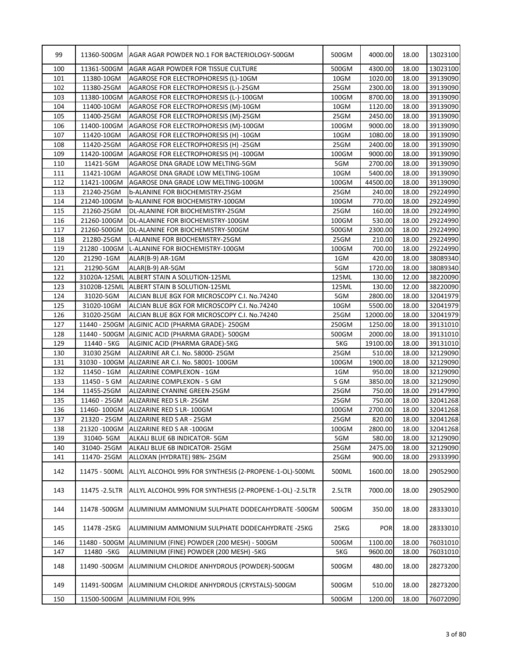| 99<br>11360-500GM<br>AGAR AGAR POWDER NO.1 FOR BACTERIOLOGY-500GM<br>500GM<br>4000.00<br>18.00<br>100<br>11361-500GM<br>AGAR AGAR POWDER FOR TISSUE CULTURE<br>500GM<br>4300.00<br>18.00<br>13023100<br>18.00<br>101<br>10GM<br>1020.00<br>39139090<br>11380-10GM<br>AGAROSE FOR ELECTROPHORESIS (L)-10GM<br>102<br>25GM<br>2300.00<br>18.00<br>39139090<br>11380-25GM<br>AGAROSE FOR ELECTROPHORESIS (L-)-25GM<br>103<br>100GM<br>8700.00<br>18.00<br>39139090<br>11380-100GM<br>AGAROSE FOR ELECTROPHORESIS (L-)-100GM<br>104<br>AGAROSE FOR ELECTROPHORESIS (M)-10GM<br>1120.00<br>18.00<br>39139090<br>11400-10GM<br>10GM<br>105<br>11400-25GM<br>AGAROSE FOR ELECTROPHORESIS (M)-25GM<br>25GM<br>2450.00<br>18.00<br>39139090<br>39139090<br>106<br>11400-100GM<br>AGAROSE FOR ELECTROPHORESIS (M)-100GM<br>100GM<br>9000.00<br>18.00<br>39139090<br>107<br>10GM<br>1080.00<br>18.00<br>11420-10GM<br>AGAROSE FOR ELECTROPHORESIS (H) -10GM<br>25GM<br>2400.00<br>39139090<br>108<br>11420-25GM<br>AGAROSE FOR ELECTROPHORESIS (H) -25GM<br>18.00<br>109<br>11420-100GM<br>AGAROSE FOR ELECTROPHORESIS (H) -100GM<br>100GM<br>9000.00<br>18.00<br>39139090<br>110<br>5GM<br>2700.00<br>18.00<br>39139090<br>11421-5GM<br>AGAROSE DNA GRADE LOW MELTING-5GM<br>111<br>10GM<br>5400.00<br>18.00<br>39139090<br>11421-10GM<br>AGAROSE DNA GRADE LOW MELTING-10GM<br>112<br>100GM<br>44500.00<br>18.00<br>39139090<br>11421-100GM<br>AGAROSE DNA GRADE LOW MELTING-100GM<br>113<br>25GM<br>29224990<br>21240-25GM<br><b>b-ALANINE FOR BIOCHEMISTRY-25GM</b><br>240.00<br>18.00<br>770.00<br>114<br>21240-100GM<br>100GM<br>18.00<br>29224990<br><b>b-ALANINE FOR BIOCHEMISTRY-100GM</b><br>115<br>21260-25GM<br>25GM<br>160.00<br>18.00<br>29224990<br>DL-ALANINE FOR BIOCHEMISTRY-25GM<br>116<br>21260-100GM<br>100GM<br>530.00<br>18.00<br>29224990<br>DL-ALANINE FOR BIOCHEMISTRY-100GM<br>117<br>21260-500GM<br>500GM<br>2300.00<br>18.00<br>29224990<br>DL-ALANINE FOR BIOCHEMISTRY-500GM<br>118<br>25GM<br>21280-25GM<br>L-ALANINE FOR BIOCHEMISTRY-25GM<br>210.00<br>18.00<br>29224990<br>119<br>21280 -100GM<br>100GM<br>700.00<br>18.00<br>29224990<br>L-ALANINE FOR BIOCHEMISTRY-100GM<br>120<br>1GM<br>420.00<br>18.00<br>38089340<br>21290 -1GM<br>ALAR(B-9) AR-1GM<br>121<br>5GM<br>18.00<br>21290-5GM<br>1720.00<br>ALAR(B-9) AR-5GM<br>38089340<br>122<br>125ML<br>130.00<br>12.00<br>38220090<br>31020A-125ML ALBERT STAIN A SOLUTION-125ML<br>123<br>ALBERT STAIN B SOLUTION-125ML<br>125ML<br>130.00<br>12.00<br>38220090<br>31020B-125ML<br>124<br>31020-5GM<br>5GM<br>2800.00<br>18.00<br>32041979<br>ALCIAN BLUE 8GX FOR MICROSCOPY C.I. No.74240<br>125<br>31020-10GM<br>ALCIAN BLUE 8GX FOR MICROSCOPY C.I. No.74240<br>10GM<br>5500.00<br>18.00<br>32041979<br>126<br>31020-25GM<br>ALCIAN BLUE 8GX FOR MICROSCOPY C.I. No.74240<br>25GM<br>12000.00<br>18.00<br>32041979<br>127<br>11440 - 250GM<br>ALGINIC ACID (PHARMA GRADE)-250GM<br>250GM<br>1250.00<br>18.00<br>39131010<br>128<br>11440 - 500GM   ALGINIC ACID (PHARMA GRADE) - 500GM<br>500GM<br>2000.00<br>18.00<br>39131010<br>129<br>11440 - 5KG<br>5KG<br>19100.00<br>ALGINIC ACID (PHARMA GRADE)-5KG<br>18.00<br>39131010<br>130<br>25GM<br>510.00<br>18.00<br>32129090<br>31030 25GM<br>ALIZARINE AR C.I. No. 58000-25GM<br>131<br>100GM<br>1900.00<br>18.00<br>32129090<br>31030 - 100GM ALIZARINE AR C.I. No. 58001-100GM<br>132<br>11450 - 1GM<br>1GM<br>950.00<br>18.00<br>32129090<br><b>ALIZARINE COMPLEXON - 1GM</b><br>5 GM<br>3850.00<br>32129090<br>133<br>11450 - 5 GM<br>ALIZARINE COMPLEXON - 5 GM<br>18.00<br>11455-25GM<br>25GM<br>750.00<br>18.00<br>29147990<br>134<br>ALIZARINE CYANINE GREEN-25GM<br>135<br>11460 - 25GM<br>ALIZARINE RED S LR-25GM<br>25GM<br>750.00<br>18.00<br>32041268<br>136<br>32041268<br>11460-100GM<br>ALIZARINE RED S LR-100GM<br>100GM<br>2700.00<br>18.00<br>137<br>21320 - 25GM<br>ALIZARINE RED S AR - 25GM<br>25GM<br>820.00<br>18.00<br>32041268<br>32041268<br>138<br>21320 -100GM<br>ALIZARINE RED S AR -100GM<br>100GM<br>2800.00<br>18.00<br>5GM<br>139<br>31040-5GM<br>ALKALI BLUE 6B INDICATOR-5GM<br>580.00<br>18.00<br>32129090<br>140<br>31040-25GM<br>25GM<br>2475.00<br>ALKALI BLUE 6B INDICATOR-25GM<br>18.00<br>32129090<br>141<br>11470-25GM<br>25GM<br>900.00<br>18.00<br>ALLOXAN (HYDRATE) 98%-25GM<br>29333990<br>142<br>11475 - 500ML<br>ALLYL ALCOHOL 99% FOR SYNTHESIS (2-PROPENE-1-OL)-500ML<br>500ML<br>1600.00<br>18.00<br>143<br>ALLYL ALCOHOL 99% FOR SYNTHESIS (2-PROPENE-1-OL) -2.5LTR<br>2.5LTR<br>7000.00<br>18.00<br>11475 - 2.5LTR<br>500GM<br>144<br>11478 - 500 GM<br>ALUMINIUM AMMONIUM SULPHATE DODECAHYDRATE -500GM<br>350.00<br>18.00<br>25KG<br>145<br>11478 - 25KG<br>ALUMINIUM AMMONIUM SULPHATE DODECAHYDRATE -25KG<br><b>POR</b><br>18.00<br>1100.00<br>146<br>11480 - 500GM ALUMINIUM (FINE) POWDER (200 MESH) - 500GM<br>500GM<br>18.00<br>11480 - 5KG<br>ALUMINIUM (FINE) POWDER (200 MESH) -5KG<br>5KG<br>147<br>9600.00<br>18.00<br>148<br>11490 -500GM<br>ALUMINIUM CHLORIDE ANHYDROUS (POWDER)-500GM<br>500GM<br>480.00<br>18.00<br>149<br>11491-500GM<br>ALUMINIUM CHLORIDE ANHYDROUS (CRYSTALS)-500GM<br>500GM<br>510.00<br>18.00<br>150<br>500GM<br>11500-500GM<br>ALUMINIUM FOIL 99%<br>1200.00<br>18.00 |  |  |  |          |
|----------------------------------------------------------------------------------------------------------------------------------------------------------------------------------------------------------------------------------------------------------------------------------------------------------------------------------------------------------------------------------------------------------------------------------------------------------------------------------------------------------------------------------------------------------------------------------------------------------------------------------------------------------------------------------------------------------------------------------------------------------------------------------------------------------------------------------------------------------------------------------------------------------------------------------------------------------------------------------------------------------------------------------------------------------------------------------------------------------------------------------------------------------------------------------------------------------------------------------------------------------------------------------------------------------------------------------------------------------------------------------------------------------------------------------------------------------------------------------------------------------------------------------------------------------------------------------------------------------------------------------------------------------------------------------------------------------------------------------------------------------------------------------------------------------------------------------------------------------------------------------------------------------------------------------------------------------------------------------------------------------------------------------------------------------------------------------------------------------------------------------------------------------------------------------------------------------------------------------------------------------------------------------------------------------------------------------------------------------------------------------------------------------------------------------------------------------------------------------------------------------------------------------------------------------------------------------------------------------------------------------------------------------------------------------------------------------------------------------------------------------------------------------------------------------------------------------------------------------------------------------------------------------------------------------------------------------------------------------------------------------------------------------------------------------------------------------------------------------------------------------------------------------------------------------------------------------------------------------------------------------------------------------------------------------------------------------------------------------------------------------------------------------------------------------------------------------------------------------------------------------------------------------------------------------------------------------------------------------------------------------------------------------------------------------------------------------------------------------------------------------------------------------------------------------------------------------------------------------------------------------------------------------------------------------------------------------------------------------------------------------------------------------------------------------------------------------------------------------------------------------------------------------------------------------------------------------------------------------------------------------------------------------------------------------------------------------------------------------------------------------------------------------------------------------------------------------------------------------------------------------------------------------------------------------------------------------------------------------------------------------------------------------------------------------------------------------------------------------------------------------------------------------------------------------------------------------------------------------------------------------------------------------------------------------------------------------------------------------------------------------------------------------------------------------------------------------------------------------------------------------------------------------------------------------------------------------------------------------------------------------------------------------------------------------|--|--|--|----------|
|                                                                                                                                                                                                                                                                                                                                                                                                                                                                                                                                                                                                                                                                                                                                                                                                                                                                                                                                                                                                                                                                                                                                                                                                                                                                                                                                                                                                                                                                                                                                                                                                                                                                                                                                                                                                                                                                                                                                                                                                                                                                                                                                                                                                                                                                                                                                                                                                                                                                                                                                                                                                                                                                                                                                                                                                                                                                                                                                                                                                                                                                                                                                                                                                                                                                                                                                                                                                                                                                                                                                                                                                                                                                                                                                                                                                                                                                                                                                                                                                                                                                                                                                                                                                                                                                                                                                                                                                                                                                                                                                                                                                                                                                                                                                                                                                                                                                                                                                                                                                                                                                                                                                                                                                                                                                                                          |  |  |  | 13023100 |
|                                                                                                                                                                                                                                                                                                                                                                                                                                                                                                                                                                                                                                                                                                                                                                                                                                                                                                                                                                                                                                                                                                                                                                                                                                                                                                                                                                                                                                                                                                                                                                                                                                                                                                                                                                                                                                                                                                                                                                                                                                                                                                                                                                                                                                                                                                                                                                                                                                                                                                                                                                                                                                                                                                                                                                                                                                                                                                                                                                                                                                                                                                                                                                                                                                                                                                                                                                                                                                                                                                                                                                                                                                                                                                                                                                                                                                                                                                                                                                                                                                                                                                                                                                                                                                                                                                                                                                                                                                                                                                                                                                                                                                                                                                                                                                                                                                                                                                                                                                                                                                                                                                                                                                                                                                                                                                          |  |  |  |          |
|                                                                                                                                                                                                                                                                                                                                                                                                                                                                                                                                                                                                                                                                                                                                                                                                                                                                                                                                                                                                                                                                                                                                                                                                                                                                                                                                                                                                                                                                                                                                                                                                                                                                                                                                                                                                                                                                                                                                                                                                                                                                                                                                                                                                                                                                                                                                                                                                                                                                                                                                                                                                                                                                                                                                                                                                                                                                                                                                                                                                                                                                                                                                                                                                                                                                                                                                                                                                                                                                                                                                                                                                                                                                                                                                                                                                                                                                                                                                                                                                                                                                                                                                                                                                                                                                                                                                                                                                                                                                                                                                                                                                                                                                                                                                                                                                                                                                                                                                                                                                                                                                                                                                                                                                                                                                                                          |  |  |  |          |
|                                                                                                                                                                                                                                                                                                                                                                                                                                                                                                                                                                                                                                                                                                                                                                                                                                                                                                                                                                                                                                                                                                                                                                                                                                                                                                                                                                                                                                                                                                                                                                                                                                                                                                                                                                                                                                                                                                                                                                                                                                                                                                                                                                                                                                                                                                                                                                                                                                                                                                                                                                                                                                                                                                                                                                                                                                                                                                                                                                                                                                                                                                                                                                                                                                                                                                                                                                                                                                                                                                                                                                                                                                                                                                                                                                                                                                                                                                                                                                                                                                                                                                                                                                                                                                                                                                                                                                                                                                                                                                                                                                                                                                                                                                                                                                                                                                                                                                                                                                                                                                                                                                                                                                                                                                                                                                          |  |  |  |          |
|                                                                                                                                                                                                                                                                                                                                                                                                                                                                                                                                                                                                                                                                                                                                                                                                                                                                                                                                                                                                                                                                                                                                                                                                                                                                                                                                                                                                                                                                                                                                                                                                                                                                                                                                                                                                                                                                                                                                                                                                                                                                                                                                                                                                                                                                                                                                                                                                                                                                                                                                                                                                                                                                                                                                                                                                                                                                                                                                                                                                                                                                                                                                                                                                                                                                                                                                                                                                                                                                                                                                                                                                                                                                                                                                                                                                                                                                                                                                                                                                                                                                                                                                                                                                                                                                                                                                                                                                                                                                                                                                                                                                                                                                                                                                                                                                                                                                                                                                                                                                                                                                                                                                                                                                                                                                                                          |  |  |  |          |
|                                                                                                                                                                                                                                                                                                                                                                                                                                                                                                                                                                                                                                                                                                                                                                                                                                                                                                                                                                                                                                                                                                                                                                                                                                                                                                                                                                                                                                                                                                                                                                                                                                                                                                                                                                                                                                                                                                                                                                                                                                                                                                                                                                                                                                                                                                                                                                                                                                                                                                                                                                                                                                                                                                                                                                                                                                                                                                                                                                                                                                                                                                                                                                                                                                                                                                                                                                                                                                                                                                                                                                                                                                                                                                                                                                                                                                                                                                                                                                                                                                                                                                                                                                                                                                                                                                                                                                                                                                                                                                                                                                                                                                                                                                                                                                                                                                                                                                                                                                                                                                                                                                                                                                                                                                                                                                          |  |  |  |          |
|                                                                                                                                                                                                                                                                                                                                                                                                                                                                                                                                                                                                                                                                                                                                                                                                                                                                                                                                                                                                                                                                                                                                                                                                                                                                                                                                                                                                                                                                                                                                                                                                                                                                                                                                                                                                                                                                                                                                                                                                                                                                                                                                                                                                                                                                                                                                                                                                                                                                                                                                                                                                                                                                                                                                                                                                                                                                                                                                                                                                                                                                                                                                                                                                                                                                                                                                                                                                                                                                                                                                                                                                                                                                                                                                                                                                                                                                                                                                                                                                                                                                                                                                                                                                                                                                                                                                                                                                                                                                                                                                                                                                                                                                                                                                                                                                                                                                                                                                                                                                                                                                                                                                                                                                                                                                                                          |  |  |  |          |
|                                                                                                                                                                                                                                                                                                                                                                                                                                                                                                                                                                                                                                                                                                                                                                                                                                                                                                                                                                                                                                                                                                                                                                                                                                                                                                                                                                                                                                                                                                                                                                                                                                                                                                                                                                                                                                                                                                                                                                                                                                                                                                                                                                                                                                                                                                                                                                                                                                                                                                                                                                                                                                                                                                                                                                                                                                                                                                                                                                                                                                                                                                                                                                                                                                                                                                                                                                                                                                                                                                                                                                                                                                                                                                                                                                                                                                                                                                                                                                                                                                                                                                                                                                                                                                                                                                                                                                                                                                                                                                                                                                                                                                                                                                                                                                                                                                                                                                                                                                                                                                                                                                                                                                                                                                                                                                          |  |  |  |          |
|                                                                                                                                                                                                                                                                                                                                                                                                                                                                                                                                                                                                                                                                                                                                                                                                                                                                                                                                                                                                                                                                                                                                                                                                                                                                                                                                                                                                                                                                                                                                                                                                                                                                                                                                                                                                                                                                                                                                                                                                                                                                                                                                                                                                                                                                                                                                                                                                                                                                                                                                                                                                                                                                                                                                                                                                                                                                                                                                                                                                                                                                                                                                                                                                                                                                                                                                                                                                                                                                                                                                                                                                                                                                                                                                                                                                                                                                                                                                                                                                                                                                                                                                                                                                                                                                                                                                                                                                                                                                                                                                                                                                                                                                                                                                                                                                                                                                                                                                                                                                                                                                                                                                                                                                                                                                                                          |  |  |  |          |
|                                                                                                                                                                                                                                                                                                                                                                                                                                                                                                                                                                                                                                                                                                                                                                                                                                                                                                                                                                                                                                                                                                                                                                                                                                                                                                                                                                                                                                                                                                                                                                                                                                                                                                                                                                                                                                                                                                                                                                                                                                                                                                                                                                                                                                                                                                                                                                                                                                                                                                                                                                                                                                                                                                                                                                                                                                                                                                                                                                                                                                                                                                                                                                                                                                                                                                                                                                                                                                                                                                                                                                                                                                                                                                                                                                                                                                                                                                                                                                                                                                                                                                                                                                                                                                                                                                                                                                                                                                                                                                                                                                                                                                                                                                                                                                                                                                                                                                                                                                                                                                                                                                                                                                                                                                                                                                          |  |  |  |          |
|                                                                                                                                                                                                                                                                                                                                                                                                                                                                                                                                                                                                                                                                                                                                                                                                                                                                                                                                                                                                                                                                                                                                                                                                                                                                                                                                                                                                                                                                                                                                                                                                                                                                                                                                                                                                                                                                                                                                                                                                                                                                                                                                                                                                                                                                                                                                                                                                                                                                                                                                                                                                                                                                                                                                                                                                                                                                                                                                                                                                                                                                                                                                                                                                                                                                                                                                                                                                                                                                                                                                                                                                                                                                                                                                                                                                                                                                                                                                                                                                                                                                                                                                                                                                                                                                                                                                                                                                                                                                                                                                                                                                                                                                                                                                                                                                                                                                                                                                                                                                                                                                                                                                                                                                                                                                                                          |  |  |  |          |
|                                                                                                                                                                                                                                                                                                                                                                                                                                                                                                                                                                                                                                                                                                                                                                                                                                                                                                                                                                                                                                                                                                                                                                                                                                                                                                                                                                                                                                                                                                                                                                                                                                                                                                                                                                                                                                                                                                                                                                                                                                                                                                                                                                                                                                                                                                                                                                                                                                                                                                                                                                                                                                                                                                                                                                                                                                                                                                                                                                                                                                                                                                                                                                                                                                                                                                                                                                                                                                                                                                                                                                                                                                                                                                                                                                                                                                                                                                                                                                                                                                                                                                                                                                                                                                                                                                                                                                                                                                                                                                                                                                                                                                                                                                                                                                                                                                                                                                                                                                                                                                                                                                                                                                                                                                                                                                          |  |  |  |          |
|                                                                                                                                                                                                                                                                                                                                                                                                                                                                                                                                                                                                                                                                                                                                                                                                                                                                                                                                                                                                                                                                                                                                                                                                                                                                                                                                                                                                                                                                                                                                                                                                                                                                                                                                                                                                                                                                                                                                                                                                                                                                                                                                                                                                                                                                                                                                                                                                                                                                                                                                                                                                                                                                                                                                                                                                                                                                                                                                                                                                                                                                                                                                                                                                                                                                                                                                                                                                                                                                                                                                                                                                                                                                                                                                                                                                                                                                                                                                                                                                                                                                                                                                                                                                                                                                                                                                                                                                                                                                                                                                                                                                                                                                                                                                                                                                                                                                                                                                                                                                                                                                                                                                                                                                                                                                                                          |  |  |  |          |
|                                                                                                                                                                                                                                                                                                                                                                                                                                                                                                                                                                                                                                                                                                                                                                                                                                                                                                                                                                                                                                                                                                                                                                                                                                                                                                                                                                                                                                                                                                                                                                                                                                                                                                                                                                                                                                                                                                                                                                                                                                                                                                                                                                                                                                                                                                                                                                                                                                                                                                                                                                                                                                                                                                                                                                                                                                                                                                                                                                                                                                                                                                                                                                                                                                                                                                                                                                                                                                                                                                                                                                                                                                                                                                                                                                                                                                                                                                                                                                                                                                                                                                                                                                                                                                                                                                                                                                                                                                                                                                                                                                                                                                                                                                                                                                                                                                                                                                                                                                                                                                                                                                                                                                                                                                                                                                          |  |  |  |          |
|                                                                                                                                                                                                                                                                                                                                                                                                                                                                                                                                                                                                                                                                                                                                                                                                                                                                                                                                                                                                                                                                                                                                                                                                                                                                                                                                                                                                                                                                                                                                                                                                                                                                                                                                                                                                                                                                                                                                                                                                                                                                                                                                                                                                                                                                                                                                                                                                                                                                                                                                                                                                                                                                                                                                                                                                                                                                                                                                                                                                                                                                                                                                                                                                                                                                                                                                                                                                                                                                                                                                                                                                                                                                                                                                                                                                                                                                                                                                                                                                                                                                                                                                                                                                                                                                                                                                                                                                                                                                                                                                                                                                                                                                                                                                                                                                                                                                                                                                                                                                                                                                                                                                                                                                                                                                                                          |  |  |  |          |
|                                                                                                                                                                                                                                                                                                                                                                                                                                                                                                                                                                                                                                                                                                                                                                                                                                                                                                                                                                                                                                                                                                                                                                                                                                                                                                                                                                                                                                                                                                                                                                                                                                                                                                                                                                                                                                                                                                                                                                                                                                                                                                                                                                                                                                                                                                                                                                                                                                                                                                                                                                                                                                                                                                                                                                                                                                                                                                                                                                                                                                                                                                                                                                                                                                                                                                                                                                                                                                                                                                                                                                                                                                                                                                                                                                                                                                                                                                                                                                                                                                                                                                                                                                                                                                                                                                                                                                                                                                                                                                                                                                                                                                                                                                                                                                                                                                                                                                                                                                                                                                                                                                                                                                                                                                                                                                          |  |  |  |          |
|                                                                                                                                                                                                                                                                                                                                                                                                                                                                                                                                                                                                                                                                                                                                                                                                                                                                                                                                                                                                                                                                                                                                                                                                                                                                                                                                                                                                                                                                                                                                                                                                                                                                                                                                                                                                                                                                                                                                                                                                                                                                                                                                                                                                                                                                                                                                                                                                                                                                                                                                                                                                                                                                                                                                                                                                                                                                                                                                                                                                                                                                                                                                                                                                                                                                                                                                                                                                                                                                                                                                                                                                                                                                                                                                                                                                                                                                                                                                                                                                                                                                                                                                                                                                                                                                                                                                                                                                                                                                                                                                                                                                                                                                                                                                                                                                                                                                                                                                                                                                                                                                                                                                                                                                                                                                                                          |  |  |  |          |
|                                                                                                                                                                                                                                                                                                                                                                                                                                                                                                                                                                                                                                                                                                                                                                                                                                                                                                                                                                                                                                                                                                                                                                                                                                                                                                                                                                                                                                                                                                                                                                                                                                                                                                                                                                                                                                                                                                                                                                                                                                                                                                                                                                                                                                                                                                                                                                                                                                                                                                                                                                                                                                                                                                                                                                                                                                                                                                                                                                                                                                                                                                                                                                                                                                                                                                                                                                                                                                                                                                                                                                                                                                                                                                                                                                                                                                                                                                                                                                                                                                                                                                                                                                                                                                                                                                                                                                                                                                                                                                                                                                                                                                                                                                                                                                                                                                                                                                                                                                                                                                                                                                                                                                                                                                                                                                          |  |  |  |          |
|                                                                                                                                                                                                                                                                                                                                                                                                                                                                                                                                                                                                                                                                                                                                                                                                                                                                                                                                                                                                                                                                                                                                                                                                                                                                                                                                                                                                                                                                                                                                                                                                                                                                                                                                                                                                                                                                                                                                                                                                                                                                                                                                                                                                                                                                                                                                                                                                                                                                                                                                                                                                                                                                                                                                                                                                                                                                                                                                                                                                                                                                                                                                                                                                                                                                                                                                                                                                                                                                                                                                                                                                                                                                                                                                                                                                                                                                                                                                                                                                                                                                                                                                                                                                                                                                                                                                                                                                                                                                                                                                                                                                                                                                                                                                                                                                                                                                                                                                                                                                                                                                                                                                                                                                                                                                                                          |  |  |  |          |
|                                                                                                                                                                                                                                                                                                                                                                                                                                                                                                                                                                                                                                                                                                                                                                                                                                                                                                                                                                                                                                                                                                                                                                                                                                                                                                                                                                                                                                                                                                                                                                                                                                                                                                                                                                                                                                                                                                                                                                                                                                                                                                                                                                                                                                                                                                                                                                                                                                                                                                                                                                                                                                                                                                                                                                                                                                                                                                                                                                                                                                                                                                                                                                                                                                                                                                                                                                                                                                                                                                                                                                                                                                                                                                                                                                                                                                                                                                                                                                                                                                                                                                                                                                                                                                                                                                                                                                                                                                                                                                                                                                                                                                                                                                                                                                                                                                                                                                                                                                                                                                                                                                                                                                                                                                                                                                          |  |  |  |          |
|                                                                                                                                                                                                                                                                                                                                                                                                                                                                                                                                                                                                                                                                                                                                                                                                                                                                                                                                                                                                                                                                                                                                                                                                                                                                                                                                                                                                                                                                                                                                                                                                                                                                                                                                                                                                                                                                                                                                                                                                                                                                                                                                                                                                                                                                                                                                                                                                                                                                                                                                                                                                                                                                                                                                                                                                                                                                                                                                                                                                                                                                                                                                                                                                                                                                                                                                                                                                                                                                                                                                                                                                                                                                                                                                                                                                                                                                                                                                                                                                                                                                                                                                                                                                                                                                                                                                                                                                                                                                                                                                                                                                                                                                                                                                                                                                                                                                                                                                                                                                                                                                                                                                                                                                                                                                                                          |  |  |  |          |
|                                                                                                                                                                                                                                                                                                                                                                                                                                                                                                                                                                                                                                                                                                                                                                                                                                                                                                                                                                                                                                                                                                                                                                                                                                                                                                                                                                                                                                                                                                                                                                                                                                                                                                                                                                                                                                                                                                                                                                                                                                                                                                                                                                                                                                                                                                                                                                                                                                                                                                                                                                                                                                                                                                                                                                                                                                                                                                                                                                                                                                                                                                                                                                                                                                                                                                                                                                                                                                                                                                                                                                                                                                                                                                                                                                                                                                                                                                                                                                                                                                                                                                                                                                                                                                                                                                                                                                                                                                                                                                                                                                                                                                                                                                                                                                                                                                                                                                                                                                                                                                                                                                                                                                                                                                                                                                          |  |  |  |          |
|                                                                                                                                                                                                                                                                                                                                                                                                                                                                                                                                                                                                                                                                                                                                                                                                                                                                                                                                                                                                                                                                                                                                                                                                                                                                                                                                                                                                                                                                                                                                                                                                                                                                                                                                                                                                                                                                                                                                                                                                                                                                                                                                                                                                                                                                                                                                                                                                                                                                                                                                                                                                                                                                                                                                                                                                                                                                                                                                                                                                                                                                                                                                                                                                                                                                                                                                                                                                                                                                                                                                                                                                                                                                                                                                                                                                                                                                                                                                                                                                                                                                                                                                                                                                                                                                                                                                                                                                                                                                                                                                                                                                                                                                                                                                                                                                                                                                                                                                                                                                                                                                                                                                                                                                                                                                                                          |  |  |  |          |
|                                                                                                                                                                                                                                                                                                                                                                                                                                                                                                                                                                                                                                                                                                                                                                                                                                                                                                                                                                                                                                                                                                                                                                                                                                                                                                                                                                                                                                                                                                                                                                                                                                                                                                                                                                                                                                                                                                                                                                                                                                                                                                                                                                                                                                                                                                                                                                                                                                                                                                                                                                                                                                                                                                                                                                                                                                                                                                                                                                                                                                                                                                                                                                                                                                                                                                                                                                                                                                                                                                                                                                                                                                                                                                                                                                                                                                                                                                                                                                                                                                                                                                                                                                                                                                                                                                                                                                                                                                                                                                                                                                                                                                                                                                                                                                                                                                                                                                                                                                                                                                                                                                                                                                                                                                                                                                          |  |  |  |          |
|                                                                                                                                                                                                                                                                                                                                                                                                                                                                                                                                                                                                                                                                                                                                                                                                                                                                                                                                                                                                                                                                                                                                                                                                                                                                                                                                                                                                                                                                                                                                                                                                                                                                                                                                                                                                                                                                                                                                                                                                                                                                                                                                                                                                                                                                                                                                                                                                                                                                                                                                                                                                                                                                                                                                                                                                                                                                                                                                                                                                                                                                                                                                                                                                                                                                                                                                                                                                                                                                                                                                                                                                                                                                                                                                                                                                                                                                                                                                                                                                                                                                                                                                                                                                                                                                                                                                                                                                                                                                                                                                                                                                                                                                                                                                                                                                                                                                                                                                                                                                                                                                                                                                                                                                                                                                                                          |  |  |  |          |
|                                                                                                                                                                                                                                                                                                                                                                                                                                                                                                                                                                                                                                                                                                                                                                                                                                                                                                                                                                                                                                                                                                                                                                                                                                                                                                                                                                                                                                                                                                                                                                                                                                                                                                                                                                                                                                                                                                                                                                                                                                                                                                                                                                                                                                                                                                                                                                                                                                                                                                                                                                                                                                                                                                                                                                                                                                                                                                                                                                                                                                                                                                                                                                                                                                                                                                                                                                                                                                                                                                                                                                                                                                                                                                                                                                                                                                                                                                                                                                                                                                                                                                                                                                                                                                                                                                                                                                                                                                                                                                                                                                                                                                                                                                                                                                                                                                                                                                                                                                                                                                                                                                                                                                                                                                                                                                          |  |  |  |          |
|                                                                                                                                                                                                                                                                                                                                                                                                                                                                                                                                                                                                                                                                                                                                                                                                                                                                                                                                                                                                                                                                                                                                                                                                                                                                                                                                                                                                                                                                                                                                                                                                                                                                                                                                                                                                                                                                                                                                                                                                                                                                                                                                                                                                                                                                                                                                                                                                                                                                                                                                                                                                                                                                                                                                                                                                                                                                                                                                                                                                                                                                                                                                                                                                                                                                                                                                                                                                                                                                                                                                                                                                                                                                                                                                                                                                                                                                                                                                                                                                                                                                                                                                                                                                                                                                                                                                                                                                                                                                                                                                                                                                                                                                                                                                                                                                                                                                                                                                                                                                                                                                                                                                                                                                                                                                                                          |  |  |  |          |
|                                                                                                                                                                                                                                                                                                                                                                                                                                                                                                                                                                                                                                                                                                                                                                                                                                                                                                                                                                                                                                                                                                                                                                                                                                                                                                                                                                                                                                                                                                                                                                                                                                                                                                                                                                                                                                                                                                                                                                                                                                                                                                                                                                                                                                                                                                                                                                                                                                                                                                                                                                                                                                                                                                                                                                                                                                                                                                                                                                                                                                                                                                                                                                                                                                                                                                                                                                                                                                                                                                                                                                                                                                                                                                                                                                                                                                                                                                                                                                                                                                                                                                                                                                                                                                                                                                                                                                                                                                                                                                                                                                                                                                                                                                                                                                                                                                                                                                                                                                                                                                                                                                                                                                                                                                                                                                          |  |  |  |          |
|                                                                                                                                                                                                                                                                                                                                                                                                                                                                                                                                                                                                                                                                                                                                                                                                                                                                                                                                                                                                                                                                                                                                                                                                                                                                                                                                                                                                                                                                                                                                                                                                                                                                                                                                                                                                                                                                                                                                                                                                                                                                                                                                                                                                                                                                                                                                                                                                                                                                                                                                                                                                                                                                                                                                                                                                                                                                                                                                                                                                                                                                                                                                                                                                                                                                                                                                                                                                                                                                                                                                                                                                                                                                                                                                                                                                                                                                                                                                                                                                                                                                                                                                                                                                                                                                                                                                                                                                                                                                                                                                                                                                                                                                                                                                                                                                                                                                                                                                                                                                                                                                                                                                                                                                                                                                                                          |  |  |  |          |
|                                                                                                                                                                                                                                                                                                                                                                                                                                                                                                                                                                                                                                                                                                                                                                                                                                                                                                                                                                                                                                                                                                                                                                                                                                                                                                                                                                                                                                                                                                                                                                                                                                                                                                                                                                                                                                                                                                                                                                                                                                                                                                                                                                                                                                                                                                                                                                                                                                                                                                                                                                                                                                                                                                                                                                                                                                                                                                                                                                                                                                                                                                                                                                                                                                                                                                                                                                                                                                                                                                                                                                                                                                                                                                                                                                                                                                                                                                                                                                                                                                                                                                                                                                                                                                                                                                                                                                                                                                                                                                                                                                                                                                                                                                                                                                                                                                                                                                                                                                                                                                                                                                                                                                                                                                                                                                          |  |  |  |          |
|                                                                                                                                                                                                                                                                                                                                                                                                                                                                                                                                                                                                                                                                                                                                                                                                                                                                                                                                                                                                                                                                                                                                                                                                                                                                                                                                                                                                                                                                                                                                                                                                                                                                                                                                                                                                                                                                                                                                                                                                                                                                                                                                                                                                                                                                                                                                                                                                                                                                                                                                                                                                                                                                                                                                                                                                                                                                                                                                                                                                                                                                                                                                                                                                                                                                                                                                                                                                                                                                                                                                                                                                                                                                                                                                                                                                                                                                                                                                                                                                                                                                                                                                                                                                                                                                                                                                                                                                                                                                                                                                                                                                                                                                                                                                                                                                                                                                                                                                                                                                                                                                                                                                                                                                                                                                                                          |  |  |  |          |
|                                                                                                                                                                                                                                                                                                                                                                                                                                                                                                                                                                                                                                                                                                                                                                                                                                                                                                                                                                                                                                                                                                                                                                                                                                                                                                                                                                                                                                                                                                                                                                                                                                                                                                                                                                                                                                                                                                                                                                                                                                                                                                                                                                                                                                                                                                                                                                                                                                                                                                                                                                                                                                                                                                                                                                                                                                                                                                                                                                                                                                                                                                                                                                                                                                                                                                                                                                                                                                                                                                                                                                                                                                                                                                                                                                                                                                                                                                                                                                                                                                                                                                                                                                                                                                                                                                                                                                                                                                                                                                                                                                                                                                                                                                                                                                                                                                                                                                                                                                                                                                                                                                                                                                                                                                                                                                          |  |  |  |          |
|                                                                                                                                                                                                                                                                                                                                                                                                                                                                                                                                                                                                                                                                                                                                                                                                                                                                                                                                                                                                                                                                                                                                                                                                                                                                                                                                                                                                                                                                                                                                                                                                                                                                                                                                                                                                                                                                                                                                                                                                                                                                                                                                                                                                                                                                                                                                                                                                                                                                                                                                                                                                                                                                                                                                                                                                                                                                                                                                                                                                                                                                                                                                                                                                                                                                                                                                                                                                                                                                                                                                                                                                                                                                                                                                                                                                                                                                                                                                                                                                                                                                                                                                                                                                                                                                                                                                                                                                                                                                                                                                                                                                                                                                                                                                                                                                                                                                                                                                                                                                                                                                                                                                                                                                                                                                                                          |  |  |  |          |
|                                                                                                                                                                                                                                                                                                                                                                                                                                                                                                                                                                                                                                                                                                                                                                                                                                                                                                                                                                                                                                                                                                                                                                                                                                                                                                                                                                                                                                                                                                                                                                                                                                                                                                                                                                                                                                                                                                                                                                                                                                                                                                                                                                                                                                                                                                                                                                                                                                                                                                                                                                                                                                                                                                                                                                                                                                                                                                                                                                                                                                                                                                                                                                                                                                                                                                                                                                                                                                                                                                                                                                                                                                                                                                                                                                                                                                                                                                                                                                                                                                                                                                                                                                                                                                                                                                                                                                                                                                                                                                                                                                                                                                                                                                                                                                                                                                                                                                                                                                                                                                                                                                                                                                                                                                                                                                          |  |  |  |          |
|                                                                                                                                                                                                                                                                                                                                                                                                                                                                                                                                                                                                                                                                                                                                                                                                                                                                                                                                                                                                                                                                                                                                                                                                                                                                                                                                                                                                                                                                                                                                                                                                                                                                                                                                                                                                                                                                                                                                                                                                                                                                                                                                                                                                                                                                                                                                                                                                                                                                                                                                                                                                                                                                                                                                                                                                                                                                                                                                                                                                                                                                                                                                                                                                                                                                                                                                                                                                                                                                                                                                                                                                                                                                                                                                                                                                                                                                                                                                                                                                                                                                                                                                                                                                                                                                                                                                                                                                                                                                                                                                                                                                                                                                                                                                                                                                                                                                                                                                                                                                                                                                                                                                                                                                                                                                                                          |  |  |  |          |
|                                                                                                                                                                                                                                                                                                                                                                                                                                                                                                                                                                                                                                                                                                                                                                                                                                                                                                                                                                                                                                                                                                                                                                                                                                                                                                                                                                                                                                                                                                                                                                                                                                                                                                                                                                                                                                                                                                                                                                                                                                                                                                                                                                                                                                                                                                                                                                                                                                                                                                                                                                                                                                                                                                                                                                                                                                                                                                                                                                                                                                                                                                                                                                                                                                                                                                                                                                                                                                                                                                                                                                                                                                                                                                                                                                                                                                                                                                                                                                                                                                                                                                                                                                                                                                                                                                                                                                                                                                                                                                                                                                                                                                                                                                                                                                                                                                                                                                                                                                                                                                                                                                                                                                                                                                                                                                          |  |  |  |          |
|                                                                                                                                                                                                                                                                                                                                                                                                                                                                                                                                                                                                                                                                                                                                                                                                                                                                                                                                                                                                                                                                                                                                                                                                                                                                                                                                                                                                                                                                                                                                                                                                                                                                                                                                                                                                                                                                                                                                                                                                                                                                                                                                                                                                                                                                                                                                                                                                                                                                                                                                                                                                                                                                                                                                                                                                                                                                                                                                                                                                                                                                                                                                                                                                                                                                                                                                                                                                                                                                                                                                                                                                                                                                                                                                                                                                                                                                                                                                                                                                                                                                                                                                                                                                                                                                                                                                                                                                                                                                                                                                                                                                                                                                                                                                                                                                                                                                                                                                                                                                                                                                                                                                                                                                                                                                                                          |  |  |  |          |
|                                                                                                                                                                                                                                                                                                                                                                                                                                                                                                                                                                                                                                                                                                                                                                                                                                                                                                                                                                                                                                                                                                                                                                                                                                                                                                                                                                                                                                                                                                                                                                                                                                                                                                                                                                                                                                                                                                                                                                                                                                                                                                                                                                                                                                                                                                                                                                                                                                                                                                                                                                                                                                                                                                                                                                                                                                                                                                                                                                                                                                                                                                                                                                                                                                                                                                                                                                                                                                                                                                                                                                                                                                                                                                                                                                                                                                                                                                                                                                                                                                                                                                                                                                                                                                                                                                                                                                                                                                                                                                                                                                                                                                                                                                                                                                                                                                                                                                                                                                                                                                                                                                                                                                                                                                                                                                          |  |  |  |          |
|                                                                                                                                                                                                                                                                                                                                                                                                                                                                                                                                                                                                                                                                                                                                                                                                                                                                                                                                                                                                                                                                                                                                                                                                                                                                                                                                                                                                                                                                                                                                                                                                                                                                                                                                                                                                                                                                                                                                                                                                                                                                                                                                                                                                                                                                                                                                                                                                                                                                                                                                                                                                                                                                                                                                                                                                                                                                                                                                                                                                                                                                                                                                                                                                                                                                                                                                                                                                                                                                                                                                                                                                                                                                                                                                                                                                                                                                                                                                                                                                                                                                                                                                                                                                                                                                                                                                                                                                                                                                                                                                                                                                                                                                                                                                                                                                                                                                                                                                                                                                                                                                                                                                                                                                                                                                                                          |  |  |  |          |
|                                                                                                                                                                                                                                                                                                                                                                                                                                                                                                                                                                                                                                                                                                                                                                                                                                                                                                                                                                                                                                                                                                                                                                                                                                                                                                                                                                                                                                                                                                                                                                                                                                                                                                                                                                                                                                                                                                                                                                                                                                                                                                                                                                                                                                                                                                                                                                                                                                                                                                                                                                                                                                                                                                                                                                                                                                                                                                                                                                                                                                                                                                                                                                                                                                                                                                                                                                                                                                                                                                                                                                                                                                                                                                                                                                                                                                                                                                                                                                                                                                                                                                                                                                                                                                                                                                                                                                                                                                                                                                                                                                                                                                                                                                                                                                                                                                                                                                                                                                                                                                                                                                                                                                                                                                                                                                          |  |  |  |          |
|                                                                                                                                                                                                                                                                                                                                                                                                                                                                                                                                                                                                                                                                                                                                                                                                                                                                                                                                                                                                                                                                                                                                                                                                                                                                                                                                                                                                                                                                                                                                                                                                                                                                                                                                                                                                                                                                                                                                                                                                                                                                                                                                                                                                                                                                                                                                                                                                                                                                                                                                                                                                                                                                                                                                                                                                                                                                                                                                                                                                                                                                                                                                                                                                                                                                                                                                                                                                                                                                                                                                                                                                                                                                                                                                                                                                                                                                                                                                                                                                                                                                                                                                                                                                                                                                                                                                                                                                                                                                                                                                                                                                                                                                                                                                                                                                                                                                                                                                                                                                                                                                                                                                                                                                                                                                                                          |  |  |  |          |
|                                                                                                                                                                                                                                                                                                                                                                                                                                                                                                                                                                                                                                                                                                                                                                                                                                                                                                                                                                                                                                                                                                                                                                                                                                                                                                                                                                                                                                                                                                                                                                                                                                                                                                                                                                                                                                                                                                                                                                                                                                                                                                                                                                                                                                                                                                                                                                                                                                                                                                                                                                                                                                                                                                                                                                                                                                                                                                                                                                                                                                                                                                                                                                                                                                                                                                                                                                                                                                                                                                                                                                                                                                                                                                                                                                                                                                                                                                                                                                                                                                                                                                                                                                                                                                                                                                                                                                                                                                                                                                                                                                                                                                                                                                                                                                                                                                                                                                                                                                                                                                                                                                                                                                                                                                                                                                          |  |  |  |          |
|                                                                                                                                                                                                                                                                                                                                                                                                                                                                                                                                                                                                                                                                                                                                                                                                                                                                                                                                                                                                                                                                                                                                                                                                                                                                                                                                                                                                                                                                                                                                                                                                                                                                                                                                                                                                                                                                                                                                                                                                                                                                                                                                                                                                                                                                                                                                                                                                                                                                                                                                                                                                                                                                                                                                                                                                                                                                                                                                                                                                                                                                                                                                                                                                                                                                                                                                                                                                                                                                                                                                                                                                                                                                                                                                                                                                                                                                                                                                                                                                                                                                                                                                                                                                                                                                                                                                                                                                                                                                                                                                                                                                                                                                                                                                                                                                                                                                                                                                                                                                                                                                                                                                                                                                                                                                                                          |  |  |  |          |
|                                                                                                                                                                                                                                                                                                                                                                                                                                                                                                                                                                                                                                                                                                                                                                                                                                                                                                                                                                                                                                                                                                                                                                                                                                                                                                                                                                                                                                                                                                                                                                                                                                                                                                                                                                                                                                                                                                                                                                                                                                                                                                                                                                                                                                                                                                                                                                                                                                                                                                                                                                                                                                                                                                                                                                                                                                                                                                                                                                                                                                                                                                                                                                                                                                                                                                                                                                                                                                                                                                                                                                                                                                                                                                                                                                                                                                                                                                                                                                                                                                                                                                                                                                                                                                                                                                                                                                                                                                                                                                                                                                                                                                                                                                                                                                                                                                                                                                                                                                                                                                                                                                                                                                                                                                                                                                          |  |  |  |          |
|                                                                                                                                                                                                                                                                                                                                                                                                                                                                                                                                                                                                                                                                                                                                                                                                                                                                                                                                                                                                                                                                                                                                                                                                                                                                                                                                                                                                                                                                                                                                                                                                                                                                                                                                                                                                                                                                                                                                                                                                                                                                                                                                                                                                                                                                                                                                                                                                                                                                                                                                                                                                                                                                                                                                                                                                                                                                                                                                                                                                                                                                                                                                                                                                                                                                                                                                                                                                                                                                                                                                                                                                                                                                                                                                                                                                                                                                                                                                                                                                                                                                                                                                                                                                                                                                                                                                                                                                                                                                                                                                                                                                                                                                                                                                                                                                                                                                                                                                                                                                                                                                                                                                                                                                                                                                                                          |  |  |  | 29052900 |
|                                                                                                                                                                                                                                                                                                                                                                                                                                                                                                                                                                                                                                                                                                                                                                                                                                                                                                                                                                                                                                                                                                                                                                                                                                                                                                                                                                                                                                                                                                                                                                                                                                                                                                                                                                                                                                                                                                                                                                                                                                                                                                                                                                                                                                                                                                                                                                                                                                                                                                                                                                                                                                                                                                                                                                                                                                                                                                                                                                                                                                                                                                                                                                                                                                                                                                                                                                                                                                                                                                                                                                                                                                                                                                                                                                                                                                                                                                                                                                                                                                                                                                                                                                                                                                                                                                                                                                                                                                                                                                                                                                                                                                                                                                                                                                                                                                                                                                                                                                                                                                                                                                                                                                                                                                                                                                          |  |  |  | 29052900 |
|                                                                                                                                                                                                                                                                                                                                                                                                                                                                                                                                                                                                                                                                                                                                                                                                                                                                                                                                                                                                                                                                                                                                                                                                                                                                                                                                                                                                                                                                                                                                                                                                                                                                                                                                                                                                                                                                                                                                                                                                                                                                                                                                                                                                                                                                                                                                                                                                                                                                                                                                                                                                                                                                                                                                                                                                                                                                                                                                                                                                                                                                                                                                                                                                                                                                                                                                                                                                                                                                                                                                                                                                                                                                                                                                                                                                                                                                                                                                                                                                                                                                                                                                                                                                                                                                                                                                                                                                                                                                                                                                                                                                                                                                                                                                                                                                                                                                                                                                                                                                                                                                                                                                                                                                                                                                                                          |  |  |  | 28333010 |
|                                                                                                                                                                                                                                                                                                                                                                                                                                                                                                                                                                                                                                                                                                                                                                                                                                                                                                                                                                                                                                                                                                                                                                                                                                                                                                                                                                                                                                                                                                                                                                                                                                                                                                                                                                                                                                                                                                                                                                                                                                                                                                                                                                                                                                                                                                                                                                                                                                                                                                                                                                                                                                                                                                                                                                                                                                                                                                                                                                                                                                                                                                                                                                                                                                                                                                                                                                                                                                                                                                                                                                                                                                                                                                                                                                                                                                                                                                                                                                                                                                                                                                                                                                                                                                                                                                                                                                                                                                                                                                                                                                                                                                                                                                                                                                                                                                                                                                                                                                                                                                                                                                                                                                                                                                                                                                          |  |  |  | 28333010 |
|                                                                                                                                                                                                                                                                                                                                                                                                                                                                                                                                                                                                                                                                                                                                                                                                                                                                                                                                                                                                                                                                                                                                                                                                                                                                                                                                                                                                                                                                                                                                                                                                                                                                                                                                                                                                                                                                                                                                                                                                                                                                                                                                                                                                                                                                                                                                                                                                                                                                                                                                                                                                                                                                                                                                                                                                                                                                                                                                                                                                                                                                                                                                                                                                                                                                                                                                                                                                                                                                                                                                                                                                                                                                                                                                                                                                                                                                                                                                                                                                                                                                                                                                                                                                                                                                                                                                                                                                                                                                                                                                                                                                                                                                                                                                                                                                                                                                                                                                                                                                                                                                                                                                                                                                                                                                                                          |  |  |  | 76031010 |
|                                                                                                                                                                                                                                                                                                                                                                                                                                                                                                                                                                                                                                                                                                                                                                                                                                                                                                                                                                                                                                                                                                                                                                                                                                                                                                                                                                                                                                                                                                                                                                                                                                                                                                                                                                                                                                                                                                                                                                                                                                                                                                                                                                                                                                                                                                                                                                                                                                                                                                                                                                                                                                                                                                                                                                                                                                                                                                                                                                                                                                                                                                                                                                                                                                                                                                                                                                                                                                                                                                                                                                                                                                                                                                                                                                                                                                                                                                                                                                                                                                                                                                                                                                                                                                                                                                                                                                                                                                                                                                                                                                                                                                                                                                                                                                                                                                                                                                                                                                                                                                                                                                                                                                                                                                                                                                          |  |  |  | 76031010 |
|                                                                                                                                                                                                                                                                                                                                                                                                                                                                                                                                                                                                                                                                                                                                                                                                                                                                                                                                                                                                                                                                                                                                                                                                                                                                                                                                                                                                                                                                                                                                                                                                                                                                                                                                                                                                                                                                                                                                                                                                                                                                                                                                                                                                                                                                                                                                                                                                                                                                                                                                                                                                                                                                                                                                                                                                                                                                                                                                                                                                                                                                                                                                                                                                                                                                                                                                                                                                                                                                                                                                                                                                                                                                                                                                                                                                                                                                                                                                                                                                                                                                                                                                                                                                                                                                                                                                                                                                                                                                                                                                                                                                                                                                                                                                                                                                                                                                                                                                                                                                                                                                                                                                                                                                                                                                                                          |  |  |  | 28273200 |
|                                                                                                                                                                                                                                                                                                                                                                                                                                                                                                                                                                                                                                                                                                                                                                                                                                                                                                                                                                                                                                                                                                                                                                                                                                                                                                                                                                                                                                                                                                                                                                                                                                                                                                                                                                                                                                                                                                                                                                                                                                                                                                                                                                                                                                                                                                                                                                                                                                                                                                                                                                                                                                                                                                                                                                                                                                                                                                                                                                                                                                                                                                                                                                                                                                                                                                                                                                                                                                                                                                                                                                                                                                                                                                                                                                                                                                                                                                                                                                                                                                                                                                                                                                                                                                                                                                                                                                                                                                                                                                                                                                                                                                                                                                                                                                                                                                                                                                                                                                                                                                                                                                                                                                                                                                                                                                          |  |  |  | 28273200 |
|                                                                                                                                                                                                                                                                                                                                                                                                                                                                                                                                                                                                                                                                                                                                                                                                                                                                                                                                                                                                                                                                                                                                                                                                                                                                                                                                                                                                                                                                                                                                                                                                                                                                                                                                                                                                                                                                                                                                                                                                                                                                                                                                                                                                                                                                                                                                                                                                                                                                                                                                                                                                                                                                                                                                                                                                                                                                                                                                                                                                                                                                                                                                                                                                                                                                                                                                                                                                                                                                                                                                                                                                                                                                                                                                                                                                                                                                                                                                                                                                                                                                                                                                                                                                                                                                                                                                                                                                                                                                                                                                                                                                                                                                                                                                                                                                                                                                                                                                                                                                                                                                                                                                                                                                                                                                                                          |  |  |  | 76072090 |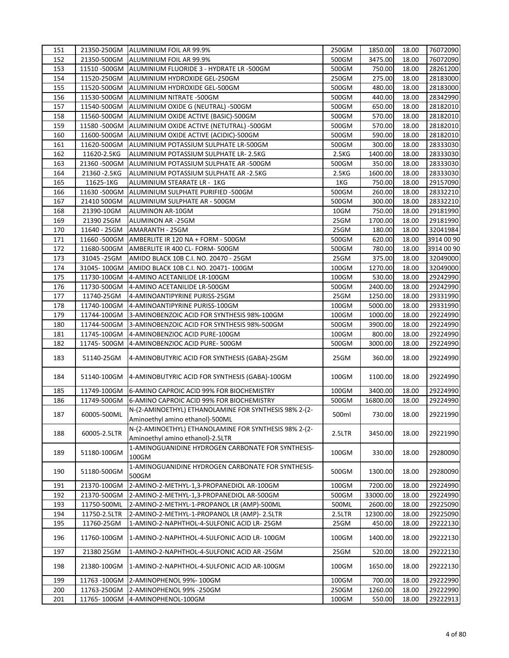| 151 |                | 21350-250GM ALUMINIUM FOIL AR 99.9%                                                       | 250GM  | 1850.00  | 18.00 | 76072090   |
|-----|----------------|-------------------------------------------------------------------------------------------|--------|----------|-------|------------|
| 152 | 21350-500GM    | ALUMINIUM FOIL AR 99.9%                                                                   | 500GM  | 3475.00  | 18.00 | 76072090   |
| 153 |                | 11510 - 500GM ALUMINIUM FLUORIDE 3 - HYDRATE LR - 500GM                                   | 500GM  | 750.00   | 18.00 | 28261200   |
| 154 | 11520-250GM    | ALUMINIUM HYDROXIDE GEL-250GM                                                             | 250GM  | 275.00   | 18.00 | 28183000   |
| 155 | 11520-500GM    | ALUMINIUM HYDROXIDE GEL-500GM                                                             | 500GM  | 480.00   | 18.00 | 28183000   |
| 156 | 11530-500GM    | ALUMINIUM NITRATE -500GM                                                                  | 500GM  | 440.00   | 18.00 | 28342990   |
| 157 | 11540-500GM    | ALUMINIUM OXIDE G (NEUTRAL) -500GM                                                        | 500GM  | 650.00   | 18.00 | 28182010   |
| 158 | 11560-500GM    | ALUMINIUM OXIDE ACTIVE (BASIC)-500GM                                                      | 500GM  | 570.00   | 18.00 | 28182010   |
| 159 | 11580 - 500 GM | ALUMINIUM OXIDE ACTIVE (NETUTRAL) -500GM                                                  | 500GM  | 570.00   | 18.00 | 28182010   |
| 160 | 11600-500GM    | ALUMINIUM OXIDE ACTIVE (ACIDIC)-500GM                                                     | 500GM  | 590.00   | 18.00 | 28182010   |
| 161 | 11620-500GM    | ALUMINIUM POTASSIUM SULPHATE LR-500GM                                                     | 500GM  | 300.00   | 18.00 | 28333030   |
| 162 | 11620-2.5KG    | ALUMINIUM POTASSIUM SULPHATE LR-2.5KG                                                     | 2.5KG  | 1400.00  | 18.00 | 28333030   |
| 163 | 21360 -500GM   | ALUMINIUM POTASSIUM SULPHATE AR -500GM                                                    | 500GM  | 350.00   | 18.00 | 28333030   |
| 164 | 21360 - 2.5KG  | ALUMINIUM POTASSIUM SULPHATE AR -2.5KG                                                    | 2.5KG  | 1600.00  | 18.00 | 28333030   |
| 165 | 11625-1KG      | ALUMINIUM STEARATE LR - 1KG                                                               | 1KG    | 750.00   | 18.00 | 29157090   |
| 166 | 11630 - 500 GM | ALUMINIUM SULPHATE PURIFIED -500GM                                                        | 500GM  | 260.00   | 18.00 | 28332210   |
| 167 | 21410 500GM    | ALUMINIUM SULPHATE AR - 500GM                                                             | 500GM  | 300.00   | 18.00 | 28332210   |
| 168 | 21390-10GM     | ALUMINON AR-10GM                                                                          | 10GM   | 750.00   | 18.00 | 29181990   |
| 169 | 21390 25GM     | ALUMINON AR-25GM                                                                          | 25GM   | 1700.00  | 18.00 | 29181990   |
| 170 | 11640 - 25GM   | AMARANTH - 25GM                                                                           | 25GM   | 180.00   | 18.00 | 32041984   |
| 171 | 11660 - 500 GM | AMBERLITE IR 120 NA + FORM - 500GM                                                        | 500GM  | 620.00   | 18.00 | 3914 00 90 |
| 172 | 11680-500GM    | AMBERLITE IR 400 CL- FORM- 500GM                                                          | 500GM  | 780.00   | 18.00 | 3914 00 90 |
| 173 | 31045 - 25GM   | AMIDO BLACK 10B C.I. NO. 20470 - 25GM                                                     | 25GM   | 375.00   | 18.00 | 32049000   |
| 174 | 31045-100GM    | AMIDO BLACK 10B C.I. NO. 20471-100GM                                                      | 100GM  | 1270.00  | 18.00 | 32049000   |
| 175 | 11730-100GM    | 4-AMINO ACETANILIDE LR-100GM                                                              | 100GM  | 530.00   | 18.00 | 29242990   |
| 176 | 11730-500GM    | 4-AMINO ACETANILIDE LR-500GM                                                              | 500GM  | 2400.00  | 18.00 | 29242990   |
| 177 | 11740-25GM     | 4-AMINOANTIPYRINE PURISS-25GM                                                             | 25GM   | 1250.00  | 18.00 | 29331990   |
| 178 | 11740-100GM    | 4-AMINOANTIPYRINE PURISS-100GM                                                            | 100GM  | 5000.00  | 18.00 | 29331990   |
| 179 | 11744-100GM    | 3-AMINOBENZOIC ACID FOR SYNTHESIS 98%-100GM                                               | 100GM  | 1000.00  | 18.00 | 29224990   |
| 180 | 11744-500GM    | 3-AMINOBENZOIC ACID FOR SYNTHESIS 98%-500GM                                               | 500GM  | 3900.00  | 18.00 | 29224990   |
| 181 | 11745-100GM    | 4-AMINOBENZIOC ACID PURE-100GM                                                            | 100GM  | 800.00   | 18.00 | 29224990   |
| 182 | 11745-500GM    | 4-AMINOBENZIOC ACID PURE-500GM                                                            | 500GM  | 3000.00  | 18.00 | 29224990   |
| 183 | 51140-25GM     | 4-AMINOBUTYRIC ACID FOR SYNTHESIS (GABA)-25GM                                             | 25GM   | 360.00   | 18.00 | 29224990   |
| 184 | 51140-100GM    | 4-AMINOBUTYRIC ACID FOR SYNTHESIS (GABA)-100GM                                            | 100GM  | 1100.00  | 18.00 | 29224990   |
| 185 | 11749-100GM    | 6-AMINO CAPROIC ACID 99% FOR BIOCHEMISTRY                                                 | 100GM  | 3400.00  | 18.00 | 29224990   |
| 186 | 11749-500GM    | 6-AMINO CAPROIC ACID 99% FOR BIOCHEMISTRY                                                 | 500GM  | 16800.00 | 18.00 | 29224990   |
| 187 | 60005-500ML    | N-(2-AMINOETHYL) ETHANOLAMINE FOR SYNTHESIS 98% 2-(2-                                     | 500ml  | 730.00   | 18.00 | 29221990   |
|     |                | Aminoethyl amino ethanol)-500ML                                                           |        |          |       |            |
| 188 | 60005-2.5LTR   | N-(2-AMINOETHYL) ETHANOLAMINE FOR SYNTHESIS 98% 2-(2-<br>Aminoethyl amino ethanol)-2.5LTR | 2.5LTR | 3450.00  | 18.00 | 29221990   |
| 189 | 51180-100GM    | 1-AMINOGUANIDINE HYDROGEN CARBONATE FOR SYNTHESIS-<br>100GM                               | 100GM  | 330.00   | 18.00 | 29280090   |
| 190 | 51180-500GM    | 1-AMINOGUANIDINE HYDROGEN CARBONATE FOR SYNTHESIS-<br>500GM                               | 500GM  | 1300.00  | 18.00 | 29280090   |
| 191 | 21370-100GM    | 2-AMINO-2-METHYL-1,3-PROPANEDIOL AR-100GM                                                 | 100GM  | 7200.00  | 18.00 | 29224990   |
| 192 | 21370-500GM    | 2-AMINO-2-METHYL-1,3-PROPANEDIOL AR-500GM                                                 | 500GM  | 33000.00 | 18.00 | 29224990   |
| 193 | 11750-500ML    | 2-AMINO-2-METHYL-1-PROPANOL LR (AMP)-500ML                                                | 500ML  | 2600.00  | 18.00 | 29225090   |
| 194 | 11750-2.5LTR   | 2-AMINO-2-METHYL-1-PROPANOL LR (AMP)- 2.5LTR                                              | 2.5LTR | 12300.00 | 18.00 | 29225090   |
| 195 | 11760-25GM     | 1-AMINO-2-NAPHTHOL-4-SULFONIC ACID LR-25GM                                                | 25GM   | 450.00   | 18.00 | 29222130   |
| 196 | 11760-100GM    | 1-AMINO-2-NAPHTHOL-4-SULFONIC ACID LR- 100GM                                              | 100GM  | 1400.00  | 18.00 | 29222130   |
| 197 | 21380 25GM     | 1-AMINO-2-NAPHTHOL-4-SULFONIC ACID AR -25GM                                               | 25GM   | 520.00   | 18.00 | 29222130   |
| 198 | 21380-100GM    | 1-AMINO-2-NAPHTHOL-4-SULFONIC ACID AR-100GM                                               | 100GM  | 1650.00  | 18.00 | 29222130   |
| 199 | 11763 - 100GM  | 2-AMINOPHENOL 99%-100GM                                                                   | 100GM  | 700.00   | 18.00 | 29222990   |
| 200 | 11763-250GM    | 2-AMINOPHENOL 99% -250GM                                                                  | 250GM  | 1260.00  | 18.00 | 29222990   |
| 201 | 11765-100GM    | 4-AMINOPHENOL-100GM                                                                       | 100GM  | 550.00   | 18.00 | 29222913   |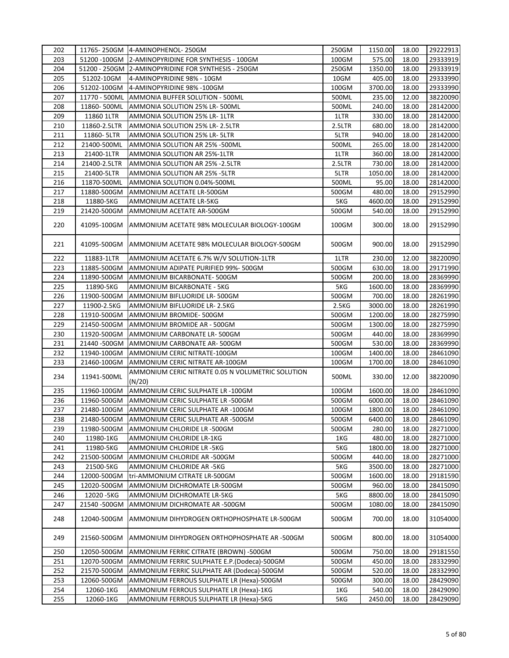| 202 |               | 11765-250GM 4-AMINOPHENOL-250GM                             | 250GM  | 1150.00 | 18.00 | 29222913 |
|-----|---------------|-------------------------------------------------------------|--------|---------|-------|----------|
| 203 |               | 51200 -100GM 2-AMINOPYRIDINE FOR SYNTHESIS - 100GM          | 100GM  | 575.00  | 18.00 | 29333919 |
| 204 |               | 51200 - 250GM 2-AMINOPYRIDINE FOR SYNTHESIS - 250GM         | 250GM  | 1350.00 | 18.00 | 29333919 |
| 205 | 51202-10GM    | 4-AMINOPYRIDINE 98% - 10GM                                  | 10GM   | 405.00  | 18.00 | 29333990 |
| 206 | 51202-100GM   | 4-AMINOPYRIDINE 98% -100GM                                  | 100GM  | 3700.00 | 18.00 | 29333990 |
| 207 | 11770 - 500ML | AMMONIA BUFFER SOLUTION - 500ML                             | 500ML  | 235.00  | 12.00 | 38220090 |
| 208 | 11860-500ML   | AMMONIA SOLUTION 25% LR-500ML                               | 500ML  | 240.00  | 18.00 | 28142000 |
| 209 | 11860 1LTR    | AMMONIA SOLUTION 25% LR-1LTR                                | 1LTR   | 330.00  | 18.00 | 28142000 |
| 210 | 11860-2.5LTR  | AMMONIA SOLUTION 25% LR-2.5LTR                              | 2.5LTR | 680.00  | 18.00 | 28142000 |
| 211 | 11860- 5LTR   | AMMONIA SOLUTION 25% LR-5LTR                                | 5LTR   | 940.00  | 18.00 | 28142000 |
| 212 | 21400-500ML   | AMMONIA SOLUTION AR 25% -500ML                              | 500ML  | 265.00  | 18.00 | 28142000 |
| 213 | 21400-1LTR    | AMMONIA SOLUTION AR 25%-1LTR                                | 1LTR   | 360.00  | 18.00 | 28142000 |
| 214 | 21400-2.5LTR  | AMMONIA SOLUTION AR 25% -2.5LTR                             | 2.5LTR | 730.00  | 18.00 | 28142000 |
| 215 | 21400-5LTR    | AMMONIA SOLUTION AR 25% -5LTR                               | 5LTR   | 1050.00 | 18.00 | 28142000 |
| 216 | 11870-500ML   | AMMONIA SOLUTION 0.04%-500ML                                | 500ML  | 95.00   | 18.00 | 28142000 |
| 217 | 11880-500GM   | AMMONIUM ACETATE LR-500GM                                   | 500GM  | 480.00  | 18.00 | 29152990 |
| 218 | 11880-5KG     | AMMONIUM ACETATE LR-5KG                                     | 5KG    | 4600.00 | 18.00 | 29152990 |
| 219 | 21420-500GM   | AMMONIUM ACETATE AR-500GM                                   | 500GM  | 540.00  | 18.00 | 29152990 |
|     |               |                                                             |        |         |       |          |
| 220 | 41095-100GM   | AMMONIUM ACETATE 98% MOLECULAR BIOLOGY-100GM                | 100GM  | 300.00  | 18.00 | 29152990 |
| 221 | 41095-500GM   | AMMONIUM ACETATE 98% MOLECULAR BIOLOGY-500GM                | 500GM  | 900.00  | 18.00 | 29152990 |
| 222 | 11883-1LTR    | AMMONIUM ACETATE 6.7% W/V SOLUTION-1LTR                     | 1LTR   | 230.00  | 12.00 | 38220090 |
| 223 | 11885-500GM   | AMMONIUM ADIPATE PURIFIED 99%- 500GM                        | 500GM  | 630.00  | 18.00 | 29171990 |
| 224 | 11890-500GM   | AMMONIUM BICARBONATE-500GM                                  | 500GM  | 200.00  | 18.00 | 28369990 |
| 225 | 11890-5KG     | AMMONIUM BICARBONATE - 5KG                                  | 5KG    | 1600.00 | 18.00 | 28369990 |
| 226 | 11900-500GM   | AMMONIUM BIFLUORIDE LR-500GM                                | 500GM  | 700.00  | 18.00 | 28261990 |
| 227 | 11900-2.5KG   | AMMONIUM BIFLUORIDE LR- 2.5KG                               | 2.5KG  | 3000.00 | 18.00 | 28261990 |
| 228 | 11910-500GM   | AMMONIUM BROMIDE-500GM                                      | 500GM  | 1200.00 | 18.00 | 28275990 |
| 229 | 21450-500GM   | AMMONIUM BROMIDE AR - 500GM                                 | 500GM  | 1300.00 | 18.00 | 28275990 |
| 230 | 11920-500GM   | AMMONIUM CARBONATE LR-500GM                                 | 500GM  | 440.00  | 18.00 | 28369990 |
| 231 | 21440 -500GM  | AMMONIUM CARBONATE AR-500GM                                 | 500GM  | 530.00  | 18.00 | 28369990 |
| 232 | 11940-100GM   | AMMONIUM CERIC NITRATE-100GM                                | 100GM  | 1400.00 | 18.00 | 28461090 |
| 233 | 21460-100GM   | AMMONIUM CERIC NITRATE AR-100GM                             | 100GM  | 1700.00 | 18.00 | 28461090 |
| 234 | 11941-500ML   | AMMONIUM CERIC NITRATE 0.05 N VOLUMETRIC SOLUTION<br>(N/20) | 500ML  | 330.00  | 12.00 | 38220090 |
| 235 | 11960-100GM   | AMMONIUM CERIC SULPHATE LR -100GM                           | 100GM  | 1600.00 | 18.00 | 28461090 |
| 236 | 11960-500GM   | AMMONIUM CERIC SULPHATE LR -500GM                           | 500GM  | 6000.00 | 18.00 | 28461090 |
| 237 | 21480-100GM   | AMMONIUM CERIC SULPHATE AR -100GM                           | 100GM  | 1800.00 | 18.00 | 28461090 |
| 238 | 21480-500GM   | AMMONIUM CERIC SULPHATE AR -500GM                           | 500GM  | 6400.00 | 18.00 | 28461090 |
| 239 | 11980-500GM   | AMMONIUM CHLORIDE LR -500GM                                 | 500GM  | 280.00  | 18.00 | 28271000 |
| 240 | 11980-1KG     | AMMONIUM CHLORIDE LR-1KG                                    | 1KG    | 480.00  | 18.00 | 28271000 |
| 241 | 11980-5KG     | AMMONIUM CHLORIDE LR -5KG                                   | 5KG    | 1800.00 | 18.00 | 28271000 |
| 242 | 21500-500GM   | AMMONIUM CHLORIDE AR -500GM                                 | 500GM  | 440.00  | 18.00 | 28271000 |
| 243 | 21500-5KG     | AMMONIUM CHLORIDE AR -5KG                                   | 5KG    | 3500.00 | 18.00 | 28271000 |
| 244 | 12000-500GM   | tri-AMMONIUM CITRATE LR-500GM                               | 500GM  | 1600.00 | 18.00 | 29181590 |
| 245 | 12020-500GM   | AMMONIUM DICHROMATE LR-500GM                                | 500GM  | 960.00  | 18.00 | 28415090 |
| 246 | 12020 - 5KG   | AMMONIUM DICHROMATE LR-5KG                                  | 5KG    | 8800.00 | 18.00 | 28415090 |
| 247 | 21540-500GM   | AMMONIUM DICHROMATE AR -500GM                               | 500GM  | 1080.00 | 18.00 | 28415090 |
| 248 | 12040-500GM   | AMMONIUM DIHYDROGEN ORTHOPHOSPHATE LR-500GM                 | 500GM  | 700.00  | 18.00 | 31054000 |
| 249 | 21560-500GM   | AMMONIUM DIHYDROGEN ORTHOPHOSPHATE AR -500GM                | 500GM  | 800.00  | 18.00 | 31054000 |
|     |               |                                                             |        |         |       |          |
| 250 | 12050-500GM   | AMMONIUM FERRIC CITRATE (BROWN) -500GM                      | 500GM  | 750.00  | 18.00 | 29181550 |
| 251 | 12070-500GM   | AMMONIUM FERRIC SULPHATE E.P. (Dodeca)-500GM                | 500GM  | 450.00  | 18.00 | 28332990 |
| 252 | 21570-500GM   | AMMONIUM FERRIC SULPHATE AR (Dodeca)-500GM                  | 500GM  | 520.00  | 18.00 | 28332990 |
| 253 | 12060-500GM   | AMMONIUM FERROUS SULPHATE LR (Hexa)-500GM                   | 500GM  | 300.00  | 18.00 | 28429090 |
| 254 | 12060-1KG     | AMMONIUM FERROUS SULPHATE LR (Hexa)-1KG                     | 1KG    | 540.00  | 18.00 | 28429090 |
| 255 | 12060-1KG     | AMMONIUM FERROUS SULPHATE LR (Hexa)-5KG                     | 5KG    | 2450.00 | 18.00 | 28429090 |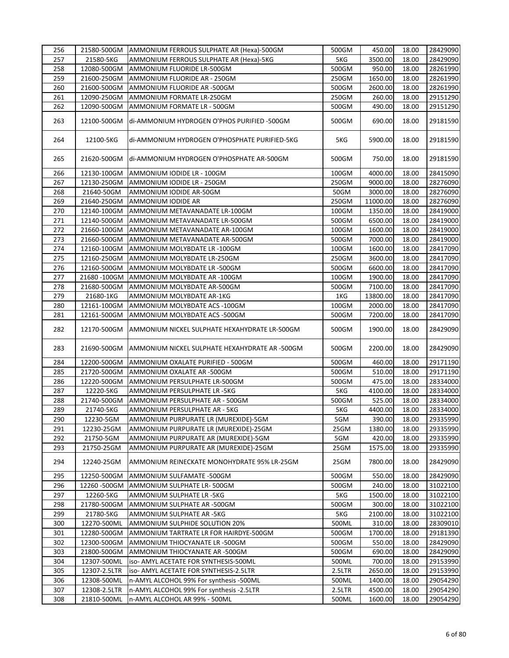| 256 |              | 21580-500GM AMMONIUM FERROUS SULPHATE AR (Hexa)-500GM | 500GM  | 450.00   | 18.00 | 28429090 |
|-----|--------------|-------------------------------------------------------|--------|----------|-------|----------|
| 257 | 21580-5KG    | AMMONIUM FERROUS SULPHATE AR (Hexa)-5KG               | 5KG    | 3500.00  | 18.00 | 28429090 |
| 258 | 12080-500GM  | AMMONIUM FLUORIDE LR-500GM                            | 500GM  | 950.00   | 18.00 | 28261990 |
| 259 | 21600-250GM  | AMMONIUM FLUORIDE AR - 250GM                          | 250GM  | 1650.00  | 18.00 | 28261990 |
| 260 | 21600-500GM  | AMMONIUM FLUORIDE AR -500GM                           | 500GM  | 2600.00  | 18.00 | 28261990 |
| 261 | 12090-250GM  | AMMONIUM FORMATE LR-250GM                             | 250GM  | 260.00   | 18.00 | 29151290 |
| 262 | 12090-500GM  | AMMONIUM FORMATE LR - 500GM                           | 500GM  | 490.00   | 18.00 | 29151290 |
|     |              |                                                       |        |          |       |          |
| 263 | 12100-500GM  | di-AMMONIUM HYDROGEN O'PHOS PURIFIED -500GM           | 500GM  | 690.00   | 18.00 | 29181590 |
| 264 | 12100-5KG    | di-AMMONIUM HYDROGEN O'PHOSPHATE PURIFIED-5KG         | 5KG    | 5900.00  | 18.00 | 29181590 |
|     |              |                                                       |        |          |       |          |
| 265 | 21620-500GM  | di-AMMONIUM HYDROGEN O'PHOSPHATE AR-500GM             | 500GM  | 750.00   | 18.00 | 29181590 |
| 266 | 12130-100GM  | AMMONIUM IODIDE LR - 100GM                            | 100GM  | 4000.00  | 18.00 | 28415090 |
| 267 | 12130-250GM  | AMMONIUM IODIDE LR - 250GM                            | 250GM  | 9000.00  | 18.00 | 28276090 |
| 268 | 21640-50GM   | AMMONIUM IODIDE AR-50GM                               | 50GM   | 3000.00  | 18.00 | 28276090 |
| 269 | 21640-250GM  | AMMONIUM IODIDE AR                                    | 250GM  | 11000.00 | 18.00 | 28276090 |
| 270 | 12140-100GM  | AMMONIUM METAVANADATE LR-100GM                        | 100GM  | 1350.00  | 18.00 | 28419000 |
| 271 | 12140-500GM  | AMMONIUM METAVANADATE LR-500GM                        | 500GM  | 6500.00  | 18.00 | 28419000 |
| 272 | 21660-100GM  | AMMONIUM METAVANADATE AR-100GM                        | 100GM  | 1600.00  | 18.00 | 28419000 |
| 273 | 21660-500GM  | AMMONIUM METAVANADATE AR-500GM                        | 500GM  | 7000.00  | 18.00 | 28419000 |
| 274 | 12160-100GM  | AMMONIUM MOLYBDATE LR -100GM                          | 100GM  | 1600.00  | 18.00 | 28417090 |
| 275 | 12160-250GM  | AMMONIUM MOLYBDATE LR-250GM                           | 250GM  | 3600.00  | 18.00 | 28417090 |
| 276 | 12160-500GM  | AMMONIUM MOLYBDATE LR -500GM                          | 500GM  | 6600.00  | 18.00 | 28417090 |
| 277 | 21680-100GM  | AMMONIUM MOLYBDATE AR -100GM                          | 100GM  | 1900.00  | 18.00 | 28417090 |
| 278 | 21680-500GM  | AMMONIUM MOLYBDATE AR-500GM                           | 500GM  | 7100.00  | 18.00 | 28417090 |
| 279 | 21680-1KG    | AMMONIUM MOLYBDATE AR-1KG                             | 1KG    | 13800.00 | 18.00 | 28417090 |
| 280 | 12161-100GM  | AMMONIUM MOLYBDATE ACS - 100GM                        | 100GM  | 2000.00  | 18.00 | 28417090 |
| 281 | 12161-500GM  | AMMONIUM MOLYBDATE ACS -500GM                         | 500GM  | 7200.00  | 18.00 | 28417090 |
|     |              |                                                       |        |          |       |          |
| 282 | 12170-500GM  | AMMONIUM NICKEL SULPHATE HEXAHYDRATE LR-500GM         | 500GM  | 1900.00  | 18.00 | 28429090 |
| 283 | 21690-500GM  | AMMONIUM NICKEL SULPHATE HEXAHYDRATE AR -500GM        | 500GM  | 2200.00  | 18.00 | 28429090 |
| 284 | 12200-500GM  | AMMONIUM OXALATE PURIFIED - 500GM                     | 500GM  | 460.00   | 18.00 | 29171190 |
| 285 | 21720-500GM  | AMMONIUM OXALATE AR -500GM                            | 500GM  | 510.00   | 18.00 | 29171190 |
| 286 | 12220-500GM  | AMMONIUM PERSULPHATE LR-500GM                         | 500GM  | 475.00   | 18.00 | 28334000 |
| 287 | 12220-5KG    | AMMONIUM PERSULPHATE LR -5KG                          | 5KG    | 4100.00  | 18.00 | 28334000 |
| 288 | 21740-500GM  | AMMONIUM PERSULPHATE AR - 500GM                       | 500GM  | 525.00   | 18.00 | 28334000 |
| 289 | 21740-5KG    | AMMONIUM PERSULPHATE AR - 5KG                         | 5KG    | 4400.00  | 18.00 | 28334000 |
| 290 | 12230-5GM    | AMMONIUM PURPURATE LR (MUREXIDE)-5GM                  | 5GM    | 390.00   | 18.00 | 29335990 |
| 291 | 12230-25GM   | AMMONIUM PURPURATE LR (MUREXIDE)-25GM                 | 25GM   | 1380.00  | 18.00 | 29335990 |
| 292 | 21750-5GM    | AMMONIUM PURPURATE AR (MUREXIDE)-5GM                  | 5GM    | 420.00   | 18.00 | 29335990 |
| 293 | 21750-25GM   | AMMONIUM PURPURATE AR (MUREXIDE)-25GM                 | 25GM   | 1575.00  | 18.00 | 29335990 |
| 294 | 12240-25GM   | AMMONIUM REINECKATE MONOHYDRATE 95% LR-25GM           | 25GM   | 7800.00  | 18.00 | 28429090 |
| 295 | 12250-500GM  | AMMONIUM SULFAMATE -500GM                             | 500GM  | 550.00   | 18.00 | 28429090 |
| 296 | 12260-500GM  | AMMONIUM SULPHATE LR-500GM                            | 500GM  | 240.00   | 18.00 | 31022100 |
| 297 | 12260-5KG    | AMMONIUM SULPHATE LR -5KG                             | 5KG    | 1500.00  | 18.00 | 31022100 |
| 298 | 21780-500GM  | AMMONIUM SULPHATE AR -500GM                           | 500GM  | 300.00   | 18.00 | 31022100 |
| 299 | 21780-5KG    | AMMONIUM SULPHATE AR -5KG                             | 5KG    | 2100.00  | 18.00 | 31022100 |
| 300 | 12270-500ML  | AMMONIUM SULPHIDE SOLUTION 20%                        | 500ML  | 310.00   | 18.00 | 28309010 |
| 301 | 12280-500GM  | AMMONIUM TARTRATE LR FOR HAIRDYE-500GM                | 500GM  | 1700.00  | 18.00 | 29181390 |
| 302 | 12300-500GM  | AMMONIUM THIOCYANATE LR -500GM                        | 500GM  | 550.00   | 18.00 | 28429090 |
| 303 | 21800-500GM  | AMMONIUM THIOCYANATE AR -500GM                        | 500GM  | 690.00   | 18.00 | 28429090 |
| 304 | 12307-500ML  | iso- AMYL ACETATE FOR SYNTHESIS-500ML                 | 500ML  | 700.00   | 18.00 | 29153990 |
| 305 | 12307-2.5LTR | iso- AMYL ACETATE FOR SYNTHESIS-2.5LTR                | 2.5LTR | 2650.00  | 18.00 | 29153990 |
|     |              |                                                       |        |          |       |          |
| 306 | 12308-500ML  | n-AMYL ALCOHOL 99% For synthesis -500ML               | 500ML  | 1400.00  | 18.00 | 29054290 |
| 307 | 12308-2.5LTR | n-AMYL ALCOHOL 99% For synthesis -2.5LTR              | 2.5LTR | 4500.00  | 18.00 | 29054290 |
| 308 | 21810-500ML  | n-AMYL ALCOHOL AR 99% - 500ML                         | 500ML  | 1600.00  | 18.00 | 29054290 |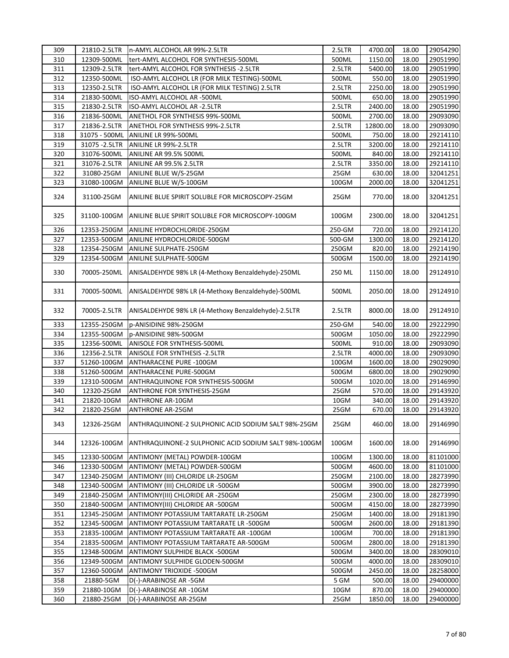| 309 | 21810-2.5LTR   | n-AMYL ALCOHOL AR 99%-2.5LTR                         | 2.5LTR | 4700.00  | 18.00 | 29054290 |
|-----|----------------|------------------------------------------------------|--------|----------|-------|----------|
| 310 | 12309-500ML    | tert-AMYL ALCOHOL FOR SYNTHESIS-500ML                | 500ML  | 1150.00  | 18.00 | 29051990 |
| 311 | 12309-2.5LTR   | tert-AMYL ALCOHOL FOR SYNTHESIS -2.5LTR              | 2.5LTR | 5400.00  | 18.00 | 29051990 |
| 312 | 12350-500ML    | ISO-AMYL ALCOHOL LR (FOR MILK TESTING)-500ML         | 500ML  | 550.00   | 18.00 | 29051990 |
| 313 | 12350-2.5LTR   | ISO-AMYL ALCOHOL LR (FOR MILK TESTING) 2.5LTR        | 2.5LTR | 2250.00  | 18.00 | 29051990 |
| 314 | 21830-500ML    | ISO-AMYL ALCOHOL AR -500ML                           | 500ML  | 650.00   | 18.00 | 29051990 |
| 315 | 21830-2.5LTR   | ISO-AMYL ALCOHOL AR -2.5LTR                          | 2.5LTR | 2400.00  | 18.00 | 29051990 |
| 316 | 21836-500ML    | ANETHOL FOR SYNTHESIS 99%-500ML                      | 500ML  | 2700.00  | 18.00 | 29093090 |
| 317 | 21836-2.5LTR   | ANETHOL FOR SYNTHESIS 99%-2.5LTR                     | 2.5LTR | 12800.00 | 18.00 | 29093090 |
| 318 | 31075 - 500ML  | ANILINE LR 99%-500ML                                 | 500ML  | 750.00   | 18.00 | 29214110 |
| 319 | 31075 - 2.5LTR | ANILINE LR 99%-2.5LTR                                | 2.5LTR | 3200.00  | 18.00 | 29214110 |
| 320 | 31076-500ML    | ANILINE AR 99.5% 500ML                               | 500ML  | 840.00   | 18.00 | 29214110 |
| 321 | 31076-2.5LTR   | ANILINE AR 99.5% 2.5LTR                              | 2.5LTR | 3350.00  | 18.00 | 29214110 |
| 322 | 31080-25GM     | ANILINE BLUE W/S-25GM                                | 25GM   | 630.00   | 18.00 | 32041251 |
| 323 | 31080-100GM    | ANILINE BLUE W/S-100GM                               | 100GM  | 2000.00  | 18.00 | 32041251 |
|     |                |                                                      |        |          |       |          |
| 324 | 31100-25GM     | ANILINE BLUE SPIRIT SOLUBLE FOR MICROSCOPY-25GM      | 25GM   | 770.00   | 18.00 | 32041251 |
| 325 | 31100-100GM    | ANILINE BLUE SPIRIT SOLUBLE FOR MICROSCOPY-100GM     | 100GM  | 2300.00  | 18.00 | 32041251 |
| 326 | 12353-250GM    | ANILINE HYDROCHLORIDE-250GM                          | 250-GM | 720.00   | 18.00 | 29214120 |
| 327 | 12353-500GM    | ANILINE HYDROCHLORIDE-500GM                          | 500-GM | 1300.00  | 18.00 | 29214120 |
| 328 | 12354-250GM    | ANILINE SULPHATE-250GM                               | 250GM  | 820.00   | 18.00 | 29214190 |
| 329 | 12354-500GM    | ANILINE SULPHATE-500GM                               | 500GM  | 1500.00  | 18.00 | 29214190 |
| 330 | 70005-250ML    | ANISALDEHYDE 98% LR (4-Methoxy Benzaldehyde)-250ML   | 250 ML | 1150.00  | 18.00 | 29124910 |
| 331 | 70005-500ML    | ANISALDEHYDE 98% LR (4-Methoxy Benzaldehyde)-500ML   | 500ML  | 2050.00  | 18.00 | 29124910 |
| 332 | 70005-2.5LTR   | ANISALDEHYDE 98% LR (4-Methoxy Benzaldehyde)-2.5LTR  | 2.5LTR | 8000.00  | 18.00 | 29124910 |
| 333 | 12355-250GM    | p-ANISIDINE 98%-250GM                                | 250-GM | 540.00   | 18.00 | 29222990 |
| 334 | 12355-500GM    | p-ANISIDINE 98%-500GM                                | 500GM  | 1050.00  | 18.00 | 29222990 |
| 335 | 12356-500ML    | ANISOLE FOR SYNTHESIS-500ML                          | 500ML  | 910.00   | 18.00 | 29093090 |
| 336 | 12356-2.5LTR   | <b>ANISOLE FOR SYNTHESIS - 2.5LTR</b>                | 2.5LTR | 4000.00  | 18.00 | 29093090 |
| 337 | 51260-100GM    | ANTHARACENE PURE -100GM                              | 100GM  | 1600.00  | 18.00 | 29029090 |
| 338 | 51260-500GM    | ANTHARACENE PURE-500GM                               | 500GM  | 6800.00  | 18.00 | 29029090 |
| 339 | 12310-500GM    | ANTHRAQUINONE FOR SYNTHESIS-500GM                    | 500GM  | 1020.00  | 18.00 | 29146990 |
| 340 | 12320-25GM     | ANTHRONE FOR SYNTHESIS-25GM                          | 25GM   | 570.00   | 18.00 | 29143920 |
| 341 | 21820-10GM     | <b>ANTHRONE AR-10GM</b>                              | 10GM   | 340.00   | 18.00 | 29143920 |
| 342 | 21820-25GM     | <b>ANTHRONE AR-25GM</b>                              | 25GM   | 670.00   | 18.00 | 29143920 |
| 343 | 12326-25GM     | ANTHRAQUINONE-2 SULPHONIC ACID SODIUM SALT 98%-25GM  | 25GM   | 460.00   | 18.00 | 29146990 |
| 344 | 12326-100GM    | ANTHRAQUINONE-2 SULPHONIC ACID SODIUM SALT 98%-100GM | 100GM  | 1600.00  | 18.00 | 29146990 |
| 345 | 12330-500GM    | ANTIMONY (METAL) POWDER-100GM                        | 100GM  | 1300.00  | 18.00 | 81101000 |
| 346 | 12330-500GM    | ANTIMONY (METAL) POWDER-500GM                        | 500GM  | 4600.00  | 18.00 | 81101000 |
| 347 | 12340-250GM    | ANTIMONY (III) CHLORIDE LR-250GM                     | 250GM  | 2100.00  | 18.00 | 28273990 |
| 348 | 12340-500GM    | ANTIMONY (III) CHLORIDE LR -500GM                    | 500GM  | 3900.00  | 18.00 | 28273990 |
| 349 | 21840-250GM    | ANTIMONY(III) CHLORIDE AR -250GM                     | 250GM  | 2300.00  | 18.00 | 28273990 |
| 350 | 21840-500GM    | ANTIMONY(III) CHLORIDE AR -500GM                     | 500GM  | 4150.00  | 18.00 | 28273990 |
| 351 | 12345-250GM    | ANTIMONY POTASSIUM TARTARATE LR-250GM                | 250GM  | 1400.00  | 18.00 | 29181390 |
| 352 | 12345-500GM    | ANTIMONY POTASSIUM TARTARATE LR -500GM               | 500GM  | 2600.00  | 18.00 | 29181390 |
| 353 | 21835-100GM    | ANTIMONY POTASSIUM TARTARATE AR -100GM               | 100GM  | 700.00   | 18.00 | 29181390 |
| 354 | 21835-500GM    | ANTIMONY POTASSIUM TARTARATE AR-500GM                | 500GM  | 2800.00  | 18.00 | 29181390 |
| 355 | 12348-500GM    | ANTIMONY SULPHIDE BLACK -500GM                       | 500GM  | 3400.00  | 18.00 | 28309010 |
| 356 | 12349-500GM    | ANTIMONY SULPHIDE GLODEN-500GM                       | 500GM  | 4000.00  | 18.00 | 28309010 |
| 357 | 12360-500GM    | ANTIMONY TRIOXIDE -500GM                             | 500GM  | 2450.00  | 18.00 | 28258000 |
| 358 | 21880-5GM      | D(-)-ARABINOSE AR -5GM                               | 5 GM   | 500.00   | 18.00 | 29400000 |
| 359 | 21880-10GM     | D(-)-ARABINOSE AR -10GM                              | 10GM   | 870.00   | 18.00 | 29400000 |
| 360 | 21880-25GM     | D(-)-ARABINOSE AR-25GM                               | 25GM   | 1850.00  | 18.00 | 29400000 |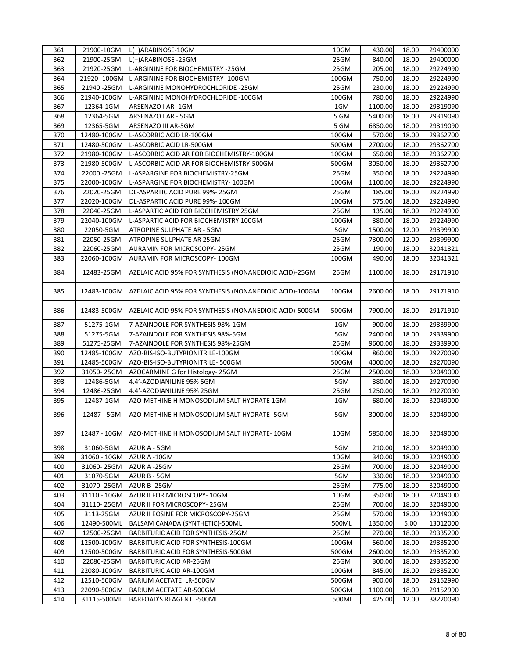| 361 | 21900-10GM   | L(+)ARABINOSE-10GM                                      | 10GM  | 430.00  | 18.00 | 29400000 |
|-----|--------------|---------------------------------------------------------|-------|---------|-------|----------|
| 362 | 21900-25GM   | L(+)ARABINOSE -25GM                                     | 25GM  | 840.00  | 18.00 | 29400000 |
| 363 | 21920-25GM   | L-ARGININE FOR BIOCHEMISTRY -25GM                       | 25GM  | 205.00  | 18.00 | 29224990 |
| 364 |              | 21920 -100GM L-ARGININE FOR BIOCHEMISTRY -100GM         | 100GM | 750.00  | 18.00 | 29224990 |
| 365 | 21940 - 25GM | L-ARGININE MONOHYDROCHLORIDE -25GM                      | 25GM  | 230.00  | 18.00 | 29224990 |
| 366 | 21940-100GM  | L-ARGININE MONOHYDROCHLORIDE -100GM                     | 100GM | 780.00  | 18.00 | 29224990 |
| 367 | 12364-1GM    | ARSENAZO I AR -1GM                                      | 1GM   | 1100.00 | 18.00 | 29319090 |
| 368 | 12364-5GM    | ARSENAZO I AR - 5GM                                     | 5 GM  | 5400.00 | 18.00 | 29319090 |
| 369 | 12365-5GM    | ARSENAZO III AR-5GM                                     | 5 GM  | 6850.00 | 18.00 | 29319090 |
| 370 | 12480-100GM  | L-ASCORBIC ACID LR-100GM                                | 100GM | 570.00  | 18.00 | 29362700 |
| 371 | 12480-500GM  | L-ASCORBIC ACID LR-500GM                                | 500GM | 2700.00 | 18.00 | 29362700 |
| 372 | 21980-100GM  | L-ASCORBIC ACID AR FOR BIOCHEMISTRY-100GM               | 100GM | 650.00  | 18.00 | 29362700 |
| 373 | 21980-500GM  | L-ASCORBIC ACID AR FOR BIOCHEMISTRY-500GM               | 500GM | 3050.00 | 18.00 | 29362700 |
| 374 | 22000 - 25GM | L-ASPARGINE FOR BIOCHEMISTRY-25GM                       | 25GM  | 350.00  | 18.00 | 29224990 |
| 375 | 22000-100GM  | L-ASPARGINE FOR BIOCHEMISTRY-100GM                      | 100GM | 1100.00 | 18.00 | 29224990 |
| 376 | 22020-25GM   | DL-ASPARTIC ACID PURE 99%- 25GM                         | 25GM  | 185.00  | 18.00 | 29224990 |
| 377 | 22020-100GM  | DL-ASPARTIC ACID PURE 99%- 100GM                        | 100GM | 575.00  | 18.00 | 29224990 |
| 378 | 22040-25GM   | L-ASPARTIC ACID FOR BIOCHEMISTRY 25GM                   | 25GM  | 135.00  | 18.00 | 29224990 |
| 379 | 22040-100GM  | L-ASPARTIC ACID FOR BIOCHEMISTRY 100GM                  | 100GM | 380.00  | 18.00 | 29224990 |
| 380 | 22050-5GM    | ATROPINE SULPHATE AR - 5GM                              | 5GM   | 1500.00 | 12.00 | 29399900 |
| 381 | 22050-25GM   | ATROPINE SULPHATE AR 25GM                               | 25GM  | 7300.00 | 12.00 | 29399900 |
| 382 | 22060-25GM   | AURAMIN FOR MICROSCOPY-25GM                             | 25GM  | 190.00  | 18.00 | 32041321 |
| 383 | 22060-100GM  | AURAMIN FOR MICROSCOPY-100GM                            | 100GM | 490.00  | 18.00 | 32041321 |
|     |              |                                                         |       |         |       |          |
| 384 | 12483-25GM   | AZELAIC ACID 95% FOR SYNTHESIS (NONANEDIOIC ACID)-25GM  | 25GM  | 1100.00 | 18.00 | 29171910 |
| 385 | 12483-100GM  | AZELAIC ACID 95% FOR SYNTHESIS (NONANEDIOIC ACID)-100GM | 100GM | 2600.00 | 18.00 | 29171910 |
| 386 | 12483-500GM  | AZELAIC ACID 95% FOR SYNTHESIS (NONANEDIOIC ACID)-500GM | 500GM | 7900.00 | 18.00 | 29171910 |
| 387 | 51275-1GM    | 7-AZAINDOLE FOR SYNTHESIS 98%-1GM                       | 1GM   | 900.00  | 18.00 | 29339900 |
| 388 | 51275-5GM    | 7-AZAINDOLE FOR SYNTHESIS 98%-5GM                       | 5GM   | 2400.00 | 18.00 | 29339900 |
| 389 | 51275-25GM   | 7-AZAINDOLE FOR SYNTHESIS 98%-25GM                      | 25GM  | 9600.00 | 18.00 | 29339900 |
| 390 | 12485-100GM  | AZO-BIS-ISO-BUTYRIONITRILE-100GM                        | 100GM | 860.00  | 18.00 | 29270090 |
| 391 | 12485-500GM  | AZO-BIS-ISO-BUTYRIONITRILE-500GM                        | 500GM | 4000.00 | 18.00 | 29270090 |
| 392 | 31050-25GM   | AZOCARMINE G for Histology- 25GM                        | 25GM  | 2500.00 | 18.00 | 32049000 |
| 393 | 12486-5GM    | 4.4'-AZODIANILINE 95% 5GM                               | 5GM   | 380.00  | 18.00 | 29270090 |
| 394 | 12486-25GM   | 4.4'-AZODIANILINE 95% 25GM                              | 25GM  | 1250.00 | 18.00 | 29270090 |
| 395 | 12487-1GM    | AZO-METHINE H MONOSODIUM SALT HYDRATE 1GM               | 1GM   | 680.00  | 18.00 | 32049000 |
| 396 | 12487 - 5GM  | AZO-METHINE H MONOSODIUM SALT HYDRATE-5GM               | 5GM   | 3000.00 | 18.00 | 32049000 |
| 397 | 12487 - 10GM | AZO-METHINE H MONOSODIUM SALT HYDRATE- 10GM             | 10GM  | 5850.00 | 18.00 | 32049000 |
| 398 | 31060-5GM    | AZUR A - 5GM                                            | 5GM   | 210.00  | 18.00 | 32049000 |
| 399 | 31060 - 10GM | AZUR A -10GM                                            | 10GM  | 340.00  | 18.00 | 32049000 |
| 400 | 31060-25GM   | AZUR A -25GM                                            | 25GM  | 700.00  | 18.00 | 32049000 |
| 401 | 31070-5GM    | AZUR B - 5GM                                            | 5GM   | 330.00  | 18.00 | 32049000 |
| 402 | 31070-25GM   | AZUR B-25GM                                             | 25GM  | 775.00  | 18.00 | 32049000 |
| 403 | 31110 - 10GM | AZUR II FOR MICROSCOPY-10GM                             | 10GM  | 350.00  | 18.00 | 32049000 |
| 404 | 31110-25GM   | AZUR II FOR MICROSCOPY-25GM                             | 25GM  | 700.00  | 18.00 | 32049000 |
| 405 | 3113-25GM    | AZUR II EOSINE FOR MICROSCOPY-25GM                      | 25GM  | 570.00  | 18.00 | 32049000 |
| 406 | 12490-500ML  | BALSAM CANADA (SYNTHETIC)-500ML                         | 500ML | 1350.00 | 5.00  | 13012000 |
| 407 | 12500-25GM   | BARBITURIC ACID FOR SYNTHESIS-25GM                      | 25GM  | 270.00  | 18.00 | 29335200 |
| 408 | 12500-100GM  | BARBITURIC ACID FOR SYNTHESIS-100GM                     | 100GM | 560.00  | 18.00 | 29335200 |
| 409 | 12500-500GM  | BARBITURIC ACID FOR SYNTHESIS-500GM                     | 500GM | 2600.00 | 18.00 | 29335200 |
| 410 | 22080-25GM   | <b>BARBITURIC ACID AR-25GM</b>                          | 25GM  | 300.00  | 18.00 | 29335200 |
| 411 | 22080-100GM  | BARBITURIC ACID AR-100GM                                | 100GM | 845.00  | 18.00 | 29335200 |
| 412 | 12510-500GM  | BARIUM ACETATE LR-500GM                                 | 500GM | 900.00  | 18.00 | 29152990 |
| 413 | 22090-500GM  | BARIUM ACETATE AR-500GM                                 | 500GM | 1100.00 | 18.00 | 29152990 |
| 414 | 31115-500ML  | BARFOAD'S REAGENT -500ML                                | 500ML | 425.00  | 12.00 | 38220090 |
|     |              |                                                         |       |         |       |          |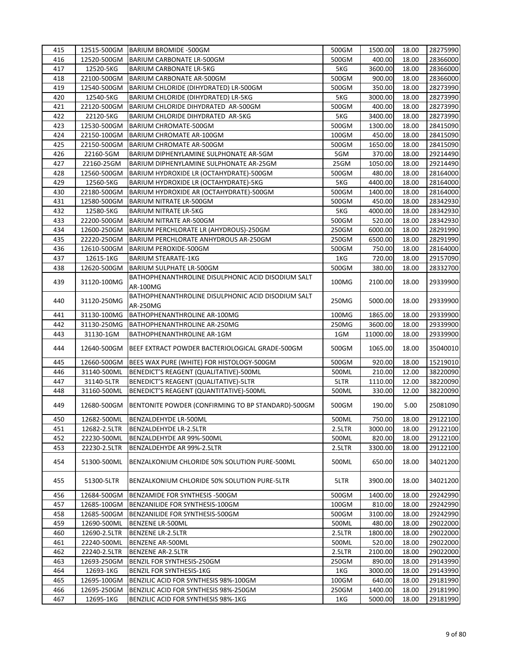| 415 | 12515-500GM  | BARIUM BROMIDE -500GM                              | 500GM  | 1500.00  | 18.00 | 28275990 |
|-----|--------------|----------------------------------------------------|--------|----------|-------|----------|
| 416 | 12520-500GM  | <b>BARIUM CARBONATE LR-500GM</b>                   | 500GM  | 400.00   | 18.00 | 28366000 |
| 417 | 12520-5KG    | <b>BARIUM CARBONATE LR-5KG</b>                     | 5KG    | 3600.00  | 18.00 | 28366000 |
| 418 | 22100-500GM  | BARIUM CARBONATE AR-500GM                          | 500GM  | 900.00   | 18.00 | 28366000 |
| 419 | 12540-500GM  | BARIUM CHLORIDE (DIHYDRATED) LR-500GM              | 500GM  | 350.00   | 18.00 | 28273990 |
| 420 | 12540-5KG    | BARIUM CHLORIDE (DIHYDRATED) LR-5KG                | 5KG    | 3000.00  | 18.00 | 28273990 |
| 421 | 22120-500GM  | BARIUM CHLORIDE DIHYDRATED AR-500GM                | 500GM  | 400.00   | 18.00 | 28273990 |
| 422 | 22120-5KG    | BARIUM CHLORIDE DIHYDRATED AR-5KG                  | 5KG    | 3400.00  | 18.00 | 28273990 |
| 423 | 12530-500GM  | <b>BARIUM CHROMATE-500GM</b>                       | 500GM  | 1300.00  | 18.00 | 28415090 |
| 424 | 22150-100GM  | BARIUM CHROMATE AR-100GM                           | 100GM  | 450.00   | 18.00 | 28415090 |
| 425 | 22150-500GM  | BARIUM CHROMATE AR-500GM                           | 500GM  | 1650.00  | 18.00 | 28415090 |
| 426 | 22160-5GM    | BARIUM DIPHENYLAMINE SULPHONATE AR-5GM             | 5GM    | 370.00   | 18.00 | 29214490 |
| 427 | 22160-25GM   | BARIUM DIPHENYLAMINE SULPHONATE AR-25GM            | 25GM   | 1050.00  | 18.00 | 29214490 |
| 428 | 12560-500GM  | BARIUM HYDROXIDE LR (OCTAHYDRATE)-500GM            | 500GM  | 480.00   | 18.00 | 28164000 |
| 429 | 12560-5KG    | BARIUM HYDROXIDE LR (OCTAHYDRATE)-5KG              | 5KG    | 4400.00  | 18.00 | 28164000 |
| 430 | 22180-500GM  | BARIUM HYDROXIDE AR (OCTAHYDRATE)-500GM            | 500GM  | 1400.00  | 18.00 | 28164000 |
| 431 | 12580-500GM  | BARIUM NITRATE LR-500GM                            | 500GM  | 450.00   | 18.00 | 28342930 |
| 432 | 12580-5KG    | <b>BARIUM NITRATE LR-5KG</b>                       | 5KG    | 4000.00  | 18.00 | 28342930 |
| 433 | 22200-500GM  | BARIUM NITRATE AR-500GM                            | 500GM  | 520.00   | 18.00 | 28342930 |
| 434 | 12600-250GM  | BARIUM PERCHLORATE LR (AHYDROUS)-250GM             | 250GM  | 6000.00  | 18.00 | 28291990 |
| 435 | 22220-250GM  | BARIUM PERCHLORATE ANHYDROUS AR-250GM              | 250GM  | 6500.00  | 18.00 | 28291990 |
| 436 | 12610-500GM  | BARIUM PEROXIDE-500GM                              | 500GM  | 750.00   | 18.00 | 28164000 |
| 437 | 12615-1KG    | <b>BARIUM STEARATE-1KG</b>                         | 1KG    | 720.00   | 18.00 | 29157090 |
| 438 | 12620-500GM  | <b>BARIUM SULPHATE LR-500GM</b>                    | 500GM  | 380.00   | 18.00 | 28332700 |
|     |              | BATHOPHENANTHROLINE DISULPHONIC ACID DISODIUM SALT |        |          |       |          |
| 439 | 31120-100MG  | AR-100MG                                           | 100MG  | 2100.00  | 18.00 | 29339900 |
|     |              | BATHOPHENANTHROLINE DISULPHONIC ACID DISODIUM SALT |        |          |       |          |
| 440 | 31120-250MG  | AR-250MG                                           | 250MG  | 5000.00  | 18.00 | 29339900 |
| 441 | 31130-100MG  | BATHOPHENANTHROLINE AR-100MG                       | 100MG  | 1865.00  | 18.00 | 29339900 |
| 442 | 31130-250MG  | BATHOPHENANTHROLINE AR-250MG                       | 250MG  | 3600.00  | 18.00 | 29339900 |
| 443 | 31130-1GM    | BATHOPHENANTHROLINE AR-1GM                         | 1GM    | 11000.00 | 18.00 | 29339900 |
| 444 | 12640-500GM  | BEEF EXTRACT POWDER BACTERIOLOGICAL GRADE-500GM    | 500GM  | 1065.00  | 18.00 | 35040010 |
| 445 | 12660-500GM  | BEES WAX PURE (WHITE) FOR HISTOLOGY-500GM          | 500GM  | 920.00   | 18.00 | 15219010 |
| 446 | 31140-500ML  | BENEDICT'S REAGENT (QUALITATIVE)-500ML             | 500ML  | 210.00   | 12.00 | 38220090 |
| 447 | 31140-5LTR   | BENEDICT'S REAGENT (QUALITATIVE)-5LTR              | 5LTR   | 1110.00  | 12.00 | 38220090 |
| 448 | 31160-500ML  | BENEDICT'S REAGENT (QUANTITATIVE)-500ML            | 500ML  | 330.00   | 12.00 | 38220090 |
| 449 | 12680-500GM  | BENTONITE POWDER (CONFIRMING TO BP STANDARD)-500GM | 500GM  | 190.00   | 5.00  | 25081090 |
| 450 | 12682-500ML  | BENZALDEHYDE LR-500ML                              | 500ML  | 750.00   | 18.00 | 29122100 |
| 451 | 12682-2.5LTR | BENZALDEHYDE LR-2.5LTR                             | 2.5LTR | 3000.00  | 18.00 | 29122100 |
| 452 | 22230-500ML  | BENZALDEHYDE AR 99%-500ML                          | 500ML  | 820.00   | 18.00 | 29122100 |
| 453 | 22230-2.5LTR | BENZALDEHYDE AR 99%-2.5LTR                         | 2.5LTR | 3300.00  | 18.00 | 29122100 |
| 454 | 51300-500ML  | BENZALKONIUM CHLORIDE 50% SOLUTION PURE-500ML      | 500ML  | 650.00   | 18.00 | 34021200 |
| 455 | 51300-5LTR   | BENZALKONIUM CHLORIDE 50% SOLUTION PURE-5LTR       | 5LTR   | 3900.00  | 18.00 | 34021200 |
| 456 | 12684-500GM  | BENZAMIDE FOR SYNTHESIS -500GM                     | 500GM  | 1400.00  | 18.00 | 29242990 |
| 457 | 12685-100GM  | BENZANILIDE FOR SYNTHESIS-100GM                    | 100GM  | 810.00   | 18.00 | 29242990 |
| 458 | 12685-500GM  | BENZANILIDE FOR SYNTHESIS-500GM                    | 500GM  | 3100.00  | 18.00 | 29242990 |
| 459 | 12690-500ML  | <b>BENZENE LR-500ML</b>                            | 500ML  | 480.00   | 18.00 | 29022000 |
| 460 | 12690-2.5LTR | <b>BENZENE LR-2.5LTR</b>                           | 2.5LTR | 1800.00  | 18.00 | 29022000 |
| 461 | 22240-500ML  | <b>BENZENE AR-500ML</b>                            | 500ML  | 520.00   | 18.00 | 29022000 |
| 462 | 22240-2.5LTR | <b>BENZENE AR-2.5LTR</b>                           | 2.5LTR | 2100.00  | 18.00 | 29022000 |
| 463 | 12693-250GM  | BENZIL FOR SYNTHESIS-250GM                         | 250GM  | 890.00   | 18.00 | 29143990 |
| 464 | 12693-1KG    | BENZIL FOR SYNTHESIS-1KG                           | 1KG    | 3000.00  | 18.00 | 29143990 |
| 465 | 12695-100GM  | BENZILIC ACID FOR SYNTHESIS 98%-100GM              | 100GM  | 640.00   | 18.00 | 29181990 |
| 466 | 12695-250GM  | BENZILIC ACID FOR SYNTHESIS 98%-250GM              | 250GM  | 1400.00  | 18.00 | 29181990 |
| 467 | 12695-1KG    | BENZILIC ACID FOR SYNTHESIS 98%-1KG                | 1KG    | 5000.00  | 18.00 | 29181990 |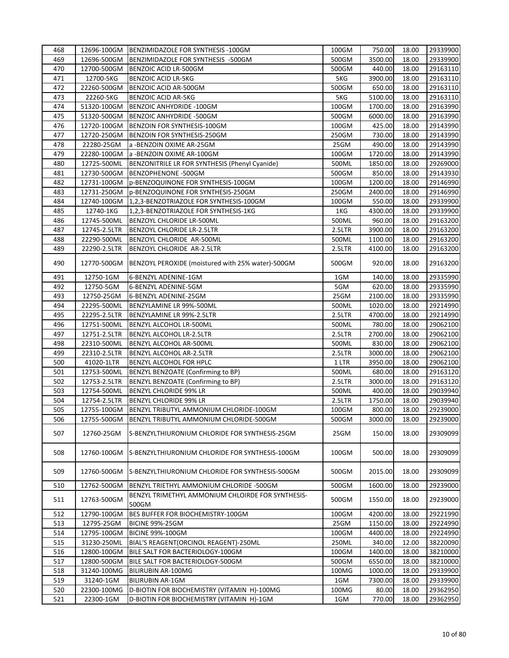| 468 | 12696-100GM  | BENZIMIDAZOLE FOR SYNTHESIS -100GM                         | 100GM  | 750.00  | 18.00 | 29339900 |
|-----|--------------|------------------------------------------------------------|--------|---------|-------|----------|
| 469 | 12696-500GM  | BENZIMIDAZOLE FOR SYNTHESIS -500GM                         | 500GM  | 3500.00 | 18.00 | 29339900 |
| 470 | 12700-500GM  | BENZOIC ACID LR-500GM                                      | 500GM  | 440.00  | 18.00 | 29163110 |
| 471 | 12700-5KG    | <b>BENZOIC ACID LR-5KG</b>                                 | 5KG    | 3900.00 | 18.00 | 29163110 |
| 472 | 22260-500GM  | BENZOIC ACID AR-500GM                                      | 500GM  | 650.00  | 18.00 | 29163110 |
| 473 | 22260-5KG    | <b>BENZOIC ACID AR-5KG</b>                                 | 5KG    | 5100.00 | 18.00 | 29163110 |
| 474 | 51320-100GM  | BENZOIC ANHYDRIDE - 100GM                                  | 100GM  | 1700.00 | 18.00 | 29163990 |
| 475 | 51320-500GM  | BENZOIC ANHYDRIDE -500GM                                   | 500GM  | 6000.00 | 18.00 | 29163990 |
| 476 | 12720-100GM  | BENZOIN FOR SYNTHESIS-100GM                                | 100GM  | 425.00  | 18.00 | 29143990 |
| 477 | 12720-250GM  | <b>BENZOIN FOR SYNTHESIS-250GM</b>                         | 250GM  | 730.00  | 18.00 | 29143990 |
| 478 | 22280-25GM   | a -BENZOIN OXIME AR-25GM                                   | 25GM   | 490.00  | 18.00 | 29143990 |
| 479 | 22280-100GM  | a -BENZOIN OXIME AR-100GM                                  | 100GM  | 1720.00 | 18.00 | 29143990 |
| 480 | 12725-500ML  | BENZONITRILE LR FOR SYNTHESIS (Phenyl Cyanide)             | 500ML  | 1850.00 | 18.00 | 29269000 |
| 481 | 12730-500GM  | BENZOPHENONE -500GM                                        | 500GM  | 850.00  | 18.00 | 29143930 |
| 482 | 12731-100GM  | p-BENZOQUINONE FOR SYNTHESIS-100GM                         | 100GM  | 1200.00 | 18.00 | 29146990 |
| 483 | 12731-250GM  | p-BENZOQUINONE FOR SYNTHESIS-250GM                         | 250GM  | 2400.00 | 18.00 | 29146990 |
| 484 | 12740-100GM  | 1,2,3-BENZOTRIAZOLE FOR SYNTHESIS-100GM                    | 100GM  | 550.00  | 18.00 | 29339900 |
| 485 | 12740-1KG    | 1,2,3-BENZOTRIAZOLE FOR SYNTHESIS-1KG                      | 1KG    | 4300.00 | 18.00 | 29339900 |
| 486 | 12745-500ML  | BENZOYL CHLORIDE LR-500ML                                  | 500ML  | 960.00  | 18.00 | 29163200 |
| 487 | 12745-2.5LTR | BENZOYL CHLORIDE LR-2.5LTR                                 | 2.5LTR | 3900.00 | 18.00 | 29163200 |
| 488 | 22290-500ML  | BENZOYL CHLORIDE AR-500ML                                  | 500ML  | 1100.00 | 18.00 | 29163200 |
| 489 | 22290-2.5LTR | BENZOYL CHLORIDE AR-2.5LTR                                 | 2.5LTR | 4100.00 | 18.00 | 29163200 |
| 490 | 12770-500GM  | BENZOYL PEROXIDE (moistured with 25% water)-500GM          | 500GM  | 920.00  | 18.00 | 29163200 |
| 491 | 12750-1GM    | 6-BENZYL ADENINE-1GM                                       | 1GM    | 140.00  | 18.00 | 29335990 |
| 492 | 12750-5GM    | 6-BENZYL ADENINE-5GM                                       | 5GM    | 620.00  | 18.00 | 29335990 |
| 493 | 12750-25GM   | 6-BENZYL ADENINE-25GM                                      | 25GM   | 2100.00 | 18.00 | 29335990 |
| 494 | 22295-500ML  | BENZYLAMINE LR 99%-500ML                                   | 500ML  | 1020.00 | 18.00 | 29214990 |
| 495 | 22295-2.5LTR | BENZYLAMINE LR 99%-2.5LTR                                  | 2.5LTR | 4700.00 | 18.00 | 29214990 |
| 496 | 12751-500ML  | BENZYL ALCOHOL LR-500ML                                    | 500ML  | 780.00  | 18.00 | 29062100 |
| 497 | 12751-2.5LTR | BENZYL ALCOHOL LR-2.5LTR                                   | 2.5LTR | 2700.00 | 18.00 | 29062100 |
| 498 | 22310-500ML  | BENZYL ALCOHOL AR-500ML                                    | 500ML  | 830.00  | 18.00 | 29062100 |
| 499 | 22310-2.5LTR | BENZYL ALCOHOL AR-2.5LTR                                   | 2.5LTR | 3000.00 | 18.00 | 29062100 |
| 500 | 41020-1LTR   | BENZYL ALCOHOL FOR HPLC                                    | 1 LTR  | 3950.00 | 18.00 | 29062100 |
| 501 | 12753-500ML  | BENZYL BENZOATE (Confirming to BP)                         | 500ML  | 680.00  | 18.00 | 29163120 |
| 502 | 12753-2.5LTR | BENZYL BENZOATE (Confirming to BP)                         | 2.5LTR | 3000.00 | 18.00 | 29163120 |
| 503 | 12754-500ML  | <b>BENZYL CHLORIDE 99% LR</b>                              | 500ML  | 400.00  | 18.00 | 29039940 |
| 504 | 12754-2.5LTR | <b>BENZYL CHLORIDE 99% LR</b>                              | 2.5LTR | 1750.00 | 18.00 | 29039940 |
| 505 | 12755-100GM  | BENZYL TRIBUTYL AMMONIUM CHLORIDE-100GM                    | 100GM  | 800.00  | 18.00 | 29239000 |
| 506 | 12755-500GM  | BENZYL TRIBUTYL AMMONIUM CHLORIDE-500GM                    | 500GM  | 3000.00 | 18.00 | 29239000 |
| 507 | 12760-25GM   | S-BENZYLTHIURONIUM CHLORIDE FOR SYNTHESIS-25GM             | 25GM   | 150.00  | 18.00 | 29309099 |
| 508 | 12760-100GM  | S-BENZYLTHIURONIUM CHLORIDE FOR SYNTHESIS-100GM            | 100GM  | 500.00  | 18.00 | 29309099 |
| 509 | 12760-500GM  | S-BENZYLTHIURONIUM CHLORIDE FOR SYNTHESIS-500GM            | 500GM  | 2015.00 | 18.00 | 29309099 |
| 510 | 12762-500GM  | BENZYL TRIETHYL AMMONIUM CHLORIDE -500GM                   | 500GM  | 1600.00 | 18.00 | 29239000 |
| 511 | 12763-500GM  | BENZYL TRIMETHYL AMMONIUM CHLOIRDE FOR SYNTHESIS-<br>500GM | 500GM  | 1550.00 | 18.00 | 29239000 |
| 512 | 12790-100GM  | BES BUFFER FOR BIOCHEMISTRY-100GM                          | 100GM  | 4200.00 | 18.00 | 29221990 |
| 513 | 12795-25GM   | <b>BICINE 99%-25GM</b>                                     | 25GM   | 1150.00 | 18.00 | 29224990 |
| 514 | 12795-100GM  | <b>BICINE 99%-100GM</b>                                    | 100GM  | 4400.00 | 18.00 | 29224990 |
| 515 | 31230-250ML  | BIAL'S REAGENT (ORCINOL REAGENT)-250ML                     | 250ML  | 340.00  | 12.00 | 38220090 |
| 516 | 12800-100GM  | BILE SALT FOR BACTERIOLOGY-100GM                           | 100GM  | 1400.00 | 18.00 | 38210000 |
| 517 | 12800-500GM  | BILE SALT FOR BACTERIOLOGY-500GM                           | 500GM  | 6550.00 | 18.00 | 38210000 |
| 518 | 31240-100MG  | <b>BILIRUBIN AR-100MG</b>                                  | 100MG  | 1000.00 | 18.00 | 29339900 |
| 519 | 31240-1GM    | <b>BILIRUBIN AR-1GM</b>                                    | 1GM    | 7300.00 | 18.00 | 29339900 |
| 520 | 22300-100MG  | D-BIOTIN FOR BIOCHEMISTRY (VITAMIN H)-100MG                | 100MG  | 80.00   | 18.00 | 29362950 |
| 521 | 22300-1GM    | D-BIOTIN FOR BIOCHEMISTRY (VITAMIN H)-1GM                  | 1GM    | 770.00  | 18.00 | 29362950 |
|     |              |                                                            |        |         |       |          |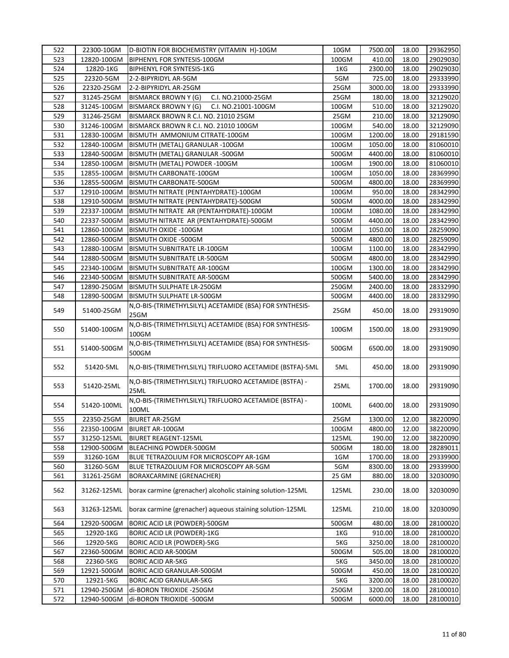| 522 | 22300-10GM  | D-BIOTIN FOR BIOCHEMISTRY (VITAMIN H)-10GM                  | 10GM  | 7500.00 | 18.00 | 29362950 |
|-----|-------------|-------------------------------------------------------------|-------|---------|-------|----------|
| 523 | 12820-100GM | BIPHENYL FOR SYNTESIS-100GM                                 | 100GM | 410.00  | 18.00 | 29029030 |
| 524 | 12820-1KG   | <b>BIPHENYL FOR SYNTESIS-1KG</b>                            | 1KG   | 2300.00 | 18.00 | 29029030 |
| 525 | 22320-5GM   | 2-2-BIPYRIDYL AR-5GM                                        | 5GM   | 725.00  | 18.00 | 29333990 |
| 526 | 22320-25GM  | 2-2-BIPYRIDYL AR-25GM                                       | 25GM  | 3000.00 | 18.00 | 29333990 |
| 527 | 31245-25GM  | <b>BISMARCK BROWN Y (G)</b><br>C.I. NO.21000-25GM           | 25GM  | 180.00  | 18.00 | 32129020 |
| 528 | 31245-100GM | <b>BISMARCK BROWN Y (G)</b><br>C.I. NO.21001-100GM          | 100GM | 510.00  | 18.00 | 32129020 |
| 529 | 31246-25GM  | BISMARCK BROWN R C.I. NO. 21010 25GM                        | 25GM  | 210.00  | 18.00 | 32129090 |
| 530 | 31246-100GM | BISMARCK BROWN R C.I. NO. 21010 100GM                       | 100GM | 540.00  | 18.00 | 32129090 |
| 531 | 12830-100GM | BISMUTH AMMONIUM CITRATE-100GM                              | 100GM | 1200.00 | 18.00 | 29181590 |
| 532 | 12840-100GM | BISMUTH (METAL) GRANULAR -100GM                             | 100GM | 1050.00 | 18.00 | 81060010 |
| 533 | 12840-500GM | BISMUTH (METAL) GRANULAR -500GM                             | 500GM | 4400.00 | 18.00 | 81060010 |
| 534 | 12850-100GM | BISMUTH (METAL) POWDER -100GM                               | 100GM | 1900.00 | 18.00 | 81060010 |
| 535 | 12855-100GM | BISMUTH CARBONATE-100GM                                     | 100GM | 1050.00 | 18.00 | 28369990 |
| 536 | 12855-500GM | BISMUTH CARBONATE-500GM                                     | 500GM | 4800.00 | 18.00 | 28369990 |
| 537 | 12910-100GM | BISMUTH NITRATE (PENTAHYDRATE)-100GM                        | 100GM | 950.00  | 18.00 | 28342990 |
| 538 | 12910-500GM | BISMUTH NITRATE (PENTAHYDRATE)-500GM                        | 500GM | 4000.00 | 18.00 | 28342990 |
| 539 | 22337-100GM | BISMUTH NITRATE AR (PENTAHYDRATE)-100GM                     | 100GM | 1080.00 | 18.00 | 28342990 |
| 540 | 22337-500GM | BISMUTH NITRATE AR (PENTAHYDRATE)-500GM                     | 500GM | 4400.00 | 18.00 | 28342990 |
| 541 | 12860-100GM | BISMUTH OXIDE -100GM                                        | 100GM | 1050.00 | 18.00 | 28259090 |
| 542 | 12860-500GM | BISMUTH OXIDE -500GM                                        | 500GM | 4800.00 | 18.00 | 28259090 |
| 543 | 12880-100GM | <b>BISMUTH SUBNITRATE LR-100GM</b>                          | 100GM | 1100.00 | 18.00 | 28342990 |
| 544 | 12880-500GM | BISMUTH SUBNITRATE LR-500GM                                 | 500GM | 4800.00 | 18.00 | 28342990 |
| 545 | 22340-100GM | BISMUTH SUBNITRATE AR-100GM                                 | 100GM | 1300.00 | 18.00 | 28342990 |
| 546 | 22340-500GM | BISMUTH SUBNITRATE AR-500GM                                 | 500GM | 5400.00 | 18.00 | 28342990 |
| 547 | 12890-250GM | BISMUTH SULPHATE LR-250GM                                   | 250GM | 2400.00 | 18.00 | 28332990 |
| 548 | 12890-500GM | BISMUTH SULPHATE LR-500GM                                   | 500GM | 4400.00 | 18.00 | 28332990 |
|     |             | N, O-BIS-(TRIMETHYLSILYL) ACETAMIDE (BSA) FOR SYNTHESIS-    |       |         |       |          |
| 549 | 51400-25GM  | 25GM                                                        | 25GM  | 450.00  | 18.00 | 29319090 |
|     |             | N, O-BIS-(TRIMETHYLSILYL) ACETAMIDE (BSA) FOR SYNTHESIS-    |       |         |       |          |
| 550 | 51400-100GM | 100GM                                                       | 100GM | 1500.00 | 18.00 | 29319090 |
|     |             | N, O-BIS-(TRIMETHYLSILYL) ACETAMIDE (BSA) FOR SYNTHESIS-    |       |         |       |          |
| 551 | 51400-500GM | 500GM                                                       | 500GM | 6500.00 | 18.00 | 29319090 |
|     |             |                                                             |       |         |       |          |
| 552 | 51420-5ML   | N, O-BIS-(TRIMETHYLSILYL) TRIFLUORO ACETAMIDE (BSTFA)-5ML   | 5ML   | 450.00  | 18.00 | 29319090 |
|     |             | N, O-BIS-(TRIMETHYLSILYL) TRIFLUORO ACETAMIDE (BSTFA) -     |       |         |       |          |
| 553 | 51420-25ML  | 25ML                                                        | 25ML  | 1700.00 | 18.00 | 29319090 |
|     |             | N, O-BIS-(TRIMETHYLSILYL) TRIFLUORO ACETAMIDE (BSTFA) -     |       |         |       |          |
| 554 | 51420-100ML | 100ML                                                       | 100ML | 6400.00 | 18.00 | 29319090 |
| 555 | 22350-25GM  | <b>BIURET AR-25GM</b>                                       | 25GM  | 1300.00 | 12.00 | 38220090 |
| 556 | 22350-100GM | <b>BIURET AR-100GM</b>                                      | 100GM | 4800.00 | 12.00 | 38220090 |
| 557 | 31250-125ML | <b>BIURET REAGENT-125ML</b>                                 | 125ML | 190.00  | 12.00 | 38220090 |
| 558 | 12900-500GM | BLEACHING POWDER-500GM                                      | 500GM | 180.00  | 18.00 | 28289011 |
| 559 | 31260-1GM   | BLUE TETRAZOLIUM FOR MICROSCOPY AR-1GM                      | 1GM   | 1700.00 | 18.00 | 29339900 |
| 560 | 31260-5GM   | BLUE TETRAZOLIUM FOR MICROSCOPY AR-5GM                      | 5GM   | 8300.00 | 18.00 | 29339900 |
| 561 | 31261-25GM  | <b>BORAXCARMINE (GRENACHER)</b>                             | 25 GM | 880.00  | 18.00 | 32030090 |
| 562 | 31262-125ML | borax carmine (grenacher) alcoholic staining solution-125ML | 125ML |         | 18.00 | 32030090 |
|     |             |                                                             |       | 230.00  |       |          |
| 563 | 31263-125ML | borax carmine (grenacher) aqueous staining solution-125ML   | 125ML | 210.00  | 18.00 | 32030090 |
|     |             |                                                             |       |         |       |          |
| 564 | 12920-500GM | BORIC ACID LR (POWDER)-500GM                                | 500GM | 480.00  | 18.00 | 28100020 |
| 565 | 12920-1KG   | <b>BORIC ACID LR (POWDER)-1KG</b>                           | 1KG   | 910.00  | 18.00 | 28100020 |
| 566 | 12920-5KG   | <b>BORIC ACID LR (POWDER)-5KG</b>                           | 5KG   | 3250.00 | 18.00 | 28100020 |
| 567 | 22360-500GM | BORIC ACID AR-500GM                                         | 500GM | 505.00  | 18.00 | 28100020 |
| 568 | 22360-5KG   | <b>BORIC ACID AR-5KG</b>                                    | 5KG   | 3450.00 | 18.00 | 28100020 |
| 569 | 12921-500GM | BORIC ACID GRANULAR-500GM                                   | 500GM | 450.00  | 18.00 | 28100020 |
| 570 | 12921-5KG   | <b>BORIC ACID GRANULAR-5KG</b>                              | 5KG   | 3200.00 | 18.00 | 28100020 |
| 571 | 12940-250GM | di-BORON TRIOXIDE -250GM                                    | 250GM | 3200.00 | 18.00 | 28100010 |
| 572 | 12940-500GM | di-BORON TRIOXIDE -500GM                                    | 500GM | 6000.00 | 18.00 | 28100010 |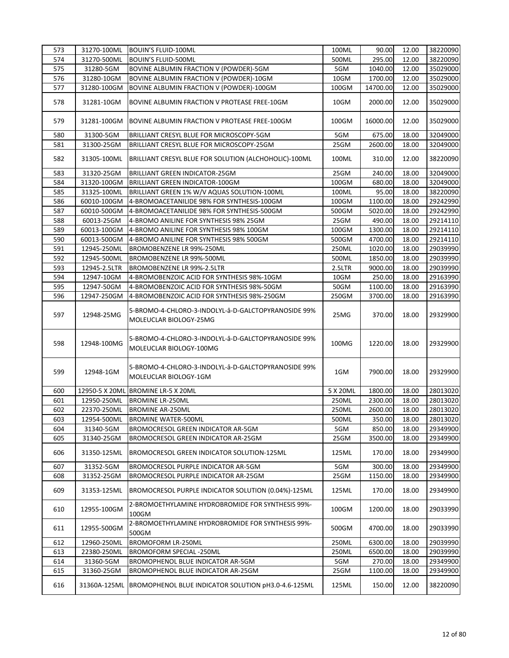| 573 | 31270-100ML  | BOUIN'S FLUID-100ML                                                            | 100ML    | 90.00    | 12.00 | 38220090 |
|-----|--------------|--------------------------------------------------------------------------------|----------|----------|-------|----------|
| 574 | 31270-500ML  | <b>BOUIN'S FLUID-500ML</b>                                                     | 500ML    | 295.00   | 12.00 | 38220090 |
| 575 | 31280-5GM    | BOVINE ALBUMIN FRACTION V (POWDER)-5GM                                         | 5GM      | 1040.00  | 12.00 | 35029000 |
| 576 | 31280-10GM   | BOVINE ALBUMIN FRACTION V (POWDER)-10GM                                        | 10GM     | 1700.00  | 12.00 | 35029000 |
| 577 | 31280-100GM  | BOVINE ALBUMIN FRACTION V (POWDER)-100GM                                       | 100GM    | 14700.00 | 12.00 | 35029000 |
| 578 | 31281-10GM   | BOVINE ALBUMIN FRACTION V PROTEASE FREE-10GM                                   | 10GM     | 2000.00  | 12.00 | 35029000 |
| 579 | 31281-100GM  | BOVINE ALBUMIN FRACTION V PROTEASE FREE-100GM                                  | 100GM    | 16000.00 | 12.00 | 35029000 |
| 580 | 31300-5GM    | BRILLIANT CRESYL BLUE FOR MICROSCOPY-5GM                                       | 5GM      | 675.00   | 18.00 | 32049000 |
| 581 | 31300-25GM   | BRILLIANT CRESYL BLUE FOR MICROSCOPY-25GM                                      | 25GM     | 2600.00  | 18.00 | 32049000 |
| 582 | 31305-100ML  | BRILLIANT CRESYL BLUE FOR SOLUTION (ALCHOHOLIC)-100ML                          | 100ML    | 310.00   | 12.00 | 38220090 |
| 583 | 31320-25GM   | BRILLIANT GREEN INDICATOR-25GM                                                 | 25GM     | 240.00   | 18.00 | 32049000 |
| 584 | 31320-100GM  | <b>BRILLIANT GREEN INDICATOR-100GM</b>                                         | 100GM    | 680.00   | 18.00 | 32049000 |
| 585 | 31325-100ML  | BRILLIANT GREEN 1% W/V AQUAS SOLUTION-100ML                                    | 100ML    | 95.00    | 18.00 | 38220090 |
| 586 | 60010-100GM  | 4-BROMOACETANILIDE 98% FOR SYNTHESIS-100GM                                     | 100GM    | 1100.00  | 18.00 | 29242990 |
| 587 | 60010-500GM  | 4-BROMOACETANILIDE 98% FOR SYNTHESIS-500GM                                     | 500GM    | 5020.00  | 18.00 | 29242990 |
| 588 | 60013-25GM   | 4-BROMO ANILINE FOR SYNTHESIS 98% 25GM                                         | 25GM     | 490.00   | 18.00 | 29214110 |
| 589 | 60013-100GM  | 4-BROMO ANILINE FOR SYNTHESIS 98% 100GM                                        | 100GM    | 1300.00  | 18.00 | 29214110 |
| 590 | 60013-500GM  | 4-BROMO ANILINE FOR SYNTHESIS 98% 500GM                                        | 500GM    | 4700.00  | 18.00 | 29214110 |
| 591 | 12945-250ML  | BROMOBENZENE LR 99%-250ML                                                      | 250ML    | 1020.00  | 18.00 | 29039990 |
| 592 | 12945-500ML  | BROMOBENZENE LR 99%-500ML                                                      | 500ML    | 1850.00  | 18.00 | 29039990 |
| 593 | 12945-2.5LTR | BROMOBENZENE LR 99%-2.5LTR                                                     | 2.5LTR   | 9000.00  | 18.00 | 29039990 |
| 594 | 12947-10GM   | 4-BROMOBENZOIC ACID FOR SYNTHESIS 98%-10GM                                     | 10GM     | 250.00   | 18.00 | 29163990 |
| 595 | 12947-50GM   | 4-BROMOBENZOIC ACID FOR SYNTHESIS 98%-50GM                                     | 50GM     | 1100.00  | 18.00 | 29163990 |
| 596 | 12947-250GM  | 4-BROMOBENZOIC ACID FOR SYNTHESIS 98%-250GM                                    | 250GM    | 3700.00  | 18.00 | 29163990 |
| 597 | 12948-25MG   | 5-BROMO-4-CHLORO-3-INDOLYL-â-D-GALCTOPYRANOSIDE 99%<br>MOLEUCLAR BIOLOGY-25MG  | 25MG     | 370.00   | 18.00 | 29329900 |
| 598 | 12948-100MG  | 5-BROMO-4-CHLORO-3-INDOLYL-â-D-GALCTOPYRANOSIDE 99%<br>MOLEUCLAR BIOLOGY-100MG | 100MG    | 1220.00  | 18.00 | 29329900 |
| 599 | 12948-1GM    | 5-BROMO-4-CHLORO-3-INDOLYL-â-D-GALCTOPYRANOSIDE 99%<br>MOLEUCLAR BIOLOGY-1GM   | 1GM      | 7900.00  | 18.00 | 29329900 |
| 600 |              | 12950-5 X 20ML BROMINE LR-5 X 20ML                                             | 5 X 20ML | 1800.00  | 18.00 | 28013020 |
| 601 | 12950-250ML  | <b>BROMINE LR-250ML</b>                                                        | 250ML    | 2300.00  | 18.00 | 28013020 |
| 602 | 22370-250ML  | <b>BROMINE AR-250ML</b>                                                        | 250ML    | 2600.00  | 18.00 | 28013020 |
| 603 | 12954-500ML  | <b>BROMINE WATER-500ML</b>                                                     | 500ML    | 350.00   | 18.00 | 28013020 |
| 604 | 31340-5GM    | BROMOCRESOL GREEN INDICATOR AR-5GM                                             | 5GM      | 850.00   | 18.00 | 29349900 |
| 605 | 31340-25GM   | BROMOCRESOL GREEN INDICATOR AR-25GM                                            | 25GM     | 3500.00  | 18.00 | 29349900 |
| 606 | 31350-125ML  | BROMOCRESOL GREEN INDICATOR SOLUTION-125ML                                     | 125ML    | 170.00   | 18.00 | 29349900 |
| 607 | 31352-5GM    | BROMOCRESOL PURPLE INDICATOR AR-5GM                                            | 5GM      | 300.00   | 18.00 | 29349900 |
| 608 | 31352-25GM   | BROMOCRESOL PURPLE INDICATOR AR-25GM                                           | 25GM     | 1150.00  | 18.00 | 29349900 |
| 609 | 31353-125ML  | BROMOCRESOL PURPLE INDICATOR SOLUTION (0.04%)-125ML                            | 125ML    | 170.00   | 18.00 | 29349900 |
| 610 | 12955-100GM  | 2-BROMOETHYLAMINE HYDROBROMIDE FOR SYNTHESIS 99%-<br>100GM                     | 100GM    | 1200.00  | 18.00 | 29033990 |
| 611 | 12955-500GM  | 2-BROMOETHYLAMINE HYDROBROMIDE FOR SYNTHESIS 99%-<br>500GM                     | 500GM    | 4700.00  | 18.00 | 29033990 |
| 612 | 12960-250ML  | <b>BROMOFORM LR-250ML</b>                                                      | 250ML    | 6300.00  | 18.00 | 29039990 |
| 613 | 22380-250ML  | BROMOFORM SPECIAL -250ML                                                       | 250ML    | 6500.00  | 18.00 | 29039990 |
| 614 | 31360-5GM    | BROMOPHENOL BLUE INDICATOR AR-5GM                                              | 5GM      | 270.00   | 18.00 | 29349900 |
| 615 | 31360-25GM   | BROMOPHENOL BLUE INDICATOR AR-25GM                                             | 25GM     | 1100.00  | 18.00 | 29349900 |
| 616 | 31360A-125ML | BROMOPHENOL BLUE INDICATOR SOLUTION pH3.0-4.6-125ML                            | 125ML    | 150.00   | 12.00 | 38220090 |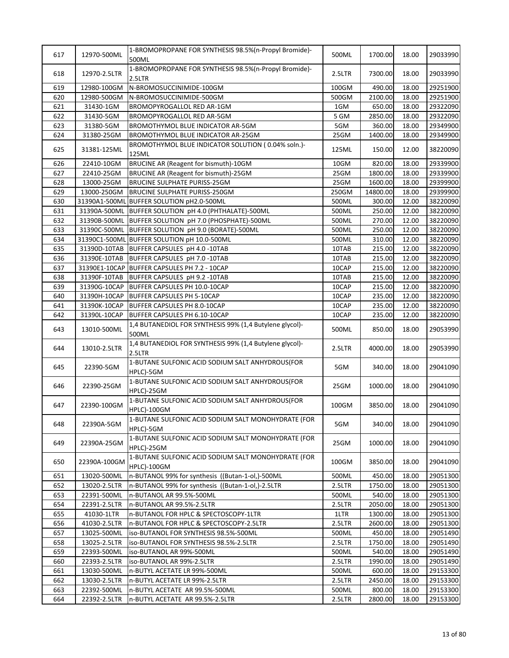| 617 | 12970-500ML  | 1-BROMOPROPANE FOR SYNTHESIS 98.5% (n-Propyl Bromide)-<br>500ML           | 500ML  | 1700.00  | 18.00 | 29033990 |
|-----|--------------|---------------------------------------------------------------------------|--------|----------|-------|----------|
| 618 | 12970-2.5LTR | 1-BROMOPROPANE FOR SYNTHESIS 98.5%(n-Propyl Bromide)-<br>2.5LTR           | 2.5LTR | 7300.00  | 18.00 | 29033990 |
| 619 | 12980-100GM  | N-BROMOSUCCINIMIDE-100GM                                                  | 100GM  | 490.00   | 18.00 | 29251900 |
| 620 | 12980-500GM  | N-BROMOSUCCINIMIDE-500GM                                                  | 500GM  | 2100.00  | 18.00 | 29251900 |
| 621 | 31430-1GM    | BROMOPYROGALLOL RED AR-1GM                                                | 1GM    | 650.00   | 18.00 | 29322090 |
| 622 | 31430-5GM    | BROMOPYROGALLOL RED AR-5GM                                                | 5 GM   | 2850.00  | 18.00 | 29322090 |
| 623 | 31380-5GM    | BROMOTHYMOL BLUE INDICATOR AR-5GM                                         | 5GM    | 360.00   | 18.00 | 29349900 |
| 624 | 31380-25GM   | BROMOTHYMOL BLUE INDICATOR AR-25GM                                        | 25GM   | 1400.00  | 18.00 | 29349900 |
| 625 | 31381-125ML  | BROMOTHYMOL BLUE INDICATOR SOLUTION (0.04% soln.)-<br>125ML               | 125ML  | 150.00   | 12.00 | 38220090 |
| 626 | 22410-10GM   | BRUCINE AR (Reagent for bismuth)-10GM                                     | 10GM   | 820.00   | 18.00 | 29339900 |
| 627 | 22410-25GM   | BRUCINE AR (Reagent for bismuth)-25GM                                     | 25GM   | 1800.00  | 18.00 | 29339900 |
| 628 | 13000-25GM   | <b>BRUCINE SULPHATE PURISS-25GM</b>                                       | 25GM   | 1600.00  | 18.00 | 29399900 |
| 629 | 13000-250GM  | BRUCINE SULPHATE PURISS-250GM                                             | 250GM  | 14800.00 | 18.00 | 29399900 |
| 630 |              | 31390A1-500ML BUFFER SOLUTION pH2.0-500ML                                 | 500ML  | 300.00   | 12.00 | 38220090 |
| 631 |              | 31390A-500ML BUFFER SOLUTION pH 4.0 (PHTHALATE)-500ML                     | 500ML  | 250.00   | 12.00 | 38220090 |
| 632 |              | 31390B-500ML BUFFER SOLUTION pH 7.0 (PHOSPHATE)-500ML                     | 500ML  | 270.00   | 12.00 | 38220090 |
| 633 |              | 31390C-500ML BUFFER SOLUTION pH 9.0 (BORATE)-500ML                        | 500ML  | 250.00   | 12.00 | 38220090 |
| 634 |              | 31390C1-500ML BUFFER SOLUTION pH 10.0-500ML                               | 500ML  | 310.00   | 12.00 | 38220090 |
| 635 |              | 31390D-10TAB BUFFER CAPSULES pH 4.0 -10TAB                                | 10TAB  | 215.00   | 12.00 | 38220090 |
| 636 |              | 31390E-10TAB BUFFER CAPSULES pH 7.0 -10TAB                                | 10TAB  | 215.00   | 12.00 | 38220090 |
| 637 |              | 31390E1-10CAP BUFFER CAPSULES PH 7.2 - 10CAP                              | 10CAP  | 215.00   | 12.00 | 38220090 |
| 638 |              |                                                                           | 10TAB  | 215.00   | 12.00 |          |
|     |              | 31390F-10TAB BUFFER CAPSULES pH 9.2 -10TAB                                |        |          |       | 38220090 |
| 639 |              | 31390G-10CAP BUFFER CAPSULES PH 10.0-10CAP                                | 10CAP  | 215.00   | 12.00 | 38220090 |
| 640 |              | 31390H-10CAP BUFFER CAPSULES PH 5-10CAP                                   | 10CAP  | 235.00   | 12.00 | 38220090 |
| 641 |              | 31390K-10CAP BUFFER CAPSULES PH 8.0-10CAP                                 | 10CAP  | 235.00   | 12.00 | 38220090 |
| 642 | 31390L-10CAP | BUFFER CAPSULES PH 6.10-10CAP                                             | 10CAP  | 235.00   | 12.00 | 38220090 |
| 643 | 13010-500ML  | 1,4 BUTANEDIOL FOR SYNTHESIS 99% (1,4 Butylene glycol)-<br>500ML          | 500ML  | 850.00   | 18.00 | 29053990 |
| 644 | 13010-2.5LTR | 1,4 BUTANEDIOL FOR SYNTHESIS 99% (1,4 Butylene glycol)-<br>2.5LTR         | 2.5LTR | 4000.00  | 18.00 | 29053990 |
| 645 | 22390-5GM    | 1-BUTANE SULFONIC ACID SODIUM SALT ANHYDROUS(FOR<br>HPLC)-5GM             | 5GM    | 340.00   | 18.00 | 29041090 |
| 646 | 22390-25GM   | 1-BUTANE SULFONIC ACID SODIUM SALT ANHYDROUS(FOR<br>HPLC)-25GM            | 25GM   | 1000.00  | 18.00 | 29041090 |
| 647 | 22390-100GM  | 1-BUTANE SULFONIC ACID SODIUM SALT ANHYDROUS(FOR<br><b>HPLC)-100GM</b>    | 100GM  | 3850.00  | 18.00 | 29041090 |
| 648 | 22390A-5GM   | 1-BUTANE SULFONIC ACID SODIUM SALT MONOHYDRATE (FOR<br>HPLC)-5GM          | 5GM    | 340.00   | 18.00 | 29041090 |
| 649 | 22390A-25GM  | 1-BUTANE SULFONIC ACID SODIUM SALT MONOHYDRATE (FOR<br>HPLC)-25GM         | 25GM   | 1000.00  | 18.00 | 29041090 |
| 650 | 22390A-100GM | 1-BUTANE SULFONIC ACID SODIUM SALT MONOHYDRATE (FOR<br><b>HPLC)-100GM</b> | 100GM  | 3850.00  | 18.00 | 29041090 |
| 651 | 13020-500ML  | n-BUTANOL 99% for synthesis ((Butan-1-ol,)-500ML                          | 500ML  | 450.00   | 18.00 | 29051300 |
| 652 | 13020-2.5LTR | n-BUTANOL 99% for synthesis ((Butan-1-ol,)-2.5LTR                         | 2.5LTR | 1750.00  | 18.00 | 29051300 |
| 653 | 22391-500ML  | n-BUTANOL AR 99.5%-500ML                                                  | 500ML  | 540.00   | 18.00 | 29051300 |
| 654 | 22391-2.5LTR | n-BUTANOL AR 99.5%-2.5LTR                                                 | 2.5LTR | 2050.00  | 18.00 | 29051300 |
| 655 | 41030-1LTR   | n-BUTANOL FOR HPLC & SPECTOSCOPY-1LTR                                     | 1LTR   | 1300.00  | 18.00 | 29051300 |
| 656 | 41030-2.5LTR | n-BUTANOL FOR HPLC & SPECTOSCOPY-2.5LTR                                   | 2.5LTR | 2600.00  | 18.00 | 29051300 |
| 657 | 13025-500ML  | iso-BUTANOL FOR SYNTHESIS 98.5%-500ML                                     | 500ML  | 450.00   | 18.00 | 29051490 |
| 658 | 13025-2.5LTR | iso-BUTANOL FOR SYNTHESIS 98.5%-2.5LTR                                    | 2.5LTR | 1750.00  | 18.00 | 29051490 |
| 659 | 22393-500ML  | iso-BUTANOL AR 99%-500ML                                                  | 500ML  | 540.00   | 18.00 | 29051490 |
| 660 | 22393-2.5LTR | iso-BUTANOL AR 99%-2.5LTR                                                 | 2.5LTR | 1990.00  | 18.00 | 29051490 |
| 661 | 13030-500ML  | n-BUTYL ACETATE LR 99%-500ML                                              | 500ML  | 600.00   | 18.00 | 29153300 |
| 662 | 13030-2.5LTR | n-BUTYL ACETATE LR 99%-2.5LTR                                             | 2.5LTR | 2450.00  | 18.00 | 29153300 |
| 663 | 22392-500ML  | n-BUTYL ACETATE AR 99.5%-500ML                                            | 500ML  | 800.00   | 18.00 | 29153300 |
| 664 | 22392-2.5LTR | n-BUTYL ACETATE AR 99.5%-2.5LTR                                           | 2.5LTR | 2800.00  | 18.00 | 29153300 |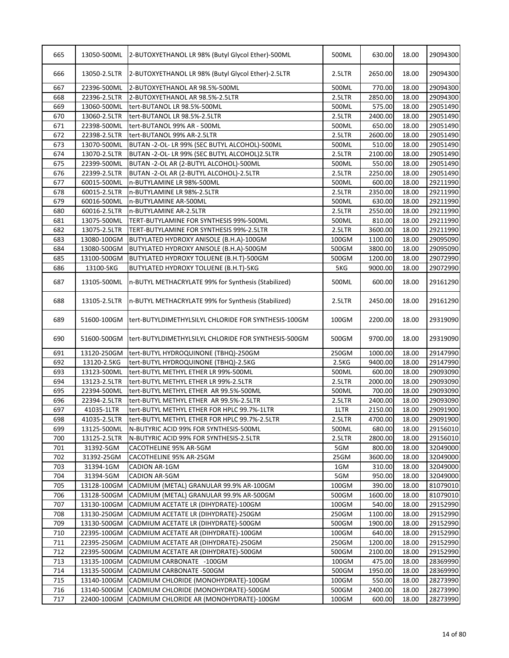| 666<br>13050-2.5LTR<br>2650.00<br>18.00<br>29094300<br>2-BUTOXYETHANOL LR 98% (Butyl Glycol Ether)-2.5LTR<br>2.5LTR<br>667<br>22396-500ML<br>2-BUTOXYETHANOL AR 98.5%-500ML<br>500ML<br>770.00<br>18.00<br>29094300<br>668<br>2850.00<br>22396-2.5LTR<br>2-BUTOXYETHANOL AR 98.5%-2.5LTR<br>2.5LTR<br>18.00<br>29094300<br>575.00<br>669<br>13060-500ML<br>500ML<br>18.00<br>29051490<br>tert-BUTANOL LR 98.5%-500ML<br>18.00<br>29051490<br>670<br>13060-2.5LTR<br>tert-BUTANOL LR 98.5%-2.5LTR<br>2.5LTR<br>2400.00<br>29051490<br>671<br>22398-500ML<br>tert-BUTANOL 99% AR - 500ML<br>500ML<br>650.00<br>18.00<br>672<br>22398-2.5LTR<br>2.5LTR<br>2600.00<br>18.00<br>29051490<br>tert-BUTANOL 99% AR-2.5LTR<br>673<br>13070-500ML<br>BUTAN -2-OL- LR 99% (SEC BUTYL ALCOHOL)-500ML<br>500ML<br>510.00<br>18.00<br>29051490<br>674<br>13070-2.5LTR<br>2100.00<br>BUTAN -2-OL- LR 99% (SEC BUTYL ALCOHOL)2.5LTR<br>2.5LTR<br>18.00<br>29051490<br>675<br>550.00<br>18.00<br>22399-500ML<br>BUTAN -2-OL AR (2-BUTYL ALCOHOL)-500ML<br>500ML<br>29051490<br>676<br>22399-2.5LTR<br>2.5LTR<br>2250.00<br>18.00<br>29051490<br>BUTAN -2-OL AR (2-BUTYL ALCOHOL)-2.5LTR<br>677<br>500ML<br>600.00<br>18.00<br>29211990<br>60015-500ML<br>n-BUTYLAMINE LR 98%-500ML<br>678<br>2350.00<br>60015-2.5LTR<br>n-BUTYLAMINE LR 98%-2.5LTR<br>2.5LTR<br>18.00<br>29211990<br>679<br>60016-500ML<br>500ML<br>630.00<br>18.00<br>29211990<br>n-BUTYLAMINE AR-500ML<br>680<br>60016-2.5LTR<br>n-BUTYLAMINE AR-2.5LTR<br>2.5LTR<br>2550.00<br>18.00<br>29211990<br>681<br>13075-500ML<br>TERT-BUTYLAMINE FOR SYNTHESIS 99%-500ML<br>500ML<br>810.00<br>18.00<br>29211990<br>682<br>13075-2.5LTR<br>3600.00<br>18.00<br>29211990<br>TERT-BUTYLAMINE FOR SYNTHESIS 99%-2.5LTR<br>2.5LTR<br>683<br>13080-100GM<br>BUTYLATED HYDROXY ANISOLE (B.H.A)-100GM<br>100GM<br>1100.00<br>18.00<br>29095090<br>684<br>3800.00<br>13080-500GM<br>BUTYLATED HYDROXY ANISOLE (B.H.A)-500GM<br>500GM<br>18.00<br>29095090<br>685<br>1200.00<br>18.00<br>13100-500GM<br>BUTYLATED HYDROXY TOLUENE (B.H.T)-500GM<br>500GM<br>29072990<br>686<br>13100-5KG<br>BUTYLATED HYDROXY TOLUENE (B.H.T)-5KG<br>5KG<br>9000.00<br>18.00<br>29072990<br>687<br>13105-500ML<br>600.00<br>29161290<br>n-BUTYL METHACRYLATE 99% for Synthesis (Stabilized)<br>500ML<br>18.00<br>688<br>2450.00<br>18.00<br>29161290<br>13105-2.5LTR<br>n-BUTYL METHACRYLATE 99% for Synthesis (Stabilized)<br>2.5LTR<br>2200.00<br>18.00<br>29319090<br>689<br>51600-100GM<br>tert-BUTYLDIMETHYLSILYL CHLORIDE FOR SYNTHESIS-100GM<br>100GM<br>690<br>51600-500GM<br>9700.00<br>18.00<br>tert-BUTYLDIMETHYLSILYL CHLORIDE FOR SYNTHESIS-500GM<br>500GM<br>691<br>13120-250GM<br>1000.00<br>18.00<br>29147990<br>tert-BUTYL HYDROQUINONE (TBHQ)-250GM<br>250GM<br>692<br>13120-2.5KG<br>2.5 <sub>K</sub> G<br>9400.00<br>tert-BUTYL HYDROQUINONE (TBHQ)-2.5KG<br>18.00<br>29147990<br>693<br>13123-500ML<br>600.00<br>18.00<br>29093090<br>tert-BUTYL METHYL ETHER LR 99%-500ML<br>500ML<br>694<br>2000.00<br>13123-2.5LTR<br>tert-BUTYL METHYL ETHER LR 99%-2.5LTR<br>2.5LTR<br>18.00<br>29093090<br>700.00<br>695<br>22394-500ML<br>29093090<br>tert-BUTYL METHYL ETHER AR 99.5%-500ML<br>500ML<br>18.00<br>696<br>22394-2.5LTR<br>2.5LTR<br>2400.00<br>18.00<br>29093090<br>tert-BUTYL METHYL ETHER AR 99.5%-2.5LTR<br>697<br>18.00<br>41035-1LTR<br>1LTR<br>2150.00<br>29091900<br>tert-BUTYL METHYL ETHER FOR HPLC 99.7%-1LTR<br>698<br>41035-2.5LTR<br>tert-BUTYL METHYL ETHER FOR HPLC 99.7%-2.5LTR<br>2.5LTR<br>4700.00<br>18.00<br>29091900<br>699<br>13125-500ML<br>500ML<br>680.00<br>18.00<br>29156010<br>N-BUTYRIC ACID 99% FOR SYNTHESIS-500ML<br>700<br>13125-2.5LTR<br>2.5LTR<br>2800.00<br>29156010<br>N-BUTYRIC ACID 99% FOR SYNTHESIS-2.5LTR<br>18.00<br>701<br>5GM<br>800.00<br>31392-5GM<br>CACOTHELINE 95% AR-5GM<br>18.00<br>32049000<br>702<br>25GM<br>3600.00<br>18.00<br>31392-25GM<br>CACOTHELINE 95% AR-25GM<br>32049000<br>703<br>31394-1GM<br>CADION AR-1GM<br>1GM<br>310.00<br>18.00<br>32049000<br>704<br>950.00<br>31394-5GM<br>CADION AR-5GM<br>5GM<br>18.00<br>32049000<br>705<br>CADMIUM (METAL) GRANULAR 99.9% AR-100GM<br>390.00<br>81079010<br>13128-100GM<br>100GM<br>18.00<br>706<br>13128-500GM<br>500GM<br>1600.00<br>18.00<br>81079010<br>CADMIUM (METAL) GRANULAR 99.9% AR-500GM<br>707<br>100GM<br>540.00<br>18.00<br>29152990<br>13130-100GM<br>CADMIUM ACETATE LR (DIHYDRATE)-100GM<br>708<br>250GM<br>1100.00<br>18.00<br>29152990<br>13130-250GM<br>CADMIUM ACETATE LR (DIHYDRATE)-250GM<br>709<br>13130-500GM<br>CADMIUM ACETATE LR (DIHYDRATE)-500GM<br>500GM<br>1900.00<br>18.00<br>29152990<br>710<br>22395-100GM<br>CADMIUM ACETATE AR (DIHYDRATE)-100GM<br>100GM<br>640.00<br>18.00<br>29152990<br>711<br>250GM<br>1200.00<br>18.00<br>22395-250GM<br>CADMIUM ACETATE AR (DIHYDRATE)-250GM<br>29152990<br>712<br>500GM<br>18.00<br>22395-500GM<br>CADMIUM ACETATE AR (DIHYDRATE)-500GM<br>2100.00<br>29152990<br>713<br>13135-100GM<br>CADMIUM CARBONATE -100GM<br>100GM<br>475.00<br>18.00<br>28369990<br>714<br>13135-500GM<br>CADMIUM CARBONATE -500GM<br>500GM<br>1950.00<br>18.00<br>28369990<br>715<br>550.00<br>13140-100GM<br>CADMIUM CHLORIDE (MONOHYDRATE)-100GM<br>100GM<br>28273990<br>18.00<br>716<br>13140-500GM<br>CADMIUM CHLORIDE (MONOHYDRATE)-500GM<br>500GM<br>2400.00<br>18.00<br>28273990<br>717<br>22400-100GM<br>CADMIUM CHLORIDE AR (MONOHYDRATE)-100GM<br>100GM<br>600.00<br>18.00<br>28273990 | 665 | 13050-500ML | 2-BUTOXYETHANOL LR 98% (Butyl Glycol Ether)-500ML | 500ML | 630.00 | 18.00 | 29094300 |
|--------------------------------------------------------------------------------------------------------------------------------------------------------------------------------------------------------------------------------------------------------------------------------------------------------------------------------------------------------------------------------------------------------------------------------------------------------------------------------------------------------------------------------------------------------------------------------------------------------------------------------------------------------------------------------------------------------------------------------------------------------------------------------------------------------------------------------------------------------------------------------------------------------------------------------------------------------------------------------------------------------------------------------------------------------------------------------------------------------------------------------------------------------------------------------------------------------------------------------------------------------------------------------------------------------------------------------------------------------------------------------------------------------------------------------------------------------------------------------------------------------------------------------------------------------------------------------------------------------------------------------------------------------------------------------------------------------------------------------------------------------------------------------------------------------------------------------------------------------------------------------------------------------------------------------------------------------------------------------------------------------------------------------------------------------------------------------------------------------------------------------------------------------------------------------------------------------------------------------------------------------------------------------------------------------------------------------------------------------------------------------------------------------------------------------------------------------------------------------------------------------------------------------------------------------------------------------------------------------------------------------------------------------------------------------------------------------------------------------------------------------------------------------------------------------------------------------------------------------------------------------------------------------------------------------------------------------------------------------------------------------------------------------------------------------------------------------------------------------------------------------------------------------------------------------------------------------------------------------------------------------------------------------------------------------------------------------------------------------------------------------------------------------------------------------------------------------------------------------------------------------------------------------------------------------------------------------------------------------------------------------------------------------------------------------------------------------------------------------------------------------------------------------------------------------------------------------------------------------------------------------------------------------------------------------------------------------------------------------------------------------------------------------------------------------------------------------------------------------------------------------------------------------------------------------------------------------------------------------------------------------------------------------------------------------------------------------------------------------------------------------------------------------------------------------------------------------------------------------------------------------------------------------------------------------------------------------------------------------------------------------------------------------------------------------------------------------------------------------------------------------------------------------------------------------------------------------------------------------------------------------------------------------------------------------------------------------------------------------------------------------------------------------------------------------------------------------------------------------------------------------------------------------------------------------------------------------------------------------------------------------------------------------------------------------------------------------------------------------------------------------------------------------------------------------------------------------------------------------------------------------------------|-----|-------------|---------------------------------------------------|-------|--------|-------|----------|
| 29319090                                                                                                                                                                                                                                                                                                                                                                                                                                                                                                                                                                                                                                                                                                                                                                                                                                                                                                                                                                                                                                                                                                                                                                                                                                                                                                                                                                                                                                                                                                                                                                                                                                                                                                                                                                                                                                                                                                                                                                                                                                                                                                                                                                                                                                                                                                                                                                                                                                                                                                                                                                                                                                                                                                                                                                                                                                                                                                                                                                                                                                                                                                                                                                                                                                                                                                                                                                                                                                                                                                                                                                                                                                                                                                                                                                                                                                                                                                                                                                                                                                                                                                                                                                                                                                                                                                                                                                                                                                                                                                                                                                                                                                                                                                                                                                                                                                                                                                                                                                                                                                                                                                                                                                                                                                                                                                                                                                                                                                                                                                           |     |             |                                                   |       |        |       |          |
|                                                                                                                                                                                                                                                                                                                                                                                                                                                                                                                                                                                                                                                                                                                                                                                                                                                                                                                                                                                                                                                                                                                                                                                                                                                                                                                                                                                                                                                                                                                                                                                                                                                                                                                                                                                                                                                                                                                                                                                                                                                                                                                                                                                                                                                                                                                                                                                                                                                                                                                                                                                                                                                                                                                                                                                                                                                                                                                                                                                                                                                                                                                                                                                                                                                                                                                                                                                                                                                                                                                                                                                                                                                                                                                                                                                                                                                                                                                                                                                                                                                                                                                                                                                                                                                                                                                                                                                                                                                                                                                                                                                                                                                                                                                                                                                                                                                                                                                                                                                                                                                                                                                                                                                                                                                                                                                                                                                                                                                                                                                    |     |             |                                                   |       |        |       |          |
|                                                                                                                                                                                                                                                                                                                                                                                                                                                                                                                                                                                                                                                                                                                                                                                                                                                                                                                                                                                                                                                                                                                                                                                                                                                                                                                                                                                                                                                                                                                                                                                                                                                                                                                                                                                                                                                                                                                                                                                                                                                                                                                                                                                                                                                                                                                                                                                                                                                                                                                                                                                                                                                                                                                                                                                                                                                                                                                                                                                                                                                                                                                                                                                                                                                                                                                                                                                                                                                                                                                                                                                                                                                                                                                                                                                                                                                                                                                                                                                                                                                                                                                                                                                                                                                                                                                                                                                                                                                                                                                                                                                                                                                                                                                                                                                                                                                                                                                                                                                                                                                                                                                                                                                                                                                                                                                                                                                                                                                                                                                    |     |             |                                                   |       |        |       |          |
|                                                                                                                                                                                                                                                                                                                                                                                                                                                                                                                                                                                                                                                                                                                                                                                                                                                                                                                                                                                                                                                                                                                                                                                                                                                                                                                                                                                                                                                                                                                                                                                                                                                                                                                                                                                                                                                                                                                                                                                                                                                                                                                                                                                                                                                                                                                                                                                                                                                                                                                                                                                                                                                                                                                                                                                                                                                                                                                                                                                                                                                                                                                                                                                                                                                                                                                                                                                                                                                                                                                                                                                                                                                                                                                                                                                                                                                                                                                                                                                                                                                                                                                                                                                                                                                                                                                                                                                                                                                                                                                                                                                                                                                                                                                                                                                                                                                                                                                                                                                                                                                                                                                                                                                                                                                                                                                                                                                                                                                                                                                    |     |             |                                                   |       |        |       |          |
|                                                                                                                                                                                                                                                                                                                                                                                                                                                                                                                                                                                                                                                                                                                                                                                                                                                                                                                                                                                                                                                                                                                                                                                                                                                                                                                                                                                                                                                                                                                                                                                                                                                                                                                                                                                                                                                                                                                                                                                                                                                                                                                                                                                                                                                                                                                                                                                                                                                                                                                                                                                                                                                                                                                                                                                                                                                                                                                                                                                                                                                                                                                                                                                                                                                                                                                                                                                                                                                                                                                                                                                                                                                                                                                                                                                                                                                                                                                                                                                                                                                                                                                                                                                                                                                                                                                                                                                                                                                                                                                                                                                                                                                                                                                                                                                                                                                                                                                                                                                                                                                                                                                                                                                                                                                                                                                                                                                                                                                                                                                    |     |             |                                                   |       |        |       |          |
|                                                                                                                                                                                                                                                                                                                                                                                                                                                                                                                                                                                                                                                                                                                                                                                                                                                                                                                                                                                                                                                                                                                                                                                                                                                                                                                                                                                                                                                                                                                                                                                                                                                                                                                                                                                                                                                                                                                                                                                                                                                                                                                                                                                                                                                                                                                                                                                                                                                                                                                                                                                                                                                                                                                                                                                                                                                                                                                                                                                                                                                                                                                                                                                                                                                                                                                                                                                                                                                                                                                                                                                                                                                                                                                                                                                                                                                                                                                                                                                                                                                                                                                                                                                                                                                                                                                                                                                                                                                                                                                                                                                                                                                                                                                                                                                                                                                                                                                                                                                                                                                                                                                                                                                                                                                                                                                                                                                                                                                                                                                    |     |             |                                                   |       |        |       |          |
|                                                                                                                                                                                                                                                                                                                                                                                                                                                                                                                                                                                                                                                                                                                                                                                                                                                                                                                                                                                                                                                                                                                                                                                                                                                                                                                                                                                                                                                                                                                                                                                                                                                                                                                                                                                                                                                                                                                                                                                                                                                                                                                                                                                                                                                                                                                                                                                                                                                                                                                                                                                                                                                                                                                                                                                                                                                                                                                                                                                                                                                                                                                                                                                                                                                                                                                                                                                                                                                                                                                                                                                                                                                                                                                                                                                                                                                                                                                                                                                                                                                                                                                                                                                                                                                                                                                                                                                                                                                                                                                                                                                                                                                                                                                                                                                                                                                                                                                                                                                                                                                                                                                                                                                                                                                                                                                                                                                                                                                                                                                    |     |             |                                                   |       |        |       |          |
|                                                                                                                                                                                                                                                                                                                                                                                                                                                                                                                                                                                                                                                                                                                                                                                                                                                                                                                                                                                                                                                                                                                                                                                                                                                                                                                                                                                                                                                                                                                                                                                                                                                                                                                                                                                                                                                                                                                                                                                                                                                                                                                                                                                                                                                                                                                                                                                                                                                                                                                                                                                                                                                                                                                                                                                                                                                                                                                                                                                                                                                                                                                                                                                                                                                                                                                                                                                                                                                                                                                                                                                                                                                                                                                                                                                                                                                                                                                                                                                                                                                                                                                                                                                                                                                                                                                                                                                                                                                                                                                                                                                                                                                                                                                                                                                                                                                                                                                                                                                                                                                                                                                                                                                                                                                                                                                                                                                                                                                                                                                    |     |             |                                                   |       |        |       |          |
|                                                                                                                                                                                                                                                                                                                                                                                                                                                                                                                                                                                                                                                                                                                                                                                                                                                                                                                                                                                                                                                                                                                                                                                                                                                                                                                                                                                                                                                                                                                                                                                                                                                                                                                                                                                                                                                                                                                                                                                                                                                                                                                                                                                                                                                                                                                                                                                                                                                                                                                                                                                                                                                                                                                                                                                                                                                                                                                                                                                                                                                                                                                                                                                                                                                                                                                                                                                                                                                                                                                                                                                                                                                                                                                                                                                                                                                                                                                                                                                                                                                                                                                                                                                                                                                                                                                                                                                                                                                                                                                                                                                                                                                                                                                                                                                                                                                                                                                                                                                                                                                                                                                                                                                                                                                                                                                                                                                                                                                                                                                    |     |             |                                                   |       |        |       |          |
|                                                                                                                                                                                                                                                                                                                                                                                                                                                                                                                                                                                                                                                                                                                                                                                                                                                                                                                                                                                                                                                                                                                                                                                                                                                                                                                                                                                                                                                                                                                                                                                                                                                                                                                                                                                                                                                                                                                                                                                                                                                                                                                                                                                                                                                                                                                                                                                                                                                                                                                                                                                                                                                                                                                                                                                                                                                                                                                                                                                                                                                                                                                                                                                                                                                                                                                                                                                                                                                                                                                                                                                                                                                                                                                                                                                                                                                                                                                                                                                                                                                                                                                                                                                                                                                                                                                                                                                                                                                                                                                                                                                                                                                                                                                                                                                                                                                                                                                                                                                                                                                                                                                                                                                                                                                                                                                                                                                                                                                                                                                    |     |             |                                                   |       |        |       |          |
|                                                                                                                                                                                                                                                                                                                                                                                                                                                                                                                                                                                                                                                                                                                                                                                                                                                                                                                                                                                                                                                                                                                                                                                                                                                                                                                                                                                                                                                                                                                                                                                                                                                                                                                                                                                                                                                                                                                                                                                                                                                                                                                                                                                                                                                                                                                                                                                                                                                                                                                                                                                                                                                                                                                                                                                                                                                                                                                                                                                                                                                                                                                                                                                                                                                                                                                                                                                                                                                                                                                                                                                                                                                                                                                                                                                                                                                                                                                                                                                                                                                                                                                                                                                                                                                                                                                                                                                                                                                                                                                                                                                                                                                                                                                                                                                                                                                                                                                                                                                                                                                                                                                                                                                                                                                                                                                                                                                                                                                                                                                    |     |             |                                                   |       |        |       |          |
|                                                                                                                                                                                                                                                                                                                                                                                                                                                                                                                                                                                                                                                                                                                                                                                                                                                                                                                                                                                                                                                                                                                                                                                                                                                                                                                                                                                                                                                                                                                                                                                                                                                                                                                                                                                                                                                                                                                                                                                                                                                                                                                                                                                                                                                                                                                                                                                                                                                                                                                                                                                                                                                                                                                                                                                                                                                                                                                                                                                                                                                                                                                                                                                                                                                                                                                                                                                                                                                                                                                                                                                                                                                                                                                                                                                                                                                                                                                                                                                                                                                                                                                                                                                                                                                                                                                                                                                                                                                                                                                                                                                                                                                                                                                                                                                                                                                                                                                                                                                                                                                                                                                                                                                                                                                                                                                                                                                                                                                                                                                    |     |             |                                                   |       |        |       |          |
|                                                                                                                                                                                                                                                                                                                                                                                                                                                                                                                                                                                                                                                                                                                                                                                                                                                                                                                                                                                                                                                                                                                                                                                                                                                                                                                                                                                                                                                                                                                                                                                                                                                                                                                                                                                                                                                                                                                                                                                                                                                                                                                                                                                                                                                                                                                                                                                                                                                                                                                                                                                                                                                                                                                                                                                                                                                                                                                                                                                                                                                                                                                                                                                                                                                                                                                                                                                                                                                                                                                                                                                                                                                                                                                                                                                                                                                                                                                                                                                                                                                                                                                                                                                                                                                                                                                                                                                                                                                                                                                                                                                                                                                                                                                                                                                                                                                                                                                                                                                                                                                                                                                                                                                                                                                                                                                                                                                                                                                                                                                    |     |             |                                                   |       |        |       |          |
|                                                                                                                                                                                                                                                                                                                                                                                                                                                                                                                                                                                                                                                                                                                                                                                                                                                                                                                                                                                                                                                                                                                                                                                                                                                                                                                                                                                                                                                                                                                                                                                                                                                                                                                                                                                                                                                                                                                                                                                                                                                                                                                                                                                                                                                                                                                                                                                                                                                                                                                                                                                                                                                                                                                                                                                                                                                                                                                                                                                                                                                                                                                                                                                                                                                                                                                                                                                                                                                                                                                                                                                                                                                                                                                                                                                                                                                                                                                                                                                                                                                                                                                                                                                                                                                                                                                                                                                                                                                                                                                                                                                                                                                                                                                                                                                                                                                                                                                                                                                                                                                                                                                                                                                                                                                                                                                                                                                                                                                                                                                    |     |             |                                                   |       |        |       |          |
|                                                                                                                                                                                                                                                                                                                                                                                                                                                                                                                                                                                                                                                                                                                                                                                                                                                                                                                                                                                                                                                                                                                                                                                                                                                                                                                                                                                                                                                                                                                                                                                                                                                                                                                                                                                                                                                                                                                                                                                                                                                                                                                                                                                                                                                                                                                                                                                                                                                                                                                                                                                                                                                                                                                                                                                                                                                                                                                                                                                                                                                                                                                                                                                                                                                                                                                                                                                                                                                                                                                                                                                                                                                                                                                                                                                                                                                                                                                                                                                                                                                                                                                                                                                                                                                                                                                                                                                                                                                                                                                                                                                                                                                                                                                                                                                                                                                                                                                                                                                                                                                                                                                                                                                                                                                                                                                                                                                                                                                                                                                    |     |             |                                                   |       |        |       |          |
|                                                                                                                                                                                                                                                                                                                                                                                                                                                                                                                                                                                                                                                                                                                                                                                                                                                                                                                                                                                                                                                                                                                                                                                                                                                                                                                                                                                                                                                                                                                                                                                                                                                                                                                                                                                                                                                                                                                                                                                                                                                                                                                                                                                                                                                                                                                                                                                                                                                                                                                                                                                                                                                                                                                                                                                                                                                                                                                                                                                                                                                                                                                                                                                                                                                                                                                                                                                                                                                                                                                                                                                                                                                                                                                                                                                                                                                                                                                                                                                                                                                                                                                                                                                                                                                                                                                                                                                                                                                                                                                                                                                                                                                                                                                                                                                                                                                                                                                                                                                                                                                                                                                                                                                                                                                                                                                                                                                                                                                                                                                    |     |             |                                                   |       |        |       |          |
|                                                                                                                                                                                                                                                                                                                                                                                                                                                                                                                                                                                                                                                                                                                                                                                                                                                                                                                                                                                                                                                                                                                                                                                                                                                                                                                                                                                                                                                                                                                                                                                                                                                                                                                                                                                                                                                                                                                                                                                                                                                                                                                                                                                                                                                                                                                                                                                                                                                                                                                                                                                                                                                                                                                                                                                                                                                                                                                                                                                                                                                                                                                                                                                                                                                                                                                                                                                                                                                                                                                                                                                                                                                                                                                                                                                                                                                                                                                                                                                                                                                                                                                                                                                                                                                                                                                                                                                                                                                                                                                                                                                                                                                                                                                                                                                                                                                                                                                                                                                                                                                                                                                                                                                                                                                                                                                                                                                                                                                                                                                    |     |             |                                                   |       |        |       |          |
|                                                                                                                                                                                                                                                                                                                                                                                                                                                                                                                                                                                                                                                                                                                                                                                                                                                                                                                                                                                                                                                                                                                                                                                                                                                                                                                                                                                                                                                                                                                                                                                                                                                                                                                                                                                                                                                                                                                                                                                                                                                                                                                                                                                                                                                                                                                                                                                                                                                                                                                                                                                                                                                                                                                                                                                                                                                                                                                                                                                                                                                                                                                                                                                                                                                                                                                                                                                                                                                                                                                                                                                                                                                                                                                                                                                                                                                                                                                                                                                                                                                                                                                                                                                                                                                                                                                                                                                                                                                                                                                                                                                                                                                                                                                                                                                                                                                                                                                                                                                                                                                                                                                                                                                                                                                                                                                                                                                                                                                                                                                    |     |             |                                                   |       |        |       |          |
|                                                                                                                                                                                                                                                                                                                                                                                                                                                                                                                                                                                                                                                                                                                                                                                                                                                                                                                                                                                                                                                                                                                                                                                                                                                                                                                                                                                                                                                                                                                                                                                                                                                                                                                                                                                                                                                                                                                                                                                                                                                                                                                                                                                                                                                                                                                                                                                                                                                                                                                                                                                                                                                                                                                                                                                                                                                                                                                                                                                                                                                                                                                                                                                                                                                                                                                                                                                                                                                                                                                                                                                                                                                                                                                                                                                                                                                                                                                                                                                                                                                                                                                                                                                                                                                                                                                                                                                                                                                                                                                                                                                                                                                                                                                                                                                                                                                                                                                                                                                                                                                                                                                                                                                                                                                                                                                                                                                                                                                                                                                    |     |             |                                                   |       |        |       |          |
|                                                                                                                                                                                                                                                                                                                                                                                                                                                                                                                                                                                                                                                                                                                                                                                                                                                                                                                                                                                                                                                                                                                                                                                                                                                                                                                                                                                                                                                                                                                                                                                                                                                                                                                                                                                                                                                                                                                                                                                                                                                                                                                                                                                                                                                                                                                                                                                                                                                                                                                                                                                                                                                                                                                                                                                                                                                                                                                                                                                                                                                                                                                                                                                                                                                                                                                                                                                                                                                                                                                                                                                                                                                                                                                                                                                                                                                                                                                                                                                                                                                                                                                                                                                                                                                                                                                                                                                                                                                                                                                                                                                                                                                                                                                                                                                                                                                                                                                                                                                                                                                                                                                                                                                                                                                                                                                                                                                                                                                                                                                    |     |             |                                                   |       |        |       |          |
|                                                                                                                                                                                                                                                                                                                                                                                                                                                                                                                                                                                                                                                                                                                                                                                                                                                                                                                                                                                                                                                                                                                                                                                                                                                                                                                                                                                                                                                                                                                                                                                                                                                                                                                                                                                                                                                                                                                                                                                                                                                                                                                                                                                                                                                                                                                                                                                                                                                                                                                                                                                                                                                                                                                                                                                                                                                                                                                                                                                                                                                                                                                                                                                                                                                                                                                                                                                                                                                                                                                                                                                                                                                                                                                                                                                                                                                                                                                                                                                                                                                                                                                                                                                                                                                                                                                                                                                                                                                                                                                                                                                                                                                                                                                                                                                                                                                                                                                                                                                                                                                                                                                                                                                                                                                                                                                                                                                                                                                                                                                    |     |             |                                                   |       |        |       |          |
|                                                                                                                                                                                                                                                                                                                                                                                                                                                                                                                                                                                                                                                                                                                                                                                                                                                                                                                                                                                                                                                                                                                                                                                                                                                                                                                                                                                                                                                                                                                                                                                                                                                                                                                                                                                                                                                                                                                                                                                                                                                                                                                                                                                                                                                                                                                                                                                                                                                                                                                                                                                                                                                                                                                                                                                                                                                                                                                                                                                                                                                                                                                                                                                                                                                                                                                                                                                                                                                                                                                                                                                                                                                                                                                                                                                                                                                                                                                                                                                                                                                                                                                                                                                                                                                                                                                                                                                                                                                                                                                                                                                                                                                                                                                                                                                                                                                                                                                                                                                                                                                                                                                                                                                                                                                                                                                                                                                                                                                                                                                    |     |             |                                                   |       |        |       |          |
|                                                                                                                                                                                                                                                                                                                                                                                                                                                                                                                                                                                                                                                                                                                                                                                                                                                                                                                                                                                                                                                                                                                                                                                                                                                                                                                                                                                                                                                                                                                                                                                                                                                                                                                                                                                                                                                                                                                                                                                                                                                                                                                                                                                                                                                                                                                                                                                                                                                                                                                                                                                                                                                                                                                                                                                                                                                                                                                                                                                                                                                                                                                                                                                                                                                                                                                                                                                                                                                                                                                                                                                                                                                                                                                                                                                                                                                                                                                                                                                                                                                                                                                                                                                                                                                                                                                                                                                                                                                                                                                                                                                                                                                                                                                                                                                                                                                                                                                                                                                                                                                                                                                                                                                                                                                                                                                                                                                                                                                                                                                    |     |             |                                                   |       |        |       |          |
|                                                                                                                                                                                                                                                                                                                                                                                                                                                                                                                                                                                                                                                                                                                                                                                                                                                                                                                                                                                                                                                                                                                                                                                                                                                                                                                                                                                                                                                                                                                                                                                                                                                                                                                                                                                                                                                                                                                                                                                                                                                                                                                                                                                                                                                                                                                                                                                                                                                                                                                                                                                                                                                                                                                                                                                                                                                                                                                                                                                                                                                                                                                                                                                                                                                                                                                                                                                                                                                                                                                                                                                                                                                                                                                                                                                                                                                                                                                                                                                                                                                                                                                                                                                                                                                                                                                                                                                                                                                                                                                                                                                                                                                                                                                                                                                                                                                                                                                                                                                                                                                                                                                                                                                                                                                                                                                                                                                                                                                                                                                    |     |             |                                                   |       |        |       |          |
|                                                                                                                                                                                                                                                                                                                                                                                                                                                                                                                                                                                                                                                                                                                                                                                                                                                                                                                                                                                                                                                                                                                                                                                                                                                                                                                                                                                                                                                                                                                                                                                                                                                                                                                                                                                                                                                                                                                                                                                                                                                                                                                                                                                                                                                                                                                                                                                                                                                                                                                                                                                                                                                                                                                                                                                                                                                                                                                                                                                                                                                                                                                                                                                                                                                                                                                                                                                                                                                                                                                                                                                                                                                                                                                                                                                                                                                                                                                                                                                                                                                                                                                                                                                                                                                                                                                                                                                                                                                                                                                                                                                                                                                                                                                                                                                                                                                                                                                                                                                                                                                                                                                                                                                                                                                                                                                                                                                                                                                                                                                    |     |             |                                                   |       |        |       |          |
|                                                                                                                                                                                                                                                                                                                                                                                                                                                                                                                                                                                                                                                                                                                                                                                                                                                                                                                                                                                                                                                                                                                                                                                                                                                                                                                                                                                                                                                                                                                                                                                                                                                                                                                                                                                                                                                                                                                                                                                                                                                                                                                                                                                                                                                                                                                                                                                                                                                                                                                                                                                                                                                                                                                                                                                                                                                                                                                                                                                                                                                                                                                                                                                                                                                                                                                                                                                                                                                                                                                                                                                                                                                                                                                                                                                                                                                                                                                                                                                                                                                                                                                                                                                                                                                                                                                                                                                                                                                                                                                                                                                                                                                                                                                                                                                                                                                                                                                                                                                                                                                                                                                                                                                                                                                                                                                                                                                                                                                                                                                    |     |             |                                                   |       |        |       |          |
|                                                                                                                                                                                                                                                                                                                                                                                                                                                                                                                                                                                                                                                                                                                                                                                                                                                                                                                                                                                                                                                                                                                                                                                                                                                                                                                                                                                                                                                                                                                                                                                                                                                                                                                                                                                                                                                                                                                                                                                                                                                                                                                                                                                                                                                                                                                                                                                                                                                                                                                                                                                                                                                                                                                                                                                                                                                                                                                                                                                                                                                                                                                                                                                                                                                                                                                                                                                                                                                                                                                                                                                                                                                                                                                                                                                                                                                                                                                                                                                                                                                                                                                                                                                                                                                                                                                                                                                                                                                                                                                                                                                                                                                                                                                                                                                                                                                                                                                                                                                                                                                                                                                                                                                                                                                                                                                                                                                                                                                                                                                    |     |             |                                                   |       |        |       |          |
|                                                                                                                                                                                                                                                                                                                                                                                                                                                                                                                                                                                                                                                                                                                                                                                                                                                                                                                                                                                                                                                                                                                                                                                                                                                                                                                                                                                                                                                                                                                                                                                                                                                                                                                                                                                                                                                                                                                                                                                                                                                                                                                                                                                                                                                                                                                                                                                                                                                                                                                                                                                                                                                                                                                                                                                                                                                                                                                                                                                                                                                                                                                                                                                                                                                                                                                                                                                                                                                                                                                                                                                                                                                                                                                                                                                                                                                                                                                                                                                                                                                                                                                                                                                                                                                                                                                                                                                                                                                                                                                                                                                                                                                                                                                                                                                                                                                                                                                                                                                                                                                                                                                                                                                                                                                                                                                                                                                                                                                                                                                    |     |             |                                                   |       |        |       |          |
|                                                                                                                                                                                                                                                                                                                                                                                                                                                                                                                                                                                                                                                                                                                                                                                                                                                                                                                                                                                                                                                                                                                                                                                                                                                                                                                                                                                                                                                                                                                                                                                                                                                                                                                                                                                                                                                                                                                                                                                                                                                                                                                                                                                                                                                                                                                                                                                                                                                                                                                                                                                                                                                                                                                                                                                                                                                                                                                                                                                                                                                                                                                                                                                                                                                                                                                                                                                                                                                                                                                                                                                                                                                                                                                                                                                                                                                                                                                                                                                                                                                                                                                                                                                                                                                                                                                                                                                                                                                                                                                                                                                                                                                                                                                                                                                                                                                                                                                                                                                                                                                                                                                                                                                                                                                                                                                                                                                                                                                                                                                    |     |             |                                                   |       |        |       |          |
|                                                                                                                                                                                                                                                                                                                                                                                                                                                                                                                                                                                                                                                                                                                                                                                                                                                                                                                                                                                                                                                                                                                                                                                                                                                                                                                                                                                                                                                                                                                                                                                                                                                                                                                                                                                                                                                                                                                                                                                                                                                                                                                                                                                                                                                                                                                                                                                                                                                                                                                                                                                                                                                                                                                                                                                                                                                                                                                                                                                                                                                                                                                                                                                                                                                                                                                                                                                                                                                                                                                                                                                                                                                                                                                                                                                                                                                                                                                                                                                                                                                                                                                                                                                                                                                                                                                                                                                                                                                                                                                                                                                                                                                                                                                                                                                                                                                                                                                                                                                                                                                                                                                                                                                                                                                                                                                                                                                                                                                                                                                    |     |             |                                                   |       |        |       |          |
|                                                                                                                                                                                                                                                                                                                                                                                                                                                                                                                                                                                                                                                                                                                                                                                                                                                                                                                                                                                                                                                                                                                                                                                                                                                                                                                                                                                                                                                                                                                                                                                                                                                                                                                                                                                                                                                                                                                                                                                                                                                                                                                                                                                                                                                                                                                                                                                                                                                                                                                                                                                                                                                                                                                                                                                                                                                                                                                                                                                                                                                                                                                                                                                                                                                                                                                                                                                                                                                                                                                                                                                                                                                                                                                                                                                                                                                                                                                                                                                                                                                                                                                                                                                                                                                                                                                                                                                                                                                                                                                                                                                                                                                                                                                                                                                                                                                                                                                                                                                                                                                                                                                                                                                                                                                                                                                                                                                                                                                                                                                    |     |             |                                                   |       |        |       |          |
|                                                                                                                                                                                                                                                                                                                                                                                                                                                                                                                                                                                                                                                                                                                                                                                                                                                                                                                                                                                                                                                                                                                                                                                                                                                                                                                                                                                                                                                                                                                                                                                                                                                                                                                                                                                                                                                                                                                                                                                                                                                                                                                                                                                                                                                                                                                                                                                                                                                                                                                                                                                                                                                                                                                                                                                                                                                                                                                                                                                                                                                                                                                                                                                                                                                                                                                                                                                                                                                                                                                                                                                                                                                                                                                                                                                                                                                                                                                                                                                                                                                                                                                                                                                                                                                                                                                                                                                                                                                                                                                                                                                                                                                                                                                                                                                                                                                                                                                                                                                                                                                                                                                                                                                                                                                                                                                                                                                                                                                                                                                    |     |             |                                                   |       |        |       |          |
|                                                                                                                                                                                                                                                                                                                                                                                                                                                                                                                                                                                                                                                                                                                                                                                                                                                                                                                                                                                                                                                                                                                                                                                                                                                                                                                                                                                                                                                                                                                                                                                                                                                                                                                                                                                                                                                                                                                                                                                                                                                                                                                                                                                                                                                                                                                                                                                                                                                                                                                                                                                                                                                                                                                                                                                                                                                                                                                                                                                                                                                                                                                                                                                                                                                                                                                                                                                                                                                                                                                                                                                                                                                                                                                                                                                                                                                                                                                                                                                                                                                                                                                                                                                                                                                                                                                                                                                                                                                                                                                                                                                                                                                                                                                                                                                                                                                                                                                                                                                                                                                                                                                                                                                                                                                                                                                                                                                                                                                                                                                    |     |             |                                                   |       |        |       |          |
|                                                                                                                                                                                                                                                                                                                                                                                                                                                                                                                                                                                                                                                                                                                                                                                                                                                                                                                                                                                                                                                                                                                                                                                                                                                                                                                                                                                                                                                                                                                                                                                                                                                                                                                                                                                                                                                                                                                                                                                                                                                                                                                                                                                                                                                                                                                                                                                                                                                                                                                                                                                                                                                                                                                                                                                                                                                                                                                                                                                                                                                                                                                                                                                                                                                                                                                                                                                                                                                                                                                                                                                                                                                                                                                                                                                                                                                                                                                                                                                                                                                                                                                                                                                                                                                                                                                                                                                                                                                                                                                                                                                                                                                                                                                                                                                                                                                                                                                                                                                                                                                                                                                                                                                                                                                                                                                                                                                                                                                                                                                    |     |             |                                                   |       |        |       |          |
|                                                                                                                                                                                                                                                                                                                                                                                                                                                                                                                                                                                                                                                                                                                                                                                                                                                                                                                                                                                                                                                                                                                                                                                                                                                                                                                                                                                                                                                                                                                                                                                                                                                                                                                                                                                                                                                                                                                                                                                                                                                                                                                                                                                                                                                                                                                                                                                                                                                                                                                                                                                                                                                                                                                                                                                                                                                                                                                                                                                                                                                                                                                                                                                                                                                                                                                                                                                                                                                                                                                                                                                                                                                                                                                                                                                                                                                                                                                                                                                                                                                                                                                                                                                                                                                                                                                                                                                                                                                                                                                                                                                                                                                                                                                                                                                                                                                                                                                                                                                                                                                                                                                                                                                                                                                                                                                                                                                                                                                                                                                    |     |             |                                                   |       |        |       |          |
|                                                                                                                                                                                                                                                                                                                                                                                                                                                                                                                                                                                                                                                                                                                                                                                                                                                                                                                                                                                                                                                                                                                                                                                                                                                                                                                                                                                                                                                                                                                                                                                                                                                                                                                                                                                                                                                                                                                                                                                                                                                                                                                                                                                                                                                                                                                                                                                                                                                                                                                                                                                                                                                                                                                                                                                                                                                                                                                                                                                                                                                                                                                                                                                                                                                                                                                                                                                                                                                                                                                                                                                                                                                                                                                                                                                                                                                                                                                                                                                                                                                                                                                                                                                                                                                                                                                                                                                                                                                                                                                                                                                                                                                                                                                                                                                                                                                                                                                                                                                                                                                                                                                                                                                                                                                                                                                                                                                                                                                                                                                    |     |             |                                                   |       |        |       |          |
|                                                                                                                                                                                                                                                                                                                                                                                                                                                                                                                                                                                                                                                                                                                                                                                                                                                                                                                                                                                                                                                                                                                                                                                                                                                                                                                                                                                                                                                                                                                                                                                                                                                                                                                                                                                                                                                                                                                                                                                                                                                                                                                                                                                                                                                                                                                                                                                                                                                                                                                                                                                                                                                                                                                                                                                                                                                                                                                                                                                                                                                                                                                                                                                                                                                                                                                                                                                                                                                                                                                                                                                                                                                                                                                                                                                                                                                                                                                                                                                                                                                                                                                                                                                                                                                                                                                                                                                                                                                                                                                                                                                                                                                                                                                                                                                                                                                                                                                                                                                                                                                                                                                                                                                                                                                                                                                                                                                                                                                                                                                    |     |             |                                                   |       |        |       |          |
|                                                                                                                                                                                                                                                                                                                                                                                                                                                                                                                                                                                                                                                                                                                                                                                                                                                                                                                                                                                                                                                                                                                                                                                                                                                                                                                                                                                                                                                                                                                                                                                                                                                                                                                                                                                                                                                                                                                                                                                                                                                                                                                                                                                                                                                                                                                                                                                                                                                                                                                                                                                                                                                                                                                                                                                                                                                                                                                                                                                                                                                                                                                                                                                                                                                                                                                                                                                                                                                                                                                                                                                                                                                                                                                                                                                                                                                                                                                                                                                                                                                                                                                                                                                                                                                                                                                                                                                                                                                                                                                                                                                                                                                                                                                                                                                                                                                                                                                                                                                                                                                                                                                                                                                                                                                                                                                                                                                                                                                                                                                    |     |             |                                                   |       |        |       |          |
|                                                                                                                                                                                                                                                                                                                                                                                                                                                                                                                                                                                                                                                                                                                                                                                                                                                                                                                                                                                                                                                                                                                                                                                                                                                                                                                                                                                                                                                                                                                                                                                                                                                                                                                                                                                                                                                                                                                                                                                                                                                                                                                                                                                                                                                                                                                                                                                                                                                                                                                                                                                                                                                                                                                                                                                                                                                                                                                                                                                                                                                                                                                                                                                                                                                                                                                                                                                                                                                                                                                                                                                                                                                                                                                                                                                                                                                                                                                                                                                                                                                                                                                                                                                                                                                                                                                                                                                                                                                                                                                                                                                                                                                                                                                                                                                                                                                                                                                                                                                                                                                                                                                                                                                                                                                                                                                                                                                                                                                                                                                    |     |             |                                                   |       |        |       |          |
|                                                                                                                                                                                                                                                                                                                                                                                                                                                                                                                                                                                                                                                                                                                                                                                                                                                                                                                                                                                                                                                                                                                                                                                                                                                                                                                                                                                                                                                                                                                                                                                                                                                                                                                                                                                                                                                                                                                                                                                                                                                                                                                                                                                                                                                                                                                                                                                                                                                                                                                                                                                                                                                                                                                                                                                                                                                                                                                                                                                                                                                                                                                                                                                                                                                                                                                                                                                                                                                                                                                                                                                                                                                                                                                                                                                                                                                                                                                                                                                                                                                                                                                                                                                                                                                                                                                                                                                                                                                                                                                                                                                                                                                                                                                                                                                                                                                                                                                                                                                                                                                                                                                                                                                                                                                                                                                                                                                                                                                                                                                    |     |             |                                                   |       |        |       |          |
|                                                                                                                                                                                                                                                                                                                                                                                                                                                                                                                                                                                                                                                                                                                                                                                                                                                                                                                                                                                                                                                                                                                                                                                                                                                                                                                                                                                                                                                                                                                                                                                                                                                                                                                                                                                                                                                                                                                                                                                                                                                                                                                                                                                                                                                                                                                                                                                                                                                                                                                                                                                                                                                                                                                                                                                                                                                                                                                                                                                                                                                                                                                                                                                                                                                                                                                                                                                                                                                                                                                                                                                                                                                                                                                                                                                                                                                                                                                                                                                                                                                                                                                                                                                                                                                                                                                                                                                                                                                                                                                                                                                                                                                                                                                                                                                                                                                                                                                                                                                                                                                                                                                                                                                                                                                                                                                                                                                                                                                                                                                    |     |             |                                                   |       |        |       |          |
|                                                                                                                                                                                                                                                                                                                                                                                                                                                                                                                                                                                                                                                                                                                                                                                                                                                                                                                                                                                                                                                                                                                                                                                                                                                                                                                                                                                                                                                                                                                                                                                                                                                                                                                                                                                                                                                                                                                                                                                                                                                                                                                                                                                                                                                                                                                                                                                                                                                                                                                                                                                                                                                                                                                                                                                                                                                                                                                                                                                                                                                                                                                                                                                                                                                                                                                                                                                                                                                                                                                                                                                                                                                                                                                                                                                                                                                                                                                                                                                                                                                                                                                                                                                                                                                                                                                                                                                                                                                                                                                                                                                                                                                                                                                                                                                                                                                                                                                                                                                                                                                                                                                                                                                                                                                                                                                                                                                                                                                                                                                    |     |             |                                                   |       |        |       |          |
|                                                                                                                                                                                                                                                                                                                                                                                                                                                                                                                                                                                                                                                                                                                                                                                                                                                                                                                                                                                                                                                                                                                                                                                                                                                                                                                                                                                                                                                                                                                                                                                                                                                                                                                                                                                                                                                                                                                                                                                                                                                                                                                                                                                                                                                                                                                                                                                                                                                                                                                                                                                                                                                                                                                                                                                                                                                                                                                                                                                                                                                                                                                                                                                                                                                                                                                                                                                                                                                                                                                                                                                                                                                                                                                                                                                                                                                                                                                                                                                                                                                                                                                                                                                                                                                                                                                                                                                                                                                                                                                                                                                                                                                                                                                                                                                                                                                                                                                                                                                                                                                                                                                                                                                                                                                                                                                                                                                                                                                                                                                    |     |             |                                                   |       |        |       |          |
|                                                                                                                                                                                                                                                                                                                                                                                                                                                                                                                                                                                                                                                                                                                                                                                                                                                                                                                                                                                                                                                                                                                                                                                                                                                                                                                                                                                                                                                                                                                                                                                                                                                                                                                                                                                                                                                                                                                                                                                                                                                                                                                                                                                                                                                                                                                                                                                                                                                                                                                                                                                                                                                                                                                                                                                                                                                                                                                                                                                                                                                                                                                                                                                                                                                                                                                                                                                                                                                                                                                                                                                                                                                                                                                                                                                                                                                                                                                                                                                                                                                                                                                                                                                                                                                                                                                                                                                                                                                                                                                                                                                                                                                                                                                                                                                                                                                                                                                                                                                                                                                                                                                                                                                                                                                                                                                                                                                                                                                                                                                    |     |             |                                                   |       |        |       |          |
|                                                                                                                                                                                                                                                                                                                                                                                                                                                                                                                                                                                                                                                                                                                                                                                                                                                                                                                                                                                                                                                                                                                                                                                                                                                                                                                                                                                                                                                                                                                                                                                                                                                                                                                                                                                                                                                                                                                                                                                                                                                                                                                                                                                                                                                                                                                                                                                                                                                                                                                                                                                                                                                                                                                                                                                                                                                                                                                                                                                                                                                                                                                                                                                                                                                                                                                                                                                                                                                                                                                                                                                                                                                                                                                                                                                                                                                                                                                                                                                                                                                                                                                                                                                                                                                                                                                                                                                                                                                                                                                                                                                                                                                                                                                                                                                                                                                                                                                                                                                                                                                                                                                                                                                                                                                                                                                                                                                                                                                                                                                    |     |             |                                                   |       |        |       |          |
|                                                                                                                                                                                                                                                                                                                                                                                                                                                                                                                                                                                                                                                                                                                                                                                                                                                                                                                                                                                                                                                                                                                                                                                                                                                                                                                                                                                                                                                                                                                                                                                                                                                                                                                                                                                                                                                                                                                                                                                                                                                                                                                                                                                                                                                                                                                                                                                                                                                                                                                                                                                                                                                                                                                                                                                                                                                                                                                                                                                                                                                                                                                                                                                                                                                                                                                                                                                                                                                                                                                                                                                                                                                                                                                                                                                                                                                                                                                                                                                                                                                                                                                                                                                                                                                                                                                                                                                                                                                                                                                                                                                                                                                                                                                                                                                                                                                                                                                                                                                                                                                                                                                                                                                                                                                                                                                                                                                                                                                                                                                    |     |             |                                                   |       |        |       |          |
|                                                                                                                                                                                                                                                                                                                                                                                                                                                                                                                                                                                                                                                                                                                                                                                                                                                                                                                                                                                                                                                                                                                                                                                                                                                                                                                                                                                                                                                                                                                                                                                                                                                                                                                                                                                                                                                                                                                                                                                                                                                                                                                                                                                                                                                                                                                                                                                                                                                                                                                                                                                                                                                                                                                                                                                                                                                                                                                                                                                                                                                                                                                                                                                                                                                                                                                                                                                                                                                                                                                                                                                                                                                                                                                                                                                                                                                                                                                                                                                                                                                                                                                                                                                                                                                                                                                                                                                                                                                                                                                                                                                                                                                                                                                                                                                                                                                                                                                                                                                                                                                                                                                                                                                                                                                                                                                                                                                                                                                                                                                    |     |             |                                                   |       |        |       |          |
|                                                                                                                                                                                                                                                                                                                                                                                                                                                                                                                                                                                                                                                                                                                                                                                                                                                                                                                                                                                                                                                                                                                                                                                                                                                                                                                                                                                                                                                                                                                                                                                                                                                                                                                                                                                                                                                                                                                                                                                                                                                                                                                                                                                                                                                                                                                                                                                                                                                                                                                                                                                                                                                                                                                                                                                                                                                                                                                                                                                                                                                                                                                                                                                                                                                                                                                                                                                                                                                                                                                                                                                                                                                                                                                                                                                                                                                                                                                                                                                                                                                                                                                                                                                                                                                                                                                                                                                                                                                                                                                                                                                                                                                                                                                                                                                                                                                                                                                                                                                                                                                                                                                                                                                                                                                                                                                                                                                                                                                                                                                    |     |             |                                                   |       |        |       |          |
|                                                                                                                                                                                                                                                                                                                                                                                                                                                                                                                                                                                                                                                                                                                                                                                                                                                                                                                                                                                                                                                                                                                                                                                                                                                                                                                                                                                                                                                                                                                                                                                                                                                                                                                                                                                                                                                                                                                                                                                                                                                                                                                                                                                                                                                                                                                                                                                                                                                                                                                                                                                                                                                                                                                                                                                                                                                                                                                                                                                                                                                                                                                                                                                                                                                                                                                                                                                                                                                                                                                                                                                                                                                                                                                                                                                                                                                                                                                                                                                                                                                                                                                                                                                                                                                                                                                                                                                                                                                                                                                                                                                                                                                                                                                                                                                                                                                                                                                                                                                                                                                                                                                                                                                                                                                                                                                                                                                                                                                                                                                    |     |             |                                                   |       |        |       |          |
|                                                                                                                                                                                                                                                                                                                                                                                                                                                                                                                                                                                                                                                                                                                                                                                                                                                                                                                                                                                                                                                                                                                                                                                                                                                                                                                                                                                                                                                                                                                                                                                                                                                                                                                                                                                                                                                                                                                                                                                                                                                                                                                                                                                                                                                                                                                                                                                                                                                                                                                                                                                                                                                                                                                                                                                                                                                                                                                                                                                                                                                                                                                                                                                                                                                                                                                                                                                                                                                                                                                                                                                                                                                                                                                                                                                                                                                                                                                                                                                                                                                                                                                                                                                                                                                                                                                                                                                                                                                                                                                                                                                                                                                                                                                                                                                                                                                                                                                                                                                                                                                                                                                                                                                                                                                                                                                                                                                                                                                                                                                    |     |             |                                                   |       |        |       |          |
|                                                                                                                                                                                                                                                                                                                                                                                                                                                                                                                                                                                                                                                                                                                                                                                                                                                                                                                                                                                                                                                                                                                                                                                                                                                                                                                                                                                                                                                                                                                                                                                                                                                                                                                                                                                                                                                                                                                                                                                                                                                                                                                                                                                                                                                                                                                                                                                                                                                                                                                                                                                                                                                                                                                                                                                                                                                                                                                                                                                                                                                                                                                                                                                                                                                                                                                                                                                                                                                                                                                                                                                                                                                                                                                                                                                                                                                                                                                                                                                                                                                                                                                                                                                                                                                                                                                                                                                                                                                                                                                                                                                                                                                                                                                                                                                                                                                                                                                                                                                                                                                                                                                                                                                                                                                                                                                                                                                                                                                                                                                    |     |             |                                                   |       |        |       |          |
|                                                                                                                                                                                                                                                                                                                                                                                                                                                                                                                                                                                                                                                                                                                                                                                                                                                                                                                                                                                                                                                                                                                                                                                                                                                                                                                                                                                                                                                                                                                                                                                                                                                                                                                                                                                                                                                                                                                                                                                                                                                                                                                                                                                                                                                                                                                                                                                                                                                                                                                                                                                                                                                                                                                                                                                                                                                                                                                                                                                                                                                                                                                                                                                                                                                                                                                                                                                                                                                                                                                                                                                                                                                                                                                                                                                                                                                                                                                                                                                                                                                                                                                                                                                                                                                                                                                                                                                                                                                                                                                                                                                                                                                                                                                                                                                                                                                                                                                                                                                                                                                                                                                                                                                                                                                                                                                                                                                                                                                                                                                    |     |             |                                                   |       |        |       |          |
|                                                                                                                                                                                                                                                                                                                                                                                                                                                                                                                                                                                                                                                                                                                                                                                                                                                                                                                                                                                                                                                                                                                                                                                                                                                                                                                                                                                                                                                                                                                                                                                                                                                                                                                                                                                                                                                                                                                                                                                                                                                                                                                                                                                                                                                                                                                                                                                                                                                                                                                                                                                                                                                                                                                                                                                                                                                                                                                                                                                                                                                                                                                                                                                                                                                                                                                                                                                                                                                                                                                                                                                                                                                                                                                                                                                                                                                                                                                                                                                                                                                                                                                                                                                                                                                                                                                                                                                                                                                                                                                                                                                                                                                                                                                                                                                                                                                                                                                                                                                                                                                                                                                                                                                                                                                                                                                                                                                                                                                                                                                    |     |             |                                                   |       |        |       |          |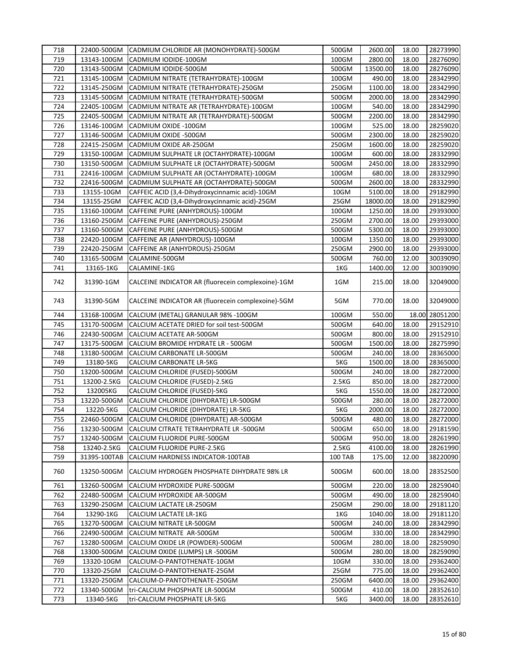| 718 | 22400-500GM  | CADMIUM CHLORIDE AR (MONOHYDRATE)-500GM            | 500GM              | 2600.00  | 18.00 | 28273990       |
|-----|--------------|----------------------------------------------------|--------------------|----------|-------|----------------|
| 719 | 13143-100GM  | CADMIUM IODIDE-100GM                               | 100GM              | 2800.00  | 18.00 | 28276090       |
| 720 | 13143-500GM  | CADMIUM IODIDE-500GM                               | 500GM              | 13500.00 | 18.00 | 28276090       |
| 721 | 13145-100GM  | CADMIUM NITRATE (TETRAHYDRATE)-100GM               | 100GM              | 490.00   | 18.00 | 28342990       |
| 722 | 13145-250GM  | CADMIUM NITRATE (TETRAHYDRATE)-250GM               | 250GM              | 1100.00  | 18.00 | 28342990       |
| 723 | 13145-500GM  | CADMIUM NITRATE (TETRAHYDRATE)-500GM               | 500GM              | 2000.00  | 18.00 | 28342990       |
| 724 | 22405-100GM  | CADMIUM NITRATE AR (TETRAHYDRATE)-100GM            | 100GM              | 540.00   | 18.00 | 28342990       |
| 725 | 22405-500GM  | CADMIUM NITRATE AR (TETRAHYDRATE)-500GM            | 500GM              | 2200.00  | 18.00 | 28342990       |
| 726 | 13146-100GM  | CADMIUM OXIDE -100GM                               | 100GM              | 525.00   | 18.00 | 28259020       |
| 727 | 13146-500GM  | CADMIUM OXIDE -500GM                               | 500GM              | 2300.00  | 18.00 | 28259020       |
| 728 | 22415-250GM  | CADMIUM OXIDE AR-250GM                             | 250GM              | 1600.00  | 18.00 | 28259020       |
| 729 | 13150-100GM  | CADMIUM SULPHATE LR (OCTAHYDRATE)-100GM            | 100GM              | 600.00   | 18.00 | 28332990       |
| 730 | 13150-500GM  | CADMIUM SULPHATE LR (OCTAHYDRATE)-500GM            | 500GM              | 2450.00  | 18.00 | 28332990       |
| 731 | 22416-100GM  | CADMIUM SULPHATE AR (OCTAHYDRATE)-100GM            | 100GM              | 680.00   | 18.00 | 28332990       |
| 732 | 22416-500GM  | CADMIUM SULPHATE AR (OCTAHYDRATE)-500GM            | 500GM              | 2600.00  | 18.00 | 28332990       |
| 733 | 13155-10GM   | CAFFEIC ACID (3,4-Dihydroxycinnamic acid)-10GM     | 10GM               | 5100.00  | 18.00 | 29182990       |
| 734 | 13155-25GM   | CAFFEIC ACID (3,4-Dihydroxycinnamic acid)-25GM     | 25GM               | 18000.00 | 18.00 | 29182990       |
| 735 | 13160-100GM  | CAFFEINE PURE (ANHYDROUS)-100GM                    | 100GM              | 1250.00  | 18.00 | 29393000       |
| 736 | 13160-250GM  | CAFFEINE PURE (ANHYDROUS)-250GM                    | 250GM              | 2700.00  | 18.00 | 29393000       |
|     |              |                                                    |                    |          |       |                |
| 737 | 13160-500GM  | CAFFEINE PURE (ANHYDROUS)-500GM                    | 500GM              | 5300.00  | 18.00 | 29393000       |
| 738 | 22420-100GM  | CAFFEINE AR (ANHYDROUS)-100GM                      | 100GM              | 1350.00  | 18.00 | 29393000       |
| 739 | 22420-250GM  | CAFFEINE AR (ANHYDROUS)-250GM                      | 250GM              | 2900.00  | 18.00 | 29393000       |
| 740 | 13165-500GM  | CALAMINE-500GM                                     | 500GM              | 760.00   | 12.00 | 30039090       |
| 741 | 13165-1KG    | CALAMINE-1KG                                       | 1KG                | 1400.00  | 12.00 | 30039090       |
| 742 | 31390-1GM    | CALCEINE INDICATOR AR (fluorecein complexoine)-1GM | 1GM                | 215.00   | 18.00 | 32049000       |
| 743 | 31390-5GM    | CALCEINE INDICATOR AR (fluorecein complexoine)-5GM | 5GM                | 770.00   | 18.00 | 32049000       |
| 744 | 13168-100GM  | CALCIUM (METAL) GRANULAR 98% -100GM                | 100GM              | 550.00   |       | 18.00 28051200 |
| 745 | 13170-500GM  | CALCIUM ACETATE DRIED for soil test-500GM          | 500GM              | 640.00   | 18.00 | 29152910       |
| 746 | 22430-500GM  | CALCIUM ACETATE AR-500GM                           | 500GM              | 800.00   | 18.00 | 29152910       |
| 747 | 13175-500GM  | CALCIUM BROMIDE HYDRATE LR - 500GM                 | 500GM              | 1500.00  | 18.00 | 28275990       |
| 748 | 13180-500GM  | CALCIUM CARBONATE LR-500GM                         | 500GM              | 240.00   | 18.00 | 28365000       |
| 749 | 13180-5KG    | CALCIUM CARBONATE LR-5KG                           | 5KG                | 1500.00  | 18.00 | 28365000       |
| 750 | 13200-500GM  | CALCIUM CHLORIDE (FUSED)-500GM                     | 500GM              | 240.00   | 18.00 | 28272000       |
| 751 | 13200-2.5KG  | CALCIUM CHLORIDE (FUSED)-2.5KG                     | 2.5KG              | 850.00   | 18.00 | 28272000       |
| 752 | 132005KG     | CALCIUM CHLORIDE (FUSED)-5KG                       | 5KG                | 1550.00  | 18.00 | 28272000       |
| 753 | 13220-500GM  | CALCIUM CHLORIDE (DIHYDRATE) LR-500GM              | 500GM              | 280.00   | 18.00 | 28272000       |
| 754 | 13220-5KG    | CALCIUM CHLORIDE (DIHYDRATE) LR-5KG                | 5KG                | 2000.00  | 18.00 | 28272000       |
| 755 | 22460-500GM  | CALCIUM CHLORIDE (DIHYDRATE) AR-500GM              | 500GM              | 480.00   | 18.00 | 28272000       |
| 756 | 13230-500GM  | CALCIUM CITRATE TETRAHYDRATE LR -500GM             | 500GM              | 650.00   | 18.00 | 29181590       |
| 757 | 13240-500GM  | CALCIUM FLUORIDE PURE-500GM                        | 500GM              | 950.00   | 18.00 | 28261990       |
| 758 | 13240-2.5KG  | CALCIUM FLUORIDE PURE-2.5KG                        | 2.5 <sub>K</sub> G | 4100.00  | 18.00 | 28261990       |
| 759 | 31395-100TAB | CALCIUM HARDNESS INDICATOR-100TAB                  | <b>100 TAB</b>     | 175.00   | 12.00 | 38220090       |
| 760 | 13250-500GM  | CALCIUM HYDROGEN PHOSPHATE DIHYDRATE 98% LR        | 500GM              | 600.00   | 18.00 | 28352500       |
| 761 | 13260-500GM  | CALCIUM HYDROXIDE PURE-500GM                       | 500GM              | 220.00   | 18.00 | 28259040       |
| 762 | 22480-500GM  | CALCIUM HYDROXIDE AR-500GM                         | 500GM              | 490.00   | 18.00 | 28259040       |
| 763 | 13290-250GM  | CALCIUM LACTATE LR-250GM                           | 250GM              | 290.00   | 18.00 | 29181120       |
| 764 | 13290-1KG    | CALCIUM LACTATE LR-1KG                             | 1KG                | 1040.00  | 18.00 | 29181120       |
| 765 | 13270-500GM  | CALCIUM NITRATE LR-500GM                           | 500GM              | 240.00   | 18.00 | 28342990       |
| 766 | 22490-500GM  | CALCIUM NITRATE AR-500GM                           | 500GM              | 330.00   | 18.00 | 28342990       |
| 767 | 13280-500GM  | CALCIUM OXIDE LR (POWDER)-500GM                    | 500GM              | 280.00   | 18.00 | 28259090       |
| 768 | 13300-500GM  | CALCIUM OXIDE (LUMPS) LR -500GM                    | 500GM              | 280.00   | 18.00 | 28259090       |
| 769 | 13320-10GM   | CALCIUM-D-PANTOTHENATE-10GM                        | 10GM               | 330.00   | 18.00 | 29362400       |
| 770 | 13320-25GM   | CALCIUM-D-PANTOTHENATE-25GM                        | 25GM               | 775.00   | 18.00 | 29362400       |
| 771 | 13320-250GM  | CALCIUM-D-PANTOTHENATE-250GM                       | 250GM              | 6400.00  | 18.00 | 29362400       |
| 772 | 13340-500GM  | tri-CALCIUM PHOSPHATE LR-500GM                     | 500GM              | 410.00   | 18.00 | 28352610       |
| 773 | 13340-5KG    | tri-CALCIUM PHOSPHATE LR-5KG                       | 5KG                | 3400.00  | 18.00 | 28352610       |
|     |              |                                                    |                    |          |       |                |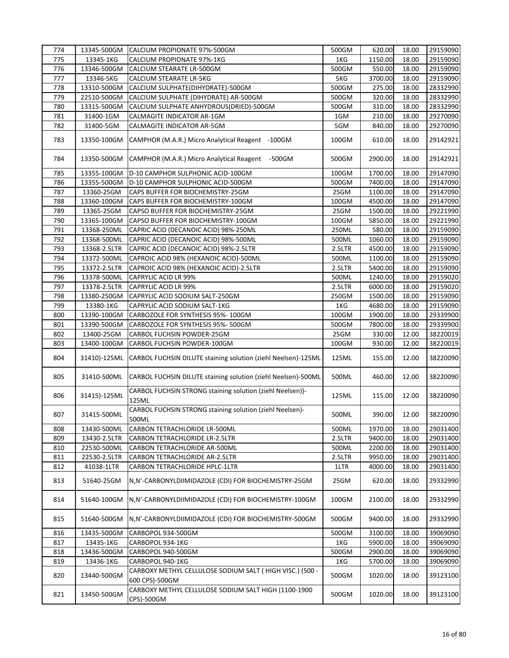| 774 | 13345-500GM  | CALCIUM PROPIONATE 97%-500GM                                               | 500GM  | 620.00  | 18.00 | 29159090 |
|-----|--------------|----------------------------------------------------------------------------|--------|---------|-------|----------|
| 775 | 13345-1KG    | CALCIUM PROPIONATE 97%-1KG                                                 | 1KG    | 1150.00 | 18.00 | 29159090 |
| 776 | 13346-500GM  | CALCIUM STEARATE LR-500GM                                                  | 500GM  | 550.00  | 18.00 | 29159090 |
| 777 | 13346-5KG    | CALCIUM STEARATE LR-5KG                                                    | 5KG    | 3700.00 | 18.00 | 29159090 |
| 778 | 13310-500GM  | CALCIUM SULPHATE(DIHYDRATE)-500GM                                          | 500GM  | 275.00  | 18.00 | 28332990 |
| 779 | 22510-500GM  | CALCIUM SULPHATE (DIHYDRATE) AR-500GM                                      | 500GM  | 320.00  | 18.00 | 28332990 |
| 780 | 13315-500GM  | CALCIUM SULPHATE ANHYDROUS(DRIED)-500GM                                    | 500GM  | 310.00  | 18.00 | 28332990 |
| 781 | 31400-1GM    | CALMAGITE INDICATOR AR-1GM                                                 | 1GM    | 210.00  | 18.00 | 29270090 |
| 782 | 31400-5GM    | CALMAGITE INDICATOR AR-5GM                                                 | 5GM    | 840.00  | 18.00 | 29270090 |
|     |              |                                                                            |        |         |       |          |
| 783 | 13350-100GM  | CAMPHOR (M.A.R.) Micro Analytical Reagent -100GM                           | 100GM  | 610.00  | 18.00 | 29142921 |
| 784 | 13350-500GM  | CAMPHOR (M.A.R.) Micro Analytical Reagent -500GM                           | 500GM  | 2900.00 | 18.00 | 29142921 |
| 785 | 13355-100GM  | D-10 CAMPHOR SULPHONIC ACID-100GM                                          | 100GM  | 1700.00 | 18.00 | 29147090 |
| 786 | 13355-500GM  | D-10 CAMPHOR SULPHONIC ACID-500GM                                          | 500GM  | 7400.00 | 18.00 | 29147090 |
| 787 | 13360-25GM   | CAPS BUFFER FOR BIOCHEMISTRY-25GM                                          | 25GM   | 1100.00 | 18.00 | 29147090 |
| 788 | 13360-100GM  | CAPS BUFFER FOR BIOCHEMISTRY-100GM                                         | 100GM  | 4500.00 | 18.00 | 29147090 |
| 789 | 13365-25GM   | CAPSO BUFFER FOR BIOCHEMISTRY-25GM                                         | 25GM   | 1500.00 | 18.00 | 29221990 |
| 790 | 13365-100GM  | CAPSO BUFFER FOR BIOCHEMISTRY-100GM                                        | 100GM  | 5850.00 | 18.00 | 29221990 |
| 791 | 13368-250ML  | CAPRIC ACID (DECANOIC ACID) 98%-250ML                                      | 250ML  | 580.00  | 18.00 | 29159090 |
| 792 | 13368-500ML  | CAPRIC ACID (DECANOIC ACID) 98%-500ML                                      | 500ML  | 1060.00 | 18.00 | 29159090 |
| 793 | 13368-2.5LTR | CAPRIC ACID (DECANOIC ACID) 98%-2.5LTR                                     | 2.5LTR | 4500.00 | 18.00 | 29159090 |
| 794 | 13372-500ML  | CAPROIC ACID 98% (HEXANOIC ACID)-500ML                                     | 500ML  | 1100.00 | 18.00 | 29159090 |
| 795 | 13372-2.5LTR |                                                                            | 2.5LTR | 5400.00 | 18.00 | 29159090 |
|     |              | CAPROIC ACID 98% (HEXANOIC ACID)-2.5LTR                                    |        |         |       |          |
| 796 | 13378-500ML  | <b>CAPRYLIC ACID LR 99%</b>                                                | 500ML  | 1240.00 | 18.00 | 29159020 |
| 797 | 13378-2.5LTR | <b>CAPRYLIC ACID LR 99%</b>                                                | 2.5LTR | 6000.00 | 18.00 | 29159020 |
| 798 | 13380-250GM  | CAPRYLIC ACID SODIUM SALT-250GM                                            | 250GM  | 1500.00 | 18.00 | 29159090 |
| 799 | 13380-1KG    | CAPRYLIC ACID SODIUM SALT-1KG                                              | 1KG    | 4680.00 | 18.00 | 29159090 |
| 800 | 13390-100GM  | CARBOZOLE FOR SYNTHESIS 95%-100GM                                          | 100GM  | 1900.00 | 18.00 | 29339900 |
| 801 | 13390-500GM  | CARBOZOLE FOR SYNTHESIS 95%-500GM                                          | 500GM  | 7800.00 | 18.00 | 29339900 |
| 802 | 13400-25GM   | CARBOL FUCHSIN POWDER-25GM                                                 | 25GM   | 330.00  | 12.00 | 38220019 |
| 803 | 13400-100GM  | CARBOL FUCHSIN POWDER-100GM                                                | 100GM  | 930.00  | 12.00 | 38220019 |
| 804 |              | 31410)-125ML CARBOL FUCHSIN DILUTE staining solution (ziehl Neelsen)-125ML | 125ML  | 155.00  | 12.00 | 38220090 |
| 805 | 31410-500ML  | CARBOL FUCHSIN DILUTE staining solution (ziehl Neelsen)-500ML              | 500ML  | 460.00  | 12.00 | 38220090 |
| 806 | 31415)-125ML | CARBOL FUCHSIN STRONG staining solution (ziehl Neelsen))-<br>125ML         | 125ML  | 115.00  | 12.00 | 38220090 |
| 807 | 31415-500ML  | CARBOL FUCHSIN STRONG staining solution (ziehl Neelsen)-<br>500ML          | 500ML  | 390.00  | 12.00 | 38220090 |
| 808 | 13430-500ML  | CARBON TETRACHLORIDE LR-500ML                                              | 500ML  | 1970.00 | 18.00 | 29031400 |
| 809 | 13430-2.5LTR | CARBON TETRACHLORIDE LR-2.5LTR                                             | 2.5LTR | 9400.00 | 18.00 | 29031400 |
| 810 | 22530-500ML  | CARBON TETRACHLORIDE AR-500ML                                              | 500ML  | 2200.00 | 18.00 | 29031400 |
| 811 | 22530-2.5LTR | CARBON TETRACHLORIDE AR-2.5LTR                                             | 2.5LTR | 9950.00 | 18.00 | 29031400 |
| 812 | 41038-1LTR   | CARBON TETRACHLORIDE HPLC-1LTR                                             | 1LTR   | 4000.00 | 18.00 | 29031400 |
| 813 | 51640-25GM   | N,N'-CARBONYLDIIMIDAZOLE (CDI) FOR BIOCHEMISTRY-25GM                       | 25GM   | 620.00  | 18.00 | 29332990 |
| 814 | 51640-100GM  | N, N'-CARBONYLDIIMIDAZOLE (CDI) FOR BIOCHEMISTRY-100GM                     | 100GM  | 2100.00 | 18.00 | 29332990 |
| 815 | 51640-500GM  | N,N'-CARBONYLDIIMIDAZOLE (CDI) FOR BIOCHEMISTRY-500GM                      | 500GM  | 9400.00 | 18.00 | 29332990 |
| 816 | 13435-500GM  | CARBOPOL 934-500GM                                                         | 500GM  | 3100.00 | 18.00 | 39069090 |
| 817 | 13435-1KG    | CARBOPOL 934-1KG                                                           | 1KG    | 5900.00 | 18.00 | 39069090 |
| 818 | 13436-500GM  | CARBOPOL 940-500GM                                                         | 500GM  | 2900.00 | 18.00 | 39069090 |
| 819 | 13436-1KG    | CARBOPOL 940-1KG                                                           | 1KG    | 5700.00 | 18.00 | 39069090 |
| 820 | 13440-500GM  | CARBOXY METHYL CELLULOSE SODIUM SALT (HIGH VISC.) (500 -<br>600 CPS)-500GM | 500GM  | 1020.00 | 18.00 | 39123100 |
| 821 | 13450-500GM  | CARBOXY METHYL CELLULOSE SODIUM SALT HIGH (1100-1900<br>CPS)-500GM         | 500GM  | 1020.00 | 18.00 | 39123100 |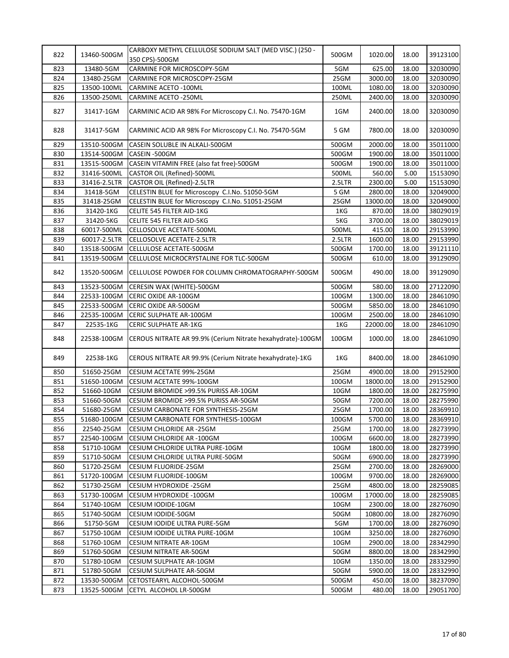| 822        | 13460-500GM                | CARBOXY METHYL CELLULOSE SODIUM SALT (MED VISC.) (250 -<br>350 CPS)-500GM | 500GM          | 1020.00          | 18.00          | 39123100             |
|------------|----------------------------|---------------------------------------------------------------------------|----------------|------------------|----------------|----------------------|
| 823        | 13480-5GM                  | CARMINE FOR MICROSCOPY-5GM                                                | 5GM            | 625.00           | 18.00          | 32030090             |
| 824        | 13480-25GM                 | CARMINE FOR MICROSCOPY-25GM                                               | 25GM           | 3000.00          | 18.00          | 32030090             |
| 825        | 13500-100ML                | <b>CARMINE ACETO -100ML</b>                                               | 100ML          | 1080.00          | 18.00          | 32030090             |
| 826        | 13500-250ML                | <b>CARMINE ACETO -250ML</b>                                               | 250ML          | 2400.00          | 18.00          | 32030090             |
| 827        | 31417-1GM                  | CARMINIC ACID AR 98% For Microscopy C.I. No. 75470-1GM                    | 1GM            | 2400.00          | 18.00          | 32030090             |
| 828        | 31417-5GM                  | CARMINIC ACID AR 98% For Microscopy C.I. No. 75470-5GM                    | 5 GM           | 7800.00          | 18.00          | 32030090             |
| 829        | 13510-500GM                | CASEIN SOLUBLE IN ALKALI-500GM                                            | 500GM          | 2000.00          | 18.00          | 35011000             |
| 830        | 13514-500GM                | CASEIN -500GM                                                             | 500GM          | 1900.00          | 18.00          | 35011000             |
| 831        | 13515-500GM                | CASEIN VITAMIN FREE (also fat free)-500GM                                 | 500GM          | 1900.00          | 18.00          | 35011000             |
| 832        | 31416-500ML                | CASTOR OIL (Refined)-500ML                                                | 500ML          | 560.00           | 5.00           | 15153090             |
| 833        | 31416-2.5LTR               | CASTOR OIL (Refined)-2.5LTR                                               | 2.5LTR         | 2300.00          | 5.00           | 15153090             |
| 834        | 31418-5GM                  | CELESTIN BLUE for Microscopy C.I.No. 51050-5GM                            | 5 GM           | 2800.00          | 18.00          | 32049000             |
| 835        | 31418-25GM                 | CELESTIN BLUE for Microscopy C.I.No. 51051-25GM                           | 25GM           | 13000.00         | 18.00          | 32049000             |
| 836        | 31420-1KG                  | CELITE 545 FILTER AID-1KG                                                 | 1KG            | 870.00           | 18.00          | 38029019             |
| 837        | 31420-5KG                  | CELITE 545 FILTER AID-5KG                                                 | 5KG            | 3700.00          | 18.00          | 38029019             |
| 838        | 60017-500ML                | CELLOSOLVE ACETATE-500ML                                                  | 500ML          | 415.00           | 18.00          | 29153990             |
| 839        | 60017-2.5LTR               | <b>CELLOSOLVE ACETATE-2.5LTR</b>                                          | 2.5LTR         | 1600.00          | 18.00          | 29153990             |
| 840        | 13518-500GM                | CELLULOSE ACETATE-500GM                                                   | 500GM          | 1700.00          | 18.00          | 39121110             |
| 841        | 13519-500GM                | CELLULOSE MICROCRYSTALINE FOR TLC-500GM                                   | 500GM          | 610.00           | 18.00          | 39129090             |
| 842        | 13520-500GM                | CELLULOSE POWDER FOR COLUMN CHROMATOGRAPHY-500GM                          | 500GM          | 490.00           | 18.00          | 39129090             |
| 843        | 13523-500GM                | CERESIN WAX (WHITE)-500GM                                                 | 500GM          | 580.00           | 18.00          | 27122090             |
| 844        | 22533-100GM                | CERIC OXIDE AR-100GM                                                      | 100GM          | 1300.00          | 18.00          | 28461090             |
| 845        | 22533-500GM                | CERIC OXIDE AR-500GM                                                      | 500GM          | 5850.00          | 18.00          | 28461090             |
| 846        | 22535-100GM                | CERIC SULPHATE AR-100GM                                                   | 100GM          | 2500.00          | 18.00          | 28461090             |
| 847        | 22535-1KG                  | <b>CERIC SULPHATE AR-1KG</b>                                              | 1KG            | 22000.00         | 18.00          | 28461090             |
| 848        | 22538-100GM                | CEROUS NITRATE AR 99.9% (Cerium Nitrate hexahydrate)-100GM                | 100GM          | 1000.00          | 18.00          | 28461090             |
| 849        | 22538-1KG                  | CEROUS NITRATE AR 99.9% (Cerium Nitrate hexahydrate)-1KG                  | 1KG            | 8400.00          | 18.00          | 28461090             |
| 850        | 51650-25GM                 | CESIUM ACETATE 99%-25GM                                                   | 25GM           | 4900.00          | 18.00          | 29152900             |
| 851        | 51650-100GM                | CESIUM ACETATE 99%-100GM                                                  | 100GM          | 18000.00         | 18.00          | 29152900             |
| 852        | 51660-10GM                 | CESIUM BROMIDE >99.5% PURISS AR-10GM                                      | 10GM           | 1800.00          | 18.00          | 28275990             |
| 853        | 51660-50GM                 | CESIUM BROMIDE >99.5% PURISS AR-50GM                                      | 50GM           | 7200.00          | 18.00          | 28275990             |
| 854        | 51680-25GM                 | CESIUM CARBONATE FOR SYNTHESIS-25GM                                       | 25GM           | 1700.00          | 18.00          | 28369910             |
| 855        | 51680-100GM                | CESIUM CARBONATE FOR SYNTHESIS-100GM                                      | 100GM          | 5700.00          | 18.00          | 28369910             |
| 856        | 22540-25GM                 | CESIUM CHLORIDE AR -25GM                                                  | 25GM           | 1700.00          | 18.00          | 28273990             |
| 857        | 22540-100GM                | CESIUM CHLORIDE AR -100GM                                                 | 100GM          | 6600.00          | 18.00          | 28273990             |
| 858        | 51710-10GM                 | CESIUM CHLORIDE ULTRA PURE-10GM                                           | 10GM           | 1800.00          | 18.00          | 28273990             |
| 859        | 51710-50GM                 | CESIUM CHLORIDE ULTRA PURE-50GM                                           | 50GM           | 6900.00          | 18.00          | 28273990             |
| 860        | 51720-25GM                 | CESIUM FLUORIDE-25GM                                                      | 25GM           | 2700.00          | 18.00          | 28269000             |
| 861        | 51720-100GM                | CESIUM FLUORIDE-100GM                                                     | 100GM          | 9700.00          | 18.00          | 28269000             |
| 862        | 51730-25GM                 | CESIUM HYDROXIDE -25GM                                                    | 25GM           | 4800.00          | 18.00          | 28259085             |
| 863        | 51730-100GM                | CESIUM HYDROXIDE -100GM                                                   | 100GM          | 17000.00         | 18.00          | 28259085             |
| 864        |                            | CESIUM IODIDE-10GM                                                        | 10GM           | 2300.00          | 18.00          | 28276090             |
| 865        | 51740-10GM                 |                                                                           |                |                  |                |                      |
|            | 51740-50GM                 | CESIUM IODIDE-50GM                                                        | 50GM           | 10800.00         | 18.00          | 28276090             |
| 866        | 51750-5GM                  | CESIUM IODIDE ULTRA PURE-5GM                                              | 5GM            | 1700.00          | 18.00          | 28276090             |
| 867        | 51750-10GM                 | CESIUM IODIDE ULTRA PURE-10GM                                             | 10GM           | 3250.00          | 18.00          | 28276090             |
| 868        | 51760-10GM                 | CESIUM NITRATE AR-10GM                                                    | 10GM           | 2900.00          | 18.00          | 28342990             |
| 869        | 51760-50GM                 | CESIUM NITRATE AR-50GM                                                    | 50GM           | 8800.00          | 18.00          | 28342990             |
| 870        | 51780-10GM                 | CESIUM SULPHATE AR-10GM                                                   | 10GM           | 1350.00          | 18.00          | 28332990             |
| 871        | 51780-50GM                 | CESIUM SULPHATE AR-50GM                                                   | 50GM           | 5900.00          | 18.00          | 28332990             |
| 872<br>873 | 13530-500GM<br>13525-500GM | CETOSTEARYL ALCOHOL-500GM<br>CETYL ALCOHOL LR-500GM                       | 500GM<br>500GM | 450.00<br>480.00 | 18.00<br>18.00 | 38237090<br>29051700 |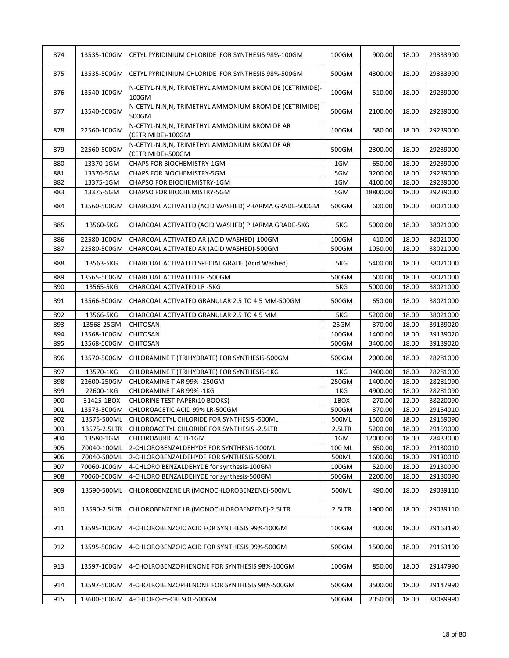| 874 | 13535-100GM  | CETYL PYRIDINIUM CHLORIDE FOR SYNTHESIS 98%-100GM                   | 100GM    | 900.00   | 18.00 | 29333990 |
|-----|--------------|---------------------------------------------------------------------|----------|----------|-------|----------|
| 875 | 13535-500GM  | CETYL PYRIDINIUM CHLORIDE FOR SYNTHESIS 98%-500GM                   | 500GM    | 4300.00  | 18.00 | 29333990 |
| 876 | 13540-100GM  | N-CETYL-N,N,N, TRIMETHYL AMMONIUM BROMIDE (CETRIMIDE)-<br>100GM     | 100GM    | 510.00   | 18.00 | 29239000 |
| 877 | 13540-500GM  | N-CETYL-N,N,N, TRIMETHYL AMMONIUM BROMIDE (CETRIMIDE)-<br>500GM     | 500GM    | 2100.00  | 18.00 | 29239000 |
| 878 | 22560-100GM  | N-CETYL-N, N, N, TRIMETHYL AMMONIUM BROMIDE AR<br>(CETRIMIDE)-100GM | 100GM    | 580.00   | 18.00 | 29239000 |
| 879 | 22560-500GM  | N-CETYL-N,N,N, TRIMETHYL AMMONIUM BROMIDE AR<br>(CETRIMIDE)-500GM   | 500GM    | 2300.00  | 18.00 | 29239000 |
| 880 | 13370-1GM    | CHAPS FOR BIOCHEMISTRY-1GM                                          | 1GM      | 650.00   | 18.00 | 29239000 |
| 881 | 13370-5GM    | <b>CHAPS FOR BIOCHEMISTRY-5GM</b>                                   | 5GM      | 3200.00  | 18.00 | 29239000 |
| 882 | 13375-1GM    | CHAPSO FOR BIOCHEMISTRY-1GM                                         | 1GM      | 4100.00  | 18.00 | 29239000 |
| 883 | 13375-5GM    | CHAPSO FOR BIOCHEMISTRY-5GM                                         | 5GM      | 18800.00 | 18.00 | 29239000 |
| 884 | 13560-500GM  | CHARCOAL ACTIVATED (ACID WASHED) PHARMA GRADE-500GM                 | 500GM    | 600.00   | 18.00 | 38021000 |
| 885 | 13560-5KG    | CHARCOAL ACTIVATED (ACID WASHED) PHARMA GRADE-5KG                   | 5KG      | 5000.00  | 18.00 | 38021000 |
| 886 | 22580-100GM  | CHARCOAL ACTIVATED AR (ACID WASHED)-100GM                           | 100GM    | 410.00   | 18.00 | 38021000 |
| 887 | 22580-500GM  | CHARCOAL ACTIVATED AR (ACID WASHED)-500GM                           | 500GM    | 1050.00  | 18.00 | 38021000 |
| 888 | 13563-5KG    | CHARCOAL ACTIVATED SPECIAL GRADE (Acid Washed)                      | 5KG      | 5400.00  | 18.00 | 38021000 |
| 889 | 13565-500GM  | CHARCOAL ACTIVATED LR -500GM                                        | 500GM    | 600.00   | 18.00 | 38021000 |
| 890 | 13565-5KG    | CHARCOAL ACTIVATED LR -5KG                                          | 5KG      | 5000.00  | 18.00 | 38021000 |
| 891 | 13566-500GM  | CHARCOAL ACTIVATED GRANULAR 2.5 TO 4.5 MM-500GM                     | 500GM    | 650.00   | 18.00 | 38021000 |
| 892 | 13566-5KG    | CHARCOAL ACTIVATED GRANULAR 2.5 TO 4.5 MM                           | 5KG      | 5200.00  | 18.00 | 38021000 |
| 893 | 13568-25GM   | <b>CHITOSAN</b>                                                     | 25GM     | 370.00   | 18.00 | 39139020 |
| 894 | 13568-100GM  | <b>CHITOSAN</b>                                                     | 100GM    | 1400.00  | 18.00 | 39139020 |
| 895 | 13568-500GM  | <b>CHITOSAN</b>                                                     | 500GM    | 3400.00  | 18.00 | 39139020 |
| 896 | 13570-500GM  | CHLORAMINE T (TRIHYDRATE) FOR SYNTHESIS-500GM                       | 500GM    | 2000.00  | 18.00 | 28281090 |
| 897 | 13570-1KG    | CHLORAMINE T (TRIHYDRATE) FOR SYNTHESIS-1KG                         | 1KG      | 3400.00  | 18.00 | 28281090 |
| 898 | 22600-250GM  | CHLORAMINE T AR 99% -250GM                                          | 250GM    | 1400.00  | 18.00 | 28281090 |
| 899 | 22600-1KG    | CHLORAMINE T AR 99% - 1KG                                           | 1KG      | 4900.00  | 18.00 | 28281090 |
| 900 | 31425-1BOX   | CHLORINE TEST PAPER(10 BOOKS)                                       | 1BOX     | 270.00   | 12.00 | 38220090 |
| 901 | 13573-500GM  | CHLOROACETIC ACID 99% LR-500GM                                      | 500GM    | 370.00   | 18.00 | 29154010 |
| 902 | 13575-500ML  | CHLOROACETYL CHLORIDE FOR SYNTHESIS -500ML                          | 500ML    | 1500.00  | 18.00 | 29159090 |
| 903 | 13575-2.5LTR | CHLOROACETYL CHLORIDE FOR SYNTHESIS - 2.5LTR                        | 2.5LTR   | 5200.00  | 18.00 | 29159090 |
| 904 | 13580-1GM    | CHLOROAURIC ACID-1GM                                                | 1GM      | 12000.00 | 18.00 | 28433000 |
| 905 | 70040-100ML  | 2-CHLOROBENZALDEHYDE FOR SYNTHESIS-100ML                            | 100 ML   | 650.00   | 18.00 | 29130010 |
| 906 | 70040-500ML  | 2-CHLOROBENZALDEHYDE FOR SYNTHESIS-500ML                            | 500ML    | 1600.00  | 18.00 | 29130010 |
| 907 | 70060-100GM  | 4-CHLORO BENZALDEHYDE for synthesis-100GM                           | 100GM    | 520.00   | 18.00 | 29130090 |
| 908 | 70060-500GM  | 4-CHLORO BENZALDEHYDE for synthesis-500GM                           | 500GM    | 2200.00  | 18.00 | 29130090 |
| 909 | 13590-500ML  | CHLOROBENZENE LR (MONOCHLOROBENZENE)-500ML                          | 500ML    | 490.00   | 18.00 | 29039110 |
| 910 | 13590-2.5LTR | CHLOROBENZENE LR (MONOCHLOROBENZENE)-2.5LTR                         | 2.5LTR   | 1900.00  | 18.00 | 29039110 |
| 911 | 13595-100GM  | 4-CHLOROBENZOIC ACID FOR SYNTHESIS 99%-100GM                        | $100$ GM | 400.00   | 18.00 | 29163190 |
| 912 | 13595-500GM  | 4-CHLOROBENZOIC ACID FOR SYNTHESIS 99%-500GM                        | 500GM    | 1500.00  | 18.00 | 29163190 |
| 913 | 13597-100GM  | 4-CHOLROBENZOPHENONE FOR SYNTHESIS 98%-100GM                        | 100GM    | 850.00   | 18.00 | 29147990 |
| 914 | 13597-500GM  | 4-CHOLROBENZOPHENONE FOR SYNTHESIS 98%-500GM                        | 500GM    | 3500.00  | 18.00 | 29147990 |
| 915 | 13600-500GM  | 4-CHLORO-m-CRESOL-500GM                                             | 500GM    | 2050.00  | 18.00 | 38089990 |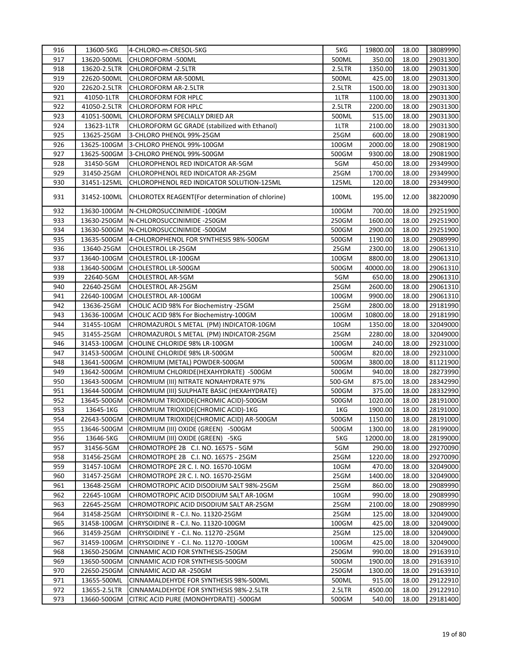| 916 | 13600-5KG    | 4-CHLORO-m-CRESOL-5KG                             | 5KG    | 19800.00 | 18.00 | 38089990 |
|-----|--------------|---------------------------------------------------|--------|----------|-------|----------|
| 917 | 13620-500ML  | CHLOROFORM -500ML                                 | 500ML  | 350.00   | 18.00 | 29031300 |
| 918 | 13620-2.5LTR | CHLOROFORM - 2.5LTR                               | 2.5LTR | 1350.00  | 18.00 | 29031300 |
| 919 | 22620-500ML  | CHLOROFORM AR-500ML                               | 500ML  | 425.00   | 18.00 | 29031300 |
| 920 | 22620-2.5LTR | CHLOROFORM AR-2.5LTR                              | 2.5LTR | 1500.00  | 18.00 | 29031300 |
| 921 | 41050-1LTR   | <b>CHLOROFORM FOR HPLC</b>                        | 1LTR   | 1100.00  | 18.00 | 29031300 |
| 922 | 41050-2.5LTR | <b>CHLOROFORM FOR HPLC</b>                        | 2.5LTR | 2200.00  | 18.00 | 29031300 |
| 923 | 41051-500ML  | CHLOROFORM SPECIALLY DRIED AR                     | 500ML  | 515.00   | 18.00 | 29031300 |
| 924 | 13623-1LTR   | CHLOROFORM GC GRADE (stabilized with Ethanol)     | 1LTR   | 2100.00  | 18.00 | 29031300 |
| 925 | 13625-25GM   | 3-CHLORO PHENOL 99%-25GM                          | 25GM   | 600.00   | 18.00 | 29081900 |
| 926 | 13625-100GM  | 3-CHLORO PHENOL 99%-100GM                         | 100GM  | 2000.00  | 18.00 | 29081900 |
| 927 | 13625-500GM  | 3-CHLORO PHENOL 99%-500GM                         | 500GM  | 9300.00  | 18.00 | 29081900 |
| 928 | 31450-5GM    | CHLOROPHENOL RED INDICATOR AR-5GM                 | 5GM    | 450.00   | 18.00 | 29349900 |
| 929 | 31450-25GM   | CHLOROPHENOL RED INDICATOR AR-25GM                | 25GM   | 1700.00  | 18.00 | 29349900 |
| 930 | 31451-125ML  | CHLOROPHENOL RED INDICATOR SOLUTION-125ML         | 125ML  | 120.00   | 18.00 | 29349900 |
| 931 | 31452-100ML  | CHLOROTEX REAGENT (For determination of chlorine) | 100ML  | 195.00   | 12.00 | 38220090 |
| 932 | 13630-100GM  | N-CHLOROSUCCINIMIDE -100GM                        | 100GM  | 700.00   | 18.00 | 29251900 |
| 933 | 13630-250GM  | N-CHLOROSUCCINIMIDE -250GM                        | 250GM  | 1600.00  | 18.00 | 29251900 |
| 934 | 13630-500GM  | N-CHLOROSUCCINIMIDE -500GM                        | 500GM  | 2900.00  | 18.00 | 29251900 |
| 935 | 13635-500GM  | 4-CHLOROPHENOL FOR SYNTHESIS 98%-500GM            | 500GM  | 1190.00  | 18.00 | 29089990 |
| 936 | 13640-25GM   | CHOLESTROL LR-25GM                                | 25GM   | 2300.00  | 18.00 | 29061310 |
| 937 | 13640-100GM  | CHOLESTROL LR-100GM                               | 100GM  | 8800.00  | 18.00 | 29061310 |
| 938 | 13640-500GM  | CHOLESTROL LR-500GM                               | 500GM  | 40000.00 | 18.00 | 29061310 |
| 939 | 22640-5GM    | CHOLESTROL AR-5GM                                 | 5GM    | 650.00   | 18.00 | 29061310 |
| 940 | 22640-25GM   | CHOLESTROL AR-25GM                                | 25GM   | 2600.00  | 18.00 | 29061310 |
| 941 | 22640-100GM  | CHOLESTROL AR-100GM                               | 100GM  | 9900.00  | 18.00 | 29061310 |
| 942 | 13636-25GM   | CHOLIC ACID 98% For Biochemistry -25GM            | 25GM   | 2800.00  | 18.00 | 29181990 |
| 943 | 13636-100GM  | CHOLIC ACID 98% For Biochemistry-100GM            | 100GM  | 10800.00 | 18.00 | 29181990 |
| 944 | 31455-10GM   | CHROMAZUROL S METAL (PM) INDICATOR-10GM           | 10GM   | 1350.00  | 18.00 | 32049000 |
| 945 | 31455-25GM   | CHROMAZUROL S METAL (PM) INDICATOR-25GM           | 25GM   | 2280.00  | 18.00 | 32049000 |
| 946 | 31453-100GM  | CHOLINE CHLORIDE 98% LR-100GM                     | 100GM  | 240.00   | 18.00 | 29231000 |
| 947 | 31453-500GM  | CHOLINE CHLORIDE 98% LR-500GM                     | 500GM  | 820.00   | 18.00 | 29231000 |
| 948 | 13641-500GM  | CHROMIUM (METAL) POWDER-500GM                     | 500GM  | 3800.00  | 18.00 | 81121900 |
| 949 | 13642-500GM  | CHROMIUM CHLORIDE(HEXAHYDRATE) -500GM             | 500GM  | 940.00   | 18.00 | 28273990 |
| 950 | 13643-500GM  | CHROMIUM (III) NITRATE NONAHYDRATE 97%            | 500-GM | 875.00   | 18.00 | 28342990 |
| 951 | 13644-500GM  | CHROMIUM (III) SULPHATE BASIC (HEXAHYDRATE)       | 500GM  | 375.00   | 18.00 | 28332990 |
| 952 | 13645-500GM  | CHROMIUM TRIOXIDE(CHROMIC ACID)-500GM             | 500GM  | 1020.00  | 18.00 | 28191000 |
| 953 | 13645-1KG    | CHROMIUM TRIOXIDE (CHROMIC ACID)-1KG              | 1KG    | 1900.00  | 18.00 | 28191000 |
| 954 | 22643-500GM  | CHROMIUM TRIOXIDE (CHROMIC ACID) AR-500GM         | 500GM  | 1150.00  | 18.00 | 28191000 |
| 955 | 13646-500GM  | CHROMIUM (III) OXIDE (GREEN) -500GM               | 500GM  | 1300.00  | 18.00 | 28199000 |
| 956 | 13646-5KG    | CHROMIUM (III) OXIDE (GREEN) -5KG                 | 5KG    | 12000.00 | 18.00 | 28199000 |
| 957 | 31456-5GM    | CHROMOTROPE 2B C.I. NO. 16575 - 5GM               | 5GM    | 290.00   | 18.00 | 29270090 |
| 958 | 31456-25GM   | CHROMOTROPE 2B C.I. NO. 16575 - 25GM              | 25GM   | 1220.00  | 18.00 | 29270090 |
| 959 | 31457-10GM   | CHROMOTROPE 2R C. I. NO. 16570-10GM               | 10GM   | 470.00   | 18.00 | 32049000 |
| 960 | 31457-25GM   | CHROMOTROPE 2R C. I. NO. 16570-25GM               | 25GM   | 1400.00  | 18.00 | 32049000 |
| 961 | 13648-25GM   | CHROMOTROPIC ACID DISODIUM SALT 98%-25GM          | 25GM   | 860.00   | 18.00 | 29089990 |
| 962 | 22645-10GM   | CHROMOTROPIC ACID DISODIUM SALT AR-10GM           | 10GM   | 990.00   | 18.00 | 29089990 |
| 963 | 22645-25GM   | CHROMOTROPIC ACID DISODIUM SALT AR-25GM           | 25GM   | 2100.00  | 18.00 | 29089990 |
| 964 | 31458-25GM   | CHRYSOIDINE R - C.I. No. 11320-25GM               | 25GM   | 125.00   | 18.00 | 32049000 |
| 965 | 31458-100GM  | CHRYSOIDINE R - C.I. No. 11320-100GM              | 100GM  | 425.00   | 18.00 | 32049000 |
| 966 | 31459-25GM   | CHRYSOIDINE Y - C.I. No. 11270 -25GM              | 25GM   | 125.00   | 18.00 | 32049000 |
| 967 | 31459-100GM  | CHRYSOIDINE Y - C.I. No. 11270 -100GM             | 100GM  | 425.00   | 18.00 | 32049000 |
| 968 | 13650-250GM  | CINNAMIC ACID FOR SYNTHESIS-250GM                 | 250GM  | 990.00   | 18.00 | 29163910 |
| 969 | 13650-500GM  | CINNAMIC ACID FOR SYNTHESIS-500GM                 | 500GM  | 1900.00  | 18.00 | 29163910 |
| 970 | 22650-250GM  | CINNAMIC ACID AR-250GM                            | 250GM  | 1300.00  | 18.00 | 29163910 |
| 971 | 13655-500ML  | CINNAMALDEHYDE FOR SYNTHESIS 98%-500ML            | 500ML  | 915.00   | 18.00 | 29122910 |
| 972 | 13655-2.5LTR | CINNAMALDEHYDE FOR SYNTHESIS 98%-2.5LTR           | 2.5LTR | 4500.00  | 18.00 | 29122910 |
| 973 | 13660-500GM  | CITRIC ACID PURE (MONOHYDRATE) -500GM             | 500GM  | 540.00   | 18.00 | 29181400 |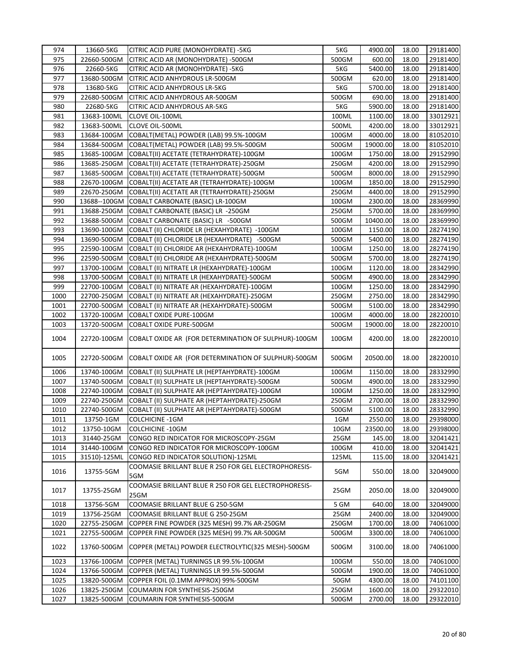| 974  | 13660-5KG    | CITRIC ACID PURE (MONOHYDRATE) -5KG                           | 5KG   | 4900.00  | 18.00 | 29181400 |
|------|--------------|---------------------------------------------------------------|-------|----------|-------|----------|
| 975  | 22660-500GM  | CITRIC ACID AR (MONOHYDRATE) -500GM                           | 500GM | 600.00   | 18.00 | 29181400 |
| 976  | 22660-5KG    | CITRIC ACID AR (MONOHYDRATE) -5KG                             | 5KG   | 5400.00  | 18.00 | 29181400 |
| 977  | 13680-500GM  | CITRIC ACID ANHYDROUS LR-500GM                                | 500GM | 620.00   | 18.00 | 29181400 |
| 978  | 13680-5KG    | <b>CITRIC ACID ANHYDROUS LR-5KG</b>                           | 5KG   | 5700.00  | 18.00 | 29181400 |
| 979  | 22680-500GM  | CITRIC ACID ANHYDROUS AR-500GM                                | 500GM | 690.00   | 18.00 | 29181400 |
| 980  | 22680-5KG    | CITRIC ACID ANHYDROUS AR-5KG                                  | 5KG   | 5900.00  | 18.00 | 29181400 |
| 981  | 13683-100ML  | <b>CLOVE OIL-100ML</b>                                        | 100ML | 1100.00  | 18.00 | 33012921 |
| 982  | 13683-500ML  | <b>CLOVE OIL-500ML</b>                                        | 500ML | 4200.00  | 18.00 | 33012921 |
| 983  | 13684-100GM  | COBALT(METAL) POWDER (LAB) 99.5%-100GM                        | 100GM | 4000.00  | 18.00 | 81052010 |
| 984  | 13684-500GM  | COBALT(METAL) POWDER (LAB) 99.5%-500GM                        | 500GM | 19000.00 | 18.00 | 81052010 |
| 985  | 13685-100GM  | COBALT(II) ACETATE (TETRAHYDRATE)-100GM                       | 100GM | 1750.00  | 18.00 | 29152990 |
| 986  | 13685-250GM  | COBALT(II) ACETATE (TETRAHYDRATE)-250GM                       | 250GM | 4200.00  | 18.00 | 29152990 |
| 987  | 13685-500GM  | COBALT(II) ACETATE (TETRAHYDRATE)-500GM                       | 500GM | 8000.00  | 18.00 | 29152990 |
| 988  | 22670-100GM  | COBALT(II) ACETATE AR (TETRAHYDRATE)-100GM                    | 100GM | 1850.00  | 18.00 | 29152990 |
| 989  | 22670-250GM  | COBALT(II) ACETATE AR (TETRAHYDRATE)-250GM                    | 250GM | 4400.00  | 18.00 | 29152990 |
| 990  |              | 13688--100GM COBALT CARBONATE (BASIC) LR-100GM                | 100GM | 2300.00  | 18.00 | 28369990 |
| 991  | 13688-250GM  | COBALT CARBONATE (BASIC) LR -250GM                            | 250GM | 5700.00  | 18.00 | 28369990 |
| 992  | 13688-500GM  | COBALT CARBONATE (BASIC) LR -500GM                            | 500GM | 10400.00 | 18.00 | 28369990 |
| 993  | 13690-100GM  | COBALT (II) CHLORIDE LR (HEXAHYDRATE) -100GM                  | 100GM | 1150.00  | 18.00 | 28274190 |
| 994  | 13690-500GM  | COBALT (II) CHLORIDE LR (HEXAHYDRATE) -500GM                  | 500GM | 5400.00  | 18.00 | 28274190 |
| 995  | 22590-100GM  | COBALT (II) CHLORIDE AR (HEXAHYDRATE)-100GM                   | 100GM | 1250.00  | 18.00 | 28274190 |
| 996  | 22590-500GM  | COBALT (II) CHLORIDE AR (HEXAHYDRATE)-500GM                   | 500GM | 5700.00  | 18.00 | 28274190 |
| 997  | 13700-100GM  | COBALT (II) NITRATE LR (HEXAHYDRATE)-100GM                    | 100GM | 1120.00  | 18.00 | 28342990 |
| 998  | 13700-500GM  | COBALT (II) NITRATE LR (HEXAHYDRATE)-500GM                    | 500GM | 4900.00  | 18.00 | 28342990 |
| 999  | 22700-100GM  | COBALT (II) NITRATE AR (HEXAHYDRATE)-100GM                    | 100GM | 1250.00  | 18.00 | 28342990 |
| 1000 | 22700-250GM  | COBALT (II) NITRATE AR (HEXAHYDRATE)-250GM                    | 250GM | 2750.00  | 18.00 | 28342990 |
| 1001 | 22700-500GM  | COBALT (II) NITRATE AR (HEXAHYDRATE)-500GM                    | 500GM | 5100.00  | 18.00 | 28342990 |
| 1002 | 13720-100GM  | COBALT OXIDE PURE-100GM                                       | 100GM | 4000.00  | 18.00 | 28220010 |
| 1003 | 13720-500GM  | COBALT OXIDE PURE-500GM                                       | 500GM | 19000.00 | 18.00 | 28220010 |
| 1004 | 22720-100GM  | COBALT OXIDE AR (FOR DETERMINATION OF SULPHUR)-100GM          | 100GM | 4200.00  | 18.00 | 28220010 |
| 1005 | 22720-500GM  | COBALT OXIDE AR (FOR DETERMINATION OF SULPHUR)-500GM          | 500GM | 20500.00 | 18.00 | 28220010 |
| 1006 | 13740-100GM  | COBALT (II) SULPHATE LR (HEPTAHYDRATE)-100GM                  | 100GM | 1150.00  | 18.00 | 28332990 |
| 1007 | 13740-500GM  | COBALT (II) SULPHATE LR (HEPTAHYDRATE)-500GM                  | 500GM | 4900.00  | 18.00 | 28332990 |
| 1008 | 22740-100GM  | COBALT (II) SULPHATE AR (HEPTAHYDRATE)-100GM                  | 100GM | 1250.00  | 18.00 | 28332990 |
| 1009 | 22740-250GM  | COBALT (II) SULPHATE AR (HEPTAHYDRATE)-250GM                  | 250GM | 2700.00  | 18.00 | 28332990 |
| 1010 | 22740-500GM  | COBALT (II) SULPHATE AR (HEPTAHYDRATE)-500GM                  | 500GM | 5100.00  | 18.00 | 28332990 |
| 1011 | 13750-1GM    | <b>COLCHICINE -1GM</b>                                        | 1GM   | 2550.00  | 18.00 | 29398000 |
| 1012 | 13750-10GM   | <b>COLCHICINE -10GM</b>                                       | 10GM  | 23500.00 | 18.00 | 29398000 |
| 1013 | 31440-25GM   | CONGO RED INDICATOR FOR MICROSCOPY-25GM                       | 25GM  | 145.00   | 18.00 | 32041421 |
| 1014 | 31440-100GM  | CONGO RED INDICATOR FOR MICROSCOPY-100GM                      | 100GM | 410.00   | 18.00 | 32041421 |
| 1015 | 31510)-125ML | CONGO RED INDICATOR SOLUTION)-125ML                           | 125ML | 115.00   | 18.00 | 32041421 |
| 1016 | 13755-5GM    | COOMASIE BRILLANT BLUE R 250 FOR GEL ELECTROPHORESIS-<br>5GM  | 5GM   | 550.00   | 18.00 | 32049000 |
| 1017 | 13755-25GM   | COOMASIE BRILLANT BLUE R 250 FOR GEL ELECTROPHORESIS-<br>25GM | 25GM  | 2050.00  | 18.00 | 32049000 |
| 1018 | 13756-5GM    | COOMASIE BRILLANT BLUE G 250-5GM                              | 5 GM  | 640.00   | 18.00 | 32049000 |
| 1019 | 13756-25GM   | COOMASIE BRILLANT BLUE G 250-25GM                             | 25GM  | 2400.00  | 18.00 | 32049000 |
| 1020 | 22755-250GM  | COPPER FINE POWDER (325 MESH) 99.7% AR-250GM                  | 250GM | 1700.00  | 18.00 | 74061000 |
| 1021 | 22755-500GM  | COPPER FINE POWDER (325 MESH) 99.7% AR-500GM                  | 500GM | 3300.00  | 18.00 | 74061000 |
| 1022 | 13760-500GM  | COPPER (METAL) POWDER ELECTROLYTIC(325 MESH)-500GM            | 500GM | 3100.00  | 18.00 | 74061000 |
| 1023 | 13766-100GM  | COPPER (METAL) TURNINGS LR 99.5%-100GM                        | 100GM | 550.00   | 18.00 | 74061000 |
| 1024 | 13766-500GM  | COPPER (METAL) TURNINGS LR 99.5%-500GM                        | 500GM | 1900.00  | 18.00 | 74061000 |
| 1025 | 13820-500GM  | COPPER FOIL (0.1MM APPROX) 99%-500GM                          | 50GM  | 4300.00  | 18.00 | 74101100 |
| 1026 | 13825-250GM  | COUMARIN FOR SYNTHESIS-250GM                                  | 250GM | 1600.00  | 18.00 | 29322010 |
| 1027 | 13825-500GM  | COUMARIN FOR SYNTHESIS-500GM                                  | 500GM | 2700.00  | 18.00 | 29322010 |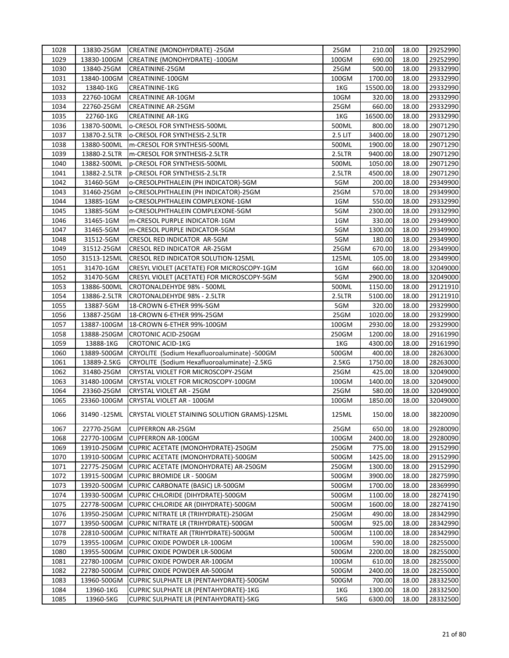| 1028 | 13830-25GM   | CREATINE (MONOHYDRATE) -25GM                               | 25GM               | 210.00   | 18.00 | 29252990 |
|------|--------------|------------------------------------------------------------|--------------------|----------|-------|----------|
| 1029 | 13830-100GM  | CREATINE (MONOHYDRATE) -100GM                              | 100GM              | 690.00   | 18.00 | 29252990 |
| 1030 | 13840-25GM   | CREATININE-25GM                                            | 25GM               | 500.00   | 18.00 | 29332990 |
| 1031 | 13840-100GM  | CREATININE-100GM                                           | 100GM              | 1700.00  | 18.00 | 29332990 |
| 1032 | 13840-1KG    | CREATININE-1KG                                             | 1KG                | 15500.00 | 18.00 | 29332990 |
| 1033 | 22760-10GM   | <b>CREATININE AR-10GM</b>                                  | 10GM               | 320.00   | 18.00 | 29332990 |
| 1034 | 22760-25GM   | <b>CREATININE AR-25GM</b>                                  | 25GM               | 660.00   | 18.00 | 29332990 |
| 1035 | 22760-1KG    | <b>CREATININE AR-1KG</b>                                   | 1KG                | 16500.00 | 18.00 | 29332990 |
| 1036 | 13870-500ML  | o-CRESOL FOR SYNTHESIS-500ML                               | 500ML              | 800.00   | 18.00 | 29071290 |
| 1037 | 13870-2.5LTR | o-CRESOL FOR SYNTHESIS-2.5LTR                              | 2.5 LIT            | 3400.00  | 18.00 | 29071290 |
| 1038 | 13880-500ML  | m-CRESOL FOR SYNTHESIS-500ML                               | 500ML              | 1900.00  | 18.00 | 29071290 |
| 1039 | 13880-2.5LTR | m-CRESOL FOR SYNTHESIS-2.5LTR                              | 2.5LTR             | 9400.00  | 18.00 | 29071290 |
| 1040 | 13882-500ML  | p-CRESOL FOR SYNTHESIS-500ML                               | 500ML              | 1050.00  | 18.00 | 29071290 |
| 1041 | 13882-2.5LTR | p-CRESOL FOR SYNTHESIS-2.5LTR                              | 2.5LTR             | 4500.00  | 18.00 | 29071290 |
| 1042 | 31460-5GM    | o-CRESOLPHTHALEIN (PH INDICATOR)-5GM                       | 5GM                | 200.00   | 18.00 | 29349900 |
| 1043 | 31460-25GM   | o-CRESOLPHTHALEIN (PH INDICATOR)-25GM                      | 25GM               | 570.00   | 18.00 | 29349900 |
| 1044 | 13885-1GM    | o-CRESOLPHTHALEIN COMPLEXONE-1GM                           | 1GM                | 550.00   | 18.00 | 29332990 |
| 1045 | 13885-5GM    | o-CRESOLPHTHALEIN COMPLEXONE-5GM                           | 5GM                | 2300.00  | 18.00 | 29332990 |
| 1046 | 31465-1GM    | m-CRESOL PURPLE INDICATOR-1GM                              | 1GM                | 330.00   | 18.00 | 29349900 |
|      |              |                                                            | 5GM                |          |       | 29349900 |
| 1047 | 31465-5GM    | m-CRESOL PURPLE INDICATOR-5GM                              |                    | 1300.00  | 18.00 |          |
| 1048 | 31512-5GM    | CRESOL RED INDICATOR AR-5GM                                | 5GM                | 180.00   | 18.00 | 29349900 |
| 1049 | 31512-25GM   | CRESOL RED INDICATOR AR-25GM                               | 25GM               | 670.00   | 18.00 | 29349900 |
| 1050 | 31513-125ML  | CRESOL RED INDICATOR SOLUTION-125ML                        | 125ML              | 105.00   | 18.00 | 29349900 |
| 1051 | 31470-1GM    | CRESYL VIOLET (ACETATE) FOR MICROSCOPY-1GM                 | 1GM                | 660.00   | 18.00 | 32049000 |
| 1052 | 31470-5GM    | CRESYL VIOLET (ACETATE) FOR MICROSCOPY-5GM                 | 5GM                | 2900.00  | 18.00 | 32049000 |
| 1053 | 13886-500ML  | CROTONALDEHYDE 98% - 500ML                                 | 500ML              | 1150.00  | 18.00 | 29121910 |
| 1054 | 13886-2.5LTR | CROTONALDEHYDE 98% - 2.5LTR                                | 2.5LTR             | 5100.00  | 18.00 | 29121910 |
| 1055 | 13887-5GM    | 18-CROWN 6-ETHER 99%-5GM                                   | 5GM                | 320.00   | 18.00 | 29329900 |
| 1056 | 13887-25GM   | 18-CROWN 6-ETHER 99%-25GM                                  | 25GM               | 1020.00  | 18.00 | 29329900 |
| 1057 | 13887-100GM  | 18-CROWN 6-ETHER 99%-100GM                                 | 100GM              | 2930.00  | 18.00 | 29329900 |
| 1058 | 13888-250GM  | CROTONIC ACID-250GM                                        | 250GM              | 1200.00  | 18.00 | 29161990 |
| 1059 | 13888-1KG    | <b>CROTONIC ACID-1KG</b>                                   | 1KG                | 4300.00  | 18.00 | 29161990 |
| 1060 | 13889-500GM  | CRYOLITE (Sodium Hexafluoroaluminate) -500GM               | 500GM              | 400.00   | 18.00 | 28263000 |
| 1061 | 13889-2.5KG  | CRYOLITE (Sodium Hexafluoroaluminate) -2.5KG               | 2.5 <sub>K</sub> G | 1750.00  | 18.00 | 28263000 |
| 1062 | 31480-25GM   | CRYSTAL VIOLET FOR MICROSCOPY-25GM                         | 25GM               | 425.00   | 18.00 | 32049000 |
| 1063 | 31480-100GM  | CRYSTAL VIOLET FOR MICROSCOPY-100GM                        | 100GM              | 1400.00  | 18.00 | 32049000 |
| 1064 | 23360-25GM   | CRYSTAL VIOLET AR - 25GM                                   | 25GM               | 580.00   | 18.00 | 32049000 |
| 1065 | 23360-100GM  | CRYSTAL VIOLET AR - 100GM                                  | 100GM              | 1850.00  | 18.00 | 32049000 |
| 1066 |              | 31490 -125ML CRYSTAL VIOLET STAINING SOLUTION GRAMS)-125ML | 125ML              | 150.00   | 18.00 | 38220090 |
| 1067 | 22770-25GM   | <b>CUPFERRON AR-25GM</b>                                   | 25GM               | 650.00   | 18.00 | 29280090 |
| 1068 | 22770-100GM  | <b>CUPFERRON AR-100GM</b>                                  | 100GM              | 2400.00  | 18.00 | 29280090 |
| 1069 | 13910-250GM  | CUPRIC ACETATE (MONOHYDRATE)-250GM                         | 250GM              | 775.00   | 18.00 | 29152990 |
| 1070 | 13910-500GM  | CUPRIC ACETATE (MONOHYDRATE)-500GM                         | 500GM              | 1425.00  | 18.00 | 29152990 |
| 1071 | 22775-250GM  | CUPRIC ACETATE (MONOHYDRATE) AR-250GM                      | 250GM              | 1300.00  | 18.00 | 29152990 |
| 1072 | 13915-500GM  | <b>CUPRIC BROMIDE LR - 500GM</b>                           | 500GM              | 3900.00  | 18.00 | 28275990 |
| 1073 | 13920-500GM  | CUPRIC CARBONATE (BASIC) LR-500GM                          | 500GM              | 1700.00  | 18.00 | 28369990 |
| 1074 | 13930-500GM  | CUPRIC CHLORIDE (DIHYDRATE)-500GM                          | 500GM              | 1100.00  | 18.00 | 28274190 |
| 1075 | 22778-500GM  | CUPRIC CHLORIDE AR (DIHYDRATE)-500GM                       | 500GM              | 1600.00  | 18.00 | 28274190 |
| 1076 | 13950-250GM  | CUPRIC NITRATE LR (TRIHYDRATE)-250GM                       | 250GM              | 490.00   | 18.00 | 28342990 |
| 1077 | 13950-500GM  | <b>CUPRIC NITRATE LR (TRIHYDRATE)-500GM</b>                | 500GM              | 925.00   | 18.00 | 28342990 |
| 1078 | 22810-500GM  | CUPRIC NITRATE AR (TRIHYDRATE)-500GM                       | 500GM              | 1100.00  | 18.00 | 28342990 |
| 1079 | 13955-100GM  | CUPRIC OXIDE POWDER LR-100GM                               | 100GM              | 590.00   | 18.00 | 28255000 |
| 1080 |              |                                                            | 500GM              | 2200.00  |       |          |
|      | 13955-500GM  | <b>CUPRIC OXIDE POWDER LR-500GM</b>                        |                    |          | 18.00 | 28255000 |
| 1081 | 22780-100GM  | CUPRIC OXIDE POWDER AR-100GM                               | 100GM              | 610.00   | 18.00 | 28255000 |
| 1082 | 22780-500GM  | CUPRIC OXIDE POWDER AR-500GM                               | 500GM              | 2400.00  | 18.00 | 28255000 |
| 1083 | 13960-500GM  | CUPRIC SULPHATE LR (PENTAHYDRATE)-500GM                    | 500GM              | 700.00   | 18.00 | 28332500 |
| 1084 | 13960-1KG    | CUPRIC SULPHATE LR (PENTAHYDRATE)-1KG                      | 1KG                | 1300.00  | 18.00 | 28332500 |
| 1085 | 13960-5KG    | CUPRIC SULPHATE LR (PENTAHYDRATE)-5KG                      | 5KG                | 6300.00  | 18.00 | 28332500 |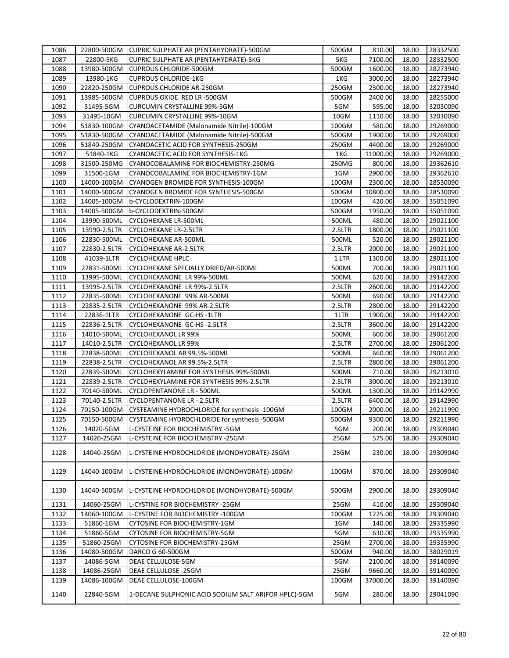| 1086 |              | 22800-500GM CUPRIC SULPHATE AR (PENTAHYDRATE)-500GM  | 500GM  | 810.00   | 18.00 | 28332500 |
|------|--------------|------------------------------------------------------|--------|----------|-------|----------|
| 1087 | 22800-5KG    | CUPRIC SULPHATE AR (PENTAHYDRATE)-5KG                | 5KG    | 7100.00  | 18.00 | 28332500 |
| 1088 | 13980-500GM  | <b>CUPROUS CHLORIDE-500GM</b>                        | 500GM  | 1600.00  | 18.00 | 28273940 |
| 1089 | 13980-1KG    | <b>CUPROUS CHLORIDE-1KG</b>                          | 1KG    | 3000.00  | 18.00 | 28273940 |
| 1090 | 22820-250GM  | <b>CUPROUS CHLORIDE AR-250GM</b>                     | 250GM  | 2300.00  | 18.00 | 28273940 |
| 1091 | 13985-500GM  | CUPROUS OXIDE RED LR-500GM                           | 500GM  | 2400.00  | 18.00 | 28255000 |
| 1092 | 31495-5GM    | <b>CURCUMIN CRYSTALLINE 99%-5GM</b>                  | 5GM    | 595.00   | 18.00 | 32030090 |
| 1093 | 31495-10GM   | CURCUMIN CRYSTALLINE 99%-10GM                        | 10GM   | 1110.00  | 18.00 | 32030090 |
| 1094 | 51830-100GM  | CYANOACETAMIDE (Malonamide Nitrile)-100GM            | 100GM  | 580.00   | 18.00 | 29269000 |
| 1095 | 51830-500GM  | CYANOACETAMIDE (Malonamide Nitrile)-500GM            | 500GM  | 1900.00  | 18.00 | 29269000 |
| 1096 | 51840-250GM  | CYANOACETIC ACID FOR SYNTHESIS-250GM                 | 250GM  | 4400.00  | 18.00 | 29269000 |
| 1097 | 51840-1KG    | CYANOACETIC ACID FOR SYNTHESIS-1KG                   | 1KG    | 11000.00 | 18.00 | 29269000 |
| 1098 | 31500-250MG  | CYANOCOBALAMINE FOR BIOCHEMISTRY-250MG               | 250MG  | 800.00   | 18.00 | 29362610 |
| 1099 | 31500-1GM    | CYANOCOBALAMINE FOR BIOCHEMISTRY-1GM                 | 1GM    | 2900.00  | 18.00 | 29362610 |
| 1100 | 14000-100GM  | CYANOGEN BROMIDE FOR SYNTHESIS-100GM                 | 100GM  | 2300.00  | 18.00 | 28530090 |
| 1101 | 14000-500GM  | CYANOGEN BROMIDE FOR SYNTHESIS-500GM                 | 500GM  | 10800.00 | 18.00 | 28530090 |
| 1102 | 14005-100GM  | b-CYCLODEXTRIN-100GM                                 | 100GM  | 420.00   | 18.00 | 35051090 |
| 1103 | 14005-500GM  | b-CYCLODEXTRIN-500GM                                 | 500GM  | 1950.00  | 18.00 | 35051090 |
| 1104 | 13990-500ML  | CYCLOHEXANE LR-500ML                                 | 500ML  | 480.00   | 18.00 | 29021100 |
| 1105 | 13990-2.5LTR | <b>CYCLOHEXANE LR-2.5LTR</b>                         | 2.5LTR | 1800.00  | 18.00 | 29021100 |
| 1106 | 22830-500ML  | <b>CYCLOHEXANE AR-500ML</b>                          | 500ML  | 520.00   | 18.00 | 29021100 |
| 1107 | 22830-2.5LTR | CYCLOHEXANE AR-2.5LTR                                | 2.5LTR | 2000.00  | 18.00 | 29021100 |
| 1108 | 41039-1LTR   | <b>CYCLOHEXANE HPLC</b>                              | 1 LTR  | 1300.00  | 18.00 | 29021100 |
| 1109 |              | CYCLOHEXANE SPECIALLY DRIED/AR-500ML                 | 500ML  |          |       |          |
|      | 22831-500ML  |                                                      |        | 700.00   | 18.00 | 29021100 |
| 1110 | 13995-500ML  | CYCLOHEXANONE LR 99%-500ML                           | 500ML  | 620.00   | 18.00 | 29142200 |
| 1111 | 13995-2.5LTR | CYCLOHEXANONE LR 99%-2.5LTR                          | 2.5LTR | 2600.00  | 18.00 | 29142200 |
| 1112 | 22835-500ML  | CYCLOHEXANONE 99% AR-500ML                           | 500ML  | 690.00   | 18.00 | 29142200 |
| 1113 | 22835-2.5LTR | CYCLOHEXANONE 99% AR-2.5LTR                          | 2.5LTR | 2800.00  | 18.00 | 29142200 |
| 1114 | 22836-1LTR   | CYCLOHEXANONE GC-HS-1LTR                             | 1LTR   | 1900.00  | 18.00 | 29142200 |
| 1115 | 22836-2.5LTR | CYCLOHEXANONE GC-HS-2.5LTR                           | 2.5LTR | 3600.00  | 18.00 | 29142200 |
| 1116 | 14010-500ML  | CYCLOHEXANOL LR 99%                                  | 500ML  | 600.00   | 18.00 | 29061200 |
| 1117 | 14010-2.5LTR | CYCLOHEXANOL LR 99%                                  | 2.5LTR | 2700.00  | 18.00 | 29061200 |
| 1118 | 22838-500ML  | CYCLOHEXANOL AR 99.5%-500ML                          | 500ML  | 660.00   | 18.00 | 29061200 |
| 1119 | 22838-2.5LTR | CYCLOHEXANOL AR 99.5%-2.5LTR                         | 2.5LTR | 2800.00  | 18.00 | 29061200 |
| 1120 | 22839-500ML  | CYCLOHEXYLAMINE FOR SYNTHESIS 99%-500ML              | 500ML  | 710.00   | 18.00 | 29213010 |
| 1121 | 22839-2.5LTR | CYCLOHEXYLAMINE FOR SYNTHESIS 99%-2.5LTR             | 2.5LTR | 3000.00  | 18.00 | 29213010 |
| 1122 | 70140-500ML  | <b>CYCLOPENTANONE LR - 500ML</b>                     | 500ML  | 1300.00  | 18.00 | 29142990 |
| 1123 | 70140-2.5LTR | <b>CYCLOPENTANONE LR - 2.5LTR</b>                    | 2.5LTR | 6400.00  | 18.00 | 29142990 |
| 1124 | 70150-100GM  | CYSTEAMINE HYDROCHLORIDE for synthesis -100GM        | 100GM  | 2000.00  | 18.00 | 29211990 |
| 1125 | 70150-500GM  | CYSTEAMINE HYDROCHLORIDE for synthesis -500GM        | 500GM  | 9300.00  | 18.00 | 29211990 |
| 1126 | 14020-5GM    | L-CYSTEINE FOR BIOCHEMISTRY -5GM                     | 5GM    | 200.00   | 18.00 | 29309040 |
| 1127 | 14020-25GM   | L-CYSTEINE FOR BIOCHEMISTRY -25GM                    | 25GM   | 575.00   | 18.00 | 29309040 |
| 1128 | 14040-25GM   | L-CYSTEINE HYDROCHLORIDE (MONOHYDRATE)-25GM          | 25GM   | 230.00   | 18.00 | 29309040 |
| 1129 | 14040-100GM  | L-CYSTEINE HYDROCHLORIDE (MONOHYDRATE)-100GM         | 100GM  | 870.00   | 18.00 | 29309040 |
| 1130 | 14040-500GM  | L-CYSTEINE HYDROCHLORIDE (MONOHYDRATE)-500GM         | 500GM  | 2900.00  | 18.00 | 29309040 |
| 1131 | 14060-25GM   | L-CYSTINE FOR BIOCHEMISTRY -25GM                     | 25GM   | 410.00   | 18.00 | 29309040 |
| 1132 | 14060-100GM  | L-CYSTINE FOR BIOCHEMISTRY -100GM                    | 100GM  | 1225.00  | 18.00 | 29309040 |
| 1133 | 51860-1GM    | CYTOSINE FOR BIOCHEMISTRY-1GM                        | 1GM    | 140.00   | 18.00 | 29335990 |
| 1134 | 51860-5GM    | CYTOSINE FOR BIOCHEMISTRY-5GM                        | 5GM    | 630.00   | 18.00 | 29335990 |
| 1135 | 51860-25GM   | CYTOSINE FOR BIOCHEMISTRY-25GM                       | 25GM   | 2700.00  | 18.00 | 29335990 |
| 1136 | 14080-500GM  | DARCO G 60-500GM                                     | 500GM  | 940.00   | 18.00 | 38029019 |
| 1137 | 14086-5GM    | DEAE CELLULOSE-5GM                                   | 5GM    | 2100.00  | 18.00 | 39140090 |
| 1138 | 14086-25GM   | DEAE CELLULOSE -25GM                                 | 25GM   | 9660.00  | 18.00 | 39140090 |
| 1139 | 14086-100GM  |                                                      |        | 37000.00 |       |          |
|      |              | DEAE CELLULOSE-100GM                                 | 100GM  |          | 18.00 | 39140090 |
| 1140 | 22840-5GM    | 1-DECANE SULPHONIC ACID SODIUM SALT AR(FOR HPLC)-5GM | 5GM    | 280.00   | 18.00 | 29041090 |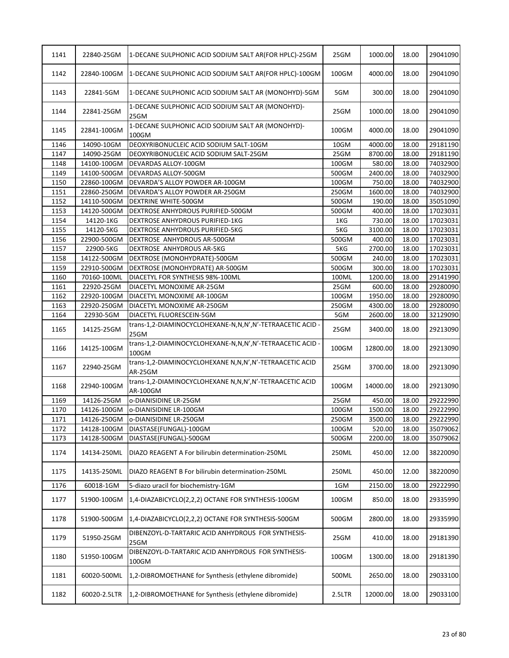| 1141 | 22840-25GM   | 1-DECANE SULPHONIC ACID SODIUM SALT AR(FOR HPLC)-25GM                     | 25GM   | 1000.00  | 18.00 | 29041090 |
|------|--------------|---------------------------------------------------------------------------|--------|----------|-------|----------|
| 1142 | 22840-100GM  | 1-DECANE SULPHONIC ACID SODIUM SALT AR(FOR HPLC)-100GM                    | 100GM  | 4000.00  | 18.00 | 29041090 |
| 1143 | 22841-5GM    | 1-DECANE SULPHONIC ACID SODIUM SALT AR (MONOHYD)-5GM                      | 5GM    | 300.00   | 18.00 | 29041090 |
| 1144 | 22841-25GM   | 1-DECANE SULPHONIC ACID SODIUM SALT AR (MONOHYD)-<br>25GM                 | 25GM   | 1000.00  | 18.00 | 29041090 |
| 1145 | 22841-100GM  | 1-DECANE SULPHONIC ACID SODIUM SALT AR (MONOHYD)-<br>100GM                | 100GM  | 4000.00  | 18.00 | 29041090 |
| 1146 | 14090-10GM   | DEOXYRIBONUCLEIC ACID SODIUM SALT-10GM                                    | 10GM   | 4000.00  | 18.00 | 29181190 |
| 1147 | 14090-25GM   | DEOXYRIBONUCLEIC ACID SODIUM SALT-25GM                                    | 25GM   | 8700.00  | 18.00 | 29181190 |
| 1148 | 14100-100GM  | DEVARDAS ALLOY-100GM                                                      | 100GM  | 580.00   | 18.00 | 74032900 |
| 1149 | 14100-500GM  | DEVARDAS ALLOY-500GM                                                      | 500GM  | 2400.00  | 18.00 | 74032900 |
| 1150 | 22860-100GM  | DEVARDA'S ALLOY POWDER AR-100GM                                           | 100GM  | 750.00   | 18.00 | 74032900 |
| 1151 | 22860-250GM  | DEVARDA'S ALLOY POWDER AR-250GM                                           | 250GM  | 1600.00  | 18.00 | 74032900 |
| 1152 | 14110-500GM  | DEXTRINE WHITE-500GM                                                      | 500GM  | 190.00   | 18.00 | 35051090 |
| 1153 | 14120-500GM  | DEXTROSE ANHYDROUS PURIFIED-500GM                                         | 500GM  | 400.00   | 18.00 | 17023031 |
| 1154 | 14120-1KG    | DEXTROSE ANHYDROUS PURIFIED-1KG                                           | 1KG    | 730.00   | 18.00 | 17023031 |
| 1155 | 14120-5KG    | DEXTROSE ANHYDROUS PURIFIED-5KG                                           | 5KG    | 3100.00  | 18.00 | 17023031 |
| 1156 | 22900-500GM  | DEXTROSE ANHYDROUS AR-500GM                                               | 500GM  | 400.00   | 18.00 | 17023031 |
| 1157 | 22900-5KG    | DEXTROSE ANHYDROUS AR-5KG                                                 | 5KG    | 2700.00  | 18.00 | 17023031 |
| 1158 | 14122-500GM  | DEXTROSE (MONOHYDRATE)-500GM                                              | 500GM  | 240.00   | 18.00 | 17023031 |
|      |              |                                                                           |        |          |       |          |
| 1159 | 22910-500GM  | DEXTROSE (MONOHYDRATE) AR-500GM                                           | 500GM  | 300.00   | 18.00 | 17023031 |
| 1160 | 70160-100ML  | DIACETYL FOR SYNTHESIS 98%-100ML                                          | 100ML  | 1200.00  | 18.00 | 29141990 |
| 1161 | 22920-25GM   | DIACETYL MONOXIME AR-25GM                                                 | 25GM   | 600.00   | 18.00 | 29280090 |
| 1162 | 22920-100GM  | DIACETYL MONOXIME AR-100GM                                                | 100GM  | 1950.00  | 18.00 | 29280090 |
| 1163 | 22920-250GM  | DIACETYL MONOXIME AR-250GM                                                | 250GM  | 4300.00  | 18.00 | 29280090 |
| 1164 | 22930-5GM    | DIACETYL FLUORESCEIN-5GM                                                  | 5GM    | 2600.00  | 18.00 | 32129090 |
| 1165 | 14125-25GM   | trans-1,2-DIAMINOCYCLOHEXANE-N,N,N',N'-TETRAACETIC ACID -<br>25GM         | 25GM   | 3400.00  | 18.00 | 29213090 |
| 1166 | 14125-100GM  | trans-1,2-DIAMINOCYCLOHEXANE-N,N,N',N'-TETRAACETIC ACID -<br>100GM        | 100GM  | 12800.00 | 18.00 | 29213090 |
| 1167 | 22940-25GM   | trans-1,2-DIAMINOCYCLOHEXANE N,N,N',N'-TETRAACETIC ACID<br><b>AR-25GM</b> | 25GM   | 3700.00  | 18.00 | 29213090 |
| 1168 | 22940-100GM  | trans-1,2-DIAMINOCYCLOHEXANE N,N,N',N'-TETRAACETIC ACID<br>AR-100GM       | 100GM  | 14000.00 | 18.00 | 29213090 |
| 1169 | 14126-25GM   | o-DIANISIDINE LR-25GM                                                     | 25GM   | 450.00   | 18.00 | 29222990 |
| 1170 | 14126-100GM  | o-DIANISIDINE LR-100GM                                                    | 100GM  | 1500.00  | 18.00 | 29222990 |
| 1171 | 14126-250GM  | o-DIANISIDINE LR-250GM                                                    | 250GM  | 3500.00  | 18.00 | 29222990 |
| 1172 | 14128-100GM  | DIASTASE(FUNGAL)-100GM                                                    | 100GM  | 520.00   | 18.00 | 35079062 |
| 1173 | 14128-500GM  | DIASTASE(FUNGAL)-500GM                                                    | 500GM  | 2200.00  | 18.00 | 35079062 |
| 1174 | 14134-250ML  | DIAZO REAGENT A For bilirubin determination-250ML                         | 250ML  | 450.00   | 12.00 | 38220090 |
| 1175 | 14135-250ML  | DIAZO REAGENT B For bilirubin determination-250ML                         | 250ML  | 450.00   | 12.00 | 38220090 |
| 1176 | 60018-1GM    | 5-diazo uracil for biochemistry-1GM                                       | 1GM    | 2150.00  | 18.00 | 29222990 |
| 1177 | 51900-100GM  | 1,4-DIAZABICYCLO(2,2,2) OCTANE FOR SYNTHESIS-100GM                        | 100GM  | 850.00   | 18.00 | 29335990 |
| 1178 | 51900-500GM  | 1,4-DIAZABICYCLO(2,2,2) OCTANE FOR SYNTHESIS-500GM                        | 500GM  | 2800.00  | 18.00 | 29335990 |
| 1179 | 51950-25GM   | DIBENZOYL-D-TARTARIC ACID ANHYDROUS FOR SYNTHESIS-<br>25GM                | 25GM   | 410.00   | 18.00 | 29181390 |
| 1180 | 51950-100GM  | DIBENZOYL-D-TARTARIC ACID ANHYDROUS FOR SYNTHESIS-<br>100GM               | 100GM  | 1300.00  | 18.00 | 29181390 |
| 1181 | 60020-500ML  | 1,2-DIBROMOETHANE for Synthesis (ethylene dibromide)                      | 500ML  | 2650.00  | 18.00 | 29033100 |
| 1182 | 60020-2.5LTR | 1,2-DIBROMOETHANE for Synthesis (ethylene dibromide)                      | 2.5LTR | 12000.00 | 18.00 | 29033100 |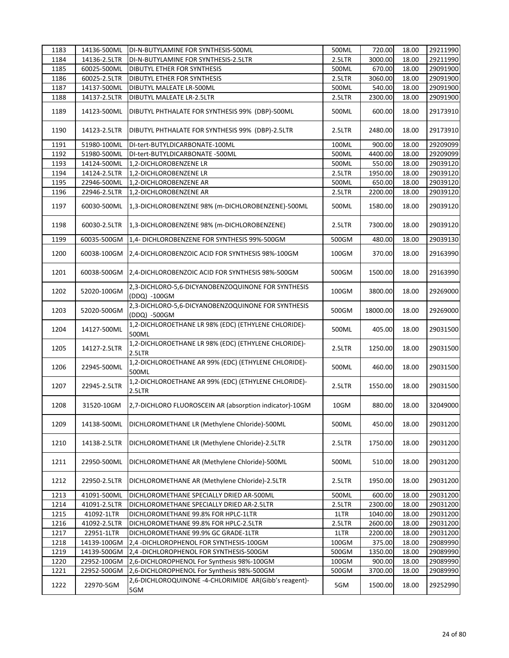| 1183 | 14136-500ML  | DI-N-BUTYLAMINE FOR SYNTHESIS-500ML                                | 500ML    | 720.00   | 18.00 | 29211990 |
|------|--------------|--------------------------------------------------------------------|----------|----------|-------|----------|
| 1184 | 14136-2.5LTR | DI-N-BUTYLAMINE FOR SYNTHESIS-2.5LTR                               | 2.5LTR   | 3000.00  | 18.00 | 29211990 |
| 1185 | 60025-500ML  | DIBUTYL ETHER FOR SYNTHESIS                                        | 500ML    | 670.00   | 18.00 | 29091900 |
| 1186 | 60025-2.5LTR | DIBUTYL ETHER FOR SYNTHESIS                                        | 2.5LTR   | 3060.00  | 18.00 | 29091900 |
| 1187 | 14137-500ML  | DIBUTYL MALEATE LR-500ML                                           | 500ML    | 540.00   | 18.00 | 29091900 |
| 1188 | 14137-2.5LTR | DIBUTYL MALEATE LR-2.5LTR                                          | 2.5LTR   | 2300.00  | 18.00 | 29091900 |
| 1189 | 14123-500ML  | DIBUTYL PHTHALATE FOR SYNTHESIS 99% (DBP)-500ML                    | 500ML    | 600.00   | 18.00 | 29173910 |
| 1190 | 14123-2.5LTR | DIBUTYL PHTHALATE FOR SYNTHESIS 99% (DBP)-2.5LTR                   | 2.5LTR   | 2480.00  | 18.00 | 29173910 |
| 1191 | 51980-100ML  | DI-tert-BUTYLDICARBONATE-100ML                                     | 100ML    | 900.00   | 18.00 | 29209099 |
| 1192 | 51980-500ML  | DI-tert-BUTYLDICARBONATE -500ML                                    | 500ML    | 4400.00  | 18.00 | 29209099 |
| 1193 | 14124-500ML  | 1,2-DICHLOROBENZENE LR                                             | 500ML    | 550.00   | 18.00 | 29039120 |
| 1194 | 14124-2.5LTR | 1,2-DICHLOROBENZENE LR                                             | 2.5LTR   | 1950.00  | 18.00 | 29039120 |
| 1195 | 22946-500ML  | 1,2-DICHLOROBENZENE AR                                             | 500ML    | 650.00   | 18.00 | 29039120 |
| 1196 | 22946-2.5LTR | 1,2-DICHLOROBENZENE AR                                             | 2.5LTR   | 2200.00  | 18.00 | 29039120 |
| 1197 | 60030-500ML  | 1,3-DICHLOROBENZENE 98% (m-DICHLOROBENZENE)-500ML                  | 500ML    | 1580.00  | 18.00 | 29039120 |
| 1198 | 60030-2.5LTR | 1,3-DICHLOROBENZENE 98% (m-DICHLOROBENZENE)                        | 2.5LTR   | 7300.00  | 18.00 | 29039120 |
| 1199 | 60035-500GM  | 1,4- DICHLOROBENZENE FOR SYNTHESIS 99%-500GM                       | 500GM    | 480.00   | 18.00 | 29039130 |
| 1200 | 60038-100GM  | 2,4-DICHLOROBENZOIC ACID FOR SYNTHESIS 98%-100GM                   | 100GM    | 370.00   | 18.00 | 29163990 |
| 1201 | 60038-500GM  | 2,4-DICHLOROBENZOIC ACID FOR SYNTHESIS 98%-500GM                   | 500GM    | 1500.00  | 18.00 | 29163990 |
| 1202 | 52020-100GM  | 2,3-DICHLORO-5,6-DICYANOBENZOQUINONE FOR SYNTHESIS<br>(DDQ) -100GM | 100GM    | 3800.00  | 18.00 | 29269000 |
| 1203 | 52020-500GM  | 2,3-DICHLORO-5,6-DICYANOBENZOQUINONE FOR SYNTHESIS<br>(DDQ) -500GM | 500GM    | 18000.00 | 18.00 | 29269000 |
| 1204 | 14127-500ML  | 1,2-DICHLOROETHANE LR 98% (EDC) (ETHYLENE CHLORIDE)-<br>500ML      | 500ML    | 405.00   | 18.00 | 29031500 |
| 1205 | 14127-2.5LTR | 1,2-DICHLOROETHANE LR 98% (EDC) (ETHYLENE CHLORIDE)-<br>2.5LTR     | 2.5LTR   | 1250.00  | 18.00 | 29031500 |
| 1206 | 22945-500ML  | 1,2-DICHLOROETHANE AR 99% (EDC) (ETHYLENE CHLORIDE)-<br>500ML      | 500ML    | 460.00   | 18.00 | 29031500 |
| 1207 | 22945-2.5LTR | 1,2-DICHLOROETHANE AR 99% (EDC) (ETHYLENE CHLORIDE)-<br>2.5LTR     | 2.5LTR   | 1550.00  | 18.00 | 29031500 |
| 1208 | 31520-10GM   | 2,7-DICHLORO FLUOROSCEIN AR (absorption indicator)-10GM            | 10GM     | 880.00   | 18.00 | 32049000 |
| 1209 | 14138-500ML  | DICHLOROMETHANE LR (Methylene Chloride)-500ML                      | 500ML    | 450.00   | 18.00 | 29031200 |
| 1210 | 14138-2.5LTR | DICHLOROMETHANE LR (Methylene Chloride)-2.5LTR                     | 2.5LTR   | 1750.00  | 18.00 | 29031200 |
| 1211 | 22950-500ML  | DICHLOROMETHANE AR (Methylene Chloride)-500ML                      | 500ML    | 510.00   | 18.00 | 29031200 |
| 1212 | 22950-2.5LTR | DICHLOROMETHANE AR (Methylene Chloride)-2.5LTR                     | 2.5LTR   | 1950.00  | 18.00 | 29031200 |
| 1213 | 41091-500ML  | DICHLOROMETHANE SPECIALLY DRIED AR-500ML                           | 500ML    | 600.00   | 18.00 | 29031200 |
| 1214 | 41091-2.5LTR | DICHLOROMETHANE SPECIALLY DRIED AR-2.5LTR                          | 2.5LTR   | 2300.00  | 18.00 | 29031200 |
| 1215 | 41092-1LTR   | DICHLOROMETHANE 99.8% FOR HPLC-1LTR                                | 1LTR     | 1040.00  | 18.00 | 29031200 |
| 1216 | 41092-2.5LTR | DICHLOROMETHANE 99.8% FOR HPLC-2.5LTR                              | 2.5LTR   | 2600.00  | 18.00 | 29031200 |
| 1217 | 22951-1LTR   | DICHLOROMETHANE 99.9% GC GRADE-1LTR                                | 1LTR     | 2200.00  | 18.00 | 29031200 |
| 1218 | 14139-100GM  | 2,4 -DICHLOROPHENOL FOR SYNTHESIS-100GM                            | 100GM    | 375.00   | 18.00 | 29089990 |
| 1219 | 14139-500GM  | 2,4 - DICHLOROPHENOL FOR SYNTHESIS-500GM                           | 500GM    | 1350.00  | 18.00 | 29089990 |
| 1220 | 22952-100GM  | 2,6-DICHLOROPHENOL For Synthesis 98%-100GM                         | $100$ GM | 900.00   | 18.00 | 29089990 |
| 1221 | 22952-500GM  | 2,6-DICHLOROPHENOL For Synthesis 98%-500GM                         | 500GM    | 3700.00  | 18.00 | 29089990 |
| 1222 | 22970-5GM    | 2,6-DICHLOROQUINONE -4-CHLORIMIDE AR(Gibb's reagent)-<br>5GM       | 5GM      | 1500.00  | 18.00 | 29252990 |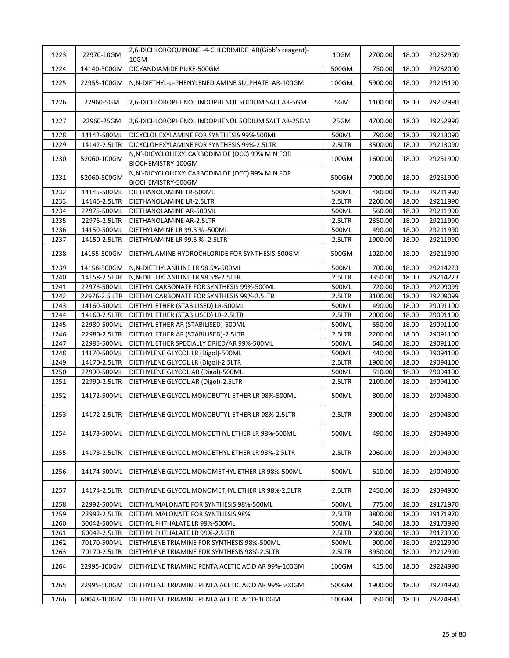| 1223 | 22970-10GM    | 2,6-DICHLOROQUINONE -4-CHLORIMIDE AR(Gibb's reagent)-<br>10GM         | 10GM   | 2700.00 | 18.00 | 29252990 |
|------|---------------|-----------------------------------------------------------------------|--------|---------|-------|----------|
| 1224 | 14140-500GM   | DICYANDIAMIDE PURE-500GM                                              | 500GM  | 750.00  | 18.00 | 29262000 |
| 1225 | 22955-100GM   | N, N-DIETHYL-p-PHENYLENEDIAMINE SULPHATE AR-100GM                     | 100GM  | 5900.00 | 18.00 | 29215190 |
| 1226 | 22960-5GM     | 2,6-DICHLOROPHENOL INDOPHENOL SODIUM SALT AR-5GM                      | 5GM    | 1100.00 | 18.00 | 29252990 |
| 1227 | 22960-25GM    | 2,6-DICHLOROPHENOL INDOPHENOL SODIUM SALT AR-25GM                     | 25GM   | 4700.00 | 18.00 | 29252990 |
| 1228 | 14142-500ML   | DICYCLOHEXYLAMINE FOR SYNTHESIS 99%-500ML                             | 500ML  | 790.00  | 18.00 | 29213090 |
| 1229 | 14142-2.5LTR  | DICYCLOHEXYLAMINE FOR SYNTHESIS 99%-2.5LTR                            | 2.5LTR | 3500.00 | 18.00 | 29213090 |
| 1230 | 52060-100GM   | N,N'-DICYCLOHEXYLCARBODIMIDE (DCC) 99% MIN FOR<br>BIOCHEMISTRY-100GM  | 100GM  | 1600.00 | 18.00 | 29251900 |
| 1231 | 52060-500GM   | N, N'-DICYCLOHEXYLCARBODIMIDE (DCC) 99% MIN FOR<br>BIOCHEMISTRY-500GM | 500GM  | 7000.00 | 18.00 | 29251900 |
| 1232 | 14145-500ML   | DIETHANOLAMINE LR-500ML                                               | 500ML  | 480.00  | 18.00 | 29211990 |
| 1233 | 14145-2.5LTR  | DIETHANOLAMINE LR-2.5LTR                                              | 2.5LTR | 2200.00 | 18.00 | 29211990 |
| 1234 | 22975-500ML   | DIETHANOLAMINE AR-500ML                                               | 500ML  | 560.00  | 18.00 | 29211990 |
| 1235 | 22975-2.5LTR  | DIETHANOLAMINE AR-2.5LTR                                              | 2.5LTR | 2350.00 | 18.00 | 29211990 |
| 1236 | 14150-500ML   | DIETHYLAMINE LR 99.5 % -500ML                                         | 500ML  | 490.00  | 18.00 | 29211990 |
| 1237 | 14150-2.5LTR  | DIETHYLAMINE LR 99.5 % -2.5LTR                                        | 2.5LTR | 1900.00 | 18.00 | 29211990 |
| 1238 | 14155-500GM   | DIETHYL AMINE HYDROCHLORIDE FOR SYNTHESIS-500GM                       | 500GM  | 1020.00 | 18.00 | 29211990 |
| 1239 | 14158-500GM   | N,N-DIETHYLANILINE LR 98.5%-500ML                                     | 500ML  | 700.00  | 18.00 | 29214223 |
| 1240 | 14158-2.5LTR  | N, N-DIETHYLANILINE LR 98.5%-2.5LTR                                   | 2.5LTR | 3350.00 | 18.00 | 29214223 |
| 1241 | 22976-500ML   | DIETHYL CARBONATE FOR SYNTHESIS 99%-500ML                             | 500ML  | 720.00  | 18.00 | 29209099 |
| 1242 | 22976-2.5 LTR | DIETHYL CARBONATE FOR SYNTHESIS 99%-2.5LTR                            | 2.5LTR | 3100.00 | 18.00 | 29209099 |
| 1243 | 14160-500ML   | DIETHYL ETHER (STABILISED) LR-500ML                                   | 500ML  | 490.00  | 18.00 | 29091100 |
| 1244 | 14160-2.5LTR  | DIETHYL ETHER (STABILISED) LR-2.5LTR                                  | 2.5LTR | 2000.00 | 18.00 | 29091100 |
| 1245 | 22980-500ML   | DIETHYL ETHER AR (STABILISED)-500ML                                   | 500ML  | 550.00  | 18.00 | 29091100 |
| 1246 | 22980-2.5LTR  | DIETHYL ETHER AR (STABILISED)-2.5LTR                                  | 2.5LTR | 2200.00 | 18.00 | 29091100 |
| 1247 | 22985-500ML   | DIETHYL ETHER SPECIALLY DRIED/AR 99%-500ML                            | 500ML  | 640.00  | 18.00 | 29091100 |
| 1248 | 14170-500ML   | DIETHYLENE GLYCOL LR (Digol)-500ML                                    | 500ML  | 440.00  | 18.00 | 29094100 |
| 1249 | 14170-2.5LTR  | DIETHYLENE GLYCOL LR (Digol)-2.5LTR                                   | 2.5LTR | 1900.00 | 18.00 | 29094100 |
| 1250 | 22990-500ML   | DIETHYLENE GLYCOL AR (Digol)-500ML                                    | 500ML  | 510.00  | 18.00 | 29094100 |
| 1251 | 22990-2.5LTR  | DIETHYLENE GLYCOL AR (Digol)-2.5LTR                                   | 2.5LTR | 2100.00 | 18.00 | 29094100 |
| 1252 | 14172-500ML   | DIETHYLENE GLYCOL MONOBUTYL ETHER LR 98%-500ML                        | 500ML  | 800.00  | 18.00 | 29094300 |
| 1253 |               | 14172-2.5LTR   DIETHYLENE GLYCOL MONOBUTYL ETHER LR 98%-2.5LTR        | 2.5LTR | 3900.00 | 18.00 | 29094300 |
| 1254 | 14173-500ML   | DIETHYLENE GLYCOL MONOETHYL ETHER LR 98%-500ML                        | 500ML  | 490.00  | 18.00 | 29094900 |
| 1255 | 14173-2.5LTR  | DIETHYLENE GLYCOL MONOETHYL ETHER LR 98%-2.5LTR                       | 2.5LTR | 2060.00 | 18.00 | 29094900 |
| 1256 | 14174-500ML   | IDIETHYLENE GLYCOL MONOMETHYL ETHER LR 98%-500ML                      | 500ML  | 610.00  | 18.00 | 29094900 |
| 1257 | 14174-2.5LTR  | DIETHYLENE GLYCOL MONOMETHYL ETHER LR 98%-2.5LTR                      | 2.5LTR | 2450.00 | 18.00 | 29094900 |
| 1258 | 22992-500ML   | DIETHYL MALONATE FOR SYNTHESIS 98%-500ML                              | 500ML  | 775.00  | 18.00 | 29171970 |
| 1259 | 22992-2.5LTR  | DIETHYL MALONATE FOR SYNTHESIS 98%                                    | 2.5LTR | 3800.00 | 18.00 | 29171970 |
| 1260 | 60042-500ML   | DIETHYL PHTHALATE LR 99%-500ML                                        | 500ML  | 540.00  | 18.00 | 29173990 |
| 1261 | 60042-2.5LTR  | DIETHYL PHTHALATE LR 99%-2.5LTR                                       | 2.5LTR | 2300.00 | 18.00 | 29173990 |
| 1262 | 70170-500ML   | DIETHYLENE TRIAMINE FOR SYNTHESIS 98%-500ML                           | 500ML  | 900.00  | 18.00 | 29212990 |
| 1263 | 70170-2.5LTR  | DIETHYLENE TRIAMINE FOR SYNTHESIS 98%-2.5LTR                          | 2.5LTR | 3950.00 | 18.00 | 29212990 |
| 1264 | 22995-100GM   | DIETHYLENE TRIAMINE PENTA ACETIC ACID AR 99%-100GM                    | 100GM  | 415.00  | 18.00 | 29224990 |
| 1265 | 22995-500GM   | DIETHYLENE TRIAMINE PENTA ACETIC ACID AR 99%-500GM                    | 500GM  | 1900.00 | 18.00 | 29224990 |
| 1266 | 60043-100GM   | DIETHYLENE TRIAMINE PENTA ACETIC ACID-100GM                           | 100GM  | 350.00  | 18.00 | 29224990 |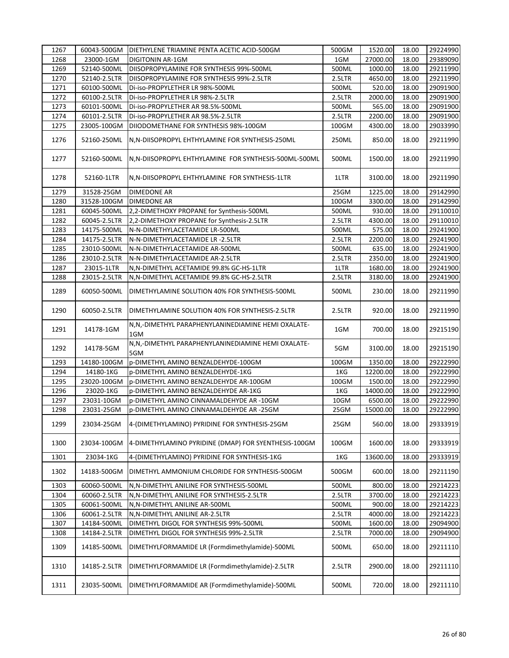| 1267 | 60043-500GM  | DIETHYLENE TRIAMINE PENTA ACETIC ACID-500GM                 | 500GM  | 1520.00  | 18.00 | 29224990 |
|------|--------------|-------------------------------------------------------------|--------|----------|-------|----------|
| 1268 | 23000-1GM    | <b>DIGITONIN AR-1GM</b>                                     | 1GM    | 27000.00 | 18.00 | 29389090 |
| 1269 | 52140-500ML  | DIISOPROPYLAMINE FOR SYNTHESIS 99%-500ML                    | 500ML  | 1000.00  | 18.00 | 29211990 |
| 1270 | 52140-2.5LTR | DIISOPROPYLAMINE FOR SYNTHESIS 99%-2.5LTR                   | 2.5LTR | 4650.00  | 18.00 | 29211990 |
| 1271 | 60100-500ML  | Di-iso-PROPYLETHER LR 98%-500ML                             | 500ML  | 520.00   | 18.00 | 29091900 |
| 1272 | 60100-2.5LTR | Di-iso-PROPYLETHER LR 98%-2.5LTR                            | 2.5LTR | 2000.00  | 18.00 | 29091900 |
| 1273 | 60101-500ML  | Di-iso-PROPYLETHER AR 98.5%-500ML                           | 500ML  | 565.00   | 18.00 | 29091900 |
| 1274 | 60101-2.5LTR | Di-iso-PROPYLETHER AR 98.5%-2.5LTR                          | 2.5LTR | 2200.00  | 18.00 | 29091900 |
| 1275 | 23005-100GM  | DIIODOMETHANE FOR SYNTHESIS 98%-100GM                       | 100GM  | 4300.00  | 18.00 | 29033990 |
| 1276 | 52160-250ML  | N, N-DIISOPROPYL EHTHYLAMINE FOR SYNTHESIS-250ML            | 250ML  | 850.00   | 18.00 | 29211990 |
| 1277 | 52160-500ML  | N, N-DIISOPROPYL EHTHYLAMINE FOR SYNTHESIS-500ML-500ML      | 500ML  | 1500.00  | 18.00 | 29211990 |
| 1278 | 52160-1LTR   | N, N-DIISOPROPYL EHTHYLAMINE FOR SYNTHESIS-1LTR             | 1LTR   | 3100.00  | 18.00 | 29211990 |
| 1279 | 31528-25GM   | <b>DIMEDONE AR</b>                                          | 25GM   | 1225.00  | 18.00 | 29142990 |
| 1280 | 31528-100GM  | <b>DIMEDONE AR</b>                                          | 100GM  | 3300.00  | 18.00 | 29142990 |
| 1281 | 60045-500ML  | 2,2-DIMETHOXY PROPANE for Synthesis-500ML                   | 500ML  | 930.00   | 18.00 | 29110010 |
| 1282 | 60045-2.5LTR | 2,2-DIMETHOXY PROPANE for Synthesis-2.5LTR                  | 2.5LTR | 4300.00  | 18.00 | 29110010 |
| 1283 | 14175-500ML  | N-N-DIMETHYLACETAMIDE LR-500ML                              | 500ML  | 575.00   | 18.00 | 29241900 |
| 1284 | 14175-2.5LTR | N-N-DIMETHYLACETAMIDE LR -2.5LTR                            | 2.5LTR | 2200.00  | 18.00 | 29241900 |
| 1285 | 23010-500ML  | N-N-DIMETHYLACETAMIDE AR-500ML                              | 500ML  | 635.00   | 18.00 | 29241900 |
| 1286 | 23010-2.5LTR | N-N-DIMETHYLACETAMIDE AR-2.5LTR                             | 2.5LTR | 2350.00  | 18.00 | 29241900 |
| 1287 | 23015-1LTR   | N, N-DIMETHYL ACETAMIDE 99.8% GC-HS-1LTR                    | 1LTR   | 1680.00  | 18.00 | 29241900 |
| 1288 | 23015-2.5LTR | N, N-DIMETHYL ACETAMIDE 99.8% GC-HS-2.5LTR                  | 2.5LTR | 3180.00  | 18.00 | 29241900 |
| 1289 | 60050-500ML  | DIMETHYLAMINE SOLUTION 40% FOR SYNTHESIS-500ML              | 500ML  | 230.00   | 18.00 | 29211990 |
| 1290 | 60050-2.5LTR | DIMETHYLAMINE SOLUTION 40% FOR SYNTHESIS-2.5LTR             | 2.5LTR | 920.00   | 18.00 | 29211990 |
| 1291 | 14178-1GM    | N, N, -DIMETHYL PARAPHENYLANINEDIAMINE HEMI OXALATE-<br>1GM | 1GM    | 700.00   | 18.00 | 29215190 |
| 1292 | 14178-5GM    | N,N,-DIMETHYL PARAPHENYLANINEDIAMINE HEMI OXALATE-<br>5GM   | 5GM    | 3100.00  | 18.00 | 29215190 |
| 1293 | 14180-100GM  | p-DIMETHYL AMINO BENZALDEHYDE-100GM                         | 100GM  | 1350.00  | 18.00 | 29222990 |
| 1294 | 14180-1KG    | p-DIMETHYL AMINO BENZALDEHYDE-1KG                           | 1KG    | 12200.00 | 18.00 | 29222990 |
| 1295 | 23020-100GM  | p-DIMETHYL AMINO BENZALDEHYDE AR-100GM                      | 100GM  | 1500.00  | 18.00 | 29222990 |
| 1296 | 23020-1KG    | p-DIMETHYL AMINO BENZALDEHYDE AR-1KG                        | 1KG    | 14000.00 | 18.00 | 29222990 |
| 1297 | 23031-10GM   | p-DIMETHYL AMINO CINNAMALDEHYDE AR -10GM                    | 10GM   | 6500.00  | 18.00 | 29222990 |
| 1298 | 23031-25GM   | p-DIMETHYL AMINO CINNAMALDEHYDE AR -25GM                    | 25GM   | 15000.00 | 18.00 | 29222990 |
| 1299 | 23034-25GM   | 4-(DIMETHYLAMINO) PYRIDINE FOR SYNTHESIS-25GM               | 25GM   | 560.00   | 18.00 | 29333919 |
| 1300 | 23034-100GM  | 4-DIMETHYLAMINO PYRIDINE (DMAP) FOR SYENTHESIS-100GM        | 100GM  | 1600.00  | 18.00 | 29333919 |
| 1301 | 23034-1KG    | 4-(DIMETHYLAMINO) PYRIDINE FOR SYNTHESIS-1KG                | 1KG    | 13600.00 | 18.00 | 29333919 |
| 1302 | 14183-500GM  | DIMETHYL AMMONIUM CHLORIDE FOR SYNTHESIS-500GM              | 500GM  | 600.00   | 18.00 | 29211190 |
| 1303 | 60060-500ML  | N, N-DIMETHYL ANILINE FOR SYNTHESIS-500ML                   | 500ML  | 800.00   | 18.00 | 29214223 |
| 1304 | 60060-2.5LTR | N, N-DIMETHYL ANILINE FOR SYNTHESIS-2.5LTR                  | 2.5LTR | 3700.00  | 18.00 | 29214223 |
| 1305 | 60061-500ML  | N, N-DIMETHYL ANILINE AR-500ML                              | 500ML  | 900.00   | 18.00 | 29214223 |
| 1306 | 60061-2.5LTR | N, N-DIMETHYL ANILINE AR-2.5LTR                             | 2.5LTR | 4000.00  | 18.00 | 29214223 |
| 1307 | 14184-500ML  | DIMETHYL DIGOL FOR SYNTHESIS 99%-500ML                      | 500ML  | 1600.00  | 18.00 | 29094900 |
| 1308 | 14184-2.5LTR | DIMETHYL DIGOL FOR SYNTHESIS 99%-2.5LTR                     | 2.5LTR | 7000.00  | 18.00 | 29094900 |
| 1309 | 14185-500ML  | DIMETHYLFORMAMIDE LR (Formdimethylamide)-500ML              | 500ML  | 650.00   | 18.00 | 29211110 |
| 1310 | 14185-2.5LTR | DIMETHYLFORMAMIDE LR (Formdimethylamide)-2.5LTR             | 2.5LTR | 2900.00  | 18.00 | 29211110 |
| 1311 | 23035-500ML  | DIMETHYLFORMAMIDE AR (Formdimethylamide)-500ML              | 500ML  | 720.00   | 18.00 | 29211110 |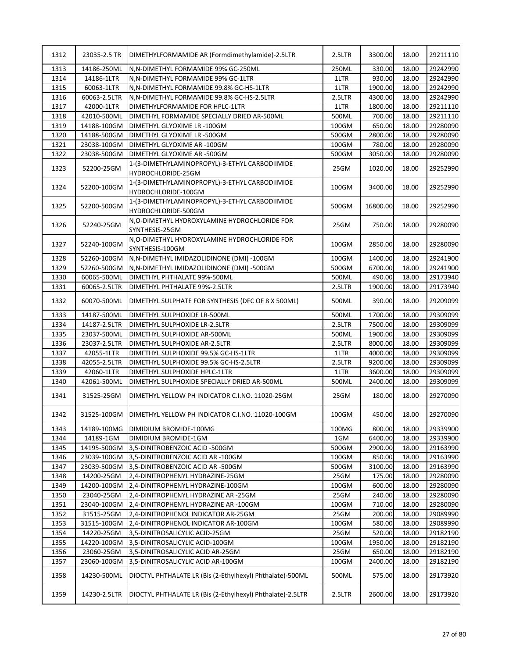| 1312 | 23035-2.5 TR | DIMETHYLFORMAMIDE AR (Formdimethylamide)-2.5LTR                       | 2.5LTR | 3300.00  | 18.00 | 29211110 |
|------|--------------|-----------------------------------------------------------------------|--------|----------|-------|----------|
| 1313 | 14186-250ML  | N, N-DIMETHYL FORMAMIDE 99% GC-250ML                                  | 250ML  | 330.00   | 18.00 | 29242990 |
| 1314 | 14186-1LTR   | N, N-DIMETHYL FORMAMIDE 99% GC-1LTR                                   | 1LTR   | 930.00   | 18.00 | 29242990 |
| 1315 | 60063-1LTR   | N, N-DIMETHYL FORMAMIDE 99.8% GC-HS-1LTR                              | 1LTR   | 1900.00  | 18.00 | 29242990 |
| 1316 | 60063-2.5LTR | N, N-DIMETHYL FORMAMIDE 99.8% GC-HS-2.5LTR                            | 2.5LTR | 4300.00  | 18.00 | 29242990 |
| 1317 | 42000-1LTR   | DIMETHYLFORMAMIDE FOR HPLC-1LTR                                       | 1LTR   | 1800.00  | 18.00 | 29211110 |
| 1318 | 42010-500ML  | DIMETHYL FORMAMIDE SPECIALLY DRIED AR-500ML                           | 500ML  | 700.00   | 18.00 | 29211110 |
| 1319 | 14188-100GM  | DIMETHYL GLYOXIME LR -100GM                                           | 100GM  | 650.00   | 18.00 | 29280090 |
| 1320 | 14188-500GM  | DIMETHYL GLYOXIME LR -500GM                                           | 500GM  | 2800.00  | 18.00 | 29280090 |
| 1321 | 23038-100GM  | DIMETHYL GLYOXIME AR -100GM                                           | 100GM  | 780.00   | 18.00 | 29280090 |
| 1322 | 23038-500GM  | DIMETHYL GLYOXIME AR -500GM                                           | 500GM  | 3050.00  | 18.00 | 29280090 |
| 1323 | 52200-25GM   | 1-(3-DIMETHYLAMINOPROPYL)-3-ETHYL CARBODIIMIDE<br>HYDROCHLORIDE-25GM  | 25GM   | 1020.00  | 18.00 | 29252990 |
| 1324 | 52200-100GM  | 1-(3-DIMETHYLAMINOPROPYL)-3-ETHYL CARBODIIMIDE                        | 100GM  | 3400.00  | 18.00 | 29252990 |
|      |              | HYDROCHLORIDE-100GM                                                   |        |          |       |          |
| 1325 | 52200-500GM  | 1-(3-DIMETHYLAMINOPROPYL)-3-ETHYL CARBODIIMIDE<br>HYDROCHLORIDE-500GM | 500GM  | 16800.00 | 18.00 | 29252990 |
| 1326 | 52240-25GM   | N, O-DIMETHYL HYDROXYLAMINE HYDROCHLORIDE FOR<br>SYNTHESIS-25GM       | 25GM   | 750.00   | 18.00 | 29280090 |
| 1327 | 52240-100GM  | N,O-DIMETHYL HYDROXYLAMINE HYDROCHLORIDE FOR<br>SYNTHESIS-100GM       | 100GM  | 2850.00  | 18.00 | 29280090 |
| 1328 | 52260-100GM  | N, N-DIMETHYL IMIDAZOLIDINONE (DMI) -100GM                            | 100GM  | 1400.00  | 18.00 | 29241900 |
| 1329 | 52260-500GM  | N,N-DIMETHYL IMIDAZOLIDINONE (DMI) -500GM                             | 500GM  | 6700.00  | 18.00 | 29241900 |
| 1330 | 60065-500ML  | DIMETHYL PHTHALATE 99%-500ML                                          | 500ML  | 490.00   | 18.00 | 29173940 |
| 1331 | 60065-2.5LTR | DIMETHYL PHTHALATE 99%-2.5LTR                                         | 2.5LTR | 1900.00  | 18.00 | 29173940 |
| 1332 | 60070-500ML  | DIMETHYL SULPHATE FOR SYNTHESIS (DFC OF 8 X 500ML)                    | 500ML  | 390.00   | 18.00 | 29209099 |
| 1333 | 14187-500ML  | DIMETHYL SULPHOXIDE LR-500ML                                          | 500ML  | 1700.00  | 18.00 | 29309099 |
| 1334 | 14187-2.5LTR | DIMETHYL SULPHOXIDE LR-2.5LTR                                         | 2.5LTR | 7500.00  | 18.00 | 29309099 |
| 1335 | 23037-500ML  | DIMETHYL SULPHOXIDE AR-500ML                                          | 500ML  | 1900.00  | 18.00 | 29309099 |
| 1336 | 23037-2.5LTR | DIMETHYL SULPHOXIDE AR-2.5LTR                                         | 2.5LTR | 8000.00  | 18.00 | 29309099 |
| 1337 | 42055-1LTR   | DIMETHYL SULPHOXIDE 99.5% GC-HS-1LTR                                  | 1LTR   | 4000.00  | 18.00 | 29309099 |
| 1338 | 42055-2.5LTR | DIMETHYL SULPHOXIDE 99.5% GC-HS-2.5LTR                                | 2.5LTR | 9200.00  | 18.00 | 29309099 |
| 1339 | 42060-1LTR   | DIMETHYL SULPHOXIDE HPLC-1LTR                                         | 1LTR   | 3600.00  | 18.00 | 29309099 |
| 1340 | 42061-500ML  | DIMETHYL SULPHOXIDE SPECIALLY DRIED AR-500ML                          | 500ML  | 2400.00  | 18.00 | 29309099 |
| 1341 | 31525-25GM   | DIMETHYL YELLOW PH INDICATOR C.I.NO. 11020-25GM                       | 25GM   | 180.00   | 18.00 | 29270090 |
| 1342 |              | 31525-100GM   DIMETHYL YELLOW PH INDICATOR C.I.NO. 11020-100GM        | 100GM  | 450.00   | 18.00 | 29270090 |
| 1343 | 14189-100MG  | DIMIDIUM BROMIDE-100MG                                                | 100MG  | 800.00   | 18.00 | 29339900 |
| 1344 | 14189-1GM    | DIMIDIUM BROMIDE-1GM                                                  | 1GM    | 6400.00  | 18.00 | 29339900 |
| 1345 | 14195-500GM  | 3,5-DINITROBENZOIC ACID -500GM                                        | 500GM  | 2900.00  | 18.00 | 29163990 |
| 1346 | 23039-100GM  | 3,5-DINITROBENZOIC ACID AR-100GM                                      | 100GM  | 850.00   | 18.00 | 29163990 |
| 1347 | 23039-500GM  | 3,5-DINITROBENZOIC ACID AR -500GM                                     | 500GM  | 3100.00  | 18.00 | 29163990 |
| 1348 | 14200-25GM   | 2,4-DINITROPHENYL HYDRAZINE-25GM                                      | 25GM   | 175.00   | 18.00 | 29280090 |
| 1349 | 14200-100GM  | 2,4-DINITROPHENYL HYDRAZINE-100GM                                     | 100GM  | 600.00   | 18.00 | 29280090 |
| 1350 | 23040-25GM   | 2,4-DINITROPHENYL HYDRAZINE AR -25GM                                  | 25GM   | 240.00   | 18.00 | 29280090 |
| 1351 | 23040-100GM  | 2,4-DINITROPHENYL HYDRAZINE AR -100GM                                 | 100GM  | 710.00   | 18.00 | 29280090 |
| 1352 | 31515-25GM   | 2,4-DINITROPHENOL INDICATOR AR-25GM                                   | 25GM   | 200.00   | 18.00 | 29089990 |
| 1353 | 31515-100GM  | 2,4-DINITROPHENOL INDICATOR AR-100GM                                  | 100GM  | 580.00   | 18.00 | 29089990 |
| 1354 | 14220-25GM   | 3,5-DINITROSALICYLIC ACID-25GM                                        | 25GM   | 520.00   | 18.00 | 29182190 |
| 1355 | 14220-100GM  | 3,5-DINITROSALICYLIC ACID-100GM                                       | 100GM  | 1950.00  | 18.00 | 29182190 |
| 1356 | 23060-25GM   | 3,5-DINITROSALICYLIC ACID AR-25GM                                     | 25GM   | 650.00   | 18.00 | 29182190 |
| 1357 | 23060-100GM  | 3,5-DINITROSALICYLIC ACID AR-100GM                                    | 100GM  | 2400.00  | 18.00 | 29182190 |
| 1358 | 14230-500ML  | DIOCTYL PHTHALATE LR (Bis (2-Ethylhexyl) Phthalate)-500ML             | 500ML  | 575.00   | 18.00 | 29173920 |
| 1359 | 14230-2.5LTR | DIOCTYL PHTHALATE LR (Bis (2-Ethylhexyl) Phthalate)-2.5LTR            | 2.5LTR | 2600.00  | 18.00 | 29173920 |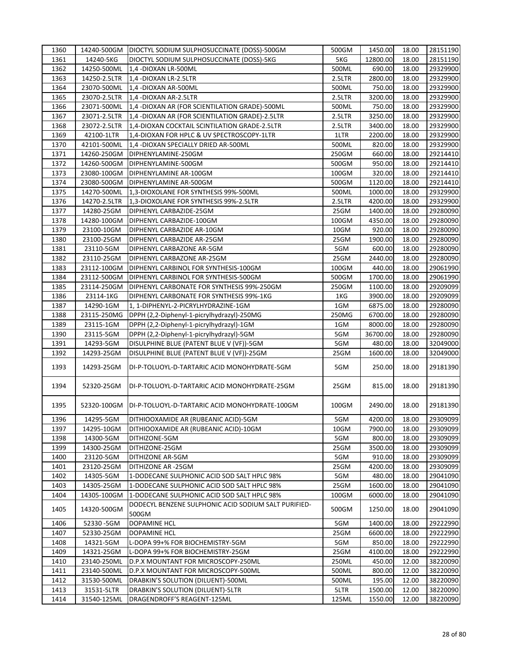| 1360         |              | 14240-500GM   DIOCTYL SODIUM SULPHOSUCCINATE (DOSS)-500GM        | 500GM         | 1450.00            | 18.00 | 28151190             |
|--------------|--------------|------------------------------------------------------------------|---------------|--------------------|-------|----------------------|
| 1361         | 14240-5KG    | DIOCTYL SODIUM SULPHOSUCCINATE (DOSS)-5KG                        | 5KG           | 12800.00           | 18.00 | 28151190             |
| 1362         | 14250-500ML  | 1,4 -DIOXAN LR-500ML                                             | 500ML         | 690.00             | 18.00 | 29329900             |
| 1363         | 14250-2.5LTR | 1,4 -DIOXAN LR-2.5LTR                                            | 2.5LTR        | 2800.00            | 18.00 | 29329900             |
| 1364         | 23070-500ML  | 1,4 -DIOXAN AR-500ML                                             | 500ML         | 750.00             | 18.00 | 29329900             |
| 1365         | 23070-2.5LTR | 1,4 -DIOXAN AR-2.5LTR                                            | 2.5LTR        | 3200.00            | 18.00 | 29329900             |
| 1366         | 23071-500ML  | 1,4 -DIOXAN AR (FOR SCIENTILATION GRADE)-500ML                   | 500ML         | 750.00             | 18.00 | 29329900             |
| 1367         | 23071-2.5LTR | 1,4 -DIOXAN AR (FOR SCIENTILATION GRADE)-2.5LTR                  | 2.5LTR        | 3250.00            | 18.00 | 29329900             |
| 1368         | 23072-2.5LTR | 1,4-DIOXAN COCKTAIL SCINTILATION GRADE-2.5LTR                    | 2.5LTR        | 3400.00            | 18.00 | 29329900             |
| 1369         | 42100-1LTR   | 1,4-DIOXAN FOR HPLC & UV SPECTROSCOPY-1LTR                       | 1LTR          | 2200.00            | 18.00 | 29329900             |
| 1370         | 42101-500ML  | 1,4 -DIOXAN SPECIALLY DRIED AR-500ML                             | 500ML         | 820.00             | 18.00 | 29329900             |
| 1371         | 14260-250GM  | DIPHENYLAMINE-250GM                                              | 250GM         | 660.00             | 18.00 | 29214410             |
| 1372         | 14260-500GM  | DIPHENYLAMINE-500GM                                              | 500GM         | 950.00             | 18.00 | 29214410             |
| 1373         | 23080-100GM  | DIPHENYLAMINE AR-100GM                                           | 100GM         | 320.00             | 18.00 | 29214410             |
| 1374         | 23080-500GM  | DIPHENYLAMINE AR-500GM                                           | 500GM         | 1120.00            | 18.00 | 29214410             |
| 1375         | 14270-500ML  | 1,3-DIOXOLANE FOR SYNTHESIS 99%-500ML                            | 500ML         | 1000.00            | 18.00 | 29329900             |
| 1376         | 14270-2.5LTR | 1,3-DIOXOLANE FOR SYNTHESIS 99%-2.5LTR                           | 2.5LTR        | 4200.00            | 18.00 | 29329900             |
| 1377         | 14280-25GM   | DIPHENYL CARBAZIDE-25GM                                          | 25GM          | 1400.00            | 18.00 | 29280090             |
| 1378         | 14280-100GM  | DIPHENYL CARBAZIDE-100GM                                         | 100GM         | 4350.00            | 18.00 | 29280090             |
| 1379         | 23100-10GM   | DIPHENYL CARBAZIDE AR-10GM                                       | 10GM          | 920.00             | 18.00 | 29280090             |
| 1380         | 23100-25GM   | DIPHENYL CARBAZIDE AR-25GM                                       | 25GM          | 1900.00            | 18.00 | 29280090             |
| 1381         | 23110-5GM    | DIPHENYL CARBAZONE AR-5GM                                        | 5GM           | 600.00             | 18.00 | 29280090             |
| 1382         | 23110-25GM   | DIPHENYL CARBAZONE AR-25GM                                       | 25GM          | 2440.00            | 18.00 | 29280090             |
| 1383         | 23112-100GM  | DIPHENYL CARBINOL FOR SYNTHESIS-100GM                            | 100GM         | 440.00             | 18.00 | 29061990             |
| 1384         | 23112-500GM  | DIPHENYL CARBINOL FOR SYNTHESIS-500GM                            | 500GM         | 1700.00            | 18.00 | 29061990             |
| 1385         | 23114-250GM  | DIPHENYL CARBONATE FOR SYNTHESIS 99%-250GM                       | 250GM         | 1100.00            | 18.00 | 29209099             |
| 1386         | 23114-1KG    | DIPHENYL CARBONATE FOR SYNTHESIS 99%-1KG                         | 1KG           | 3900.00            | 18.00 | 29209099             |
| 1387         | 14290-1GM    | 1, 1-DIPHENYL-2-PICRYLHYDRAZINE-1GM                              | 1GM           | 6875.00            | 18.00 | 29280090             |
| 1388         | 23115-250MG  | DPPH (2,2-Diphenyl-1-picrylhydrazyl)-250MG                       | 250MG         | 6700.00            | 18.00 | 29280090             |
| 1389         | 23115-1GM    | DPPH (2,2-Diphenyl-1-picrylhydrazyl)-1GM                         | 1GM           | 8000.00            | 18.00 | 29280090             |
| 1390         | 23115-5GM    | DPPH (2,2-Diphenyl-1-picrylhydrazyl)-5GM                         | 5GM           | 36700.00           | 18.00 | 29280090             |
| 1391         | 14293-5GM    | DISULPHINE BLUE (PATENT BLUE V (VF))-5GM                         | 5GM           | 480.00             | 18.00 | 32049000             |
| 1392         | 14293-25GM   | DISULPHINE BLUE (PATENT BLUE V (VF))-25GM                        | 25GM          | 1600.00            | 18.00 | 32049000             |
|              |              |                                                                  |               |                    |       |                      |
| 1393         | 14293-25GM   | DI-P-TOLUOYL-D-TARTARIC ACID MONOHYDRATE-5GM                     | 5GM           | 250.00             | 18.00 | 29181390             |
| 1394         | 52320-25GM   | DI-P-TOLUOYL-D-TARTARIC ACID MONOHYDRATE-25GM                    | 25GM          | 815.00             | 18.00 | 29181390             |
|              |              |                                                                  |               |                    |       |                      |
| 1395         | 52320-100GM  | DI-P-TOLUOYL-D-TARTARIC ACID MONOHYDRATE-100GM                   | 100GM         | 2490.00            | 18.00 | 29181390             |
| 1396         | 14295-5GM    | DITHIOOXAMIDE AR (RUBEANIC ACID)-5GM                             | 5GM           | 4200.00            | 18.00 | 29309099             |
| 1397         | 14295-10GM   | DITHIOOXAMIDE AR (RUBEANIC ACID)-10GM                            | 10GM          | 7900.00            | 18.00 | 29309099             |
| 1398         | 14300-5GM    | DITHIZONE-5GM                                                    | 5GM           | 800.00             | 18.00 | 29309099             |
| 1399         | 14300-25GM   | DITHIZONE-25GM                                                   | 25GM          | 3500.00            | 18.00 | 29309099             |
| 1400         | 23120-5GM    | DITHIZONE AR-5GM                                                 | 5GM           | 910.00             | 18.00 | 29309099             |
| 1401         | 23120-25GM   | DITHIZONE AR-25GM                                                | 25GM          | 4200.00            | 18.00 | 29309099             |
| 1402         | 14305-5GM    | 1-DODECANE SULPHONIC ACID SOD SALT HPLC 98%                      | 5GM           | 480.00             | 18.00 | 29041090             |
| 1403         | 14305-25GM   | 1-DODECANE SULPHONIC ACID SOD SALT HPLC 98%                      | 25GM          | 1600.00            | 18.00 | 29041090             |
| 1404         | 14305-100GM  | 1-DODECANE SULPHONIC ACID SOD SALT HPLC 98%                      | 100GM         | 6000.00            | 18.00 | 29041090             |
| 1405         | 14320-500GM  | DODECYL BENZENE SULPHONIC ACID SODIUM SALT PURIFIED-<br>500GM    | 500GM         | 1250.00            | 18.00 | 29041090             |
| 1406         | 52330-5GM    | DOPAMINE HCL                                                     | 5GM           | 1400.00            | 18.00 | 29222990             |
| 1407         | 52330-25GM   | DOPAMINE HCL                                                     | 25GM          | 6600.00            | 18.00 | 29222990             |
| 1408         | 14321-5GM    | L-DOPA 99+% FOR BIOCHEMISTRY-5GM                                 | 5GM           | 850.00             | 18.00 | 29222990             |
| 1409         | 14321-25GM   | L-DOPA 99+% FOR BIOCHEMISTRY-25GM                                | 25GM          | 4100.00            | 18.00 | 29222990             |
| 1410         | 23140-250ML  | D.P.X MOUNTANT FOR MICROSCOPY-250ML                              | 250ML         | 450.00             | 12.00 | 38220090             |
| 1411         | 23140-500ML  | D.P.X MOUNTANT FOR MICROSCOPY-500ML                              | 500ML         | 800.00             | 12.00 | 38220090             |
| 1412         |              |                                                                  |               |                    |       |                      |
|              | 31530-500ML  | DRABKIN'S SOLUTION (DILUENT)-500ML                               | 500ML         | 195.00             | 12.00 | 38220090             |
| 1413<br>1414 | 31531-5LTR   | DRABKIN'S SOLUTION (DILUENT)-5LTR<br>DRAGENDROFF'S REAGENT-125ML | 5LTR<br>125ML | 1500.00<br>1550.00 | 12.00 | 38220090<br>38220090 |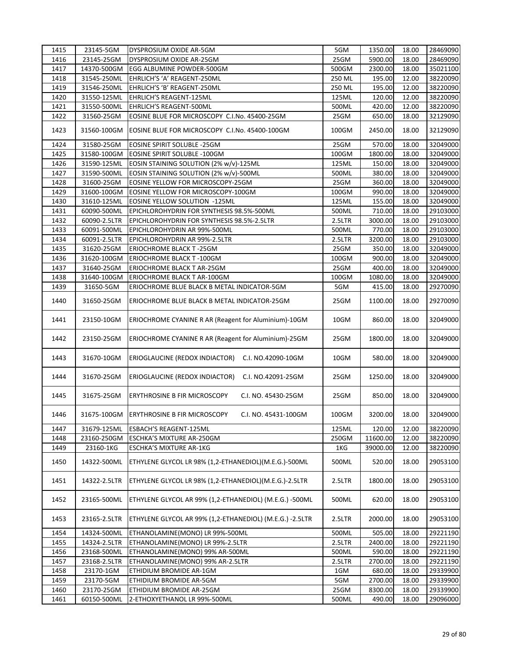| 1415 | 23145-5GM    | DYSPROSIUM OXIDE AR-5GM                                          | 5GM    | 1350.00  | 18.00 | 28469090 |
|------|--------------|------------------------------------------------------------------|--------|----------|-------|----------|
| 1416 | 23145-25GM   | DYSPROSIUM OXIDE AR-25GM                                         | 25GM   | 5900.00  | 18.00 | 28469090 |
| 1417 | 14370-500GM  | EGG ALBUMINE POWDER-500GM                                        | 500GM  | 2300.00  | 18.00 | 35021100 |
| 1418 | 31545-250ML  | EHRLICH'S 'A' REAGENT-250ML                                      | 250 ML | 195.00   | 12.00 | 38220090 |
| 1419 | 31546-250ML  | EHRLICH'S 'B' REAGENT-250ML                                      | 250 ML | 195.00   | 12.00 | 38220090 |
| 1420 | 31550-125ML  | EHRLICH'S REAGENT-125ML                                          | 125ML  | 120.00   | 12.00 | 38220090 |
| 1421 | 31550-500ML  | EHRLICH'S REAGENT-500ML                                          | 500ML  | 420.00   | 12.00 | 38220090 |
| 1422 | 31560-25GM   | EOSINE BLUE FOR MICROSCOPY C.I.No. 45400-25GM                    | 25GM   | 650.00   | 18.00 | 32129090 |
|      |              |                                                                  |        |          |       |          |
| 1423 | 31560-100GM  | EOSINE BLUE FOR MICROSCOPY C.I.No. 45400-100GM                   | 100GM  | 2450.00  | 18.00 | 32129090 |
| 1424 | 31580-25GM   | EOSINE SPIRIT SOLUBLE -25GM                                      | 25GM   | 570.00   | 18.00 | 32049000 |
| 1425 | 31580-100GM  | EOSINE SPIRIT SOLUBLE -100GM                                     | 100GM  | 1800.00  | 18.00 | 32049000 |
| 1426 | 31590-125ML  | EOSIN STAINING SOLUTION (2% w/v)-125ML                           | 125ML  | 150.00   | 18.00 | 32049000 |
| 1427 | 31590-500ML  | EOSIN STAINING SOLUTION (2% w/v)-500ML                           | 500ML  | 380.00   | 18.00 | 32049000 |
| 1428 | 31600-25GM   | EOSINE YELLOW FOR MICROSCOPY-25GM                                | 25GM   | 360.00   | 18.00 | 32049000 |
| 1429 | 31600-100GM  | EOSINE YELLOW FOR MICROSCOPY-100GM                               | 100GM  | 990.00   | 18.00 | 32049000 |
| 1430 | 31610-125ML  | EOSINE YELLOW SOLUTION -125ML                                    | 125ML  | 155.00   | 18.00 | 32049000 |
| 1431 | 60090-500ML  | EPICHLOROHYDRIN FOR SYNTHESIS 98.5%-500ML                        | 500ML  | 710.00   | 18.00 | 29103000 |
| 1432 | 60090-2.5LTR | EPICHLOROHYDRIN FOR SYNTHESIS 98.5%-2.5LTR                       | 2.5LTR | 3000.00  | 18.00 | 29103000 |
| 1433 | 60091-500ML  | EPICHLOROHYDRIN AR 99%-500ML                                     | 500ML  | 770.00   | 18.00 | 29103000 |
| 1434 | 60091-2.5LTR | EPICHLOROHYDRIN AR 99%-2.5LTR                                    | 2.5LTR | 3200.00  | 18.00 | 29103000 |
| 1435 | 31620-25GM   | <b>ERIOCHROME BLACK T-25GM</b>                                   | 25GM   | 350.00   | 18.00 | 32049000 |
| 1436 | 31620-100GM  | <b>ERIOCHROME BLACK T-100GM</b>                                  | 100GM  | 900.00   | 18.00 | 32049000 |
| 1437 | 31640-25GM   | ERIOCHROME BLACK T AR-25GM                                       | 25GM   | 400.00   | 18.00 | 32049000 |
|      |              |                                                                  | 100GM  |          |       |          |
| 1438 | 31640-100GM  | ERIOCHROME BLACK T AR-100GM                                      |        | 1080.00  | 18.00 | 32049000 |
| 1439 | 31650-5GM    | ERIOCHROME BLUE BLACK B METAL INDICATOR-5GM                      | 5GM    | 415.00   | 18.00 | 29270090 |
| 1440 | 31650-25GM   | ERIOCHROME BLUE BLACK B METAL INDICATOR-25GM                     | 25GM   | 1100.00  | 18.00 | 29270090 |
| 1441 | 23150-10GM   | ERIOCHROME CYANINE R AR (Reagent for Aluminium)-10GM             | 10GM   | 860.00   | 18.00 | 32049000 |
| 1442 | 23150-25GM   | ERIOCHROME CYANINE R AR (Reagent for Aluminium)-25GM             | 25GM   | 1800.00  | 18.00 | 32049000 |
| 1443 | 31670-10GM   | ERIOGLAUCINE (REDOX INDIACTOR) C.I. NO.42090-10GM                | 10GM   | 580.00   | 18.00 | 32049000 |
| 1444 | 31670-25GM   | ERIOGLAUCINE (REDOX INDIACTOR)<br>C.I. NO.42091-25GM             | 25GM   | 1250.00  | 18.00 | 32049000 |
| 1445 | 31675-25GM   | ERYTHROSINE B FIR MICROSCOPY<br>C.I. NO. 45430-25GM              | 25GM   | 850.00   | 18.00 | 32049000 |
| 1446 |              | 31675-100GM ERYTHROSINE B FIR MICROSCOPY<br>C.I. NO. 45431-100GM | 100GM  | 3200.00  | 18.00 | 32049000 |
| 1447 | 31679-125ML  | ESBACH'S REAGENT-125ML                                           | 125ML  | 120.00   | 12.00 | 38220090 |
| 1448 | 23160-250GM  | ESCHKA'S MIXTURE AR-250GM                                        | 250GM  | 11600.00 | 12.00 | 38220090 |
| 1449 | 23160-1KG    | <b>ESCHKA'S MIXTURE AR-1KG</b>                                   | 1KG    | 39000.00 | 12.00 | 38220090 |
| 1450 | 14322-500ML  | ETHYLENE GLYCOL LR 98% (1,2-ETHANEDIOL)(M.E.G.)-500ML            | 500ML  | 520.00   | 18.00 | 29053100 |
| 1451 | 14322-2.5LTR | ETHYLENE GLYCOL LR 98% (1,2-ETHANEDIOL)(M.E.G.)-2.5LTR           | 2.5LTR | 1800.00  | 18.00 | 29053100 |
| 1452 | 23165-500ML  | ETHYLENE GLYCOL AR 99% (1,2-ETHANEDIOL) (M.E.G.) -500ML          | 500ML  | 620.00   | 18.00 | 29053100 |
| 1453 | 23165-2.5LTR | ETHYLENE GLYCOL AR 99% (1,2-ETHANEDIOL) (M.E.G.) -2.5LTR         | 2.5LTR | 2000.00  | 18.00 | 29053100 |
| 1454 | 14324-500ML  | ETHANOLAMINE(MONO) LR 99%-500ML                                  | 500ML  | 505.00   | 18.00 | 29221190 |
| 1455 | 14324-2.5LTR | ETHANOLAMINE(MONO) LR 99%-2.5LTR                                 | 2.5LTR | 2400.00  | 18.00 | 29221190 |
| 1456 | 23168-500ML  | ETHANOLAMINE(MONO) 99% AR-500ML                                  | 500ML  | 590.00   | 18.00 | 29221190 |
| 1457 | 23168-2.5LTR | ETHANOLAMINE(MONO) 99% AR-2.5LTR                                 | 2.5LTR | 2700.00  | 18.00 | 29221190 |
| 1458 | 23170-1GM    | ETHIDIUM BROMIDE AR-1GM                                          | 1GM    | 680.00   | 18.00 | 29339900 |
| 1459 | 23170-5GM    | ETHIDIUM BROMIDE AR-5GM                                          | 5GM    | 2700.00  | 18.00 | 29339900 |
|      |              |                                                                  |        |          | 18.00 | 29339900 |
| 1460 | 23170-25GM   | ETHIDIUM BROMIDE AR-25GM                                         | 25GM   | 8300.00  |       |          |
| 1461 | 60150-500ML  | 2-ETHOXYETHANOL LR 99%-500ML                                     | 500ML  | 490.00   | 18.00 | 29096000 |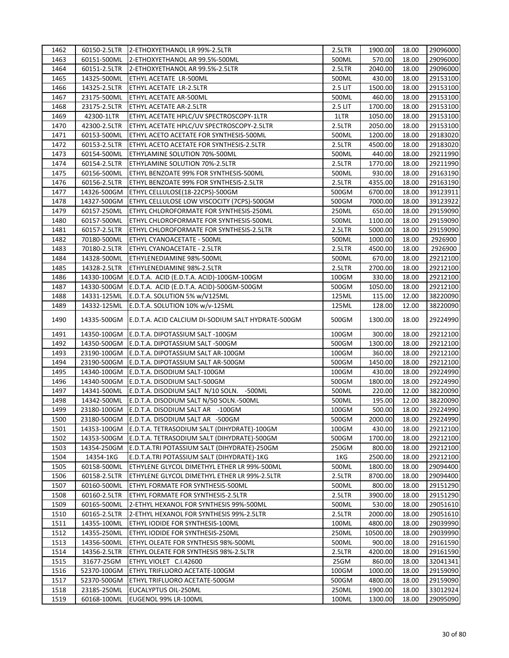| 1462 |              | 60150-2.5LTR 2-ETHOXYETHANOL LR 99%-2.5LTR         | 2.5LTR  | 1900.00  | 18.00 | 29096000 |
|------|--------------|----------------------------------------------------|---------|----------|-------|----------|
| 1463 | 60151-500ML  | 2-ETHOXYETHANOL AR 99.5%-500ML                     | 500ML   | 570.00   | 18.00 | 29096000 |
| 1464 | 60151-2.5LTR | 2-ETHOXYETHANOL AR 99.5%-2.5LTR                    | 2.5LTR  | 2040.00  | 18.00 | 29096000 |
| 1465 | 14325-500ML  | ETHYL ACETATE LR-500ML                             | 500ML   | 430.00   | 18.00 | 29153100 |
| 1466 | 14325-2.5LTR | ETHYL ACETATE LR-2.5LTR                            | 2.5 LIT | 1500.00  | 18.00 | 29153100 |
| 1467 | 23175-500ML  | ETHYL ACETATE AR-500ML                             | 500ML   | 460.00   | 18.00 | 29153100 |
| 1468 | 23175-2.5LTR | ETHYL ACETATE AR-2.5LTR                            | 2.5 LIT | 1700.00  | 18.00 | 29153100 |
| 1469 | 42300-1LTR   | ETHYL ACETATE HPLC/UV SPECTROSCOPY-1LTR            | 1LTR    | 1050.00  | 18.00 | 29153100 |
| 1470 | 42300-2.5LTR | ETHYL ACETATE HPLC/UV SPECTROSCOPY-2.5LTR          | 2.5LTR  | 2050.00  | 18.00 | 29153100 |
| 1471 | 60153-500ML  | ETHYL ACETO ACETATE FOR SYNTHESIS-500ML            | 500ML   | 1200.00  | 18.00 | 29183020 |
| 1472 | 60153-2.5LTR | ETHYL ACETO ACETATE FOR SYNTHESIS-2.5LTR           | 2.5LTR  | 4500.00  | 18.00 | 29183020 |
| 1473 | 60154-500ML  | ETHYLAMINE SOLUTION 70%-500ML                      | 500ML   | 440.00   | 18.00 | 29211990 |
| 1474 | 60154-2.5LTR | ETHYLAMINE SOLUTION 70%-2.5LTR                     | 2.5LTR  | 1770.00  | 18.00 | 29211990 |
| 1475 | 60156-500ML  | ETHYL BENZOATE 99% FOR SYNTHESIS-500ML             | 500ML   | 930.00   | 18.00 | 29163190 |
| 1476 | 60156-2.5LTR | ETHYL BENZOATE 99% FOR SYNTHESIS-2.5LTR            | 2.5LTR  | 4355.00  | 18.00 | 29163190 |
| 1477 | 14326-500GM  | ETHYL CELLULOSE(18-22CPS)-500GM                    | 500GM   | 6700.00  | 18.00 | 39123911 |
| 1478 | 14327-500GM  | ETHYL CELLULOSE LOW VISCOCITY (7CPS)-500GM         | 500GM   | 7000.00  | 18.00 | 39123922 |
| 1479 | 60157-250ML  | ETHYL CHLOROFORMATE FOR SYNTHESIS-250ML            | 250ML   | 650.00   | 18.00 | 29159090 |
| 1480 | 60157-500ML  | ETHYL CHLOROFORMATE FOR SYNTHESIS-500ML            | 500ML   | 1100.00  | 18.00 | 29159090 |
| 1481 | 60157-2.5LTR | ETHYL CHLOROFORMATE FOR SYNTHESIS-2.5LTR           | 2.5LTR  | 5000.00  | 18.00 | 29159090 |
| 1482 | 70180-500ML  | ETHYL CYANOACETATE - 500ML                         | 500ML   | 1000.00  | 18.00 | 2926900  |
| 1483 | 70180-2.5LTR | ETHYL CYANOACETATE - 2.5LTR                        | 2.5LTR  | 4500.00  | 18.00 | 2926900  |
| 1484 | 14328-500ML  | ETHYLENEDIAMINE 98%-500ML                          | 500ML   | 670.00   | 18.00 | 29212100 |
| 1485 | 14328-2.5LTR | ETHYLENEDIAMINE 98%-2.5LTR                         | 2.5LTR  | 2700.00  | 18.00 | 29212100 |
| 1486 | 14330-100GM  | E.D.T.A. ACID (E.D.T.A. ACID)-100GM-100GM          | 100GM   | 330.00   | 18.00 | 29212100 |
| 1487 | 14330-500GM  | E.D.T.A. ACID (E.D.T.A. ACID)-500GM-500GM          | 500GM   | 1050.00  | 18.00 | 29212100 |
| 1488 | 14331-125ML  | E.D.T.A. SOLUTION 5% w/V125ML                      | 125ML   | 115.00   | 12.00 | 38220090 |
| 1489 | 14332-125ML  | E.D.T.A. SOLUTION 10% w/v-125ML                    | 125ML   | 128.00   | 12.00 | 38220090 |
|      |              |                                                    |         |          |       |          |
| 1490 | 14335-500GM  | E.D.T.A. ACID CALCIUM DI-SODIUM SALT HYDRATE-500GM | 500GM   | 1300.00  | 18.00 | 29224990 |
| 1491 | 14350-100GM  | E.D.T.A. DIPOTASSIUM SALT -100GM                   | 100GM   | 300.00   | 18.00 | 29212100 |
| 1492 | 14350-500GM  | E.D.T.A. DIPOTASSIUM SALT -500GM                   | 500GM   | 1300.00  | 18.00 | 29212100 |
| 1493 | 23190-100GM  | E.D.T.A. DIPOTASSIUM SALT AR-100GM                 | 100GM   | 360.00   | 18.00 | 29212100 |
| 1494 | 23190-500GM  | E.D.T.A. DIPOTASSIUM SALT AR-500GM                 | 500GM   | 1450.00  | 18.00 | 29212100 |
| 1495 | 14340-100GM  | E.D.T.A. DISODIUM SALT-100GM                       | 100GM   | 430.00   | 18.00 | 29224990 |
| 1496 | 14340-500GM  | E.D.T.A. DISODIUM SALT-500GM                       | 500GM   | 1800.00  | 18.00 | 29224990 |
| 1497 | 14341-500ML  | E.D.T.A. DISODIUM SALT N/10 SOLN. - 500ML          | 500ML   | 220.00   | 12.00 | 38220090 |
| 1498 | 14342-500ML  | E.D.T.A. DISODIUM SALT N/50 SOLN.-500ML            | 500ML   | 195.00   | 12.00 | 38220090 |
| 1499 | 23180-100GM  | E.D.T.A. DISODIUM SALT AR -100GM                   | 100GM   | 500.00   | 18.00 | 29224990 |
| 1500 | 23180-500GM  | E.D.T.A. DISODIUM SALT AR -500GM                   | 500GM   | 2000.00  | 18.00 | 29224990 |
| 1501 | 14353-100GM  | E.D.T.A. TETRASODIUM SALT (DIHYDRATE)-100GM        | 100GM   | 430.00   | 18.00 | 29212100 |
| 1502 | 14353-500GM  | E.D.T.A. TETRASODIUM SALT (DIHYDRATE)-500GM        | 500GM   | 1700.00  | 18.00 | 29212100 |
| 1503 | 14354-250GM  | E.D.T.A.TRI POTASSIUM SALT (DIHYDRATE)-250GM       | 250GM   | 800.00   | 18.00 | 29212100 |
| 1504 | 14354-1KG    | E.D.T.A.TRI POTASSIUM SALT (DIHYDRATE)-1KG         | 1KG     | 2500.00  | 18.00 | 29212100 |
| 1505 | 60158-500ML  | ETHYLENE GLYCOL DIMETHYL ETHER LR 99%-500ML        | 500ML   | 1800.00  | 18.00 | 29094400 |
| 1506 | 60158-2.5LTR | ETHYLENE GLYCOL DIMETHYL ETHER LR 99%-2.5LTR       | 2.5LTR  | 8700.00  | 18.00 | 29094400 |
| 1507 | 60160-500ML  | ETHYL FORMATE FOR SYNTHESIS-500ML                  | 500ML   | 800.00   | 18.00 | 29151290 |
| 1508 | 60160-2.5LTR | ETHYL FORMATE FOR SYNTHESIS-2.5LTR                 | 2.5LTR  | 3900.00  | 18.00 | 29151290 |
| 1509 | 60165-500ML  | 2-ETHYL HEXANOL FOR SYNTHESIS 99%-500ML            | 500ML   | 530.00   | 18.00 | 29051610 |
| 1510 | 60165-2.5LTR | 2-ETHYL HEXANOL FOR SYNTHESIS 99%-2.5LTR           | 2.5LTR  | 2000.00  | 18.00 | 29051610 |
| 1511 | 14355-100ML  | ETHYL IODIDE FOR SYNTHESIS-100ML                   | 100ML   | 4800.00  | 18.00 | 29039990 |
| 1512 | 14355-250ML  | ETHYL IODIDE FOR SYNTHESIS-250ML                   | 250ML   | 10500.00 | 18.00 | 29039990 |
| 1513 | 14356-500ML  | ETHYL OLEATE FOR SYNTHESIS 98%-500ML               | 500ML   | 900.00   | 18.00 | 29161590 |
| 1514 | 14356-2.5LTR | ETHYL OLEATE FOR SYNTHESIS 98%-2.5LTR              | 2.5LTR  | 4200.00  | 18.00 | 29161590 |
| 1515 | 31677-25GM   | ETHYL VIOLET C.I.42600                             | 25GM    | 860.00   | 18.00 | 32041341 |
| 1516 | 52370-100GM  | ETHYL TRIFLUORO ACETATE-100GM                      | 100GM   | 1000.00  | 18.00 | 29159090 |
| 1517 | 52370-500GM  | ETHYL TRIFLUORO ACETATE-500GM                      | 500GM   | 4800.00  | 18.00 | 29159090 |
| 1518 | 23185-250ML  | EUCALYPTUS OIL-250ML                               | 250ML   | 1900.00  | 18.00 | 33012924 |
| 1519 | 60168-100ML  | EUGENOL 99% LR-100ML                               | 100ML   | 1300.00  | 18.00 | 29095090 |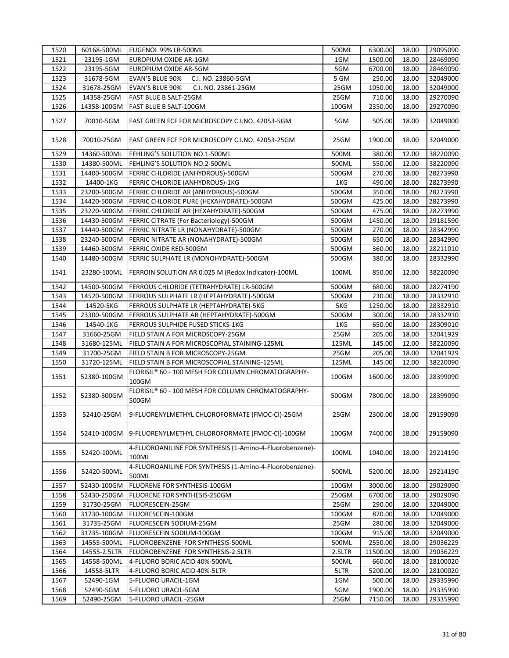| 1520 | 60168-500ML  | EUGENOL 99% LR-500ML                                              | 500ML  | 6300.00  | 18.00 | 29095090 |
|------|--------------|-------------------------------------------------------------------|--------|----------|-------|----------|
| 1521 | 23195-1GM    | EUROPIUM OXIDE AR-1GM                                             | 1GM    | 1500.00  | 18.00 | 28469090 |
| 1522 | 23195-5GM    | EUROPIUM OXIDE AR-5GM                                             | 5GM    | 6700.00  | 18.00 | 28469090 |
| 1523 | 31678-5GM    | EVAN'S BLUE 90%<br>C.I. NO. 23860-5GM                             | 5 GM   | 250.00   | 18.00 | 32049000 |
| 1524 | 31678-25GM   | <b>EVAN'S BLUE 90%</b><br>C.I. NO. 23861-25GM                     | 25GM   | 1050.00  | 18.00 | 32049000 |
| 1525 | 14358-25GM   | FAST BLUE B SALT-25GM                                             | 25GM   | 710.00   | 18.00 | 29270090 |
| 1526 | 14358-100GM  | FAST BLUE B SALT-100GM                                            | 100GM  | 2350.00  | 18.00 | 29270090 |
| 1527 | 70010-5GM    | FAST GREEN FCF FOR MICROSCOPY C.I.NO. 42053-5GM                   | 5GM    | 505.00   | 18.00 | 32049000 |
| 1528 | 70010-25GM   | FAST GREEN FCF FOR MICROSCOPY C.I.NO. 42053-25GM                  | 25GM   | 1900.00  | 18.00 | 32049000 |
| 1529 | 14360-500ML  | FEHLING'S SOLUTION NO.1-500ML                                     | 500ML  | 380.00   | 12.00 | 38220090 |
| 1530 | 14380-500ML  | FEHLING'S SOLUTION NO.2-500ML                                     | 500ML  | 550.00   | 12.00 | 38220090 |
| 1531 | 14400-500GM  | FERRIC CHLORIDE (ANHYDROUS)-500GM                                 | 500GM  | 270.00   | 18.00 | 28273990 |
| 1532 | 14400-1KG    | FERRIC CHLORIDE (ANHYDROUS)-1KG                                   | 1KG    | 490.00   | 18.00 | 28273990 |
| 1533 | 23200-500GM  | FERRIC CHLORIDE AR (ANHYDROUS)-500GM                              | 500GM  | 350.00   | 18.00 | 28273990 |
| 1534 | 14420-500GM  | FERRIC CHLORIDE PURE (HEXAHYDRATE)-500GM                          | 500GM  | 425.00   | 18.00 | 28273990 |
| 1535 | 23220-500GM  | FERRIC CHLORIDE AR (HEXAHYDRATE)-500GM                            | 500GM  | 475.00   | 18.00 | 28273990 |
| 1536 | 14430-500GM  | FERRIC CITRATE (For Bacteriology)-500GM                           | 500GM  | 1450.00  | 18.00 | 29181590 |
| 1537 | 14440-500GM  | FERRIC NITRATE LR (NONAHYDRATE)-500GM                             | 500GM  | 270.00   | 18.00 | 28342990 |
| 1538 | 23240-500GM  | FERRIC NITRATE AR (NONAHYDRATE)-500GM                             | 500GM  | 650.00   | 18.00 | 28342990 |
| 1539 | 14460-500GM  | FERRIC OXIDE RED-500GM                                            | 500GM  | 360.00   | 18.00 | 28211010 |
| 1540 | 14480-500GM  | FERRIC SULPHATE LR (MONOHYDRATE)-500GM                            | 500GM  | 380.00   | 18.00 | 28332990 |
| 1541 | 23280-100ML  | FERROIN SOLUTION AR 0.025 M (Redox Indicator)-100ML               | 100ML  | 850.00   | 12.00 | 38220090 |
| 1542 | 14500-500GM  | FERROUS CHLORIDE (TETRAHYDRATE) LR-500GM                          | 500GM  | 680.00   | 18.00 | 28274190 |
| 1543 | 14520-500GM  | FERROUS SULPHATE LR (HEPTAHYDRATE)-500GM                          | 500GM  | 230.00   | 18.00 | 28332910 |
| 1544 | 14520-5KG    | FERROUS SULPHATE LR (HEPTAHYDRATE)-5KG                            | 5KG    | 1250.00  | 18.00 | 28332910 |
| 1545 | 23300-500GM  | FERROUS SULPHATE AR (HEPTAHYDRATE)-500GM                          | 500GM  | 300.00   | 18.00 | 28332910 |
| 1546 | 14540-1KG    | FERROUS SULPHIDE FUSED STICKS-1KG                                 | 1KG    | 650.00   | 18.00 | 28309010 |
| 1547 | 31660-25GM   | FIELD STAIN A FOR MICROSCOPY-25GM                                 | 25GM   | 205.00   | 18.00 | 32041929 |
| 1548 | 31680-125ML  | FIELD STAIN A FOR MICROSCOPIAL STAINING-125ML                     | 125ML  | 145.00   | 12.00 | 38220090 |
| 1549 | 31700-25GM   | FIELD STAIN B FOR MICROSCOPY-25GM                                 | 25GM   | 205.00   | 18.00 | 32041929 |
| 1550 | 31720-125ML  | FIELD STAIN B FOR MICROSCOPIAL STAINING-125ML                     | 125ML  | 145.00   | 12.00 | 38220090 |
| 1551 | 52380-100GM  | FLORISIL® 60 - 100 MESH FOR COLUMN CHROMATOGRAPHY-<br>100GM       | 100GM  | 1600.00  | 18.00 | 28399090 |
| 1552 | 52380-500GM  | FLORISIL® 60 - 100 MESH FOR COLUMN CHROMATOGRAPHY-<br>500GM       | 500GM  | 7800.00  | 18.00 | 28399090 |
| 1553 | 52410-25GM   | 9-FLUORENYLMETHYL CHLOROFORMATE (FMOC-CI)-25GM                    | 25GM   | 2300.00  | 18.00 | 29159090 |
| 1554 | 52410-100GM  | 9-FLUORENYLMETHYL CHLOROFORMATE (FMOC-CI)-100GM                   | 100GM  | 7400.00  | 18.00 | 29159090 |
| 1555 | 52420-100ML  | 4-FLUOROANILINE FOR SYNTHESIS (1-Amino-4-Fluorobenzene)-<br>100ML | 100ML  | 1040.00  | 18.00 | 29214190 |
| 1556 | 52420-500ML  | 4-FLUOROANILINE FOR SYNTHESIS (1-Amino-4-Fluorobenzene)-<br>500ML | 500ML  | 5200.00  | 18.00 | 29214190 |
| 1557 | 52430-100GM  | FLUORENE FOR SYNTHESIS-100GM                                      | 100GM  | 3000.00  | 18.00 | 29029090 |
| 1558 | 52430-250GM  | FLUORENE FOR SYNTHESIS-250GM                                      | 250GM  | 6700.00  | 18.00 | 29029090 |
| 1559 | 31730-25GM   | FLUORESCEIN-25GM                                                  | 25GM   | 290.00   | 18.00 | 32049000 |
| 1560 | 31730-100GM  | FLUORESCEIN-100GM                                                 | 100GM  | 870.00   | 18.00 | 32049000 |
| 1561 | 31735-25GM   | FLUORESCEIN SODIUM-25GM                                           | 25GM   | 280.00   | 18.00 | 32049000 |
| 1562 | 31735-100GM  | FLUORESCEIN SODIUM-100GM                                          | 100GM  | 915.00   | 18.00 | 32049000 |
| 1563 | 14555-500ML  | FLUOROBENZENE FOR SYNTHESIS-500ML                                 | 500ML  | 2550.00  | 18.00 | 29036229 |
| 1564 | 14555-2.5LTR | FLUOROBENZENE FOR SYNTHESIS-2.5LTR                                | 2.5LTR | 11500.00 | 18.00 | 29036229 |
| 1565 | 14558-500ML  | 4-FLUORO BORIC ACID 40%-500ML                                     | 500ML  | 660.00   | 18.00 | 28100020 |
| 1566 | 14558-5LTR   | 4-FLUORO BORIC ACID 40%-5LTR                                      | 5LTR   | 5200.00  | 18.00 | 28100020 |
| 1567 | 52490-1GM    | 5-FLUORO URACIL-1GM                                               | 1GM    | 500.00   | 18.00 | 29335990 |
| 1568 | 52490-5GM    | 5-FLUORO URACIL-5GM                                               | 5GM    | 1900.00  | 18.00 | 29335990 |
| 1569 | 52490-25GM   | 5-FLUORO URACIL-25GM                                              | 25GM   | 7150.00  | 18.00 | 29335990 |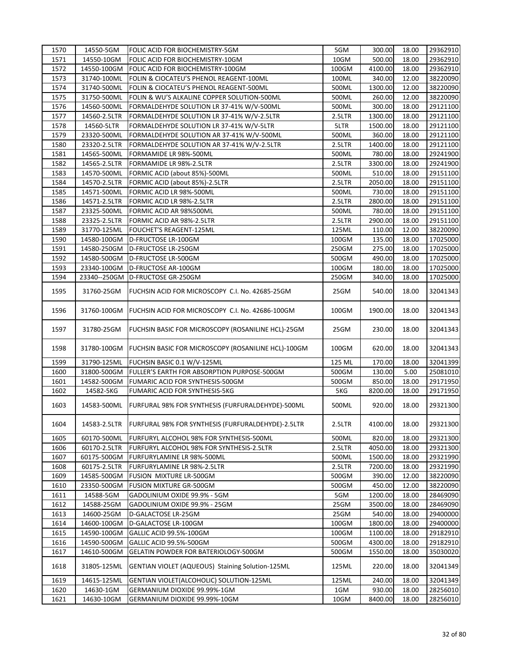| 1570         | 14550-5GM                  | FOLIC ACID FOR BIOCHEMISTRY-5GM                     | 5GM    | 300.00           | 18.00 | 29362910 |
|--------------|----------------------------|-----------------------------------------------------|--------|------------------|-------|----------|
| 1571         | 14550-10GM                 | FOLIC ACID FOR BIOCHEMISTRY-10GM                    | 10GM   | 500.00           | 18.00 | 29362910 |
| 1572         | 14550-100GM                | FOLIC ACID FOR BIOCHEMISTRY-100GM                   | 100GM  | 4100.00          | 18.00 | 29362910 |
| 1573         | 31740-100ML                | FOLIN & CIOCATEU'S PHENOL REAGENT-100ML             | 100ML  | 340.00           | 12.00 | 38220090 |
| 1574         | 31740-500ML                | FOLIN & CIOCATEU'S PHENOL REAGENT-500ML             | 500ML  | 1300.00          | 12.00 | 38220090 |
| 1575         | 31750-500ML                | FOLIN & WU'S ALKALINE COPPER SOLUTION-500ML         | 500ML  | 260.00           | 12.00 | 38220090 |
| 1576         | 14560-500ML                | FORMALDEHYDE SOLUTION LR 37-41% W/V-500ML           | 500ML  | 300.00           | 18.00 | 29121100 |
| 1577         | 14560-2.5LTR               | FORMALDEHYDE SOLUTION LR 37-41% W/V-2.5LTR          | 2.5LTR | 1300.00          | 18.00 | 29121100 |
| 1578         | 14560-5LTR                 | FORMALDEHYDE SOLUTION LR 37-41% W/V-5LTR            | 5LTR   | 1500.00          | 18.00 | 29121100 |
| 1579         | 23320-500ML                | FORMALDEHYDE SOLUTION AR 37-41% W/V-500ML           | 500ML  | 360.00           | 18.00 | 29121100 |
| 1580         | 23320-2.5LTR               | FORMALDEHYDE SOLUTION AR 37-41% W/V-2.5LTR          | 2.5LTR | 1400.00          | 18.00 | 29121100 |
| 1581         | 14565-500ML                | FORMAMIDE LR 98%-500ML                              | 500ML  | 780.00           | 18.00 | 29241900 |
| 1582         | 14565-2.5LTR               | FORMAMIDE LR 98%-2.5LTR                             | 2.5LTR | 3300.00          | 18.00 | 29241900 |
| 1583         | 14570-500ML                | FORMIC ACID (about 85%)-500ML                       | 500ML  | 510.00           | 18.00 | 29151100 |
| 1584         | 14570-2.5LTR               | FORMIC ACID (about 85%)-2.5LTR                      | 2.5LTR | 2050.00          | 18.00 | 29151100 |
| 1585         | 14571-500ML                | FORMIC ACID LR 98%-500ML                            | 500ML  | 730.00           | 18.00 | 29151100 |
| 1586         | 14571-2.5LTR               | FORMIC ACID LR 98%-2.5LTR                           | 2.5LTR | 2800.00          | 18.00 | 29151100 |
| 1587         | 23325-500ML                | FORMIC ACID AR 98%500ML                             | 500ML  | 780.00           | 18.00 | 29151100 |
| 1588         | 23325-2.5LTR               | FORMIC ACID AR 98%-2.5LTR                           | 2.5LTR | 2900.00          | 18.00 | 29151100 |
| 1589         | 31770-125ML                | FOUCHET'S REAGENT-125ML                             | 125ML  | 110.00           | 12.00 | 38220090 |
| 1590         | 14580-100GM                | D-FRUCTOSE LR-100GM                                 | 100GM  | 135.00           | 18.00 | 17025000 |
| 1591         | 14580-250GM                |                                                     |        |                  | 18.00 |          |
|              |                            | D-FRUCTOSE LR-250GM                                 | 250GM  | 275.00           |       | 17025000 |
| 1592<br>1593 | 14580-500GM<br>23340-100GM | D-FRUCTOSE LR-500GM<br>D-FRUCTOSE AR-100GM          | 500GM  | 490.00<br>180.00 | 18.00 | 17025000 |
|              |                            |                                                     | 100GM  |                  | 18.00 | 17025000 |
| 1594         |                            | 23340--250GM D-FRUCTOSE GR-250GM                    | 250GM  | 340.00           | 18.00 | 17025000 |
| 1595         | 31760-25GM                 | FUCHSIN ACID FOR MICROSCOPY C.I. No. 42685-25GM     | 25GM   | 540.00           | 18.00 | 32041343 |
| 1596         | 31760-100GM                | FUCHSIN ACID FOR MICROSCOPY C.I. No. 42686-100GM    | 100GM  | 1900.00          | 18.00 | 32041343 |
| 1597         | 31780-25GM                 | FUCHSIN BASIC FOR MICROSCOPY (ROSANILINE HCL)-25GM  | 25GM   | 230.00           | 18.00 | 32041343 |
| 1598         | 31780-100GM                | FUCHSIN BASIC FOR MICROSCOPY (ROSANILINE HCL)-100GM | 100GM  | 620.00           | 18.00 | 32041343 |
| 1599         | 31790-125ML                | FUCHSIN BASIC 0.1 W/V-125ML                         | 125 ML | 170.00           | 18.00 | 32041399 |
| 1600         | 31800-500GM                | FULLER'S EARTH FOR ABSORPTION PURPOSE-500GM         | 500GM  | 130.00           | 5.00  | 25081010 |
| 1601         | 14582-500GM                | FUMARIC ACID FOR SYNTHESIS-500GM                    | 500GM  | 850.00           | 18.00 | 29171950 |
| 1602         | 14582-5KG                  | FUMARIC ACID FOR SYNTHESIS-5KG                      | 5KG    | 8200.00          | 18.00 | 29171950 |
| 1603         | 14583-500ML                | FURFURAL 98% FOR SYNTHESIS (FURFURALDEHYDE)-500ML   | 500ML  | 920.00           | 18.00 | 29321300 |
| 1604         | 14583-2.5LTR               | FURFURAL 98% FOR SYNTHESIS (FURFURALDEHYDE)-2.5LTR  | 2.5LTR | 4100.00          | 18.00 | 29321300 |
| 1605         | 60170-500ML                | FURFURYL ALCOHOL 98% FOR SYNTHESIS-500ML            | 500ML  | 820.00           | 18.00 | 29321300 |
| 1606         | 60170-2.5LTR               | FURFURYL ALCOHOL 98% FOR SYNTHESIS-2.5LTR           | 2.5LTR | 4050.00          | 18.00 | 29321300 |
| 1607         | 60175-500GM                | FURFURYLAMINE LR 98%-500ML                          | 500ML  | 1500.00          | 18.00 | 29321990 |
| 1608         | 60175-2.5LTR               | FURFURYLAMINE LR 98%-2.5LTR                         | 2.5LTR | 7200.00          | 18.00 | 29321990 |
| 1609         | 14585-500GM                | FUSION MIXTURE LR-500GM                             | 500GM  | 390.00           | 12.00 | 38220090 |
| 1610         | 23350-500GM                | FUSION MIXTURE GR-500GM                             | 500GM  | 450.00           | 12.00 | 38220090 |
| 1611         | 14588-5GM                  | GADOLINIUM OXIDE 99.9% - 5GM                        | 5GM    | 1200.00          | 18.00 | 28469090 |
| 1612         | 14588-25GM                 | GADOLINIUM OXIDE 99.9% - 25GM                       | 25GM   | 3500.00          | 18.00 | 28469090 |
| 1613         | 14600-25GM                 | D-GALACTOSE LR-25GM                                 | 25GM   | 540.00           | 18.00 | 29400000 |
| 1614         | 14600-100GM                | D-GALACTOSE LR-100GM                                | 100GM  | 1800.00          | 18.00 | 29400000 |
| 1615         | 14590-100GM                | GALLIC ACID 99.5%-100GM                             | 100GM  | 1100.00          | 18.00 | 29182910 |
| 1616         | 14590-500GM                | GALLIC ACID 99.5%-500GM                             | 500GM  | 4300.00          | 18.00 | 29182910 |
| 1617         | 14610-500GM                | GELATIN POWDER FOR BATERIOLOGY-500GM                | 500GM  | 1550.00          | 18.00 | 35030020 |
| 1618         | 31805-125ML                | GENTIAN VIOLET (AQUEOUS) Staining Solution-125ML    | 125ML  | 220.00           | 18.00 | 32041349 |
| 1619         | 14615-125ML                | GENTIAN VIOLET(ALCOHOLIC) SOLUTION-125ML            | 125ML  | 240.00           | 18.00 | 32041349 |
| 1620         | 14630-1GM                  | GERMANIUM DIOXIDE 99.99%-1GM                        | 1GM    | 930.00           | 18.00 | 28256010 |
| 1621         | 14630-10GM                 | GERMANIUM DIOXIDE 99.99%-10GM                       | 10GM   | 8400.00          | 18.00 | 28256010 |
|              |                            |                                                     |        |                  |       |          |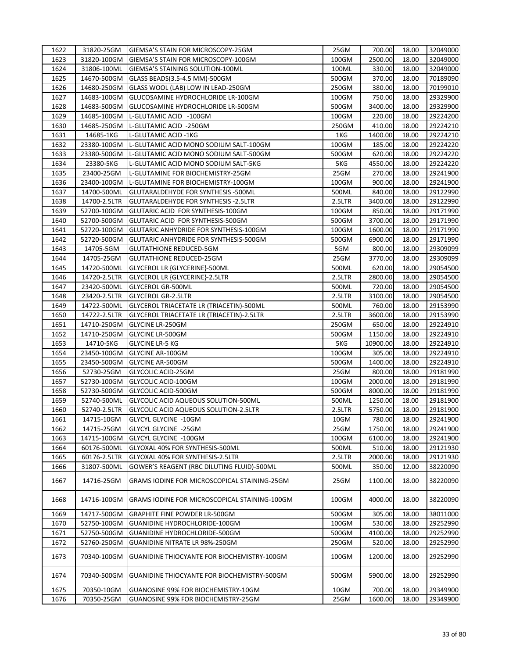| 1622         | 31820-25GM   | GIEMSA'S STAIN FOR MICROSCOPY-25GM            | 25GM           | 700.00   | 18.00 | 32049000 |
|--------------|--------------|-----------------------------------------------|----------------|----------|-------|----------|
| 1623         | 31820-100GM  | GIEMSA'S STAIN FOR MICROSCOPY-100GM           | 100GM          | 2500.00  | 18.00 | 32049000 |
| 1624         | 31806-100ML  | GIEMSA'S STAINING SOLUTION-100ML              | 100ML          | 330.00   | 18.00 | 32049000 |
| 1625         | 14670-500GM  | GLASS BEADS(3.5-4.5 MM)-500GM                 | 500GM          | 370.00   | 18.00 | 70189090 |
| 1626         | 14680-250GM  | GLASS WOOL (LAB) LOW IN LEAD-250GM            | 250GM          | 380.00   | 18.00 | 70199010 |
| 1627         | 14683-100GM  | GLUCOSAMINE HYDROCHLORIDE LR-100GM            | 100GM          | 750.00   | 18.00 | 29329900 |
| 1628         | 14683-500GM  | GLUCOSAMINE HYDROCHLORIDE LR-500GM            | 500GM          | 3400.00  | 18.00 | 29329900 |
| 1629         | 14685-100GM  | L-GLUTAMIC ACID -100GM                        | 100GM          | 220.00   | 18.00 | 29224200 |
| 1630         | 14685-250GM  | L-GLUTAMIC ACID -250GM                        | 250GM          | 410.00   | 18.00 | 29224210 |
| 1631         | 14685-1KG    | L-GLUTAMIC ACID -1KG                          | 1KG            | 1400.00  | 18.00 | 29224210 |
| 1632         | 23380-100GM  | L-GLUTAMIC ACID MONO SODIUM SALT-100GM        | 100GM          | 185.00   | 18.00 | 29224220 |
| 1633         | 23380-500GM  | L-GLUTAMIC ACID MONO SODIUM SALT-500GM        | 500GM          | 620.00   | 18.00 | 29224220 |
| 1634         | 23380-5KG    | L-GLUTAMIC ACID MONO SODIUM SALT-5KG          | 5KG            | 4550.00  | 18.00 | 29224220 |
| 1635         | 23400-25GM   | L-GLUTAMINE FOR BIOCHEMISTRY-25GM             | 25GM           | 270.00   | 18.00 | 29241900 |
| 1636         | 23400-100GM  | L-GLUTAMINE FOR BIOCHEMISTRY-100GM            | 100GM          | 900.00   | 18.00 | 29241900 |
| 1637         | 14700-500ML  | GLUTARALDEHYDE FOR SYNTHESIS -500ML           | 500ML          | 840.00   | 18.00 | 29122990 |
| 1638         | 14700-2.5LTR | GLUTARALDEHYDE FOR SYNTHESIS -2.5LTR          | 2.5LTR         | 3400.00  | 18.00 | 29122990 |
| 1639         | 52700-100GM  | GLUTARIC ACID FOR SYNTHESIS-100GM             | 100GM          | 850.00   | 18.00 | 29171990 |
| 1640         | 52700-500GM  | GLUTARIC ACID FOR SYNTHESIS-500GM             | 500GM          | 3700.00  | 18.00 | 29171990 |
|              |              | GLUTARIC ANHYDRIDE FOR SYNTHESIS-100GM        |                | 1600.00  | 18.00 |          |
| 1641<br>1642 | 52720-100GM  | GLUTARIC ANHYDRIDE FOR SYNTHESIS-500GM        | 100GM<br>500GM | 6900.00  | 18.00 | 29171990 |
|              | 52720-500GM  |                                               |                |          |       | 29171990 |
| 1643         | 14705-5GM    | <b>GLUTATHIONE REDUCED-5GM</b>                | 5GM            | 800.00   | 18.00 | 29309099 |
| 1644         | 14705-25GM   | <b>GLUTATHIONE REDUCED-25GM</b>               | 25GM           | 3770.00  | 18.00 | 29309099 |
| 1645         | 14720-500ML  | GLYCEROL LR {GLYCERINE}-500ML                 | 500ML          | 620.00   | 18.00 | 29054500 |
| 1646         | 14720-2.5LTR | GLYCEROL LR {GLYCERINE}-2.5LTR                | 2.5LTR         | 2800.00  | 18.00 | 29054500 |
| 1647         | 23420-500ML  | <b>GLYCEROL GR-500ML</b>                      | 500ML          | 720.00   | 18.00 | 29054500 |
| 1648         | 23420-2.5LTR | <b>GLYCEROL GR-2.5LTR</b>                     | 2.5LTR         | 3100.00  | 18.00 | 29054500 |
| 1649         | 14722-500ML  | GLYCEROL TRIACETATE LR (TRIACETIN)-500ML      | 500ML          | 760.00   | 18.00 | 29153990 |
| 1650         | 14722-2.5LTR | GLYCEROL TRIACETATE LR (TRIACETIN)-2.5LTR     | 2.5LTR         | 3600.00  | 18.00 | 29153990 |
| 1651         | 14710-250GM  | <b>GLYCINE LR-250GM</b>                       | 250GM          | 650.00   | 18.00 | 29224910 |
| 1652         | 14710-250GM  | <b>GLYCINE LR-500GM</b>                       | 500GM          | 1150.00  | 18.00 | 29224910 |
| 1653         | 14710-5KG    | <b>GLYCINE LR-5 KG</b>                        | 5KG            | 10900.00 | 18.00 | 29224910 |
| 1654         | 23450-100GM  | <b>GLYCINE AR-100GM</b>                       | 100GM          | 305.00   | 18.00 | 29224910 |
| 1655         | 23450-500GM  | <b>GLYCINE AR-500GM</b>                       | 500GM          | 1400.00  | 18.00 | 29224910 |
| 1656         | 52730-25GM   | GLYCOLIC ACID-25GM                            | 25GM           | 800.00   | 18.00 | 29181990 |
| 1657         | 52730-100GM  | GLYCOLIC ACID-100GM                           | 100GM          | 2000.00  | 18.00 | 29181990 |
| 1658         | 52730-500GM  | <b>GLYCOLIC ACID-500GM</b>                    | 500GM          | 8000.00  | 18.00 | 29181990 |
| 1659         | 52740-500ML  | GLYCOLIC ACID AQUEOUS SOLUTION-500ML          | 500ML          | 1250.00  | 18.00 | 29181900 |
| 1660         | 52740-2.5LTR | GLYCOLIC ACID AQUEOUS SOLUTION-2.5LTR         | 2.5LTR         | 5750.00  | 18.00 | 29181900 |
| 1661         | 14715-10GM   | <b>GLYCYL GLYCINE -10GM</b>                   | 10GM           | 780.00   | 18.00 | 29241900 |
| 1662         | 14715-25GM   | GLYCYL GLYCINE -25GM                          | 25GM           | 1750.00  | 18.00 | 29241900 |
| 1663         | 14715-100GM  | GLYCYL GLYCINE -100GM                         | 100GM          | 6100.00  | 18.00 | 29241900 |
| 1664         | 60176-500ML  | GLYOXAL 40% FOR SYNTHESIS-500ML               | 500ML          | 510.00   | 18.00 | 29121930 |
| 1665         | 60176-2.5LTR | GLYOXAL 40% FOR SYNTHESIS-2.5LTR              | 2.5LTR         | 2000.00  | 18.00 | 29121930 |
| 1666         | 31807-500ML  | GOWER'S REAGENT (RBC DILUTING FLUID)-500ML    | 500ML          | 350.00   | 12.00 | 38220090 |
| 1667         | 14716-25GM   | GRAMS IODINE FOR MICROSCOPICAL STAINING-25GM  | 25GM           | 1100.00  | 18.00 | 38220090 |
| 1668         | 14716-100GM  | GRAMS IODINE FOR MICROSCOPICAL STAINING-100GM | 100GM          | 4000.00  | 18.00 | 38220090 |
| 1669         | 14717-500GM  | <b>GRAPHITE FINE POWDER LR-500GM</b>          | 500GM          | 305.00   | 18.00 | 38011000 |
| 1670         | 52750-100GM  | GUANIDINE HYDROCHLORIDE-100GM                 | 100GM          | 530.00   | 18.00 | 29252990 |
| 1671         | 52750-500GM  | GUANIDINE HYDROCHLORIDE-500GM                 | 500GM          | 4100.00  | 18.00 | 29252990 |
| 1672         | 52760-250GM  | GUANIDINE NITRATE LR 98%-250GM                | 250GM          | 520.00   | 18.00 | 29252990 |
| 1673         | 70340-100GM  | GUANIDINE THIOCYANTE FOR BIOCHEMISTRY-100GM   | 100GM          | 1200.00  | 18.00 | 29252990 |
| 1674         | 70340-500GM  | GUANIDINE THIOCYANTE FOR BIOCHEMISTRY-500GM   | 500GM          | 5900.00  | 18.00 | 29252990 |
| 1675         | 70350-10GM   | GUANOSINE 99% FOR BIOCHEMISTRY-10GM           | 10GM           | 700.00   | 18.00 | 29349900 |
| 1676         | 70350-25GM   | GUANOSINE 99% FOR BIOCHEMISTRY-25GM           | 25GM           | 1600.00  | 18.00 | 29349900 |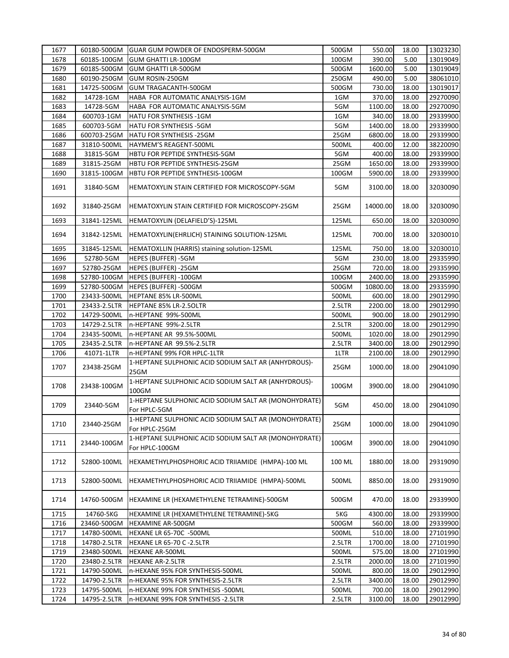| 1677 | 60180-500GM  | GUAR GUM POWDER OF ENDOSPERM-500GM                                      | 500GM  | 550.00   | 18.00 | 13023230 |
|------|--------------|-------------------------------------------------------------------------|--------|----------|-------|----------|
| 1678 | 60185-100GM  | <b>GUM GHATTI LR-100GM</b>                                              | 100GM  | 390.00   | 5.00  | 13019049 |
| 1679 | 60185-500GM  | <b>GUM GHATTI LR-500GM</b>                                              | 500GM  | 1600.00  | 5.00  | 13019049 |
| 1680 | 60190-250GM  | GUM ROSIN-250GM                                                         | 250GM  | 490.00   | 5.00  | 38061010 |
| 1681 | 14725-500GM  | GUM TRAGACANTH-500GM                                                    | 500GM  | 730.00   | 18.00 | 13019017 |
| 1682 | 14728-1GM    | HABA FOR AUTOMATIC ANALYSIS-1GM                                         | 1GM    | 370.00   | 18.00 | 29270090 |
| 1683 | 14728-5GM    | HABA FOR AUTOMATIC ANALYSIS-5GM                                         | 5GM    | 1100.00  | 18.00 | 29270090 |
| 1684 | 600703-1GM   | HATU FOR SYNTHESIS -1GM                                                 | 1GM    | 340.00   | 18.00 | 29339900 |
| 1685 | 600703-5GM   | HATU FOR SYNTHESIS -5GM                                                 | 5GM    | 1400.00  | 18.00 | 29339900 |
| 1686 | 600703-25GM  | HATU FOR SYNTHESIS -25GM                                                | 25GM   | 6800.00  | 18.00 | 29339900 |
| 1687 | 31810-500ML  | HAYMEM'S REAGENT-500ML                                                  | 500ML  | 400.00   | 12.00 | 38220090 |
|      | 31815-5GM    |                                                                         |        | 400.00   |       |          |
| 1688 |              | HBTU FOR PEPTIDE SYNTHESIS-5GM                                          | 5GM    |          | 18.00 | 29339900 |
| 1689 | 31815-25GM   | HBTU FOR PEPTIDE SYNTHESIS-25GM                                         | 25GM   | 1650.00  | 18.00 | 29339900 |
| 1690 | 31815-100GM  | HBTU FOR PEPTIDE SYNTHESIS-100GM                                        | 100GM  | 5900.00  | 18.00 | 29339900 |
| 1691 | 31840-5GM    | HEMATOXYLIN STAIN CERTIFIED FOR MICROSCOPY-5GM                          | 5GM    | 3100.00  | 18.00 | 32030090 |
| 1692 | 31840-25GM   | HEMATOXYLIN STAIN CERTIFIED FOR MICROSCOPY-25GM                         | 25GM   | 14000.00 | 18.00 | 32030090 |
| 1693 | 31841-125ML  | HEMATOXYLIN (DELAFIELD'S)-125ML                                         | 125ML  | 650.00   | 18.00 | 32030090 |
| 1694 | 31842-125ML  | HEMATOXYLIN(EHRLICH) STAINING SOLUTION-125ML                            | 125ML  | 700.00   | 18.00 | 32030010 |
| 1695 | 31845-125ML  | HEMATOXLLIN (HARRIS) staining solution-125ML                            | 125ML  | 750.00   | 18.00 | 32030010 |
| 1696 | 52780-5GM    | HEPES (BUFFER) -5GM                                                     | 5GM    | 230.00   | 18.00 | 29335990 |
| 1697 | 52780-25GM   | HEPES (BUFFER) -25GM                                                    | 25GM   | 720.00   | 18.00 | 29335990 |
| 1698 | 52780-100GM  | HEPES (BUFFER) -100GM                                                   | 100GM  | 2400.00  | 18.00 | 29335990 |
| 1699 | 52780-500GM  | HEPES (BUFFER) -500GM                                                   | 500GM  | 10800.00 | 18.00 | 29335990 |
| 1700 | 23433-500ML  | HEPTANE 85% LR-500ML                                                    | 500ML  | 600.00   | 18.00 | 29012990 |
| 1701 | 23433-2.5LTR | HEPTANE 85% LR-2.5OLTR                                                  | 2.5LTR | 2200.00  | 18.00 | 29012990 |
| 1702 | 14729-500ML  | n-HEPTANE 99%-500ML                                                     | 500ML  | 900.00   | 18.00 | 29012990 |
| 1703 | 14729-2.5LTR | n-HEPTANE 99%-2.5LTR                                                    | 2.5LTR | 3200.00  | 18.00 | 29012990 |
| 1704 | 23435-500ML  | n-HEPTANE AR 99.5%-500ML                                                | 500ML  | 1020.00  | 18.00 | 29012990 |
| 1705 | 23435-2.5LTR | n-HEPTANE AR 99.5%-2.5LTR                                               | 2.5LTR | 3400.00  | 18.00 | 29012990 |
| 1706 | 41071-1LTR   | n-HEPTANE 99% FOR HPLC-1LTR                                             | 1LTR   | 2100.00  | 18.00 | 29012990 |
|      |              | 1-HEPTANE SULPHONIC ACID SODIUM SALT AR (ANHYDROUS)-                    |        |          |       |          |
| 1707 | 23438-25GM   | 25GM                                                                    | 25GM   | 1000.00  | 18.00 | 29041090 |
| 1708 | 23438-100GM  | 1-HEPTANE SULPHONIC ACID SODIUM SALT AR (ANHYDROUS)-<br>100GM           | 100GM  | 3900.00  | 18.00 | 29041090 |
| 1709 | 23440-5GM    | 1-HEPTANE SULPHONIC ACID SODIUM SALT AR (MONOHYDRATE)<br>For HPLC-5GM   | 5GM    | 450.00   | 18.00 | 29041090 |
| 1710 | 23440-25GM   | 1-HEPTANE SULPHONIC ACID SODIUM SALT AR (MONOHYDRATE)<br>For HPLC-25GM  | 25GM   | 1000.00  | 18.00 | 29041090 |
| 1711 | 23440-100GM  | 1-HEPTANE SULPHONIC ACID SODIUM SALT AR (MONOHYDRATE)<br>For HPLC-100GM | 100GM  | 3900.00  | 18.00 | 29041090 |
| 1712 | 52800-100ML  | HEXAMETHYLPHOSPHORIC ACID TRIIAMIDE (HMPA)-100 ML                       | 100 ML | 1880.00  | 18.00 | 29319090 |
| 1713 | 52800-500ML  | HEXAMETHYLPHOSPHORIC ACID TRIIAMIDE (HMPA)-500ML                        | 500ML  | 8850.00  | 18.00 | 29319090 |
| 1714 | 14760-500GM  | HEXAMINE LR (HEXAMETHYLENE TETRAMINE)-500GM                             | 500GM  | 470.00   | 18.00 | 29339900 |
| 1715 | 14760-5KG    | HEXAMINE LR (HEXAMETHYLENE TETRAMINE)-5KG                               | 5KG    | 4300.00  | 18.00 | 29339900 |
| 1716 | 23460-500GM  | HEXAMINE AR-500GM                                                       | 500GM  | 560.00   | 18.00 | 29339900 |
| 1717 | 14780-500ML  | HEXANE LR 65-70C -500ML                                                 | 500ML  | 510.00   | 18.00 | 27101990 |
| 1718 | 14780-2.5LTR | <b>HEXANE LR 65-70 C -2.5LTR</b>                                        | 2.5LTR | 1700.00  | 18.00 | 27101990 |
| 1719 | 23480-500ML  | HEXANE AR-500ML                                                         | 500ML  | 575.00   | 18.00 | 27101990 |
| 1720 | 23480-2.5LTR | <b>HEXANE AR-2.5LTR</b>                                                 | 2.5LTR | 2000.00  | 18.00 | 27101990 |
| 1721 | 14790-500ML  | n-HEXANE 95% FOR SYNTHESIS-500ML                                        | 500ML  | 800.00   | 18.00 | 29012990 |
| 1722 | 14790-2.5LTR | n-HEXANE 95% FOR SYNTHESIS-2.5LTR                                       | 2.5LTR | 3400.00  | 18.00 | 29012990 |
| 1723 | 14795-500ML  | n-HEXANE 99% FOR SYNTHESIS -500ML                                       | 500ML  | 700.00   | 18.00 | 29012990 |
| 1724 | 14795-2.5LTR | n-HEXANE 99% FOR SYNTHESIS -2.5LTR                                      | 2.5LTR | 3100.00  | 18.00 | 29012990 |
|      |              |                                                                         |        |          |       |          |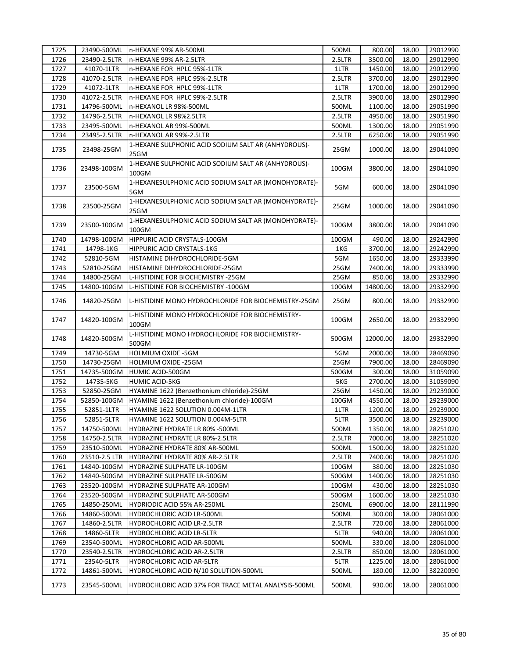| 1725 | 23490-500ML   | n-HEXANE 99% AR-500ML                                         | 500ML  | 800.00   | 18.00 | 29012990 |
|------|---------------|---------------------------------------------------------------|--------|----------|-------|----------|
| 1726 | 23490-2.5LTR  | n-HEXANE 99% AR-2.5LTR                                        | 2.5LTR | 3500.00  | 18.00 | 29012990 |
| 1727 | 41070-1LTR    | n-HEXANE FOR HPLC 95%-1LTR                                    | 1LTR   | 1450.00  | 18.00 | 29012990 |
| 1728 | 41070-2.5LTR  | n-HEXANE FOR HPLC 95%-2.5LTR                                  | 2.5LTR | 3700.00  | 18.00 | 29012990 |
| 1729 | 41072-1LTR    | n-HEXANE FOR HPLC 99%-1LTR                                    | 1LTR   | 1700.00  | 18.00 | 29012990 |
| 1730 | 41072-2.5LTR  | n-HEXANE FOR HPLC 99%-2.5LTR                                  | 2.5LTR | 3900.00  | 18.00 | 29012990 |
| 1731 | 14796-500ML   | n-HEXANOL LR 98%-500ML                                        | 500ML  | 1100.00  | 18.00 | 29051990 |
| 1732 | 14796-2.5LTR  | n-HEXANOL LR 98%2.5LTR                                        | 2.5LTR | 4950.00  | 18.00 | 29051990 |
| 1733 | 23495-500ML   | n-HEXANOL AR 99%-500ML                                        | 500ML  | 1300.00  | 18.00 | 29051990 |
| 1734 | 23495-2.5LTR  | n-HEXANOL AR 99%-2.5LTR                                       | 2.5LTR | 6250.00  | 18.00 | 29051990 |
| 1735 | 23498-25GM    | 1-HEXANE SULPHONIC ACID SODIUM SALT AR (ANHYDROUS)-           | 25GM   | 1000.00  | 18.00 | 29041090 |
|      |               | 25GM                                                          |        |          |       |          |
| 1736 | 23498-100GM   | 1-HEXANE SULPHONIC ACID SODIUM SALT AR (ANHYDROUS)-<br>100GM  | 100GM  | 3800.00  | 18.00 | 29041090 |
| 1737 | 23500-5GM     | 1-HEXANESULPHONIC ACID SODIUM SALT AR (MONOHYDRATE)-<br>5GM   | 5GM    | 600.00   | 18.00 | 29041090 |
| 1738 | 23500-25GM    | 1-HEXANESULPHONIC ACID SODIUM SALT AR (MONOHYDRATE)-<br>25GM  | 25GM   | 1000.00  | 18.00 | 29041090 |
| 1739 | 23500-100GM   | 1-HEXANESULPHONIC ACID SODIUM SALT AR (MONOHYDRATE)-<br>100GM | 100GM  | 3800.00  | 18.00 | 29041090 |
| 1740 | 14798-100GM   | HIPPURIC ACID CRYSTALS-100GM                                  | 100GM  | 490.00   | 18.00 | 29242990 |
| 1741 | 14798-1KG     | HIPPURIC ACID CRYSTALS-1KG                                    | 1KG    | 3700.00  | 18.00 | 29242990 |
| 1742 | 52810-5GM     | HISTAMINE DIHYDROCHLORIDE-5GM                                 | 5GM    | 1650.00  | 18.00 | 29333990 |
| 1743 | 52810-25GM    | HISTAMINE DIHYDROCHLORIDE-25GM                                | 25GM   | 7400.00  | 18.00 | 29333990 |
| 1744 | 14800-25GM    | L-HISTIDINE FOR BIOCHEMISTRY -25GM                            | 25GM   | 850.00   | 18.00 | 29332990 |
| 1745 | 14800-100GM   | L-HISTIDINE FOR BIOCHEMISTRY -100GM                           | 100GM  | 14800.00 | 18.00 | 29332990 |
| 1746 | 14820-25GM    | L-HISTIDINE MONO HYDROCHLORIDE FOR BIOCHEMISTRY-25GM          | 25GM   | 800.00   | 18.00 | 29332990 |
| 1747 | 14820-100GM   | L-HISTIDINE MONO HYDROCHLORIDE FOR BIOCHEMISTRY-<br>100GM     | 100GM  | 2650.00  | 18.00 | 29332990 |
| 1748 | 14820-500GM   | L-HISTIDINE MONO HYDROCHLORIDE FOR BIOCHEMISTRY-<br>500GM     | 500GM  | 12000.00 | 18.00 | 29332990 |
| 1749 | 14730-5GM     | <b>HOLMIUM OXIDE -5GM</b>                                     | 5GM    | 2000.00  | 18.00 | 28469090 |
| 1750 | 14730-25GM    | HOLMIUM OXIDE -25GM                                           | 25GM   | 7900.00  | 18.00 | 28469090 |
| 1751 | 14735-500GM   | HUMIC ACID-500GM                                              | 500GM  | 300.00   | 18.00 | 31059090 |
| 1752 | 14735-5KG     | HUMIC ACID-5KG                                                | 5KG    | 2700.00  | 18.00 | 31059090 |
| 1753 | 52850-25GM    | HYAMINE 1622 (Benzethonium chloride)-25GM                     | 25GM   | 1450.00  | 18.00 | 29239000 |
| 1754 | 52850-100GM   | HYAMINE 1622 (Benzethonium chloride)-100GM                    | 100GM  | 4550.00  | 18.00 | 29239000 |
| 1755 | 52851-1LTR    | HYAMINE 1622 SOLUTION 0.004M-1LTR                             | 1LTR   | 1200.00  | 18.00 | 29239000 |
| 1756 | 52851-5LTR    | HYAMINE 1622 SOLUTION 0.004M-5LTR                             | 5LTR   | 3500.00  | 18.00 | 29239000 |
| 1757 | 14750-500ML   | HYDRAZINE HYDRATE LR 80% -500ML                               | 500ML  | 1350.00  | 18.00 | 28251020 |
| 1758 | 14750-2.5LTR  | HYDRAZINE HYDRATE LR 80%-2.5LTR                               | 2.5LTR | 7000.00  | 18.00 | 28251020 |
| 1759 | 23510-500ML   | HYDRAZINE HYDRATE 80% AR-500ML                                | 500ML  | 1500.00  | 18.00 | 28251020 |
| 1760 | 23510-2.5 LTR | HYDRAZINE HYDRATE 80% AR-2.5LTR                               | 2.5LTR | 7400.00  | 18.00 | 28251020 |
| 1761 | 14840-100GM   | HYDRAZINE SULPHATE LR-100GM                                   | 100GM  | 380.00   | 18.00 | 28251030 |
| 1762 | 14840-500GM   | HYDRAZINE SULPHATE LR-500GM                                   | 500GM  | 1400.00  | 18.00 | 28251030 |
| 1763 | 23520-100GM   | HYDRAZINE SULPHATE AR-100GM                                   | 100GM  | 430.00   | 18.00 | 28251030 |
| 1764 | 23520-500GM   | HYDRAZINE SULPHATE AR-500GM                                   | 500GM  | 1600.00  | 18.00 | 28251030 |
| 1765 | 14850-250ML   | HYDRIODIC ACID 55% AR-250ML                                   | 250ML  | 6900.00  | 18.00 | 28111990 |
| 1766 | 14860-500ML   | HYDROCHLORIC ACID LR-500ML                                    | 500ML  | 300.00   | 18.00 | 28061000 |
| 1767 | 14860-2.5LTR  | <b>HYDROCHLORIC ACID LR-2.5LTR</b>                            | 2.5LTR | 720.00   | 18.00 | 28061000 |
| 1768 | 14860-5LTR    | HYDROCHLORIC ACID LR-5LTR                                     | 5LTR   | 940.00   | 18.00 | 28061000 |
| 1769 | 23540-500ML   | <b>HYDROCHLORIC ACID AR-500ML</b>                             | 500ML  | 330.00   | 18.00 | 28061000 |
| 1770 | 23540-2.5LTR  | <b>HYDROCHLORIC ACID AR-2.5LTR</b>                            | 2.5LTR | 850.00   | 18.00 | 28061000 |
| 1771 | 23540-5LTR    | HYDROCHLORIC ACID AR-5LTR                                     | 5LTR   | 1225.00  | 18.00 | 28061000 |
| 1772 | 14861-500ML   | HYDROCHLORIC ACID N/10 SOLUTION-500ML                         | 500ML  | 180.00   | 12.00 | 38220090 |
| 1773 | 23545-500ML   | HYDROCHLORIC ACID 37% FOR TRACE METAL ANALYSIS-500ML          | 500ML  | 930.00   | 18.00 | 28061000 |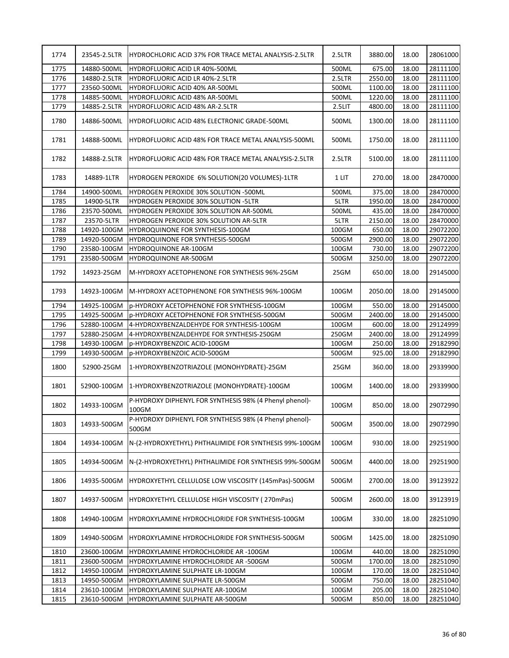| 1774 | 23545-2.5LTR | HYDROCHLORIC ACID 37% FOR TRACE METAL ANALYSIS-2.5LTR            | 2.5LTR | 3880.00 | 18.00 | 28061000 |
|------|--------------|------------------------------------------------------------------|--------|---------|-------|----------|
| 1775 | 14880-500ML  | HYDROFLUORIC ACID LR 40%-500ML                                   | 500ML  | 675.00  | 18.00 | 28111100 |
| 1776 | 14880-2.5LTR | <b>HYDROFLUORIC ACID LR 40%-2.5LTR</b>                           | 2.5LTR | 2550.00 | 18.00 | 28111100 |
| 1777 | 23560-500ML  | HYDROFLUORIC ACID 40% AR-500ML                                   | 500ML  | 1100.00 | 18.00 | 28111100 |
| 1778 | 14885-500ML  | HYDROFLUORIC ACID 48% AR-500ML                                   | 500ML  | 1220.00 | 18.00 | 28111100 |
| 1779 | 14885-2.5LTR | HYDROFLUORIC ACID 48% AR-2.5LTR                                  | 2.5LIT | 4800.00 | 18.00 | 28111100 |
| 1780 | 14886-500ML  | HYDROFLUORIC ACID 48% ELECTRONIC GRADE-500ML                     | 500ML  | 1300.00 | 18.00 | 28111100 |
| 1781 | 14888-500ML  | HYDROFLUORIC ACID 48% FOR TRACE METAL ANALYSIS-500ML             | 500ML  | 1750.00 | 18.00 | 28111100 |
| 1782 | 14888-2.5LTR | <b>HYDROFLUORIC ACID 48% FOR TRACE METAL ANALYSIS-2.5LTR</b>     | 2.5LTR | 5100.00 | 18.00 | 28111100 |
| 1783 | 14889-1LTR   | HYDROGEN PEROXIDE 6% SOLUTION(20 VOLUMES)-1LTR                   | 1 LIT  | 270.00  | 18.00 | 28470000 |
| 1784 | 14900-500ML  | HYDROGEN PEROXIDE 30% SOLUTION -500ML                            | 500ML  | 375.00  | 18.00 | 28470000 |
| 1785 | 14900-5LTR   | HYDROGEN PEROXIDE 30% SOLUTION -5LTR                             | 5LTR   | 1950.00 | 18.00 | 28470000 |
| 1786 | 23570-500ML  | HYDROGEN PEROXIDE 30% SOLUTION AR-500ML                          | 500ML  | 435.00  | 18.00 | 28470000 |
| 1787 | 23570-5LTR   | HYDROGEN PEROXIDE 30% SOLUTION AR-5LTR                           | 5LTR   | 2150.00 | 18.00 | 28470000 |
| 1788 | 14920-100GM  | HYDROQUINONE FOR SYNTHESIS-100GM                                 | 100GM  | 650.00  | 18.00 | 29072200 |
| 1789 | 14920-500GM  | HYDROQUINONE FOR SYNTHESIS-500GM                                 | 500GM  | 2900.00 | 18.00 | 29072200 |
| 1790 | 23580-100GM  | HYDROQUINONE AR-100GM                                            | 100GM  | 730.00  | 18.00 | 29072200 |
| 1791 | 23580-500GM  | <b>HYDROQUINONE AR-500GM</b>                                     | 500GM  | 3250.00 | 18.00 | 29072200 |
| 1792 | 14923-25GM   | M-HYDROXY ACETOPHENONE FOR SYNTHESIS 96%-25GM                    | 25GM   | 650.00  | 18.00 | 29145000 |
| 1793 | 14923-100GM  | M-HYDROXY ACETOPHENONE FOR SYNTHESIS 96%-100GM                   | 100GM  | 2050.00 | 18.00 | 29145000 |
| 1794 | 14925-100GM  | p-HYDROXY ACETOPHENONE FOR SYNTHESIS-100GM                       | 100GM  | 550.00  | 18.00 | 29145000 |
| 1795 | 14925-500GM  | p-HYDROXY ACETOPHENONE FOR SYNTHESIS-500GM                       | 500GM  | 2400.00 | 18.00 | 29145000 |
| 1796 | 52880-100GM  | 4-HYDROXYBENZALDEHYDE FOR SYNTHESIS-100GM                        | 100GM  | 600.00  | 18.00 | 29124999 |
| 1797 | 52880-250GM  | 4-HYDROXYBENZALDEHYDE FOR SYNTHESIS-250GM                        | 250GM  | 2400.00 | 18.00 | 29124999 |
| 1798 | 14930-100GM  | p-HYDROXYBENZOIC ACID-100GM                                      | 100GM  | 250.00  | 18.00 | 29182990 |
| 1799 | 14930-500GM  | p-HYDROXYBENZOIC ACID-500GM                                      | 500GM  | 925.00  | 18.00 | 29182990 |
| 1800 | 52900-25GM   | 1-HYDROXYBENZOTRIAZOLE (MONOHYDRATE)-25GM                        | 25GM   | 360.00  | 18.00 | 29339900 |
| 1801 | 52900-100GM  | 1-HYDROXYBENZOTRIAZOLE (MONOHYDRATE)-100GM                       | 100GM  | 1400.00 | 18.00 | 29339900 |
| 1802 | 14933-100GM  | P-HYDROXY DIPHENYL FOR SYNTHESIS 98% (4 Phenyl phenol)-<br>100GM | 100GM  | 850.00  | 18.00 | 29072990 |
| 1803 | 14933-500GM  | P-HYDROXY DIPHENYL FOR SYNTHESIS 98% (4 Phenyl phenol)-<br>500GM | 500GM  | 3500.00 | 18.00 | 29072990 |
| 1804 | 14934-100GM  | N-(2-HYDROXYETHYL) PHTHALIMIDE FOR SYNTHESIS 99%-100GM           | 100GM  | 930.00  | 18.00 | 29251900 |
| 1805 | 14934-500GM  | N-(2-HYDROXYETHYL) PHTHALIMIDE FOR SYNTHESIS 99%-500GM           | 500GM  | 4400.00 | 18.00 | 29251900 |
| 1806 | 14935-500GM  | HYDROXYETHYL CELLULOSE LOW VISCOSITY (145mPas)-500GM             | 500GM  | 2700.00 | 18.00 | 39123922 |
| 1807 | 14937-500GM  | HYDROXYETHYL CELLULOSE HIGH VISCOSITY (270mPas)                  | 500GM  | 2600.00 | 18.00 | 39123919 |
| 1808 | 14940-100GM  | HYDROXYLAMINE HYDROCHLORIDE FOR SYNTHESIS-100GM                  | 100GM  | 330.00  | 18.00 | 28251090 |
| 1809 | 14940-500GM  | HYDROXYLAMINE HYDROCHLORIDE FOR SYNTHESIS-500GM                  | 500GM  | 1425.00 | 18.00 | 28251090 |
| 1810 | 23600-100GM  | HYDROXYLAMINE HYDROCHLORIDE AR -100GM                            | 100GM  | 440.00  | 18.00 | 28251090 |
| 1811 | 23600-500GM  | HYDROXYLAMINE HYDROCHLORIDE AR -500GM                            | 500GM  | 1700.00 | 18.00 | 28251090 |
| 1812 | 14950-100GM  | HYDROXYLAMINE SULPHATE LR-100GM                                  | 100GM  | 170.00  | 18.00 | 28251040 |
| 1813 | 14950-500GM  | HYDROXYLAMINE SULPHATE LR-500GM                                  | 500GM  | 750.00  | 18.00 | 28251040 |
| 1814 | 23610-100GM  | HYDROXYLAMINE SULPHATE AR-100GM                                  | 100GM  | 205.00  | 18.00 | 28251040 |
| 1815 | 23610-500GM  | HYDROXYLAMINE SULPHATE AR-500GM                                  | 500GM  | 850.00  | 18.00 | 28251040 |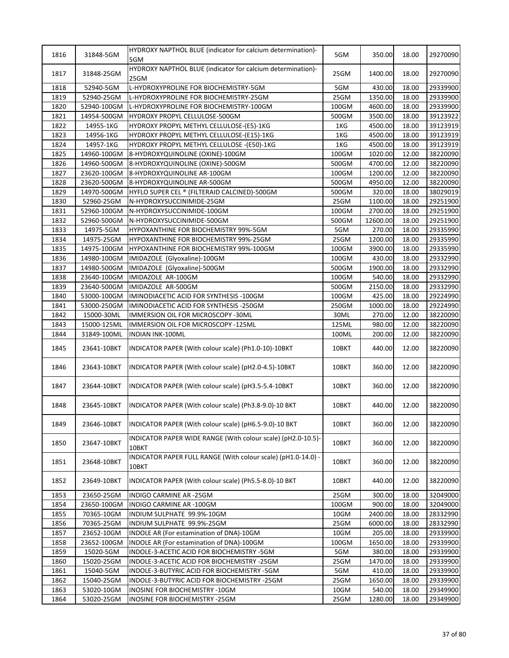| 1816 | 31848-5GM   | HYDROXY NAPTHOL BLUE (indicator for calcium determination)-<br>5GM     | 5GM   | 350.00   | 18.00 | 29270090 |
|------|-------------|------------------------------------------------------------------------|-------|----------|-------|----------|
| 1817 | 31848-25GM  | HYDROXY NAPTHOL BLUE (indicator for calcium determination)-<br>25GM    | 25GM  | 1400.00  | 18.00 | 29270090 |
| 1818 | 52940-5GM   | L-HYDROXYPROLINE FOR BIOCHEMISTRY-5GM                                  | 5GM   | 430.00   | 18.00 | 29339900 |
| 1819 | 52940-25GM  | L-HYDROXYPROLINE FOR BIOCHEMISTRY-25GM                                 | 25GM  | 1350.00  | 18.00 | 29339900 |
| 1820 | 52940-100GM | L-HYDROXYPROLINE FOR BIOCHEMISTRY-100GM                                | 100GM | 4600.00  | 18.00 | 29339900 |
| 1821 | 14954-500GM | HYDROXY PROPYL CELLULOSE-500GM                                         | 500GM | 3500.00  | 18.00 | 39123922 |
| 1822 | 14955-1KG   | HYDROXY PROPYL METHYL CELLULOSE-(E5)-1KG                               | 1KG   | 4500.00  | 18.00 | 39123919 |
| 1823 | 14956-1KG   | HYDROXY PROPYL METHYL CELLULOSE-(E15)-1KG                              | 1KG   | 4500.00  | 18.00 | 39123919 |
| 1824 | 14957-1KG   | HYDROXY PROPYL METHYL CELLULOSE - (E50)-1KG                            | 1KG   | 4500.00  | 18.00 | 39123919 |
| 1825 | 14960-100GM | 8-HYDROXYQUINOLINE (OXINE)-100GM                                       | 100GM | 1020.00  | 12.00 | 38220090 |
| 1826 | 14960-500GM | 8-HYDROXYQUINOLINE (OXINE)-500GM                                       | 500GM | 4700.00  | 12.00 | 38220090 |
| 1827 | 23620-100GM | 8-HYDROXYQUINOLINE AR-100GM                                            | 100GM | 1200.00  | 12.00 | 38220090 |
|      |             |                                                                        |       |          |       |          |
| 1828 | 23620-500GM | 8-HYDROXYQUINOLINE AR-500GM                                            | 500GM | 4950.00  | 12.00 | 38220090 |
| 1829 | 14970-500GM | HYFLO SUPER CEL ® (FILTERAID CALCINED)-500GM                           | 500GM | 320.00   | 18.00 | 38029019 |
| 1830 | 52960-25GM  | N-HYDROXYSUCCINIMIDE-25GM                                              | 25GM  | 1100.00  | 18.00 | 29251900 |
| 1831 | 52960-100GM | N-HYDROXYSUCCINIMIDE-100GM                                             | 100GM | 2700.00  | 18.00 | 29251900 |
| 1832 | 52960-500GM | N-HYDROXYSUCCINIMIDE-500GM                                             | 500GM | 12600.00 | 18.00 | 29251900 |
| 1833 | 14975-5GM   | HYPOXANTHINE FOR BIOCHEMISTRY 99%-5GM                                  | 5GM   | 270.00   | 18.00 | 29335990 |
| 1834 | 14975-25GM  | HYPOXANTHINE FOR BIOCHEMISTRY 99%-25GM                                 | 25GM  | 1200.00  | 18.00 | 29335990 |
| 1835 | 14975-100GM | HYPOXANTHINE FOR BIOCHEMISTRY 99%-100GM                                | 100GM | 3900.00  | 18.00 | 29335990 |
| 1836 | 14980-100GM | IMIDAZOLE (Glyoxaline)-100GM                                           | 100GM | 430.00   | 18.00 | 29332990 |
| 1837 | 14980-500GM | IMIDAZOLE (Glyoxaline)-500GM                                           | 500GM | 1900.00  | 18.00 | 29332990 |
| 1838 | 23640-100GM | IMIDAZOLE AR-100GM                                                     | 100GM | 540.00   | 18.00 | 29332990 |
| 1839 | 23640-500GM | IMIDAZOLE AR-500GM                                                     | 500GM | 2150.00  | 18.00 | 29332990 |
| 1840 | 53000-100GM | IMINODIACETIC ACID FOR SYNTHESIS -100GM                                | 100GM | 425.00   | 18.00 | 29224990 |
| 1841 | 53000-250GM | IMINODIACETIC ACID FOR SYNTHESIS -250GM                                | 250GM | 1000.00  | 18.00 | 29224990 |
| 1842 | 15000-30ML  | IMMERSION OIL FOR MICROSCOPY -30ML                                     | 30ML  | 270.00   | 12.00 | 38220090 |
| 1843 | 15000-125ML | IMMERSION OIL FOR MICROSCOPY -125ML                                    | 125ML | 980.00   | 12.00 | 38220090 |
| 1844 | 31849-100ML | <b>INDIAN INK-100ML</b>                                                | 100ML | 200.00   | 12.00 | 38220090 |
| 1845 | 23641-10BKT | INDICATOR PAPER (With colour scale) (Ph1.0-10)-10BKT                   | 10BKT | 440.00   | 12.00 | 38220090 |
| 1846 | 23643-10BKT | INDICATOR PAPER (With colour scale) (pH2.0-4.5)-10BKT                  | 10BKT | 360.00   | 12.00 | 38220090 |
| 1847 | 23644-10BKT | INDICATOR PAPER (With colour scale) (pH3.5-5.4-10BKT                   | 10BKT | 360.00   | 12.00 | 38220090 |
| 1848 | 23645-10BKT | INDICATOR PAPER (With colour scale) (Ph3.8-9.0)-10 BKT                 | 10BKT | 440.00   | 12.00 | 38220090 |
| 1849 | 23646-10BKT | INDICATOR PAPER (With colour scale) (pH6.5-9.0)-10 BKT                 | 10BKT | 360.00   | 12.00 | 38220090 |
| 1850 | 23647-10BKT | INDICATOR PAPER WIDE RANGE (With colour scale) (pH2.0-10.5)-<br>10BKT  | 10BKT | 360.00   | 12.00 | 38220090 |
| 1851 | 23648-10BKT | INDICATOR PAPER FULL RANGE (With colour scale) (pH1.0-14.0) -<br>10BKT | 10BKT | 360.00   | 12.00 | 38220090 |
| 1852 | 23649-10BKT | INDICATOR PAPER (With colour scale) (Ph5.5-8.0)-10 BKT                 | 10BKT | 440.00   | 12.00 | 38220090 |
| 1853 | 23650-25GM  | INDIGO CARMINE AR -25GM                                                | 25GM  | 300.00   | 18.00 | 32049000 |
| 1854 | 23650-100GM | INDIGO CARMINE AR -100GM                                               | 100GM | 900.00   | 18.00 | 32049000 |
| 1855 | 70365-10GM  | INDIUM SULPHATE 99.9%-10GM                                             | 10GM  | 2400.00  | 18.00 | 28332990 |
| 1856 | 70365-25GM  | INDIUM SULPHATE 99.9%-25GM                                             | 25GM  | 6000.00  | 18.00 | 28332990 |
| 1857 | 23652-10GM  | INDOLE AR (For estamination of DNA)-10GM                               | 10GM  | 205.00   | 18.00 | 29339900 |
| 1858 | 23652-100GM | INDOLE AR (For estamination of DNA)-100GM                              | 100GM | 1650.00  | 18.00 | 29339900 |
| 1859 | 15020-5GM   | INDOLE-3-ACETIC ACID FOR BIOCHEMISTRY -5GM                             | 5GM   | 380.00   | 18.00 | 29339900 |
| 1860 | 15020-25GM  | INDOLE-3-ACETIC ACID FOR BIOCHEMISTRY -25GM                            | 25GM  | 1470.00  | 18.00 | 29339900 |
| 1861 | 15040-5GM   | INDOLE-3-BUTYRIC ACID FOR BIOCHEMISTRY -5GM                            | 5GM   | 410.00   | 18.00 | 29339900 |
| 1862 | 15040-25GM  | INDOLE-3-BUTYRIC ACID FOR BIOCHEMISTRY -25GM                           | 25GM  | 1650.00  | 18.00 | 29339900 |
| 1863 | 53020-10GM  | INOSINE FOR BIOCHEMISTRY -10GM                                         | 10GM  | 540.00   | 18.00 | 29349900 |
| 1864 | 53020-25GM  | INOSINE FOR BIOCHEMISTRY -25GM                                         | 25GM  | 1280.00  | 18.00 | 29349900 |
|      |             |                                                                        |       |          |       |          |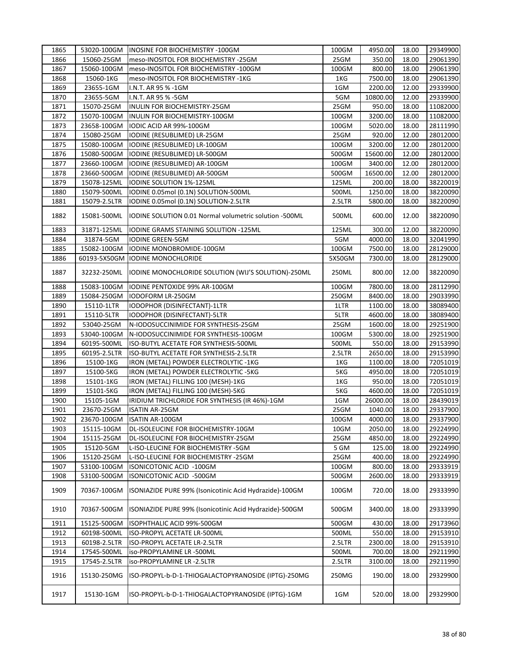| 1865 | 53020-100GM  | <b>INOSINE FOR BIOCHEMISTRY -100GM</b>                     | 100GM  | 4950.00  | 18.00 | 29349900 |
|------|--------------|------------------------------------------------------------|--------|----------|-------|----------|
| 1866 | 15060-25GM   | meso-INOSITOL FOR BIOCHEMISTRY -25GM                       | 25GM   | 350.00   | 18.00 | 29061390 |
| 1867 | 15060-100GM  | meso-INOSITOL FOR BIOCHEMISTRY -100GM                      | 100GM  | 800.00   | 18.00 | 29061390 |
| 1868 | 15060-1KG    | meso-INOSITOL FOR BIOCHEMISTRY -1KG                        | 1KG    | 7500.00  | 18.00 | 29061390 |
| 1869 | 23655-1GM    | I.N.T. AR 95 % -1GM                                        | 1GM    | 2200.00  | 12.00 | 29339900 |
| 1870 | 23655-5GM    | I.N.T. AR 95 % -5GM                                        | 5GM    | 10800.00 | 12.00 | 29339900 |
| 1871 | 15070-25GM   | INULIN FOR BIOCHEMISTRY-25GM                               | 25GM   | 950.00   | 18.00 | 11082000 |
| 1872 | 15070-100GM  | INULIN FOR BIOCHEMISTRY-100GM                              | 100GM  | 3200.00  | 18.00 | 11082000 |
| 1873 | 23658-100GM  | IODIC ACID AR 99%-100GM                                    | 100GM  | 5020.00  | 18.00 | 28111990 |
| 1874 | 15080-25GM   | IODINE (RESUBLIMED) LR-25GM                                | 25GM   | 920.00   | 12.00 | 28012000 |
| 1875 | 15080-100GM  | IODINE (RESUBLIMED) LR-100GM                               | 100GM  | 3200.00  | 12.00 | 28012000 |
| 1876 | 15080-500GM  | IODINE (RESUBLIMED) LR-500GM                               | 500GM  | 15600.00 | 12.00 | 28012000 |
| 1877 | 23660-100GM  | IODINE (RESUBLIMED) AR-100GM                               | 100GM  | 3400.00  | 12.00 | 28012000 |
| 1878 | 23660-500GM  | IODINE (RESUBLIMED) AR-500GM                               | 500GM  | 16500.00 | 12.00 | 28012000 |
| 1879 | 15078-125ML  | IODINE SOLUTION 1%-125ML                                   | 125ML  | 200.00   | 18.00 | 38220019 |
| 1880 | 15079-500ML  | IODINE 0.05mol (0.1N) SOLUTION-500ML                       | 500ML  | 1250.00  | 18.00 | 38220090 |
|      |              |                                                            |        |          |       |          |
| 1881 | 15079-2.5LTR | IODINE 0.05mol (0.1N) SOLUTION-2.5LTR                      | 2.5LTR | 5800.00  | 18.00 | 38220090 |
| 1882 | 15081-500ML  | IODINE SOLUTION 0.01 Normal volumetric solution -500ML     | 500ML  | 600.00   | 12.00 | 38220090 |
| 1883 | 31871-125ML  | IODINE GRAMS STAINING SOLUTION -125ML                      | 125ML  | 300.00   | 12.00 | 38220090 |
| 1884 | 31874-5GM    | <b>IODINE GREEN-5GM</b>                                    | 5GM    | 4000.00  | 18.00 | 32041990 |
| 1885 | 15082-100GM  | IODINE MONOBROMIDE-100GM                                   | 100GM  | 7500.00  | 18.00 | 28129000 |
| 1886 |              | 60193-5X50GM   IODINE MONOCHLORIDE                         | 5X50GM | 7300.00  | 18.00 | 28129000 |
| 1887 | 32232-250ML  | <b>IODINE MONOCHLORIDE SOLUTION (WIJ'S SOLUTION)-250ML</b> | 250ML  | 800.00   | 12.00 | 38220090 |
| 1888 | 15083-100GM  | IODINE PENTOXIDE 99% AR-100GM                              | 100GM  | 7800.00  | 18.00 | 28112990 |
| 1889 | 15084-250GM  | IODOFORM LR-250GM                                          | 250GM  | 8400.00  | 18.00 | 29033990 |
| 1890 | 15110-1LTR   | IODOPHOR (DISINFECTANT)-1LTR                               | 1LTR   | 1100.00  | 18.00 | 38089400 |
| 1891 | 15110-5LTR   | IODOPHOR (DISINFECTANT)-5LTR                               | 5LTR   | 4600.00  | 18.00 | 38089400 |
| 1892 | 53040-25GM   | N-IODOSUCCINIMIDE FOR SYNTHESIS-25GM                       | 25GM   | 1600.00  | 18.00 | 29251900 |
| 1893 | 53040-100GM  | N-IODOSUCCINIMIDE FOR SYNTHESIS-100GM                      | 100GM  | 5300.00  | 18.00 | 29251900 |
| 1894 | 60195-500ML  | ISO-BUTYL ACETATE FOR SYNTHESIS-500ML                      | 500ML  | 550.00   | 18.00 | 29153990 |
| 1895 | 60195-2.5LTR | ISO-BUTYL ACETATE FOR SYNTHESIS-2.5LTR                     | 2.5LTR | 2650.00  | 18.00 | 29153990 |
| 1896 | 15100-1KG    | IRON (METAL) POWDER ELECTROLYTIC -1KG                      | 1KG    | 1100.00  | 18.00 | 72051019 |
| 1897 | 15100-5KG    | IRON (METAL) POWDER ELECTROLYTIC -5KG                      | 5KG    | 4950.00  | 18.00 | 72051019 |
| 1898 | 15101-1KG    | IRON (METAL) FILLING 100 (MESH)-1KG                        | 1KG    | 950.00   | 18.00 | 72051019 |
| 1899 | 15101-5KG    | IRON (METAL) FILLING 100 (MESH)-5KG                        | 5KG    | 4600.00  | 18.00 | 72051019 |
| 1900 | 15105-1GM    | IRIDIUM TRICHLORIDE FOR SYNTHESIS (IR 46%)-1GM             | 1GM    | 26000.00 | 18.00 | 28439019 |
|      |              |                                                            |        |          |       |          |
| 1901 | 23670-25GM   | <b>ISATIN AR-25GM</b>                                      | 25GM   | 1040.00  | 18.00 | 29337900 |
| 1902 | 23670-100GM  | ISATIN AR-100GM                                            | 100GM  | 4000.00  | 18.00 | 29337900 |
| 1903 | 15115-10GM   | DL-ISOLEUCINE FOR BIOCHEMISTRY-10GM                        | 10GM   | 2050.00  | 18.00 | 29224990 |
| 1904 | 15115-25GM   | DL-ISOLEUCINE FOR BIOCHEMISTRY-25GM                        | 25GM   | 4850.00  | 18.00 | 29224990 |
| 1905 | 15120-5GM    | L-ISO-LEUCINE FOR BIOCHEMISTRY -5GM                        | 5 GM   | 125.00   | 18.00 | 29224990 |
| 1906 | 15120-25GM   | L-ISO-LEUCINE FOR BIOCHEMISTRY -25GM                       | 25GM   | 400.00   | 18.00 | 29224990 |
| 1907 | 53100-100GM  | ISONICOTONIC ACID -100GM                                   | 100GM  | 800.00   | 18.00 | 29333919 |
| 1908 | 53100-500GM  | ISONICOTONIC ACID -500GM                                   | 500GM  | 2600.00  | 18.00 | 29333919 |
| 1909 | 70367-100GM  | ISONIAZIDE PURE 99% (Isonicotinic Acid Hydrazide)-100GM    | 100GM  | 720.00   | 18.00 | 29333990 |
| 1910 | 70367-500GM  | ISONIAZIDE PURE 99% (Isonicotinic Acid Hydrazide)-500GM    | 500GM  | 3400.00  | 18.00 | 29333990 |
| 1911 | 15125-500GM  | ISOPHTHALIC ACID 99%-500GM                                 | 500GM  | 430.00   | 18.00 | 29173960 |
| 1912 | 60198-500ML  | ISO-PROPYL ACETATE LR-500ML                                | 500ML  | 550.00   | 18.00 | 29153910 |
| 1913 | 60198-2.5LTR | ISO-PROPYL ACETATE LR-2.5LTR                               | 2.5LTR | 2300.00  | 18.00 | 29153910 |
| 1914 | 17545-500ML  | iso-PROPYLAMINE LR -500ML                                  | 500ML  | 700.00   | 18.00 | 29211990 |
| 1915 | 17545-2.5LTR | iso-PROPYLAMINE LR -2.5LTR                                 | 2.5LTR | 3100.00  | 18.00 | 29211990 |
| 1916 | 15130-250MG  | ISO-PROPYL-b-D-1-THIOGALACTOPYRANOSIDE (IPTG)-250MG        | 250MG  | 190.00   | 18.00 | 29329900 |
|      |              |                                                            |        |          |       |          |
| 1917 | 15130-1GM    | ISO-PROPYL-b-D-1-THIOGALACTOPYRANOSIDE (IPTG)-1GM          | 1GM    | 520.00   | 18.00 | 29329900 |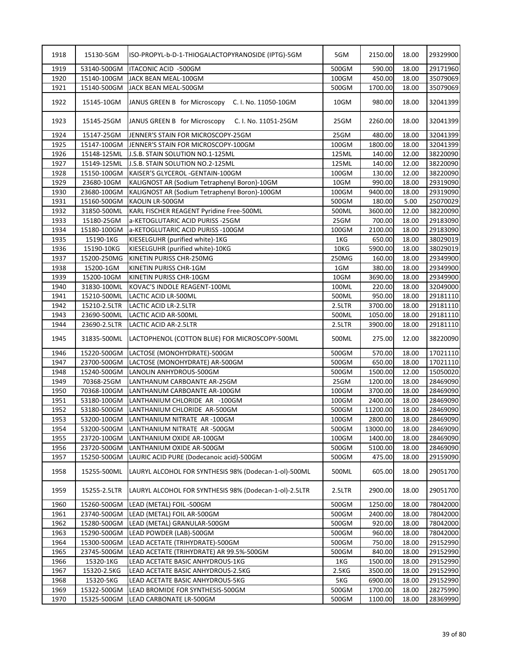| 1918         | 15130-5GM                   | ISO-PROPYL-b-D-1-THIOGALACTOPYRANOSIDE (IPTG)-5GM                       | 5GM             | 2150.00           | 18.00          | 29329900             |
|--------------|-----------------------------|-------------------------------------------------------------------------|-----------------|-------------------|----------------|----------------------|
| 1919         | 53140-500GM                 | ITACONIC ACID -500GM                                                    | 500GM           | 590.00            | 18.00          | 29171960             |
| 1920         | 15140-100GM                 | JACK BEAN MEAL-100GM                                                    | 100GM           | 450.00            | 18.00          | 35079069             |
| 1921         | 15140-500GM                 | JACK BEAN MEAL-500GM                                                    | 500GM           | 1700.00           | 18.00          | 35079069             |
| 1922         | 15145-10GM                  | JANUS GREEN B for Microscopy C. I. No. 11050-10GM                       | 10GM            | 980.00            | 18.00          | 32041399             |
| 1923         | 15145-25GM                  | JANUS GREEN B for Microscopy<br>C. I. No. 11051-25GM                    | 25GM            | 2260.00           | 18.00          | 32041399             |
| 1924         | 15147-25GM                  | JENNER'S STAIN FOR MICROSCOPY-25GM                                      | 25GM            | 480.00            | 18.00          | 32041399             |
| 1925         | 15147-100GM                 | JENNER'S STAIN FOR MICROSCOPY-100GM                                     | 100GM           | 1800.00           | 18.00          | 32041399             |
| 1926         | 15148-125ML                 | J.S.B. STAIN SOLUTION NO.1-125ML                                        | 125ML           | 140.00            | 12.00          | 38220090             |
| 1927         | 15149-125ML                 | J.S.B. STAIN SOLUTION NO.2-125ML                                        | 125ML           | 140.00            | 12.00          | 38220090             |
| 1928         | 15150-100GM                 | KAISER'S GLYCEROL - GENTAIN-100GM                                       | 100GM           | 130.00            | 12.00          | 38220090             |
| 1929         | 23680-10GM                  | KALIGNOST AR (Sodium Tetraphenyl Boron)-10GM                            | 10GM            | 990.00            | 18.00          | 29319090             |
| 1930         | 23680-100GM                 | KALIGNOST AR (Sodium Tetraphenyl Boron)-100GM                           | 100GM           | 9400.00           | 18.00          | 29319090             |
| 1931         | 15160-500GM                 | KAOLIN LR-500GM                                                         | 500GM           | 180.00            | 5.00           | 25070029             |
| 1932         | 31850-500ML                 | KARL FISCHER REAGENT Pyridine Free-500ML                                | 500ML           | 3600.00           | 12.00          | 38220090             |
| 1933         | 15180-25GM                  | a-KETOGLUTARIC ACID PURISS - 25GM                                       | 25GM            | 700.00            | 18.00          | 29183090             |
| 1934         | 15180-100GM                 | a-KETOGLUTARIC ACID PURISS - 100GM                                      | 100GM           | 2100.00           | 18.00          | 29183090             |
| 1935         | 15190-1KG                   | KIESELGUHR (purified white)-1KG                                         | 1KG             | 650.00            | 18.00          | 38029019             |
| 1936         | 15190-10KG                  | KIESELGUHR (purified white)-10KG                                        | 10KG            | 5900.00           | 18.00          | 38029019             |
| 1937         | 15200-250MG                 | KINETIN PURISS CHR-250MG                                                | 250MG           | 160.00            | 18.00          | 29349900             |
| 1938         | 15200-1GM                   | KINETIN PURISS CHR-1GM                                                  | 1GM             | 380.00            | 18.00          | 29349900             |
| 1939         | 15200-10GM                  | KINETIN PURISS CHR-10GM                                                 | 10GM            | 3690.00           | 18.00          | 29349900             |
| 1940         | 31830-100ML                 | KOVAC'S INDOLE REAGENT-100ML                                            | 100ML           | 220.00            | 18.00          | 32049000             |
| 1941         | 15210-500ML                 | LACTIC ACID LR-500ML                                                    | 500ML           | 950.00            | 18.00          | 29181110             |
|              |                             |                                                                         |                 |                   |                |                      |
| 1942         | 15210-2.5LTR                | LACTIC ACID LR-2.5LTR                                                   | 2.5LTR          | 3700.00           | 18.00          | 29181110             |
| 1943         | 23690-500ML                 | LACTIC ACID AR-500ML                                                    | 500ML           | 1050.00           | 18.00          | 29181110             |
| 1944<br>1945 | 23690-2.5LTR<br>31835-500ML | LACTIC ACID AR-2.5LTR<br>LACTOPHENOL (COTTON BLUE) FOR MICROSCOPY-500ML | 2.5LTR<br>500ML | 3900.00<br>275.00 | 18.00<br>12.00 | 29181110<br>38220090 |
|              |                             |                                                                         |                 |                   |                |                      |
| 1946         | 15220-500GM                 | LACTOSE (MONOHYDRATE)-500GM                                             | 500GM           | 570.00            | 18.00          | 17021110             |
| 1947         | 23700-500GM                 | LACTOSE (MONOHYDRATE) AR-500GM                                          | 500GM           | 650.00            | 18.00          | 17021110             |
| 1948         | 15240-500GM                 | LANOLIN ANHYDROUS-500GM                                                 | 500GM           | 1500.00           | 12.00          | 15050020             |
| 1949         | 70368-25GM                  | LANTHANUM CARBOANTE AR-25GM                                             | 25GM            | 1200.00           | 18.00          | 28469090             |
| 1950         | 70368-100GM                 | LANTHANUM CARBOANTE AR-100GM                                            | 100GM           | 3700.00           | 18.00          | 28469090             |
| 1951         | 53180-100GM                 | LANTHANIUM CHLORIDE AR -100GM                                           | 100GM           | 2400.00           | 18.00          | 28469090             |
| 1952         | 53180-500GM                 | LANTHANIUM CHLORIDE AR-500GM                                            | 500GM           | 11200.00          | 18.00          | 28469090             |
| 1953         | 53200-100GM                 | LANTHANIUM NITRATE AR-100GM                                             | 100GM           | 2800.00           | 18.00          | 28469090             |
| 1954         | 53200-500GM                 | LANTHANIUM NITRATE AR-500GM                                             | 500GM           | 13000.00          | 18.00          | 28469090             |
| 1955         | 23720-100GM                 | LANTHANIUM OXIDE AR-100GM                                               | 100GM           | 1400.00           | 18.00          | 28469090             |
| 1956         | 23720-500GM                 | LANTHANIUM OXIDE AR-500GM                                               | 500GM           | 5100.00           | 18.00          | 28469090             |
| 1957         | 15250-500GM                 | LAURIC ACID PURE (Dodecanoic acid)-500GM                                | 500GM           | 475.00            | 18.00          | 29159090             |
| 1958         | 15255-500ML                 | LAURYL ALCOHOL FOR SYNTHESIS 98% (Dodecan-1-ol)-500ML                   | 500ML           | 605.00            | 18.00          | 29051700             |
| 1959         | 15255-2.5LTR                | LAURYL ALCOHOL FOR SYNTHESIS 98% (Dodecan-1-ol)-2.5LTR                  | 2.5LTR          | 2900.00           | 18.00          | 29051700             |
| 1960         | 15260-500GM                 | LEAD (METAL) FOIL -500GM                                                | 500GM           | 1250.00           | 18.00          | 78042000             |
| 1961         | 23740-500GM                 | LEAD (METAL) FOIL AR-500GM                                              | 500GM           | 2400.00           | 18.00          | 78042000             |
| 1962         | 15280-500GM                 | LEAD (METAL) GRANULAR-500GM                                             | 500GM           | 920.00            | 18.00          | 78042000             |
| 1963         | 15290-500GM                 | LEAD POWDER (LAB)-500GM                                                 | 500GM           | 960.00            | 18.00          | 78042000             |
| 1964         | 15300-500GM                 | LEAD ACETATE (TRIHYDRATE)-500GM                                         | 500GM           | 750.00            | 18.00          | 29152990             |
| 1965         | 23745-500GM                 | LEAD ACETATE (TRIHYDRATE) AR 99.5%-500GM                                | 500GM           | 840.00            | 18.00          | 29152990             |
| 1966         | 15320-1KG                   | LEAD ACETATE BASIC ANHYDROUS-1KG                                        | 1KG             | 1500.00           | 18.00          | 29152990             |
| 1967         | 15320-2.5KG                 | LEAD ACETATE BASIC ANHYDROUS-2.5KG                                      | 2.5KG           | 3500.00           | 18.00          | 29152990             |
| 1968         | 15320-5KG                   | LEAD ACETATE BASIC ANHYDROUS-5KG                                        | 5KG             | 6900.00           | 18.00          | 29152990             |
| 1969         | 15322-500GM                 | LEAD BROMIDE FOR SYNTHESIS-500GM                                        | 500GM           | 1700.00           | 18.00          | 28275990             |
| 1970         | 15325-500GM                 | LEAD CARBONATE LR-500GM                                                 | 500GM           | 1100.00           | 18.00          | 28369990             |
|              |                             |                                                                         |                 |                   |                |                      |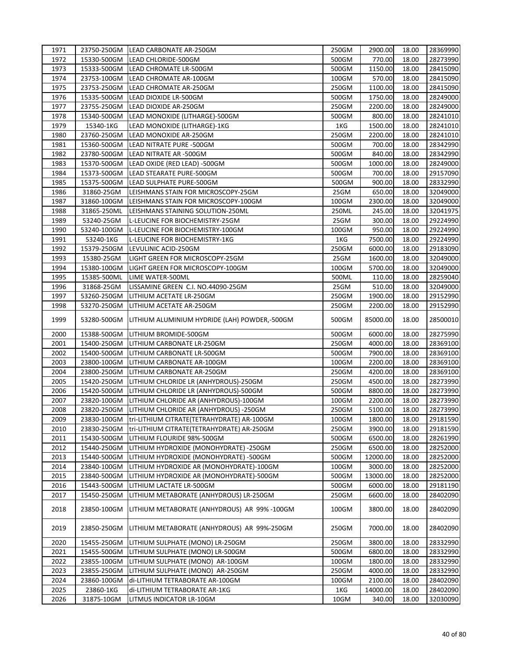| 1971 |             | 23750-250GM LEAD CARBONATE AR-250GM                       | 250GM | 2900.00  | 18.00 | 28369990 |
|------|-------------|-----------------------------------------------------------|-------|----------|-------|----------|
| 1972 | 15330-500GM | LEAD CHLORIDE-500GM                                       | 500GM | 770.00   | 18.00 | 28273990 |
| 1973 | 15333-500GM | LEAD CHROMATE LR-500GM                                    | 500GM | 1150.00  | 18.00 | 28415090 |
| 1974 | 23753-100GM | LEAD CHROMATE AR-100GM                                    | 100GM | 570.00   | 18.00 | 28415090 |
| 1975 | 23753-250GM | LEAD CHROMATE AR-250GM                                    | 250GM | 1100.00  | 18.00 | 28415090 |
| 1976 | 15335-500GM | LEAD DIOXIDE LR-500GM                                     | 500GM | 1750.00  | 18.00 | 28249000 |
| 1977 | 23755-250GM | LEAD DIOXIDE AR-250GM                                     | 250GM | 2200.00  | 18.00 | 28249000 |
| 1978 | 15340-500GM | LEAD MONOXIDE (LITHARGE)-500GM                            | 500GM | 800.00   | 18.00 | 28241010 |
| 1979 | 15340-1KG   | LEAD MONOXIDE (LITHARGE)-1KG                              | 1KG   | 1500.00  | 18.00 | 28241010 |
| 1980 | 23760-250GM | LEAD MONOXIDE AR-250GM                                    | 250GM | 2200.00  | 18.00 | 28241010 |
| 1981 | 15360-500GM | LEAD NITRATE PURE -500GM                                  | 500GM | 700.00   | 18.00 | 28342990 |
| 1982 | 23780-500GM | LEAD NITRATE AR -500GM                                    | 500GM | 840.00   | 18.00 | 28342990 |
| 1983 | 15370-500GM | LEAD OXIDE (RED LEAD) -500GM                              | 500GM | 1000.00  | 18.00 | 28249000 |
| 1984 | 15373-500GM | LEAD STEARATE PURE-500GM                                  | 500GM | 700.00   | 18.00 | 29157090 |
| 1985 | 15375-500GM | LEAD SULPHATE PURE-500GM                                  | 500GM | 900.00   | 18.00 | 28332990 |
| 1986 | 31860-25GM  | LEISHMANS STAIN FOR MICROSCOPY-25GM                       | 25GM  | 650.00   | 18.00 | 32049000 |
| 1987 | 31860-100GM | LEISHMANS STAIN FOR MICROSCOPY-100GM                      | 100GM | 2300.00  | 18.00 | 32049000 |
| 1988 | 31865-250ML | LEISHMANS STAINING SOLUTION-250ML                         | 250ML | 245.00   | 18.00 | 32041975 |
| 1989 | 53240-25GM  | L-LEUCINE FOR BIOCHEMISTRY-25GM                           | 25GM  | 300.00   | 18.00 | 29224990 |
| 1990 | 53240-100GM | L-LEUCINE FOR BIOCHEMISTRY-100GM                          | 100GM | 950.00   | 18.00 | 29224990 |
| 1991 | 53240-1KG   | L-LEUCINE FOR BIOCHEMISTRY-1KG                            | 1KG   | 7500.00  | 18.00 | 29224990 |
| 1992 |             |                                                           | 250GM | 6000.00  | 18.00 |          |
|      | 15379-250GM | LEVULINIC ACID-250GM                                      |       |          |       | 29183090 |
| 1993 | 15380-25GM  | LIGHT GREEN FOR MICROSCOPY-25GM                           | 25GM  | 1600.00  | 18.00 | 32049000 |
| 1994 | 15380-100GM | LIGHT GREEN FOR MICROSCOPY-100GM                          | 100GM | 5700.00  | 18.00 | 32049000 |
| 1995 | 15385-500ML | LIME WATER-500ML                                          | 500ML | 110.00   | 18.00 | 28259040 |
| 1996 | 31868-25GM  | LISSAMINE GREEN C.I. NO.44090-25GM                        | 25GM  | 510.00   | 18.00 | 32049000 |
| 1997 | 53260-250GM | LITHIUM ACETATE LR-250GM                                  | 250GM | 1900.00  | 18.00 | 29152990 |
| 1998 | 53270-250GM | LITHIUM ACETATE AR-250GM                                  | 250GM | 2200.00  | 18.00 | 29152990 |
| 1999 |             | 53280-500GM LITHIUM ALUMINIUM HYDRIDE (LAH) POWDER,-500GM | 500GM | 85000.00 | 18.00 | 28500010 |
| 2000 |             | 15388-500GM LITHIUM BROMIDE-500GM                         | 500GM | 6000.00  | 18.00 | 28275990 |
| 2001 | 15400-250GM | LITHIUM CARBONATE LR-250GM                                | 250GM | 4000.00  | 18.00 | 28369100 |
| 2002 | 15400-500GM | LITHIUM CARBONATE LR-500GM                                | 500GM | 7900.00  | 18.00 | 28369100 |
| 2003 | 23800-100GM | LITHIUM CARBONATE AR-100GM                                | 100GM | 2200.00  | 18.00 | 28369100 |
| 2004 | 23800-250GM | LITHIUM CARBONATE AR-250GM                                | 250GM | 4200.00  | 18.00 | 28369100 |
| 2005 | 15420-250GM | LITHIUM CHLORIDE LR (ANHYDROUS)-250GM                     | 250GM | 4500.00  | 18.00 | 28273990 |
| 2006 | 15420-500GM | LITHIUM CHLORIDE LR (ANHYDROUS)-500GM                     | 500GM | 8800.00  | 18.00 | 28273990 |
| 2007 | 23820-100GM | LITHIUM CHLORIDE AR (ANHYDROUS)-100GM                     | 100GM | 2200.00  | 18.00 | 28273990 |
| 2008 | 23820-250GM | LITHIUM CHLORIDE AR (ANHYDROUS) -250GM                    | 250GM | 5100.00  | 18.00 | 28273990 |
| 2009 | 23830-100GM | tri-LITHIUM CITRATE(TETRAHYDRATE) AR-100GM                | 100GM | 1800.00  | 18.00 | 29181590 |
| 2010 | 23830-250GM | tri-LITHIUM CITRATE(TETRAHYDRATE) AR-250GM                | 250GM | 3900.00  | 18.00 | 29181590 |
| 2011 | 15430-500GM | LITHIUM FLOURIDE 98%-500GM                                | 500GM | 6500.00  | 18.00 | 28261990 |
| 2012 | 15440-250GM | LITHIUM HYDROXIDE (MONOHYDRATE) -250GM                    | 250GM | 6500.00  | 18.00 | 28252000 |
| 2013 | 15440-500GM | LITHIUM HYDROXIDE (MONOHYDRATE) -500GM                    | 500GM | 12000.00 | 18.00 | 28252000 |
| 2014 | 23840-100GM | LITHIUM HYDROXIDE AR (MONOHYDRATE)-100GM                  | 100GM | 3000.00  | 18.00 | 28252000 |
| 2015 | 23840-500GM | LITHIUM HYDROXIDE AR (MONOHYDRATE)-500GM                  | 500GM | 13000.00 | 18.00 | 28252000 |
| 2016 | 15443-500GM | LITHIUM LACTATE LR-500GM                                  | 500GM | 6000.00  | 18.00 | 29181190 |
| 2017 | 15450-250GM | LITHIUM METABORATE (ANHYDROUS) LR-250GM                   | 250GM | 6600.00  | 18.00 | 28402090 |
| 2018 | 23850-100GM | LITHIUM METABORATE (ANHYDROUS) AR 99%-100GM               | 100GM | 3800.00  | 18.00 | 28402090 |
| 2019 | 23850-250GM | LITHIUM METABORATE (ANHYDROUS) AR 99%-250GM               | 250GM | 7000.00  | 18.00 | 28402090 |
| 2020 | 15455-250GM | LITHIUM SULPHATE (MONO) LR-250GM                          | 250GM | 3800.00  | 18.00 | 28332990 |
| 2021 | 15455-500GM | LITHIUM SULPHATE (MONO) LR-500GM                          | 500GM | 6800.00  | 18.00 | 28332990 |
| 2022 | 23855-100GM | LITHIUM SULPHATE (MONO) AR-100GM                          | 100GM | 1800.00  | 18.00 | 28332990 |
| 2023 | 23855-250GM | LITHIUM SULPHATE (MONO) AR-250GM                          | 250GM | 4000.00  | 18.00 | 28332990 |
| 2024 | 23860-100GM | di-LITHIUM TETRABORATE AR-100GM                           | 100GM | 2100.00  | 18.00 | 28402090 |
| 2025 | 23860-1KG   | di-LITHIUM TETRABORATE AR-1KG                             | 1KG   | 14000.00 | 18.00 | 28402090 |
| 2026 | 31875-10GM  | LITMUS INDICATOR LR-10GM                                  | 10GM  | 340.00   | 18.00 | 32030090 |
|      |             |                                                           |       |          |       |          |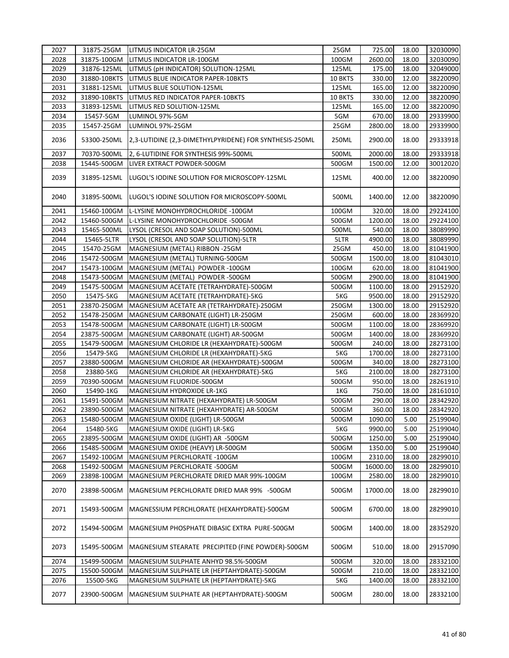| 2027 | 31875-25GM   | LITMUS INDICATOR LR-25GM                                | 25GM    | 725.00   | 18.00 | 32030090 |
|------|--------------|---------------------------------------------------------|---------|----------|-------|----------|
| 2028 | 31875-100GM  | LITMUS INDICATOR LR-100GM                               | 100GM   | 2600.00  | 18.00 | 32030090 |
| 2029 | 31876-125ML  | LITMUS (pH INDICATOR) SOLUTION-125ML                    | 125ML   | 175.00   | 18.00 | 32049000 |
| 2030 | 31880-10BKTS | LITMUS BLUE INDICATOR PAPER-10BKTS                      | 10 BKTS | 330.00   | 12.00 | 38220090 |
| 2031 | 31881-125ML  | LITMUS BLUE SOLUTION-125ML                              | 125ML   | 165.00   | 12.00 | 38220090 |
| 2032 | 31890-10BKTS | LITMUS RED INDICATOR PAPER-10BKTS                       | 10 BKTS | 330.00   | 12.00 | 38220090 |
| 2033 | 31893-125ML  | LITMUS RED SOLUTION-125ML                               | 125ML   | 165.00   | 12.00 | 38220090 |
| 2034 | 15457-5GM    | LUMINOL 97%-5GM                                         | 5GM     | 670.00   | 18.00 | 29339900 |
| 2035 | 15457-25GM   | LUMINOL 97%-25GM                                        | 25GM    | 2800.00  | 18.00 | 29339900 |
| 2036 | 53300-250ML  | 2,3-LUTIDINE (2,3-DIMETHYLPYRIDENE) FOR SYNTHESIS-250ML | 250ML   | 2900.00  | 18.00 | 29333918 |
| 2037 | 70370-500ML  | 2, 6-LUTIDINE FOR SYNTHESIS 99%-500ML                   | 500ML   | 2000.00  | 18.00 | 29333918 |
| 2038 | 15445-500GM  | LIVER EXTRACT POWDER-500GM                              | 500GM   | 1500.00  | 12.00 | 30012020 |
| 2039 | 31895-125ML  | LUGOL'S IODINE SOLUTION FOR MICROSCOPY-125ML            | 125ML   | 400.00   | 12.00 | 38220090 |
| 2040 | 31895-500ML  | LUGOL'S IODINE SOLUTION FOR MICROSCOPY-500ML            | 500ML   | 1400.00  | 12.00 | 38220090 |
| 2041 | 15460-100GM  | L-LYSINE MONOHYDROCHLORIDE -100GM                       | 100GM   | 320.00   | 18.00 | 29224100 |
| 2042 | 15460-500GM  | L-LYSINE MONOHYDROCHLORIDE -500GM                       | 500GM   | 1200.00  | 18.00 | 29224100 |
| 2043 | 15465-500ML  | LYSOL (CRESOL AND SOAP SOLUTION)-500ML                  | 500ML   | 540.00   | 18.00 | 38089990 |
| 2044 | 15465-5LTR   | LYSOL (CRESOL AND SOAP SOLUTION)-5LTR                   | 5LTR    | 4900.00  | 18.00 | 38089990 |
| 2045 | 15470-25GM   | MAGNESIUM (METAL) RIBBON -25GM                          | 25GM    | 450.00   | 18.00 | 81041900 |
| 2046 | 15472-500GM  | MAGNESIUM (METAL) TURNING-500GM                         | 500GM   | 1500.00  | 18.00 | 81043010 |
| 2047 | 15473-100GM  | MAGNESIUM (METAL) POWDER -100GM                         | 100GM   | 620.00   | 18.00 | 81041900 |
| 2048 | 15473-500GM  | MAGNESIUM (METAL) POWDER -500GM                         | 500GM   | 2900.00  | 18.00 | 81041900 |
| 2049 | 15475-500GM  | MAGNESIUM ACETATE (TETRAHYDRATE)-500GM                  | 500GM   | 1100.00  | 18.00 | 29152920 |
| 2050 | 15475-5KG    | MAGNESIUM ACETATE (TETRAHYDRATE)-5KG                    | 5KG     | 9500.00  | 18.00 | 29152920 |
| 2051 | 23870-250GM  | MAGNESIUM ACETATE AR (TETRAHYDRATE)-250GM               | 250GM   | 1300.00  | 18.00 | 29152920 |
| 2052 | 15478-250GM  | MAGNESIUM CARBONATE (LIGHT) LR-250GM                    | 250GM   | 600.00   | 18.00 | 28369920 |
| 2053 | 15478-500GM  | MAGNESIUM CARBONATE (LIGHT) LR-500GM                    | 500GM   | 1100.00  | 18.00 | 28369920 |
| 2054 | 23875-500GM  | MAGNESIUM CARBONATE (LIGHT) AR-500GM                    | 500GM   | 1400.00  | 18.00 | 28369920 |
| 2055 | 15479-500GM  | MAGNESIUM CHLORIDE LR (HEXAHYDRATE)-500GM               | 500GM   | 240.00   | 18.00 | 28273100 |
| 2056 | 15479-5KG    | MAGNESIUM CHLORIDE LR (HEXAHYDRATE)-5KG                 | 5KG     | 1700.00  | 18.00 | 28273100 |
| 2057 | 23880-500GM  | MAGNESIUM CHLORIDE AR (HEXAHYDRATE)-500GM               | 500GM   | 340.00   | 18.00 | 28273100 |
| 2058 | 23880-5KG    | MAGNESIUM CHLORIDE AR (HEXAHYDRATE)-5KG                 | 5KG     | 2100.00  | 18.00 | 28273100 |
| 2059 | 70390-500GM  | MAGNESIUM FLUORIDE-500GM                                | 500GM   | 950.00   | 18.00 | 28261910 |
| 2060 | 15490-1KG    | MAGNESIUM HYDROXIDE LR-1KG                              | 1KG     | 750.00   | 18.00 | 28161010 |
| 2061 | 15491-500GM  | MAGNESIUM NITRATE (HEXAHYDRATE) LR-500GM                | 500GM   | 290.00   | 18.00 | 28342920 |
| 2062 | 23890-500GM  | MAGNESIUM NITRATE (HEXAHYDRATE) AR-500GM                | 500GM   | 360.00   | 18.00 | 28342920 |
|      |              |                                                         |         |          |       |          |
| 2063 | 15480-500GM  | MAGNESIUM OXIDE (LIGHT) LR-500GM                        | 500GM   | 1090.00  | 5.00  | 25199040 |
| 2064 | 15480-5KG    | MAGNESIUM OXIDE (LIGHT) LR-5KG                          | 5KG     | 9900.00  | 5.00  | 25199040 |
| 2065 | 23895-500GM  | MAGNESIUM OXIDE (LIGHT) AR -500GM                       | 500GM   | 1250.00  | 5.00  | 25199040 |
| 2066 | 15485-500GM  | MAGNESIUM OXIDE (HEAVY) LR-500GM                        | 500GM   | 1350.00  | 5.00  | 25199040 |
| 2067 | 15492-100GM  | MAGNESIUM PERCHLORATE -100GM                            | 100GM   | 2310.00  | 18.00 | 28299010 |
| 2068 | 15492-500GM  | MAGNESIUM PERCHLORATE -500GM                            | 500GM   | 16000.00 | 18.00 | 28299010 |
| 2069 | 23898-100GM  | MAGNESIUM PERCHLORATE DRIED MAR 99%-100GM               | 100GM   | 2580.00  | 18.00 | 28299010 |
| 2070 | 23898-500GM  | MAGNESIUM PERCHLORATE DRIED MAR 99% -500GM              | 500GM   | 17000.00 | 18.00 | 28299010 |
| 2071 | 15493-500GM  | MAGNESSIUM PERCHLORATE (HEXAHYDRATE)-500GM              | 500GM   | 6700.00  | 18.00 | 28299010 |
| 2072 | 15494-500GM  | MAGNESIUM PHOSPHATE DIBASIC EXTRA PURE-500GM            | 500GM   | 1400.00  | 18.00 | 28352920 |
| 2073 | 15495-500GM  | MAGNESIUM STEARATE PRECIPITED (FINE POWDER)-500GM       | 500GM   | 510.00   | 18.00 | 29157090 |
| 2074 | 15499-500GM  | MAGNESIUM SULPHATE ANHYD 98.5%-500GM                    | 500GM   | 320.00   | 18.00 | 28332100 |
| 2075 | 15500-500GM  | MAGNESIUM SULPHATE LR (HEPTAHYDRATE)-500GM              | 500GM   | 210.00   | 18.00 | 28332100 |
| 2076 | 15500-5KG    | MAGNESIUM SULPHATE LR (HEPTAHYDRATE)-5KG                | 5KG     | 1400.00  | 18.00 | 28332100 |
| 2077 | 23900-500GM  | MAGNESIUM SULPHATE AR (HEPTAHYDRATE)-500GM              | 500GM   | 280.00   | 18.00 | 28332100 |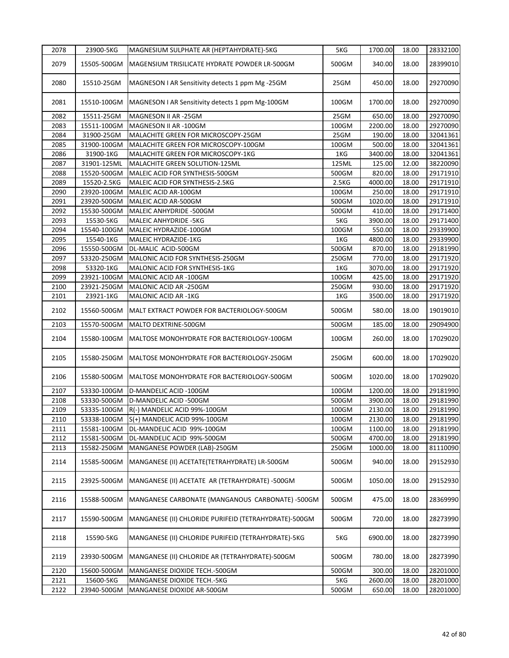| 2078 | 23900-5KG   | MAGNESIUM SULPHATE AR (HEPTAHYDRATE)-5KG              | 5KG   | 1700.00 | 18.00 | 28332100 |
|------|-------------|-------------------------------------------------------|-------|---------|-------|----------|
| 2079 | 15505-500GM | MAGENSIUM TRISILICATE HYDRATE POWDER LR-500GM         | 500GM | 340.00  | 18.00 | 28399010 |
| 2080 | 15510-25GM  | MAGNESON I AR Sensitivity detects 1 ppm Mg -25GM      | 25GM  | 450.00  | 18.00 | 29270090 |
| 2081 | 15510-100GM | MAGNESON I AR Sensitivity detects 1 ppm Mg-100GM      | 100GM | 1700.00 | 18.00 | 29270090 |
| 2082 | 15511-25GM  | MAGNESON II AR -25GM                                  | 25GM  | 650.00  | 18.00 | 29270090 |
| 2083 | 15511-100GM | MAGNESON II AR-100GM                                  | 100GM | 2200.00 | 18.00 | 29270090 |
| 2084 | 31900-25GM  | MALACHITE GREEN FOR MICROSCOPY-25GM                   | 25GM  | 190.00  | 18.00 | 32041361 |
| 2085 | 31900-100GM | MALACHITE GREEN FOR MICROSCOPY-100GM                  | 100GM | 500.00  | 18.00 | 32041361 |
| 2086 | 31900-1KG   | MALACHITE GREEN FOR MICROSCOPY-1KG                    | 1KG   | 3400.00 | 18.00 | 32041361 |
| 2087 | 31901-125ML | MALACHITE GREEN SOLUTION-125ML                        | 125ML | 125.00  | 12.00 | 38220090 |
| 2088 | 15520-500GM | MALEIC ACID FOR SYNTHESIS-500GM                       | 500GM | 820.00  | 18.00 | 29171910 |
| 2089 | 15520-2.5KG | MALEIC ACID FOR SYNTHESIS-2.5KG                       | 2.5KG | 4000.00 | 18.00 | 29171910 |
| 2090 | 23920-100GM | MALEIC ACID AR-100GM                                  | 100GM | 250.00  | 18.00 | 29171910 |
| 2091 | 23920-500GM | MALEIC ACID AR-500GM                                  | 500GM | 1020.00 | 18.00 | 29171910 |
| 2092 | 15530-500GM | MALEIC ANHYDRIDE -500GM                               | 500GM | 410.00  | 18.00 | 29171400 |
| 2093 | 15530-5KG   | <b>MALEIC ANHYDRIDE -5KG</b>                          | 5KG   | 3900.00 | 18.00 | 29171400 |
| 2094 | 15540-100GM | MALEIC HYDRAZIDE-100GM                                | 100GM | 550.00  | 18.00 | 29339900 |
| 2095 | 15540-1KG   | MALEIC HYDRAZIDE-1KG                                  | 1KG   | 4800.00 | 18.00 | 29339900 |
| 2096 | 15550-500GM | DL-MALIC ACID-500GM                                   | 500GM | 870.00  | 18.00 | 29181990 |
| 2097 | 53320-250GM | MALONIC ACID FOR SYNTHESIS-250GM                      | 250GM | 770.00  | 18.00 | 29171920 |
| 2098 | 53320-1KG   | MALONIC ACID FOR SYNTHESIS-1KG                        | 1KG   | 3070.00 | 18.00 | 29171920 |
| 2099 | 23921-100GM | MALONIC ACID AR -100GM                                | 100GM | 425.00  | 18.00 | 29171920 |
| 2100 | 23921-250GM | MALONIC ACID AR-250GM                                 | 250GM | 930.00  | 18.00 | 29171920 |
|      |             |                                                       |       |         |       |          |
| 2101 | 23921-1KG   | MALONIC ACID AR-1KG                                   | 1KG   | 3500.00 | 18.00 | 29171920 |
| 2102 | 15560-500GM | MALT EXTRACT POWDER FOR BACTERIOLOGY-500GM            | 500GM | 580.00  | 18.00 | 19019010 |
| 2103 | 15570-500GM | MALTO DEXTRINE-500GM                                  | 500GM | 185.00  | 18.00 | 29094900 |
| 2104 | 15580-100GM | MALTOSE MONOHYDRATE FOR BACTERIOLOGY-100GM            | 100GM | 260.00  | 18.00 | 17029020 |
| 2105 | 15580-250GM | MALTOSE MONOHYDRATE FOR BACTERIOLOGY-250GM            | 250GM | 600.00  | 18.00 | 17029020 |
| 2106 | 15580-500GM | MALTOSE MONOHYDRATE FOR BACTERIOLOGY-500GM            | 500GM | 1020.00 | 18.00 | 17029020 |
| 2107 | 53330-100GM | D-MANDELIC ACID -100GM                                | 100GM | 1200.00 | 18.00 | 29181990 |
| 2108 | 53330-500GM | D-MANDELIC ACID -500GM                                | 500GM | 3900.00 | 18.00 | 29181990 |
| 2109 | 53335-100GM | R(-) MANDELIC ACID 99%-100GM                          | 100GM | 2130.00 | 18.00 | 29181990 |
| 2110 | 53338-100GM | S(+) MANDELIC ACID 99%-100GM                          | 100GM | 2130.00 | 18.00 | 29181990 |
| 2111 | 15581-100GM | DL-MANDELIC ACID 99%-100GM                            | 100GM | 1100.00 | 18.00 | 29181990 |
| 2112 | 15581-500GM | DL-MANDELIC ACID 99%-500GM                            | 500GM | 4700.00 | 18.00 | 29181990 |
| 2113 | 15582-250GM | MANGANESE POWDER (LAB)-250GM                          | 250GM | 1000.00 | 18.00 | 81110090 |
| 2114 | 15585-500GM | MANGANESE (II) ACETATE (TETRAHYDRATE) LR-500GM        | 500GM | 940.00  | 18.00 | 29152930 |
| 2115 | 23925-500GM | MANGANESE (II) ACETATE AR (TETRAHYDRATE) -500GM       | 500GM | 1050.00 | 18.00 | 29152930 |
| 2116 | 15588-500GM | MANGANESE CARBONATE (MANGANOUS CARBONATE) -500GM      | 500GM | 475.00  | 18.00 | 28369990 |
| 2117 | 15590-500GM | MANGANESE (II) CHLORIDE PURIFEID (TETRAHYDRATE)-500GM | 500GM | 720.00  | 18.00 | 28273990 |
| 2118 | 15590-5KG   | MANGANESE (II) CHLORIDE PURIFEID (TETRAHYDRATE)-5KG   | 5KG   | 6900.00 | 18.00 | 28273990 |
| 2119 | 23930-500GM | MANGANESE (II) CHLORIDE AR (TETRAHYDRATE)-500GM       | 500GM | 780.00  | 18.00 | 28273990 |
| 2120 | 15600-500GM | MANGANESE DIOXIDE TECH.-500GM                         | 500GM | 300.00  | 18.00 | 28201000 |
| 2121 | 15600-5KG   | MANGANESE DIOXIDE TECH.-5KG                           | 5KG   | 2600.00 | 18.00 | 28201000 |
| 2122 | 23940-500GM | MANGANESE DIOXIDE AR-500GM                            | 500GM | 650.00  | 18.00 | 28201000 |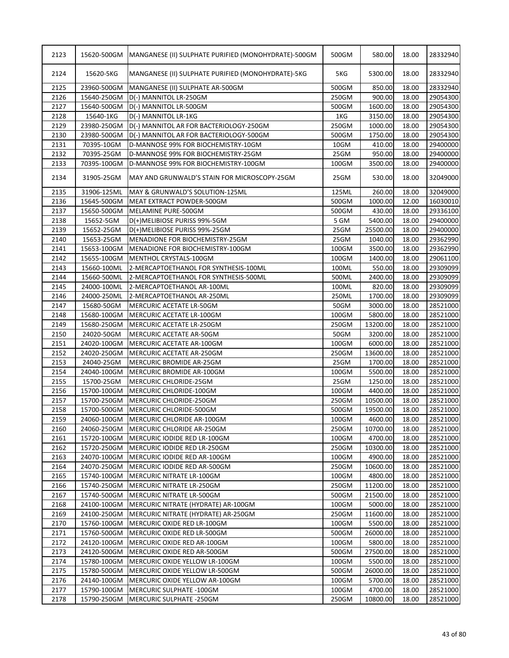| 2123 | 15620-500GM | MANGANESE (II) SULPHATE PURIFIED (MONOHYDRATE)-500GM | 500GM | 580.00   | 18.00 | 28332940 |
|------|-------------|------------------------------------------------------|-------|----------|-------|----------|
| 2124 | 15620-5KG   | MANGANESE (II) SULPHATE PURIFIED (MONOHYDRATE)-5KG   | 5KG   | 5300.00  | 18.00 | 28332940 |
| 2125 | 23960-500GM | MANGANESE (II) SULPHATE AR-500GM                     | 500GM | 850.00   | 18.00 | 28332940 |
| 2126 | 15640-250GM | D(-) MANNITOL LR-250GM                               | 250GM | 900.00   | 18.00 | 29054300 |
| 2127 | 15640-500GM | D(-) MANNITOL LR-500GM                               | 500GM | 1600.00  | 18.00 | 29054300 |
| 2128 | 15640-1KG   | D(-) MANNITOL LR-1KG                                 | 1KG   | 3150.00  | 18.00 | 29054300 |
| 2129 | 23980-250GM | D(-) MANNITOL AR FOR BACTERIOLOGY-250GM              | 250GM | 1000.00  | 18.00 | 29054300 |
| 2130 | 23980-500GM | D(-) MANNITOL AR FOR BACTERIOLOGY-500GM              | 500GM | 1750.00  | 18.00 | 29054300 |
| 2131 | 70395-10GM  | D-MANNOSE 99% FOR BIOCHEMISTRY-10GM                  | 10GM  | 410.00   | 18.00 | 29400000 |
| 2132 | 70395-25GM  | D-MANNOSE 99% FOR BIOCHEMISTRY-25GM                  | 25GM  | 950.00   | 18.00 | 29400000 |
| 2133 | 70395-100GM | D-MANNOSE 99% FOR BIOCHEMISTRY-100GM                 | 100GM | 3500.00  | 18.00 | 29400000 |
| 2134 | 31905-25GM  | MAY AND GRUNWALD'S STAIN FOR MICROSCOPY-25GM         | 25GM  | 530.00   | 18.00 | 32049000 |
| 2135 | 31906-125ML | MAY & GRUNWALD'S SOLUTION-125ML                      | 125ML | 260.00   | 18.00 | 32049000 |
| 2136 | 15645-500GM | MEAT EXTRACT POWDER-500GM                            | 500GM | 1000.00  | 12.00 | 16030010 |
| 2137 | 15650-500GM | MELAMINE PURE-500GM                                  | 500GM | 430.00   | 18.00 | 29336100 |
| 2138 | 15652-5GM   | D(+)MELIBIOSE PURISS 99%-5GM                         | 5 GM  | 5400.00  | 18.00 | 29400000 |
| 2139 | 15652-25GM  | D(+)MELIBIOSE PURISS 99%-25GM                        | 25GM  | 25500.00 | 18.00 | 29400000 |
| 2140 | 15653-25GM  | MENADIONE FOR BIOCHEMISTRY-25GM                      | 25GM  | 1040.00  | 18.00 | 29362990 |
| 2141 | 15653-100GM | MENADIONE FOR BIOCHEMISTRY-100GM                     | 100GM | 3500.00  | 18.00 | 29362990 |
| 2142 | 15655-100GM | MENTHOL CRYSTALS-100GM                               | 100GM | 1400.00  | 18.00 | 29061100 |
| 2143 | 15660-100ML | 2-MERCAPTOETHANOL FOR SYNTHESIS-100ML                | 100ML | 550.00   | 18.00 | 29309099 |
| 2144 | 15660-500ML | 2-MERCAPTOETHANOL FOR SYNTHESIS-500ML                | 500ML | 2400.00  | 18.00 | 29309099 |
| 2145 | 24000-100ML | 2-MERCAPTOETHANOL AR-100ML                           | 100ML | 820.00   | 18.00 | 29309099 |
| 2146 | 24000-250ML | 2-MERCAPTOETHANOL AR-250ML                           | 250ML | 1700.00  | 18.00 | 29309099 |
| 2147 | 15680-50GM  | MERCURIC ACETATE LR-50GM                             | 50GM  | 3000.00  | 18.00 | 28521000 |
| 2148 | 15680-100GM | MERCURIC ACETATE LR-100GM                            | 100GM | 5800.00  | 18.00 | 28521000 |
| 2149 | 15680-250GM | MERCURIC ACETATE LR-250GM                            | 250GM | 13200.00 | 18.00 | 28521000 |
| 2150 | 24020-50GM  | MERCURIC ACETATE AR-50GM                             | 50GM  | 3200.00  | 18.00 | 28521000 |
| 2151 | 24020-100GM | MERCURIC ACETATE AR-100GM                            | 100GM | 6000.00  | 18.00 | 28521000 |
| 2152 | 24020-250GM | MERCURIC ACETATE AR-250GM                            | 250GM | 13600.00 | 18.00 | 28521000 |
| 2153 | 24040-25GM  | MERCURIC BROMIDE AR-25GM                             | 25GM  | 1700.00  | 18.00 | 28521000 |
| 2154 | 24040-100GM | MERCURIC BROMIDE AR-100GM                            | 100GM | 5500.00  | 18.00 | 28521000 |
| 2155 | 15700-25GM  | MERCURIC CHLORIDE-25GM                               | 25GM  | 1250.00  | 18.00 | 28521000 |
| 2156 | 15700-100GM | MERCURIC CHLORIDE-100GM                              | 100GM | 4400.00  | 18.00 | 28521000 |
| 2157 | 15700-250GM | MERCURIC CHLORIDE-250GM                              | 250GM | 10500.00 | 18.00 | 28521000 |
| 2158 | 15700-500GM | MERCURIC CHLORIDE-500GM                              | 500GM | 19500.00 | 18.00 | 28521000 |
| 2159 | 24060-100GM | MERCURIC CHLORIDE AR-100GM                           | 100GM | 4600.00  | 18.00 | 28521000 |
| 2160 | 24060-250GM | MERCURIC CHLORIDE AR-250GM                           | 250GM | 10700.00 | 18.00 | 28521000 |
| 2161 | 15720-100GM | MERCURIC IODIDE RED LR-100GM                         | 100GM | 4700.00  | 18.00 | 28521000 |
| 2162 | 15720-250GM | MERCURIC IODIDE RED LR-250GM                         | 250GM | 10300.00 | 18.00 | 28521000 |
| 2163 | 24070-100GM | MERCURIC IODIDE RED AR-100GM                         | 100GM | 4900.00  | 18.00 | 28521000 |
| 2164 | 24070-250GM | MERCURIC IODIDE RED AR-500GM                         | 250GM | 10600.00 | 18.00 | 28521000 |
| 2165 | 15740-100GM | MERCURIC NITRATE LR-100GM                            | 100GM | 4800.00  | 18.00 | 28521000 |
| 2166 | 15740-250GM | MERCURIC NITRATE LR-250GM                            | 250GM | 11200.00 | 18.00 | 28521000 |
| 2167 | 15740-500GM | MERCURIC NITRATE LR-500GM                            | 500GM | 21500.00 | 18.00 | 28521000 |
| 2168 | 24100-100GM | MERCURIC NITRATE (HYDRATE) AR-100GM                  | 100GM | 5000.00  | 18.00 | 28521000 |
| 2169 | 24100-250GM | MERCURIC NITRATE (HYDRATE) AR-250GM                  | 250GM | 11600.00 | 18.00 | 28521000 |
| 2170 | 15760-100GM | MERCURIC OXIDE RED LR-100GM                          | 100GM | 5500.00  | 18.00 | 28521000 |
| 2171 | 15760-500GM | MERCURIC OXIDE RED LR-500GM                          | 500GM | 26000.00 | 18.00 | 28521000 |
| 2172 | 24120-100GM | MERCURIC OXIDE RED AR-100GM                          | 100GM | 5800.00  | 18.00 | 28521000 |
| 2173 | 24120-500GM | MERCURIC OXIDE RED AR-500GM                          | 500GM | 27500.00 | 18.00 | 28521000 |
| 2174 | 15780-100GM | MERCURIC OXIDE YELLOW LR-100GM                       | 100GM | 5500.00  | 18.00 | 28521000 |
| 2175 | 15780-500GM | MERCURIC OXIDE YELLOW LR-500GM                       | 500GM | 26000.00 | 18.00 | 28521000 |
| 2176 | 24140-100GM | MERCURIC OXIDE YELLOW AR-100GM                       | 100GM | 5700.00  | 18.00 | 28521000 |
| 2177 | 15790-100GM | MERCURIC SULPHATE -100GM                             | 100GM | 4700.00  | 18.00 | 28521000 |
| 2178 | 15790-250GM | MERCURIC SULPHATE -250GM                             | 250GM | 10800.00 | 18.00 | 28521000 |
|      |             |                                                      |       |          |       |          |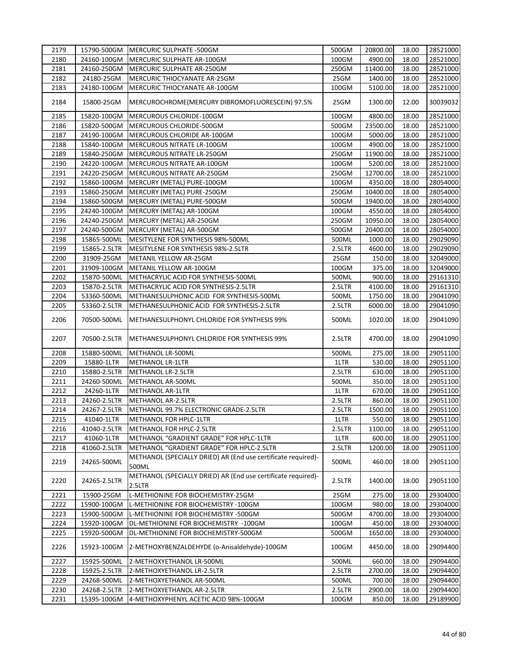| 2179 |              | 15790-500GM MERCURIC SULPHATE -500GM                                    | 500GM  | 20800.00 | 18.00 | 28521000 |
|------|--------------|-------------------------------------------------------------------------|--------|----------|-------|----------|
| 2180 | 24160-100GM  | MERCURIC SULPHATE AR-100GM                                              | 100GM  | 4900.00  | 18.00 | 28521000 |
| 2181 | 24160-250GM  | MERCURIC SULPHATE AR-250GM                                              | 250GM  | 11400.00 | 18.00 | 28521000 |
| 2182 | 24180-25GM   | MERCURIC THIOCYANATE AR-25GM                                            | 25GM   | 1400.00  | 18.00 | 28521000 |
| 2183 | 24180-100GM  | MERCURIC THIOCYANATE AR-100GM                                           | 100GM  | 5100.00  | 18.00 | 28521000 |
| 2184 | 15800-25GM   | MERCUROCHROME(MERCURY DIBROMOFLUORESCEIN) 97.5%                         | 25GM   | 1300.00  | 12.00 | 30039032 |
| 2185 | 15820-100GM  | MERCUROUS CHLORIDE-100GM                                                | 100GM  | 4800.00  | 18.00 | 28521000 |
| 2186 | 15820-500GM  | MERCUROUS CHLORIDE-500GM                                                | 500GM  | 23500.00 | 18.00 | 28521000 |
| 2187 | 24190-100GM  | MERCUROUS CHLORIDE AR-100GM                                             | 100GM  | 5000.00  | 18.00 | 28521000 |
| 2188 | 15840-100GM  | MERCUROUS NITRATE LR-100GM                                              | 100GM  | 4900.00  | 18.00 | 28521000 |
| 2189 | 15840-250GM  | <b>MERCUROUS NITRATE LR-250GM</b>                                       | 250GM  | 11900.00 | 18.00 | 28521000 |
| 2190 | 24220-100GM  | MERCUROUS NITRATE AR-100GM                                              | 100GM  | 5200.00  | 18.00 | 28521000 |
| 2191 | 24220-250GM  | <b>MERCUROUS NITRATE AR-250GM</b>                                       | 250GM  | 12700.00 | 18.00 | 28521000 |
| 2192 | 15860-100GM  | MERCURY (METAL) PURE-100GM                                              | 100GM  | 4350.00  | 18.00 | 28054000 |
| 2193 | 15860-250GM  | MERCURY (METAL) PURE-250GM                                              | 250GM  | 10400.00 | 18.00 | 28054000 |
| 2194 | 15860-500GM  | MERCURY (METAL) PURE-500GM                                              | 500GM  | 19400.00 | 18.00 | 28054000 |
| 2195 | 24240-100GM  | MERCURY (METAL) AR-100GM                                                | 100GM  | 4550.00  | 18.00 | 28054000 |
| 2196 | 24240-250GM  | MERCURY (METAL) AR-250GM                                                | 250GM  | 10950.00 | 18.00 | 28054000 |
| 2197 | 24240-500GM  | MERCURY (METAL) AR-500GM                                                | 500GM  | 20400.00 | 18.00 | 28054000 |
| 2198 | 15865-500ML  | MESITYLENE FOR SYNTHESIS 98%-500ML                                      | 500ML  | 1000.00  | 18.00 | 29029090 |
|      |              |                                                                         |        |          |       |          |
| 2199 | 15865-2.5LTR | MESITYLENE FOR SYNTHESIS 98%-2.5LTR                                     | 2.5LTR | 4600.00  | 18.00 | 29029090 |
| 2200 | 31909-25GM   | METANIL YELLOW AR-25GM                                                  | 25GM   | 150.00   | 18.00 | 32049000 |
| 2201 | 31909-100GM  | METANIL YELLOW AR-100GM                                                 | 100GM  | 375.00   | 18.00 | 32049000 |
| 2202 | 15870-500ML  | METHACRYLIC ACID FOR SYNTHESIS-500ML                                    | 500ML  | 900.00   | 18.00 | 29161310 |
| 2203 | 15870-2.5LTR | METHACRYLIC ACID FOR SYNTHESIS-2.5LTR                                   | 2.5LTR | 4100.00  | 18.00 | 29161310 |
| 2204 | 53360-500ML  | METHANESULPHONIC ACID FOR SYNTHESIS-500ML                               | 500ML  | 1750.00  | 18.00 | 29041090 |
| 2205 | 53360-2.5LTR | METHANESULPHONIC ACID FOR SYNTHESIS-2.5LTR                              | 2.5LTR | 6000.00  | 18.00 | 29041090 |
| 2206 | 70500-500ML  | METHANESULPHONYL CHLORIDE FOR SYNTHESIS 99%                             | 500ML  | 1020.00  | 18.00 | 29041090 |
| 2207 | 70500-2.5LTR | METHANESULPHONYL CHLORIDE FOR SYNTHESIS 99%                             | 2.5LTR | 4700.00  | 18.00 | 29041090 |
| 2208 | 15880-500ML  | METHANOL LR-500ML                                                       | 500ML  | 275.00   | 18.00 | 29051100 |
| 2209 | 15880-1LTR   | <b>METHANOL LR-1LTR</b>                                                 | 1LTR   | 530.00   | 18.00 | 29051100 |
| 2210 | 15880-2.5LTR | <b>METHANOL LR-2.5LTR</b>                                               | 2.5LTR | 630.00   | 18.00 | 29051100 |
| 2211 | 24260-500ML  | METHANOL AR-500ML                                                       | 500ML  | 350.00   | 18.00 | 29051100 |
| 2212 | 24260-1LTR   | <b>METHANOL AR-1LTR</b>                                                 | 1LTR   | 670.00   | 18.00 | 29051100 |
| 2213 | 24260-2.5LTR | <b>METHANOL AR-2.5LTR</b>                                               | 2.5LTR | 860.00   | 18.00 | 29051100 |
| 2214 | 24267-2.5LTR | METHANOL 99.7% ELECTRONIC GRADE-2.5LTR                                  | 2.5LTR | 1500.00  | 18.00 | 29051100 |
| 2215 | 41040-1LTR   | METHANOL FOR HPLC-1LTR                                                  | 1LTR   | 550.00   | 18.00 | 29051100 |
| 2216 | 41040-2.5LTR | METHANOL FOR HPLC-2.5LTR                                                | 2.5LTR | 1100.00  | 18.00 | 29051100 |
| 2217 | 41060-1LTR   | METHANOL "GRADIENT GRADE" FOR HPLC-1LTR                                 | 1LTR   | 600.00   | 18.00 | 29051100 |
| 2218 | 41060-2.5LTR | METHANOL "GRADIENT GRADE" FOR HPLC-2.5LTR                               | 2.5LTR | 1200.00  | 18.00 | 29051100 |
| 2219 | 24265-500ML  | METHANOL (SPECIALLY DRIED) AR (End use certificate required)-<br>500ML  | 500ML  | 460.00   | 18.00 | 29051100 |
| 2220 | 24265-2.5LTR | METHANOL (SPECIALLY DRIED) AR (End use certificate required)-<br>2.5LTR | 2.5LTR | 1400.00  | 18.00 | 29051100 |
| 2221 | 15900-25GM   | L-METHIONINE FOR BIOCHEMISTRY-25GM                                      | 25GM   | 275.00   | 18.00 | 29304000 |
| 2222 | 15900-100GM  | L-METHIONINE FOR BIOCHEMISTRY -100GM                                    | 100GM  | 980.00   | 18.00 | 29304000 |
| 2223 | 15900-500GM  | L-METHIONINE FOR BIOCHEMISTRY -500GM                                    | 500GM  | 4700.00  | 18.00 | 29304000 |
| 2224 | 15920-100GM  | DL-METHIONINE FOR BIOCHEMISTRY -100GM                                   | 100GM  | 450.00   | 18.00 | 29304000 |
| 2225 | 15920-500GM  | DL-METHIONINE FOR BIOCHEMISTRY-500GM                                    | 500GM  | 1650.00  | 18.00 | 29304000 |
| 2226 | 15923-100GM  | 2-METHOXYBENZALDEHYDE (o-Anisaldehyde)-100GM                            | 100GM  | 4450.00  | 18.00 | 29094400 |
| 2227 | 15925-500ML  | 2-METHOXYETHANOL LR-500ML                                               | 500ML  | 660.00   | 18.00 | 29094400 |
| 2228 | 15925-2.5LTR | 2-METHOXYETHANOL LR-2.5LTR                                              | 2.5LTR | 2700.00  | 18.00 | 29094400 |
| 2229 | 24268-500ML  | 2-METHOXYETHANOL AR-500ML                                               | 500ML  | 700.00   | 18.00 | 29094400 |
| 2230 | 24268-2.5LTR | 2-METHOXYETHANOL AR-2.5LTR                                              | 2.5LTR | 2900.00  | 18.00 | 29094400 |
| 2231 | 15395-100GM  | 4-METHOXYPHENYL ACETIC ACID 98%-100GM                                   | 100GM  | 850.00   | 18.00 | 29189900 |
|      |              |                                                                         |        |          |       |          |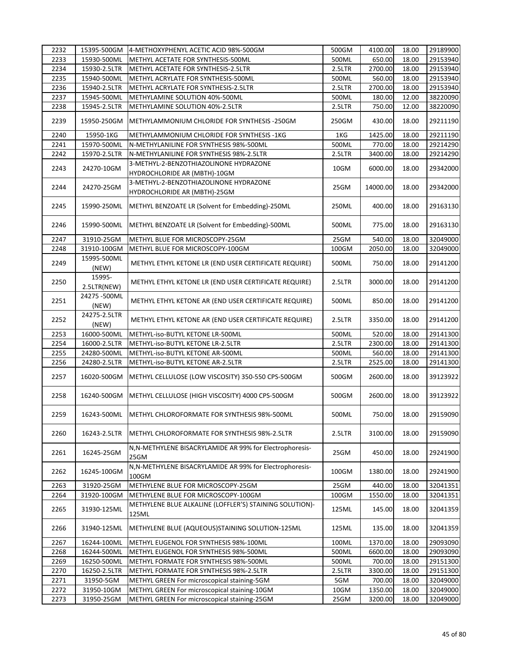| 2232 | 15395-500GM           | 4-METHOXYPHENYL ACETIC ACID 98%-500GM                                  | 500GM  | 4100.00  | 18.00 | 29189900 |
|------|-----------------------|------------------------------------------------------------------------|--------|----------|-------|----------|
| 2233 | 15930-500ML           | METHYL ACETATE FOR SYNTHESIS-500ML                                     | 500ML  | 650.00   | 18.00 | 29153940 |
| 2234 | 15930-2.5LTR          | METHYL ACETATE FOR SYNTHESIS-2.5LTR                                    | 2.5LTR | 2700.00  | 18.00 | 29153940 |
| 2235 | 15940-500ML           | METHYL ACRYLATE FOR SYNTHESIS-500ML                                    | 500ML  | 560.00   | 18.00 | 29153940 |
| 2236 | 15940-2.5LTR          | METHYL ACRYLATE FOR SYNTHESIS-2.5LTR                                   | 2.5LTR | 2700.00  | 18.00 | 29153940 |
| 2237 | 15945-500ML           | METHYLAMINE SOLUTION 40%-500ML                                         | 500ML  | 180.00   | 12.00 | 38220090 |
| 2238 | 15945-2.5LTR          | METHYLAMINE SOLUTION 40%-2.5LTR                                        | 2.5LTR | 750.00   | 12.00 | 38220090 |
| 2239 | 15950-250GM           | METHYLAMMONIUM CHLORIDE FOR SYNTHESIS -250GM                           | 250GM  | 430.00   | 18.00 | 29211190 |
| 2240 | 15950-1KG             | METHYLAMMONIUM CHLORIDE FOR SYNTHESIS -1KG                             | 1KG    | 1425.00  | 18.00 | 29211190 |
| 2241 | 15970-500ML           | N-METHYLANILINE FOR SYNTHESIS 98%-500ML                                | 500ML  | 770.00   | 18.00 | 29214290 |
| 2242 | 15970-2.5LTR          | N-METHYLANILINE FOR SYNTHESIS 98%-2.5LTR                               | 2.5LTR | 3400.00  | 18.00 | 29214290 |
|      |                       | 3-METHYL-2-BENZOTHIAZOLINONE HYDRAZONE                                 |        |          |       |          |
| 2243 | 24270-10GM            | HYDROCHLORIDE AR (MBTH)-10GM                                           | 10GM   | 6000.00  | 18.00 | 29342000 |
| 2244 | 24270-25GM            | 3-METHYL-2-BENZOTHIAZOLINONE HYDRAZONE<br>HYDROCHLORIDE AR (MBTH)-25GM | 25GM   | 14000.00 | 18.00 | 29342000 |
| 2245 | 15990-250ML           | METHYL BENZOATE LR (Solvent for Embedding)-250ML                       | 250ML  | 400.00   | 18.00 | 29163130 |
| 2246 | 15990-500ML           | METHYL BENZOATE LR (Solvent for Embedding)-500ML                       | 500ML  | 775.00   | 18.00 | 29163130 |
| 2247 | 31910-25GM            | METHYL BLUE FOR MICROSCOPY-25GM                                        | 25GM   | 540.00   | 18.00 | 32049000 |
| 2248 | 31910-100GM           | METHYL BLUE FOR MICROSCOPY-100GM                                       | 100GM  | 2050.00  | 18.00 | 32049000 |
| 2249 | 15995-500ML<br>(NEW)  | METHYL ETHYL KETONE LR (END USER CERTIFICATE REQUIRE)                  | 500ML  | 750.00   | 18.00 | 29141200 |
| 2250 | 15995-<br>2.5LTR(NEW) | METHYL ETHYL KETONE LR (END USER CERTIFICATE REQUIRE)                  | 2.5LTR | 3000.00  | 18.00 | 29141200 |
| 2251 | 24275-500ML<br>(NEW)  | METHYL ETHYL KETONE AR (END USER CERTIFICATE REQUIRE)                  | 500ML  | 850.00   | 18.00 | 29141200 |
| 2252 | 24275-2.5LTR<br>(NEW) | METHYL ETHYL KETONE AR (END USER CERTIFICATE REQUIRE)                  | 2.5LTR | 3350.00  | 18.00 | 29141200 |
| 2253 | 16000-500ML           | METHYL-iso-BUTYL KETONE LR-500ML                                       | 500ML  | 520.00   | 18.00 | 29141300 |
| 2254 | 16000-2.5LTR          | METHYL-iso-BUTYL KETONE LR-2.5LTR                                      | 2.5LTR | 2300.00  | 18.00 | 29141300 |
| 2255 | 24280-500ML           | METHYL-iso-BUTYL KETONE AR-500ML                                       | 500ML  | 560.00   | 18.00 | 29141300 |
| 2256 | 24280-2.5LTR          | METHYL-iso-BUTYL KETONE AR-2.5LTR                                      | 2.5LTR | 2525.00  | 18.00 | 29141300 |
| 2257 | 16020-500GM           | METHYL CELLULOSE (LOW VISCOSITY) 350-550 CPS-500GM                     | 500GM  | 2600.00  | 18.00 | 39123922 |
| 2258 | 16240-500GM           | METHYL CELLULOSE (HIGH VISCOSITY) 4000 CPS-500GM                       | 500GM  | 2600.00  | 18.00 | 39123922 |
| 2259 |                       | 16243-500ML METHYL CHLOROFORMATE FOR SYNTHESIS 98%-500ML               | 500ML  | 750.00   | 18.00 | 29159090 |
| 2260 | 16243-2.5LTR          | METHYL CHLOROFORMATE FOR SYNTHESIS 98%-2.5LTR                          | 2.5LTR | 3100.00  | 18.00 | 29159090 |
| 2261 | 16245-25GM            | N, N-METHYLENE BISACRYLAMIDE AR 99% for Electrophoresis-<br>25GM       | 25GM   | 450.00   | 18.00 | 29241900 |
| 2262 | 16245-100GM           | N, N-METHYLENE BISACRYLAMIDE AR 99% for Electrophoresis-<br>100GM      | 100GM  | 1380.00  | 18.00 | 29241900 |
| 2263 | 31920-25GM            | METHYLENE BLUE FOR MICROSCOPY-25GM                                     | 25GM   | 440.00   | 18.00 | 32041351 |
| 2264 | 31920-100GM           | METHYLENE BLUE FOR MICROSCOPY-100GM                                    | 100GM  | 1550.00  | 18.00 | 32041351 |
| 2265 | 31930-125ML           | METHYLENE BLUE ALKALINE (LOFFLER'S) STAINING SOLUTION)-<br>125ML       | 125ML  | 145.00   | 18.00 | 32041359 |
| 2266 | 31940-125ML           | METHYLENE BLUE (AQUEOUS)STAINING SOLUTION-125ML                        | 125ML  | 135.00   | 18.00 | 32041359 |
| 2267 | 16244-100ML           | METHYL EUGENOL FOR SYNTHESIS 98%-100ML                                 | 100ML  | 1370.00  | 18.00 | 29093090 |
| 2268 | 16244-500ML           | METHYL EUGENOL FOR SYNTHESIS 98%-500ML                                 | 500ML  | 6600.00  | 18.00 | 29093090 |
| 2269 | 16250-500ML           | METHYL FORMATE FOR SYNTHESIS 98%-500ML                                 | 500ML  | 700.00   | 18.00 | 29151300 |
| 2270 | 16250-2.5LTR          | METHYL FORMATE FOR SYNTHESIS 98%-2.5LTR                                | 2.5LTR | 3300.00  | 18.00 | 29151300 |
| 2271 | 31950-5GM             | METHYL GREEN For microscopical staining-5GM                            | 5GM    | 700.00   | 18.00 | 32049000 |
| 2272 | 31950-10GM            | METHYL GREEN For microscopical staining-10GM                           | 10GM   | 1350.00  | 18.00 | 32049000 |
| 2273 | 31950-25GM            | METHYL GREEN For microscopical staining-25GM                           | 25GM   | 3200.00  | 18.00 | 32049000 |
|      |                       |                                                                        |        |          |       |          |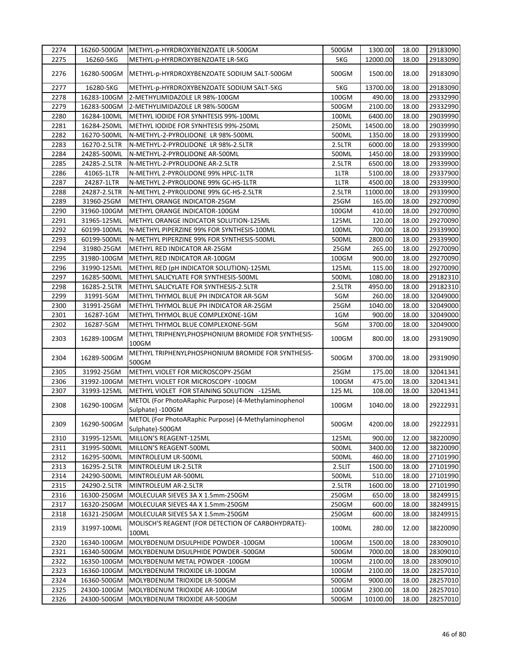| 2274         | 16260-500GM              | METHYL-p-HYRDROXYBENZOATE LR-500GM                                                      | 500GM        | 1300.00           | 18.00          | 29183090             |
|--------------|--------------------------|-----------------------------------------------------------------------------------------|--------------|-------------------|----------------|----------------------|
| 2275         | 16260-5KG                | METHYL-p-HYRDROXYBENZOATE LR-5KG                                                        | 5KG          | 12000.00          | 18.00          | 29183090             |
| 2276         | 16280-500GM              | METHYL-p-HYRDROXYBENZOATE SODIUM SALT-500GM                                             | 500GM        | 1500.00           | 18.00          | 29183090             |
| 2277         | 16280-5KG                | METHYL-p-HYRDROXYBENZOATE SODIUM SALT-5KG                                               | 5KG          | 13700.00          | 18.00          | 29183090             |
| 2278         | 16283-100GM              | 2-METHYLIMIDAZOLE LR 98%-100GM                                                          | $100$ GM     | 490.00            | 18.00          | 29332990             |
| 2279         | 16283-500GM              | 2-METHYLIMIDAZOLE LR 98%-500GM                                                          | 500GM        | 2100.00           | 18.00          | 29332990             |
| 2280         | 16284-100ML              | METHYL IODIDE FOR SYNHTESIS 99%-100ML                                                   | 100ML        | 6400.00           | 18.00          | 29039990             |
| 2281         | 16284-250ML              | METHYL IODIDE FOR SYNHTESIS 99%-250ML                                                   | 250ML        | 14500.00          | 18.00          | 29039990             |
| 2282         | 16270-500ML              | N-METHYL-2-PYROLIDONE LR 98%-500ML                                                      | 500ML        | 1350.00           | 18.00          | 29339900             |
| 2283         | 16270-2.5LTR             | N-METHYL-2-PYROLIDONE LR 98%-2.5LTR                                                     | 2.5LTR       | 6000.00           | 18.00          | 29339900             |
| 2284         | 24285-500ML              | N-METHYL-2-PYROLIDONE AR-500ML                                                          | 500ML        | 1450.00           | 18.00          | 29339900             |
| 2285         | 24285-2.5LTR             | N-METHYL-2-PYROLIDONE AR-2.5LTR                                                         | 2.5LTR       | 6500.00           | 18.00          | 29339900             |
| 2286         | 41065-1LTR               | N-METHYL 2-PYROLIDONE 99% HPLC-1LTR                                                     | 1LTR         | 5100.00           | 18.00          | 29337900             |
| 2287         | 24287-1LTR               | N-METHYL 2-PYROLIDONE 99% GC-HS-1LTR                                                    | 1LTR         | 4500.00           | 18.00          | 29339900             |
| 2288         | 24287-2.5LTR             | N-METHYL 2-PYROLIDONE 99% GC-HS-2.5LTR                                                  | 2.5LTR       | 11000.00          | 18.00          | 29339900             |
| 2289         | 31960-25GM               | METHYL ORANGE INDICATOR-25GM                                                            | 25GM         | 165.00            | 18.00          | 29270090             |
| 2290         | 31960-100GM              | METHYL ORANGE INDICATOR-100GM                                                           | 100GM        | 410.00            | 18.00          | 29270090             |
| 2291         | 31965-125ML              | METHYL ORANGE INDICATOR SOLUTION-125ML                                                  | 125ML        | 120.00            | 18.00          | 29270090             |
| 2292         | 60199-100ML              | N-METHYL PIPERZINE 99% FOR SYNTHESIS-100ML                                              | 100ML        | 700.00            | 18.00          | 29339900             |
| 2293         | 60199-500ML              | N-METHYL PIPERZINE 99% FOR SYNTHESIS-500ML                                              | 500ML        | 2800.00           | 18.00          | 29339900             |
| 2294         | 31980-25GM               | METHYL RED INDICATOR AR-25GM                                                            | 25GM         | 265.00            | 18.00          | 29270090             |
| 2295         | 31980-100GM              | METHYL RED INDICATOR AR-100GM                                                           | 100GM        | 900.00            | 18.00          | 29270090             |
| 2296         | 31990-125ML              | METHYL RED (pH INDICATOR SOLUTION)-125ML                                                | 125ML        | 115.00            | 18.00          | 29270090             |
| 2297         | 16285-500ML              | METHYL SALICYLATE FOR SYNTHESIS-500ML                                                   | 500ML        | 1080.00           | 18.00          | 29182310             |
| 2298         | 16285-2.5LTR             | METHYL SALICYLATE FOR SYNTHESIS-2.5LTR                                                  | 2.5LTR       | 4950.00           | 18.00          | 29182310             |
| 2299         | 31991-5GM                | METHYL THYMOL BLUE PH INDICATOR AR-5GM                                                  | 5GM          | 260.00            | 18.00          | 32049000             |
| 2300         | 31991-25GM               | METHYL THYMOL BLUE PH INDICATOR AR-25GM                                                 | 25GM         | 1040.00           | 18.00          | 32049000             |
| 2301         |                          |                                                                                         | 1GM          | 900.00            | 18.00          | 32049000             |
|              | 16287-1GM                | METHYL THYMOL BLUE COMPLEXONE-1GM                                                       |              |                   |                |                      |
| 2302<br>2303 | 16287-5GM<br>16289-100GM | METHYL THYMOL BLUE COMPLEXONE-5GM<br>METHYL TRIPHENYLPHOSPHONIUM BROMIDE FOR SYNTHESIS- | 5GM<br>100GM | 3700.00<br>800.00 | 18.00<br>18.00 | 32049000<br>29319090 |
| 2304         | 16289-500GM              | 100GM<br>METHYL TRIPHENYLPHOSPHONIUM BROMIDE FOR SYNTHESIS-<br>500GM                    | 500GM        | 3700.00           | 18.00          | 29319090             |
| 2305         | 31992-25GM               | METHYL VIOLET FOR MICROSCOPY-25GM                                                       | 25GM         | 175.00            | 18.00          | 32041341             |
| 2306         | 31992-100GM              | METHYL VIOLET FOR MICROSCOPY -100GM                                                     | 100GM        | 475.00            | 18.00          | 32041341             |
| 2307         | 31993-125ML              | METHYL VIOLET FOR STAINING SOLUTION -125ML                                              | 125 ML       | 108.00            | 18.00          | 32041341             |
|              |                          | METOL (For PhotoARaphic Purpose) (4-Methylaminophenol                                   |              |                   |                |                      |
| 2308         | 16290-100GM              | Sulphate) -100GM                                                                        | 100GM        | 1040.00           | 18.00          | 29222931             |
| 2309         | 16290-500GM              | METOL (For PhotoARaphic Purpose) (4-Methylaminophenol<br>Sulphate)-500GM                | 500GM        | 4200.00           | 18.00          | 29222931             |
| 2310         | 31995-125ML              | MILLON'S REAGENT-125ML                                                                  | 125ML        | 900.00            | 12.00          | 38220090             |
| 2311         | 31995-500ML              | MILLON'S REAGENT-500ML                                                                  | 500ML        | 3400.00           | 12.00          | 38220090             |
| 2312         | 16295-500ML              | MINTROLEUM LR-500ML                                                                     | 500ML        | 460.00            | 18.00          | 27101990             |
| 2313         | 16295-2.5LTR             | MINTROLEUM LR-2.5LTR                                                                    | 2.5LIT       | 1500.00           | 18.00          | 27101990             |
| 2314         | 24290-500ML              | MINTROLEUM AR-500ML                                                                     | 500ML        | 510.00            | 18.00          | 27101990             |
| 2315         | 24290-2.5LTR             | MINTROLEUM AR-2.5LTR                                                                    | 2.5LTR       | 1600.00           | 18.00          | 27101990             |
| 2316         | 16300-250GM              | MOLECULAR SIEVES 3A X 1.5mm-250GM                                                       | 250GM        | 650.00            | 18.00          | 38249915             |
| 2317         | 16320-250GM              | MOLECULAR SIEVES 4A X 1.5mm-250GM                                                       | 250GM        | 600.00            | 18.00          | 38249915             |
| 2318         | 16321-250GM              | MOLECULAR SIEVES 5A X 1.5mm-250GM                                                       | 250GM        | 600.00            | 18.00          | 38249915             |
| 2319         | 31997-100ML              | MOLISCH'S REAGENT (FOR DETECTION OF CARBOHYDRATE)-<br>100ML                             | 100ML        | 280.00            | 12.00          | 38220090             |
| 2320         | 16340-100GM              | MOLYBDENUM DISULPHIDE POWDER -100GM                                                     | 100GM        | 1500.00           | 18.00          | 28309010             |
| 2321         | 16340-500GM              | MOLYBDENUM DISULPHIDE POWDER -500GM                                                     | 500GM        | 7000.00           | 18.00          | 28309010             |
| 2322         | 16350-100GM              | MOLYBDENUM METAL POWDER -100GM                                                          | 100GM        | 2100.00           | 18.00          | 28309010             |
| 2323         | 16360-100GM              | MOLYBDENUM TRIOXIDE LR-100GM                                                            | 100GM        | 2100.00           | 18.00          | 28257010             |
| 2324         | 16360-500GM              | MOLYBDENUM TRIOXIDE LR-500GM                                                            | 500GM        | 9000.00           | 18.00          | 28257010             |
| 2325         | 24300-100GM              | MOLYBDENUM TRIOXIDE AR-100GM                                                            | 100GM        | 2300.00           | 18.00          | 28257010             |
| 2326         | 24300-500GM              | MOLYBDENUM TRIOXIDE AR-500GM                                                            | 500GM        | 10100.00          | 18.00          | 28257010             |
|              |                          |                                                                                         |              |                   |                |                      |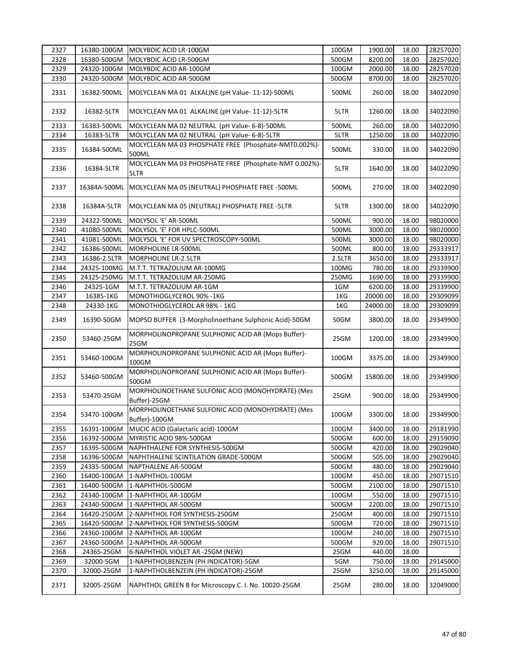| 2327 | 16380-100GM  | MOLYBDIC ACID LR-100GM                                             | 100GM  | 1900.00  | 18.00 | 28257020 |
|------|--------------|--------------------------------------------------------------------|--------|----------|-------|----------|
| 2328 | 16380-500GM  | MOLYBDIC ACID LR-500GM                                             | 500GM  | 8200.00  | 18.00 | 28257020 |
| 2329 | 24320-100GM  | MOLYBDIC ACID AR-100GM                                             | 100GM  | 2000.00  | 18.00 | 28257020 |
| 2330 | 24320-500GM  | MOLYBDIC ACID AR-500GM                                             | 500GM  | 8700.00  | 18.00 | 28257020 |
| 2331 | 16382-500ML  | MOLYCLEAN MA 01 ALKALINE (pH Value- 11-12)-500ML                   | 500ML  | 260.00   | 18.00 | 34022090 |
| 2332 | 16382-5LTR   | MOLYCLEAN MA 01 ALKALINE (pH Value- 11-12)-5LTR                    | 5LTR   | 1260.00  | 18.00 | 34022090 |
| 2333 | 16383-500ML  | MOLYCLEAN MA 02 NEUTRAL (pH Value- 6-8)-500ML                      | 500ML  | 260.00   | 18.00 | 34022090 |
| 2334 | 16383-5LTR   | MOLYCLEAN MA 02 NEUTRAL (pH Value- 6-8)-5LTR                       | 5LTR   | 1250.00  | 18.00 | 34022090 |
| 2335 | 16384-500ML  | MOLYCLEAN MA 03 PHOSPHATE FREE (Phosphate-NMT0.002%)-<br>500ML     | 500ML  | 330.00   | 18.00 | 34022090 |
| 2336 | 16384-5LTR   | MOLYCLEAN MA 03 PHOSPHATE FREE (Phosphate-NMT 0.002%)-<br>5LTR     | 5LTR   | 1640.00  | 18.00 | 34022090 |
| 2337 | 16384A-500ML | MOLYCLEAN MA 05 (NEUTRAL) PHOSPHATE FREE -500ML                    | 500ML  | 270.00   | 18.00 | 34022090 |
| 2338 | 16384A-5LTR  | MOLYCLEAN MA 05 (NEUTRAL) PHOSPHATE FREE -5LTR                     | 5LTR   | 1300.00  | 18.00 | 34022090 |
| 2339 | 24322-500ML  | MOLYSOL 'E' AR-500ML                                               | 500ML  | 900.00   | 18.00 | 98020000 |
| 2340 | 41080-500ML  | MOLYSOL 'E' FOR HPLC-500ML                                         | 500ML  | 3000.00  | 18.00 | 98020000 |
| 2341 | 41081-500ML  | MOLYSOL 'E' FOR UV SPECTROSCOPY-500ML                              | 500ML  | 3000.00  | 18.00 | 98020000 |
| 2342 | 16386-500ML  | MORPHOLINE LR-500ML                                                | 500ML  | 800.00   | 18.00 | 29333917 |
| 2343 | 16386-2.5LTR | <b>MORPHOLINE LR-2.5LTR</b>                                        | 2.5LTR | 3650.00  | 18.00 | 29333917 |
| 2344 | 24325-100MG  | M.T.T. TETRAZOLIUM AR-100MG                                        | 100MG  | 780.00   | 18.00 | 29339900 |
| 2345 | 24325-250MG  | M.T.T. TETRAZOLIUM AR-250MG                                        | 250MG  | 1690.00  | 18.00 | 29339900 |
| 2346 | 24325-1GM    | M.T.T. TETRAZOLIUM AR-1GM                                          | 1GM    | 6200.00  | 18.00 | 29339900 |
| 2347 | 16385-1KG    | MONOTHIOGLYCEROL 90% -1KG                                          | 1KG    | 20000.00 | 18.00 | 29309099 |
| 2348 | 24330-1KG    | MONOTHIOGLYCEROL AR 98% - 1KG                                      | 1KG    | 24000.00 | 18.00 | 29309099 |
| 2349 | 16390-50GM   | MOPSO BUFFER (3-Morpholinoethane Sulphonic Acid)-50GM              | 50GM   | 3800.00  | 18.00 | 29349900 |
| 2350 | 53460-25GM   | MORPHOLINOPROPANE SULPHONIC ACID AR (Mops Buffer)-<br>25GM         | 25GM   | 1200.00  | 18.00 | 29349900 |
| 2351 | 53460-100GM  | MORPHOLINOPROPANE SULPHONIC ACID AR (Mops Buffer)-<br>100GM        | 100GM  | 3375.00  | 18.00 | 29349900 |
| 2352 | 53460-500GM  | MORPHOLINOPROPANE SULPHONIC ACID AR (Mops Buffer)-<br>500GM        | 500GM  | 15800.00 | 18.00 | 29349900 |
| 2353 | 53470-25GM   | MORPHOLINOETHANE SULFONIC ACID (MONOHYDRATE) (Mes<br>Buffer)-25GM  | 25GM   | 900.00   | 18.00 | 29349900 |
| 2354 | 53470-100GM  | MORPHOLINOETHANE SULFONIC ACID (MONOHYDRATE) (Mes<br>Buffer)-100GM | 100GM  | 3300.00  | 18.00 | 29349900 |
| 2355 | 16391-100GM  | MUCIC ACID (Galactaric acid)-100GM                                 | 100GM  | 3400.00  | 18.00 | 29181990 |
| 2356 | 16392-500GM  | MYRISTIC ACID 98%-500GM                                            | 500GM  | 600.00   | 18.00 | 29159090 |
| 2357 | 16395-500GM  | NAPHTHALENE FOR SYNTHESIS-500GM                                    | 500GM  | 420.00   | 18.00 | 29029040 |
| 2358 | 16396-500GM  | NAPHTHALENE SCINTILATION GRADE-500GM                               | 500GM  | 505.00   | 18.00 | 29029040 |
| 2359 | 24335-500GM  | NAPTHALENE AR-500GM                                                | 500GM  | 480.00   | 18.00 | 29029040 |
| 2360 | 16400-100GM  | 1-NAPHTHOL-100GM                                                   | 100GM  | 450.00   | 18.00 | 29071510 |
| 2361 | 16400-500GM  | 1-NAPHTHOL-500GM                                                   | 500GM  | 2100.00  | 18.00 | 29071510 |
| 2362 | 24340-100GM  | 1-NAPHTHOL AR-100GM                                                | 100GM  | 550.00   | 18.00 | 29071510 |
| 2363 | 24340-500GM  | 1-NAPHTHOL AR-500GM                                                | 500GM  | 2200.00  | 18.00 | 29071510 |
| 2364 | 16420-250GM  | 2-NAPHTHOL FOR SYNTHESIS-250GM                                     | 250GM  | 400.00   | 18.00 | 29071510 |
| 2365 | 16420-500GM  | 2-NAPHTHOL FOR SYNTHESIS-500GM                                     | 500GM  | 720.00   | 18.00 | 29071510 |
| 2366 | 24360-100GM  | 2-NAPHTHOL AR-100GM                                                | 100GM  | 240.00   | 18.00 | 29071510 |
| 2367 | 24360-500GM  | 2-NAPHTHOL AR-500GM                                                | 500GM  | 920.00   | 18.00 | 29071510 |
| 2368 | 24365-25GM   | 6-NAPHTHOL VIOLET AR -25GM (NEW)                                   | 25GM   | 440.00   | 18.00 |          |
| 2369 | 32000-5GM    | 1-NAPHTHOLBENZEIN (PH INDICATOR)-5GM                               | 5GM    | 750.00   | 18.00 | 29145000 |
| 2370 | 32000-25GM   | 1-NAPHTHOLBENZEIN (PH INDICATOR)-25GM                              | 25GM   | 3250.00  | 18.00 | 29145000 |
| 2371 | 32005-25GM   | NAPHTHOL GREEN B for Microscopy C. I. No. 10020-25GM               | 25GM   | 280.00   | 18.00 | 32049000 |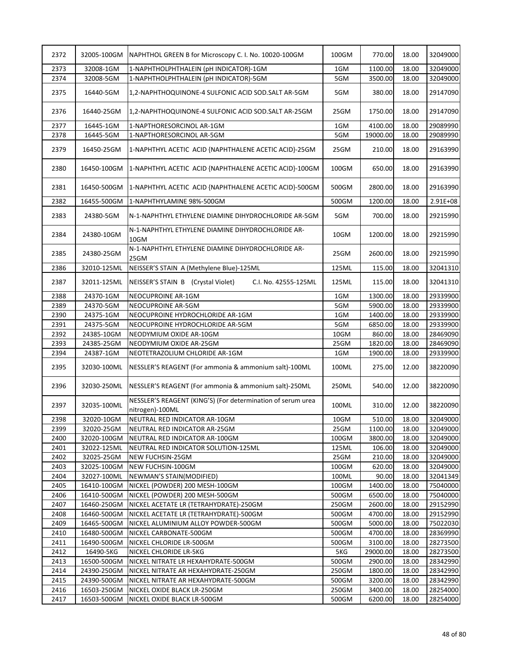| 2372 | 32005-100GM | NAPHTHOL GREEN B for Microscopy C. I. No. 10020-100GM                          | 100GM | 770.00   | 18.00 | 32049000 |
|------|-------------|--------------------------------------------------------------------------------|-------|----------|-------|----------|
| 2373 | 32008-1GM   | 1-NAPHTHOLPHTHALEIN (pH INDICATOR)-1GM                                         | 1GM   | 1100.00  | 18.00 | 32049000 |
| 2374 | 32008-5GM   | 1-NAPHTHOLPHTHALEIN (pH INDICATOR)-5GM                                         | 5GM   | 3500.00  | 18.00 | 32049000 |
| 2375 | 16440-5GM   | 1,2-NAPHTHOQUINONE-4 SULFONIC ACID SOD.SALT AR-5GM                             | 5GM   | 380.00   | 18.00 | 29147090 |
| 2376 | 16440-25GM  | 1,2-NAPHTHOQUINONE-4 SULFONIC ACID SOD.SALT AR-25GM                            | 25GM  | 1750.00  | 18.00 | 29147090 |
| 2377 | 16445-1GM   | 1-NAPTHORESORCINOL AR-1GM                                                      | 1GM   | 4100.00  | 18.00 | 29089990 |
| 2378 | 16445-5GM   | 1-NAPTHORESORCINOL AR-5GM                                                      | 5GM   | 19000.00 | 18.00 | 29089990 |
| 2379 | 16450-25GM  | 1-NAPHTHYL ACETIC ACID {NAPHTHALENE ACETIC ACID}-25GM                          | 25GM  | 210.00   | 18.00 | 29163990 |
| 2380 | 16450-100GM | 1-NAPHTHYL ACETIC ACID {NAPHTHALENE ACETIC ACID}-100GM                         | 100GM | 650.00   | 18.00 | 29163990 |
| 2381 | 16450-500GM | 1-NAPHTHYL ACETIC ACID {NAPHTHALENE ACETIC ACID}-500GM                         | 500GM | 2800.00  | 18.00 | 29163990 |
| 2382 | 16455-500GM | 1-NAPHTHYLAMINE 98%-500GM                                                      | 500GM | 1200.00  | 18.00 | 2.91E+08 |
| 2383 | 24380-5GM   | N-1-NAPHTHYL ETHYLENE DIAMINE DIHYDROCHLORIDE AR-5GM                           | 5GM   | 700.00   | 18.00 | 29215990 |
| 2384 | 24380-10GM  | N-1-NAPHTHYL ETHYLENE DIAMINE DIHYDROCHLORIDE AR-<br>10GM                      | 10GM  | 1200.00  | 18.00 | 29215990 |
| 2385 | 24380-25GM  | N-1-NAPHTHYL ETHYLENE DIAMINE DIHYDROCHLORIDE AR-<br>25GM                      | 25GM  | 2600.00  | 18.00 | 29215990 |
| 2386 | 32010-125ML | NEISSER'S STAIN A (Methylene Blue)-125ML                                       | 125ML | 115.00   | 18.00 | 32041310 |
| 2387 | 32011-125ML | NEISSER'S STAIN B (Crystal Violet)<br>C.I. No. 42555-125ML                     | 125ML | 115.00   | 18.00 | 32041310 |
| 2388 | 24370-1GM   | NEOCUPROINE AR-1GM                                                             | 1GM   | 1300.00  | 18.00 | 29339900 |
| 2389 | 24370-5GM   | NEOCUPROINE AR-5GM                                                             | 5GM   | 5900.00  | 18.00 | 29339900 |
| 2390 | 24375-1GM   | NEOCUPROINE HYDROCHLORIDE AR-1GM                                               | 1GM   | 1400.00  | 18.00 | 29339900 |
| 2391 | 24375-5GM   | NEOCUPROINE HYDROCHLORIDE AR-5GM                                               | 5GM   | 6850.00  | 18.00 | 29339900 |
| 2392 | 24385-10GM  | NEODYMIUM OXIDE AR-10GM                                                        | 10GM  | 860.00   | 18.00 | 28469090 |
| 2393 | 24385-25GM  | NEODYMIUM OXIDE AR-25GM                                                        | 25GM  | 1820.00  | 18.00 | 28469090 |
| 2394 | 24387-1GM   | NEOTETRAZOLIUM CHLORIDE AR-1GM                                                 | 1GM   | 1900.00  | 18.00 | 29339900 |
| 2395 | 32030-100ML | NESSLER'S REAGENT (For ammonia & ammonium salt)-100ML                          | 100ML | 275.00   | 12.00 | 38220090 |
| 2396 | 32030-250ML | NESSLER'S REAGENT (For ammonia & ammonium salt)-250ML                          | 250ML | 540.00   | 12.00 | 38220090 |
| 2397 | 32035-100ML | NESSLER'S REAGENT (KING'S) (For determination of serum urea<br>nitrogen)-100ML | 100ML | 310.00   | 12.00 | 38220090 |
| 2398 | 32020-10GM  | NEUTRAL RED INDICATOR AR-10GM                                                  | 10GM  | 510.00   | 18.00 | 32049000 |
| 2399 | 32020-25GM  | NEUTRAL RED INDICATOR AR-25GM                                                  | 25GM  | 1100.00  | 18.00 | 32049000 |
| 2400 | 32020-100GM | NEUTRAL RED INDICATOR AR-100GM                                                 | 100GM | 3800.00  | 18.00 | 32049000 |
| 2401 | 32022-125ML | NEUTRAL RED INDICATOR SOLUTION-125ML                                           | 125ML | 106.00   | 18.00 | 32049000 |
| 2402 | 32025-25GM  | NEW FUCHSIN-25GM                                                               | 25GM  | 210.00   | 18.00 | 32049000 |
| 2403 | 32025-100GM | NEW FUCHSIN-100GM                                                              | 100GM | 620.00   | 18.00 | 32049000 |
| 2404 | 32027-100ML | NEWMAN'S STAIN(MODIFIED)                                                       | 100ML | 90.00    | 18.00 | 32041349 |
| 2405 | 16410-100GM | NICKEL (POWDER) 200 MESH-100GM                                                 | 100GM | 1400.00  | 18.00 | 75040000 |
| 2406 | 16410-500GM | NICKEL (POWDER) 200 MESH-500GM                                                 | 500GM | 6500.00  | 18.00 | 75040000 |
| 2407 | 16460-250GM | NICKEL ACETATE LR (TETRAHYDRATE)-250GM                                         | 250GM | 2600.00  | 18.00 | 29152990 |
| 2408 | 16460-500GM | NICKEL ACETATE LR (TETRAHYDRATE)-500GM                                         | 500GM | 4700.00  | 18.00 | 29152990 |
| 2409 | 16465-500GM | NICKEL ALUMINIUM ALLOY POWDER-500GM                                            | 500GM | 5000.00  | 18.00 | 75022030 |
| 2410 | 16480-500GM | NICKEL CARBONATE-500GM                                                         | 500GM | 4700.00  | 18.00 | 28369990 |
| 2411 | 16490-500GM | NICKEL CHLORIDE LR-500GM                                                       | 500GM | 3100.00  | 18.00 | 28273500 |
| 2412 | 16490-5KG   | NICKEL CHLORIDE LR-5KG                                                         | 5KG   | 29000.00 | 18.00 | 28273500 |
| 2413 | 16500-500GM | NICKEL NITRATE LR HEXAHYDRATE-500GM                                            | 500GM | 2900.00  | 18.00 | 28342990 |
| 2414 | 24390-250GM | NICKEL NITRATE AR HEXAHYDRATE-250GM                                            | 250GM | 1800.00  | 18.00 | 28342990 |
| 2415 | 24390-500GM | NICKEL NITRATE AR HEXAHYDRATE-500GM                                            | 500GM | 3200.00  | 18.00 | 28342990 |
| 2416 | 16503-250GM | NICKEL OXIDE BLACK LR-250GM                                                    | 250GM | 3400.00  | 18.00 | 28254000 |
| 2417 | 16503-500GM | NICKEL OXIDE BLACK LR-500GM                                                    | 500GM | 6200.00  | 18.00 | 28254000 |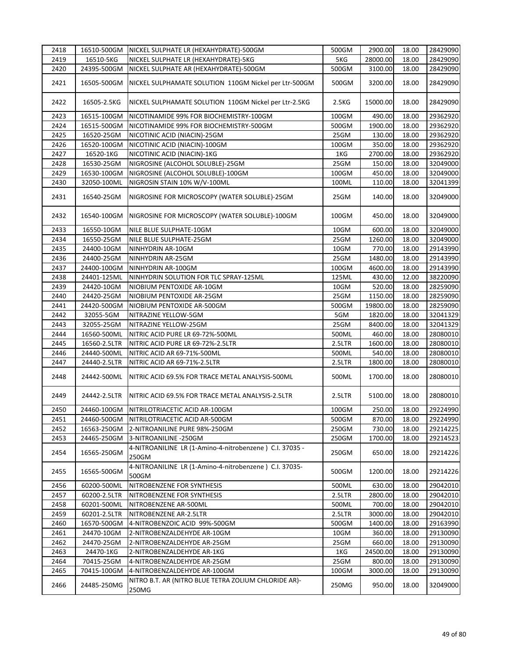| 2418 | 16510-500GM  | NICKEL SULPHATE LR (HEXAHYDRATE)-500GM                           | 500GM  | 2900.00  | 18.00 | 28429090 |
|------|--------------|------------------------------------------------------------------|--------|----------|-------|----------|
| 2419 | 16510-5KG    | NICKEL SULPHATE LR (HEXAHYDRATE)-5KG                             | 5KG    | 28000.00 | 18.00 | 28429090 |
| 2420 | 24395-500GM  | NICKEL SULPHATE AR (HEXAHYDRATE)-500GM                           | 500GM  | 3100.00  | 18.00 | 28429090 |
| 2421 | 16505-500GM  | NICKEL SULPHAMATE SOLUTION 110GM Nickel per Ltr-500GM            | 500GM  | 3200.00  | 18.00 | 28429090 |
| 2422 | 16505-2.5KG  | NICKEL SULPHAMATE SOLUTION 110GM Nickel per Ltr-2.5KG            | 2.5KG  | 15000.00 | 18.00 | 28429090 |
| 2423 | 16515-100GM  | NICOTINAMIDE 99% FOR BIOCHEMISTRY-100GM                          | 100GM  | 490.00   | 18.00 | 29362920 |
| 2424 | 16515-500GM  | NICOTINAMIDE 99% FOR BIOCHEMISTRY-500GM                          | 500GM  | 1900.00  | 18.00 | 29362920 |
| 2425 | 16520-25GM   | NICOTINIC ACID (NIACIN)-25GM                                     | 25GM   | 130.00   | 18.00 | 29362920 |
| 2426 | 16520-100GM  | NICOTINIC ACID (NIACIN)-100GM                                    | 100GM  | 350.00   | 18.00 | 29362920 |
| 2427 | 16520-1KG    | NICOTINIC ACID (NIACIN)-1KG                                      | 1KG    | 2700.00  | 18.00 | 29362920 |
| 2428 | 16530-25GM   | NIGROSINE (ALCOHOL SOLUBLE)-25GM                                 | 25GM   | 150.00   | 18.00 | 32049000 |
| 2429 | 16530-100GM  | NIGROSINE (ALCOHOL SOLUBLE)-100GM                                | 100GM  | 450.00   | 18.00 | 32049000 |
| 2430 | 32050-100ML  | NIGROSIN STAIN 10% W/V-100ML                                     | 100ML  | 110.00   | 18.00 | 32041399 |
| 2431 | 16540-25GM   | NIGROSINE FOR MICROSCOPY (WATER SOLUBLE)-25GM                    | 25GM   | 140.00   | 18.00 | 32049000 |
| 2432 | 16540-100GM  | NIGROSINE FOR MICROSCOPY (WATER SOLUBLE)-100GM                   | 100GM  | 450.00   | 18.00 | 32049000 |
| 2433 | 16550-10GM   | NILE BLUE SULPHATE-10GM                                          | 10GM   | 600.00   | 18.00 | 32049000 |
| 2434 | 16550-25GM   | NILE BLUE SULPHATE-25GM                                          | 25GM   | 1260.00  | 18.00 | 32049000 |
| 2435 | 24400-10GM   | NINHYDRIN AR-10GM                                                | 10GM   | 770.00   | 18.00 | 29143990 |
| 2436 | 24400-25GM   | NINHYDRIN AR-25GM                                                | 25GM   | 1480.00  | 18.00 | 29143990 |
| 2437 | 24400-100GM  | NINHYDRIN AR-100GM                                               | 100GM  | 4600.00  | 18.00 | 29143990 |
| 2438 | 24401-125ML  | NINHYDRIN SOLUTION FOR TLC SPRAY-125ML                           | 125ML  | 430.00   | 12.00 | 38220090 |
| 2439 | 24420-10GM   | NIOBIUM PENTOXIDE AR-10GM                                        | 10GM   | 520.00   | 18.00 | 28259090 |
| 2440 | 24420-25GM   | NIOBIUM PENTOXIDE AR-25GM                                        | 25GM   | 1150.00  | 18.00 | 28259090 |
| 2441 | 24420-500GM  | NIOBIUM PENTOXIDE AR-500GM                                       | 500GM  | 19800.00 | 18.00 | 28259090 |
| 2442 | 32055-5GM    | NITRAZINE YELLOW-5GM                                             | 5GM    | 1820.00  | 18.00 | 32041329 |
| 2443 | 32055-25GM   | NITRAZINE YELLOW-25GM                                            | 25GM   | 8400.00  | 18.00 | 32041329 |
| 2444 | 16560-500ML  | NITRIC ACID PURE LR 69-72%-500ML                                 | 500ML  | 460.00   | 18.00 | 28080010 |
| 2445 | 16560-2.5LTR | NITRIC ACID PURE LR 69-72%-2.5LTR                                | 2.5LTR | 1600.00  | 18.00 | 28080010 |
| 2446 | 24440-500ML  | NITRIC ACID AR 69-71%-500ML                                      | 500ML  | 540.00   | 18.00 | 28080010 |
| 2447 | 24440-2.5LTR | NITRIC ACID AR 69-71%-2.5LTR                                     | 2.5LTR | 1800.00  | 18.00 | 28080010 |
| 2448 | 24442-500ML  | NITRIC ACID 69.5% FOR TRACE METAL ANALYSIS-500ML                 | 500ML  | 1700.00  | 18.00 | 28080010 |
| 2449 | 24442-2.5LTR | NITRIC ACID 69.5% FOR TRACE METAL ANALYSIS-2.5LTR                | 2.5LTR | 5100.00  | 18.00 | 28080010 |
| 2450 | 24460-100GM  | NITRILOTRIACETIC ACID AR-100GM                                   | 100GM  | 250.00   | 18.00 | 29224990 |
| 2451 | 24460-500GM  | NITRILOTRIACETIC ACID AR-500GM                                   | 500GM  | 870.00   | 18.00 | 29224990 |
| 2452 | 16563-250GM  | 2-NITROANILINE PURE 98%-250GM                                    | 250GM  | 730.00   | 18.00 | 29214225 |
| 2453 | 24465-250GM  | 3-NITROANILINE - 250GM                                           | 250GM  | 1700.00  | 18.00 | 29214523 |
| 2454 | 16565-250GM  | 4-NITROANILINE LR (1-Amino-4-nitrobenzene) C.I. 37035 -<br>250GM | 250GM  | 650.00   | 18.00 | 29214226 |
| 2455 | 16565-500GM  | 4-NITROANILINE LR (1-Amino-4-nitrobenzene) C.I. 37035-<br>500GM  | 500GM  | 1200.00  | 18.00 | 29214226 |
| 2456 | 60200-500ML  | NITROBENZENE FOR SYNTHESIS                                       | 500ML  | 630.00   | 18.00 | 29042010 |
| 2457 | 60200-2.5LTR | NITROBENZENE FOR SYNTHESIS                                       | 2.5LTR | 2800.00  | 18.00 | 29042010 |
| 2458 | 60201-500ML  | NITROBENZENE AR-500ML                                            | 500ML  | 700.00   | 18.00 | 29042010 |
| 2459 | 60201-2.5LTR | NITROBENZENE AR-2.5LTR                                           | 2.5LTR | 3000.00  | 18.00 | 29042010 |
| 2460 | 16570-500GM  | 4-NITROBENZOIC ACID 99%-500GM                                    | 500GM  | 1400.00  | 18.00 | 29163990 |
| 2461 | 24470-10GM   | 2-NITROBENZALDEHYDE AR-10GM                                      | 10GM   | 360.00   | 18.00 | 29130090 |
| 2462 | 24470-25GM   | 2-NITROBENZALDEHYDE AR-25GM                                      | 25GM   | 660.00   | 18.00 | 29130090 |
| 2463 | 24470-1KG    | 2-NITROBENZALDEHYDE AR-1KG                                       | 1KG    | 24500.00 | 18.00 | 29130090 |
| 2464 | 70415-25GM   | 4-NITROBENZALDEHYDE AR-25GM                                      | 25GM   | 800.00   | 18.00 | 29130090 |
| 2465 | 70415-100GM  | 4-NITROBENZALDEHYDE AR-100GM                                     | 100GM  | 3000.00  | 18.00 | 29130090 |
| 2466 | 24485-250MG  | NITRO B.T. AR (NITRO BLUE TETRA ZOLIUM CHLORIDE AR)-<br>250MG    | 250MG  | 950.00   | 18.00 | 32049000 |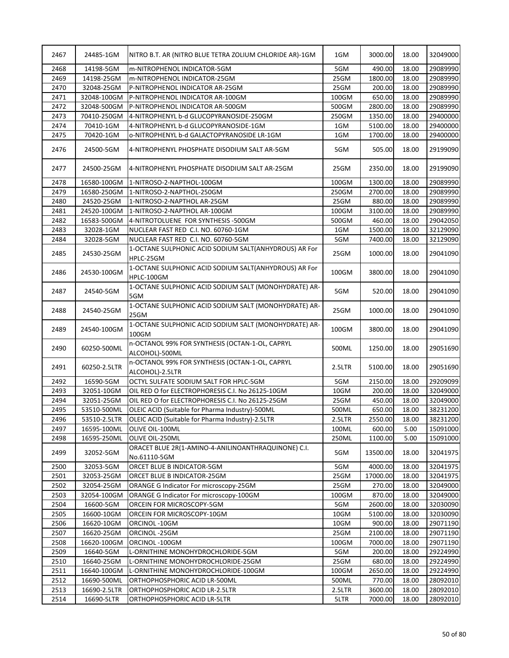| 2467 | 24485-1GM    | NITRO B.T. AR (NITRO BLUE TETRA ZOLIUM CHLORIDE AR)-1GM             | 1GM    | 3000.00  | 18.00 | 32049000 |
|------|--------------|---------------------------------------------------------------------|--------|----------|-------|----------|
| 2468 | 14198-5GM    | m-NITROPHENOL INDICATOR-5GM                                         | 5GM    | 490.00   | 18.00 | 29089990 |
| 2469 | 14198-25GM   | m-NITROPHENOL INDICATOR-25GM                                        | 25GM   | 1800.00  | 18.00 | 29089990 |
| 2470 | 32048-25GM   | P-NITROPHENOL INDICATOR AR-25GM                                     | 25GM   | 200.00   | 18.00 | 29089990 |
| 2471 | 32048-100GM  | P-NITROPHENOL INDICATOR AR-100GM                                    | 100GM  | 650.00   | 18.00 | 29089990 |
| 2472 | 32048-500GM  | P-NITROPHENOL INDICATOR AR-500GM                                    | 500GM  | 2800.00  | 18.00 | 29089990 |
| 2473 | 70410-250GM  | 4-NITROPHENYL b-d GLUCOPYRANOSIDE-250GM                             | 250GM  | 1350.00  | 18.00 | 29400000 |
| 2474 | 70410-1GM    | 4-NITROPHENYL b-d GLUCOPYRANOSIDE-1GM                               | 1GM    | 5100.00  | 18.00 | 29400000 |
| 2475 | 70420-1GM    | 0-NITROPHENYL b-d GALACTOPYRANOSIDE LR-1GM                          | 1GM    | 1700.00  | 18.00 | 29400000 |
| 2476 | 24500-5GM    | 4-NITROPHENYL PHOSPHATE DISODIUM SALT AR-5GM                        | 5GM    | 505.00   | 18.00 | 29199090 |
| 2477 | 24500-25GM   | 4-NITROPHENYL PHOSPHATE DISODIUM SALT AR-25GM                       | 25GM   | 2350.00  | 18.00 | 29199090 |
| 2478 | 16580-100GM  | 1-NITROSO-2-NAPTHOL-100GM                                           | 100GM  | 1300.00  | 18.00 | 29089990 |
| 2479 | 16580-250GM  | 1-NITROSO-2-NAPTHOL-250GM                                           | 250GM  | 2700.00  | 18.00 | 29089990 |
| 2480 | 24520-25GM   | 1-NITROSO-2-NAPTHOL AR-25GM                                         | 25GM   | 880.00   | 18.00 | 29089990 |
| 2481 | 24520-100GM  | 1-NITROSO-2-NAPTHOL AR-100GM                                        | 100GM  | 3100.00  | 18.00 | 29089990 |
| 2482 | 16583-500GM  | 4-NITROTOLUENE FOR SYNTHESIS -500GM                                 | 500GM  | 460.00   | 18.00 | 29042050 |
| 2483 | 32028-1GM    | NUCLEAR FAST RED C.I. NO. 60760-1GM                                 | 1GM    | 1500.00  | 18.00 | 32129090 |
| 2484 | 32028-5GM    | NUCLEAR FAST RED C.I. NO. 60760-5GM                                 | 5GM    | 7400.00  | 18.00 | 32129090 |
| 2485 | 24530-25GM   | 1-OCTANE SULPHONIC ACID SODIUM SALT(ANHYDROUS) AR For<br>HPLC-25GM  | 25GM   | 1000.00  | 18.00 | 29041090 |
| 2486 | 24530-100GM  | 1-OCTANE SULPHONIC ACID SODIUM SALT(ANHYDROUS) AR For<br>HPLC-100GM | 100GM  | 3800.00  | 18.00 | 29041090 |
| 2487 | 24540-5GM    | 1-OCTANE SULPHONIC ACID SODIUM SALT (MONOHYDRATE) AR-<br>5GM        | 5GM    | 520.00   | 18.00 | 29041090 |
| 2488 | 24540-25GM   | 1-OCTANE SULPHONIC ACID SODIUM SALT (MONOHYDRATE) AR-<br>25GM       | 25GM   | 1000.00  | 18.00 | 29041090 |
| 2489 | 24540-100GM  | 1-OCTANE SULPHONIC ACID SODIUM SALT (MONOHYDRATE) AR-<br>100GM      | 100GM  | 3800.00  | 18.00 | 29041090 |
| 2490 | 60250-500ML  | n-OCTANOL 99% FOR SYNTHESIS (OCTAN-1-OL, CAPRYL<br>ALCOHOL)-500ML   | 500ML  | 1250.00  | 18.00 | 29051690 |
| 2491 | 60250-2.5LTR | n-OCTANOL 99% FOR SYNTHESIS (OCTAN-1-OL, CAPRYL<br>ALCOHOL)-2.5LTR  | 2.5LTR | 5100.00  | 18.00 | 29051690 |
| 2492 | 16590-5GM    | OCTYL SULFATE SODIUM SALT FOR HPLC-5GM                              | 5GM    | 2150.00  | 18.00 | 29209099 |
| 2493 | 32051-10GM   | OIL RED O for ELECTROPHORESIS C.I. No 26125-10GM                    | 10GM   | 200.00   | 18.00 | 32049000 |
| 2494 | 32051-25GM   | OIL RED O for ELECTROPHORESIS C.I. No 26125-25GM                    | 25GM   | 450.00   | 18.00 | 32049000 |
| 2495 | 53510-500ML  | OLEIC ACID (Suitable for Pharma Industry)-500ML                     | 500ML  | 650.00   | 18.00 | 38231200 |
| 2496 | 53510-2.5LTR | OLEIC ACID (Suitable for Pharma Industry)-2.5LTR                    | 2.5LTR | 2550.00  | 18.00 | 38231200 |
| 2497 | 16595-100ML  | OLIVE OIL-100ML                                                     | 100ML  | 600.00   | 5.00  | 15091000 |
| 2498 | 16595-250ML  | OLIVE OIL-250ML                                                     | 250ML  | 1100.00  | 5.00  | 15091000 |
| 2499 | 32052-5GM    | ORACET BLUE 2R(1-AMINO-4-ANILINOANTHRAQUINONE) C.I.<br>No.61110-5GM | 5GM    | 13500.00 | 18.00 | 32041975 |
| 2500 | 32053-5GM    | ORCET BLUE B INDICATOR-5GM                                          | 5GM    | 4000.00  | 18.00 | 32041975 |
| 2501 | 32053-25GM   | ORCET BLUE B INDICATOR-25GM                                         | 25GM   | 17000.00 | 18.00 | 32041975 |
| 2502 | 32054-25GM   | <b>ORANGE G Indicator For microscopy-25GM</b>                       | 25GM   | 270.00   | 18.00 | 32049000 |
| 2503 | 32054-100GM  | ORANGE G Indicator For microscopy-100GM                             | 100GM  | 870.00   | 18.00 | 32049000 |
| 2504 | 16600-5GM    | ORCEIN FOR MICROSCOPY-5GM                                           | 5GM    | 2600.00  | 18.00 | 32030090 |
| 2505 | 16600-10GM   | ORCEIN FOR MICROSCOPY-10GM                                          | 10GM   | 5100.00  | 18.00 | 32030090 |
| 2506 | 16620-10GM   | ORCINOL-10GM                                                        | 10GM   | 900.00   | 18.00 | 29071190 |
| 2507 | 16620-25GM   | ORCINOL-25GM                                                        | 25GM   | 2100.00  | 18.00 | 29071190 |
| 2508 | 16620-100GM  | ORCINOL-100GM                                                       | 100GM  | 7000.00  | 18.00 | 29071190 |
| 2509 |              |                                                                     | 5GM    | 200.00   | 18.00 | 29224990 |
|      | 16640-5GM    | L-ORNITHINE MONOHYDROCHLORIDE-5GM                                   |        |          |       |          |
| 2510 | 16640-25GM   | L-ORNITHINE MONOHYDROCHLORIDE-25GM                                  | 25GM   | 680.00   | 18.00 | 29224990 |
| 2511 | 16640-100GM  | L-ORNITHINE MONOHYDROCHLORIDE-100GM                                 | 100GM  | 2650.00  | 18.00 | 29224990 |
| 2512 | 16690-500ML  | ORTHOPHOSPHORIC ACID LR-500ML                                       | 500ML  | 770.00   | 18.00 | 28092010 |
| 2513 | 16690-2.5LTR | ORTHOPHOSPHORIC ACID LR-2.5LTR                                      | 2.5LTR | 3600.00  | 18.00 | 28092010 |
| 2514 | 16690-5LTR   | ORTHOPHOSPHORIC ACID LR-5LTR                                        | 5LTR   | 7000.00  | 18.00 | 28092010 |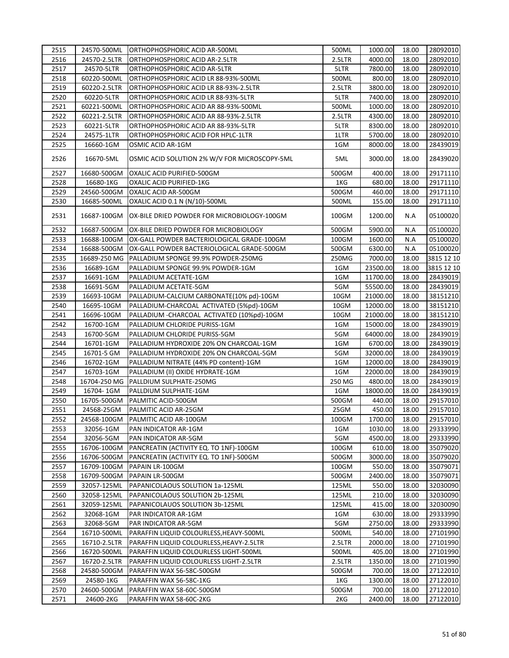| 2515 | 24570-500ML  | ORTHOPHOSPHORIC ACID AR-500ML                      | 500ML  | 1000.00  | 18.00 | 28092010   |
|------|--------------|----------------------------------------------------|--------|----------|-------|------------|
| 2516 | 24570-2.5LTR | ORTHOPHOSPHORIC ACID AR-2.5LTR                     | 2.5LTR | 4000.00  | 18.00 | 28092010   |
| 2517 | 24570-5LTR   | ORTHOPHOSPHORIC ACID AR-5LTR                       | 5LTR   | 7800.00  | 18.00 | 28092010   |
| 2518 | 60220-500ML  | ORTHOPHOSPHORIC ACID LR 88-93%-500ML               | 500ML  | 800.00   | 18.00 | 28092010   |
| 2519 | 60220-2.5LTR | ORTHOPHOSPHORIC ACID LR 88-93%-2.5LTR              | 2.5LTR | 3800.00  | 18.00 | 28092010   |
| 2520 | 60220-5LTR   | ORTHOPHOSPHORIC ACID LR 88-93%-5LTR                | 5LTR   | 7400.00  | 18.00 | 28092010   |
| 2521 | 60221-500ML  | ORTHOPHOSPHORIC ACID AR 88-93%-500ML               | 500ML  | 1000.00  | 18.00 | 28092010   |
| 2522 | 60221-2.5LTR | ORTHOPHOSPHORIC ACID AR 88-93%-2.5LTR              | 2.5LTR | 4300.00  | 18.00 | 28092010   |
| 2523 | 60221-5LTR   | ORTHOPHOSPHORIC ACID AR 88-93%-5LTR                | 5LTR   | 8300.00  | 18.00 | 28092010   |
| 2524 | 24575-1LTR   | ORTHOPHOSPHORIC ACID FOR HPLC-1LTR                 | 1LTR   | 5700.00  | 18.00 | 28092010   |
| 2525 | 16660-1GM    | OSMIC ACID AR-1GM                                  | 1GM    | 8000.00  | 18.00 | 28439019   |
| 2526 | 16670-5ML    | OSMIC ACID SOLUTION 2% W/V FOR MICROSCOPY-5ML      | 5ML    | 3000.00  | 18.00 | 28439020   |
| 2527 | 16680-500GM  | OXALIC ACID PURIFIED-500GM                         | 500GM  | 400.00   | 18.00 | 29171110   |
| 2528 | 16680-1KG    | OXALIC ACID PURIFIED-1KG                           | 1KG    | 680.00   | 18.00 | 29171110   |
| 2529 | 24560-500GM  | OXALIC ACID AR-500GM                               | 500GM  | 460.00   | 18.00 | 29171110   |
| 2530 | 16685-500ML  | OXALIC ACID 0.1 N (N/10)-500ML                     | 500ML  | 155.00   | 18.00 | 29171110   |
| 2531 | 16687-100GM  | OX-BILE DRIED POWDER FOR MICROBIOLOGY-100GM        | 100GM  | 1200.00  | N.A   | 05100020   |
| 2532 | 16687-500GM  | OX-BILE DRIED POWDER FOR MICROBIOLOGY              | 500GM  | 5900.00  | N.A   | 05100020   |
| 2533 | 16688-100GM  | OX-GALL POWDER BACTERIOLOGICAL GRADE-100GM         | 100GM  | 1600.00  | N.A   | 05100020   |
| 2534 | 16688-500GM  | OX-GALL POWDER BACTERIOLOGICAL GRADE-500GM         | 500GM  | 6300.00  | N.A   | 05100020   |
| 2535 |              | 16689-250 MG   PALLADIUM SPONGE 99.9% POWDER-250MG | 250MG  | 7000.00  | 18.00 | 3815 12 10 |
| 2536 | 16689-1GM    | PALLADIUM SPONGE 99.9% POWDER-1GM                  | 1GM    | 23500.00 | 18.00 | 3815 12 10 |
| 2537 | 16691-1GM    | PALLADIUM ACETATE-1GM                              | 1GM    | 11700.00 | 18.00 | 28439019   |
| 2538 | 16691-5GM    | PALLADIUM ACETATE-5GM                              | 5GM    | 55500.00 | 18.00 | 28439019   |
| 2539 | 16693-10GM   | PALLADIUM-CALCIUM CARBONATE(10% pd)-10GM           | 10GM   | 21000.00 | 18.00 | 38151210   |
| 2540 | 16695-10GM   | PALLADIUM-CHARCOAL ACTIVATED (5%pd)-10GM           | 10GM   | 12000.00 | 18.00 | 38151210   |
| 2541 | 16696-10GM   | PALLADIUM -CHARCOAL ACTIVATED (10%pd)-10GM         | 10GM   | 21000.00 | 18.00 | 38151210   |
| 2542 | 16700-1GM    | PALLADIUM CHLORIDE PURISS-1GM                      | 1GM    | 15000.00 | 18.00 | 28439019   |
| 2543 | 16700-5GM    | PALLADIUM CHLORIDE PURISS-5GM                      | 5GM    | 64000.00 | 18.00 | 28439019   |
| 2544 | 16701-1GM    | PALLADIUM HYDROXIDE 20% ON CHARCOAL-1GM            | 1GM    | 6700.00  | 18.00 | 28439019   |
| 2545 | 16701-5 GM   | PALLADIUM HYDROXIDE 20% ON CHARCOAL-5GM            | 5GM    | 32000.00 | 18.00 | 28439019   |
| 2546 | 16702-1GM    | PALLADIUM NITRATE (44% PD content)-1GM             | 1GM    | 12000.00 | 18.00 | 28439019   |
| 2547 | 16703-1GM    | PALLADIUM (II) OXIDE HYDRATE-1GM                   | 1GM    | 22000.00 | 18.00 | 28439019   |
| 2548 | 16704-250 MG | PALLDIUM SULPHATE-250MG                            | 250 MG | 4800.00  | 18.00 | 28439019   |
| 2549 | 16704-1GM    | PALLDIUM SULPHATE-1GM                              | 1GM    | 18000.00 | 18.00 | 28439019   |
| 2550 | 16705-500GM  | PALMITIC ACID-500GM                                | 500GM  | 440.00   | 18.00 | 29157010   |
| 2551 | 24568-25GM   | PALMITIC ACID AR-25GM                              | 25GM   | 450.00   | 18.00 | 29157010   |
| 2552 | 24568-100GM  | PALMITIC ACID AR-100GM                             | 100GM  | 1700.00  | 18.00 | 29157010   |
| 2553 | 32056-1GM    | PAN INDICATOR AR-1GM                               | 1GM    | 1030.00  | 18.00 | 29333990   |
| 2554 | 32056-5GM    | PAN INDICATOR AR-5GM                               | 5GM    | 4500.00  | 18.00 | 29333990   |
| 2555 | 16706-100GM  | PANCREATIN (ACTIVITY EQ. TO 1NF)-100GM             | 100GM  | 610.00   | 18.00 | 35079020   |
| 2556 | 16706-500GM  | PANCREATIN (ACTIVITY EQ. TO 1NF)-500GM             | 500GM  | 3000.00  | 18.00 | 35079020   |
| 2557 | 16709-100GM  | PAPAIN LR-100GM                                    | 100GM  | 550.00   | 18.00 | 35079071   |
| 2558 | 16709-500GM  | PAPAIN LR-500GM                                    | 500GM  | 2400.00  | 18.00 | 35079071   |
| 2559 | 32057-125ML  | PAPANICOLAOUS SOLUTION 1a-125ML                    | 125ML  | 550.00   | 18.00 | 32030090   |
| 2560 | 32058-125ML  | PAPANICOLAOUS SOLUTION 2b-125ML                    | 125ML  | 210.00   | 18.00 | 32030090   |
| 2561 | 32059-125ML  | PAPANICOLAUOS SOLUTION 3b-125ML                    | 125ML  | 415.00   | 18.00 | 32030090   |
| 2562 | 32068-1GM    | PAR INDICATOR AR-1GM                               | 1GM    | 630.00   | 18.00 | 29333990   |
| 2563 | 32068-5GM    | PAR INDICATOR AR-5GM                               | 5GM    | 2750.00  | 18.00 | 29333990   |
| 2564 | 16710-500ML  | PARAFFIN LIQUID COLOURLESS, HEAVY-500ML            | 500ML  | 540.00   | 18.00 | 27101990   |
| 2565 | 16710-2.5LTR | PARAFFIN LIQUID COLOURLESS, HEAVY-2.5LTR           | 2.5LTR | 2000.00  | 18.00 | 27101990   |
| 2566 | 16720-500ML  | PARAFFIN LIQUID COLOURLESS LIGHT-500ML             | 500ML  | 405.00   | 18.00 | 27101990   |
| 2567 | 16720-2.5LTR | PARAFFIN LIQUID COLOURLESS LIGHT-2.5LTR            | 2.5LTR | 1350.00  | 18.00 | 27101990   |
| 2568 | 24580-500GM  | PARAFFIN WAX 56-58C-500GM                          | 500GM  | 700.00   | 18.00 | 27122010   |
| 2569 | 24580-1KG    | PARAFFIN WAX 56-58C-1KG                            | 1KG    | 1300.00  | 18.00 | 27122010   |
| 2570 | 24600-500GM  | PARAFFIN WAX 58-60C-500GM                          | 500GM  | 700.00   | 18.00 | 27122010   |
| 2571 | 24600-2KG    | PARAFFIN WAX 58-60C-2KG                            | 2KG    | 2400.00  | 18.00 | 27122010   |
|      |              |                                                    |        |          |       |            |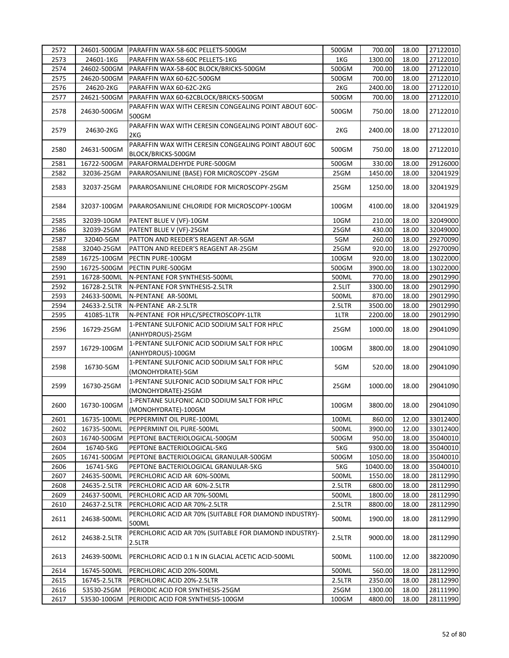| 2572 | 24601-500GM  | PARAFFIN WAX-58-60C PELLETS-500GM                                          | 500GM  | 700.00   | 18.00 | 27122010 |
|------|--------------|----------------------------------------------------------------------------|--------|----------|-------|----------|
| 2573 | 24601-1KG    | PARAFFIN WAX-58-60C PELLETS-1KG                                            | 1KG    | 1300.00  | 18.00 | 27122010 |
| 2574 | 24602-500GM  | PARAFFIN WAX-58-60C BLOCK/BRICKS-500GM                                     | 500GM  | 700.00   | 18.00 | 27122010 |
| 2575 | 24620-500GM  | PARAFFIN WAX 60-62C-500GM                                                  | 500GM  | 700.00   | 18.00 | 27122010 |
| 2576 | 24620-2KG    | PARAFFIN WAX 60-62C-2KG                                                    | 2KG    | 2400.00  | 18.00 | 27122010 |
| 2577 | 24621-500GM  | PARAFFIN WAX 60-62CBLOCK/BRICKS-500GM                                      | 500GM  | 700.00   | 18.00 | 27122010 |
| 2578 | 24630-500GM  | PARAFFIN WAX WITH CERESIN CONGEALING POINT ABOUT 60C-<br>500GM             | 500GM  | 750.00   | 18.00 | 27122010 |
| 2579 | 24630-2KG    | PARAFFIN WAX WITH CERESIN CONGEALING POINT ABOUT 60C-<br>2KG               | 2KG    | 2400.00  | 18.00 | 27122010 |
| 2580 | 24631-500GM  | PARAFFIN WAX WITH CERESIN CONGEALING POINT ABOUT 60C<br>BLOCK/BRICKS-500GM | 500GM  | 750.00   | 18.00 | 27122010 |
| 2581 | 16722-500GM  | PARAFORMALDEHYDE PURE-500GM                                                | 500GM  | 330.00   | 18.00 | 29126000 |
| 2582 | 32036-25GM   | PARAROSANILINE (BASE) FOR MICROSCOPY -25GM                                 | 25GM   | 1450.00  | 18.00 | 32041929 |
| 2583 | 32037-25GM   | PARAROSANILINE CHLORIDE FOR MICROSCOPY-25GM                                | 25GM   | 1250.00  | 18.00 | 32041929 |
| 2584 | 32037-100GM  | PARAROSANILINE CHLORIDE FOR MICROSCOPY-100GM                               | 100GM  | 4100.00  | 18.00 | 32041929 |
| 2585 | 32039-10GM   | PATENT BLUE V (VF)-10GM                                                    | 10GM   | 210.00   | 18.00 | 32049000 |
| 2586 | 32039-25GM   | PATENT BLUE V (VF)-25GM                                                    | 25GM   | 430.00   | 18.00 | 32049000 |
| 2587 | 32040-5GM    | PATTON AND REEDER'S REAGENT AR-5GM                                         | 5GM    | 260.00   | 18.00 | 29270090 |
| 2588 | 32040-25GM   | PATTON AND REEDER'S REAGENT AR-25GM                                        | 25GM   | 920.00   | 18.00 | 29270090 |
| 2589 | 16725-100GM  | PECTIN PURE-100GM                                                          | 100GM  | 920.00   | 18.00 | 13022000 |
| 2590 | 16725-500GM  | PECTIN PURE-500GM                                                          | 500GM  | 3900.00  | 18.00 | 13022000 |
| 2591 | 16728-500ML  | N-PENTANE FOR SYNTHESIS-500ML                                              | 500ML  | 770.00   | 18.00 | 29012990 |
| 2592 | 16728-2.5LTR | N-PENTANE FOR SYNTHESIS-2.5LTR                                             | 2.5LIT | 3300.00  | 18.00 | 29012990 |
| 2593 | 24633-500ML  | N-PENTANE AR-500ML                                                         | 500ML  | 870.00   | 18.00 | 29012990 |
| 2594 | 24633-2.5LTR | N-PENTANE AR-2.5LTR                                                        | 2.5LTR | 3500.00  | 18.00 | 29012990 |
| 2595 | 41085-1LTR   | N-PENTANE FOR HPLC/SPECTROSCOPY-1LTR                                       | 1LTR   | 2200.00  | 18.00 | 29012990 |
|      |              | 1-PENTANE SULFONIC ACID SODIUM SALT FOR HPLC                               |        |          |       |          |
| 2596 | 16729-25GM   | (ANHYDROUS)-25GM                                                           | 25GM   | 1000.00  | 18.00 | 29041090 |
| 2597 | 16729-100GM  | 1-PENTANE SULFONIC ACID SODIUM SALT FOR HPLC<br>(ANHYDROUS)-100GM          | 100GM  | 3800.00  | 18.00 | 29041090 |
| 2598 | 16730-5GM    | 1-PENTANE SULFONIC ACID SODIUM SALT FOR HPLC<br>(MONOHYDRATE)-5GM          | 5GM    | 520.00   | 18.00 | 29041090 |
| 2599 | 16730-25GM   | 1-PENTANE SULFONIC ACID SODIUM SALT FOR HPLC<br>(MONOHYDRATE)-25GM         | 25GM   | 1000.00  | 18.00 | 29041090 |
| 2600 | 16730-100GM  | 1-PENTANE SULFONIC ACID SODIUM SALT FOR HPLC<br>(MONOHYDRATE)-100GM        | 100GM  | 3800.00  | 18.00 | 29041090 |
| 2601 | 16735-100ML  | PEPPERMINT OIL PURE-100ML                                                  | 100ML  | 860.00   | 12.00 | 33012400 |
| 2602 | 16735-500ML  | PEPPERMINT OIL PURE-500ML                                                  | 500ML  | 3900.00  | 12.00 | 33012400 |
| 2603 | 16740-500GM  | PEPTONE BACTERIOLOGICAL-500GM                                              | 500GM  | 950.00   | 18.00 | 35040010 |
| 2604 | 16740-5KG    | PEPTONE BACTERIOLOGICAL-5KG                                                | 5KG    | 9300.00  | 18.00 | 35040010 |
| 2605 | 16741-500GM  | PEPTONE BACTERIOLOGICAL GRANULAR-500GM                                     | 500GM  | 1050.00  | 18.00 | 35040010 |
| 2606 | 16741-5KG    | PEPTONE BACTERIOLOGICAL GRANULAR-5KG                                       | 5KG    | 10400.00 | 18.00 | 35040010 |
| 2607 | 24635-500ML  | PERCHLORIC ACID AR 60%-500ML                                               | 500ML  | 1550.00  | 18.00 | 28112990 |
| 2608 | 24635-2.5LTR | PERCHLORIC ACID AR 60%-2.5LTR                                              | 2.5LTR | 6800.00  | 18.00 | 28112990 |
| 2609 | 24637-500ML  | PERCHLORIC ACID AR 70%-500ML                                               | 500ML  | 1800.00  | 18.00 | 28112990 |
| 2610 | 24637-2.5LTR | PERCHLORIC ACID AR 70%-2.5LTR                                              | 2.5LTR | 8800.00  | 18.00 | 28112990 |
| 2611 | 24638-500ML  | PERCHLORIC ACID AR 70% (SUITABLE FOR DIAMOND INDUSTRY)-<br>500ML           | 500ML  | 1900.00  | 18.00 | 28112990 |
| 2612 | 24638-2.5LTR | PERCHLORIC ACID AR 70% (SUITABLE FOR DIAMOND INDUSTRY)-<br>2.5LTR          | 2.5LTR | 9000.00  | 18.00 | 28112990 |
| 2613 | 24639-500ML  | PERCHLORIC ACID 0.1 N IN GLACIAL ACETIC ACID-500ML                         | 500ML  | 1100.00  | 12.00 | 38220090 |
| 2614 | 16745-500ML  | PERCHLORIC ACID 20%-500ML                                                  | 500ML  | 560.00   | 18.00 | 28112990 |
| 2615 | 16745-2.5LTR | PERCHLORIC ACID 20%-2.5LTR                                                 | 2.5LTR | 2350.00  | 18.00 | 28112990 |
| 2616 | 53530-25GM   | PERIODIC ACID FOR SYNTHESIS-25GM                                           | 25GM   | 1300.00  | 18.00 | 28111990 |
| 2617 | 53530-100GM  | PERIODIC ACID FOR SYNTHESIS-100GM                                          | 100GM  | 4800.00  | 18.00 | 28111990 |
|      |              |                                                                            |        |          |       |          |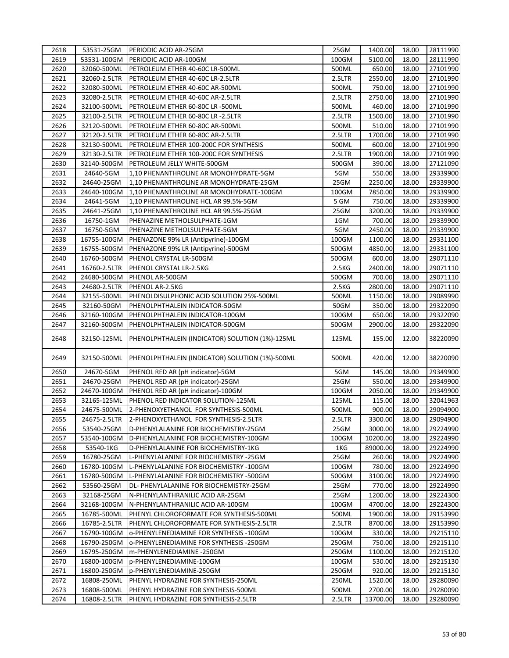| 2618 | 53531-25GM   | PERIODIC ACID AR-25GM                           | 25GM   | 1400.00  | 18.00 | 28111990 |
|------|--------------|-------------------------------------------------|--------|----------|-------|----------|
| 2619 | 53531-100GM  | PERIODIC ACID AR-100GM                          | 100GM  | 5100.00  | 18.00 | 28111990 |
| 2620 | 32060-500ML  | PETROLEUM ETHER 40-60C LR-500ML                 | 500ML  | 650.00   | 18.00 | 27101990 |
| 2621 | 32060-2.5LTR | PETROLEUM ETHER 40-60C LR-2.5LTR                | 2.5LTR | 2550.00  | 18.00 | 27101990 |
| 2622 | 32080-500ML  | PETROLEUM ETHER 40-60C AR-500ML                 | 500ML  | 750.00   | 18.00 | 27101990 |
| 2623 | 32080-2.5LTR | PETROLEUM ETHER 40-60C AR-2.5LTR                | 2.5LTR | 2750.00  | 18.00 | 27101990 |
| 2624 | 32100-500ML  | PETROLEUM ETHER 60-80C LR -500ML                | 500ML  | 460.00   | 18.00 | 27101990 |
| 2625 | 32100-2.5LTR | PETROLEUM ETHER 60-80C LR -2.5LTR               | 2.5LTR | 1500.00  | 18.00 | 27101990 |
| 2626 | 32120-500ML  | PETROLEUM ETHER 60-80C AR-500ML                 | 500ML  | 510.00   | 18.00 | 27101990 |
| 2627 | 32120-2.5LTR | PETROLEUM ETHER 60-80C AR-2.5LTR                | 2.5LTR | 1700.00  | 18.00 | 27101990 |
| 2628 | 32130-500ML  | PETROLEUM ETHER 100-200C FOR SYNTHESIS          | 500ML  | 600.00   | 18.00 | 27101990 |
| 2629 | 32130-2.5LTR | PETROLEUM ETHER 100-200C FOR SYNTHESIS          | 2.5LTR | 1900.00  | 18.00 | 27101990 |
| 2630 | 32140-500GM  | PETROLEUM JELLY WHITE-500GM                     | 500GM  | 390.00   | 18.00 | 27121090 |
| 2631 | 24640-5GM    | 1,10 PHENANTHROLINE AR MONOHYDRATE-5GM          | 5GM    | 550.00   | 18.00 | 29339900 |
| 2632 | 24640-25GM   | 1,10 PHENANTHROLINE AR MONOHYDRATE-25GM         | 25GM   | 2250.00  | 18.00 | 29339900 |
| 2633 | 24640-100GM  | 1,10 PHENANTHROLINE AR MONOHYDRATE-100GM        | 100GM  | 7850.00  | 18.00 | 29339900 |
| 2634 | 24641-5GM    | 1,10 PHENANTHROLINE HCL AR 99.5%-5GM            | 5 GM   | 750.00   | 18.00 | 29339900 |
| 2635 | 24641-25GM   | 1,10 PHENANTHROLINE HCL AR 99.5%-25GM           | 25GM   | 3200.00  | 18.00 | 29339900 |
| 2636 | 16750-1GM    | PHENAZINE METHOLSULPHATE-1GM                    | 1GM    | 700.00   | 18.00 | 29339900 |
| 2637 | 16750-5GM    | PHENAZINE METHOLSULPHATE-5GM                    | 5GM    | 2450.00  | 18.00 | 29339900 |
| 2638 | 16755-100GM  | PHENAZONE 99% LR (Antipyrine)-100GM             | 100GM  | 1100.00  | 18.00 | 29331100 |
| 2639 | 16755-500GM  | PHENAZONE 99% LR (Antipyrine)-500GM             | 500GM  | 4850.00  | 18.00 | 29331100 |
| 2640 | 16760-500GM  | PHENOL CRYSTAL LR-500GM                         | 500GM  | 600.00   | 18.00 | 29071110 |
| 2641 | 16760-2.5LTR | PHENOL CRYSTAL LR-2.5KG                         | 2.5KG  | 2400.00  | 18.00 | 29071110 |
| 2642 | 24680-500GM  | PHENOL AR-500GM                                 | 500GM  | 700.00   | 18.00 | 29071110 |
| 2643 | 24680-2.5LTR | PHENOL AR-2.5KG                                 | 2.5KG  | 2800.00  | 18.00 | 29071110 |
| 2644 | 32155-500ML  | PHENOLDISULPHONIC ACID SOLUTION 25%-500ML       | 500ML  | 1150.00  | 18.00 | 29089990 |
| 2645 | 32160-50GM   | PHENOLPHTHALEIN INDICATOR-50GM                  | 50GM   | 350.00   | 18.00 | 29322090 |
| 2646 |              |                                                 |        | 650.00   | 18.00 | 29322090 |
|      | 32160-100GM  | PHENOLPHTHALEIN INDICATOR-100GM                 | 100GM  |          |       |          |
| 2647 | 32160-500GM  | PHENOLPHTHALEIN INDICATOR-500GM                 | 500GM  | 2900.00  | 18.00 | 29322090 |
| 2648 | 32150-125ML  | PHENOLPHTHALEIN (INDICATOR) SOLUTION (1%)-125ML | 125ML  | 155.00   | 12.00 | 38220090 |
| 2649 | 32150-500ML  | PHENOLPHTHALEIN (INDICATOR) SOLUTION (1%)-500ML | 500ML  | 420.00   | 12.00 | 38220090 |
|      |              |                                                 |        |          |       |          |
| 2650 | 24670-5GM    | PHENOL RED AR (pH indicator)-5GM                | 5GM    | 145.00   | 18.00 | 29349900 |
| 2651 | 24670-25GM   | PHENOL RED AR (pH indicator)-25GM               | 25GM   | 550.00   | 18.00 | 29349900 |
| 2652 | 24670-100GM  | PHENOL RED AR (pH indicator)-100GM              | 100GM  | 2050.00  | 18.00 | 29349900 |
| 2653 | 32165-125ML  | PHENOL RED INDICATOR SOLUTION-125ML             | 125ML  | 115.00   | 18.00 | 32041963 |
| 2654 | 24675-500ML  | 2-PHENOXYETHANOL FOR SYNTHESIS-500ML            | 500ML  | 900.00   | 18.00 | 29094900 |
| 2655 | 24675-2.5LTR | 2-PHENOXYETHANOL FOR SYNTHESIS-2.5LTR           | 2.5LTR | 3300.00  | 18.00 | 29094900 |
| 2656 | 53540-25GM   | D-PHENYLALANINE FOR BIOCHEMISTRY-25GM           | 25GM   | 3000.00  | 18.00 | 29224990 |
| 2657 | 53540-100GM  | D-PHENYLALANINE FOR BIOCHEMISTRY-100GM          | 100GM  | 10200.00 | 18.00 | 29224990 |
| 2658 | 53540-1KG    | D-PHENYLALANINE FOR BIOCHEMISTRY-1KG            | 1KG    | 89000.00 | 18.00 | 29224990 |
| 2659 | 16780-25GM   | L-PHENYLALANINE FOR BIOCHEMISTRY -25GM          | 25GM   | 260.00   | 18.00 | 29224990 |
| 2660 | 16780-100GM  | L-PHENYLALANINE FOR BIOCHEMISTRY -100GM         | 100GM  | 780.00   | 18.00 | 29224990 |
| 2661 | 16780-500GM  | L-PHENYLALANINE FOR BIOCHEMISTRY -500GM         | 500GM  | 3100.00  | 18.00 | 29224990 |
| 2662 | 53560-25GM   | DL- PHENYLALANINE FOR BIOCHEMISTRY-25GM         | 25GM   | 770.00   | 18.00 | 29224990 |
| 2663 | 32168-25GM   | N-PHENYLANTHRANILIC ACID AR-25GM                | 25GM   | 1200.00  | 18.00 | 29224300 |
| 2664 | 32168-100GM  | N-PHENYLANTHRANILIC ACID AR-100GM               | 100GM  | 4700.00  | 18.00 | 29224300 |
| 2665 | 16785-500ML  | PHENYL CHLOROFORMATE FOR SYNTHESIS-500ML        | 500ML  | 1900.00  | 18.00 | 29153990 |
| 2666 | 16785-2.5LTR | PHENYL CHLOROFORMATE FOR SYNTHESIS-2.5LTR       | 2.5LTR | 8700.00  | 18.00 | 29153990 |
| 2667 | 16790-100GM  | o-PHENYLENEDIAMINE FOR SYNTHESIS -100GM         | 100GM  | 330.00   | 18.00 | 29215110 |
| 2668 | 16790-250GM  | o-PHENYLENEDIAMINE FOR SYNTHESIS -250GM         | 250GM  | 750.00   | 18.00 | 29215110 |
| 2669 | 16795-250GM  | m-PHENYLENEDIAMINE -250GM                       | 250GM  | 1100.00  | 18.00 | 29215120 |
| 2670 | 16800-100GM  | p-PHENYLENEDIAMINE-100GM                        | 100GM  | 530.00   | 18.00 | 29215130 |
| 2671 | 16800-250GM  | p-PHENYLENEDIAMINE-250GM                        | 250GM  | 920.00   | 18.00 | 29215130 |
| 2672 | 16808-250ML  | PHENYL HYDRAZINE FOR SYNTHESIS-250ML            | 250ML  | 1520.00  | 18.00 | 29280090 |
| 2673 | 16808-500ML  | PHENYL HYDRAZINE FOR SYNTHESIS-500ML            | 500ML  | 2700.00  | 18.00 | 29280090 |
| 2674 | 16808-2.5LTR | PHENYL HYDRAZINE FOR SYNTHESIS-2.5LTR           | 2.5LTR | 13700.00 | 18.00 | 29280090 |
|      |              |                                                 |        |          |       |          |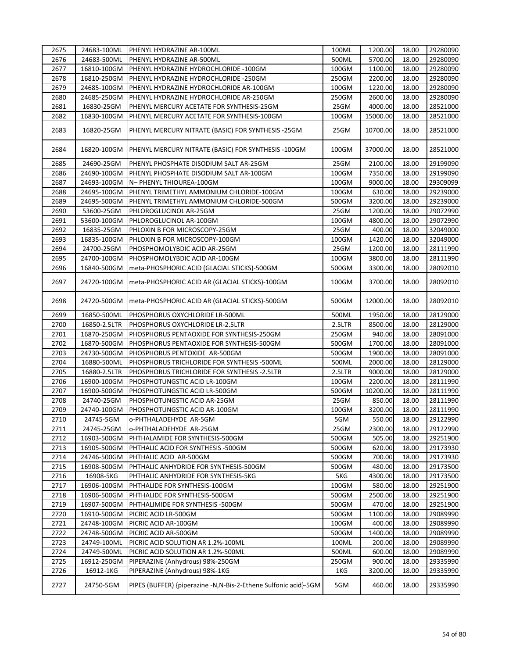| 2675 | 24683-100ML  | <b>PHENYL HYDRAZINE AR-100ML</b>                                 | 100ML  | 1200.00  | 18.00 | 29280090 |
|------|--------------|------------------------------------------------------------------|--------|----------|-------|----------|
| 2676 | 24683-500ML  | PHENYL HYDRAZINE AR-500ML                                        | 500ML  | 5700.00  | 18.00 | 29280090 |
| 2677 | 16810-100GM  | PHENYL HYDRAZINE HYDROCHLORIDE -100GM                            | 100GM  | 1100.00  | 18.00 | 29280090 |
| 2678 | 16810-250GM  | PHENYL HYDRAZINE HYDROCHLORIDE -250GM                            | 250GM  | 2200.00  | 18.00 | 29280090 |
| 2679 | 24685-100GM  | PHENYL HYDRAZINE HYDROCHLORIDE AR-100GM                          | 100GM  | 1220.00  | 18.00 | 29280090 |
| 2680 | 24685-250GM  | PHENYL HYDRAZINE HYDROCHLORIDE AR-250GM                          | 250GM  | 2600.00  | 18.00 | 29280090 |
| 2681 | 16830-25GM   | PHENYL MERCURY ACETATE FOR SYNTHESIS-25GM                        | 25GM   | 4000.00  | 18.00 | 28521000 |
| 2682 | 16830-100GM  | PHENYL MERCURY ACETATE FOR SYNTHESIS-100GM                       | 100GM  | 15000.00 | 18.00 | 28521000 |
| 2683 | 16820-25GM   | PHENYL MERCURY NITRATE (BASIC) FOR SYNTHESIS -25GM               | 25GM   | 10700.00 | 18.00 | 28521000 |
| 2684 | 16820-100GM  | PHENYL MERCURY NITRATE (BASIC) FOR SYNTHESIS -100GM              | 100GM  | 37000.00 | 18.00 | 28521000 |
| 2685 | 24690-25GM   | PHENYL PHOSPHATE DISODIUM SALT AR-25GM                           | 25GM   | 2100.00  | 18.00 | 29199090 |
| 2686 | 24690-100GM  | PHENYL PHOSPHATE DISODIUM SALT AR-100GM                          | 100GM  | 7350.00  | 18.00 | 29199090 |
| 2687 | 24693-100GM  | N- PHENYL THIOUREA-100GM                                         | 100GM  | 9000.00  | 18.00 | 29309099 |
| 2688 | 24695-100GM  | PHENYL TRIMETHYL AMMONIUM CHLORIDE-100GM                         | 100GM  | 630.00   | 18.00 | 29239000 |
| 2689 | 24695-500GM  | PHENYL TRIMETHYL AMMONIUM CHLORIDE-500GM                         | 500GM  | 3200.00  | 18.00 | 29239000 |
| 2690 | 53600-25GM   | PHLOROGLUCINOL AR-25GM                                           | 25GM   | 1200.00  | 18.00 | 29072990 |
| 2691 | 53600-100GM  | PHLOROGLUCINOL AR-100GM                                          | 100GM  | 4800.00  | 18.00 | 29072990 |
| 2692 | 16835-25GM   | PHLOXIN B FOR MICROSCOPY-25GM                                    | 25GM   | 400.00   | 18.00 | 32049000 |
| 2693 | 16835-100GM  | PHLOXIN B FOR MICROSCOPY-100GM                                   | 100GM  | 1420.00  | 18.00 | 32049000 |
| 2694 | 24700-25GM   | PHOSPHOMOLYBDIC ACID AR-25GM                                     | 25GM   | 1200.00  | 18.00 | 28111990 |
| 2695 | 24700-100GM  | PHOSPHOMOLYBDIC ACID AR-100GM                                    | 100GM  | 3800.00  | 18.00 | 28111990 |
| 2696 | 16840-500GM  | meta-PHOSPHORIC ACID (GLACIAL STICKS)-500GM                      | 500GM  | 3300.00  | 18.00 | 28092010 |
| 2697 | 24720-100GM  | meta-PHOSPHORIC ACID AR (GLACIAL STICKS)-100GM                   | 100GM  | 3700.00  | 18.00 | 28092010 |
| 2698 | 24720-500GM  | meta-PHOSPHORIC ACID AR (GLACIAL STICKS)-500GM                   | 500GM  | 12000.00 | 18.00 | 28092010 |
| 2699 | 16850-500ML  | PHOSPHORUS OXYCHLORIDE LR-500ML                                  | 500ML  | 1950.00  | 18.00 | 28129000 |
| 2700 | 16850-2.5LTR | PHOSPHORUS OXYCHLORIDE LR-2.5LTR                                 | 2.5LTR | 8500.00  | 18.00 | 28129000 |
| 2701 | 16870-250GM  | PHOSPHORUS PENTAOXIDE FOR SYNTHESIS-250GM                        | 250GM  | 940.00   | 18.00 | 28091000 |
| 2702 | 16870-500GM  | PHOSPHORUS PENTAOXIDE FOR SYNTHESIS-500GM                        | 500GM  | 1700.00  | 18.00 | 28091000 |
| 2703 | 24730-500GM  | PHOSPHORUS PENTOXIDE AR-500GM                                    | 500GM  | 1900.00  | 18.00 | 28091000 |
| 2704 | 16880-500ML  | PHOSPHORUS TRICHLORIDE FOR SYNTHESIS -500ML                      | 500ML  | 2000.00  | 18.00 | 28129000 |
| 2705 | 16880-2.5LTR | PHOSPHORUS TRICHLORIDE FOR SYNTHESIS -2.5LTR                     | 2.5LTR | 9000.00  | 18.00 | 28129000 |
| 2706 | 16900-100GM  | PHOSPHOTUNGSTIC ACID LR-100GM                                    | 100GM  | 2200.00  | 18.00 | 28111990 |
| 2707 | 16900-500GM  | PHOSPHOTUNGSTIC ACID LR-500GM                                    | 500GM  | 10200.00 | 18.00 | 28111990 |
| 2708 | 24740-25GM   | PHOSPHOTUNGSTIC ACID AR-25GM                                     | 25GM   | 850.00   | 18.00 | 28111990 |
| 2709 | 24740-100GM  | PHOSPHOTUNGSTIC ACID AR-100GM                                    | 100GM  | 3200.00  | 18.00 | 28111990 |
| 2710 | 24745-5GM    | o-PHTHALADEHYDE AR-5GM                                           | 5GM    | 550.00   | 18.00 | 29122990 |
| 2711 | 24745-25GM   | o-PHTHALADEHYDE AR-25GM                                          | 25GM   | 2300.00  | 18.00 | 29122990 |
| 2712 | 16903-500GM  | PHTHALAMIDE FOR SYNTHESIS-500GM                                  | 500GM  | 505.00   | 18.00 | 29251900 |
| 2713 | 16905-500GM  | PHTHALIC ACID FOR SYNTHESIS -500GM                               | 500GM  | 620.00   | 18.00 | 29173930 |
| 2714 | 24746-500GM  | PHTHALIC ACID AR-500GM                                           | 500GM  | 700.00   | 18.00 | 29173930 |
| 2715 | 16908-500GM  | PHTHALIC ANHYDRIDE FOR SYNTHESIS-500GM                           | 500GM  | 480.00   | 18.00 | 29173500 |
| 2716 | 16908-5KG    | PHTHALIC ANHYDRIDE FOR SYNTHESIS-5KG                             | 5KG    | 4300.00  | 18.00 | 29173500 |
| 2717 | 16906-100GM  | PHTHALIDE FOR SYNTHESIS-100GM                                    | 100GM  | 580.00   | 18.00 | 29251900 |
| 2718 | 16906-500GM  | PHTHALIDE FOR SYNTHESIS-500GM                                    | 500GM  | 2500.00  | 18.00 | 29251900 |
| 2719 | 16907-500GM  | PHTHALIMIDE FOR SYNTHESIS -500GM                                 | 500GM  | 470.00   | 18.00 | 29251900 |
| 2720 | 16910-500GM  | PICRIC ACID LR-500GM                                             | 500GM  | 1100.00  | 18.00 | 29089990 |
| 2721 | 24748-100GM  | PICRIC ACID AR-100GM                                             | 100GM  | 400.00   | 18.00 | 29089990 |
| 2722 | 24748-500GM  | PICRIC ACID AR-500GM                                             | 500GM  | 1400.00  | 18.00 | 29089990 |
| 2723 | 24749-100ML  | PICRIC ACID SOLUTION AR 1.2%-100ML                               | 100ML  | 200.00   | 18.00 | 29089990 |
| 2724 | 24749-500ML  | PICRIC ACID SOLUTION AR 1.2%-500ML                               | 500ML  | 600.00   | 18.00 | 29089990 |
| 2725 | 16912-250GM  | PIPERAZINE (Anhydrous) 98%-250GM                                 | 250GM  | 900.00   | 18.00 | 29335990 |
| 2726 | 16912-1KG    | PIPERAZINE (Anhydrous) 98%-1KG                                   | 1KG    | 3200.00  | 18.00 | 29335990 |
| 2727 | 24750-5GM    | PIPES (BUFFER) {piperazine -N, N-Bis-2-Ethene Sulfonic acid}-5GM | 5GM    | 460.00   | 18.00 | 29335990 |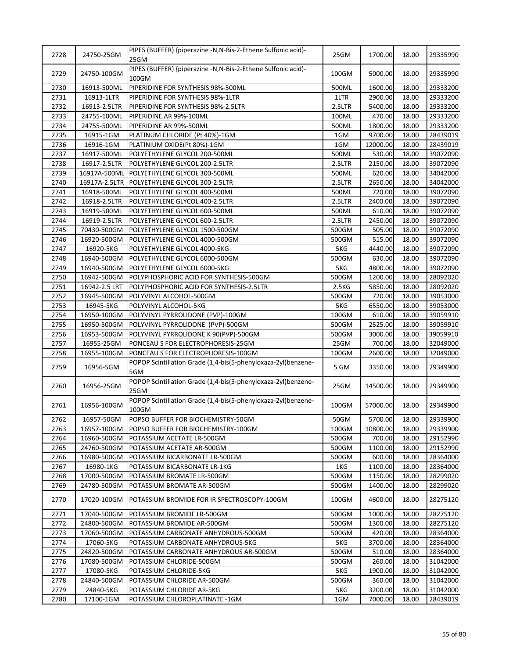| 2729<br>24750-100GM<br>100GM<br>5000.00<br>18.00<br>100GM<br>2730<br>16913-500ML<br>PIPERIDINE FOR SYNTHESIS 98%-500ML<br>500ML<br>1600.00<br>18.00<br>2731<br>2900.00<br>16913-1LTR<br>PIPERIDINE FOR SYNTHESIS 98%-1LTR<br>1LTR<br>18.00<br>2732<br>16913-2.5LTR<br>2.5LTR<br>5400.00<br>18.00<br>PIPERIDINE FOR SYNTHESIS 98%-2.5LTR<br>2733<br>470.00<br>18.00<br>24755-100ML<br>PIPERIDINE AR 99%-100ML<br>100ML<br>2734<br>24755-500ML<br>PIPERIDINE AR 99%-500ML<br>500ML<br>1800.00<br>18.00<br>2735<br>16915-1GM<br>PLATINUM CHLORIDE (Pt 40%)-1GM<br>9700.00<br>18.00<br>1GM<br>2736<br>16916-1GM<br>1GM<br>12000.00<br>PLATINIUM OXIDE(Pt 80%)-1GM<br>18.00<br>2737<br>16917-500ML<br>POLYETHYLENE GLYCOL 200-500ML<br>500ML<br>530.00<br>18.00<br>2738<br>16917-2.5LTR<br>POLYETHYLENE GLYCOL 200-2.5LTR<br>2.5LTR<br>2150.00<br>18.00<br>2739<br>16917A-500ML POLYETHYLENE GLYCOL 300-500ML<br>500ML<br>620.00<br>18.00<br>2740<br>16917A-2.5LTR<br>POLYETHYLENE GLYCOL 300-2.5LTR<br>2.5LTR<br>2650.00<br>18.00<br>2741<br>720.00<br>16918-500ML<br>POLYETHYLENE GLYCOL 400-500ML<br>500ML<br>18.00<br>2742<br>2400.00<br>18.00<br>16918-2.5LTR<br>POLYETHYLENE GLYCOL 400-2.5LTR<br>2.5LTR<br>2743<br>18.00<br>16919-500ML<br>POLYETHYLENE GLYCOL 600-500ML<br>500ML<br>610.00<br>2744<br>18.00<br>16919-2.5LTR<br>POLYETHYLENE GLYCOL 600-2.5LTR<br>2.5LTR<br>2450.00<br>2745<br>70430-500GM<br>POLYETHYLENE GLYCOL 1500-500GM<br>500GM<br>505.00<br>18.00<br>2746<br>515.00<br>16920-500GM<br>POLYETHYLENE GLYCOL 4000-500GM<br>500GM<br>18.00<br>2747<br>16920-5KG<br>5KG<br>4440.00<br>18.00<br>POLYETHYLENE GLYCOL 4000-5KG<br>39072090<br>2748<br>16940-500GM<br>POLYETHYLENE GLYCOL 6000-500GM<br>500GM<br>630.00<br>18.00<br>39072090<br>2749<br>5KG<br>16940-500GM<br>POLYETHYLENE GLYCOL 6000-5KG<br>4800.00<br>18.00<br>2750<br>16942-500GM<br>POLYPHOSPHORIC ACID FOR SYNTHESIS-500GM<br>500GM<br>1200.00<br>18.00<br>28092020<br>2751<br>5850.00<br>16942-2.5 LRT<br>POLYPHOSPHORIC ACID FOR SYNTHESIS-2.5LTR<br>2.5KG<br>18.00<br>28092020<br>2752<br>16945-500GM<br>500GM<br>720.00<br>18.00<br>39053000<br>POLYVINYL ALCOHOL-500GM<br>2753<br>5KG<br>6550.00<br>39053000<br>16945-5KG<br>POLYVINYL ALCOHOL-5KG<br>18.00<br>2754<br>18.00<br>16950-100GM<br>POLYVINYL PYRROLIDONE (PVP)-100GM<br>100GM<br>610.00<br>39059910<br>2755<br>16950-500GM<br>POLYVINYL PYRROLIDONE (PVP)-500GM<br>2525.00<br>18.00<br>39059910<br>500GM<br>2756<br>POLYVINYL PYRROLIDONE K 90(PVP)-500GM<br>3000.00<br>16953-500GM<br>500GM<br>18.00<br>39059910<br>2757<br>16955-25GM<br>PONCEAU S FOR ELECTROPHORESIS-25GM<br>25GM<br>700.00<br>18.00<br>32049000<br>2758<br>PONCEAU S FOR ELECTROPHORESIS-100GM<br>100GM<br>2600.00<br>18.00<br>32049000<br>16955-100GM<br>POPOP Scintillation Grade (1,4-bis(5-phenyloxaza-2yl)benzene-<br>2759<br>16956-5GM<br>5 GM<br>3350.00<br>18.00<br>5GM<br>POPOP Scintillation Grade (1,4-bis(5-phenyloxaza-2yl)benzene-<br>2760<br>16956-25GM<br>25GM<br>14500.00<br>18.00<br>25GM<br>POPOP Scintillation Grade (1,4-bis(5-phenyloxaza-2yl)benzene-<br>2761<br>16956-100GM<br>100GM<br>57000.00<br>18.00<br>100GM<br>2762<br>16957-50GM<br>POPSO BUFFER FOR BIOCHEMISTRY-50GM<br>50GM<br>5700.00<br>18.00<br>2763<br>16957-100GM<br>100GM<br>10800.00<br>POPSO BUFFER FOR BIOCHEMISTRY-100GM<br>18.00<br>2764<br>700.00<br>18.00<br>16960-500GM<br>POTASSIUM ACETATE LR-500GM<br>500GM<br>2765<br>500GM<br>1100.00<br>18.00<br>24760-500GM<br>POTASSIUM ACETATE AR-500GM<br>2766<br>600.00<br>18.00<br>16980-500GM<br>POTASSIUM BICARBONATE LR-500GM<br>500GM<br>2767<br>16980-1KG<br>POTASSIUM BICARBONATE LR-1KG<br>1KG<br>1100.00<br>18.00<br>2768<br>POTASSIUM BROMATE LR-500GM<br>500GM<br>1150.00<br>17000-500GM<br>18.00<br>2769<br>24780-500GM<br>POTASSIUM BROMATE AR-500GM<br>500GM<br>1400.00<br>18.00<br>2770<br>POTASSIUM BROMIDE FOR IR SPECTROSCOPY-100GM<br>4600.00<br>17020-100GM<br>100GM<br>18.00<br>2771<br>1000.00<br>17040-500GM<br>POTASSIUM BROMIDE LR-500GM<br>500GM<br>18.00<br>2772<br>24800-500GM<br>POTASSIUM BROMIDE AR-500GM<br>500GM<br>1300.00<br>18.00<br>2773<br>420.00<br>18.00<br>17060-500GM<br>POTASSIUM CARBONATE ANHYDROUS-500GM<br>500GM<br>2774<br>17060-5KG<br>POTASSIUM CARBONATE ANHYDROUS-5KG<br>5KG<br>3700.00<br>18.00<br>2775<br>500GM<br>510.00<br>18.00<br>24820-500GM<br>POTASSIUM CARBONATE ANHYDROUS AR-500GM<br>2776<br>260.00<br>17080-500GM<br>POTASSIUM CHLORIDE-500GM<br>500GM<br>18.00<br>2777<br>17080-5KG<br>POTASSIUM CHLORIDE-5KG<br>5KG<br>1900.00<br>18.00<br>2778<br>24840-500GM<br>POTASSIUM CHLORIDE AR-500GM<br>500GM<br>360.00<br>18.00<br>2779<br>24840-5KG<br>POTASSIUM CHLORIDE AR-5KG<br>5KG<br>3200.00<br>18.00 | 2728 | 24750-25GM | PIPES (BUFFER) {piperazine -N, N-Bis-2-Ethene Sulfonic acid}-<br>25GM | 25GM | 1700.00 | 18.00 | 29335990 |
|---------------------------------------------------------------------------------------------------------------------------------------------------------------------------------------------------------------------------------------------------------------------------------------------------------------------------------------------------------------------------------------------------------------------------------------------------------------------------------------------------------------------------------------------------------------------------------------------------------------------------------------------------------------------------------------------------------------------------------------------------------------------------------------------------------------------------------------------------------------------------------------------------------------------------------------------------------------------------------------------------------------------------------------------------------------------------------------------------------------------------------------------------------------------------------------------------------------------------------------------------------------------------------------------------------------------------------------------------------------------------------------------------------------------------------------------------------------------------------------------------------------------------------------------------------------------------------------------------------------------------------------------------------------------------------------------------------------------------------------------------------------------------------------------------------------------------------------------------------------------------------------------------------------------------------------------------------------------------------------------------------------------------------------------------------------------------------------------------------------------------------------------------------------------------------------------------------------------------------------------------------------------------------------------------------------------------------------------------------------------------------------------------------------------------------------------------------------------------------------------------------------------------------------------------------------------------------------------------------------------------------------------------------------------------------------------------------------------------------------------------------------------------------------------------------------------------------------------------------------------------------------------------------------------------------------------------------------------------------------------------------------------------------------------------------------------------------------------------------------------------------------------------------------------------------------------------------------------------------------------------------------------------------------------------------------------------------------------------------------------------------------------------------------------------------------------------------------------------------------------------------------------------------------------------------------------------------------------------------------------------------------------------------------------------------------------------------------------------------------------------------------------------------------------------------------------------------------------------------------------------------------------------------------------------------------------------------------------------------------------------------------------------------------------------------------------------------------------------------------------------------------------------------------------------------------------------------------------------------------------------------------------------------------------------------------------------------------------------------------------------------------------------------------------------------------------------------------------------------------------------------------------------------------------------------------------------------------------------------------------------------------------------------------------------------------------------------------------------------------------------|------|------------|-----------------------------------------------------------------------|------|---------|-------|----------|
|                                                                                                                                                                                                                                                                                                                                                                                                                                                                                                                                                                                                                                                                                                                                                                                                                                                                                                                                                                                                                                                                                                                                                                                                                                                                                                                                                                                                                                                                                                                                                                                                                                                                                                                                                                                                                                                                                                                                                                                                                                                                                                                                                                                                                                                                                                                                                                                                                                                                                                                                                                                                                                                                                                                                                                                                                                                                                                                                                                                                                                                                                                                                                                                                                                                                                                                                                                                                                                                                                                                                                                                                                                                                                                                                                                                                                                                                                                                                                                                                                                                                                                                                                                                                                                                                                                                                                                                                                                                                                                                                                                                                                                                                                                                                                   |      |            | PIPES (BUFFER) {piperazine -N, N-Bis-2-Ethene Sulfonic acid}-         |      |         |       | 29335990 |
|                                                                                                                                                                                                                                                                                                                                                                                                                                                                                                                                                                                                                                                                                                                                                                                                                                                                                                                                                                                                                                                                                                                                                                                                                                                                                                                                                                                                                                                                                                                                                                                                                                                                                                                                                                                                                                                                                                                                                                                                                                                                                                                                                                                                                                                                                                                                                                                                                                                                                                                                                                                                                                                                                                                                                                                                                                                                                                                                                                                                                                                                                                                                                                                                                                                                                                                                                                                                                                                                                                                                                                                                                                                                                                                                                                                                                                                                                                                                                                                                                                                                                                                                                                                                                                                                                                                                                                                                                                                                                                                                                                                                                                                                                                                                                   |      |            |                                                                       |      |         |       | 29333200 |
|                                                                                                                                                                                                                                                                                                                                                                                                                                                                                                                                                                                                                                                                                                                                                                                                                                                                                                                                                                                                                                                                                                                                                                                                                                                                                                                                                                                                                                                                                                                                                                                                                                                                                                                                                                                                                                                                                                                                                                                                                                                                                                                                                                                                                                                                                                                                                                                                                                                                                                                                                                                                                                                                                                                                                                                                                                                                                                                                                                                                                                                                                                                                                                                                                                                                                                                                                                                                                                                                                                                                                                                                                                                                                                                                                                                                                                                                                                                                                                                                                                                                                                                                                                                                                                                                                                                                                                                                                                                                                                                                                                                                                                                                                                                                                   |      |            |                                                                       |      |         |       | 29333200 |
|                                                                                                                                                                                                                                                                                                                                                                                                                                                                                                                                                                                                                                                                                                                                                                                                                                                                                                                                                                                                                                                                                                                                                                                                                                                                                                                                                                                                                                                                                                                                                                                                                                                                                                                                                                                                                                                                                                                                                                                                                                                                                                                                                                                                                                                                                                                                                                                                                                                                                                                                                                                                                                                                                                                                                                                                                                                                                                                                                                                                                                                                                                                                                                                                                                                                                                                                                                                                                                                                                                                                                                                                                                                                                                                                                                                                                                                                                                                                                                                                                                                                                                                                                                                                                                                                                                                                                                                                                                                                                                                                                                                                                                                                                                                                                   |      |            |                                                                       |      |         |       | 29333200 |
|                                                                                                                                                                                                                                                                                                                                                                                                                                                                                                                                                                                                                                                                                                                                                                                                                                                                                                                                                                                                                                                                                                                                                                                                                                                                                                                                                                                                                                                                                                                                                                                                                                                                                                                                                                                                                                                                                                                                                                                                                                                                                                                                                                                                                                                                                                                                                                                                                                                                                                                                                                                                                                                                                                                                                                                                                                                                                                                                                                                                                                                                                                                                                                                                                                                                                                                                                                                                                                                                                                                                                                                                                                                                                                                                                                                                                                                                                                                                                                                                                                                                                                                                                                                                                                                                                                                                                                                                                                                                                                                                                                                                                                                                                                                                                   |      |            |                                                                       |      |         |       | 29333200 |
|                                                                                                                                                                                                                                                                                                                                                                                                                                                                                                                                                                                                                                                                                                                                                                                                                                                                                                                                                                                                                                                                                                                                                                                                                                                                                                                                                                                                                                                                                                                                                                                                                                                                                                                                                                                                                                                                                                                                                                                                                                                                                                                                                                                                                                                                                                                                                                                                                                                                                                                                                                                                                                                                                                                                                                                                                                                                                                                                                                                                                                                                                                                                                                                                                                                                                                                                                                                                                                                                                                                                                                                                                                                                                                                                                                                                                                                                                                                                                                                                                                                                                                                                                                                                                                                                                                                                                                                                                                                                                                                                                                                                                                                                                                                                                   |      |            |                                                                       |      |         |       | 29333200 |
|                                                                                                                                                                                                                                                                                                                                                                                                                                                                                                                                                                                                                                                                                                                                                                                                                                                                                                                                                                                                                                                                                                                                                                                                                                                                                                                                                                                                                                                                                                                                                                                                                                                                                                                                                                                                                                                                                                                                                                                                                                                                                                                                                                                                                                                                                                                                                                                                                                                                                                                                                                                                                                                                                                                                                                                                                                                                                                                                                                                                                                                                                                                                                                                                                                                                                                                                                                                                                                                                                                                                                                                                                                                                                                                                                                                                                                                                                                                                                                                                                                                                                                                                                                                                                                                                                                                                                                                                                                                                                                                                                                                                                                                                                                                                                   |      |            |                                                                       |      |         |       | 28439019 |
|                                                                                                                                                                                                                                                                                                                                                                                                                                                                                                                                                                                                                                                                                                                                                                                                                                                                                                                                                                                                                                                                                                                                                                                                                                                                                                                                                                                                                                                                                                                                                                                                                                                                                                                                                                                                                                                                                                                                                                                                                                                                                                                                                                                                                                                                                                                                                                                                                                                                                                                                                                                                                                                                                                                                                                                                                                                                                                                                                                                                                                                                                                                                                                                                                                                                                                                                                                                                                                                                                                                                                                                                                                                                                                                                                                                                                                                                                                                                                                                                                                                                                                                                                                                                                                                                                                                                                                                                                                                                                                                                                                                                                                                                                                                                                   |      |            |                                                                       |      |         |       | 28439019 |
|                                                                                                                                                                                                                                                                                                                                                                                                                                                                                                                                                                                                                                                                                                                                                                                                                                                                                                                                                                                                                                                                                                                                                                                                                                                                                                                                                                                                                                                                                                                                                                                                                                                                                                                                                                                                                                                                                                                                                                                                                                                                                                                                                                                                                                                                                                                                                                                                                                                                                                                                                                                                                                                                                                                                                                                                                                                                                                                                                                                                                                                                                                                                                                                                                                                                                                                                                                                                                                                                                                                                                                                                                                                                                                                                                                                                                                                                                                                                                                                                                                                                                                                                                                                                                                                                                                                                                                                                                                                                                                                                                                                                                                                                                                                                                   |      |            |                                                                       |      |         |       | 39072090 |
|                                                                                                                                                                                                                                                                                                                                                                                                                                                                                                                                                                                                                                                                                                                                                                                                                                                                                                                                                                                                                                                                                                                                                                                                                                                                                                                                                                                                                                                                                                                                                                                                                                                                                                                                                                                                                                                                                                                                                                                                                                                                                                                                                                                                                                                                                                                                                                                                                                                                                                                                                                                                                                                                                                                                                                                                                                                                                                                                                                                                                                                                                                                                                                                                                                                                                                                                                                                                                                                                                                                                                                                                                                                                                                                                                                                                                                                                                                                                                                                                                                                                                                                                                                                                                                                                                                                                                                                                                                                                                                                                                                                                                                                                                                                                                   |      |            |                                                                       |      |         |       | 39072090 |
|                                                                                                                                                                                                                                                                                                                                                                                                                                                                                                                                                                                                                                                                                                                                                                                                                                                                                                                                                                                                                                                                                                                                                                                                                                                                                                                                                                                                                                                                                                                                                                                                                                                                                                                                                                                                                                                                                                                                                                                                                                                                                                                                                                                                                                                                                                                                                                                                                                                                                                                                                                                                                                                                                                                                                                                                                                                                                                                                                                                                                                                                                                                                                                                                                                                                                                                                                                                                                                                                                                                                                                                                                                                                                                                                                                                                                                                                                                                                                                                                                                                                                                                                                                                                                                                                                                                                                                                                                                                                                                                                                                                                                                                                                                                                                   |      |            |                                                                       |      |         |       | 34042000 |
|                                                                                                                                                                                                                                                                                                                                                                                                                                                                                                                                                                                                                                                                                                                                                                                                                                                                                                                                                                                                                                                                                                                                                                                                                                                                                                                                                                                                                                                                                                                                                                                                                                                                                                                                                                                                                                                                                                                                                                                                                                                                                                                                                                                                                                                                                                                                                                                                                                                                                                                                                                                                                                                                                                                                                                                                                                                                                                                                                                                                                                                                                                                                                                                                                                                                                                                                                                                                                                                                                                                                                                                                                                                                                                                                                                                                                                                                                                                                                                                                                                                                                                                                                                                                                                                                                                                                                                                                                                                                                                                                                                                                                                                                                                                                                   |      |            |                                                                       |      |         |       | 34042000 |
|                                                                                                                                                                                                                                                                                                                                                                                                                                                                                                                                                                                                                                                                                                                                                                                                                                                                                                                                                                                                                                                                                                                                                                                                                                                                                                                                                                                                                                                                                                                                                                                                                                                                                                                                                                                                                                                                                                                                                                                                                                                                                                                                                                                                                                                                                                                                                                                                                                                                                                                                                                                                                                                                                                                                                                                                                                                                                                                                                                                                                                                                                                                                                                                                                                                                                                                                                                                                                                                                                                                                                                                                                                                                                                                                                                                                                                                                                                                                                                                                                                                                                                                                                                                                                                                                                                                                                                                                                                                                                                                                                                                                                                                                                                                                                   |      |            |                                                                       |      |         |       | 39072090 |
|                                                                                                                                                                                                                                                                                                                                                                                                                                                                                                                                                                                                                                                                                                                                                                                                                                                                                                                                                                                                                                                                                                                                                                                                                                                                                                                                                                                                                                                                                                                                                                                                                                                                                                                                                                                                                                                                                                                                                                                                                                                                                                                                                                                                                                                                                                                                                                                                                                                                                                                                                                                                                                                                                                                                                                                                                                                                                                                                                                                                                                                                                                                                                                                                                                                                                                                                                                                                                                                                                                                                                                                                                                                                                                                                                                                                                                                                                                                                                                                                                                                                                                                                                                                                                                                                                                                                                                                                                                                                                                                                                                                                                                                                                                                                                   |      |            |                                                                       |      |         |       | 39072090 |
|                                                                                                                                                                                                                                                                                                                                                                                                                                                                                                                                                                                                                                                                                                                                                                                                                                                                                                                                                                                                                                                                                                                                                                                                                                                                                                                                                                                                                                                                                                                                                                                                                                                                                                                                                                                                                                                                                                                                                                                                                                                                                                                                                                                                                                                                                                                                                                                                                                                                                                                                                                                                                                                                                                                                                                                                                                                                                                                                                                                                                                                                                                                                                                                                                                                                                                                                                                                                                                                                                                                                                                                                                                                                                                                                                                                                                                                                                                                                                                                                                                                                                                                                                                                                                                                                                                                                                                                                                                                                                                                                                                                                                                                                                                                                                   |      |            |                                                                       |      |         |       | 39072090 |
|                                                                                                                                                                                                                                                                                                                                                                                                                                                                                                                                                                                                                                                                                                                                                                                                                                                                                                                                                                                                                                                                                                                                                                                                                                                                                                                                                                                                                                                                                                                                                                                                                                                                                                                                                                                                                                                                                                                                                                                                                                                                                                                                                                                                                                                                                                                                                                                                                                                                                                                                                                                                                                                                                                                                                                                                                                                                                                                                                                                                                                                                                                                                                                                                                                                                                                                                                                                                                                                                                                                                                                                                                                                                                                                                                                                                                                                                                                                                                                                                                                                                                                                                                                                                                                                                                                                                                                                                                                                                                                                                                                                                                                                                                                                                                   |      |            |                                                                       |      |         |       | 39072090 |
|                                                                                                                                                                                                                                                                                                                                                                                                                                                                                                                                                                                                                                                                                                                                                                                                                                                                                                                                                                                                                                                                                                                                                                                                                                                                                                                                                                                                                                                                                                                                                                                                                                                                                                                                                                                                                                                                                                                                                                                                                                                                                                                                                                                                                                                                                                                                                                                                                                                                                                                                                                                                                                                                                                                                                                                                                                                                                                                                                                                                                                                                                                                                                                                                                                                                                                                                                                                                                                                                                                                                                                                                                                                                                                                                                                                                                                                                                                                                                                                                                                                                                                                                                                                                                                                                                                                                                                                                                                                                                                                                                                                                                                                                                                                                                   |      |            |                                                                       |      |         |       | 39072090 |
|                                                                                                                                                                                                                                                                                                                                                                                                                                                                                                                                                                                                                                                                                                                                                                                                                                                                                                                                                                                                                                                                                                                                                                                                                                                                                                                                                                                                                                                                                                                                                                                                                                                                                                                                                                                                                                                                                                                                                                                                                                                                                                                                                                                                                                                                                                                                                                                                                                                                                                                                                                                                                                                                                                                                                                                                                                                                                                                                                                                                                                                                                                                                                                                                                                                                                                                                                                                                                                                                                                                                                                                                                                                                                                                                                                                                                                                                                                                                                                                                                                                                                                                                                                                                                                                                                                                                                                                                                                                                                                                                                                                                                                                                                                                                                   |      |            |                                                                       |      |         |       | 39072090 |
|                                                                                                                                                                                                                                                                                                                                                                                                                                                                                                                                                                                                                                                                                                                                                                                                                                                                                                                                                                                                                                                                                                                                                                                                                                                                                                                                                                                                                                                                                                                                                                                                                                                                                                                                                                                                                                                                                                                                                                                                                                                                                                                                                                                                                                                                                                                                                                                                                                                                                                                                                                                                                                                                                                                                                                                                                                                                                                                                                                                                                                                                                                                                                                                                                                                                                                                                                                                                                                                                                                                                                                                                                                                                                                                                                                                                                                                                                                                                                                                                                                                                                                                                                                                                                                                                                                                                                                                                                                                                                                                                                                                                                                                                                                                                                   |      |            |                                                                       |      |         |       |          |
|                                                                                                                                                                                                                                                                                                                                                                                                                                                                                                                                                                                                                                                                                                                                                                                                                                                                                                                                                                                                                                                                                                                                                                                                                                                                                                                                                                                                                                                                                                                                                                                                                                                                                                                                                                                                                                                                                                                                                                                                                                                                                                                                                                                                                                                                                                                                                                                                                                                                                                                                                                                                                                                                                                                                                                                                                                                                                                                                                                                                                                                                                                                                                                                                                                                                                                                                                                                                                                                                                                                                                                                                                                                                                                                                                                                                                                                                                                                                                                                                                                                                                                                                                                                                                                                                                                                                                                                                                                                                                                                                                                                                                                                                                                                                                   |      |            |                                                                       |      |         |       |          |
|                                                                                                                                                                                                                                                                                                                                                                                                                                                                                                                                                                                                                                                                                                                                                                                                                                                                                                                                                                                                                                                                                                                                                                                                                                                                                                                                                                                                                                                                                                                                                                                                                                                                                                                                                                                                                                                                                                                                                                                                                                                                                                                                                                                                                                                                                                                                                                                                                                                                                                                                                                                                                                                                                                                                                                                                                                                                                                                                                                                                                                                                                                                                                                                                                                                                                                                                                                                                                                                                                                                                                                                                                                                                                                                                                                                                                                                                                                                                                                                                                                                                                                                                                                                                                                                                                                                                                                                                                                                                                                                                                                                                                                                                                                                                                   |      |            |                                                                       |      |         |       | 39072090 |
|                                                                                                                                                                                                                                                                                                                                                                                                                                                                                                                                                                                                                                                                                                                                                                                                                                                                                                                                                                                                                                                                                                                                                                                                                                                                                                                                                                                                                                                                                                                                                                                                                                                                                                                                                                                                                                                                                                                                                                                                                                                                                                                                                                                                                                                                                                                                                                                                                                                                                                                                                                                                                                                                                                                                                                                                                                                                                                                                                                                                                                                                                                                                                                                                                                                                                                                                                                                                                                                                                                                                                                                                                                                                                                                                                                                                                                                                                                                                                                                                                                                                                                                                                                                                                                                                                                                                                                                                                                                                                                                                                                                                                                                                                                                                                   |      |            |                                                                       |      |         |       |          |
|                                                                                                                                                                                                                                                                                                                                                                                                                                                                                                                                                                                                                                                                                                                                                                                                                                                                                                                                                                                                                                                                                                                                                                                                                                                                                                                                                                                                                                                                                                                                                                                                                                                                                                                                                                                                                                                                                                                                                                                                                                                                                                                                                                                                                                                                                                                                                                                                                                                                                                                                                                                                                                                                                                                                                                                                                                                                                                                                                                                                                                                                                                                                                                                                                                                                                                                                                                                                                                                                                                                                                                                                                                                                                                                                                                                                                                                                                                                                                                                                                                                                                                                                                                                                                                                                                                                                                                                                                                                                                                                                                                                                                                                                                                                                                   |      |            |                                                                       |      |         |       |          |
|                                                                                                                                                                                                                                                                                                                                                                                                                                                                                                                                                                                                                                                                                                                                                                                                                                                                                                                                                                                                                                                                                                                                                                                                                                                                                                                                                                                                                                                                                                                                                                                                                                                                                                                                                                                                                                                                                                                                                                                                                                                                                                                                                                                                                                                                                                                                                                                                                                                                                                                                                                                                                                                                                                                                                                                                                                                                                                                                                                                                                                                                                                                                                                                                                                                                                                                                                                                                                                                                                                                                                                                                                                                                                                                                                                                                                                                                                                                                                                                                                                                                                                                                                                                                                                                                                                                                                                                                                                                                                                                                                                                                                                                                                                                                                   |      |            |                                                                       |      |         |       |          |
|                                                                                                                                                                                                                                                                                                                                                                                                                                                                                                                                                                                                                                                                                                                                                                                                                                                                                                                                                                                                                                                                                                                                                                                                                                                                                                                                                                                                                                                                                                                                                                                                                                                                                                                                                                                                                                                                                                                                                                                                                                                                                                                                                                                                                                                                                                                                                                                                                                                                                                                                                                                                                                                                                                                                                                                                                                                                                                                                                                                                                                                                                                                                                                                                                                                                                                                                                                                                                                                                                                                                                                                                                                                                                                                                                                                                                                                                                                                                                                                                                                                                                                                                                                                                                                                                                                                                                                                                                                                                                                                                                                                                                                                                                                                                                   |      |            |                                                                       |      |         |       |          |
|                                                                                                                                                                                                                                                                                                                                                                                                                                                                                                                                                                                                                                                                                                                                                                                                                                                                                                                                                                                                                                                                                                                                                                                                                                                                                                                                                                                                                                                                                                                                                                                                                                                                                                                                                                                                                                                                                                                                                                                                                                                                                                                                                                                                                                                                                                                                                                                                                                                                                                                                                                                                                                                                                                                                                                                                                                                                                                                                                                                                                                                                                                                                                                                                                                                                                                                                                                                                                                                                                                                                                                                                                                                                                                                                                                                                                                                                                                                                                                                                                                                                                                                                                                                                                                                                                                                                                                                                                                                                                                                                                                                                                                                                                                                                                   |      |            |                                                                       |      |         |       |          |
|                                                                                                                                                                                                                                                                                                                                                                                                                                                                                                                                                                                                                                                                                                                                                                                                                                                                                                                                                                                                                                                                                                                                                                                                                                                                                                                                                                                                                                                                                                                                                                                                                                                                                                                                                                                                                                                                                                                                                                                                                                                                                                                                                                                                                                                                                                                                                                                                                                                                                                                                                                                                                                                                                                                                                                                                                                                                                                                                                                                                                                                                                                                                                                                                                                                                                                                                                                                                                                                                                                                                                                                                                                                                                                                                                                                                                                                                                                                                                                                                                                                                                                                                                                                                                                                                                                                                                                                                                                                                                                                                                                                                                                                                                                                                                   |      |            |                                                                       |      |         |       |          |
|                                                                                                                                                                                                                                                                                                                                                                                                                                                                                                                                                                                                                                                                                                                                                                                                                                                                                                                                                                                                                                                                                                                                                                                                                                                                                                                                                                                                                                                                                                                                                                                                                                                                                                                                                                                                                                                                                                                                                                                                                                                                                                                                                                                                                                                                                                                                                                                                                                                                                                                                                                                                                                                                                                                                                                                                                                                                                                                                                                                                                                                                                                                                                                                                                                                                                                                                                                                                                                                                                                                                                                                                                                                                                                                                                                                                                                                                                                                                                                                                                                                                                                                                                                                                                                                                                                                                                                                                                                                                                                                                                                                                                                                                                                                                                   |      |            |                                                                       |      |         |       |          |
|                                                                                                                                                                                                                                                                                                                                                                                                                                                                                                                                                                                                                                                                                                                                                                                                                                                                                                                                                                                                                                                                                                                                                                                                                                                                                                                                                                                                                                                                                                                                                                                                                                                                                                                                                                                                                                                                                                                                                                                                                                                                                                                                                                                                                                                                                                                                                                                                                                                                                                                                                                                                                                                                                                                                                                                                                                                                                                                                                                                                                                                                                                                                                                                                                                                                                                                                                                                                                                                                                                                                                                                                                                                                                                                                                                                                                                                                                                                                                                                                                                                                                                                                                                                                                                                                                                                                                                                                                                                                                                                                                                                                                                                                                                                                                   |      |            |                                                                       |      |         |       |          |
|                                                                                                                                                                                                                                                                                                                                                                                                                                                                                                                                                                                                                                                                                                                                                                                                                                                                                                                                                                                                                                                                                                                                                                                                                                                                                                                                                                                                                                                                                                                                                                                                                                                                                                                                                                                                                                                                                                                                                                                                                                                                                                                                                                                                                                                                                                                                                                                                                                                                                                                                                                                                                                                                                                                                                                                                                                                                                                                                                                                                                                                                                                                                                                                                                                                                                                                                                                                                                                                                                                                                                                                                                                                                                                                                                                                                                                                                                                                                                                                                                                                                                                                                                                                                                                                                                                                                                                                                                                                                                                                                                                                                                                                                                                                                                   |      |            |                                                                       |      |         |       |          |
|                                                                                                                                                                                                                                                                                                                                                                                                                                                                                                                                                                                                                                                                                                                                                                                                                                                                                                                                                                                                                                                                                                                                                                                                                                                                                                                                                                                                                                                                                                                                                                                                                                                                                                                                                                                                                                                                                                                                                                                                                                                                                                                                                                                                                                                                                                                                                                                                                                                                                                                                                                                                                                                                                                                                                                                                                                                                                                                                                                                                                                                                                                                                                                                                                                                                                                                                                                                                                                                                                                                                                                                                                                                                                                                                                                                                                                                                                                                                                                                                                                                                                                                                                                                                                                                                                                                                                                                                                                                                                                                                                                                                                                                                                                                                                   |      |            |                                                                       |      |         |       |          |
|                                                                                                                                                                                                                                                                                                                                                                                                                                                                                                                                                                                                                                                                                                                                                                                                                                                                                                                                                                                                                                                                                                                                                                                                                                                                                                                                                                                                                                                                                                                                                                                                                                                                                                                                                                                                                                                                                                                                                                                                                                                                                                                                                                                                                                                                                                                                                                                                                                                                                                                                                                                                                                                                                                                                                                                                                                                                                                                                                                                                                                                                                                                                                                                                                                                                                                                                                                                                                                                                                                                                                                                                                                                                                                                                                                                                                                                                                                                                                                                                                                                                                                                                                                                                                                                                                                                                                                                                                                                                                                                                                                                                                                                                                                                                                   |      |            |                                                                       |      |         |       | 29349900 |
|                                                                                                                                                                                                                                                                                                                                                                                                                                                                                                                                                                                                                                                                                                                                                                                                                                                                                                                                                                                                                                                                                                                                                                                                                                                                                                                                                                                                                                                                                                                                                                                                                                                                                                                                                                                                                                                                                                                                                                                                                                                                                                                                                                                                                                                                                                                                                                                                                                                                                                                                                                                                                                                                                                                                                                                                                                                                                                                                                                                                                                                                                                                                                                                                                                                                                                                                                                                                                                                                                                                                                                                                                                                                                                                                                                                                                                                                                                                                                                                                                                                                                                                                                                                                                                                                                                                                                                                                                                                                                                                                                                                                                                                                                                                                                   |      |            |                                                                       |      |         |       | 29349900 |
|                                                                                                                                                                                                                                                                                                                                                                                                                                                                                                                                                                                                                                                                                                                                                                                                                                                                                                                                                                                                                                                                                                                                                                                                                                                                                                                                                                                                                                                                                                                                                                                                                                                                                                                                                                                                                                                                                                                                                                                                                                                                                                                                                                                                                                                                                                                                                                                                                                                                                                                                                                                                                                                                                                                                                                                                                                                                                                                                                                                                                                                                                                                                                                                                                                                                                                                                                                                                                                                                                                                                                                                                                                                                                                                                                                                                                                                                                                                                                                                                                                                                                                                                                                                                                                                                                                                                                                                                                                                                                                                                                                                                                                                                                                                                                   |      |            |                                                                       |      |         |       | 29349900 |
|                                                                                                                                                                                                                                                                                                                                                                                                                                                                                                                                                                                                                                                                                                                                                                                                                                                                                                                                                                                                                                                                                                                                                                                                                                                                                                                                                                                                                                                                                                                                                                                                                                                                                                                                                                                                                                                                                                                                                                                                                                                                                                                                                                                                                                                                                                                                                                                                                                                                                                                                                                                                                                                                                                                                                                                                                                                                                                                                                                                                                                                                                                                                                                                                                                                                                                                                                                                                                                                                                                                                                                                                                                                                                                                                                                                                                                                                                                                                                                                                                                                                                                                                                                                                                                                                                                                                                                                                                                                                                                                                                                                                                                                                                                                                                   |      |            |                                                                       |      |         |       | 29339900 |
|                                                                                                                                                                                                                                                                                                                                                                                                                                                                                                                                                                                                                                                                                                                                                                                                                                                                                                                                                                                                                                                                                                                                                                                                                                                                                                                                                                                                                                                                                                                                                                                                                                                                                                                                                                                                                                                                                                                                                                                                                                                                                                                                                                                                                                                                                                                                                                                                                                                                                                                                                                                                                                                                                                                                                                                                                                                                                                                                                                                                                                                                                                                                                                                                                                                                                                                                                                                                                                                                                                                                                                                                                                                                                                                                                                                                                                                                                                                                                                                                                                                                                                                                                                                                                                                                                                                                                                                                                                                                                                                                                                                                                                                                                                                                                   |      |            |                                                                       |      |         |       | 29339900 |
|                                                                                                                                                                                                                                                                                                                                                                                                                                                                                                                                                                                                                                                                                                                                                                                                                                                                                                                                                                                                                                                                                                                                                                                                                                                                                                                                                                                                                                                                                                                                                                                                                                                                                                                                                                                                                                                                                                                                                                                                                                                                                                                                                                                                                                                                                                                                                                                                                                                                                                                                                                                                                                                                                                                                                                                                                                                                                                                                                                                                                                                                                                                                                                                                                                                                                                                                                                                                                                                                                                                                                                                                                                                                                                                                                                                                                                                                                                                                                                                                                                                                                                                                                                                                                                                                                                                                                                                                                                                                                                                                                                                                                                                                                                                                                   |      |            |                                                                       |      |         |       | 29152990 |
|                                                                                                                                                                                                                                                                                                                                                                                                                                                                                                                                                                                                                                                                                                                                                                                                                                                                                                                                                                                                                                                                                                                                                                                                                                                                                                                                                                                                                                                                                                                                                                                                                                                                                                                                                                                                                                                                                                                                                                                                                                                                                                                                                                                                                                                                                                                                                                                                                                                                                                                                                                                                                                                                                                                                                                                                                                                                                                                                                                                                                                                                                                                                                                                                                                                                                                                                                                                                                                                                                                                                                                                                                                                                                                                                                                                                                                                                                                                                                                                                                                                                                                                                                                                                                                                                                                                                                                                                                                                                                                                                                                                                                                                                                                                                                   |      |            |                                                                       |      |         |       | 29152990 |
|                                                                                                                                                                                                                                                                                                                                                                                                                                                                                                                                                                                                                                                                                                                                                                                                                                                                                                                                                                                                                                                                                                                                                                                                                                                                                                                                                                                                                                                                                                                                                                                                                                                                                                                                                                                                                                                                                                                                                                                                                                                                                                                                                                                                                                                                                                                                                                                                                                                                                                                                                                                                                                                                                                                                                                                                                                                                                                                                                                                                                                                                                                                                                                                                                                                                                                                                                                                                                                                                                                                                                                                                                                                                                                                                                                                                                                                                                                                                                                                                                                                                                                                                                                                                                                                                                                                                                                                                                                                                                                                                                                                                                                                                                                                                                   |      |            |                                                                       |      |         |       | 28364000 |
|                                                                                                                                                                                                                                                                                                                                                                                                                                                                                                                                                                                                                                                                                                                                                                                                                                                                                                                                                                                                                                                                                                                                                                                                                                                                                                                                                                                                                                                                                                                                                                                                                                                                                                                                                                                                                                                                                                                                                                                                                                                                                                                                                                                                                                                                                                                                                                                                                                                                                                                                                                                                                                                                                                                                                                                                                                                                                                                                                                                                                                                                                                                                                                                                                                                                                                                                                                                                                                                                                                                                                                                                                                                                                                                                                                                                                                                                                                                                                                                                                                                                                                                                                                                                                                                                                                                                                                                                                                                                                                                                                                                                                                                                                                                                                   |      |            |                                                                       |      |         |       | 28364000 |
|                                                                                                                                                                                                                                                                                                                                                                                                                                                                                                                                                                                                                                                                                                                                                                                                                                                                                                                                                                                                                                                                                                                                                                                                                                                                                                                                                                                                                                                                                                                                                                                                                                                                                                                                                                                                                                                                                                                                                                                                                                                                                                                                                                                                                                                                                                                                                                                                                                                                                                                                                                                                                                                                                                                                                                                                                                                                                                                                                                                                                                                                                                                                                                                                                                                                                                                                                                                                                                                                                                                                                                                                                                                                                                                                                                                                                                                                                                                                                                                                                                                                                                                                                                                                                                                                                                                                                                                                                                                                                                                                                                                                                                                                                                                                                   |      |            |                                                                       |      |         |       | 28299020 |
|                                                                                                                                                                                                                                                                                                                                                                                                                                                                                                                                                                                                                                                                                                                                                                                                                                                                                                                                                                                                                                                                                                                                                                                                                                                                                                                                                                                                                                                                                                                                                                                                                                                                                                                                                                                                                                                                                                                                                                                                                                                                                                                                                                                                                                                                                                                                                                                                                                                                                                                                                                                                                                                                                                                                                                                                                                                                                                                                                                                                                                                                                                                                                                                                                                                                                                                                                                                                                                                                                                                                                                                                                                                                                                                                                                                                                                                                                                                                                                                                                                                                                                                                                                                                                                                                                                                                                                                                                                                                                                                                                                                                                                                                                                                                                   |      |            |                                                                       |      |         |       | 28299020 |
|                                                                                                                                                                                                                                                                                                                                                                                                                                                                                                                                                                                                                                                                                                                                                                                                                                                                                                                                                                                                                                                                                                                                                                                                                                                                                                                                                                                                                                                                                                                                                                                                                                                                                                                                                                                                                                                                                                                                                                                                                                                                                                                                                                                                                                                                                                                                                                                                                                                                                                                                                                                                                                                                                                                                                                                                                                                                                                                                                                                                                                                                                                                                                                                                                                                                                                                                                                                                                                                                                                                                                                                                                                                                                                                                                                                                                                                                                                                                                                                                                                                                                                                                                                                                                                                                                                                                                                                                                                                                                                                                                                                                                                                                                                                                                   |      |            |                                                                       |      |         |       | 28275120 |
|                                                                                                                                                                                                                                                                                                                                                                                                                                                                                                                                                                                                                                                                                                                                                                                                                                                                                                                                                                                                                                                                                                                                                                                                                                                                                                                                                                                                                                                                                                                                                                                                                                                                                                                                                                                                                                                                                                                                                                                                                                                                                                                                                                                                                                                                                                                                                                                                                                                                                                                                                                                                                                                                                                                                                                                                                                                                                                                                                                                                                                                                                                                                                                                                                                                                                                                                                                                                                                                                                                                                                                                                                                                                                                                                                                                                                                                                                                                                                                                                                                                                                                                                                                                                                                                                                                                                                                                                                                                                                                                                                                                                                                                                                                                                                   |      |            |                                                                       |      |         |       | 28275120 |
|                                                                                                                                                                                                                                                                                                                                                                                                                                                                                                                                                                                                                                                                                                                                                                                                                                                                                                                                                                                                                                                                                                                                                                                                                                                                                                                                                                                                                                                                                                                                                                                                                                                                                                                                                                                                                                                                                                                                                                                                                                                                                                                                                                                                                                                                                                                                                                                                                                                                                                                                                                                                                                                                                                                                                                                                                                                                                                                                                                                                                                                                                                                                                                                                                                                                                                                                                                                                                                                                                                                                                                                                                                                                                                                                                                                                                                                                                                                                                                                                                                                                                                                                                                                                                                                                                                                                                                                                                                                                                                                                                                                                                                                                                                                                                   |      |            |                                                                       |      |         |       | 28275120 |
|                                                                                                                                                                                                                                                                                                                                                                                                                                                                                                                                                                                                                                                                                                                                                                                                                                                                                                                                                                                                                                                                                                                                                                                                                                                                                                                                                                                                                                                                                                                                                                                                                                                                                                                                                                                                                                                                                                                                                                                                                                                                                                                                                                                                                                                                                                                                                                                                                                                                                                                                                                                                                                                                                                                                                                                                                                                                                                                                                                                                                                                                                                                                                                                                                                                                                                                                                                                                                                                                                                                                                                                                                                                                                                                                                                                                                                                                                                                                                                                                                                                                                                                                                                                                                                                                                                                                                                                                                                                                                                                                                                                                                                                                                                                                                   |      |            |                                                                       |      |         |       | 28364000 |
|                                                                                                                                                                                                                                                                                                                                                                                                                                                                                                                                                                                                                                                                                                                                                                                                                                                                                                                                                                                                                                                                                                                                                                                                                                                                                                                                                                                                                                                                                                                                                                                                                                                                                                                                                                                                                                                                                                                                                                                                                                                                                                                                                                                                                                                                                                                                                                                                                                                                                                                                                                                                                                                                                                                                                                                                                                                                                                                                                                                                                                                                                                                                                                                                                                                                                                                                                                                                                                                                                                                                                                                                                                                                                                                                                                                                                                                                                                                                                                                                                                                                                                                                                                                                                                                                                                                                                                                                                                                                                                                                                                                                                                                                                                                                                   |      |            |                                                                       |      |         |       | 28364000 |
|                                                                                                                                                                                                                                                                                                                                                                                                                                                                                                                                                                                                                                                                                                                                                                                                                                                                                                                                                                                                                                                                                                                                                                                                                                                                                                                                                                                                                                                                                                                                                                                                                                                                                                                                                                                                                                                                                                                                                                                                                                                                                                                                                                                                                                                                                                                                                                                                                                                                                                                                                                                                                                                                                                                                                                                                                                                                                                                                                                                                                                                                                                                                                                                                                                                                                                                                                                                                                                                                                                                                                                                                                                                                                                                                                                                                                                                                                                                                                                                                                                                                                                                                                                                                                                                                                                                                                                                                                                                                                                                                                                                                                                                                                                                                                   |      |            |                                                                       |      |         |       | 28364000 |
|                                                                                                                                                                                                                                                                                                                                                                                                                                                                                                                                                                                                                                                                                                                                                                                                                                                                                                                                                                                                                                                                                                                                                                                                                                                                                                                                                                                                                                                                                                                                                                                                                                                                                                                                                                                                                                                                                                                                                                                                                                                                                                                                                                                                                                                                                                                                                                                                                                                                                                                                                                                                                                                                                                                                                                                                                                                                                                                                                                                                                                                                                                                                                                                                                                                                                                                                                                                                                                                                                                                                                                                                                                                                                                                                                                                                                                                                                                                                                                                                                                                                                                                                                                                                                                                                                                                                                                                                                                                                                                                                                                                                                                                                                                                                                   |      |            |                                                                       |      |         |       | 31042000 |
|                                                                                                                                                                                                                                                                                                                                                                                                                                                                                                                                                                                                                                                                                                                                                                                                                                                                                                                                                                                                                                                                                                                                                                                                                                                                                                                                                                                                                                                                                                                                                                                                                                                                                                                                                                                                                                                                                                                                                                                                                                                                                                                                                                                                                                                                                                                                                                                                                                                                                                                                                                                                                                                                                                                                                                                                                                                                                                                                                                                                                                                                                                                                                                                                                                                                                                                                                                                                                                                                                                                                                                                                                                                                                                                                                                                                                                                                                                                                                                                                                                                                                                                                                                                                                                                                                                                                                                                                                                                                                                                                                                                                                                                                                                                                                   |      |            |                                                                       |      |         |       | 31042000 |
|                                                                                                                                                                                                                                                                                                                                                                                                                                                                                                                                                                                                                                                                                                                                                                                                                                                                                                                                                                                                                                                                                                                                                                                                                                                                                                                                                                                                                                                                                                                                                                                                                                                                                                                                                                                                                                                                                                                                                                                                                                                                                                                                                                                                                                                                                                                                                                                                                                                                                                                                                                                                                                                                                                                                                                                                                                                                                                                                                                                                                                                                                                                                                                                                                                                                                                                                                                                                                                                                                                                                                                                                                                                                                                                                                                                                                                                                                                                                                                                                                                                                                                                                                                                                                                                                                                                                                                                                                                                                                                                                                                                                                                                                                                                                                   |      |            |                                                                       |      |         |       | 31042000 |
|                                                                                                                                                                                                                                                                                                                                                                                                                                                                                                                                                                                                                                                                                                                                                                                                                                                                                                                                                                                                                                                                                                                                                                                                                                                                                                                                                                                                                                                                                                                                                                                                                                                                                                                                                                                                                                                                                                                                                                                                                                                                                                                                                                                                                                                                                                                                                                                                                                                                                                                                                                                                                                                                                                                                                                                                                                                                                                                                                                                                                                                                                                                                                                                                                                                                                                                                                                                                                                                                                                                                                                                                                                                                                                                                                                                                                                                                                                                                                                                                                                                                                                                                                                                                                                                                                                                                                                                                                                                                                                                                                                                                                                                                                                                                                   |      |            |                                                                       |      |         |       | 31042000 |
|                                                                                                                                                                                                                                                                                                                                                                                                                                                                                                                                                                                                                                                                                                                                                                                                                                                                                                                                                                                                                                                                                                                                                                                                                                                                                                                                                                                                                                                                                                                                                                                                                                                                                                                                                                                                                                                                                                                                                                                                                                                                                                                                                                                                                                                                                                                                                                                                                                                                                                                                                                                                                                                                                                                                                                                                                                                                                                                                                                                                                                                                                                                                                                                                                                                                                                                                                                                                                                                                                                                                                                                                                                                                                                                                                                                                                                                                                                                                                                                                                                                                                                                                                                                                                                                                                                                                                                                                                                                                                                                                                                                                                                                                                                                                                   | 2780 | 17100-1GM  | POTASSIUM CHLOROPLATINATE -1GM                                        | 1GM  | 7000.00 | 18.00 | 28439019 |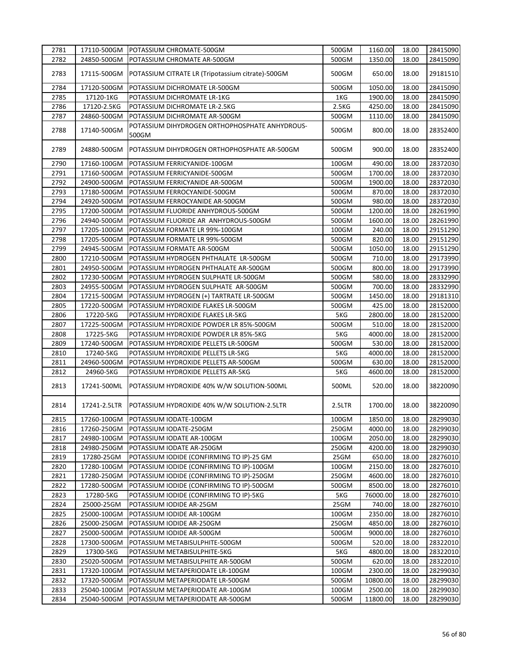| 2781 | 17110-500GM  | POTASSIUM CHROMATE-500GM                                | 500GM    | 1160.00  | 18.00 | 28415090 |
|------|--------------|---------------------------------------------------------|----------|----------|-------|----------|
| 2782 | 24850-500GM  | POTASSIUM CHROMATE AR-500GM                             | 500GM    | 1350.00  | 18.00 | 28415090 |
| 2783 | 17115-500GM  | POTASSIUM CITRATE LR (Tripotassium citrate)-500GM       | 500GM    | 650.00   | 18.00 | 29181510 |
| 2784 | 17120-500GM  | POTASSIUM DICHROMATE LR-500GM                           | 500GM    | 1050.00  | 18.00 | 28415090 |
| 2785 | 17120-1KG    | POTASSIUM DICHROMATE LR-1KG                             | 1KG      | 1900.00  | 18.00 | 28415090 |
| 2786 | 17120-2.5KG  | POTASSIUM DICHROMATE LR-2.5KG                           | 2.5KG    | 4250.00  | 18.00 | 28415090 |
| 2787 | 24860-500GM  | POTASSIUM DICHROMATE AR-500GM                           | 500GM    | 1110.00  | 18.00 | 28415090 |
| 2788 | 17140-500GM  | POTASSIUM DIHYDROGEN ORTHOPHOSPHATE ANHYDROUS-<br>500GM | 500GM    | 800.00   | 18.00 | 28352400 |
| 2789 | 24880-500GM  | POTASSIUM DIHYDROGEN ORTHOPHOSPHATE AR-500GM            | 500GM    | 900.00   | 18.00 | 28352400 |
| 2790 | 17160-100GM  | POTASSIUM FERRICYANIDE-100GM                            | 100GM    | 490.00   | 18.00 | 28372030 |
| 2791 | 17160-500GM  | POTASSIUM FERRICYANIDE-500GM                            | 500GM    | 1700.00  | 18.00 | 28372030 |
| 2792 | 24900-500GM  | POTASSIUM FERRICYANIDE AR-500GM                         | 500GM    | 1900.00  | 18.00 | 28372030 |
| 2793 | 17180-500GM  | POTASSIUM FERROCYANIDE-500GM                            | 500GM    | 870.00   | 18.00 | 28372030 |
| 2794 | 24920-500GM  | POTASSIUM FERROCYANIDE AR-500GM                         | 500GM    | 980.00   | 18.00 | 28372030 |
| 2795 | 17200-500GM  | POTASSIUM FLUORIDE ANHYDROUS-500GM                      | 500GM    | 1200.00  | 18.00 | 28261990 |
| 2796 | 24940-500GM  | POTASSIUM FLUORIDE AR ANHYDROUS-500GM                   | 500GM    | 1600.00  | 18.00 | 28261990 |
| 2797 | 17205-100GM  | POTASSIUM FORMATE LR 99%-100GM                          | 100GM    | 240.00   | 18.00 | 29151290 |
| 2798 | 17205-500GM  | POTASSIUM FORMATE LR 99%-500GM                          | 500GM    | 820.00   | 18.00 | 29151290 |
| 2799 | 24945-500GM  | POTASSIUM FORMATE AR-500GM                              | $500$ GM | 1050.00  | 18.00 | 29151290 |
| 2800 | 17210-500GM  | POTASSIUM HYDROGEN PHTHALATE LR-500GM                   | 500GM    | 710.00   | 18.00 | 29173990 |
| 2801 | 24950-500GM  | POTASSIUM HYDROGEN PHTHALATE AR-500GM                   | 500GM    | 800.00   | 18.00 | 29173990 |
|      |              |                                                         |          |          |       |          |
| 2802 | 17230-500GM  | POTASSIUM HYDROGEN SULPHATE LR-500GM                    | 500GM    | 580.00   | 18.00 | 28332990 |
| 2803 | 24955-500GM  | POTASSIUM HYDROGEN SULPHATE AR-500GM                    | 500GM    | 700.00   | 18.00 | 28332990 |
| 2804 | 17215-500GM  | POTASSIUM HYDROGEN (+) TARTRATE LR-500GM                | 500GM    | 1450.00  | 18.00 | 29181310 |
| 2805 | 17220-500GM  | POTASSIUM HYDROXIDE FLAKES LR-500GM                     | 500GM    | 425.00   | 18.00 | 28152000 |
| 2806 | 17220-5KG    | POTASSIUM HYDROXIDE FLAKES LR-5KG                       | 5KG      | 2800.00  | 18.00 | 28152000 |
| 2807 | 17225-500GM  | POTASSIUM HYDROXIDE POWDER LR 85%-500GM                 | 500GM    | 510.00   | 18.00 | 28152000 |
| 2808 | 17225-5KG    | POTASSIUM HYDROXIDE POWDER LR 85%-5KG                   | 5KG      | 4000.00  | 18.00 | 28152000 |
| 2809 | 17240-500GM  | POTASSIUM HYDROXIDE PELLETS LR-500GM                    | 500GM    | 530.00   | 18.00 | 28152000 |
| 2810 | 17240-5KG    | POTASSIUM HYDROXIDE PELLETS LR-5KG                      | 5KG      | 4000.00  | 18.00 | 28152000 |
| 2811 | 24960-500GM  | POTASSIUM HYDROXIDE PELLETS AR-500GM                    | 500GM    | 630.00   | 18.00 | 28152000 |
| 2812 | 24960-5KG    | POTASSIUM HYDROXIDE PELLETS AR-5KG                      | 5KG      | 4600.00  | 18.00 | 28152000 |
| 2813 | 17241-500ML  | POTASSIUM HYDROXIDE 40% W/W SOLUTION-500ML              | 500ML    | 520.00   | 18.00 | 38220090 |
| 2814 | 17241-2.5LTR | POTASSIUM HYDROXIDE 40% W/W SOLUTION-2.5LTR             | 2.5LTR   | 1700.00  | 18.00 | 38220090 |
| 2815 | 17260-100GM  | POTASSIUM IODATE-100GM                                  | 100GM    | 1850.00  | 18.00 | 28299030 |
| 2816 | 17260-250GM  | POTASSIUM IODATE-250GM                                  | 250GM    | 4000.00  | 18.00 | 28299030 |
| 2817 | 24980-100GM  | POTASSIUM IODATE AR-100GM                               | 100GM    | 2050.00  | 18.00 | 28299030 |
| 2818 | 24980-250GM  | POTASSIUM IODATE AR-250GM                               | 250GM    | 4200.00  | 18.00 | 28299030 |
| 2819 | 17280-25GM   | POTASSIUM IODIDE (CONFIRMING TO IP)-25 GM               | 25GM     | 650.00   | 18.00 | 28276010 |
| 2820 | 17280-100GM  | POTASSIUM IODIDE (CONFIRMING TO IP)-100GM               | 100GM    | 2150.00  | 18.00 | 28276010 |
| 2821 | 17280-250GM  | POTASSIUM IODIDE (CONFIRMING TO IP)-250GM               | 250GM    | 4600.00  | 18.00 | 28276010 |
| 2822 | 17280-500GM  | POTASSIUM IODIDE (CONFIRMING TO IP)-500GM               | 500GM    | 8500.00  | 18.00 | 28276010 |
| 2823 | 17280-5KG    | POTASSIUM IODIDE (CONFIRMING TO IP)-5KG                 | 5KG      | 76000.00 | 18.00 | 28276010 |
| 2824 | 25000-25GM   | POTASSIUM IODIDE AR-25GM                                | 25GM     | 740.00   | 18.00 | 28276010 |
| 2825 | 25000-100GM  | POTASSIUM IODIDE AR-100GM                               | 100GM    | 2350.00  | 18.00 | 28276010 |
| 2826 | 25000-250GM  | POTASSIUM IODIDE AR-250GM                               | 250GM    | 4850.00  | 18.00 | 28276010 |
| 2827 | 25000-500GM  | POTASSIUM IODIDE AR-500GM                               | 500GM    | 9000.00  | 18.00 | 28276010 |
| 2828 | 17300-500GM  | POTASSIUM METABISULPHITE-500GM                          | 500GM    | 520.00   | 18.00 | 28322010 |
| 2829 | 17300-5KG    | POTASSIUM METABISULPHITE-5KG                            | 5KG      | 4800.00  | 18.00 | 28322010 |
| 2830 | 25020-500GM  | POTASSIUM METABISULPHITE AR-500GM                       | 500GM    | 620.00   | 18.00 | 28322010 |
| 2831 | 17320-100GM  | POTASSIUM METAPERIODATE LR-100GM                        | 100GM    | 2300.00  | 18.00 | 28299030 |
| 2832 | 17320-500GM  | POTASSIUM METAPERIODATE LR-500GM                        | 500GM    | 10800.00 | 18.00 | 28299030 |
| 2833 | 25040-100GM  | POTASSIUM METAPERIODATE AR-100GM                        | 100GM    | 2500.00  | 18.00 | 28299030 |
|      |              |                                                         |          |          |       |          |
| 2834 | 25040-500GM  | POTASSIUM METAPERIODATE AR-500GM                        | 500GM    | 11800.00 | 18.00 | 28299030 |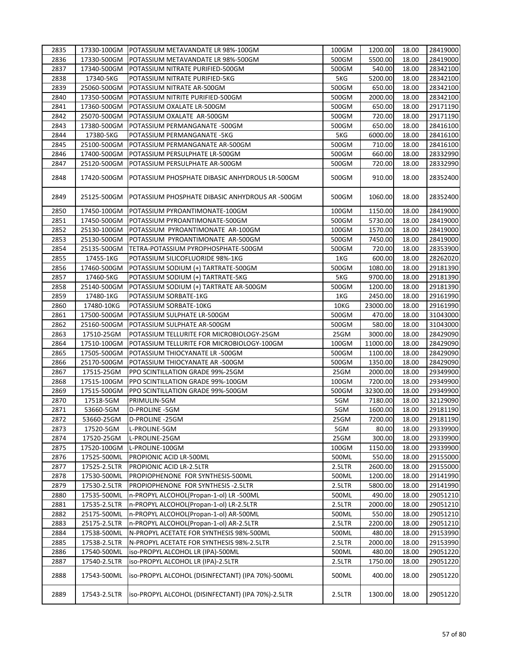| 2835 |              | 17330-100GM POTASSIUM METAVANDATE LR 98%-100GM     | 100GM  | 1200.00  | 18.00 | 28419000 |
|------|--------------|----------------------------------------------------|--------|----------|-------|----------|
| 2836 | 17330-500GM  | POTASSIUM METAVANDATE LR 98%-500GM                 | 500GM  | 5500.00  | 18.00 | 28419000 |
| 2837 | 17340-500GM  | POTASSIUM NITRATE PURIFIED-500GM                   | 500GM  | 540.00   | 18.00 | 28342100 |
| 2838 | 17340-5KG    | POTASSIUM NITRATE PURIFIED-5KG                     | 5KG    | 5200.00  | 18.00 | 28342100 |
| 2839 | 25060-500GM  | POTASSIUM NITRATE AR-500GM                         | 500GM  | 650.00   | 18.00 | 28342100 |
| 2840 | 17350-500GM  | POTASSIUM NITRITE PURIFIED-500GM                   | 500GM  | 2000.00  | 18.00 | 28342100 |
| 2841 | 17360-500GM  | POTASSIUM OXALATE LR-500GM                         | 500GM  | 650.00   | 18.00 | 29171190 |
| 2842 | 25070-500GM  | POTASSIUM OXALATE AR-500GM                         | 500GM  | 720.00   | 18.00 | 29171190 |
| 2843 | 17380-500GM  | POTASSIUM PERMANGANATE -500GM                      | 500GM  | 650.00   | 18.00 | 28416100 |
| 2844 | 17380-5KG    | POTASSIUM PERMANGANATE -5KG                        | 5KG    | 6000.00  | 18.00 | 28416100 |
| 2845 | 25100-500GM  | POTASSIUM PERMANGANATE AR-500GM                    | 500GM  | 710.00   | 18.00 | 28416100 |
| 2846 | 17400-500GM  | POTASSIUM PERSULPHATE LR-500GM                     | 500GM  | 660.00   | 18.00 | 28332990 |
| 2847 | 25120-500GM  | POTASSIUM PERSULPHATE AR-500GM                     | 500GM  | 720.00   | 18.00 | 28332990 |
| 2848 | 17420-500GM  | POTASSIUM PHOSPHATE DIBASIC ANHYDROUS LR-500GM     | 500GM  | 910.00   | 18.00 | 28352400 |
| 2849 | 25125-500GM  | POTASSIUM PHOSPHATE DIBASIC ANHYDROUS AR -500GM    | 500GM  | 1060.00  | 18.00 | 28352400 |
| 2850 | 17450-100GM  | POTASSIUM PYROANTIMONATE-100GM                     | 100GM  | 1150.00  | 18.00 | 28419000 |
| 2851 | 17450-500GM  | POTASSIUM PYROANTIMONATE-500GM                     | 500GM  | 5730.00  | 18.00 | 28419000 |
| 2852 | 25130-100GM  | POTASSIUM PYROANTIMONATE AR-100GM                  | 100GM  | 1570.00  | 18.00 | 28419000 |
| 2853 | 25130-500GM  | POTASSIUM PYROANTIMONATE AR-500GM                  | 500GM  | 7450.00  | 18.00 | 28419000 |
| 2854 | 25135-500GM  | TETRA-POTASSIUM PYROPHOSPHATE-500GM                | 500GM  | 720.00   | 18.00 | 28353900 |
| 2855 | 17455-1KG    | POTASSIUM SILICOFLUORIDE 98%-1KG                   | 1KG    | 600.00   | 18.00 | 28262020 |
| 2856 | 17460-500GM  | POTASSIUM SODIUM (+) TARTRATE-500GM                | 500GM  | 1080.00  | 18.00 | 29181390 |
| 2857 | 17460-5KG    | POTASSIUM SODIUM (+) TARTRATE-5KG                  | 5KG    | 9700.00  | 18.00 | 29181390 |
| 2858 | 25140-500GM  | POTASSIUM SODIUM (+) TARTRATE AR-500GM             | 500GM  | 1200.00  | 18.00 | 29181390 |
| 2859 | 17480-1KG    | POTASSIUM SORBATE-1KG                              | 1KG    | 2450.00  | 18.00 | 29161990 |
| 2860 | 17480-10KG   | POTASSIUM SORBATE-10KG                             | 10KG   | 23000.00 | 18.00 | 29161990 |
| 2861 | 17500-500GM  | POTASSIUM SULPHATE LR-500GM                        | 500GM  | 470.00   | 18.00 | 31043000 |
| 2862 | 25160-500GM  | POTASSIUM SULPHATE AR-500GM                        | 500GM  | 580.00   | 18.00 | 31043000 |
| 2863 | 17510-25GM   | POTASSIUM TELLURITE FOR MICROBIOLOGY-25GM          | 25GM   | 3000.00  | 18.00 | 28429090 |
| 2864 | 17510-100GM  | POTASSIUM TELLURITE FOR MICROBIOLOGY-100GM         | 100GM  | 11000.00 | 18.00 | 28429090 |
| 2865 | 17505-500GM  | POTASSIUM THIOCYANATE LR -500GM                    | 500GM  | 1100.00  | 18.00 | 28429090 |
| 2866 | 25170-500GM  | POTASSIUM THIOCYANATE AR -500GM                    | 500GM  | 1350.00  | 18.00 | 28429090 |
| 2867 | 17515-25GM   | PPO SCINTILLATION GRADE 99%-25GM                   | 25GM   | 2000.00  | 18.00 | 29349900 |
| 2868 | 17515-100GM  | PPO SCINTILLATION GRADE 99%-100GM                  | 100GM  | 7200.00  | 18.00 | 29349900 |
| 2869 | 17515-500GM  | PPO SCINTILLATION GRADE 99%-500GM                  | 500GM  | 32300.00 | 18.00 | 29349900 |
| 2870 | 17518-5GM    | PRIMULIN-5GM                                       | 5GM    | 7180.00  | 18.00 | 32129090 |
| 2871 | 53660-5GM    | D-PROLINE -5GM                                     | 5GM    | 1600.00  | 18.00 | 29181190 |
| 2872 | 53660-25GM   | D-PROLINE -25GM                                    | 25GM   | 7200.00  | 18.00 | 29181190 |
| 2873 | 17520-5GM    | L-PROLINE-5GM                                      | 5GM    | 80.00    | 18.00 | 29339900 |
| 2874 | 17520-25GM   | L-PROLINE-25GM                                     | 25GM   | 300.00   | 18.00 | 29339900 |
| 2875 | 17520-100GM  | L-PROLINE-100GM                                    | 100GM  | 1150.00  | 18.00 | 29339900 |
| 2876 | 17525-500ML  | PROPIONIC ACID LR-500ML                            | 500ML  | 550.00   | 18.00 | 29155000 |
| 2877 | 17525-2.5LTR | PROPIONIC ACID LR-2.5LTR                           | 2.5LTR | 2600.00  | 18.00 | 29155000 |
| 2878 | 17530-500ML  | PROPIOPHENONE FOR SYNTHESIS-500ML                  | 500ML  | 1200.00  | 18.00 | 29141990 |
| 2879 | 17530-2.5LTR | PROPIOPHENONE FOR SYNTHESIS -2.5LTR                | 2.5LTR | 5800.00  | 18.00 | 29141990 |
| 2880 | 17535-500ML  | n-PROPYL ALCOHOL(Propan-1-ol) LR -500ML            | 500ML  | 490.00   | 18.00 | 29051210 |
| 2881 | 17535-2.5LTR | n-PROPYL ALCOHOL(Propan-1-ol) LR-2.5LTR            | 2.5LTR | 2000.00  | 18.00 | 29051210 |
| 2882 | 25175-500ML  | n-PROPYL ALCOHOL(Propan-1-ol) AR-500ML             | 500ML  | 550.00   | 18.00 | 29051210 |
| 2883 | 25175-2.5LTR | n-PROPYL ALCOHOL(Propan-1-ol) AR-2.5LTR            | 2.5LTR | 2200.00  | 18.00 | 29051210 |
| 2884 | 17538-500ML  | N-PROPYL ACETATE FOR SYNTHESIS 98%-500ML           | 500ML  | 480.00   | 18.00 | 29153990 |
| 2885 | 17538-2.5LTR | N-PROPYL ACETATE FOR SYNTHESIS 98%-2.5LTR          | 2.5LTR | 2000.00  | 18.00 | 29153990 |
| 2886 | 17540-500ML  | iso-PROPYL ALCOHOL LR (IPA)-500ML                  | 500ML  | 480.00   | 18.00 | 29051220 |
| 2887 | 17540-2.5LTR | iso-PROPYL ALCOHOL LR (IPA)-2.5LTR                 | 2.5LTR | 1750.00  | 18.00 | 29051220 |
| 2888 | 17543-500ML  | iso-PROPYL ALCOHOL (DISINFECTANT) (IPA 70%)-500ML  | 500ML  | 400.00   | 18.00 | 29051220 |
| 2889 | 17543-2.5LTR | iso-PROPYL ALCOHOL (DISINFECTANT) (IPA 70%)-2.5LTR | 2.5LTR | 1300.00  | 18.00 | 29051220 |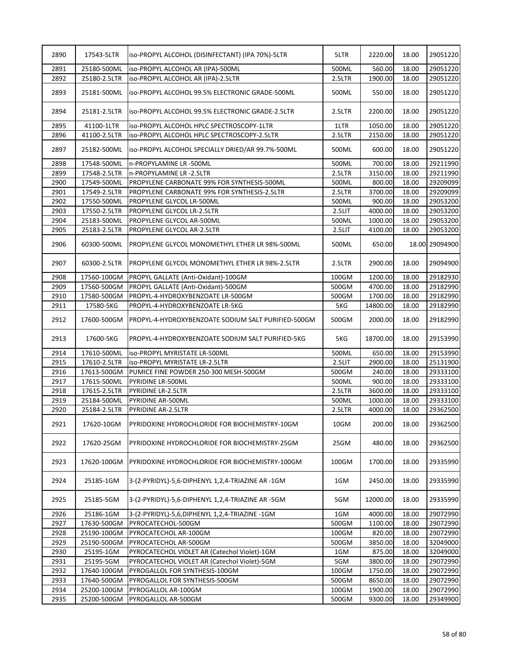| 2891<br>25180-500ML<br>iso-PROPYL ALCOHOL AR (IPA)-500ML<br>500ML<br>560.00<br>18.00<br>29051220<br>2892<br>25180-2.5LTR<br>iso-PROPYL ALCOHOL AR (IPA)-2.5LTR<br>2.5LTR<br>1900.00<br>18.00<br>29051220<br>2893<br>25181-500ML<br>ISO-PROPYL ALCOHOL 99.5% ELECTRONIC GRADE-500ML<br>500ML<br>550.00<br>18.00<br>29051220<br>2894<br>25181-2.5LTR<br>ISO-PROPYL ALCOHOL 99.5% ELECTRONIC GRADE-2.5LTR<br>2.5LTR<br>2200.00<br>18.00<br>29051220<br>2895<br>41100-1LTR<br>1050.00<br>18.00<br>iso-PROPYL ALCOHOL HPLC SPECTROSCOPY-1LTR<br>1LTR<br>2896<br>41100-2.5LTR<br>iso-PROPYL ALCOHOL HPLC SPECTROSCOPY-2.5LTR<br>2.5LTR<br>2150.00<br>18.00<br>29051220<br>2897<br>18.00<br>25182-500ML<br>iso-PROPYL ALCOHOL SPECIALLY DRIED/AR 99.7%-500ML<br>500ML<br>600.00<br>18.00<br>29211990<br>2898<br>17548-500ML<br>500ML<br>700.00<br>n-PROPYLAMINE LR -500ML<br>2899<br>2.5LTR<br>3150.00<br>18.00<br>29211990<br>17548-2.5LTR<br>n-PROPYLAMINE LR -2.5LTR<br>2900<br>800.00<br>18.00<br>17549-500ML<br>PROPYLENE CARBONATE 99% FOR SYNTHESIS-500ML<br>500ML<br>29209099<br>2901<br>2.5LTR<br>3700.00<br>17549-2.5LTR<br>PROPYLENE CARBONATE 99% FOR SYNTHESIS-2.5LTR<br>18.00<br>29209099<br>2902<br>17550-500ML<br>PROPYLENE GLYCOL LR-500ML<br>500ML<br>900.00<br>18.00<br>29053200<br>2903<br>4000.00<br>18.00<br>29053200<br>17550-2.5LTR<br>PROPYLENE GLYCOL LR-2.5LTR<br>2.5LIT<br>2904<br>1000.00<br>18.00<br>29053200<br>25183-500ML<br>PROPYLENE GLYCOL AR-500ML<br>500ML<br>2905<br>25183-2.5LTR<br>PROPYLENE GLYCOL AR-2.5LTR<br>2.5LIT<br>4100.00<br>18.00<br>29053200<br>2906<br>18.00 29094900<br>60300-500ML<br>PROPYLENE GLYCOL MONOMETHYL ETHER LR 98%-500ML<br>500ML<br>650.00<br>2907<br>60300-2.5LTR<br>18.00<br>2.5LTR<br>2900.00<br>29094900<br>PROPYLENE GLYCOL MONOMETHYL ETHER LR 98%-2.5LTR<br>2908<br>$100$ GM<br>1200.00<br>18.00<br>29182930<br>17560-100GM<br>PROPYL GALLATE (Anti-Oxidant)-100GM<br>4700.00<br>2909<br>17560-500GM<br>PROPYL GALLATE (Anti-Oxidant)-500GM<br>500GM<br>18.00<br>29182990<br>2910<br>17580-500GM<br>PROPYL-4-HYDROXYBENZOATE LR-500GM<br>500GM<br>1700.00<br>18.00<br>29182990<br>2911<br>17580-5KG<br>PROPYL-4-HYDROXYBENZOATE LR-5KG<br>5KG<br>14800.00<br>29182990<br>18.00<br>18.00<br>2912<br>17600-500GM<br>PROPYL-4-HYDROXYBENZOATE SODIUM SALT PURIFIED-500GM<br>500GM<br>2000.00<br>18.00<br>2913<br>17600-5KG<br>PROPYL-4-HYDROXYBENZOATE SODIUM SALT PURIFIED-5KG<br>5KG<br>18700.00<br>29153990<br>18.00<br>2914<br>500ML<br>650.00<br>29153990<br>17610-500ML<br>iso-PROPYL MYRISTATE LR-500ML<br>2915<br>2.5LIT<br>2900.00<br>18.00<br>25131900<br>17610-2.5LTR<br><b>iso-PROPYL MYRISTATE LR-2.5LTR</b><br>2916<br>17613-500GM<br>PUMICE FINE POWDER 250-300 MESH-500GM<br>500GM<br>240.00<br>18.00<br>29333100<br>2917<br>500ML<br>900.00<br>29333100<br>17615-500ML<br>PYRIDINE LR-500ML<br>18.00<br>2918<br>17615-2.5LTR<br>PYRIDINE LR-2.5LTR<br>3600.00<br>18.00<br>29333100<br>2.5LTR<br>2919<br>25184-500ML<br>500ML<br>1000.00<br>18.00<br>29333100<br>PYRIDINE AR-500ML<br>2920<br>4000.00<br>18.00<br>29362500<br>25184-2.5LTR<br>PYRIDINE AR-2.5LTR<br>2.5LTR<br>2921<br>200.00<br>17620-10GM<br>PYRIDOXINE HYDROCHLORIDE FOR BIOCHEMISTRY-10GM<br>10GM<br>18.00<br>2922<br>25GM<br>480.00<br>18.00<br>17620-25GM<br>PYRIDOXINE HYDROCHLORIDE FOR BIOCHEMISTRY-25GM<br>2923<br>17620-100GM<br>100GM<br>1700.00<br>18.00<br>PYRIDOXINE HYDROCHLORIDE FOR BIOCHEMISTRY-100GM<br>2924<br>25185-1GM<br>3-(2-PYRIDYL)-5,6-DIPHENYL 1,2,4-TRIAZINE AR -1GM<br>1GM<br>2450.00<br>18.00<br>3-(2-PYRIDYL)-5,6-DIPHENYL 1,2,4-TRIAZINE AR -5GM<br>2925<br>25185-5GM<br>5GM<br>12000.00<br>18.00<br>2926<br>25186-1GM<br>1GM<br>4000.00<br>18.00<br>29072990<br>3-(2-PYRIDYL)-5,6,DIPHENYL 1,2,4-TRIAZINE -1GM<br>2927<br>500GM<br>17630-500GM<br>PYROCATECHOL-500GM<br>1100.00<br>18.00<br>29072990<br>2928<br>100GM<br>820.00<br>18.00<br>25190-100GM<br>PYROCATECHOL AR-100GM<br>29072990<br>2929<br>25190-500GM<br>500GM<br>3850.00<br>18.00<br>32049000<br>PYROCATECHOL AR-500GM<br>2930<br>PYROCATECHOL VIOLET AR (Catechol Violet)-1GM<br>1GM<br>875.00<br>18.00<br>32049000<br>25195-1GM<br>2931<br>25195-5GM<br>PYROCATECHOL VIOLET AR (Catechol Violet)-5GM<br>5GM<br>3800.00<br>18.00<br>29072990<br>2932<br>PYROGALLOL FOR SYNTHESIS-100GM<br>100GM<br>1750.00<br>18.00<br>17640-100GM<br>29072990<br>8650.00<br>29072990<br>2933<br>17640-500GM<br>PYROGALLOL FOR SYNTHESIS-500GM<br>500GM<br>18.00<br>2934<br>1900.00<br>18.00<br>25200-100GM<br>PYROGALLOL AR-100GM<br>100GM<br>29072990<br>2935<br>25200-500GM<br>500GM<br>9300.00<br>18.00<br>29349900<br>PYROGALLOL AR-500GM | 2890 | 17543-5LTR | iso-PROPYL ALCOHOL (DISINFECTANT) (IPA 70%)-5LTR | 5LTR | 2220.00 | 18.00 | 29051220 |
|-----------------------------------------------------------------------------------------------------------------------------------------------------------------------------------------------------------------------------------------------------------------------------------------------------------------------------------------------------------------------------------------------------------------------------------------------------------------------------------------------------------------------------------------------------------------------------------------------------------------------------------------------------------------------------------------------------------------------------------------------------------------------------------------------------------------------------------------------------------------------------------------------------------------------------------------------------------------------------------------------------------------------------------------------------------------------------------------------------------------------------------------------------------------------------------------------------------------------------------------------------------------------------------------------------------------------------------------------------------------------------------------------------------------------------------------------------------------------------------------------------------------------------------------------------------------------------------------------------------------------------------------------------------------------------------------------------------------------------------------------------------------------------------------------------------------------------------------------------------------------------------------------------------------------------------------------------------------------------------------------------------------------------------------------------------------------------------------------------------------------------------------------------------------------------------------------------------------------------------------------------------------------------------------------------------------------------------------------------------------------------------------------------------------------------------------------------------------------------------------------------------------------------------------------------------------------------------------------------------------------------------------------------------------------------------------------------------------------------------------------------------------------------------------------------------------------------------------------------------------------------------------------------------------------------------------------------------------------------------------------------------------------------------------------------------------------------------------------------------------------------------------------------------------------------------------------------------------------------------------------------------------------------------------------------------------------------------------------------------------------------------------------------------------------------------------------------------------------------------------------------------------------------------------------------------------------------------------------------------------------------------------------------------------------------------------------------------------------------------------------------------------------------------------------------------------------------------------------------------------------------------------------------------------------------------------------------------------------------------------------------------------------------------------------------------------------------------------------------------------------------------------------------------------------------------------------------------------------------------------------------------------------------------------------------------------------------------------------------------------------------------------------------------------------------------------------------------------------------------------------------------------------------------------------------------------------------------------------------------------------------------------------------------------------------------|------|------------|--------------------------------------------------|------|---------|-------|----------|
|                                                                                                                                                                                                                                                                                                                                                                                                                                                                                                                                                                                                                                                                                                                                                                                                                                                                                                                                                                                                                                                                                                                                                                                                                                                                                                                                                                                                                                                                                                                                                                                                                                                                                                                                                                                                                                                                                                                                                                                                                                                                                                                                                                                                                                                                                                                                                                                                                                                                                                                                                                                                                                                                                                                                                                                                                                                                                                                                                                                                                                                                                                                                                                                                                                                                                                                                                                                                                                                                                                                                                                                                                                                                                                                                                                                                                                                                                                                                                                                                                                                                                                                                                                                                                                                                                                                                                                                                                                                                                                                                                                                                                                                                                   |      |            |                                                  |      |         |       |          |
|                                                                                                                                                                                                                                                                                                                                                                                                                                                                                                                                                                                                                                                                                                                                                                                                                                                                                                                                                                                                                                                                                                                                                                                                                                                                                                                                                                                                                                                                                                                                                                                                                                                                                                                                                                                                                                                                                                                                                                                                                                                                                                                                                                                                                                                                                                                                                                                                                                                                                                                                                                                                                                                                                                                                                                                                                                                                                                                                                                                                                                                                                                                                                                                                                                                                                                                                                                                                                                                                                                                                                                                                                                                                                                                                                                                                                                                                                                                                                                                                                                                                                                                                                                                                                                                                                                                                                                                                                                                                                                                                                                                                                                                                                   |      |            |                                                  |      |         |       |          |
|                                                                                                                                                                                                                                                                                                                                                                                                                                                                                                                                                                                                                                                                                                                                                                                                                                                                                                                                                                                                                                                                                                                                                                                                                                                                                                                                                                                                                                                                                                                                                                                                                                                                                                                                                                                                                                                                                                                                                                                                                                                                                                                                                                                                                                                                                                                                                                                                                                                                                                                                                                                                                                                                                                                                                                                                                                                                                                                                                                                                                                                                                                                                                                                                                                                                                                                                                                                                                                                                                                                                                                                                                                                                                                                                                                                                                                                                                                                                                                                                                                                                                                                                                                                                                                                                                                                                                                                                                                                                                                                                                                                                                                                                                   |      |            |                                                  |      |         |       | 29051220 |
|                                                                                                                                                                                                                                                                                                                                                                                                                                                                                                                                                                                                                                                                                                                                                                                                                                                                                                                                                                                                                                                                                                                                                                                                                                                                                                                                                                                                                                                                                                                                                                                                                                                                                                                                                                                                                                                                                                                                                                                                                                                                                                                                                                                                                                                                                                                                                                                                                                                                                                                                                                                                                                                                                                                                                                                                                                                                                                                                                                                                                                                                                                                                                                                                                                                                                                                                                                                                                                                                                                                                                                                                                                                                                                                                                                                                                                                                                                                                                                                                                                                                                                                                                                                                                                                                                                                                                                                                                                                                                                                                                                                                                                                                                   |      |            |                                                  |      |         |       |          |
|                                                                                                                                                                                                                                                                                                                                                                                                                                                                                                                                                                                                                                                                                                                                                                                                                                                                                                                                                                                                                                                                                                                                                                                                                                                                                                                                                                                                                                                                                                                                                                                                                                                                                                                                                                                                                                                                                                                                                                                                                                                                                                                                                                                                                                                                                                                                                                                                                                                                                                                                                                                                                                                                                                                                                                                                                                                                                                                                                                                                                                                                                                                                                                                                                                                                                                                                                                                                                                                                                                                                                                                                                                                                                                                                                                                                                                                                                                                                                                                                                                                                                                                                                                                                                                                                                                                                                                                                                                                                                                                                                                                                                                                                                   |      |            |                                                  |      |         |       |          |
|                                                                                                                                                                                                                                                                                                                                                                                                                                                                                                                                                                                                                                                                                                                                                                                                                                                                                                                                                                                                                                                                                                                                                                                                                                                                                                                                                                                                                                                                                                                                                                                                                                                                                                                                                                                                                                                                                                                                                                                                                                                                                                                                                                                                                                                                                                                                                                                                                                                                                                                                                                                                                                                                                                                                                                                                                                                                                                                                                                                                                                                                                                                                                                                                                                                                                                                                                                                                                                                                                                                                                                                                                                                                                                                                                                                                                                                                                                                                                                                                                                                                                                                                                                                                                                                                                                                                                                                                                                                                                                                                                                                                                                                                                   |      |            |                                                  |      |         |       |          |
|                                                                                                                                                                                                                                                                                                                                                                                                                                                                                                                                                                                                                                                                                                                                                                                                                                                                                                                                                                                                                                                                                                                                                                                                                                                                                                                                                                                                                                                                                                                                                                                                                                                                                                                                                                                                                                                                                                                                                                                                                                                                                                                                                                                                                                                                                                                                                                                                                                                                                                                                                                                                                                                                                                                                                                                                                                                                                                                                                                                                                                                                                                                                                                                                                                                                                                                                                                                                                                                                                                                                                                                                                                                                                                                                                                                                                                                                                                                                                                                                                                                                                                                                                                                                                                                                                                                                                                                                                                                                                                                                                                                                                                                                                   |      |            |                                                  |      |         |       | 29051220 |
|                                                                                                                                                                                                                                                                                                                                                                                                                                                                                                                                                                                                                                                                                                                                                                                                                                                                                                                                                                                                                                                                                                                                                                                                                                                                                                                                                                                                                                                                                                                                                                                                                                                                                                                                                                                                                                                                                                                                                                                                                                                                                                                                                                                                                                                                                                                                                                                                                                                                                                                                                                                                                                                                                                                                                                                                                                                                                                                                                                                                                                                                                                                                                                                                                                                                                                                                                                                                                                                                                                                                                                                                                                                                                                                                                                                                                                                                                                                                                                                                                                                                                                                                                                                                                                                                                                                                                                                                                                                                                                                                                                                                                                                                                   |      |            |                                                  |      |         |       |          |
|                                                                                                                                                                                                                                                                                                                                                                                                                                                                                                                                                                                                                                                                                                                                                                                                                                                                                                                                                                                                                                                                                                                                                                                                                                                                                                                                                                                                                                                                                                                                                                                                                                                                                                                                                                                                                                                                                                                                                                                                                                                                                                                                                                                                                                                                                                                                                                                                                                                                                                                                                                                                                                                                                                                                                                                                                                                                                                                                                                                                                                                                                                                                                                                                                                                                                                                                                                                                                                                                                                                                                                                                                                                                                                                                                                                                                                                                                                                                                                                                                                                                                                                                                                                                                                                                                                                                                                                                                                                                                                                                                                                                                                                                                   |      |            |                                                  |      |         |       |          |
|                                                                                                                                                                                                                                                                                                                                                                                                                                                                                                                                                                                                                                                                                                                                                                                                                                                                                                                                                                                                                                                                                                                                                                                                                                                                                                                                                                                                                                                                                                                                                                                                                                                                                                                                                                                                                                                                                                                                                                                                                                                                                                                                                                                                                                                                                                                                                                                                                                                                                                                                                                                                                                                                                                                                                                                                                                                                                                                                                                                                                                                                                                                                                                                                                                                                                                                                                                                                                                                                                                                                                                                                                                                                                                                                                                                                                                                                                                                                                                                                                                                                                                                                                                                                                                                                                                                                                                                                                                                                                                                                                                                                                                                                                   |      |            |                                                  |      |         |       |          |
|                                                                                                                                                                                                                                                                                                                                                                                                                                                                                                                                                                                                                                                                                                                                                                                                                                                                                                                                                                                                                                                                                                                                                                                                                                                                                                                                                                                                                                                                                                                                                                                                                                                                                                                                                                                                                                                                                                                                                                                                                                                                                                                                                                                                                                                                                                                                                                                                                                                                                                                                                                                                                                                                                                                                                                                                                                                                                                                                                                                                                                                                                                                                                                                                                                                                                                                                                                                                                                                                                                                                                                                                                                                                                                                                                                                                                                                                                                                                                                                                                                                                                                                                                                                                                                                                                                                                                                                                                                                                                                                                                                                                                                                                                   |      |            |                                                  |      |         |       |          |
|                                                                                                                                                                                                                                                                                                                                                                                                                                                                                                                                                                                                                                                                                                                                                                                                                                                                                                                                                                                                                                                                                                                                                                                                                                                                                                                                                                                                                                                                                                                                                                                                                                                                                                                                                                                                                                                                                                                                                                                                                                                                                                                                                                                                                                                                                                                                                                                                                                                                                                                                                                                                                                                                                                                                                                                                                                                                                                                                                                                                                                                                                                                                                                                                                                                                                                                                                                                                                                                                                                                                                                                                                                                                                                                                                                                                                                                                                                                                                                                                                                                                                                                                                                                                                                                                                                                                                                                                                                                                                                                                                                                                                                                                                   |      |            |                                                  |      |         |       |          |
|                                                                                                                                                                                                                                                                                                                                                                                                                                                                                                                                                                                                                                                                                                                                                                                                                                                                                                                                                                                                                                                                                                                                                                                                                                                                                                                                                                                                                                                                                                                                                                                                                                                                                                                                                                                                                                                                                                                                                                                                                                                                                                                                                                                                                                                                                                                                                                                                                                                                                                                                                                                                                                                                                                                                                                                                                                                                                                                                                                                                                                                                                                                                                                                                                                                                                                                                                                                                                                                                                                                                                                                                                                                                                                                                                                                                                                                                                                                                                                                                                                                                                                                                                                                                                                                                                                                                                                                                                                                                                                                                                                                                                                                                                   |      |            |                                                  |      |         |       |          |
|                                                                                                                                                                                                                                                                                                                                                                                                                                                                                                                                                                                                                                                                                                                                                                                                                                                                                                                                                                                                                                                                                                                                                                                                                                                                                                                                                                                                                                                                                                                                                                                                                                                                                                                                                                                                                                                                                                                                                                                                                                                                                                                                                                                                                                                                                                                                                                                                                                                                                                                                                                                                                                                                                                                                                                                                                                                                                                                                                                                                                                                                                                                                                                                                                                                                                                                                                                                                                                                                                                                                                                                                                                                                                                                                                                                                                                                                                                                                                                                                                                                                                                                                                                                                                                                                                                                                                                                                                                                                                                                                                                                                                                                                                   |      |            |                                                  |      |         |       |          |
|                                                                                                                                                                                                                                                                                                                                                                                                                                                                                                                                                                                                                                                                                                                                                                                                                                                                                                                                                                                                                                                                                                                                                                                                                                                                                                                                                                                                                                                                                                                                                                                                                                                                                                                                                                                                                                                                                                                                                                                                                                                                                                                                                                                                                                                                                                                                                                                                                                                                                                                                                                                                                                                                                                                                                                                                                                                                                                                                                                                                                                                                                                                                                                                                                                                                                                                                                                                                                                                                                                                                                                                                                                                                                                                                                                                                                                                                                                                                                                                                                                                                                                                                                                                                                                                                                                                                                                                                                                                                                                                                                                                                                                                                                   |      |            |                                                  |      |         |       |          |
|                                                                                                                                                                                                                                                                                                                                                                                                                                                                                                                                                                                                                                                                                                                                                                                                                                                                                                                                                                                                                                                                                                                                                                                                                                                                                                                                                                                                                                                                                                                                                                                                                                                                                                                                                                                                                                                                                                                                                                                                                                                                                                                                                                                                                                                                                                                                                                                                                                                                                                                                                                                                                                                                                                                                                                                                                                                                                                                                                                                                                                                                                                                                                                                                                                                                                                                                                                                                                                                                                                                                                                                                                                                                                                                                                                                                                                                                                                                                                                                                                                                                                                                                                                                                                                                                                                                                                                                                                                                                                                                                                                                                                                                                                   |      |            |                                                  |      |         |       |          |
|                                                                                                                                                                                                                                                                                                                                                                                                                                                                                                                                                                                                                                                                                                                                                                                                                                                                                                                                                                                                                                                                                                                                                                                                                                                                                                                                                                                                                                                                                                                                                                                                                                                                                                                                                                                                                                                                                                                                                                                                                                                                                                                                                                                                                                                                                                                                                                                                                                                                                                                                                                                                                                                                                                                                                                                                                                                                                                                                                                                                                                                                                                                                                                                                                                                                                                                                                                                                                                                                                                                                                                                                                                                                                                                                                                                                                                                                                                                                                                                                                                                                                                                                                                                                                                                                                                                                                                                                                                                                                                                                                                                                                                                                                   |      |            |                                                  |      |         |       |          |
|                                                                                                                                                                                                                                                                                                                                                                                                                                                                                                                                                                                                                                                                                                                                                                                                                                                                                                                                                                                                                                                                                                                                                                                                                                                                                                                                                                                                                                                                                                                                                                                                                                                                                                                                                                                                                                                                                                                                                                                                                                                                                                                                                                                                                                                                                                                                                                                                                                                                                                                                                                                                                                                                                                                                                                                                                                                                                                                                                                                                                                                                                                                                                                                                                                                                                                                                                                                                                                                                                                                                                                                                                                                                                                                                                                                                                                                                                                                                                                                                                                                                                                                                                                                                                                                                                                                                                                                                                                                                                                                                                                                                                                                                                   |      |            |                                                  |      |         |       |          |
|                                                                                                                                                                                                                                                                                                                                                                                                                                                                                                                                                                                                                                                                                                                                                                                                                                                                                                                                                                                                                                                                                                                                                                                                                                                                                                                                                                                                                                                                                                                                                                                                                                                                                                                                                                                                                                                                                                                                                                                                                                                                                                                                                                                                                                                                                                                                                                                                                                                                                                                                                                                                                                                                                                                                                                                                                                                                                                                                                                                                                                                                                                                                                                                                                                                                                                                                                                                                                                                                                                                                                                                                                                                                                                                                                                                                                                                                                                                                                                                                                                                                                                                                                                                                                                                                                                                                                                                                                                                                                                                                                                                                                                                                                   |      |            |                                                  |      |         |       |          |
|                                                                                                                                                                                                                                                                                                                                                                                                                                                                                                                                                                                                                                                                                                                                                                                                                                                                                                                                                                                                                                                                                                                                                                                                                                                                                                                                                                                                                                                                                                                                                                                                                                                                                                                                                                                                                                                                                                                                                                                                                                                                                                                                                                                                                                                                                                                                                                                                                                                                                                                                                                                                                                                                                                                                                                                                                                                                                                                                                                                                                                                                                                                                                                                                                                                                                                                                                                                                                                                                                                                                                                                                                                                                                                                                                                                                                                                                                                                                                                                                                                                                                                                                                                                                                                                                                                                                                                                                                                                                                                                                                                                                                                                                                   |      |            |                                                  |      |         |       |          |
|                                                                                                                                                                                                                                                                                                                                                                                                                                                                                                                                                                                                                                                                                                                                                                                                                                                                                                                                                                                                                                                                                                                                                                                                                                                                                                                                                                                                                                                                                                                                                                                                                                                                                                                                                                                                                                                                                                                                                                                                                                                                                                                                                                                                                                                                                                                                                                                                                                                                                                                                                                                                                                                                                                                                                                                                                                                                                                                                                                                                                                                                                                                                                                                                                                                                                                                                                                                                                                                                                                                                                                                                                                                                                                                                                                                                                                                                                                                                                                                                                                                                                                                                                                                                                                                                                                                                                                                                                                                                                                                                                                                                                                                                                   |      |            |                                                  |      |         |       |          |
|                                                                                                                                                                                                                                                                                                                                                                                                                                                                                                                                                                                                                                                                                                                                                                                                                                                                                                                                                                                                                                                                                                                                                                                                                                                                                                                                                                                                                                                                                                                                                                                                                                                                                                                                                                                                                                                                                                                                                                                                                                                                                                                                                                                                                                                                                                                                                                                                                                                                                                                                                                                                                                                                                                                                                                                                                                                                                                                                                                                                                                                                                                                                                                                                                                                                                                                                                                                                                                                                                                                                                                                                                                                                                                                                                                                                                                                                                                                                                                                                                                                                                                                                                                                                                                                                                                                                                                                                                                                                                                                                                                                                                                                                                   |      |            |                                                  |      |         |       | 29182990 |
|                                                                                                                                                                                                                                                                                                                                                                                                                                                                                                                                                                                                                                                                                                                                                                                                                                                                                                                                                                                                                                                                                                                                                                                                                                                                                                                                                                                                                                                                                                                                                                                                                                                                                                                                                                                                                                                                                                                                                                                                                                                                                                                                                                                                                                                                                                                                                                                                                                                                                                                                                                                                                                                                                                                                                                                                                                                                                                                                                                                                                                                                                                                                                                                                                                                                                                                                                                                                                                                                                                                                                                                                                                                                                                                                                                                                                                                                                                                                                                                                                                                                                                                                                                                                                                                                                                                                                                                                                                                                                                                                                                                                                                                                                   |      |            |                                                  |      |         |       |          |
|                                                                                                                                                                                                                                                                                                                                                                                                                                                                                                                                                                                                                                                                                                                                                                                                                                                                                                                                                                                                                                                                                                                                                                                                                                                                                                                                                                                                                                                                                                                                                                                                                                                                                                                                                                                                                                                                                                                                                                                                                                                                                                                                                                                                                                                                                                                                                                                                                                                                                                                                                                                                                                                                                                                                                                                                                                                                                                                                                                                                                                                                                                                                                                                                                                                                                                                                                                                                                                                                                                                                                                                                                                                                                                                                                                                                                                                                                                                                                                                                                                                                                                                                                                                                                                                                                                                                                                                                                                                                                                                                                                                                                                                                                   |      |            |                                                  |      |         |       |          |
|                                                                                                                                                                                                                                                                                                                                                                                                                                                                                                                                                                                                                                                                                                                                                                                                                                                                                                                                                                                                                                                                                                                                                                                                                                                                                                                                                                                                                                                                                                                                                                                                                                                                                                                                                                                                                                                                                                                                                                                                                                                                                                                                                                                                                                                                                                                                                                                                                                                                                                                                                                                                                                                                                                                                                                                                                                                                                                                                                                                                                                                                                                                                                                                                                                                                                                                                                                                                                                                                                                                                                                                                                                                                                                                                                                                                                                                                                                                                                                                                                                                                                                                                                                                                                                                                                                                                                                                                                                                                                                                                                                                                                                                                                   |      |            |                                                  |      |         |       |          |
|                                                                                                                                                                                                                                                                                                                                                                                                                                                                                                                                                                                                                                                                                                                                                                                                                                                                                                                                                                                                                                                                                                                                                                                                                                                                                                                                                                                                                                                                                                                                                                                                                                                                                                                                                                                                                                                                                                                                                                                                                                                                                                                                                                                                                                                                                                                                                                                                                                                                                                                                                                                                                                                                                                                                                                                                                                                                                                                                                                                                                                                                                                                                                                                                                                                                                                                                                                                                                                                                                                                                                                                                                                                                                                                                                                                                                                                                                                                                                                                                                                                                                                                                                                                                                                                                                                                                                                                                                                                                                                                                                                                                                                                                                   |      |            |                                                  |      |         |       |          |
|                                                                                                                                                                                                                                                                                                                                                                                                                                                                                                                                                                                                                                                                                                                                                                                                                                                                                                                                                                                                                                                                                                                                                                                                                                                                                                                                                                                                                                                                                                                                                                                                                                                                                                                                                                                                                                                                                                                                                                                                                                                                                                                                                                                                                                                                                                                                                                                                                                                                                                                                                                                                                                                                                                                                                                                                                                                                                                                                                                                                                                                                                                                                                                                                                                                                                                                                                                                                                                                                                                                                                                                                                                                                                                                                                                                                                                                                                                                                                                                                                                                                                                                                                                                                                                                                                                                                                                                                                                                                                                                                                                                                                                                                                   |      |            |                                                  |      |         |       |          |
|                                                                                                                                                                                                                                                                                                                                                                                                                                                                                                                                                                                                                                                                                                                                                                                                                                                                                                                                                                                                                                                                                                                                                                                                                                                                                                                                                                                                                                                                                                                                                                                                                                                                                                                                                                                                                                                                                                                                                                                                                                                                                                                                                                                                                                                                                                                                                                                                                                                                                                                                                                                                                                                                                                                                                                                                                                                                                                                                                                                                                                                                                                                                                                                                                                                                                                                                                                                                                                                                                                                                                                                                                                                                                                                                                                                                                                                                                                                                                                                                                                                                                                                                                                                                                                                                                                                                                                                                                                                                                                                                                                                                                                                                                   |      |            |                                                  |      |         |       |          |
|                                                                                                                                                                                                                                                                                                                                                                                                                                                                                                                                                                                                                                                                                                                                                                                                                                                                                                                                                                                                                                                                                                                                                                                                                                                                                                                                                                                                                                                                                                                                                                                                                                                                                                                                                                                                                                                                                                                                                                                                                                                                                                                                                                                                                                                                                                                                                                                                                                                                                                                                                                                                                                                                                                                                                                                                                                                                                                                                                                                                                                                                                                                                                                                                                                                                                                                                                                                                                                                                                                                                                                                                                                                                                                                                                                                                                                                                                                                                                                                                                                                                                                                                                                                                                                                                                                                                                                                                                                                                                                                                                                                                                                                                                   |      |            |                                                  |      |         |       |          |
|                                                                                                                                                                                                                                                                                                                                                                                                                                                                                                                                                                                                                                                                                                                                                                                                                                                                                                                                                                                                                                                                                                                                                                                                                                                                                                                                                                                                                                                                                                                                                                                                                                                                                                                                                                                                                                                                                                                                                                                                                                                                                                                                                                                                                                                                                                                                                                                                                                                                                                                                                                                                                                                                                                                                                                                                                                                                                                                                                                                                                                                                                                                                                                                                                                                                                                                                                                                                                                                                                                                                                                                                                                                                                                                                                                                                                                                                                                                                                                                                                                                                                                                                                                                                                                                                                                                                                                                                                                                                                                                                                                                                                                                                                   |      |            |                                                  |      |         |       |          |
|                                                                                                                                                                                                                                                                                                                                                                                                                                                                                                                                                                                                                                                                                                                                                                                                                                                                                                                                                                                                                                                                                                                                                                                                                                                                                                                                                                                                                                                                                                                                                                                                                                                                                                                                                                                                                                                                                                                                                                                                                                                                                                                                                                                                                                                                                                                                                                                                                                                                                                                                                                                                                                                                                                                                                                                                                                                                                                                                                                                                                                                                                                                                                                                                                                                                                                                                                                                                                                                                                                                                                                                                                                                                                                                                                                                                                                                                                                                                                                                                                                                                                                                                                                                                                                                                                                                                                                                                                                                                                                                                                                                                                                                                                   |      |            |                                                  |      |         |       | 29362500 |
|                                                                                                                                                                                                                                                                                                                                                                                                                                                                                                                                                                                                                                                                                                                                                                                                                                                                                                                                                                                                                                                                                                                                                                                                                                                                                                                                                                                                                                                                                                                                                                                                                                                                                                                                                                                                                                                                                                                                                                                                                                                                                                                                                                                                                                                                                                                                                                                                                                                                                                                                                                                                                                                                                                                                                                                                                                                                                                                                                                                                                                                                                                                                                                                                                                                                                                                                                                                                                                                                                                                                                                                                                                                                                                                                                                                                                                                                                                                                                                                                                                                                                                                                                                                                                                                                                                                                                                                                                                                                                                                                                                                                                                                                                   |      |            |                                                  |      |         |       | 29362500 |
|                                                                                                                                                                                                                                                                                                                                                                                                                                                                                                                                                                                                                                                                                                                                                                                                                                                                                                                                                                                                                                                                                                                                                                                                                                                                                                                                                                                                                                                                                                                                                                                                                                                                                                                                                                                                                                                                                                                                                                                                                                                                                                                                                                                                                                                                                                                                                                                                                                                                                                                                                                                                                                                                                                                                                                                                                                                                                                                                                                                                                                                                                                                                                                                                                                                                                                                                                                                                                                                                                                                                                                                                                                                                                                                                                                                                                                                                                                                                                                                                                                                                                                                                                                                                                                                                                                                                                                                                                                                                                                                                                                                                                                                                                   |      |            |                                                  |      |         |       | 29335990 |
|                                                                                                                                                                                                                                                                                                                                                                                                                                                                                                                                                                                                                                                                                                                                                                                                                                                                                                                                                                                                                                                                                                                                                                                                                                                                                                                                                                                                                                                                                                                                                                                                                                                                                                                                                                                                                                                                                                                                                                                                                                                                                                                                                                                                                                                                                                                                                                                                                                                                                                                                                                                                                                                                                                                                                                                                                                                                                                                                                                                                                                                                                                                                                                                                                                                                                                                                                                                                                                                                                                                                                                                                                                                                                                                                                                                                                                                                                                                                                                                                                                                                                                                                                                                                                                                                                                                                                                                                                                                                                                                                                                                                                                                                                   |      |            |                                                  |      |         |       | 29335990 |
|                                                                                                                                                                                                                                                                                                                                                                                                                                                                                                                                                                                                                                                                                                                                                                                                                                                                                                                                                                                                                                                                                                                                                                                                                                                                                                                                                                                                                                                                                                                                                                                                                                                                                                                                                                                                                                                                                                                                                                                                                                                                                                                                                                                                                                                                                                                                                                                                                                                                                                                                                                                                                                                                                                                                                                                                                                                                                                                                                                                                                                                                                                                                                                                                                                                                                                                                                                                                                                                                                                                                                                                                                                                                                                                                                                                                                                                                                                                                                                                                                                                                                                                                                                                                                                                                                                                                                                                                                                                                                                                                                                                                                                                                                   |      |            |                                                  |      |         |       | 29335990 |
|                                                                                                                                                                                                                                                                                                                                                                                                                                                                                                                                                                                                                                                                                                                                                                                                                                                                                                                                                                                                                                                                                                                                                                                                                                                                                                                                                                                                                                                                                                                                                                                                                                                                                                                                                                                                                                                                                                                                                                                                                                                                                                                                                                                                                                                                                                                                                                                                                                                                                                                                                                                                                                                                                                                                                                                                                                                                                                                                                                                                                                                                                                                                                                                                                                                                                                                                                                                                                                                                                                                                                                                                                                                                                                                                                                                                                                                                                                                                                                                                                                                                                                                                                                                                                                                                                                                                                                                                                                                                                                                                                                                                                                                                                   |      |            |                                                  |      |         |       |          |
|                                                                                                                                                                                                                                                                                                                                                                                                                                                                                                                                                                                                                                                                                                                                                                                                                                                                                                                                                                                                                                                                                                                                                                                                                                                                                                                                                                                                                                                                                                                                                                                                                                                                                                                                                                                                                                                                                                                                                                                                                                                                                                                                                                                                                                                                                                                                                                                                                                                                                                                                                                                                                                                                                                                                                                                                                                                                                                                                                                                                                                                                                                                                                                                                                                                                                                                                                                                                                                                                                                                                                                                                                                                                                                                                                                                                                                                                                                                                                                                                                                                                                                                                                                                                                                                                                                                                                                                                                                                                                                                                                                                                                                                                                   |      |            |                                                  |      |         |       |          |
|                                                                                                                                                                                                                                                                                                                                                                                                                                                                                                                                                                                                                                                                                                                                                                                                                                                                                                                                                                                                                                                                                                                                                                                                                                                                                                                                                                                                                                                                                                                                                                                                                                                                                                                                                                                                                                                                                                                                                                                                                                                                                                                                                                                                                                                                                                                                                                                                                                                                                                                                                                                                                                                                                                                                                                                                                                                                                                                                                                                                                                                                                                                                                                                                                                                                                                                                                                                                                                                                                                                                                                                                                                                                                                                                                                                                                                                                                                                                                                                                                                                                                                                                                                                                                                                                                                                                                                                                                                                                                                                                                                                                                                                                                   |      |            |                                                  |      |         |       |          |
|                                                                                                                                                                                                                                                                                                                                                                                                                                                                                                                                                                                                                                                                                                                                                                                                                                                                                                                                                                                                                                                                                                                                                                                                                                                                                                                                                                                                                                                                                                                                                                                                                                                                                                                                                                                                                                                                                                                                                                                                                                                                                                                                                                                                                                                                                                                                                                                                                                                                                                                                                                                                                                                                                                                                                                                                                                                                                                                                                                                                                                                                                                                                                                                                                                                                                                                                                                                                                                                                                                                                                                                                                                                                                                                                                                                                                                                                                                                                                                                                                                                                                                                                                                                                                                                                                                                                                                                                                                                                                                                                                                                                                                                                                   |      |            |                                                  |      |         |       |          |
|                                                                                                                                                                                                                                                                                                                                                                                                                                                                                                                                                                                                                                                                                                                                                                                                                                                                                                                                                                                                                                                                                                                                                                                                                                                                                                                                                                                                                                                                                                                                                                                                                                                                                                                                                                                                                                                                                                                                                                                                                                                                                                                                                                                                                                                                                                                                                                                                                                                                                                                                                                                                                                                                                                                                                                                                                                                                                                                                                                                                                                                                                                                                                                                                                                                                                                                                                                                                                                                                                                                                                                                                                                                                                                                                                                                                                                                                                                                                                                                                                                                                                                                                                                                                                                                                                                                                                                                                                                                                                                                                                                                                                                                                                   |      |            |                                                  |      |         |       |          |
|                                                                                                                                                                                                                                                                                                                                                                                                                                                                                                                                                                                                                                                                                                                                                                                                                                                                                                                                                                                                                                                                                                                                                                                                                                                                                                                                                                                                                                                                                                                                                                                                                                                                                                                                                                                                                                                                                                                                                                                                                                                                                                                                                                                                                                                                                                                                                                                                                                                                                                                                                                                                                                                                                                                                                                                                                                                                                                                                                                                                                                                                                                                                                                                                                                                                                                                                                                                                                                                                                                                                                                                                                                                                                                                                                                                                                                                                                                                                                                                                                                                                                                                                                                                                                                                                                                                                                                                                                                                                                                                                                                                                                                                                                   |      |            |                                                  |      |         |       |          |
|                                                                                                                                                                                                                                                                                                                                                                                                                                                                                                                                                                                                                                                                                                                                                                                                                                                                                                                                                                                                                                                                                                                                                                                                                                                                                                                                                                                                                                                                                                                                                                                                                                                                                                                                                                                                                                                                                                                                                                                                                                                                                                                                                                                                                                                                                                                                                                                                                                                                                                                                                                                                                                                                                                                                                                                                                                                                                                                                                                                                                                                                                                                                                                                                                                                                                                                                                                                                                                                                                                                                                                                                                                                                                                                                                                                                                                                                                                                                                                                                                                                                                                                                                                                                                                                                                                                                                                                                                                                                                                                                                                                                                                                                                   |      |            |                                                  |      |         |       |          |
|                                                                                                                                                                                                                                                                                                                                                                                                                                                                                                                                                                                                                                                                                                                                                                                                                                                                                                                                                                                                                                                                                                                                                                                                                                                                                                                                                                                                                                                                                                                                                                                                                                                                                                                                                                                                                                                                                                                                                                                                                                                                                                                                                                                                                                                                                                                                                                                                                                                                                                                                                                                                                                                                                                                                                                                                                                                                                                                                                                                                                                                                                                                                                                                                                                                                                                                                                                                                                                                                                                                                                                                                                                                                                                                                                                                                                                                                                                                                                                                                                                                                                                                                                                                                                                                                                                                                                                                                                                                                                                                                                                                                                                                                                   |      |            |                                                  |      |         |       |          |
|                                                                                                                                                                                                                                                                                                                                                                                                                                                                                                                                                                                                                                                                                                                                                                                                                                                                                                                                                                                                                                                                                                                                                                                                                                                                                                                                                                                                                                                                                                                                                                                                                                                                                                                                                                                                                                                                                                                                                                                                                                                                                                                                                                                                                                                                                                                                                                                                                                                                                                                                                                                                                                                                                                                                                                                                                                                                                                                                                                                                                                                                                                                                                                                                                                                                                                                                                                                                                                                                                                                                                                                                                                                                                                                                                                                                                                                                                                                                                                                                                                                                                                                                                                                                                                                                                                                                                                                                                                                                                                                                                                                                                                                                                   |      |            |                                                  |      |         |       |          |
|                                                                                                                                                                                                                                                                                                                                                                                                                                                                                                                                                                                                                                                                                                                                                                                                                                                                                                                                                                                                                                                                                                                                                                                                                                                                                                                                                                                                                                                                                                                                                                                                                                                                                                                                                                                                                                                                                                                                                                                                                                                                                                                                                                                                                                                                                                                                                                                                                                                                                                                                                                                                                                                                                                                                                                                                                                                                                                                                                                                                                                                                                                                                                                                                                                                                                                                                                                                                                                                                                                                                                                                                                                                                                                                                                                                                                                                                                                                                                                                                                                                                                                                                                                                                                                                                                                                                                                                                                                                                                                                                                                                                                                                                                   |      |            |                                                  |      |         |       |          |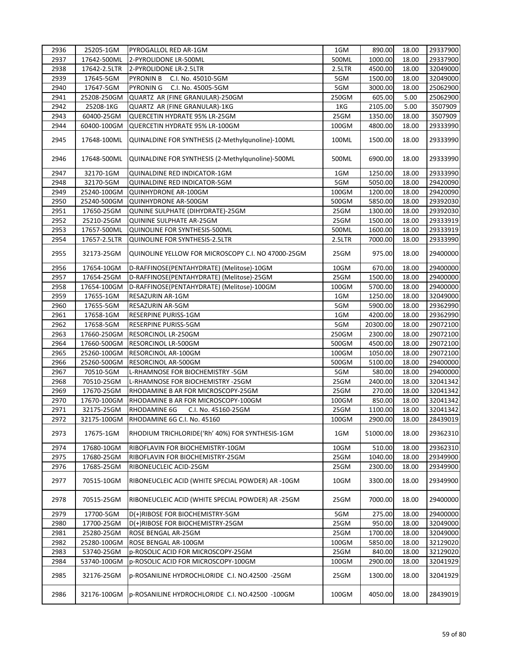| 2936 | 25205-1GM    | PYROGALLOL RED AR-1GM                              | 1GM    | 890.00   | 18.00 | 29337900 |
|------|--------------|----------------------------------------------------|--------|----------|-------|----------|
| 2937 | 17642-500ML  | 2-PYROLIDONE LR-500ML                              | 500ML  | 1000.00  | 18.00 | 29337900 |
| 2938 | 17642-2.5LTR | 2-PYROLIDONE LR-2.5LTR                             | 2.5LTR | 4500.00  | 18.00 | 32049000 |
| 2939 | 17645-5GM    | <b>PYRONIN B</b><br>C.I. No. 45010-5GM             | 5GM    | 1500.00  | 18.00 | 32049000 |
| 2940 | 17647-5GM    | <b>PYRONING</b><br>C.I. No. 45005-5GM              | 5GM    | 3000.00  | 18.00 | 25062900 |
| 2941 | 25208-250GM  | QUARTZ AR (FINE GRANULAR)-250GM                    | 250GM  | 605.00   | 5.00  | 25062900 |
| 2942 | 25208-1KG    | QUARTZ AR (FINE GRANULAR)-1KG                      | 1KG    | 2105.00  | 5.00  | 3507909  |
| 2943 | 60400-25GM   | QUERCETIN HYDRATE 95% LR-25GM                      | 25GM   | 1350.00  | 18.00 | 3507909  |
| 2944 | 60400-100GM  | QUERCETIN HYDRATE 95% LR-100GM                     | 100GM  | 4800.00  | 18.00 | 29333990 |
| 2945 | 17648-100ML  | QUINALDINE FOR SYNTHESIS (2-Methylqunoline)-100ML  | 100ML  | 1500.00  | 18.00 | 29333990 |
| 2946 | 17648-500ML  | QUINALDINE FOR SYNTHESIS (2-Methylqunoline)-500ML  | 500ML  | 6900.00  | 18.00 | 29333990 |
| 2947 | 32170-1GM    | QUINALDINE RED INDICATOR-1GM                       | 1GM    | 1250.00  | 18.00 | 29333990 |
| 2948 | 32170-5GM    | QUINALDINE RED INDICATOR-5GM                       | 5GM    | 5050.00  | 18.00 | 29420090 |
| 2949 | 25240-100GM  | QUINHYDRONE AR-100GM                               | 100GM  | 1200.00  | 18.00 | 29420090 |
| 2950 | 25240-500GM  | QUINHYDRONE AR-500GM                               | 500GM  | 5850.00  | 18.00 | 29392030 |
| 2951 | 17650-25GM   | QUNINE SULPHATE (DIHYDRATE)-25GM                   | 25GM   | 1300.00  | 18.00 | 29392030 |
| 2952 | 25210-25GM   | QUININE SULPHATE AR-25GM                           | 25GM   | 1500.00  | 18.00 | 29333919 |
| 2953 | 17657-500ML  | QUINOLINE FOR SYNTHESIS-500ML                      | 500ML  | 1600.00  | 18.00 | 29333919 |
| 2954 | 17657-2.5LTR | <b>QUINOLINE FOR SYNTHESIS-2.5LTR</b>              | 2.5LTR | 7000.00  | 18.00 | 29333990 |
| 2955 | 32173-25GM   | QUINOLINE YELLOW FOR MICROSCOPY C.I. NO 47000-25GM | 25GM   | 975.00   | 18.00 | 29400000 |
| 2956 | 17654-10GM   | D-RAFFINOSE(PENTAHYDRATE) (Melitose)-10GM          | 10GM   | 670.00   | 18.00 | 29400000 |
| 2957 | 17654-25GM   | D-RAFFINOSE(PENTAHYDRATE) (Melitose)-25GM          | 25GM   | 1500.00  | 18.00 | 29400000 |
| 2958 | 17654-100GM  | D-RAFFINOSE(PENTAHYDRATE) (Melitose)-100GM         | 100GM  | 5700.00  | 18.00 | 29400000 |
| 2959 | 17655-1GM    | RESAZURIN AR-1GM                                   | 1GM    | 1250.00  | 18.00 | 32049000 |
| 2960 | 17655-5GM    | RESAZURIN AR-5GM                                   | 5GM    | 5900.00  | 18.00 | 29362990 |
| 2961 | 17658-1GM    | RESERPINE PURISS-1GM                               | 1GM    | 4200.00  | 18.00 | 29362990 |
| 2962 | 17658-5GM    | RESERPINE PURISS-5GM                               | 5GM    | 20300.00 | 18.00 | 29072100 |
| 2963 | 17660-250GM  | RESORCINOL LR-250GM                                | 250GM  | 2300.00  | 18.00 | 29072100 |
| 2964 | 17660-500GM  | <b>RESORCINOL LR-500GM</b>                         | 500GM  | 4500.00  | 18.00 | 29072100 |
| 2965 | 25260-100GM  | <b>RESORCINOL AR-100GM</b>                         | 100GM  | 1050.00  | 18.00 | 29072100 |
| 2966 | 25260-500GM  | <b>RESORCINOL AR-500GM</b>                         | 500GM  | 5100.00  | 18.00 | 29400000 |
| 2967 | 70510-5GM    | L-RHAMNOSE FOR BIOCHEMISTRY -5GM                   | 5GM    | 580.00   | 18.00 | 29400000 |
| 2968 | 70510-25GM   | L-RHAMNOSE FOR BIOCHEMISTRY -25GM                  | 25GM   | 2400.00  | 18.00 | 32041342 |
| 2969 | 17670-25GM   | RHODAMINE B AR FOR MICROSCOPY-25GM                 | 25GM   | 270.00   | 18.00 | 32041342 |
| 2970 | 17670-100GM  | RHODAMINE B AR FOR MICROSCOPY-100GM                | 100GM  | 850.00   | 18.00 | 32041342 |
| 2971 | 32175-25GM   | RHODAMINE 6G<br>C.I. No. 45160-25GM                | 25GM   | 1100.00  | 18.00 | 32041342 |
| 2972 | 32175-100GM  | RHODAMINE 6G C.I. No. 45160                        | 100GM  | 2900.00  | 18.00 | 28439019 |
| 2973 | 17675-1GM    | RHODIUM TRICHLORIDE('Rh' 40%) FOR SYNTHESIS-1GM    | 1GM    | 51000.00 | 18.00 | 29362310 |
| 2974 | 17680-10GM   | RIBOFLAVIN FOR BIOCHEMISTRY-10GM                   | 10GM   | 510.00   | 18.00 | 29362310 |
| 2975 | 17680-25GM   | RIBOFLAVIN FOR BIOCHEMISTRY-25GM                   | 25GM   | 1040.00  | 18.00 | 29349900 |
| 2976 | 17685-25GM   | RIBONEUCLEIC ACID-25GM                             | 25GM   | 2300.00  | 18.00 | 29349900 |
| 2977 | 70515-10GM   | RIBONEUCLEIC ACID (WHITE SPECIAL POWDER) AR -10GM  | 10GM   | 3300.00  | 18.00 | 29349900 |
| 2978 | 70515-25GM   | RIBONEUCLEIC ACID (WHITE SPECIAL POWDER) AR -25GM  | 25GM   | 7000.00  | 18.00 | 29400000 |
| 2979 | 17700-5GM    | D(+)RIBOSE FOR BIOCHEMISTRY-5GM                    | 5GM    | 275.00   | 18.00 | 29400000 |
| 2980 | 17700-25GM   | D(+)RIBOSE FOR BIOCHEMISTRY-25GM                   | 25GM   | 950.00   | 18.00 | 32049000 |
| 2981 | 25280-25GM   | ROSE BENGAL AR-25GM                                | 25GM   | 1700.00  | 18.00 | 32049000 |
| 2982 | 25280-100GM  | ROSE BENGAL AR-100GM                               | 100GM  | 5850.00  | 18.00 | 32129020 |
| 2983 | 53740-25GM   | p-ROSOLIC ACID FOR MICROSCOPY-25GM                 | 25GM   | 840.00   | 18.00 | 32129020 |
| 2984 | 53740-100GM  | p-ROSOLIC ACID FOR MICROSCOPY-100GM                | 100GM  | 2900.00  | 18.00 | 32041929 |
| 2985 | 32176-25GM   | p-ROSANILINE HYDROCHLORIDE C.I. NO.42500 -25GM     | 25GM   | 1300.00  | 18.00 | 32041929 |
| 2986 | 32176-100GM  | p-ROSANILINE HYDROCHLORIDE C.I. NO.42500 -100GM    | 100GM  | 4050.00  | 18.00 | 28439019 |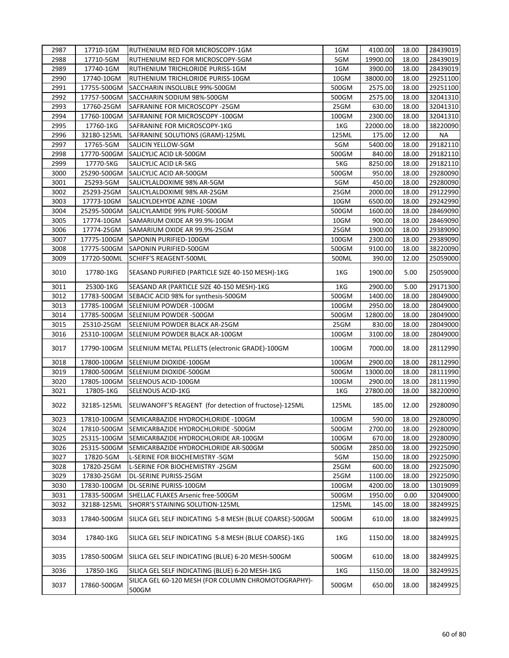| 2987 | 17710-1GM   | RUTHENIUM RED FOR MICROSCOPY-1GM                             | 1GM   | 4100.00  | 18.00 | 28439019 |
|------|-------------|--------------------------------------------------------------|-------|----------|-------|----------|
| 2988 | 17710-5GM   | RUTHENIUM RED FOR MICROSCOPY-5GM                             | 5GM   | 19900.00 | 18.00 | 28439019 |
| 2989 | 17740-1GM   | RUTHENIUM TRICHLORIDE PURISS-1GM                             | 1GM   | 3900.00  | 18.00 | 28439019 |
| 2990 | 17740-10GM  | RUTHENIUM TRICHLORIDE PURISS-10GM                            | 10GM  | 38000.00 | 18.00 | 29251100 |
| 2991 | 17755-500GM | SACCHARIN INSOLUBLE 99%-500GM                                | 500GM | 2575.00  | 18.00 | 29251100 |
| 2992 | 17757-500GM | SACCHARIN SODIUM 98%-500GM                                   | 500GM | 2575.00  | 18.00 | 32041310 |
| 2993 | 17760-25GM  | SAFRANINE FOR MICROSCOPY -25GM                               | 25GM  | 630.00   | 18.00 | 32041310 |
| 2994 | 17760-100GM | SAFRANINE FOR MICROSCOPY -100GM                              | 100GM | 2300.00  | 18.00 | 32041310 |
| 2995 | 17760-1KG   | SAFRANINE FOR MICROSCOPY-1KG                                 | 1KG   | 22000.00 | 18.00 | 38220090 |
| 2996 | 32180-125ML | SAFRANINE SOLUTIONS (GRAM)-125ML                             | 125ML | 175.00   | 12.00 | ΝA       |
| 2997 | 17765-5GM   | SALICIN YELLOW-5GM                                           | 5GM   | 5400.00  | 18.00 | 29182110 |
| 2998 | 17770-500GM | SALICYLIC ACID LR-500GM                                      | 500GM | 840.00   | 18.00 | 29182110 |
| 2999 | 17770-5KG   | SALICYLIC ACID LR-5KG                                        | 5KG   | 8250.00  | 18.00 | 29182110 |
| 3000 | 25290-500GM | SALICYLIC ACID AR-500GM                                      | 500GM | 950.00   | 18.00 | 29280090 |
| 3001 | 25293-5GM   | SALICYLALDOXIME 98% AR-5GM                                   | 5GM   | 450.00   | 18.00 | 29280090 |
| 3002 | 25293-25GM  | SALICYLALDOXIME 98% AR-25GM                                  | 25GM  | 2000.00  | 18.00 | 29122990 |
| 3003 | 17773-10GM  | SALICYLDEHYDE AZINE -10GM                                    | 10GM  | 6500.00  | 18.00 | 29242990 |
| 3004 | 25295-500GM | SALICYLAMIDE 99% PURE-500GM                                  | 500GM | 1600.00  | 18.00 | 28469090 |
| 3005 | 17774-10GM  | SAMARIUM OXIDE AR 99.9%-10GM                                 | 10GM  | 900.00   | 18.00 | 28469090 |
| 3006 | 17774-25GM  | SAMARIUM OXIDE AR 99.9%-25GM                                 | 25GM  | 1900.00  | 18.00 | 29389090 |
| 3007 | 17775-100GM | SAPONIN PURIFIED-100GM                                       | 100GM | 2300.00  | 18.00 | 29389090 |
| 3008 | 17775-500GM | SAPONIN PURIFIED-500GM                                       | 500GM | 9100.00  | 18.00 | 38220090 |
| 3009 | 17720-500ML | <b>SCHIFF'S REAGENT-500ML</b>                                | 500ML | 390.00   | 12.00 | 25059000 |
| 3010 | 17780-1KG   | SEASAND PURIFIED (PARTICLE SIZE 40-150 MESH)-1KG             | 1KG   | 1900.00  | 5.00  | 25059000 |
| 3011 | 25300-1KG   | SEASAND AR (PARTICLE SIZE 40-150 MESH)-1KG                   | 1KG   | 2900.00  | 5.00  | 29171300 |
| 3012 | 17783-500GM | SEBACIC ACID 98% for synthesis-500GM                         | 500GM | 1400.00  | 18.00 | 28049000 |
| 3013 | 17785-100GM | SELENIUM POWDER - 100GM                                      | 100GM | 2950.00  | 18.00 | 28049000 |
| 3014 | 17785-500GM | SELENIUM POWDER -500GM                                       | 500GM | 12800.00 | 18.00 | 28049000 |
| 3015 | 25310-25GM  | SELENIUM POWDER BLACK AR-25GM                                | 25GM  | 830.00   | 18.00 | 28049000 |
| 3016 | 25310-100GM | SELENIUM POWDER BLACK AR-100GM                               | 100GM | 3100.00  | 18.00 | 28049000 |
| 3017 | 17790-100GM | SELENIUM METAL PELLETS (electronic GRADE)-100GM              | 100GM | 7000.00  | 18.00 | 28112990 |
| 3018 | 17800-100GM | SELENIUM DIOXIDE-100GM                                       | 100GM | 2900.00  | 18.00 | 28112990 |
| 3019 | 17800-500GM | <b>ISELENIUM DIOXIDE-500GM</b>                               | 500GM | 13000.00 | 18.00 | 28111990 |
| 3020 | 17805-100GM | SELENOUS ACID-100GM                                          | 100GM | 2900.00  | 18.00 | 28111990 |
| 3021 | 17805-1KG   | SELENOUS ACID-1KG                                            | 1KG   | 27800.00 | 18.00 | 38220090 |
| 3022 | 32185-125ML | SELIWANOFF'S REAGENT (for detection of fructose)-125ML       | 125ML | 185.00   | 12.00 | 29280090 |
| 3023 | 17810-100GM | SEMICARBAZIDE HYDROCHLORIDE -100GM                           | 100GM | 590.00   | 18.00 | 29280090 |
| 3024 | 17810-500GM | SEMICARBAZIDE HYDROCHLORIDE -500GM                           | 500GM | 2700.00  | 18.00 | 29280090 |
| 3025 | 25315-100GM | SEMICARBAZIDE HYDROCHLORIDE AR-100GM                         | 100GM | 670.00   | 18.00 | 29280090 |
| 3026 | 25315-500GM | SEMICARBAZIDE HYDROCHLORIDE AR-500GM                         | 500GM | 2850.00  | 18.00 | 29225090 |
| 3027 | 17820-5GM   | L-SERINE FOR BIOCHEMISTRY -5GM                               | 5GM   | 150.00   | 18.00 | 29225090 |
| 3028 | 17820-25GM  | L-SERINE FOR BIOCHEMISTRY -25GM                              | 25GM  | 600.00   | 18.00 | 29225090 |
| 3029 | 17830-25GM  | DL-SERINE PURISS-25GM                                        | 25GM  | 1100.00  | 18.00 | 29225090 |
| 3030 | 17830-100GM | DL-SERINE PURISS-100GM                                       | 100GM | 4200.00  | 18.00 | 13019099 |
| 3031 | 17835-500GM | SHELLAC FLAKES Arsenic free-500GM                            | 500GM | 1950.00  | 0.00  | 32049000 |
| 3032 | 32188-125ML | SHORR'S STAINING SOLUTION-125ML                              | 125ML | 145.00   | 18.00 | 38249925 |
| 3033 | 17840-500GM | SILICA GEL SELF INDICATING 5-8 MESH (BLUE COARSE)-500GM      | 500GM | 610.00   | 18.00 | 38249925 |
| 3034 | 17840-1KG   | SILICA GEL SELF INDICATING 5-8 MESH (BLUE COARSE)-1KG        | 1KG   | 1150.00  | 18.00 | 38249925 |
| 3035 | 17850-500GM | SILICA GEL SELF INDICATING (BLUE) 6-20 MESH-500GM            | 500GM | 610.00   | 18.00 | 38249925 |
| 3036 | 17850-1KG   | SILICA GEL SELF INDICATING (BLUE) 6-20 MESH-1KG              | 1KG   | 1150.00  | 18.00 | 38249925 |
| 3037 | 17860-500GM | SILICA GEL 60-120 MESH (FOR COLUMN CHROMOTOGRAPHY)-<br>500GM | 500GM | 650.00   | 18.00 | 38249925 |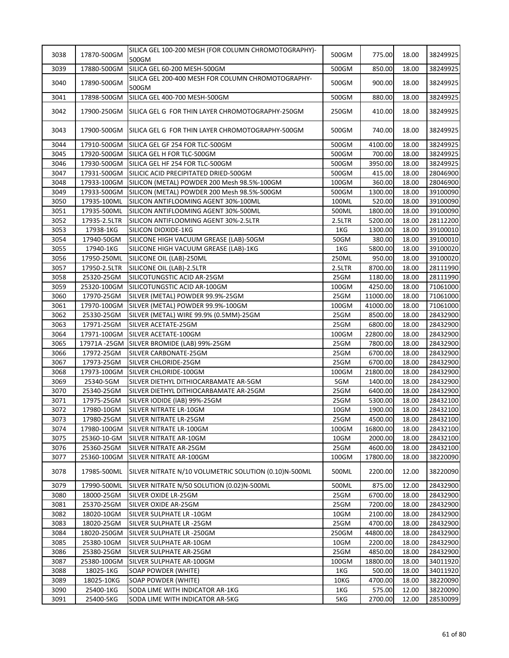| 3038 | 17870-500GM  | SILICA GEL 100-200 MESH (FOR COLUMN CHROMOTOGRAPHY)-<br>500GM | 500GM  | 775.00   | 18.00 | 38249925 |
|------|--------------|---------------------------------------------------------------|--------|----------|-------|----------|
| 3039 | 17880-500GM  | SILICA GEL 60-200 MESH-500GM                                  | 500GM  | 850.00   | 18.00 | 38249925 |
| 3040 | 17890-500GM  | SILICA GEL 200-400 MESH FOR COLUMN CHROMOTOGRAPHY-<br>500GM   | 500GM  | 900.00   | 18.00 | 38249925 |
| 3041 | 17898-500GM  | SILICA GEL 400-700 MESH-500GM                                 | 500GM  | 880.00   | 18.00 | 38249925 |
| 3042 | 17900-250GM  | SILICA GEL G FOR THIN LAYER CHROMOTOGRAPHY-250GM              | 250GM  | 410.00   | 18.00 | 38249925 |
| 3043 |              | 17900-500GM SILICA GEL G FOR THIN LAYER CHROMOTOGRAPHY-500GM  | 500GM  | 740.00   | 18.00 | 38249925 |
| 3044 |              | 17910-500GM SILICA GEL GF 254 FOR TLC-500GM                   | 500GM  | 4100.00  | 18.00 | 38249925 |
| 3045 | 17920-500GM  | SILICA GEL H FOR TLC-500GM                                    | 500GM  | 700.00   | 18.00 | 38249925 |
| 3046 | 17930-500GM  | SILICA GEL HF 254 FOR TLC-500GM                               | 500GM  | 3950.00  | 18.00 | 38249925 |
| 3047 | 17931-500GM  | SILICIC ACID PRECIPITATED DRIED-500GM                         | 500GM  | 415.00   | 18.00 | 28046900 |
| 3048 | 17933-100GM  | SILICON (METAL) POWDER 200 Mesh 98.5%-100GM                   | 100GM  | 360.00   | 18.00 | 28046900 |
| 3049 | 17933-500GM  | SILICON (METAL) POWDER 200 Mesh 98.5%-500GM                   | 500GM  | 1300.00  | 18.00 | 39100090 |
| 3050 | 17935-100ML  | SILICON ANTIFLOOMING AGENT 30%-100ML                          | 100ML  | 520.00   | 18.00 | 39100090 |
| 3051 | 17935-500ML  | SILICON ANTIFLOOMING AGENT 30%-500ML                          | 500ML  | 1800.00  | 18.00 | 39100090 |
| 3052 | 17935-2.5LTR | SILICON ANTIFLOOMING AGENT 30%-2.5LTR                         | 2.5LTR | 5200.00  | 18.00 | 28112200 |
| 3053 | 17938-1KG    | SILICON DIOXIDE-1KG                                           | 1KG    | 1300.00  | 18.00 | 39100010 |
| 3054 | 17940-50GM   | SILICONE HIGH VACUUM GREASE (LAB)-50GM                        | 50GM   | 380.00   | 18.00 | 39100010 |
| 3055 | 17940-1KG    | SILICONE HIGH VACUUM GREASE (LAB)-1KG                         | 1KG    | 5800.00  | 18.00 | 39100020 |
| 3056 | 17950-250ML  | SILICONE OIL (LAB)-250ML                                      | 250ML  | 950.00   | 18.00 | 39100020 |
| 3057 | 17950-2.5LTR | SILICONE OIL (LAB)-2.5LTR                                     | 2.5LTR | 8700.00  | 18.00 | 28111990 |
| 3058 | 25320-25GM   | SILICOTUNGSTIC ACID AR-25GM                                   | 25GM   | 1180.00  | 18.00 | 28111990 |
| 3059 | 25320-100GM  | SILICOTUNGSTIC ACID AR-100GM                                  | 100GM  | 4250.00  | 18.00 | 71061000 |
| 3060 | 17970-25GM   | SILVER (METAL) POWDER 99.9%-25GM                              | 25GM   | 11000.00 | 18.00 | 71061000 |
| 3061 | 17970-100GM  | SILVER (METAL) POWDER 99.9%-100GM                             | 100GM  | 41000.00 | 18.00 | 71061000 |
| 3062 | 25330-25GM   | SILVER (METAL) WIRE 99.9% (0.5MM)-25GM                        | 25GM   | 8500.00  | 18.00 | 28432900 |
| 3063 | 17971-25GM   | SILVER ACETATE-25GM                                           | 25GM   | 6800.00  | 18.00 | 28432900 |
| 3064 | 17971-100GM  | SILVER ACETATE-100GM                                          | 100GM  | 22800.00 | 18.00 | 28432900 |
| 3065 | 17971A -25GM | SILVER BROMIDE (LAB) 99%-25GM                                 | 25GM   | 7800.00  | 18.00 | 28432900 |
| 3066 | 17972-25GM   | SILVER CARBONATE-25GM                                         | 25GM   | 6700.00  | 18.00 | 28432900 |
| 3067 | 17973-25GM   | SILVER CHLORIDE-25GM                                          | 25GM   | 6700.00  | 18.00 | 28432900 |
| 3068 | 17973-100GM  | SILVER CHLORIDE-100GM                                         | 100GM  | 21800.00 | 18.00 | 28432900 |
| 3069 | 25340-5GM    | SILVER DIETHYL DITHIOCARBAMATE AR-5GM                         | 5GM    | 1400.00  | 18.00 | 28432900 |
| 3070 | 25340-25GM   | SILVER DIETHYL DITHIOCARBAMATE AR-25GM                        | 25GM   | 6400.00  | 18.00 | 28432900 |
| 3071 | 17975-25GM   | SILVER IODIDE (IAB) 99%-25GM                                  | 25GM   | 5300.00  | 18.00 | 28432100 |
| 3072 | 17980-10GM   | SILVER NITRATE LR-10GM                                        | 10GM   | 1900.00  | 18.00 | 28432100 |
| 3073 | 17980-25GM   | SILVER NITRATE LR-25GM                                        | 25GM   | 4500.00  | 18.00 | 28432100 |
| 3074 | 17980-100GM  | SILVER NITRATE LR-100GM                                       | 100GM  | 16800.00 | 18.00 | 28432100 |
| 3075 | 25360-10-GM  | SILVER NITRATE AR-10GM                                        | 10GM   | 2000.00  | 18.00 | 28432100 |
| 3076 | 25360-25GM   | SILVER NITRATE AR-25GM                                        | 25GM   | 4600.00  | 18.00 | 28432100 |
| 3077 | 25360-100GM  | SILVER NITRATE AR-100GM                                       | 100GM  | 17800.00 | 18.00 | 38220090 |
| 3078 | 17985-500ML  | SILVER NITRATE N/10 VOLUMETRIC SOLUTION (0.10)N-500ML         | 500ML  | 2200.00  | 12.00 | 38220090 |
| 3079 | 17990-500ML  | SILVER NITRATE N/50 SOLUTION (0.02)N-500ML                    | 500ML  | 875.00   | 12.00 | 28432900 |
| 3080 | 18000-25GM   | SILVER OXIDE LR-25GM                                          | 25GM   | 6700.00  | 18.00 | 28432900 |
| 3081 | 25370-25GM   | SILVER OXIDE AR-25GM                                          | 25GM   | 7200.00  | 18.00 | 28432900 |
| 3082 | 18020-10GM   | SILVER SULPHATE LR -10GM                                      | 10GM   | 2100.00  | 18.00 | 28432900 |
| 3083 | 18020-25GM   | SILVER SULPHATE LR -25GM                                      | 25GM   | 4700.00  | 18.00 | 28432900 |
| 3084 | 18020-250GM  | SILVER SULPHATE LR -250GM                                     | 250GM  | 44800.00 | 18.00 | 28432900 |
| 3085 | 25380-10GM   | SILVER SULPHATE AR-10GM                                       | 10GM   | 2200.00  | 18.00 | 28432900 |
| 3086 | 25380-25GM   | SILVER SULPHATE AR-25GM                                       | 25GM   | 4850.00  | 18.00 | 28432900 |
| 3087 | 25380-100GM  | SILVER SULPHATE AR-100GM                                      | 100GM  | 18800.00 | 18.00 | 34011920 |
| 3088 | 18025-1KG    | <b>SOAP POWDER (WHITE)</b>                                    | 1KG    | 500.00   | 18.00 | 34011920 |
| 3089 | 18025-10KG   | SOAP POWDER (WHITE)                                           | 10KG   | 4700.00  | 18.00 | 38220090 |
| 3090 | 25400-1KG    | SODA LIME WITH INDICATOR AR-1KG                               | 1KG    | 575.00   | 12.00 | 38220090 |
| 3091 | 25400-5KG    | SODA LIME WITH INDICATOR AR-5KG                               | 5KG    | 2700.00  | 12.00 | 28530099 |
|      |              |                                                               |        |          |       |          |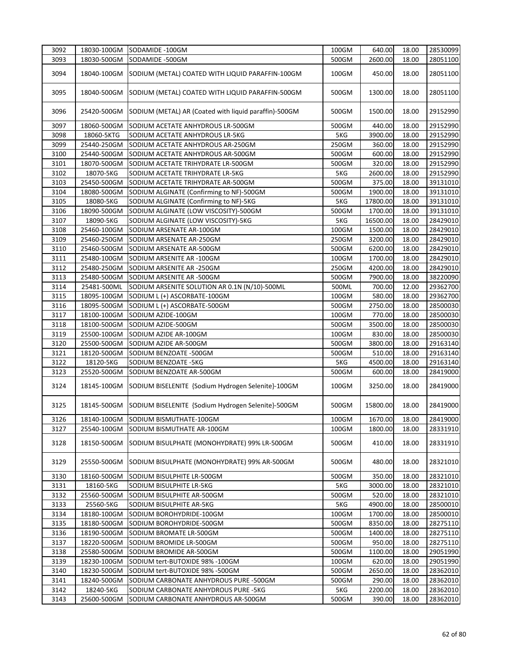| 3092 | 18030-100GM | SODAMIDE -100GM                                       | 100GM | 640.00   | 18.00 | 28530099 |
|------|-------------|-------------------------------------------------------|-------|----------|-------|----------|
| 3093 | 18030-500GM | SODAMIDE -500GM                                       | 500GM | 2600.00  | 18.00 | 28051100 |
| 3094 | 18040-100GM | SODIUM (METAL) COATED WITH LIQUID PARAFFIN-100GM      | 100GM | 450.00   | 18.00 | 28051100 |
| 3095 | 18040-500GM | SODIUM (METAL) COATED WITH LIQUID PARAFFIN-500GM      | 500GM | 1300.00  | 18.00 | 28051100 |
| 3096 | 25420-500GM | SODIUM (METAL) AR (Coated with liquid paraffin)-500GM | 500GM | 1500.00  | 18.00 | 29152990 |
| 3097 | 18060-500GM | SODIUM ACETATE ANHYDROUS LR-500GM                     | 500GM | 440.00   | 18.00 | 29152990 |
| 3098 | 18060-5KTG  | SODIUM ACETATE ANHYDROUS LR-5KG                       | 5KG   | 3900.00  | 18.00 | 29152990 |
| 3099 | 25440-250GM | SODIUM ACETATE ANHYDROUS AR-250GM                     | 250GM | 360.00   | 18.00 | 29152990 |
| 3100 | 25440-500GM | SODIUM ACETATE ANHYDROUS AR-500GM                     | 500GM | 600.00   | 18.00 | 29152990 |
| 3101 | 18070-500GM | SODIUM ACETATE TRIHYDRATE LR-500GM                    | 500GM | 320.00   | 18.00 | 29152990 |
| 3102 | 18070-5KG   | SODIUM ACETATE TRIHYDRATE LR-5KG                      | 5KG   | 2600.00  | 18.00 | 29152990 |
| 3103 | 25450-500GM | SODIUM ACETATE TRIHYDRATE AR-500GM                    | 500GM | 375.00   | 18.00 | 39131010 |
| 3104 | 18080-500GM | SODIUM ALGINATE (Confirming to NF)-500GM              | 500GM | 1900.00  | 18.00 | 39131010 |
| 3105 | 18080-5KG   | SODIUM ALGINATE (Confirming to NF)-5KG                | 5KG   | 17800.00 | 18.00 | 39131010 |
| 3106 | 18090-500GM | SODIUM ALGINATE (LOW VISCOSITY)-500GM                 | 500GM | 1700.00  | 18.00 | 39131010 |
| 3107 | 18090-5KG   | SODIUM ALGINATE (LOW VISCOSITY)-5KG                   | 5KG   | 16500.00 | 18.00 | 28429010 |
| 3108 | 25460-100GM | SODIUM ARSENATE AR-100GM                              | 100GM | 1500.00  | 18.00 | 28429010 |
| 3109 | 25460-250GM | SODIUM ARSENATE AR-250GM                              | 250GM | 3200.00  | 18.00 | 28429010 |
| 3110 | 25460-500GM | SODIUM ARSENATE AR-500GM                              | 500GM | 6200.00  | 18.00 | 28429010 |
| 3111 | 25480-100GM | SODIUM ARSENITE AR -100GM                             | 100GM | 1700.00  | 18.00 | 28429010 |
| 3112 | 25480-250GM | SODIUM ARSENITE AR -250GM                             | 250GM | 4200.00  | 18.00 | 28429010 |
| 3113 | 25480-500GM | SODIUM ARSENITE AR -500GM                             | 500GM | 7900.00  | 18.00 | 38220090 |
| 3114 | 25481-500ML | SODIUM ARSENITE SOLUTION AR 0.1N (N/10)-500ML         | 500ML | 700.00   | 12.00 | 29362700 |
| 3115 | 18095-100GM | SODIUM L (+) ASCORBATE-100GM                          | 100GM | 580.00   | 18.00 | 29362700 |
| 3116 | 18095-500GM | SODIUM L (+) ASCORBATE-500GM                          | 500GM | 2750.00  | 18.00 | 28500030 |
| 3117 | 18100-100GM | SODIUM AZIDE-100GM                                    | 100GM | 770.00   | 18.00 | 28500030 |
| 3118 | 18100-500GM | SODIUM AZIDE-500GM                                    | 500GM | 3500.00  | 18.00 | 28500030 |
| 3119 | 25500-100GM | SODIUM AZIDE AR-100GM                                 | 100GM | 830.00   | 18.00 | 28500030 |
| 3120 | 25500-500GM | SODIUM AZIDE AR-500GM                                 | 500GM | 3800.00  | 18.00 | 29163140 |
| 3121 | 18120-500GM | SODIUM BENZOATE -500GM                                | 500GM | 510.00   | 18.00 | 29163140 |
| 3122 | 18120-5KG   | SODIUM BENZOATE -5KG                                  | 5KG   | 4500.00  | 18.00 | 29163140 |
| 3123 | 25520-500GM | SODIUM BENZOATE AR-500GM                              | 500GM | 600.00   | 18.00 | 28419000 |
| 3124 | 18145-100GM | SODIUM BISELENITE {Sodium Hydrogen Selenite}-100GM    | 100GM | 3250.00  | 18.00 | 28419000 |
| 3125 | 18145-500GM | SODIUM BISELENITE {Sodium Hydrogen Selenite}-500GM    | 500GM | 15800.00 | 18.00 | 28419000 |
| 3126 | 18140-100GM | SODIUM BISMUTHATE-100GM                               | 100GM | 1670.00  | 18.00 | 28419000 |
| 3127 | 25540-100GM | SODIUM BISMUTHATE AR-100GM                            | 100GM | 1800.00  | 18.00 | 28331910 |
| 3128 | 18150-500GM | SODIUM BISULPHATE (MONOHYDRATE) 99% LR-500GM          | 500GM | 410.00   | 18.00 | 28331910 |
| 3129 | 25550-500GM | SODIUM BISULPHATE (MONOHYDRATE) 99% AR-500GM          | 500GM | 480.00   | 18.00 | 28321010 |
| 3130 | 18160-500GM | SODIUM BISULPHITE LR-500GM                            | 500GM | 350.00   | 18.00 | 28321010 |
| 3131 | 18160-5KG   | SODIUM BISULPHITE LR-5KG                              | 5KG   | 3000.00  | 18.00 | 28321010 |
| 3132 | 25560-500GM | SODIUM BISULPHITE AR-500GM                            | 500GM | 520.00   | 18.00 | 28321010 |
| 3133 | 25560-5KG   | SODIUM BISULPHITE AR-5KG                              | 5KG   | 4900.00  | 18.00 | 28500010 |
| 3134 | 18180-100GM | SODIUM BOROHYDRIDE-100GM                              | 100GM | 1700.00  | 18.00 | 28500010 |
| 3135 | 18180-500GM | SODIUM BOROHYDRIDE-500GM                              | 500GM | 8350.00  | 18.00 | 28275110 |
| 3136 | 18190-500GM | SODIUM BROMATE LR-500GM                               | 500GM | 1400.00  | 18.00 | 28275110 |
| 3137 | 18220-500GM | SODIUM BROMIDE LR-500GM                               | 500GM | 950.00   | 18.00 | 28275110 |
| 3138 | 25580-500GM | SODIUM BROMIDE AR-500GM                               | 500GM | 1100.00  | 18.00 | 29051990 |
| 3139 | 18230-100GM | SODIUM tert-BUTOXIDE 98% -100GM                       | 100GM | 620.00   | 18.00 | 29051990 |
| 3140 | 18230-500GM | SODIUM tert-BUTOXIDE 98% -500GM                       | 500GM | 2650.00  | 18.00 | 28362010 |
| 3141 | 18240-500GM | SODIUM CARBONATE ANHYDROUS PURE -500GM                | 500GM | 290.00   | 18.00 | 28362010 |
| 3142 | 18240-5KG   | SODIUM CARBONATE ANHYDROUS PURE -5KG                  | 5KG   | 2200.00  | 18.00 | 28362010 |
| 3143 | 25600-500GM | SODIUM CARBONATE ANHYDROUS AR-500GM                   | 500GM | 390.00   | 18.00 | 28362010 |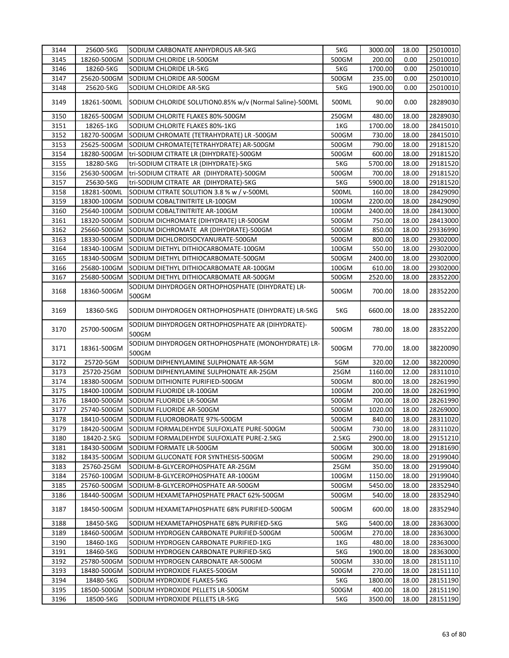| 3144 | 25600-5KG   | SODIUM CARBONATE ANHYDROUS AR-5KG                           | 5KG   | 3000.00 | 18.00 | 25010010 |
|------|-------------|-------------------------------------------------------------|-------|---------|-------|----------|
| 3145 | 18260-500GM | SODIUM CHLORIDE LR-500GM                                    | 500GM | 200.00  | 0.00  | 25010010 |
| 3146 | 18260-5KG   | SODIUM CHLORIDE LR-5KG                                      | 5KG   | 1700.00 | 0.00  | 25010010 |
| 3147 | 25620-500GM | SODIUM CHLORIDE AR-500GM                                    | 500GM | 235.00  | 0.00  | 25010010 |
| 3148 | 25620-5KG   | SODIUM CHLORIDE AR-5KG                                      | 5KG   | 1900.00 | 0.00  | 25010010 |
| 3149 | 18261-500ML | SODIUM CHLORIDE SOLUTION0.85% w/v (Normal Saline)-500ML     | 500ML | 90.00   | 0.00  | 28289030 |
| 3150 | 18265-500GM | SODIUM CHLORITE FLAKES 80%-500GM                            | 250GM | 480.00  | 18.00 | 28289030 |
| 3151 | 18265-1KG   | SODIUM CHLORITE FLAKES 80%-1KG                              | 1KG   | 1700.00 | 18.00 | 28415010 |
| 3152 | 18270-500GM | SODIUM CHROMATE (TETRAHYDRATE) LR -500GM                    | 500GM | 730.00  | 18.00 | 28415010 |
| 3153 | 25625-500GM | SODIUM CHROMATE(TETRAHYDRATE) AR-500GM                      | 500GM | 790.00  | 18.00 | 29181520 |
| 3154 | 18280-500GM | tri-SODIUM CITRATE LR (DIHYDRATE)-500GM                     | 500GM | 600.00  | 18.00 | 29181520 |
| 3155 | 18280-5KG   | tri-SODIUM CITRATE LR (DIHYDRATE)-5KG                       | 5KG   | 5700.00 | 18.00 | 29181520 |
| 3156 | 25630-500GM | tri-SODIUM CITRATE AR (DIHYDRATE)-500GM                     | 500GM | 700.00  | 18.00 | 29181520 |
| 3157 | 25630-5KG   | tri-SODIUM CITRATE AR (DIHYDRATE)-5KG                       | 5KG   | 5900.00 | 18.00 | 29181520 |
| 3158 | 18281-500ML | SODIUM CITRATE SOLUTION 3.8 % w / v-500ML                   | 500ML | 160.00  | 18.00 | 28429090 |
| 3159 | 18300-100GM | SODIUM COBALTINITRITE LR-100GM                              | 100GM | 2200.00 | 18.00 | 28429090 |
| 3160 | 25640-100GM | SODIUM COBALTINITRITE AR-100GM                              | 100GM | 2400.00 | 18.00 | 28413000 |
| 3161 | 18320-500GM | SODIUM DICHROMATE (DIHYDRATE) LR-500GM                      | 500GM | 750.00  | 18.00 | 28413000 |
| 3162 | 25660-500GM | SODIUM DICHROMATE AR (DIHYDRATE)-500GM                      | 500GM | 850.00  | 18.00 | 29336990 |
| 3163 | 18330-500GM | SODIUM DICHLOROISOCYANURATE-500GM                           | 500GM | 800.00  | 18.00 | 29302000 |
| 3164 | 18340-100GM | SODIUM DIETHYL DITHIOCARBOMATE-100GM                        | 100GM | 550.00  | 18.00 | 29302000 |
| 3165 | 18340-500GM | SODIUM DIETHYL DITHIOCARBOMATE-500GM                        | 500GM | 2400.00 | 18.00 | 29302000 |
| 3166 | 25680-100GM | SODIUM DIETHYL DITHIOCARBOMATE AR-100GM                     | 100GM | 610.00  | 18.00 | 29302000 |
| 3167 | 25680-500GM | SODIUM DIETHYL DITHIOCARBOMATE AR-500GM                     | 500GM | 2520.00 | 18.00 | 28352200 |
| 3168 | 18360-500GM | SODIUM DIHYDROGEN ORTHOPHOSPHATE (DIHYDRATE) LR-<br>500GM   | 500GM | 700.00  | 18.00 | 28352200 |
| 3169 | 18360-5KG   | SODIUM DIHYDROGEN ORTHOPHOSPHATE (DIHYDRATE) LR-5KG         | 5KG   | 6600.00 | 18.00 | 28352200 |
| 3170 | 25700-500GM | SODIUM DIHYDROGEN ORTHOPHOSPHATE AR (DIHYDRATE)-<br>500GM   | 500GM | 780.00  | 18.00 | 28352200 |
| 3171 | 18361-500GM | SODIUM DIHYDROGEN ORTHOPHOSPHATE (MONOHYDRATE) LR-<br>500GM | 500GM | 770.00  | 18.00 | 38220090 |
| 3172 | 25720-5GM   | SODIUM DIPHENYLAMINE SULPHONATE AR-5GM                      | 5GM   | 320.00  | 12.00 | 38220090 |
| 3173 | 25720-25GM  | SODIUM DIPHENYLAMINE SULPHONATE AR-25GM                     | 25GM  | 1160.00 | 12.00 | 28311010 |
| 3174 | 18380-500GM | SODIUM DITHIONITE PURIFIED-500GM                            | 500GM | 800.00  | 18.00 | 28261990 |
| 3175 | 18400-100GM | SODIUM FLUORIDE LR-100GM                                    | 100GM | 200.00  | 18.00 | 28261990 |
| 3176 | 18400-500GM | SODIUM FLUORIDE LR-500GM                                    | 500GM | 700.00  | 18.00 | 28261990 |
| 3177 | 25740-500GM | SODIUM FLUORIDE AR-500GM                                    | 500GM | 1020.00 | 18.00 | 28269000 |
| 3178 | 18410-500GM | SODIUM FLUOROBORATE 97%-500GM                               | 500GM | 840.00  | 18.00 | 28311020 |
| 3179 | 18420-500GM | SODIUM FORMALDEHYDE SULFOXLATE PURE-500GM                   | 500GM | 730.00  | 18.00 | 28311020 |
| 3180 | 18420-2.5KG | SODIUM FORMALDEHYDE SULFOXLATE PURE-2.5KG                   | 2.5KG | 2900.00 | 18.00 | 29151210 |
| 3181 | 18430-500GM | SODIUM FORMATE LR-500GM                                     | 500GM | 300.00  | 18.00 | 29181690 |
| 3182 | 18435-500GM | SODIUM GLUCONATE FOR SYNTHESIS-500GM                        | 500GM | 290.00  | 18.00 | 29199040 |
| 3183 | 25760-25GM  | SODIUM-B-GLYCEROPHOSPHATE AR-25GM                           | 25GM  | 350.00  | 18.00 | 29199040 |
| 3184 | 25760-100GM | SODIUM-B-GLYCEROPHOSPHATE AR-100GM                          | 100GM | 1150.00 | 18.00 | 29199040 |
| 3185 | 25760-500GM | SODIUM-B-GLYCEROPHOSPHATE AR-500GM                          | 500GM | 5450.00 | 18.00 | 28352940 |
| 3186 | 18440-500GM | SODIUM HEXAMETAPHOSPHATE PRACT 62%-500GM                    | 500GM | 540.00  | 18.00 | 28352940 |
| 3187 | 18450-500GM | SODIUM HEXAMETAPHOSPHATE 68% PURIFIED-500GM                 | 500GM | 600.00  | 18.00 | 28352940 |
| 3188 | 18450-5KG   | SODIUM HEXAMETAPHOSPHATE 68% PURIFIED-5KG                   | 5KG   | 5400.00 | 18.00 | 28363000 |
| 3189 | 18460-500GM | SODIUM HYDROGEN CARBONATE PURIFIED-500GM                    | 500GM | 270.00  | 18.00 | 28363000 |
| 3190 | 18460-1KG   | SODIUM HYDROGEN CARBONATE PURIFIED-1KG                      | 1KG   | 480.00  | 18.00 | 28363000 |
| 3191 | 18460-5KG   | SODIUM HYDROGEN CARBONATE PURIFIED-5KG                      | 5KG   | 1900.00 | 18.00 | 28363000 |
| 3192 | 25780-500GM | SODIUM HYDROGEN CARBONATE AR-500GM                          | 500GM | 330.00  | 18.00 | 28151110 |
| 3193 | 18480-500GM | SODIUM HYDROXIDE FLAKES-500GM                               | 500GM | 270.00  | 18.00 | 28151110 |
| 3194 | 18480-5KG   | SODIUM HYDROXIDE FLAKES-5KG                                 | 5KG   | 1800.00 | 18.00 | 28151190 |
| 3195 | 18500-500GM | SODIUM HYDROXIDE PELLETS LR-500GM                           | 500GM | 400.00  | 18.00 | 28151190 |
| 3196 | 18500-5KG   | SODIUM HYDROXIDE PELLETS LR-5KG                             | 5KG   | 3500.00 | 18.00 | 28151190 |
|      |             |                                                             |       |         |       |          |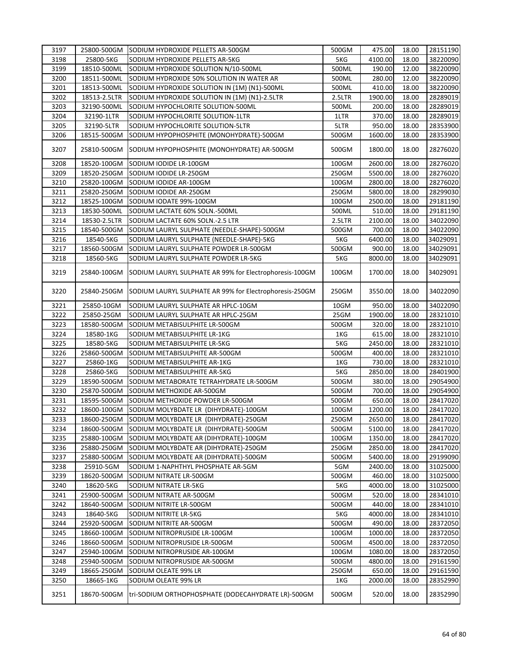| 3197 |              | 25800-500GM SODIUM HYDROXIDE PELLETS AR-500GM           | 500GM  | 475.00  | 18.00 | 28151190 |
|------|--------------|---------------------------------------------------------|--------|---------|-------|----------|
| 3198 | 25800-5KG    | SODIUM HYDROXIDE PELLETS AR-5KG                         | 5KG    | 4100.00 | 18.00 | 38220090 |
| 3199 | 18510-500ML  | SODIUM HYDROXIDE SOLUTION N/10-500ML                    | 500ML  | 190.00  | 12.00 | 38220090 |
| 3200 | 18511-500ML  | SODIUM HYDROXIDE 50% SOLUTION IN WATER AR               | 500ML  | 280.00  | 12.00 | 38220090 |
| 3201 | 18513-500ML  | SODIUM HYDROXIDE SOLUTION IN (1M) (N1)-500ML            | 500ML  | 410.00  | 18.00 | 38220090 |
| 3202 | 18513-2.5LTR | SODIUM HYDROXIDE SOLUTION IN (1M) (N1)-2.5LTR           | 2.5LTR | 1900.00 | 18.00 | 28289019 |
| 3203 | 32190-500ML  | SODIUM HYPOCHLORITE SOLUTION-500ML                      | 500ML  | 200.00  | 18.00 | 28289019 |
| 3204 | 32190-1LTR   | SODIUM HYPOCHLORITE SOLUTION-1LTR                       | 1LTR   | 370.00  | 18.00 | 28289019 |
| 3205 | 32190-5LTR   | SODIUM HYPOCHLORITE SOLUTION-5LTR                       | 5LTR   | 950.00  | 18.00 | 28353900 |
| 3206 | 18515-500GM  | SODIUM HYPOPHOSPHITE (MONOHYDRATE)-500GM                | 500GM  | 1600.00 | 18.00 | 28353900 |
| 3207 | 25810-500GM  | SODIUM HYPOPHOSPHITE (MONOHYDRATE) AR-500GM             | 500GM  | 1800.00 | 18.00 | 28276020 |
| 3208 | 18520-100GM  | SODIUM IODIDE LR-100GM                                  | 100GM  | 2600.00 | 18.00 | 28276020 |
| 3209 | 18520-250GM  | SODIUM IODIDE LR-250GM                                  | 250GM  | 5500.00 | 18.00 | 28276020 |
| 3210 | 25820-100GM  | SODIUM IODIDE AR-100GM                                  | 100GM  | 2800.00 | 18.00 | 28276020 |
| 3211 | 25820-250GM  | SODIUM IODIDE AR-250GM                                  | 250GM  | 5800.00 | 18.00 | 28299030 |
| 3212 | 18525-100GM  | SODIUM IODATE 99%-100GM                                 | 100GM  | 2500.00 | 18.00 | 29181190 |
| 3213 | 18530-500ML  | SODIUM LACTATE 60% SOLN.-500ML                          | 500ML  | 510.00  | 18.00 | 29181190 |
| 3214 | 18530-2.5LTR | SODIUM LACTATE 60% SOLN.-2.5 LTR                        | 2.5LTR | 2100.00 | 18.00 | 34022090 |
| 3215 | 18540-500GM  | SODIUM LAURYL SULPHATE (NEEDLE-SHAPE)-500GM             | 500GM  | 700.00  | 18.00 | 34022090 |
| 3216 | 18540-5KG    | SODIUM LAURYL SULPHATE (NEEDLE-SHAPE)-5KG               | 5KG    | 6400.00 | 18.00 | 34029091 |
| 3217 | 18560-500GM  | SODIUM LAURYL SULPHATE POWDER LR-500GM                  | 500GM  | 900.00  | 18.00 | 34029091 |
| 3218 | 18560-5KG    | SODIUM LAURYL SULPHATE POWDER LR-5KG                    | 5KG    | 8000.00 | 18.00 | 34029091 |
|      |              |                                                         |        |         |       |          |
| 3219 | 25840-100GM  | SODIUM LAURYL SULPHATE AR 99% for Electrophoresis-100GM | 100GM  | 1700.00 | 18.00 | 34029091 |
| 3220 | 25840-250GM  | SODIUM LAURYL SULPHATE AR 99% for Electrophoresis-250GM | 250GM  | 3550.00 | 18.00 | 34022090 |
| 3221 | 25850-10GM   | SODIUM LAURYL SULPHATE AR HPLC-10GM                     | 10GM   | 950.00  | 18.00 | 34022090 |
| 3222 | 25850-25GM   | SODIUM LAURYL SULPHATE AR HPLC-25GM                     | 25GM   | 1900.00 | 18.00 | 28321010 |
| 3223 | 18580-500GM  | SODIUM METABISULPHITE LR-500GM                          | 500GM  | 320.00  | 18.00 | 28321010 |
| 3224 | 18580-1KG    | SODIUM METABISULPHITE LR-1KG                            | 1KG    | 615.00  | 18.00 | 28321010 |
| 3225 | 18580-5KG    | SODIUM METABISULPHITE LR-5KG                            | 5KG    | 2450.00 | 18.00 | 28321010 |
| 3226 | 25860-500GM  | SODIUM METABISULPHITE AR-500GM                          | 500GM  | 400.00  | 18.00 | 28321010 |
| 3227 | 25860-1KG    | SODIUM METABISULPHITE AR-1KG                            | 1KG    | 730.00  | 18.00 | 28321010 |
| 3228 | 25860-5KG    | SODIUM METABISULPHITE AR-5KG                            | 5KG    | 2850.00 | 18.00 | 28401900 |
| 3229 | 18590-500GM  | SODIUM METABORATE TETRAHYDRATE LR-500GM                 | 500GM  | 380.00  | 18.00 | 29054900 |
| 3230 | 25870-500GM  | SODIUM METHOXIDE AR-500GM                               | 500GM  | 700.00  | 18.00 | 29054900 |
| 3231 | 18595-500GM  | SODIUM METHOXIDE POWDER LR-500GM                        | 500GM  | 650.00  | 18.00 | 28417020 |
| 3232 | 18600-100GM  | SODIUM MOLYBDATE LR (DIHYDRATE)-100GM                   | 100GM  | 1200.00 | 18.00 | 28417020 |
| 3233 |              | 18600-250GM SODIUM MOLYBDATE LR (DIHYDRATE)-250GM       | 250GM  | 2650.00 | 18.00 | 28417020 |
| 3234 | 18600-500GM  | SODIUM MOLYBDATE LR (DIHYDRATE)-500GM                   | 500GM  | 5100.00 | 18.00 | 28417020 |
| 3235 | 25880-100GM  | SODIUM MOLYBDATE AR (DIHYDRATE)-100GM                   | 100GM  | 1350.00 | 18.00 | 28417020 |
| 3236 | 25880-250GM  | SODIUM MOLYBDATE AR (DIHYDRATE)-250GM                   | 250GM  | 2850.00 | 18.00 | 28417020 |
| 3237 | 25880-500GM  | SODIUM MOLYBDATE AR (DIHYDRATE)-500GM                   | 500GM  | 5400.00 | 18.00 | 29199090 |
| 3238 | 25910-5GM    | SODIUM 1-NAPHTHYL PHOSPHATE AR-5GM                      | 5GM    | 2400.00 | 18.00 | 31025000 |
| 3239 | 18620-500GM  | SODIUM NITRATE LR-500GM                                 | 500GM  | 460.00  | 18.00 | 31025000 |
| 3240 | 18620-5KG    | SODIUM NITRATE LR-5KG                                   | 5KG    | 4000.00 | 18.00 | 31025000 |
| 3241 | 25900-500GM  | SODIUM NITRATE AR-500GM                                 | 500GM  | 520.00  | 18.00 | 28341010 |
| 3242 | 18640-500GM  | SODIUM NITRITE LR-500GM                                 | 500GM  | 440.00  | 18.00 | 28341010 |
|      |              |                                                         |        |         |       |          |
| 3243 | 18640-5KG    | SODIUM NITRITE LR-5KG                                   | 5KG    | 4000.00 | 18.00 | 28341010 |
| 3244 | 25920-500GM  | SODIUM NITRITE AR-500GM                                 | 500GM  | 490.00  | 18.00 | 28372050 |
| 3245 | 18660-100GM  | SODIUM NITROPRUSIDE LR-100GM                            | 100GM  | 1000.00 | 18.00 | 28372050 |
| 3246 | 18660-500GM  | SODIUM NITROPRUSIDE LR-500GM                            | 500GM  | 4500.00 | 18.00 | 28372050 |
| 3247 | 25940-100GM  | SODIUM NITROPRUSIDE AR-100GM                            | 100GM  | 1080.00 | 18.00 | 28372050 |
| 3248 | 25940-500GM  | SODIUM NITROPRUSIDE AR-500GM                            | 500GM  | 4800.00 | 18.00 | 29161590 |
| 3249 | 18665-250GM  | SODIUM OLEATE 99% LR                                    | 250GM  | 650.00  | 18.00 | 29161590 |
| 3250 | 18665-1KG    | SODIUM OLEATE 99% LR                                    | 1KG    | 2000.00 | 18.00 | 28352990 |
| 3251 | 18670-500GM  | tri-SODIUM ORTHOPHOSPHATE (DODECAHYDRATE LR)-500GM      | 500GM  | 520.00  | 18.00 | 28352990 |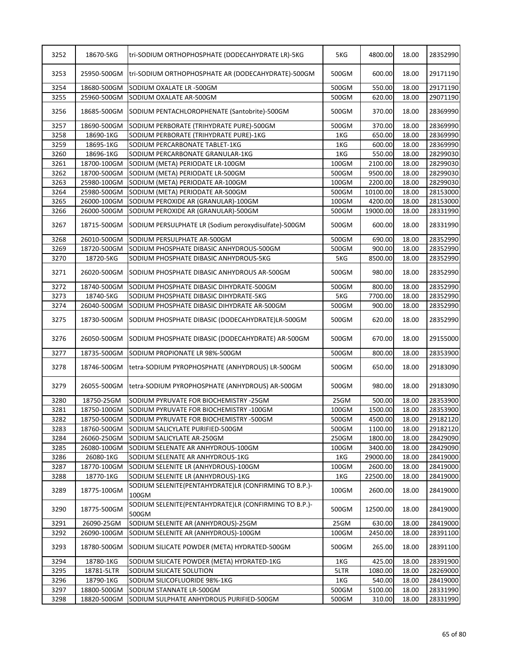| 3253<br>25950-500GM<br>tri-SODIUM ORTHOPHOSPHATE AR (DODECAHYDRATE)-500GM<br>500GM<br>600.00<br>18.00<br>29171190<br>3254<br>18680-500GM<br>SODIUM OXALATE LR -500GM<br>500GM<br>550.00<br>18.00<br>3255<br>25960-500GM<br>SODIUM OXALATE AR-500GM<br>500GM<br>620.00<br>18.00<br>29071190<br>500GM<br>370.00<br>3256<br>18685-500GM<br>SODIUM PENTACHLOROPHENATE (Santobrite)-500GM<br>18.00<br>28369990<br>3257<br>SODIUM PERBORATE (TRIHYDRATE PURE)-500GM<br>370.00<br>18.00<br>18690-500GM<br>500GM<br>3258<br>18690-1KG<br>SODIUM PERBORATE (TRIHYDRATE PURE)-1KG<br>1KG<br>650.00<br>18.00<br>28369990<br>3259<br>18695-1KG<br>1KG<br>18.00<br>SODIUM PERCARBONATE TABLET-1KG<br>600.00<br>28369990<br>3260<br>18696-1KG<br>1KG<br>550.00<br>18.00<br>SODIUM PERCARBONATE GRANULAR-1KG<br>28299030<br>3261<br>2100.00<br>18700-100GM<br>100GM<br>18.00<br>28299030<br>SODIUM (META) PERIODATE LR-100GM<br>3262<br>9500.00<br>18.00<br>28299030<br>18700-500GM<br>SODIUM (META) PERIODATE LR-500GM<br>500GM<br>3263<br>2200.00<br>28299030<br>25980-100GM<br>SODIUM (META) PERIODATE AR-100GM<br>100GM<br>18.00<br>3264<br>25980-500GM<br>SODIUM (META) PERIODATE AR-500GM<br>500GM<br>10100.00<br>18.00<br>28153000<br>28153000<br>3265<br>26000-100GM<br>100GM<br>4200.00<br>18.00<br>SODIUM PEROXIDE AR (GRANULAR)-100GM<br>3266<br>26000-500GM<br>SODIUM PEROXIDE AR (GRANULAR)-500GM<br>500GM<br>19000.00<br>18.00<br>28331990<br>3267<br>18715-500GM<br>SODIUM PERSULPHATE LR (Sodium peroxydisulfate)-500GM<br>500GM<br>600.00<br>18.00<br>3268<br>26010-500GM<br>500GM<br>690.00<br>18.00<br>28352990<br>SODIUM PERSULPHATE AR-500GM<br>3269<br>18720-500GM<br>SODIUM PHOSPHATE DIBASIC ANHYDROUS-500GM<br>900.00<br>18.00<br>500GM<br>28352990<br>3270<br>18720-5KG<br>5KG<br>8500.00<br>18.00<br>28352990<br>SODIUM PHOSPHATE DIBASIC ANHYDROUS-5KG<br>3271<br>26020-500GM<br>18.00<br>28352990<br>SODIUM PHOSPHATE DIBASIC ANHYDROUS AR-500GM<br>500GM<br>980.00<br>800.00<br>18.00<br>28352990<br>3272<br>18740-500GM<br>500GM<br>SODIUM PHOSPHATE DIBASIC DIHYDRATE-500GM<br>28352990<br>3273<br>18740-5KG<br>SODIUM PHOSPHATE DIBASIC DIHYDRATE-5KG<br>5KG<br>7700.00<br>18.00<br>3274<br>26040-500GM<br>SODIUM PHOSPHATE DIBASIC DIHYDRATE AR-500GM<br>500GM<br>900.00<br>18.00<br>28352990<br>3275<br>18730-500GM<br>SODIUM PHOSPHATE DIBASIC (DODECAHYDRATE)LR-500GM<br>500GM<br>620.00<br>18.00<br>670.00<br>3276<br>26050-500GM<br>SODIUM PHOSPHATE DIBASIC (DODECAHYDRATE) AR-500GM<br>500GM<br>18.00<br>3277<br>18735-500GM<br>SODIUM PROPIONATE LR 98%-500GM<br>500GM<br>800.00<br>18.00<br>28353900<br>3278<br>18746-500GM<br>tetra-SODIUM PYROPHOSPHATE (ANHYDROUS) LR-500GM<br>500GM<br>650.00<br>18.00<br>980.00<br>3279<br>26055-500GM<br>tetra-SODIUM PYROPHOSPHATE (ANHYDROUS) AR-500GM<br>500GM<br>18.00<br>18.00<br>28353900<br>3280<br>18750-25GM<br>25GM<br>500.00<br>SODIUM PYRUVATE FOR BIOCHEMISTRY -25GM<br>3281<br>1500.00<br>18.00<br>28353900<br>18750-100GM<br>SODIUM PYRUVATE FOR BIOCHEMISTRY -100GM<br>100GM<br>3282<br>18750-500GM<br>SODIUM PYRUVATE FOR BIOCHEMISTRY -500GM<br>500GM<br>4500.00<br>18.00<br>3283<br>500GM<br>1100.00<br>18760-500GM<br>SODIUM SALICYLATE PURIFIED-500GM<br>18.00<br>3284<br>26060-250GM<br>250GM<br>1800.00<br>SODIUM SALICYLATE AR-250GM<br>18.00<br>3285<br>100GM<br>3400.00<br>18.00<br>28429090<br>26080-100GM<br>SODIUM SELENATE AR ANHYDROUS-100GM<br>3286<br>29000.00<br>26080-1KG<br>SODIUM SELENATE AR ANHYDROUS-1KG<br>1KG<br>18.00<br>SODIUM SELENITE LR (ANHYDROUS)-100GM<br>3287<br>18770-100GM<br>100GM<br>2600.00<br>18.00<br>3288<br>18770-1KG<br>SODIUM SELENITE LR (ANHYDROUS)-1KG<br>1KG<br>22500.00<br>18.00<br>SODIUM SELENITE(PENTAHYDRATE)LR (CONFIRMING TO B.P.)-<br>3289<br>18775-100GM<br>100GM<br>2600.00<br>18.00<br>100GM<br>SODIUM SELENITE(PENTAHYDRATE)LR (CONFIRMING TO B.P.)-<br>3290<br>18775-500GM<br>500GM<br>12500.00<br>18.00<br>500GM<br>3291<br>26090-25GM<br>SODIUM SELENITE AR (ANHYDROUS)-25GM<br>25GM<br>18.00<br>630.00<br>3292<br>26090-100GM<br>SODIUM SELENITE AR (ANHYDROUS)-100GM<br>100GM<br>2450.00<br>18.00<br>3293<br>18780-500GM<br>SODIUM SILICATE POWDER (META) HYDRATED-500GM<br>500GM<br>265.00<br>18.00<br>3294<br>18780-1KG<br>SODIUM SILICATE POWDER (META) HYDRATED-1KG<br>425.00<br>28391900<br>1KG<br>18.00<br>3295<br>18781-5LTR<br>SODIUM SILICATE SOLUTION<br>5LTR<br>1080.00<br>18.00<br>3296<br>18790-1KG<br>SODIUM SILICOFLUORIDE 98%-1KG<br>1KG<br>540.00<br>18.00<br>3297<br>18800-500GM<br>SODIUM STANNATE LR-500GM<br>500GM<br>5100.00<br>18.00<br>3298<br>18820-500GM<br>SODIUM SULPHATE ANHYDROUS PURIFIED-500GM<br>500GM<br>310.00<br>18.00 | 3252 | 18670-5KG | tri-SODIUM ORTHOPHOSPHATE (DODECAHYDRATE LR)-5KG | 5KG | 4800.00 | 18.00 | 28352990 |
|-----------------------------------------------------------------------------------------------------------------------------------------------------------------------------------------------------------------------------------------------------------------------------------------------------------------------------------------------------------------------------------------------------------------------------------------------------------------------------------------------------------------------------------------------------------------------------------------------------------------------------------------------------------------------------------------------------------------------------------------------------------------------------------------------------------------------------------------------------------------------------------------------------------------------------------------------------------------------------------------------------------------------------------------------------------------------------------------------------------------------------------------------------------------------------------------------------------------------------------------------------------------------------------------------------------------------------------------------------------------------------------------------------------------------------------------------------------------------------------------------------------------------------------------------------------------------------------------------------------------------------------------------------------------------------------------------------------------------------------------------------------------------------------------------------------------------------------------------------------------------------------------------------------------------------------------------------------------------------------------------------------------------------------------------------------------------------------------------------------------------------------------------------------------------------------------------------------------------------------------------------------------------------------------------------------------------------------------------------------------------------------------------------------------------------------------------------------------------------------------------------------------------------------------------------------------------------------------------------------------------------------------------------------------------------------------------------------------------------------------------------------------------------------------------------------------------------------------------------------------------------------------------------------------------------------------------------------------------------------------------------------------------------------------------------------------------------------------------------------------------------------------------------------------------------------------------------------------------------------------------------------------------------------------------------------------------------------------------------------------------------------------------------------------------------------------------------------------------------------------------------------------------------------------------------------------------------------------------------------------------------------------------------------------------------------------------------------------------------------------------------------------------------------------------------------------------------------------------------------------------------------------------------------------------------------------------------------------------------------------------------------------------------------------------------------------------------------------------------------------------------------------------------------------------------------------------------------------------------------------------------------------------------------------------------------------------------------------------------------------------------------------------------------------------------------------------------------------------------------------------------------------------------------------------------------------------------------------------------------------------------------------------------------------------------------------------------------------|------|-----------|--------------------------------------------------|-----|---------|-------|----------|
|                                                                                                                                                                                                                                                                                                                                                                                                                                                                                                                                                                                                                                                                                                                                                                                                                                                                                                                                                                                                                                                                                                                                                                                                                                                                                                                                                                                                                                                                                                                                                                                                                                                                                                                                                                                                                                                                                                                                                                                                                                                                                                                                                                                                                                                                                                                                                                                                                                                                                                                                                                                                                                                                                                                                                                                                                                                                                                                                                                                                                                                                                                                                                                                                                                                                                                                                                                                                                                                                                                                                                                                                                                                                                                                                                                                                                                                                                                                                                                                                                                                                                                                                                                                                                                                                                                                                                                                                                                                                                                                                                                                                                                                                                                                 |      |           |                                                  |     |         |       | 29171190 |
|                                                                                                                                                                                                                                                                                                                                                                                                                                                                                                                                                                                                                                                                                                                                                                                                                                                                                                                                                                                                                                                                                                                                                                                                                                                                                                                                                                                                                                                                                                                                                                                                                                                                                                                                                                                                                                                                                                                                                                                                                                                                                                                                                                                                                                                                                                                                                                                                                                                                                                                                                                                                                                                                                                                                                                                                                                                                                                                                                                                                                                                                                                                                                                                                                                                                                                                                                                                                                                                                                                                                                                                                                                                                                                                                                                                                                                                                                                                                                                                                                                                                                                                                                                                                                                                                                                                                                                                                                                                                                                                                                                                                                                                                                                                 |      |           |                                                  |     |         |       |          |
|                                                                                                                                                                                                                                                                                                                                                                                                                                                                                                                                                                                                                                                                                                                                                                                                                                                                                                                                                                                                                                                                                                                                                                                                                                                                                                                                                                                                                                                                                                                                                                                                                                                                                                                                                                                                                                                                                                                                                                                                                                                                                                                                                                                                                                                                                                                                                                                                                                                                                                                                                                                                                                                                                                                                                                                                                                                                                                                                                                                                                                                                                                                                                                                                                                                                                                                                                                                                                                                                                                                                                                                                                                                                                                                                                                                                                                                                                                                                                                                                                                                                                                                                                                                                                                                                                                                                                                                                                                                                                                                                                                                                                                                                                                                 |      |           |                                                  |     |         |       |          |
|                                                                                                                                                                                                                                                                                                                                                                                                                                                                                                                                                                                                                                                                                                                                                                                                                                                                                                                                                                                                                                                                                                                                                                                                                                                                                                                                                                                                                                                                                                                                                                                                                                                                                                                                                                                                                                                                                                                                                                                                                                                                                                                                                                                                                                                                                                                                                                                                                                                                                                                                                                                                                                                                                                                                                                                                                                                                                                                                                                                                                                                                                                                                                                                                                                                                                                                                                                                                                                                                                                                                                                                                                                                                                                                                                                                                                                                                                                                                                                                                                                                                                                                                                                                                                                                                                                                                                                                                                                                                                                                                                                                                                                                                                                                 |      |           |                                                  |     |         |       | 28369990 |
|                                                                                                                                                                                                                                                                                                                                                                                                                                                                                                                                                                                                                                                                                                                                                                                                                                                                                                                                                                                                                                                                                                                                                                                                                                                                                                                                                                                                                                                                                                                                                                                                                                                                                                                                                                                                                                                                                                                                                                                                                                                                                                                                                                                                                                                                                                                                                                                                                                                                                                                                                                                                                                                                                                                                                                                                                                                                                                                                                                                                                                                                                                                                                                                                                                                                                                                                                                                                                                                                                                                                                                                                                                                                                                                                                                                                                                                                                                                                                                                                                                                                                                                                                                                                                                                                                                                                                                                                                                                                                                                                                                                                                                                                                                                 |      |           |                                                  |     |         |       |          |
|                                                                                                                                                                                                                                                                                                                                                                                                                                                                                                                                                                                                                                                                                                                                                                                                                                                                                                                                                                                                                                                                                                                                                                                                                                                                                                                                                                                                                                                                                                                                                                                                                                                                                                                                                                                                                                                                                                                                                                                                                                                                                                                                                                                                                                                                                                                                                                                                                                                                                                                                                                                                                                                                                                                                                                                                                                                                                                                                                                                                                                                                                                                                                                                                                                                                                                                                                                                                                                                                                                                                                                                                                                                                                                                                                                                                                                                                                                                                                                                                                                                                                                                                                                                                                                                                                                                                                                                                                                                                                                                                                                                                                                                                                                                 |      |           |                                                  |     |         |       |          |
|                                                                                                                                                                                                                                                                                                                                                                                                                                                                                                                                                                                                                                                                                                                                                                                                                                                                                                                                                                                                                                                                                                                                                                                                                                                                                                                                                                                                                                                                                                                                                                                                                                                                                                                                                                                                                                                                                                                                                                                                                                                                                                                                                                                                                                                                                                                                                                                                                                                                                                                                                                                                                                                                                                                                                                                                                                                                                                                                                                                                                                                                                                                                                                                                                                                                                                                                                                                                                                                                                                                                                                                                                                                                                                                                                                                                                                                                                                                                                                                                                                                                                                                                                                                                                                                                                                                                                                                                                                                                                                                                                                                                                                                                                                                 |      |           |                                                  |     |         |       |          |
|                                                                                                                                                                                                                                                                                                                                                                                                                                                                                                                                                                                                                                                                                                                                                                                                                                                                                                                                                                                                                                                                                                                                                                                                                                                                                                                                                                                                                                                                                                                                                                                                                                                                                                                                                                                                                                                                                                                                                                                                                                                                                                                                                                                                                                                                                                                                                                                                                                                                                                                                                                                                                                                                                                                                                                                                                                                                                                                                                                                                                                                                                                                                                                                                                                                                                                                                                                                                                                                                                                                                                                                                                                                                                                                                                                                                                                                                                                                                                                                                                                                                                                                                                                                                                                                                                                                                                                                                                                                                                                                                                                                                                                                                                                                 |      |           |                                                  |     |         |       |          |
|                                                                                                                                                                                                                                                                                                                                                                                                                                                                                                                                                                                                                                                                                                                                                                                                                                                                                                                                                                                                                                                                                                                                                                                                                                                                                                                                                                                                                                                                                                                                                                                                                                                                                                                                                                                                                                                                                                                                                                                                                                                                                                                                                                                                                                                                                                                                                                                                                                                                                                                                                                                                                                                                                                                                                                                                                                                                                                                                                                                                                                                                                                                                                                                                                                                                                                                                                                                                                                                                                                                                                                                                                                                                                                                                                                                                                                                                                                                                                                                                                                                                                                                                                                                                                                                                                                                                                                                                                                                                                                                                                                                                                                                                                                                 |      |           |                                                  |     |         |       |          |
|                                                                                                                                                                                                                                                                                                                                                                                                                                                                                                                                                                                                                                                                                                                                                                                                                                                                                                                                                                                                                                                                                                                                                                                                                                                                                                                                                                                                                                                                                                                                                                                                                                                                                                                                                                                                                                                                                                                                                                                                                                                                                                                                                                                                                                                                                                                                                                                                                                                                                                                                                                                                                                                                                                                                                                                                                                                                                                                                                                                                                                                                                                                                                                                                                                                                                                                                                                                                                                                                                                                                                                                                                                                                                                                                                                                                                                                                                                                                                                                                                                                                                                                                                                                                                                                                                                                                                                                                                                                                                                                                                                                                                                                                                                                 |      |           |                                                  |     |         |       |          |
|                                                                                                                                                                                                                                                                                                                                                                                                                                                                                                                                                                                                                                                                                                                                                                                                                                                                                                                                                                                                                                                                                                                                                                                                                                                                                                                                                                                                                                                                                                                                                                                                                                                                                                                                                                                                                                                                                                                                                                                                                                                                                                                                                                                                                                                                                                                                                                                                                                                                                                                                                                                                                                                                                                                                                                                                                                                                                                                                                                                                                                                                                                                                                                                                                                                                                                                                                                                                                                                                                                                                                                                                                                                                                                                                                                                                                                                                                                                                                                                                                                                                                                                                                                                                                                                                                                                                                                                                                                                                                                                                                                                                                                                                                                                 |      |           |                                                  |     |         |       |          |
|                                                                                                                                                                                                                                                                                                                                                                                                                                                                                                                                                                                                                                                                                                                                                                                                                                                                                                                                                                                                                                                                                                                                                                                                                                                                                                                                                                                                                                                                                                                                                                                                                                                                                                                                                                                                                                                                                                                                                                                                                                                                                                                                                                                                                                                                                                                                                                                                                                                                                                                                                                                                                                                                                                                                                                                                                                                                                                                                                                                                                                                                                                                                                                                                                                                                                                                                                                                                                                                                                                                                                                                                                                                                                                                                                                                                                                                                                                                                                                                                                                                                                                                                                                                                                                                                                                                                                                                                                                                                                                                                                                                                                                                                                                                 |      |           |                                                  |     |         |       |          |
|                                                                                                                                                                                                                                                                                                                                                                                                                                                                                                                                                                                                                                                                                                                                                                                                                                                                                                                                                                                                                                                                                                                                                                                                                                                                                                                                                                                                                                                                                                                                                                                                                                                                                                                                                                                                                                                                                                                                                                                                                                                                                                                                                                                                                                                                                                                                                                                                                                                                                                                                                                                                                                                                                                                                                                                                                                                                                                                                                                                                                                                                                                                                                                                                                                                                                                                                                                                                                                                                                                                                                                                                                                                                                                                                                                                                                                                                                                                                                                                                                                                                                                                                                                                                                                                                                                                                                                                                                                                                                                                                                                                                                                                                                                                 |      |           |                                                  |     |         |       |          |
|                                                                                                                                                                                                                                                                                                                                                                                                                                                                                                                                                                                                                                                                                                                                                                                                                                                                                                                                                                                                                                                                                                                                                                                                                                                                                                                                                                                                                                                                                                                                                                                                                                                                                                                                                                                                                                                                                                                                                                                                                                                                                                                                                                                                                                                                                                                                                                                                                                                                                                                                                                                                                                                                                                                                                                                                                                                                                                                                                                                                                                                                                                                                                                                                                                                                                                                                                                                                                                                                                                                                                                                                                                                                                                                                                                                                                                                                                                                                                                                                                                                                                                                                                                                                                                                                                                                                                                                                                                                                                                                                                                                                                                                                                                                 |      |           |                                                  |     |         |       |          |
|                                                                                                                                                                                                                                                                                                                                                                                                                                                                                                                                                                                                                                                                                                                                                                                                                                                                                                                                                                                                                                                                                                                                                                                                                                                                                                                                                                                                                                                                                                                                                                                                                                                                                                                                                                                                                                                                                                                                                                                                                                                                                                                                                                                                                                                                                                                                                                                                                                                                                                                                                                                                                                                                                                                                                                                                                                                                                                                                                                                                                                                                                                                                                                                                                                                                                                                                                                                                                                                                                                                                                                                                                                                                                                                                                                                                                                                                                                                                                                                                                                                                                                                                                                                                                                                                                                                                                                                                                                                                                                                                                                                                                                                                                                                 |      |           |                                                  |     |         |       | 28331990 |
|                                                                                                                                                                                                                                                                                                                                                                                                                                                                                                                                                                                                                                                                                                                                                                                                                                                                                                                                                                                                                                                                                                                                                                                                                                                                                                                                                                                                                                                                                                                                                                                                                                                                                                                                                                                                                                                                                                                                                                                                                                                                                                                                                                                                                                                                                                                                                                                                                                                                                                                                                                                                                                                                                                                                                                                                                                                                                                                                                                                                                                                                                                                                                                                                                                                                                                                                                                                                                                                                                                                                                                                                                                                                                                                                                                                                                                                                                                                                                                                                                                                                                                                                                                                                                                                                                                                                                                                                                                                                                                                                                                                                                                                                                                                 |      |           |                                                  |     |         |       |          |
|                                                                                                                                                                                                                                                                                                                                                                                                                                                                                                                                                                                                                                                                                                                                                                                                                                                                                                                                                                                                                                                                                                                                                                                                                                                                                                                                                                                                                                                                                                                                                                                                                                                                                                                                                                                                                                                                                                                                                                                                                                                                                                                                                                                                                                                                                                                                                                                                                                                                                                                                                                                                                                                                                                                                                                                                                                                                                                                                                                                                                                                                                                                                                                                                                                                                                                                                                                                                                                                                                                                                                                                                                                                                                                                                                                                                                                                                                                                                                                                                                                                                                                                                                                                                                                                                                                                                                                                                                                                                                                                                                                                                                                                                                                                 |      |           |                                                  |     |         |       |          |
|                                                                                                                                                                                                                                                                                                                                                                                                                                                                                                                                                                                                                                                                                                                                                                                                                                                                                                                                                                                                                                                                                                                                                                                                                                                                                                                                                                                                                                                                                                                                                                                                                                                                                                                                                                                                                                                                                                                                                                                                                                                                                                                                                                                                                                                                                                                                                                                                                                                                                                                                                                                                                                                                                                                                                                                                                                                                                                                                                                                                                                                                                                                                                                                                                                                                                                                                                                                                                                                                                                                                                                                                                                                                                                                                                                                                                                                                                                                                                                                                                                                                                                                                                                                                                                                                                                                                                                                                                                                                                                                                                                                                                                                                                                                 |      |           |                                                  |     |         |       |          |
|                                                                                                                                                                                                                                                                                                                                                                                                                                                                                                                                                                                                                                                                                                                                                                                                                                                                                                                                                                                                                                                                                                                                                                                                                                                                                                                                                                                                                                                                                                                                                                                                                                                                                                                                                                                                                                                                                                                                                                                                                                                                                                                                                                                                                                                                                                                                                                                                                                                                                                                                                                                                                                                                                                                                                                                                                                                                                                                                                                                                                                                                                                                                                                                                                                                                                                                                                                                                                                                                                                                                                                                                                                                                                                                                                                                                                                                                                                                                                                                                                                                                                                                                                                                                                                                                                                                                                                                                                                                                                                                                                                                                                                                                                                                 |      |           |                                                  |     |         |       |          |
|                                                                                                                                                                                                                                                                                                                                                                                                                                                                                                                                                                                                                                                                                                                                                                                                                                                                                                                                                                                                                                                                                                                                                                                                                                                                                                                                                                                                                                                                                                                                                                                                                                                                                                                                                                                                                                                                                                                                                                                                                                                                                                                                                                                                                                                                                                                                                                                                                                                                                                                                                                                                                                                                                                                                                                                                                                                                                                                                                                                                                                                                                                                                                                                                                                                                                                                                                                                                                                                                                                                                                                                                                                                                                                                                                                                                                                                                                                                                                                                                                                                                                                                                                                                                                                                                                                                                                                                                                                                                                                                                                                                                                                                                                                                 |      |           |                                                  |     |         |       |          |
|                                                                                                                                                                                                                                                                                                                                                                                                                                                                                                                                                                                                                                                                                                                                                                                                                                                                                                                                                                                                                                                                                                                                                                                                                                                                                                                                                                                                                                                                                                                                                                                                                                                                                                                                                                                                                                                                                                                                                                                                                                                                                                                                                                                                                                                                                                                                                                                                                                                                                                                                                                                                                                                                                                                                                                                                                                                                                                                                                                                                                                                                                                                                                                                                                                                                                                                                                                                                                                                                                                                                                                                                                                                                                                                                                                                                                                                                                                                                                                                                                                                                                                                                                                                                                                                                                                                                                                                                                                                                                                                                                                                                                                                                                                                 |      |           |                                                  |     |         |       |          |
|                                                                                                                                                                                                                                                                                                                                                                                                                                                                                                                                                                                                                                                                                                                                                                                                                                                                                                                                                                                                                                                                                                                                                                                                                                                                                                                                                                                                                                                                                                                                                                                                                                                                                                                                                                                                                                                                                                                                                                                                                                                                                                                                                                                                                                                                                                                                                                                                                                                                                                                                                                                                                                                                                                                                                                                                                                                                                                                                                                                                                                                                                                                                                                                                                                                                                                                                                                                                                                                                                                                                                                                                                                                                                                                                                                                                                                                                                                                                                                                                                                                                                                                                                                                                                                                                                                                                                                                                                                                                                                                                                                                                                                                                                                                 |      |           |                                                  |     |         |       |          |
|                                                                                                                                                                                                                                                                                                                                                                                                                                                                                                                                                                                                                                                                                                                                                                                                                                                                                                                                                                                                                                                                                                                                                                                                                                                                                                                                                                                                                                                                                                                                                                                                                                                                                                                                                                                                                                                                                                                                                                                                                                                                                                                                                                                                                                                                                                                                                                                                                                                                                                                                                                                                                                                                                                                                                                                                                                                                                                                                                                                                                                                                                                                                                                                                                                                                                                                                                                                                                                                                                                                                                                                                                                                                                                                                                                                                                                                                                                                                                                                                                                                                                                                                                                                                                                                                                                                                                                                                                                                                                                                                                                                                                                                                                                                 |      |           |                                                  |     |         |       | 28352990 |
|                                                                                                                                                                                                                                                                                                                                                                                                                                                                                                                                                                                                                                                                                                                                                                                                                                                                                                                                                                                                                                                                                                                                                                                                                                                                                                                                                                                                                                                                                                                                                                                                                                                                                                                                                                                                                                                                                                                                                                                                                                                                                                                                                                                                                                                                                                                                                                                                                                                                                                                                                                                                                                                                                                                                                                                                                                                                                                                                                                                                                                                                                                                                                                                                                                                                                                                                                                                                                                                                                                                                                                                                                                                                                                                                                                                                                                                                                                                                                                                                                                                                                                                                                                                                                                                                                                                                                                                                                                                                                                                                                                                                                                                                                                                 |      |           |                                                  |     |         |       | 29155000 |
|                                                                                                                                                                                                                                                                                                                                                                                                                                                                                                                                                                                                                                                                                                                                                                                                                                                                                                                                                                                                                                                                                                                                                                                                                                                                                                                                                                                                                                                                                                                                                                                                                                                                                                                                                                                                                                                                                                                                                                                                                                                                                                                                                                                                                                                                                                                                                                                                                                                                                                                                                                                                                                                                                                                                                                                                                                                                                                                                                                                                                                                                                                                                                                                                                                                                                                                                                                                                                                                                                                                                                                                                                                                                                                                                                                                                                                                                                                                                                                                                                                                                                                                                                                                                                                                                                                                                                                                                                                                                                                                                                                                                                                                                                                                 |      |           |                                                  |     |         |       |          |
|                                                                                                                                                                                                                                                                                                                                                                                                                                                                                                                                                                                                                                                                                                                                                                                                                                                                                                                                                                                                                                                                                                                                                                                                                                                                                                                                                                                                                                                                                                                                                                                                                                                                                                                                                                                                                                                                                                                                                                                                                                                                                                                                                                                                                                                                                                                                                                                                                                                                                                                                                                                                                                                                                                                                                                                                                                                                                                                                                                                                                                                                                                                                                                                                                                                                                                                                                                                                                                                                                                                                                                                                                                                                                                                                                                                                                                                                                                                                                                                                                                                                                                                                                                                                                                                                                                                                                                                                                                                                                                                                                                                                                                                                                                                 |      |           |                                                  |     |         |       | 29183090 |
|                                                                                                                                                                                                                                                                                                                                                                                                                                                                                                                                                                                                                                                                                                                                                                                                                                                                                                                                                                                                                                                                                                                                                                                                                                                                                                                                                                                                                                                                                                                                                                                                                                                                                                                                                                                                                                                                                                                                                                                                                                                                                                                                                                                                                                                                                                                                                                                                                                                                                                                                                                                                                                                                                                                                                                                                                                                                                                                                                                                                                                                                                                                                                                                                                                                                                                                                                                                                                                                                                                                                                                                                                                                                                                                                                                                                                                                                                                                                                                                                                                                                                                                                                                                                                                                                                                                                                                                                                                                                                                                                                                                                                                                                                                                 |      |           |                                                  |     |         |       | 29183090 |
|                                                                                                                                                                                                                                                                                                                                                                                                                                                                                                                                                                                                                                                                                                                                                                                                                                                                                                                                                                                                                                                                                                                                                                                                                                                                                                                                                                                                                                                                                                                                                                                                                                                                                                                                                                                                                                                                                                                                                                                                                                                                                                                                                                                                                                                                                                                                                                                                                                                                                                                                                                                                                                                                                                                                                                                                                                                                                                                                                                                                                                                                                                                                                                                                                                                                                                                                                                                                                                                                                                                                                                                                                                                                                                                                                                                                                                                                                                                                                                                                                                                                                                                                                                                                                                                                                                                                                                                                                                                                                                                                                                                                                                                                                                                 |      |           |                                                  |     |         |       |          |
|                                                                                                                                                                                                                                                                                                                                                                                                                                                                                                                                                                                                                                                                                                                                                                                                                                                                                                                                                                                                                                                                                                                                                                                                                                                                                                                                                                                                                                                                                                                                                                                                                                                                                                                                                                                                                                                                                                                                                                                                                                                                                                                                                                                                                                                                                                                                                                                                                                                                                                                                                                                                                                                                                                                                                                                                                                                                                                                                                                                                                                                                                                                                                                                                                                                                                                                                                                                                                                                                                                                                                                                                                                                                                                                                                                                                                                                                                                                                                                                                                                                                                                                                                                                                                                                                                                                                                                                                                                                                                                                                                                                                                                                                                                                 |      |           |                                                  |     |         |       |          |
|                                                                                                                                                                                                                                                                                                                                                                                                                                                                                                                                                                                                                                                                                                                                                                                                                                                                                                                                                                                                                                                                                                                                                                                                                                                                                                                                                                                                                                                                                                                                                                                                                                                                                                                                                                                                                                                                                                                                                                                                                                                                                                                                                                                                                                                                                                                                                                                                                                                                                                                                                                                                                                                                                                                                                                                                                                                                                                                                                                                                                                                                                                                                                                                                                                                                                                                                                                                                                                                                                                                                                                                                                                                                                                                                                                                                                                                                                                                                                                                                                                                                                                                                                                                                                                                                                                                                                                                                                                                                                                                                                                                                                                                                                                                 |      |           |                                                  |     |         |       | 29182120 |
|                                                                                                                                                                                                                                                                                                                                                                                                                                                                                                                                                                                                                                                                                                                                                                                                                                                                                                                                                                                                                                                                                                                                                                                                                                                                                                                                                                                                                                                                                                                                                                                                                                                                                                                                                                                                                                                                                                                                                                                                                                                                                                                                                                                                                                                                                                                                                                                                                                                                                                                                                                                                                                                                                                                                                                                                                                                                                                                                                                                                                                                                                                                                                                                                                                                                                                                                                                                                                                                                                                                                                                                                                                                                                                                                                                                                                                                                                                                                                                                                                                                                                                                                                                                                                                                                                                                                                                                                                                                                                                                                                                                                                                                                                                                 |      |           |                                                  |     |         |       | 29182120 |
|                                                                                                                                                                                                                                                                                                                                                                                                                                                                                                                                                                                                                                                                                                                                                                                                                                                                                                                                                                                                                                                                                                                                                                                                                                                                                                                                                                                                                                                                                                                                                                                                                                                                                                                                                                                                                                                                                                                                                                                                                                                                                                                                                                                                                                                                                                                                                                                                                                                                                                                                                                                                                                                                                                                                                                                                                                                                                                                                                                                                                                                                                                                                                                                                                                                                                                                                                                                                                                                                                                                                                                                                                                                                                                                                                                                                                                                                                                                                                                                                                                                                                                                                                                                                                                                                                                                                                                                                                                                                                                                                                                                                                                                                                                                 |      |           |                                                  |     |         |       | 28429090 |
|                                                                                                                                                                                                                                                                                                                                                                                                                                                                                                                                                                                                                                                                                                                                                                                                                                                                                                                                                                                                                                                                                                                                                                                                                                                                                                                                                                                                                                                                                                                                                                                                                                                                                                                                                                                                                                                                                                                                                                                                                                                                                                                                                                                                                                                                                                                                                                                                                                                                                                                                                                                                                                                                                                                                                                                                                                                                                                                                                                                                                                                                                                                                                                                                                                                                                                                                                                                                                                                                                                                                                                                                                                                                                                                                                                                                                                                                                                                                                                                                                                                                                                                                                                                                                                                                                                                                                                                                                                                                                                                                                                                                                                                                                                                 |      |           |                                                  |     |         |       |          |
|                                                                                                                                                                                                                                                                                                                                                                                                                                                                                                                                                                                                                                                                                                                                                                                                                                                                                                                                                                                                                                                                                                                                                                                                                                                                                                                                                                                                                                                                                                                                                                                                                                                                                                                                                                                                                                                                                                                                                                                                                                                                                                                                                                                                                                                                                                                                                                                                                                                                                                                                                                                                                                                                                                                                                                                                                                                                                                                                                                                                                                                                                                                                                                                                                                                                                                                                                                                                                                                                                                                                                                                                                                                                                                                                                                                                                                                                                                                                                                                                                                                                                                                                                                                                                                                                                                                                                                                                                                                                                                                                                                                                                                                                                                                 |      |           |                                                  |     |         |       | 28419000 |
|                                                                                                                                                                                                                                                                                                                                                                                                                                                                                                                                                                                                                                                                                                                                                                                                                                                                                                                                                                                                                                                                                                                                                                                                                                                                                                                                                                                                                                                                                                                                                                                                                                                                                                                                                                                                                                                                                                                                                                                                                                                                                                                                                                                                                                                                                                                                                                                                                                                                                                                                                                                                                                                                                                                                                                                                                                                                                                                                                                                                                                                                                                                                                                                                                                                                                                                                                                                                                                                                                                                                                                                                                                                                                                                                                                                                                                                                                                                                                                                                                                                                                                                                                                                                                                                                                                                                                                                                                                                                                                                                                                                                                                                                                                                 |      |           |                                                  |     |         |       | 28419000 |
|                                                                                                                                                                                                                                                                                                                                                                                                                                                                                                                                                                                                                                                                                                                                                                                                                                                                                                                                                                                                                                                                                                                                                                                                                                                                                                                                                                                                                                                                                                                                                                                                                                                                                                                                                                                                                                                                                                                                                                                                                                                                                                                                                                                                                                                                                                                                                                                                                                                                                                                                                                                                                                                                                                                                                                                                                                                                                                                                                                                                                                                                                                                                                                                                                                                                                                                                                                                                                                                                                                                                                                                                                                                                                                                                                                                                                                                                                                                                                                                                                                                                                                                                                                                                                                                                                                                                                                                                                                                                                                                                                                                                                                                                                                                 |      |           |                                                  |     |         |       | 28419000 |
|                                                                                                                                                                                                                                                                                                                                                                                                                                                                                                                                                                                                                                                                                                                                                                                                                                                                                                                                                                                                                                                                                                                                                                                                                                                                                                                                                                                                                                                                                                                                                                                                                                                                                                                                                                                                                                                                                                                                                                                                                                                                                                                                                                                                                                                                                                                                                                                                                                                                                                                                                                                                                                                                                                                                                                                                                                                                                                                                                                                                                                                                                                                                                                                                                                                                                                                                                                                                                                                                                                                                                                                                                                                                                                                                                                                                                                                                                                                                                                                                                                                                                                                                                                                                                                                                                                                                                                                                                                                                                                                                                                                                                                                                                                                 |      |           |                                                  |     |         |       | 28419000 |
|                                                                                                                                                                                                                                                                                                                                                                                                                                                                                                                                                                                                                                                                                                                                                                                                                                                                                                                                                                                                                                                                                                                                                                                                                                                                                                                                                                                                                                                                                                                                                                                                                                                                                                                                                                                                                                                                                                                                                                                                                                                                                                                                                                                                                                                                                                                                                                                                                                                                                                                                                                                                                                                                                                                                                                                                                                                                                                                                                                                                                                                                                                                                                                                                                                                                                                                                                                                                                                                                                                                                                                                                                                                                                                                                                                                                                                                                                                                                                                                                                                                                                                                                                                                                                                                                                                                                                                                                                                                                                                                                                                                                                                                                                                                 |      |           |                                                  |     |         |       | 28419000 |
|                                                                                                                                                                                                                                                                                                                                                                                                                                                                                                                                                                                                                                                                                                                                                                                                                                                                                                                                                                                                                                                                                                                                                                                                                                                                                                                                                                                                                                                                                                                                                                                                                                                                                                                                                                                                                                                                                                                                                                                                                                                                                                                                                                                                                                                                                                                                                                                                                                                                                                                                                                                                                                                                                                                                                                                                                                                                                                                                                                                                                                                                                                                                                                                                                                                                                                                                                                                                                                                                                                                                                                                                                                                                                                                                                                                                                                                                                                                                                                                                                                                                                                                                                                                                                                                                                                                                                                                                                                                                                                                                                                                                                                                                                                                 |      |           |                                                  |     |         |       | 28419000 |
|                                                                                                                                                                                                                                                                                                                                                                                                                                                                                                                                                                                                                                                                                                                                                                                                                                                                                                                                                                                                                                                                                                                                                                                                                                                                                                                                                                                                                                                                                                                                                                                                                                                                                                                                                                                                                                                                                                                                                                                                                                                                                                                                                                                                                                                                                                                                                                                                                                                                                                                                                                                                                                                                                                                                                                                                                                                                                                                                                                                                                                                                                                                                                                                                                                                                                                                                                                                                                                                                                                                                                                                                                                                                                                                                                                                                                                                                                                                                                                                                                                                                                                                                                                                                                                                                                                                                                                                                                                                                                                                                                                                                                                                                                                                 |      |           |                                                  |     |         |       | 28391100 |
|                                                                                                                                                                                                                                                                                                                                                                                                                                                                                                                                                                                                                                                                                                                                                                                                                                                                                                                                                                                                                                                                                                                                                                                                                                                                                                                                                                                                                                                                                                                                                                                                                                                                                                                                                                                                                                                                                                                                                                                                                                                                                                                                                                                                                                                                                                                                                                                                                                                                                                                                                                                                                                                                                                                                                                                                                                                                                                                                                                                                                                                                                                                                                                                                                                                                                                                                                                                                                                                                                                                                                                                                                                                                                                                                                                                                                                                                                                                                                                                                                                                                                                                                                                                                                                                                                                                                                                                                                                                                                                                                                                                                                                                                                                                 |      |           |                                                  |     |         |       | 28391100 |
|                                                                                                                                                                                                                                                                                                                                                                                                                                                                                                                                                                                                                                                                                                                                                                                                                                                                                                                                                                                                                                                                                                                                                                                                                                                                                                                                                                                                                                                                                                                                                                                                                                                                                                                                                                                                                                                                                                                                                                                                                                                                                                                                                                                                                                                                                                                                                                                                                                                                                                                                                                                                                                                                                                                                                                                                                                                                                                                                                                                                                                                                                                                                                                                                                                                                                                                                                                                                                                                                                                                                                                                                                                                                                                                                                                                                                                                                                                                                                                                                                                                                                                                                                                                                                                                                                                                                                                                                                                                                                                                                                                                                                                                                                                                 |      |           |                                                  |     |         |       |          |
|                                                                                                                                                                                                                                                                                                                                                                                                                                                                                                                                                                                                                                                                                                                                                                                                                                                                                                                                                                                                                                                                                                                                                                                                                                                                                                                                                                                                                                                                                                                                                                                                                                                                                                                                                                                                                                                                                                                                                                                                                                                                                                                                                                                                                                                                                                                                                                                                                                                                                                                                                                                                                                                                                                                                                                                                                                                                                                                                                                                                                                                                                                                                                                                                                                                                                                                                                                                                                                                                                                                                                                                                                                                                                                                                                                                                                                                                                                                                                                                                                                                                                                                                                                                                                                                                                                                                                                                                                                                                                                                                                                                                                                                                                                                 |      |           |                                                  |     |         |       | 28269000 |
|                                                                                                                                                                                                                                                                                                                                                                                                                                                                                                                                                                                                                                                                                                                                                                                                                                                                                                                                                                                                                                                                                                                                                                                                                                                                                                                                                                                                                                                                                                                                                                                                                                                                                                                                                                                                                                                                                                                                                                                                                                                                                                                                                                                                                                                                                                                                                                                                                                                                                                                                                                                                                                                                                                                                                                                                                                                                                                                                                                                                                                                                                                                                                                                                                                                                                                                                                                                                                                                                                                                                                                                                                                                                                                                                                                                                                                                                                                                                                                                                                                                                                                                                                                                                                                                                                                                                                                                                                                                                                                                                                                                                                                                                                                                 |      |           |                                                  |     |         |       | 28419000 |
|                                                                                                                                                                                                                                                                                                                                                                                                                                                                                                                                                                                                                                                                                                                                                                                                                                                                                                                                                                                                                                                                                                                                                                                                                                                                                                                                                                                                                                                                                                                                                                                                                                                                                                                                                                                                                                                                                                                                                                                                                                                                                                                                                                                                                                                                                                                                                                                                                                                                                                                                                                                                                                                                                                                                                                                                                                                                                                                                                                                                                                                                                                                                                                                                                                                                                                                                                                                                                                                                                                                                                                                                                                                                                                                                                                                                                                                                                                                                                                                                                                                                                                                                                                                                                                                                                                                                                                                                                                                                                                                                                                                                                                                                                                                 |      |           |                                                  |     |         |       | 28331990 |
|                                                                                                                                                                                                                                                                                                                                                                                                                                                                                                                                                                                                                                                                                                                                                                                                                                                                                                                                                                                                                                                                                                                                                                                                                                                                                                                                                                                                                                                                                                                                                                                                                                                                                                                                                                                                                                                                                                                                                                                                                                                                                                                                                                                                                                                                                                                                                                                                                                                                                                                                                                                                                                                                                                                                                                                                                                                                                                                                                                                                                                                                                                                                                                                                                                                                                                                                                                                                                                                                                                                                                                                                                                                                                                                                                                                                                                                                                                                                                                                                                                                                                                                                                                                                                                                                                                                                                                                                                                                                                                                                                                                                                                                                                                                 |      |           |                                                  |     |         |       | 28331990 |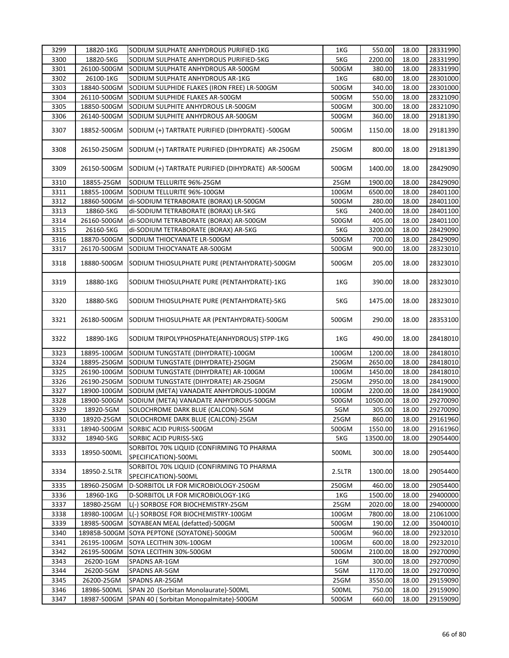| 3299         | 18820-1KG                | SODIUM SULPHATE ANHYDROUS PURIFIED-1KG                                                      | 1KG          | 550.00             | 18.00          | 28331990             |
|--------------|--------------------------|---------------------------------------------------------------------------------------------|--------------|--------------------|----------------|----------------------|
| 3300         | 18820-5KG                | SODIUM SULPHATE ANHYDROUS PURIFIED-5KG                                                      | 5KG          | 2200.00            | 18.00          | 28331990             |
| 3301         | 26100-500GM              | SODIUM SULPHATE ANHYDROUS AR-500GM                                                          | 500GM        | 380.00             | 18.00          | 28331990             |
| 3302         | 26100-1KG                | SODIUM SULPHATE ANHYDROUS AR-1KG                                                            | 1KG          | 680.00             | 18.00          | 28301000             |
| 3303         | 18840-500GM              | SODIUM SULPHIDE FLAKES (IRON FREE) LR-500GM                                                 | 500GM        | 340.00             | 18.00          | 28301000             |
| 3304         | 26110-500GM              | SODIUM SULPHIDE FLAKES AR-500GM                                                             | 500GM        | 550.00             | 18.00          | 28321090             |
| 3305         | 18850-500GM              | SODIUM SULPHITE ANHYDROUS LR-500GM                                                          | 500GM        | 300.00             | 18.00          | 28321090             |
| 3306         | 26140-500GM              | SODIUM SULPHITE ANHYDROUS AR-500GM                                                          | 500GM        | 360.00             | 18.00          | 29181390             |
|              |                          |                                                                                             |              |                    |                |                      |
| 3307         | 18852-500GM              | SODIUM (+) TARTRATE PURIFIED (DIHYDRATE) -500GM                                             | 500GM        | 1150.00            | 18.00          | 29181390             |
| 3308         |                          | 26150-250GM SODIUM (+) TARTRATE PURIFIED (DIHYDRATE) AR-250GM                               | 250GM        | 800.00             | 18.00          | 29181390             |
| 3309         | 26150-500GM              | SODIUM (+) TARTRATE PURIFIED (DIHYDRATE) AR-500GM                                           | 500GM        | 1400.00            | 18.00          | 28429090             |
| 3310         | 18855-25GM               | SODIUM TELLURITE 96%-25GM                                                                   | 25GM         | 1900.00            | 18.00          | 28429090             |
| 3311         | 18855-100GM              | SODIUM TELLURITE 96%-100GM                                                                  | 100GM        | 6500.00            | 18.00          | 28401100             |
| 3312         | 18860-500GM              | di-SODIUM TETRABORATE (BORAX) LR-500GM                                                      | 500GM        | 280.00             | 18.00          | 28401100             |
| 3313         | 18860-5KG                | di-SODIUM TETRABORATE (BORAX) LR-5KG                                                        | 5KG          | 2400.00            | 18.00          | 28401100             |
| 3314         | 26160-500GM              | di-SODIUM TETRABORATE (BORAX) AR-500GM                                                      | 500GM        | 405.00             | 18.00          | 28401100             |
| 3315         | 26160-5KG                | di-SODIUM TETRABORATE (BORAX) AR-5KG                                                        | 5KG          | 3200.00            | 18.00          | 28429090             |
| 3316         | 18870-500GM              | SODIUM THIOCYANATE LR-500GM                                                                 | 500GM        | 700.00             | 18.00          | 28429090             |
| 3317         | 26170-500GM              | SODIUM THIOCYANATE AR-500GM                                                                 | 500GM        | 900.00             | 18.00          | 28323010             |
| 3318         | 18880-500GM              | SODIUM THIOSULPHATE PURE (PENTAHYDRATE)-500GM                                               | 500GM        | 205.00             | 18.00          | 28323010             |
| 3319         | 18880-1KG                | SODIUM THIOSULPHATE PURE (PENTAHYDRATE)-1KG                                                 | 1KG          | 390.00             | 18.00          | 28323010             |
| 3320         | 18880-5KG                | SODIUM THIOSULPHATE PURE (PENTAHYDRATE)-5KG                                                 | 5KG          | 1475.00            | 18.00          | 28323010             |
| 3321         | 26180-500GM              | SODIUM THIOSULPHATE AR (PENTAHYDRATE)-500GM                                                 | 500GM        | 290.00             | 18.00          | 28353100             |
| 3322         | 18890-1KG                | SODIUM TRIPOLYPHOSPHATE(ANHYDROUS) STPP-1KG                                                 | 1KG          | 490.00             | 18.00          | 28418010             |
| 3323         | 18895-100GM              | SODIUM TUNGSTATE (DIHYDRATE)-100GM                                                          | 100GM        | 1200.00            | 18.00          | 28418010             |
| 3324         | 18895-250GM              | SODIUM TUNGSTATE (DIHYDRATE)-250GM                                                          | 250GM        | 2650.00            | 18.00          | 28418010             |
| 3325         | 26190-100GM              | SODIUM TUNGSTATE (DIHYDRATE) AR-100GM                                                       | 100GM        | 1450.00            | 18.00          | 28418010             |
| 3326         | 26190-250GM              | SODIUM TUNGSTATE (DIHYDRATE) AR-250GM                                                       | 250GM        | 2950.00            | 18.00          | 28419000             |
| 3327         | 18900-100GM              | SODIUM (META) VANADATE ANHYDROUS-100GM                                                      | 100GM        | 2200.00            | 18.00          | 28419000             |
| 3328         | 18900-500GM              | SODIUM (META) VANADATE ANHYDROUS-500GM                                                      | 500GM        | 10500.00           | 18.00          | 29270090             |
| 3329         | 18920-5GM                | SOLOCHROME DARK BLUE (CALCON)-5GM                                                           | 5GM          | 305.00             | 18.00          | 29270090             |
| 3330         | 18920-25GM               | SOLOCHROME DARK BLUE (CALCON)-25GM                                                          | 25GM         | 860.00             | 18.00          | 29161960             |
| 3331         | 18940-500GM              | SORBIC ACID PURISS-500GM                                                                    | 500GM        | 1550.00            | 18.00          | 29161960             |
|              |                          |                                                                                             |              |                    |                |                      |
| 3332<br>3333 | 18940-5KG<br>18950-500ML | SORBIC ACID PURISS-5KG<br>SORBITOL 70% LIQUID (CONFIRMING TO PHARMA<br>SPECIFICATION)-500ML | 5KG<br>500ML | 13500.00<br>300.00 | 18.00<br>18.00 | 29054400<br>29054400 |
| 3334         | 18950-2.5LTR             | SORBITOL 70% LIQUID (CONFIRMING TO PHARMA<br>SPECIFICATION)-500ML                           | 2.5LTR       | 1300.00            | 18.00          | 29054400             |
| 3335         | 18960-250GM              | D-SORBITOL LR FOR MICROBIOLOGY-250GM                                                        | 250GM        | 460.00             | 18.00          | 29054400             |
| 3336         | 18960-1KG                | D-SORBITOL LR FOR MICROBIOLOGY-1KG                                                          | 1KG          | 1500.00            | 18.00          | 29400000             |
| 3337         | 18980-25GM               | L(-) SORBOSE FOR BIOCHEMISTRY-25GM                                                          | 25GM         | 2020.00            | 18.00          | 29400000             |
| 3338         | 18980-100GM              | L(-) SORBOSE FOR BIOCHEMISTRY-100GM                                                         | 100GM        | 7800.00            | 18.00          | 21061000             |
|              |                          |                                                                                             |              |                    |                |                      |
| 3339         | 18985-500GM              | SOYABEAN MEAL (defatted)-500GM                                                              | 500GM        | 190.00             | 12.00          | 35040010             |
| 3340         |                          | 18985B-500GM SOYA PEPTONE (SOYATONE)-500GM                                                  | 500GM        | 960.00             | 18.00          | 29232010             |
| 3341         | 26195-100GM              | SOYA LECITHIN 30%-100GM                                                                     | 100GM        | 600.00             | 18.00          | 29232010             |
| 3342         | 26195-500GM              | SOYA LECITHIN 30%-500GM                                                                     | 500GM        | 2100.00            | 18.00          | 29270090             |
| 3343         | 26200-1GM                | SPADNS AR-1GM                                                                               | 1GM          | 300.00             | 18.00          | 29270090             |
| 3344         | 26200-5GM                | SPADNS AR-5GM                                                                               | 5GM          | 1170.00            | 18.00          | 29270090             |
| 3345         | 26200-25GM               | SPADNS AR-25GM                                                                              | 25GM         | 3550.00            | 18.00          | 29159090             |
| 3346         | 18986-500ML              | SPAN 20 (Sorbitan Monolaurate)-500ML                                                        | 500ML        | 750.00             | 18.00          | 29159090             |
| 3347         | 18987-500GM              | SPAN 40 (Sorbitan Monopalmitate)-500GM                                                      | 500GM        | 660.00             | 18.00          | 29159090             |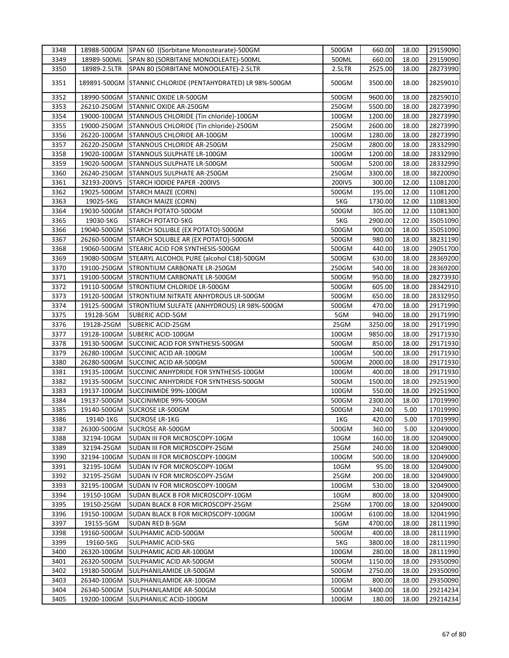| 3348 |              | 18988-500GM SPAN 60 ((Sorbitane Monostearate)-500GM        | 500GM  | 660.00  | 18.00 | 29159090 |
|------|--------------|------------------------------------------------------------|--------|---------|-------|----------|
| 3349 | 18989-500ML  | SPAN 80 (SORBITANE MONOOLEATE)-500ML                       | 500ML  | 660.00  | 18.00 | 29159090 |
| 3350 | 18989-2.5LTR | SPAN 80 (SORBITANE MONOOLEATE)-2.5LTR                      | 2.5LTR | 2525.00 | 18.00 | 28273990 |
| 3351 |              | 189891-500GM STANNIC CHLORIDE (PENTAHYDRATED) LR 98%-500GM | 500GM  | 3500.00 | 18.00 | 28259010 |
| 3352 | 18990-500GM  | STANNIC OXIDE LR-500GM                                     | 500GM  | 9600.00 | 18.00 | 28259010 |
| 3353 | 26210-250GM  | STANNIC OXIDE AR-250GM                                     | 250GM  | 5500.00 | 18.00 | 28273990 |
| 3354 | 19000-100GM  | STANNOUS CHLORIDE (Tin chloride)-100GM                     | 100GM  | 1200.00 | 18.00 | 28273990 |
| 3355 | 19000-250GM  | STANNOUS CHLORIDE (Tin chloride)-250GM                     | 250GM  | 2600.00 | 18.00 | 28273990 |
| 3356 | 26220-100GM  | <b>STANNOUS CHLORIDE AR-100GM</b>                          | 100GM  | 1280.00 | 18.00 | 28273990 |
| 3357 | 26220-250GM  | STANNOUS CHLORIDE AR-250GM                                 | 250GM  | 2800.00 | 18.00 | 28332990 |
| 3358 | 19020-100GM  | <b>STANNOUS SULPHATE LR-100GM</b>                          | 100GM  | 1200.00 | 18.00 | 28332990 |
| 3359 | 19020-500GM  | STANNOUS SULPHATE LR-500GM                                 | 500GM  | 5200.00 | 18.00 | 28332990 |
| 3360 | 26240-250GM  | STANNOUS SULPHATE AR-250GM                                 | 250GM  | 3300.00 | 18.00 | 38220090 |
| 3361 | 32193-200IVS | STARCH IODIDE PAPER -200IVS                                | 200IVS | 300.00  | 12.00 | 11081200 |
| 3362 | 19025-500GM  | STARCH MAIZE (CORN)                                        | 500GM  | 195.00  | 12.00 | 11081200 |
| 3363 | 19025-5KG    | STARCH MAIZE (CORN)                                        | 5KG    | 1730.00 | 12.00 | 11081300 |
| 3364 | 19030-500GM  | STARCH POTATO-500GM                                        | 500GM  | 305.00  | 12.00 | 11081300 |
|      |              |                                                            |        |         |       |          |
| 3365 | 19030-5KG    | <b>STARCH POTATO-5KG</b>                                   | 5KG    | 2900.00 | 12.00 | 35051090 |
| 3366 | 19040-500GM  | STARCH SOLUBLE (EX POTATO)-500GM                           | 500GM  | 900.00  | 18.00 | 35051090 |
| 3367 | 26260-500GM  | STARCH SOLUBLE AR (EX POTATO)-500GM                        | 500GM  | 980.00  | 18.00 | 38231190 |
| 3368 | 19060-500GM  | <b>STEARIC ACID FOR SYNTHESIS-500GM</b>                    | 500GM  | 440.00  | 18.00 | 29051700 |
| 3369 | 19080-500GM  | STEARYL ALCOHOL PURE (alcohol C18)-500GM                   | 500GM  | 630.00  | 18.00 | 28369200 |
| 3370 | 19100-250GM  | <b>STRONTIUM CARBONATE LR-250GM</b>                        | 250GM  | 540.00  | 18.00 | 28369200 |
| 3371 | 19100-500GM  | <b>STRONTIUM CARBONATE LR-500GM</b>                        | 500GM  | 950.00  | 18.00 | 28273930 |
| 3372 | 19110-500GM  | STRONTIUM CHLORIDE LR-500GM                                | 500GM  | 605.00  | 18.00 | 28342910 |
| 3373 | 19120-500GM  | STRONTIUM NITRATE ANHYDROUS LR-500GM                       | 500GM  | 650.00  | 18.00 | 28332950 |
| 3374 | 19125-500GM  | STRONTIUM SULFATE (ANHYDROUS) LR 98%-500GM                 | 500GM  | 470.00  | 18.00 | 29171990 |
| 3375 | 19128-5GM    | SUBERIC ACID-5GM                                           | 5GM    | 940.00  | 18.00 | 29171990 |
| 3376 | 19128-25GM   | SUBERIC ACID-25GM                                          | 25GM   | 3250.00 | 18.00 | 29171990 |
| 3377 | 19128-100GM  | SUBERIC ACID-100GM                                         | 100GM  | 9850.00 | 18.00 | 29171930 |
| 3378 | 19130-500GM  | SUCCINIC ACID FOR SYNTHESIS-500GM                          | 500GM  | 850.00  | 18.00 | 29171930 |
| 3379 | 26280-100GM  | SUCCINIC ACID AR-100GM                                     | 100GM  | 500.00  | 18.00 | 29171930 |
| 3380 | 26280-500GM  | SUCCINIC ACID AR-500GM                                     | 500GM  | 2000.00 | 18.00 | 29171930 |
| 3381 | 19135-100GM  | SUCCINIC ANHYDRIDE FOR SYNTHESIS-100GM                     | 100GM  | 400.00  | 18.00 | 29171930 |
| 3382 | 19135-500GM  | SUCCINIC ANHYDRIDE FOR SYNTHESIS-500GM                     | 500GM  | 1500.00 | 18.00 | 29251900 |
| 3383 | 19137-100GM  | SUCCINIMIDE 99%-100GM                                      | 100GM  | 550.00  | 18.00 | 29251900 |
| 3384 | 19137-500GM  | SUCCINIMIDE 99%-500GM                                      | 500GM  | 2300.00 | 18.00 | 17019990 |
| 3385 | 19140-500GM  | SUCROSE LR-500GM                                           | 500GM  | 240.00  | 5.00  | 17019990 |
| 3386 | 19140-1KG    | <b>SUCROSE LR-1KG</b>                                      | 1KG    | 420.00  | 5.00  | 17019990 |
| 3387 | 26300-500GM  | SUCROSE AR-500GM                                           | 500GM  | 360.00  | 5.00  | 32049000 |
| 3388 | 32194-10GM   | SUDAN III FOR MICROSCOPY-10GM                              | 10GM   | 160.00  | 18.00 | 32049000 |
| 3389 | 32194-25GM   | SUDAN III FOR MICROSCOPY-25GM                              | 25GM   | 240.00  | 18.00 | 32049000 |
| 3390 | 32194-100GM  | SUDAN III FOR MICROSCOPY-100GM                             | 100GM  | 500.00  | 18.00 | 32049000 |
| 3391 | 32195-10GM   | SUDAN IV FOR MICROSCOPY-10GM                               | 10GM   | 95.00   | 18.00 | 32049000 |
| 3392 | 32195-25GM   | SUDAN IV FOR MICROSCOPY-25GM                               | 25GM   | 200.00  | 18.00 | 32049000 |
| 3393 | 32195-100GM  | SUDAN IV FOR MICROSCOPY-100GM                              | 100GM  | 530.00  | 18.00 | 32049000 |
| 3394 | 19150-10GM   | SUDAN BLACK B FOR MICROSCOPY-10GM                          | 10GM   | 800.00  | 18.00 | 32049000 |
| 3395 | 19150-25GM   | SUDAN BLACK B FOR MICROSCOPY-25GM                          | 25GM   | 1700.00 | 18.00 | 32049000 |
|      |              |                                                            |        |         |       |          |
| 3396 | 19150-100GM  | SUDAN BLACK B FOR MICROSCOPY-100GM                         | 100GM  | 6100.00 | 18.00 | 32041990 |
| 3397 | 19155-5GM    | SUDAN RED B-5GM                                            | 5GM    | 4700.00 | 18.00 | 28111990 |
| 3398 | 19160-500GM  | SULPHAMIC ACID-500GM                                       | 500GM  | 400.00  | 18.00 | 28111990 |
| 3399 | 19160-5KG    | SULPHAMIC ACID-5KG                                         | 5KG    | 3800.00 | 18.00 | 28111990 |
| 3400 | 26320-100GM  | SULPHAMIC ACID AR-100GM                                    | 100GM  | 280.00  | 18.00 | 28111990 |
| 3401 | 26320-500GM  | SULPHAMIC ACID AR-500GM                                    | 500GM  | 1150.00 | 18.00 | 29350090 |
| 3402 | 19180-500GM  | SULPHANILAMIDE LR-500GM                                    | 500GM  | 2750.00 | 18.00 | 29350090 |
| 3403 | 26340-100GM  | SULPHANILAMIDE AR-100GM                                    | 100GM  | 800.00  | 18.00 | 29350090 |
| 3404 | 26340-500GM  | SULPHANILAMIDE AR-500GM                                    | 500GM  | 3400.00 | 18.00 | 29214234 |
| 3405 | 19200-100GM  | SULPHANILIC ACID-100GM                                     | 100GM  | 180.00  | 18.00 | 29214234 |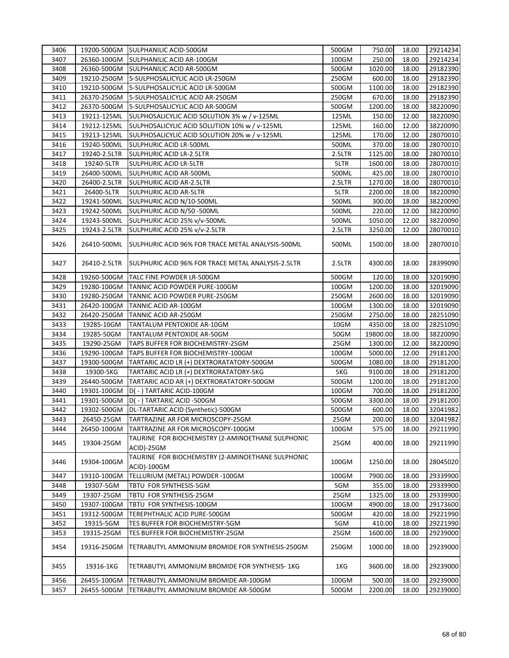| 3406 |              | 19200-500GM SULPHANILIC ACID-500GM                               | 500GM  | 750.00   | 18.00 | 29214234 |
|------|--------------|------------------------------------------------------------------|--------|----------|-------|----------|
| 3407 | 26360-100GM  | SULPHANILIC ACID AR-100GM                                        | 100GM  | 250.00   | 18.00 | 29214234 |
| 3408 |              | 26360-500GM SULPHANILIC ACID AR-500GM                            | 500GM  | 1020.00  | 18.00 | 29182390 |
| 3409 | 19210-250GM  | 5-SULPHOSALICYLIC ACID LR-250GM                                  | 250GM  | 600.00   | 18.00 | 29182390 |
| 3410 | 19210-500GM  | 5-SULPHOSALICYLIC ACID LR-500GM                                  | 500GM  | 1100.00  | 18.00 | 29182390 |
| 3411 | 26370-250GM  | 5-SULPHOSALICYLIC ACID AR-250GM                                  | 250GM  | 670.00   | 18.00 | 29182390 |
| 3412 | 26370-500GM  | 5-SULPHOSALICYLIC ACID AR-500GM                                  | 500GM  | 1200.00  | 18.00 | 38220090 |
| 3413 | 19211-125ML  | SULPHOSALICYLIC ACID SOLUTION 3% w / v-125ML                     | 125ML  | 150.00   | 12.00 | 38220090 |
| 3414 | 19212-125ML  | SULPHOSALICYLIC ACID SOLUTION 10% w / v-125ML                    | 125ML  | 160.00   | 12.00 | 38220090 |
| 3415 | 19213-125ML  | SULPHOSALICYLIC ACID SOLUTION 20% w / v-125ML                    | 125ML  | 170.00   | 12.00 | 28070010 |
| 3416 | 19240-500ML  | SULPHURIC ACID LR-500ML                                          | 500ML  | 370.00   | 18.00 | 28070010 |
| 3417 | 19240-2.5LTR | SULPHURIC ACID LR-2.5LTR                                         | 2.5LTR | 1125.00  | 18.00 | 28070010 |
| 3418 | 19240-5LTR   | <b>SULPHURIC ACID LR-5LTR</b>                                    | 5LTR   | 1600.00  | 18.00 | 28070010 |
| 3419 | 26400-500ML  | SULPHURIC ACID AR-500ML                                          | 500ML  | 425.00   | 18.00 | 28070010 |
| 3420 | 26400-2.5LTR | <b>SULPHURIC ACID AR-2.5LTR</b>                                  | 2.5LTR | 1270.00  | 18.00 | 28070010 |
| 3421 | 26400-5LTR   | SULPHURIC ACID AR-5LTR                                           | 5LTR   | 2200.00  | 18.00 | 38220090 |
| 3422 | 19241-500ML  | SULPHURIC ACID N/10-500ML                                        | 500ML  | 300.00   | 18.00 | 38220090 |
| 3423 | 19242-500ML  | SULPHURIC ACID N/50 -500ML                                       | 500ML  | 220.00   | 12.00 | 38220090 |
| 3424 | 19243-500ML  | SULPHURIC ACID 25% v/v-500ML                                     | 500ML  | 1050.00  | 12.00 | 38220090 |
| 3425 | 19243-2.5LTR | SULPHURIC ACID 25% v/v-2.5LTR                                    | 2.5LTR | 3250.00  | 12.00 | 28070010 |
| 3426 | 26410-500ML  | SULPHURIC ACID 96% FOR TRACE METAL ANALYSIS-500ML                | 500ML  | 1500.00  | 18.00 | 28070010 |
| 3427 | 26410-2.5LTR | SULPHURIC ACID 96% FOR TRACE METAL ANALYSIS-2.5LTR               | 2.5LTR | 4300.00  | 18.00 | 28399090 |
| 3428 | 19260-500GM  | TALC FINE POWDER LR-500GM                                        | 500GM  | 120.00   | 18.00 | 32019090 |
| 3429 | 19280-100GM  | TANNIC ACID POWDER PURE-100GM                                    | 100GM  | 1200.00  | 18.00 | 32019090 |
| 3430 | 19280-250GM  | TANNIC ACID POWDER PURE-250GM                                    | 250GM  | 2600.00  | 18.00 | 32019090 |
| 3431 | 26420-100GM  | TANNIC ACID AR-100GM                                             | 100GM  | 1300.00  | 18.00 | 32019090 |
| 3432 | 26420-250GM  | TANNIC ACID AR-250GM                                             | 250GM  | 2750.00  | 18.00 | 28251090 |
| 3433 | 19285-10GM   | TANTALUM PENTOXIDE AR-10GM                                       | 10GM   | 4350.00  | 18.00 | 28251090 |
| 3434 | 19285-50GM   | TANTALUM PENTOXIDE AR-50GM                                       | 50GM   | 19800.00 | 18.00 | 38220090 |
| 3435 | 19290-25GM   | TAPS BUFFER FOR BIOCHEMISTRY-25GM                                | 25GM   | 1300.00  | 12.00 | 38220090 |
| 3436 | 19290-100GM  | TAPS BUFFER FOR BIOCHEMISTRY-100GM                               | 100GM  | 5000.00  | 12.00 | 29181200 |
| 3437 | 19300-500GM  | TARTARIC ACID LR (+) DEXTRORATATORY-500GM                        | 500GM  | 1080.00  | 18.00 | 29181200 |
| 3438 | 19300-5KG    | TARTARIC ACID LR (+) DEXTRORATATORY-5KG                          | 5KG    | 9100.00  | 18.00 | 29181200 |
| 3439 | 26440-500GM  | TARTARIC ACID AR (+) DEXTRORATATORY-500GM                        | 500GM  | 1200.00  | 18.00 | 29181200 |
| 3440 | 19301-100GM  | D(-) TARTARIC ACID-100GM                                         | 100GM  | 700.00   | 18.00 | 29181200 |
| 3441 | 19301-500GM  | D(-) TARTARIC ACID-500GM                                         | 500GM  | 3300.00  | 18.00 | 29181200 |
| 3442 | 19302-500GM  | DL-TARTARIC ACID (Synthetic)-500GM                               | 500GM  | 600.00   | 18.00 | 32041982 |
| 3443 | 26450-25GM   | TARTRAZINE AR FOR MICROSCOPY-25GM                                | 25GM   | 200.00   | 18.00 | 32041982 |
| 3444 | 26450-100GM  | TARTRAZINE AR FOR MICROSCOPY-100GM                               | 100GM  | 575.00   | 18.00 | 29211990 |
| 3445 | 19304-25GM   | TAURINE FOR BIOCHEMISTRY (2-AMINOETHANE SULPHONIC<br>ACID)-25GM  | 25GM   | 400.00   | 18.00 | 29211990 |
| 3446 | 19304-100GM  | TAURINE FOR BIOCHEMISTRY (2-AMINOETHANE SULPHONIC<br>ACID)-100GM | 100GM  | 1250.00  | 18.00 | 28045020 |
| 3447 | 19310-100GM  | TELLURIUM (METAL) POWDER -100GM                                  | 100GM  | 7900.00  | 18.00 | 29339900 |
| 3448 | 19307-5GM    | TBTU FOR SYNTHESIS-5GM                                           | 5GM    | 355.00   | 18.00 | 29339900 |
| 3449 | 19307-25GM   | TBTU FOR SYNTHESIS-25GM                                          | 25GM   | 1325.00  | 18.00 | 29339900 |
| 3450 | 19307-100GM  | TBTU FOR SYNTHESIS-100GM                                         | 100GM  | 4900.00  | 18.00 | 29173600 |
| 3451 | 19312-500GM  | TEREPHTHALIC ACID PURE-500GM                                     | 500GM  | 420.00   | 18.00 | 29221990 |
| 3452 | 19315-5GM    | TES BUFFER FOR BIOCHEMISTRY-5GM                                  | 5GM    | 410.00   | 18.00 | 29221990 |
| 3453 | 19315-25GM   | TES BUFFER FOR BIOCHEMISTRY-25GM                                 | 25GM   | 1600.00  | 18.00 | 29239000 |
| 3454 | 19316-250GM  | TETRABUTYL AMMONIUM BROMIDE FOR SYNTHESIS-250GM                  | 250GM  | 1000.00  | 18.00 | 29239000 |
| 3455 | 19316-1KG    | TETRABUTYL AMMONIUM BROMIDE FOR SYNTHESIS- 1KG                   | 1KG    | 3600.00  | 18.00 | 29239000 |
| 3456 | 26455-100GM  | TETRABUTYL AMMONIUM BROMIDE AR-100GM                             | 100GM  | 500.00   | 18.00 | 29239000 |
| 3457 | 26455-500GM  | TETRABUTYL AMMONIUM BROMIDE AR-500GM                             | 500GM  | 2200.00  | 18.00 | 29239000 |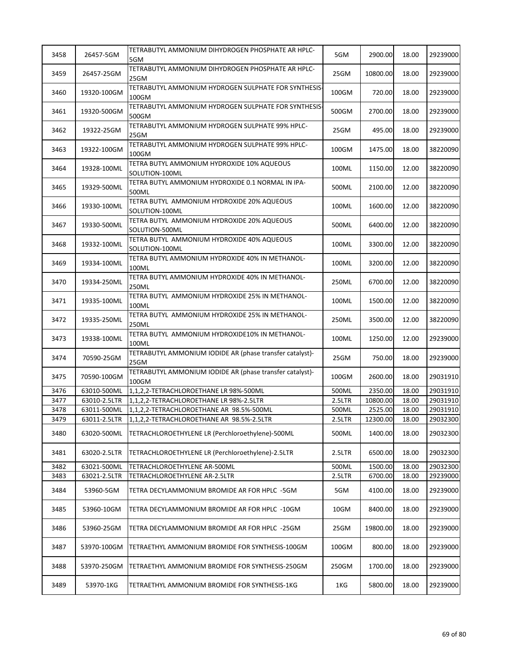| 3458 | 26457-5GM    | TETRABUTYL AMMONIUM DIHYDROGEN PHOSPHATE AR HPLC-<br>5GM          | 5GM    | 2900.00  | 18.00 | 29239000 |
|------|--------------|-------------------------------------------------------------------|--------|----------|-------|----------|
| 3459 | 26457-25GM   | TETRABUTYL AMMONIUM DIHYDROGEN PHOSPHATE AR HPLC-<br>25GM         | 25GM   | 10800.00 | 18.00 | 29239000 |
| 3460 | 19320-100GM  | TETRABUTYL AMMONIUM HYDROGEN SULPHATE FOR SYNTHESIS-<br>100GM     | 100GM  | 720.00   | 18.00 | 29239000 |
| 3461 | 19320-500GM  | TETRABUTYL AMMONIUM HYDROGEN SULPHATE FOR SYNTHESIS-<br>500GM     | 500GM  | 2700.00  | 18.00 | 29239000 |
| 3462 | 19322-25GM   | TETRABUTYL AMMONIUM HYDROGEN SULPHATE 99% HPLC-<br>25GM           | 25GM   | 495.00   | 18.00 | 29239000 |
| 3463 | 19322-100GM  | TETRABUTYL AMMONIUM HYDROGEN SULPHATE 99% HPLC-<br>100GM          | 100GM  | 1475.00  | 18.00 | 38220090 |
| 3464 | 19328-100ML  | TETRA BUTYL AMMONIUM HYDROXIDE 10% AQUEOUS<br>SOLUTION-100ML      | 100ML  | 1150.00  | 12.00 | 38220090 |
| 3465 | 19329-500ML  | TETRA BUTYL AMMONIUM HYDROXIDE 0.1 NORMAL IN IPA-<br>500ML        | 500ML  | 2100.00  | 12.00 | 38220090 |
| 3466 | 19330-100ML  | TETRA BUTYL AMMONIUM HYDROXIDE 20% AQUEOUS<br>SOLUTION-100ML      | 100ML  | 1600.00  | 12.00 | 38220090 |
| 3467 | 19330-500ML  | TETRA BUTYL AMMONIUM HYDROXIDE 20% AQUEOUS<br>SOLUTION-500ML      | 500ML  | 6400.00  | 12.00 | 38220090 |
| 3468 | 19332-100ML  | TETRA BUTYL AMMONIUM HYDROXIDE 40% AQUEOUS<br>SOLUTION-100ML      | 100ML  | 3300.00  | 12.00 | 38220090 |
| 3469 | 19334-100ML  | TETRA BUTYL AMMONIUM HYDROXIDE 40% IN METHANOL-<br>100ML          | 100ML  | 3200.00  | 12.00 | 38220090 |
| 3470 | 19334-250ML  | TETRA BUTYL AMMONIUM HYDROXIDE 40% IN METHANOL-<br>250ML          | 250ML  | 6700.00  | 12.00 | 38220090 |
| 3471 | 19335-100ML  | TETRA BUTYL AMMONIUM HYDROXIDE 25% IN METHANOL-<br>100ML          | 100ML  | 1500.00  | 12.00 | 38220090 |
| 3472 | 19335-250ML  | TETRA BUTYL AMMONIUM HYDROXIDE 25% IN METHANOL-<br>250ML          | 250ML  | 3500.00  | 12.00 | 38220090 |
| 3473 | 19338-100ML  | TETRA BUTYL AMMONIUM HYDROXIDE10% IN METHANOL-<br>100ML           | 100ML  | 1250.00  | 12.00 | 29239000 |
| 3474 | 70590-25GM   | TETRABUTYL AMMONIUM IODIDE AR (phase transfer catalyst)-<br>25GM  | 25GM   | 750.00   | 18.00 | 29239000 |
| 3475 | 70590-100GM  | TETRABUTYL AMMONIUM IODIDE AR (phase transfer catalyst)-<br>100GM | 100GM  | 2600.00  | 18.00 | 29031910 |
| 3476 | 63010-500ML  | 1,1,2,2-TETRACHLOROETHANE LR 98%-500ML                            | 500ML  | 2350.00  | 18.00 | 29031910 |
| 3477 | 63010-2.5LTR | 1,1,2,2-TETRACHLOROETHANE LR 98%-2.5LTR                           | 2.5LTR | 10800.00 | 18.00 | 29031910 |
| 3478 | 63011-500ML  | 1,1,2,2-TETRACHLOROETHANE AR 98.5%-500ML                          | 500ML  | 2525.00  | 18.00 | 29031910 |
| 3479 | 63011-2.5LTR | 1,1,2,2-TETRACHLOROETHANE AR 98.5%-2.5LTR                         | 2.5LTR | 12300.00 | 18.00 | 29032300 |
| 3480 | 63020-500ML  | TETRACHLOROETHYLENE LR (Perchloroethylene)-500ML                  | 500ML  | 1400.00  | 18.00 | 29032300 |
| 3481 | 63020-2.5LTR | TETRACHLOROETHYLENE LR (Perchloroethylene)-2.5LTR                 | 2.5LTR | 6500.00  | 18.00 | 29032300 |
| 3482 | 63021-500ML  | TETRACHLOROETHYLENE AR-500ML                                      | 500ML  | 1500.00  | 18.00 | 29032300 |
| 3483 | 63021-2.5LTR | TETRACHLOROETHYLENE AR-2.5LTR                                     | 2.5LTR | 6700.00  | 18.00 | 29239000 |
| 3484 | 53960-5GM    | TETRA DECYLAMMONIUM BROMIDE AR FOR HPLC -5GM                      | 5GM    | 4100.00  | 18.00 | 29239000 |
| 3485 | 53960-10GM   | TETRA DECYLAMMONIUM BROMIDE AR FOR HPLC -10GM                     | 10GM   | 8400.00  | 18.00 | 29239000 |
| 3486 | 53960-25GM   | TETRA DECYLAMMONIUM BROMIDE AR FOR HPLC -25GM                     | 25GM   | 19800.00 | 18.00 | 29239000 |
| 3487 | 53970-100GM  | TETRAETHYL AMMONIUM BROMIDE FOR SYNTHESIS-100GM                   | 100GM  | 800.00   | 18.00 | 29239000 |
| 3488 | 53970-250GM  | TETRAETHYL AMMONIUM BROMIDE FOR SYNTHESIS-250GM                   | 250GM  | 1700.00  | 18.00 | 29239000 |
| 3489 | 53970-1KG    | TETRAETHYL AMMONIUM BROMIDE FOR SYNTHESIS-1KG                     | 1KG    | 5800.00  | 18.00 | 29239000 |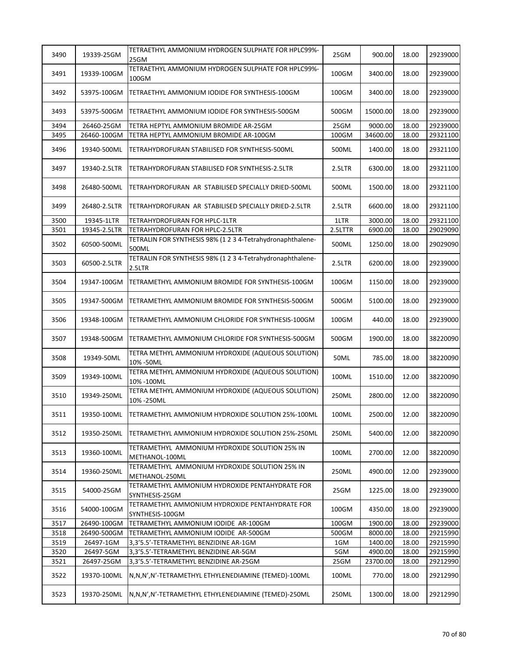| 3490 | 19339-25GM   | TETRAETHYL AMMONIUM HYDROGEN SULPHATE FOR HPLC99%-<br>25GM           | 25GM    | 900.00   | 18.00 | 29239000 |
|------|--------------|----------------------------------------------------------------------|---------|----------|-------|----------|
| 3491 | 19339-100GM  | TETRAETHYL AMMONIUM HYDROGEN SULPHATE FOR HPLC99%-<br>100GM          | 100GM   | 3400.00  | 18.00 | 29239000 |
| 3492 | 53975-100GM  | TETRAETHYL AMMONIUM IODIDE FOR SYNTHESIS-100GM                       | 100GM   | 3400.00  | 18.00 | 29239000 |
| 3493 | 53975-500GM  | TETRAETHYL AMMONIUM IODIDE FOR SYNTHESIS-500GM                       | 500GM   | 15000.00 | 18.00 | 29239000 |
| 3494 | 26460-25GM   | TETRA HEPTYL AMMONIUM BROMIDE AR-25GM                                | 25GM    | 9000.00  | 18.00 | 29239000 |
| 3495 | 26460-100GM  | TETRA HEPTYL AMMONIUM BROMIDE AR-100GM                               | 100GM   | 34600.00 | 18.00 | 29321100 |
| 3496 | 19340-500ML  | TETRAHYDROFURAN STABILISED FOR SYNTHESIS-500ML                       | 500ML   | 1400.00  | 18.00 | 29321100 |
| 3497 | 19340-2.5LTR | TETRAHYDROFURAN STABILISED FOR SYNTHESIS-2.5LTR                      | 2.5LTR  | 6300.00  | 18.00 | 29321100 |
| 3498 | 26480-500ML  | TETRAHYDROFURAN AR STABILISED SPECIALLY DRIED-500ML                  | 500ML   | 1500.00  | 18.00 | 29321100 |
| 3499 | 26480-2.5LTR | TETRAHYDROFURAN AR STABILISED SPECIALLY DRIED-2.5LTR                 | 2.5LTR  | 6600.00  | 18.00 | 29321100 |
| 3500 | 19345-1LTR   | <b>TETRAHYDROFURAN FOR HPLC-1LTR</b>                                 | 1LTR    | 3000.00  | 18.00 | 29321100 |
| 3501 | 19345-2.5LTR | TETRAHYDROFURAN FOR HPLC-2.5LTR                                      | 2.5LTTR | 6900.00  | 18.00 | 29029090 |
| 3502 | 60500-500ML  | TETRALIN FOR SYNTHESIS 98% (1 2 3 4-Tetrahydronaphthalene-<br>500ML  | 500ML   | 1250.00  | 18.00 | 29029090 |
| 3503 | 60500-2.5LTR | TETRALIN FOR SYNTHESIS 98% (1 2 3 4-Tetrahydronaphthalene-<br>2.5LTR | 2.5LTR  | 6200.00  | 18.00 | 29239000 |
| 3504 | 19347-100GM  | TETRAMETHYL AMMONIUM BROMIDE FOR SYNTHESIS-100GM                     | 100GM   | 1150.00  | 18.00 | 29239000 |
| 3505 | 19347-500GM  | TETRAMETHYL AMMONIUM BROMIDE FOR SYNTHESIS-500GM                     | 500GM   | 5100.00  | 18.00 | 29239000 |
| 3506 | 19348-100GM  | TETRAMETHYL AMMONIUM CHLORIDE FOR SYNTHESIS-100GM                    | 100GM   | 440.00   | 18.00 | 29239000 |
| 3507 | 19348-500GM  | TETRAMETHYL AMMONIUM CHLORIDE FOR SYNTHESIS-500GM                    | 500GM   | 1900.00  | 18.00 | 38220090 |
| 3508 | 19349-50ML   | TETRA METHYL AMMONIUM HYDROXIDE (AQUEOUS SOLUTION)<br>10% - 50ML     | 50ML    | 785.00   | 18.00 | 38220090 |
| 3509 | 19349-100ML  | TETRA METHYL AMMONIUM HYDROXIDE (AQUEOUS SOLUTION)<br>10% - 100ML    | 100ML   | 1510.00  | 12.00 | 38220090 |
| 3510 | 19349-250ML  | TETRA METHYL AMMONIUM HYDROXIDE (AQUEOUS SOLUTION)<br>10% - 250ML    | 250ML   | 2800.00  | 12.00 | 38220090 |
| 3511 | 19350-100ML  | TETRAMETHYL AMMONIUM HYDROXIDE SOLUTION 25%-100ML                    | 100ML   | 2500.00  | 12.00 | 38220090 |
| 3512 | 19350-250ML  | TETRAMETHYL AMMONIUM HYDROXIDE SOLUTION 25%-250ML                    | 250ML   | 5400.00  | 12.00 | 38220090 |
| 3513 | 19360-100ML  | TETRAMETHYL AMMONIUM HYDROXIDE SOLUTION 25% IN<br>METHANOL-100ML     | 100ML   | 2700.00  | 12.00 | 38220090 |
| 3514 | 19360-250ML  | TETRAMETHYL AMMONIUM HYDROXIDE SOLUTION 25% IN<br>METHANOL-250ML     | 250ML   | 4900.00  | 12.00 | 29239000 |
| 3515 | 54000-25GM   | TETRAMETHYL AMMONIUM HYDROXIDE PENTAHYDRATE FOR<br>SYNTHESIS-25GM    | 25GM    | 1225.00  | 18.00 | 29239000 |
| 3516 | 54000-100GM  | TETRAMETHYL AMMONIUM HYDROXIDE PENTAHYDRATE FOR<br>SYNTHESIS-100GM   | 100GM   | 4350.00  | 18.00 | 29239000 |
| 3517 | 26490-100GM  | TETRAMETHYL AMMONIUM IODIDE AR-100GM                                 | 100GM   | 1900.00  | 18.00 | 29239000 |
| 3518 | 26490-500GM  | TETRAMETHYL AMMONIUM IODIDE AR-500GM                                 | 500GM   | 8000.00  | 18.00 | 29215990 |
| 3519 | 26497-1GM    | 3,3'5.5'-TETRAMETHYL BENZIDINE AR-1GM                                | 1GM     | 1400.00  | 18.00 | 29215990 |
| 3520 | 26497-5GM    | 3,3'5.5'-TETRAMETHYL BENZIDINE AR-5GM                                | 5GM     | 4900.00  | 18.00 | 29215990 |
| 3521 | 26497-25GM   | 3,3'5.5'-TETRAMETHYL BENZIDINE AR-25GM                               | 25GM    | 23700.00 | 18.00 | 29212990 |
| 3522 | 19370-100ML  | N,N,N',N'-TETRAMETHYL ETHYLENEDIAMINE (TEMED)-100ML                  | 100ML   | 770.00   | 18.00 | 29212990 |
| 3523 | 19370-250ML  | N,N,N',N'-TETRAMETHYL ETHYLENEDIAMINE (TEMED)-250ML                  | 250ML   | 1300.00  | 18.00 | 29212990 |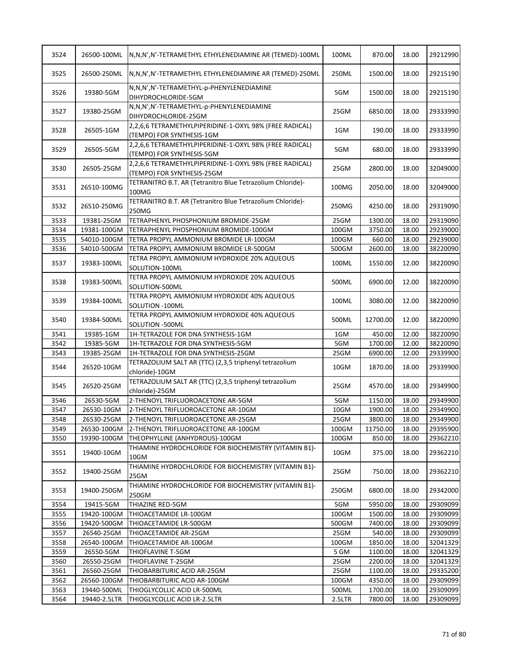| 3524 | 26500-100ML  | N,N,N',N'-TETRAMETHYL ETHYLENEDIAMINE AR (TEMED)-100ML                                | 100ML  | 870.00   | 18.00 | 29212990 |
|------|--------------|---------------------------------------------------------------------------------------|--------|----------|-------|----------|
| 3525 | 26500-250ML  | N,N,N',N'-TETRAMETHYL ETHYLENEDIAMINE AR (TEMED)-250ML                                | 250ML  | 1500.00  | 18.00 | 29215190 |
| 3526 | 19380-5GM    | N,N,N',N'-TETRAMETHYL-p-PHENYLENEDIAMINE<br>DIHYDROCHLORIDE-5GM                       | 5GM    | 1500.00  | 18.00 | 29215190 |
| 3527 | 19380-25GM   | N,N,N',N'-TETRAMETHYL-p-PHENYLENEDIAMINE<br>DIHYDROCHLORIDE-25GM                      | 25GM   | 6850.00  | 18.00 | 29333990 |
| 3528 | 26505-1GM    | 2,2,6,6 TETRAMETHYLPIPERIDINE-1-OXYL 98% (FREE RADICAL)<br>(TEMPO) FOR SYNTHESIS-1GM  | 1GM    | 190.00   | 18.00 | 29333990 |
| 3529 | 26505-5GM    | 2,2,6,6 TETRAMETHYLPIPERIDINE-1-OXYL 98% (FREE RADICAL)<br>(TEMPO) FOR SYNTHESIS-5GM  | 5GM    | 680.00   | 18.00 | 29333990 |
| 3530 | 26505-25GM   | 2,2,6,6 TETRAMETHYLPIPERIDINE-1-OXYL 98% (FREE RADICAL)<br>(TEMPO) FOR SYNTHESIS-25GM | 25GM   | 2800.00  | 18.00 | 32049000 |
| 3531 | 26510-100MG  | TETRANITRO B.T. AR (Tetranitro Blue Tetrazolium Chloride)-<br>100MG                   | 100MG  | 2050.00  | 18.00 | 32049000 |
| 3532 | 26510-250MG  | TETRANITRO B.T. AR (Tetranitro Blue Tetrazolium Chloride)-<br>250MG                   | 250MG  | 4250.00  | 18.00 | 29319090 |
| 3533 | 19381-25GM   | TETRAPHENYL PHOSPHONIUM BROMIDE-25GM                                                  | 25GM   | 1300.00  | 18.00 | 29319090 |
| 3534 | 19381-100GM  | TETRAPHENYL PHOSPHONIUM BROMIDE-100GM                                                 | 100GM  | 3750.00  | 18.00 | 29239000 |
| 3535 | 54010-100GM  | TETRA PROPYL AMMONIUM BROMIDE LR-100GM                                                | 100GM  | 660.00   | 18.00 | 29239000 |
| 3536 | 54010-500GM  | TETRA PROPYL AMMONIUM BROMIDE LR-500GM                                                | 500GM  | 2600.00  | 18.00 | 38220090 |
| 3537 | 19383-100ML  | TETRA PROPYL AMMONIUM HYDROXIDE 20% AQUEOUS<br>SOLUTION-100ML                         | 100ML  | 1550.00  | 12.00 | 38220090 |
| 3538 | 19383-500ML  | TETRA PROPYL AMMONIUM HYDROXIDE 20% AQUEOUS<br>SOLUTION-500ML                         | 500ML  | 6900.00  | 12.00 | 38220090 |
| 3539 | 19384-100ML  | TETRA PROPYL AMMONIUM HYDROXIDE 40% AQUEOUS<br>SOLUTION -100ML                        | 100ML  | 3080.00  | 12.00 | 38220090 |
| 3540 | 19384-500ML  | TETRA PROPYL AMMONIUM HYDROXIDE 40% AQUEOUS<br>SOLUTION -500ML                        | 500ML  | 12700.00 | 12.00 | 38220090 |
| 3541 | 19385-1GM    | 1H-TETRAZOLE FOR DNA SYNTHESIS-1GM                                                    | 1GM    | 450.00   | 12.00 | 38220090 |
| 3542 | 19385-5GM    | 1H-TETRAZOLE FOR DNA SYNTHESIS-5GM                                                    | 5GM    | 1700.00  | 12.00 | 38220090 |
| 3543 | 19385-25GM   | 1H-TETRAZOLE FOR DNA SYNTHESIS-25GM                                                   | 25GM   | 6900.00  | 12.00 | 29339900 |
| 3544 | 26520-10GM   | TETRAZOLIUM SALT AR (TTC) (2,3,5 triphenyl tetrazolium<br>chloride)-10GM              | 10GM   | 1870.00  | 18.00 | 29339900 |
| 3545 | 26520-25GM   | TETRAZOLIUM SALT AR (TTC) (2,3,5 triphenyl tetrazolium<br>chloride)-25GM              | 25GM   | 4570.00  | 18.00 | 29349900 |
| 3546 | 26530-5GM    | 2-THENOYL TRIFLUOROACETONE AR-5GM                                                     | 5GM    | 1150.00  | 18.00 | 29349900 |
| 3547 | 26530-10GM   | 2-THENOYL TRIFLUOROACETONE AR-10GM                                                    | 10GM   | 1900.00  | 18.00 | 29349900 |
| 3548 | 26530-25GM   | 2-THENOYL TRIFLUOROACETONE AR-25GM                                                    | 25GM   | 3800.00  | 18.00 | 29349900 |
| 3549 | 26530-100GM  | 2-THENOYL TRIFLUOROACETONE AR-100GM                                                   | 100GM  | 11750.00 | 18.00 | 29395900 |
| 3550 | 19390-100GM  | THEOPHYLLINE (ANHYDROUS)-100GM                                                        | 100GM  | 850.00   | 18.00 | 29362210 |
| 3551 | 19400-10GM   | THIAMINE HYDROCHLORIDE FOR BIOCHEMISTRY (VITAMIN B1)-<br>10GM                         | 10GM   | 375.00   | 18.00 | 29362210 |
| 3552 | 19400-25GM   | THIAMINE HYDROCHLORIDE FOR BIOCHEMISTRY (VITAMIN B1)-<br>25GM                         | 25GM   | 750.00   | 18.00 | 29362210 |
| 3553 | 19400-250GM  | THIAMINE HYDROCHLORIDE FOR BIOCHEMISTRY (VITAMIN B1)-<br>250GM                        | 250GM  | 6800.00  | 18.00 | 29342000 |
| 3554 | 19415-5GM    | THIAZINE RED-5GM                                                                      | 5GM    | 5950.00  | 18.00 | 29309099 |
| 3555 | 19420-100GM  | THIOACETAMIDE LR-100GM                                                                | 100GM  | 1500.00  | 18.00 | 29309099 |
| 3556 | 19420-500GM  | THIOACETAMIDE LR-500GM                                                                | 500GM  | 7400.00  | 18.00 | 29309099 |
| 3557 | 26540-25GM   | THIOACETAMIDE AR-25GM                                                                 | 25GM   | 540.00   | 18.00 | 29309099 |
| 3558 | 26540-100GM  | THIOACETAMIDE AR-100GM                                                                | 100GM  | 1850.00  | 18.00 | 32041329 |
| 3559 | 26550-5GM    | THIOFLAVINE T-5GM                                                                     | 5 GM   | 1100.00  | 18.00 | 32041329 |
| 3560 | 26550-25GM   | THIOFLAVINE T-25GM                                                                    | 25GM   | 2200.00  | 18.00 | 32041329 |
| 3561 | 26560-25GM   | THIOBARBITURIC ACID AR-25GM                                                           | 25GM   | 1100.00  | 18.00 | 29335200 |
| 3562 | 26560-100GM  | THIOBARBITURIC ACID AR-100GM                                                          | 100GM  | 4350.00  | 18.00 | 29309099 |
| 3563 | 19440-500ML  | THIOGLYCOLLIC ACID LR-500ML                                                           | 500ML  | 1700.00  | 18.00 | 29309099 |
| 3564 | 19440-2.5LTR | THIOGLYCOLLIC ACID LR-2.5LTR                                                          | 2.5LTR | 7800.00  | 18.00 | 29309099 |
|      |              |                                                                                       |        |          |       |          |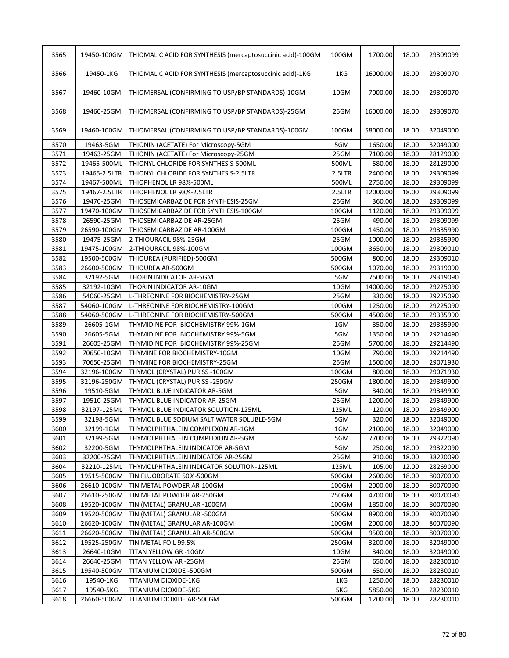| 3565 | 19450-100GM  | THIOMALIC ACID FOR SYNTHESIS (mercaptosuccinic acid)-100GM | 100GM      | 1700.00  | 18.00 | 29309099 |
|------|--------------|------------------------------------------------------------|------------|----------|-------|----------|
| 3566 | 19450-1KG    | THIOMALIC ACID FOR SYNTHESIS (mercaptosuccinic acid)-1KG   | 1KG        | 16000.00 | 18.00 | 29309070 |
| 3567 | 19460-10GM   | THIOMERSAL (CONFIRMING TO USP/BP STANDARDS)-10GM           | 10GM       | 7000.00  | 18.00 | 29309070 |
| 3568 | 19460-25GM   | THIOMERSAL (CONFIRMING TO USP/BP STANDARDS)-25GM           | 25GM       | 16000.00 | 18.00 | 29309070 |
| 3569 | 19460-100GM  | THIOMERSAL (CONFIRMING TO USP/BP STANDARDS)-100GM          | 100GM      | 58000.00 | 18.00 | 32049000 |
| 3570 | 19463-5GM    | THIONIN (ACETATE) For Microscopy-5GM                       | 5GM        | 1650.00  | 18.00 | 32049000 |
| 3571 | 19463-25GM   | THIONIN (ACETATE) For Microscopy-25GM                      | 25GM       | 7100.00  | 18.00 | 28129000 |
| 3572 | 19465-500ML  | THIONYL CHLORIDE FOR SYNTHESIS-500ML                       | 500ML      | 580.00   | 18.00 | 28129000 |
| 3573 | 19465-2.5LTR | THIONYL CHLORIDE FOR SYNTHESIS-2.5LTR                      | 2.5LTR     | 2400.00  | 18.00 | 29309099 |
| 3574 | 19467-500ML  | THIOPHENOL LR 98%-500ML                                    | 500ML      | 2750.00  | 18.00 | 29309099 |
| 3575 | 19467-2.5LTR | THIOPHENOL LR 98%-2.5LTR                                   | 2.5LTR     | 12000.00 | 18.00 | 29309099 |
| 3576 | 19470-25GM   | THIOSEMICARBAZIDE FOR SYNTHESIS-25GM                       | 25GM       | 360.00   | 18.00 | 29309099 |
| 3577 | 19470-100GM  | THIOSEMICARBAZIDE FOR SYNTHESIS-100GM                      | 100GM      | 1120.00  | 18.00 | 29309099 |
| 3578 | 26590-25GM   | THIOSEMICARBAZIDE AR-25GM                                  | 25GM       | 490.00   | 18.00 | 29309099 |
| 3579 | 26590-100GM  | THIOSEMICARBAZIDE AR-100GM                                 | 100GM      | 1450.00  | 18.00 | 29335990 |
| 3580 | 19475-25GM   | 2-THIOURACIL 98%-25GM                                      | 25GM       | 1000.00  | 18.00 | 29335990 |
| 3581 | 19475-100GM  | 2-THIOURACIL 98%-100GM                                     | 100GM      | 3650.00  | 18.00 | 29309010 |
| 3582 | 19500-500GM  | THIOUREA (PURIFIED)-500GM                                  | 500GM      | 800.00   | 18.00 | 29309010 |
| 3583 | 26600-500GM  | THIOUREA AR-500GM                                          | 500GM      | 1070.00  | 18.00 | 29319090 |
| 3584 | 32192-5GM    | THORIN INDICATOR AR-5GM                                    | 5GM        | 7500.00  | 18.00 | 29319090 |
| 3585 | 32192-10GM   | THORIN INDICATOR AR-10GM                                   | 10GM       | 14000.00 | 18.00 | 29225090 |
| 3586 | 54060-25GM   | L-THREONINE FOR BIOCHEMISTRY-25GM                          | 25GM       | 330.00   | 18.00 | 29225090 |
| 3587 | 54060-100GM  | L-THREONINE FOR BIOCHEMISTRY-100GM                         | 100GM      | 1250.00  | 18.00 | 29225090 |
| 3588 | 54060-500GM  | L-THREONINE FOR BIOCHEMISTRY-500GM                         | 500GM      | 4500.00  | 18.00 | 29335990 |
|      |              |                                                            |            | 350.00   |       |          |
| 3589 | 26605-1GM    | THYMIDINE FOR BIOCHEMISTRY 99%-1GM                         | 1GM<br>5GM |          | 18.00 | 29335990 |
| 3590 | 26605-5GM    | THYMIDINE FOR BIOCHEMISTRY 99%-5GM                         |            | 1350.00  | 18.00 | 29214490 |
| 3591 | 26605-25GM   | THYMIDINE FOR BIOCHEMISTRY 99%-25GM                        | 25GM       | 5700.00  | 18.00 | 29214490 |
| 3592 | 70650-10GM   | THYMINE FOR BIOCHEMISTRY-10GM                              | 10GM       | 790.00   | 18.00 | 29214490 |
| 3593 | 70650-25GM   | THYMINE FOR BIOCHEMISTRY-25GM                              | 25GM       | 1500.00  | 18.00 | 29071930 |
| 3594 | 32196-100GM  | THYMOL (CRYSTAL) PURISS -100GM                             | 100GM      | 800.00   | 18.00 | 29071930 |
| 3595 | 32196-250GM  | THYMOL (CRYSTAL) PURISS -250GM                             | 250GM      | 1800.00  | 18.00 | 29349900 |
| 3596 | 19510-5GM    | THYMOL BLUE INDICATOR AR-5GM                               | 5GM        | 340.00   | 18.00 | 29349900 |
| 3597 | 19510-25GM   | THYMOL BLUE INDICATOR AR-25GM                              | 25GM       | 1200.00  | 18.00 | 29349900 |
| 3598 | 32197-125ML  | THYMOL BLUE INDICATOR SOLUTION-125ML                       | 125ML      | 120.00   | 18.00 | 29349900 |
| 3599 | 32198-5GM    | THYMOL BLUE SODIUM SALT WATER SOLUBLE-5GM                  | 5GM        | 320.00   | 18.00 | 32049000 |
| 3600 | 32199-1GM    | THYMOLPHTHALEIN COMPLEXON AR-1GM                           | 1GM        | 2100.00  | 18.00 | 32049000 |
| 3601 | 32199-5GM    | THYMOLPHTHALEIN COMPLEXON AR-5GM                           | 5GM        | 7700.00  | 18.00 | 29322090 |
| 3602 | 32200-5GM    | THYMOLPHTHALEIN INDICATOR AR-5GM                           | 5GM        | 250.00   | 18.00 | 29322090 |
| 3603 | 32200-25GM   | THYMOLPHTHALEIN INDICATOR AR-25GM                          | 25GM       | 910.00   | 18.00 | 38220090 |
| 3604 | 32210-125ML  | THYMOLPHTHALEIN INDICATOR SOLUTION-125ML                   | 125ML      | 105.00   | 12.00 | 28269000 |
| 3605 | 19515-500GM  | TIN FLUOBORATE 50%-500GM                                   | 500GM      | 2600.00  | 18.00 | 80070090 |
| 3606 | 26610-100GM  | TIN METAL POWDER AR-100GM                                  | 100GM      | 2000.00  | 18.00 | 80070090 |
| 3607 | 26610-250GM  | TIN METAL POWDER AR-250GM                                  | 250GM      | 4700.00  | 18.00 | 80070090 |
| 3608 | 19520-100GM  | TIN (METAL) GRANULAR -100GM                                | 100GM      | 1850.00  | 18.00 | 80070090 |
| 3609 | 19520-500GM  | TIN (METAL) GRANULAR -500GM                                | 500GM      | 8900.00  | 18.00 | 80070090 |
| 3610 | 26620-100GM  | TIN (METAL) GRANULAR AR-100GM                              | 100GM      | 2000.00  | 18.00 | 80070090 |
| 3611 | 26620-500GM  | TIN (METAL) GRANULAR AR-500GM                              | 500GM      | 9500.00  | 18.00 | 80070090 |
| 3612 | 19525-250GM  | TIN METAL FOIL 99.5%                                       | 250GM      | 3200.00  | 18.00 | 32049000 |
| 3613 | 26640-10GM   | TITAN YELLOW GR-10GM                                       | 10GM       | 340.00   | 18.00 | 32049000 |
| 3614 | 26640-25GM   | TITAN YELLOW AR -25GM                                      | 25GM       | 650.00   | 18.00 | 28230010 |
| 3615 | 19540-500GM  | TITANIUM DIOXIDE -500GM                                    | 500GM      | 650.00   | 18.00 | 28230010 |
| 3616 | 19540-1KG    | TITANIUM DIOXIDE-1KG                                       | 1KG        | 1250.00  | 18.00 | 28230010 |
| 3617 | 19540-5KG    | TITANIUM DIOXIDE-5KG                                       | 5KG        | 5850.00  | 18.00 | 28230010 |
| 3618 | 26660-500GM  | TITANIUM DIOXIDE AR-500GM                                  | 500GM      | 1200.00  | 18.00 | 28230010 |
|      |              |                                                            |            |          |       |          |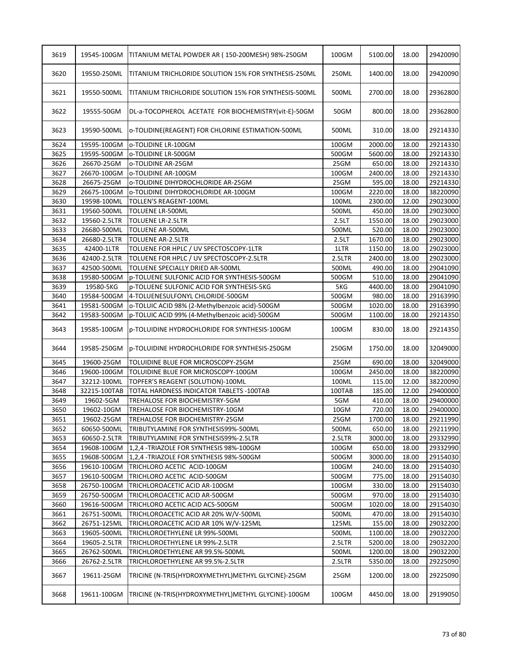| 3619 | 19545-100GM  | TITANIUM METAL POWDER AR (150-200MESH) 98%-250GM      | 100GM  | 5100.00 | 18.00 | 29420090 |
|------|--------------|-------------------------------------------------------|--------|---------|-------|----------|
| 3620 | 19550-250ML  | TITANIUM TRICHLORIDE SOLUTION 15% FOR SYNTHESIS-250ML | 250ML  | 1400.00 | 18.00 | 29420090 |
| 3621 | 19550-500ML  | TITANIUM TRICHLORIDE SOLUTION 15% FOR SYNTHESIS-500ML | 500ML  | 2700.00 | 18.00 | 29362800 |
| 3622 | 19555-50GM   | DL-a-TOCOPHEROL ACETATE FOR BIOCHEMISTRY(vit-E)-50GM  | 50GM   | 800.00  | 18.00 | 29362800 |
| 3623 | 19590-500ML  | o-TOLIDINE(REAGENT) FOR CHLORINE ESTIMATION-500ML     | 500ML  | 310.00  | 18.00 | 29214330 |
| 3624 | 19595-100GM  | o-TOLIDINE LR-100GM                                   | 100GM  | 2000.00 | 18.00 | 29214330 |
| 3625 | 19595-500GM  | o-TOLIDINE LR-500GM                                   | 500GM  | 5600.00 | 18.00 | 29214330 |
| 3626 | 26670-25GM   | o-TOLIDINE AR-25GM                                    | 25GM   | 650.00  | 18.00 | 29214330 |
| 3627 | 26670-100GM  | o-TOLIDINE AR-100GM                                   | 100GM  | 2400.00 | 18.00 | 29214330 |
| 3628 | 26675-25GM   | o-TOLIDINE DIHYDROCHLORIDE AR-25GM                    | 25GM   | 595.00  | 18.00 | 29214330 |
| 3629 | 26675-100GM  | o-TOLIDINE DIHYDROCHLORIDE AR-100GM                   | 100GM  | 2220.00 | 18.00 | 38220090 |
| 3630 | 19598-100ML  | TOLLEN'S REAGENT-100ML                                | 100ML  | 2300.00 | 12.00 | 29023000 |
| 3631 | 19560-500ML  | <b>TOLUENE LR-500ML</b>                               | 500ML  | 450.00  | 18.00 | 29023000 |
| 3632 | 19560-2.5LTR | TOLUENE LR-2.5LTR                                     | 2.5LT  | 1550.00 | 18.00 | 29023000 |
| 3633 | 26680-500ML  | TOLUENE AR-500ML                                      | 500ML  | 520.00  | 18.00 | 29023000 |
| 3634 | 26680-2.5LTR | <b>TOLUENE AR-2.5LTR</b>                              | 2.5LT  | 1670.00 | 18.00 | 29023000 |
| 3635 | 42400-1LTR   | TOLUENE FOR HPLC / UV SPECTOSCOPY-1LTR                | 1LTR   | 1150.00 | 18.00 | 29023000 |
| 3636 | 42400-2.5LTR | TOLUENE FOR HPLC / UV SPECTOSCOPY-2.5LTR              | 2.5LTR | 2400.00 | 18.00 | 29023000 |
| 3637 | 42500-500ML  | TOLUENE SPECIALLY DRIED AR-500ML                      | 500ML  | 490.00  | 18.00 | 29041090 |
| 3638 | 19580-500GM  | p-TOLUENE SULFONIC ACID FOR SYNTHESIS-500GM           | 500GM  | 510.00  | 18.00 | 29041090 |
| 3639 | 19580-5KG    | p-TOLUENE SULFONIC ACID FOR SYNTHESIS-5KG             | 5KG    | 4400.00 | 18.00 | 29041090 |
| 3640 | 19584-500GM  | 4-TOLUENESULFONYL CHLORIDE-500GM                      | 500GM  | 980.00  | 18.00 | 29163990 |
| 3641 | 19581-500GM  | o-TOLUIC ACID 98% (2-Methylbenzoic acid)-500GM        | 500GM  | 1020.00 | 18.00 | 29163990 |
| 3642 | 19583-500GM  | p-TOLUIC ACID 99% (4-Methylbenzoic acid)-500GM        | 500GM  | 1100.00 | 18.00 | 29214350 |
| 3643 | 19585-100GM  | p-TOLUIDINE HYDROCHLORIDE FOR SYNTHESIS-100GM         | 100GM  | 830.00  | 18.00 | 29214350 |
| 3644 | 19585-250GM  | p-TOLUIDINE HYDROCHLORIDE FOR SYNTHESIS-250GM         | 250GM  | 1750.00 | 18.00 | 32049000 |
| 3645 | 19600-25GM   | TOLUIDINE BLUE FOR MICROSCOPY-25GM                    | 25GM   | 690.00  | 18.00 | 32049000 |
| 3646 | 19600-100GM  | TOLUIDINE BLUE FOR MICROSCOPY-100GM                   | 100GM  | 2450.00 | 18.00 | 38220090 |
| 3647 | 32212-100ML  | TOPFER'S REAGENT (SOLUTION)-100ML                     | 100ML  | 115.00  | 12.00 | 38220090 |
| 3648 | 32215-100TAB | TOTAL HARDNESS INDICATOR TABLETS - 100TAB             | 100TAB | 185.00  | 12.00 | 29400000 |
| 3649 | 19602-5GM    | TREHALOSE FOR BIOCHEMISTRY-5GM                        | 5GM    | 410.00  | 18.00 | 29400000 |
| 3650 | 19602-10GM   | TREHALOSE FOR BIOCHEMISTRY-10GM                       | 10GM   | 720.00  | 18.00 | 29400000 |
| 3651 | 19602-25GM   | TREHALOSE FOR BIOCHEMISTRY-25GM                       | 25GM   | 1700.00 | 18.00 | 29211990 |
| 3652 | 60650-500ML  | TRIBUTYLAMINE FOR SYNTHESIS99%-500ML                  | 500ML  | 650.00  | 18.00 | 29211990 |
| 3653 | 60650-2.5LTR | TRIBUTYLAMINE FOR SYNTHESIS99%-2.5LTR                 | 2.5LTR | 3000.00 | 18.00 | 29332990 |
| 3654 | 19608-100GM  | 1,2,4 - TRIAZOLE FOR SYNTHESIS 98%-100GM              | 100GM  | 650.00  | 18.00 | 29332990 |
| 3655 | 19608-500GM  | 1,2,4 - TRIAZOLE FOR SYNTHESIS 98%-500GM              | 500GM  | 3000.00 | 18.00 | 29154030 |
| 3656 | 19610-100GM  | TRICHLORO ACETIC ACID-100GM                           | 100GM  | 240.00  | 18.00 | 29154030 |
| 3657 | 19610-500GM  | TRICHLORO ACETIC ACID-500GM                           | 500GM  | 775.00  | 18.00 | 29154030 |
| 3658 | 26750-100GM  | TRICHLOROACETIC ACID AR-100GM                         | 100GM  | 330.00  | 18.00 | 29154030 |
| 3659 | 26750-500GM  | TRICHLOROACETIC ACID AR-500GM                         | 500GM  | 970.00  | 18.00 | 29154030 |
| 3660 | 19616-500GM  | TRICHLORO ACETIC ACID ACS-500GM                       | 500GM  | 1020.00 | 18.00 | 29154030 |
| 3661 | 26751-500ML  | TRICHLOROACETIC ACID AR 20% W/V-500ML                 | 500ML  | 470.00  | 18.00 | 29154030 |
| 3662 | 26751-125ML  | TRICHLOROACETIC ACID AR 10% W/V-125ML                 | 125ML  | 155.00  | 18.00 | 29032200 |
| 3663 | 19605-500ML  | TRICHLOROETHYLENE LR 99%-500ML                        | 500ML  | 1100.00 | 18.00 | 29032200 |
| 3664 | 19605-2.5LTR | TRICHLOROETHYLENE LR 99%-2.5LTR                       | 2.5LTR | 5200.00 | 18.00 | 29032200 |
| 3665 | 26762-500ML  | TRICHLOROETHYLENE AR 99.5%-500ML                      | 500ML  | 1200.00 | 18.00 | 29032200 |
| 3666 | 26762-2.5LTR | TRICHLOROETHYLENE AR 99.5%-2.5LTR                     | 2.5LTR | 5350.00 | 18.00 | 29225090 |
| 3667 | 19611-25GM   | TRICINE (N-TRIS(HYDROXYMETHYL)METHYL GLYCINE)-25GM    | 25GM   | 1200.00 | 18.00 | 29225090 |
| 3668 | 19611-100GM  | TRICINE (N-TRIS(HYDROXYMETHYL)METHYL GLYCINE)-100GM   | 100GM  | 4450.00 | 18.00 | 29199050 |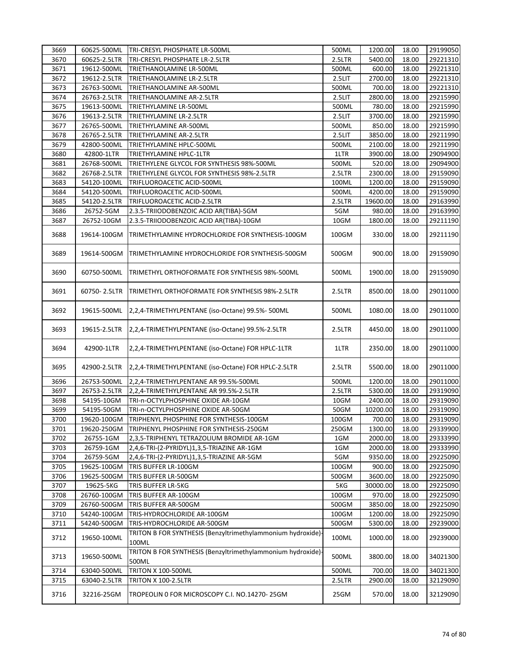| 3669         | 60625-500ML              | TRI-CRESYL PHOSPHATE LR-500ML                                        | 500ML    | 1200.00           | 18.00          | 29199050 |
|--------------|--------------------------|----------------------------------------------------------------------|----------|-------------------|----------------|----------|
| 3670         | 60625-2.5LTR             | TRI-CRESYL PHOSPHATE LR-2.5LTR                                       | 2.5LTR   | 5400.00           | 18.00          | 29221310 |
| 3671         | 19612-500ML              | TRIETHANOLAMINE LR-500ML                                             | 500ML    | 600.00            | 18.00          | 29221310 |
| 3672         | 19612-2.5LTR             | TRIETHANOLAMINE LR-2.5LTR                                            | 2.5LIT   | 2700.00           | 18.00          | 29221310 |
| 3673         | 26763-500ML              | TRIETHANOLAMINE AR-500ML                                             | 500ML    | 700.00            | 18.00          | 29221310 |
| 3674         | 26763-2.5LTR             | TRIETHANOLAMINE AR-2.5LTR                                            | 2.5LIT   | 2800.00           | 18.00          | 29215990 |
| 3675         | 19613-500ML              | TRIETHYLAMINE LR-500ML                                               | 500ML    | 780.00            | 18.00          | 29215990 |
| 3676         | 19613-2.5LTR             | TRIETHYLAMINE LR-2.5LTR                                              | 2.5LIT   | 3700.00           | 18.00          | 29215990 |
| 3677         | 26765-500ML              | TRIETHYLAMINE AR-500ML                                               | 500ML    | 850.00            | 18.00          | 29215990 |
| 3678         | 26765-2.5LTR             | TRIETHYLAMINE AR-2.5LTR                                              | 2.5LIT   | 3850.00           | 18.00          | 29211990 |
| 3679         | 42800-500ML              | TRIETHYLAMINE HPLC-500ML                                             | 500ML    | 2100.00           | 18.00          | 29211990 |
| 3680         | 42800-1LTR               | TRIETHYLAMINE HPLC-1LTR                                              | 1LTR     | 3900.00           | 18.00          | 29094900 |
| 3681         | 26768-500ML              | TRIETHYLENE GLYCOL FOR SYNTHESIS 98%-500ML                           | 500ML    | 520.00            | 18.00          | 29094900 |
|              |                          |                                                                      |          |                   |                |          |
| 3682         | 26768-2.5LTR             | TRIETHYLENE GLYCOL FOR SYNTHESIS 98%-2.5LTR                          | 2.5LTR   | 2300.00           | 18.00          | 29159090 |
| 3683         | 54120-100ML              | TRIFLUOROACETIC ACID-500ML                                           | 100ML    | 1200.00           | 18.00          | 29159090 |
| 3684         | 54120-500ML              | TRIFLUOROACETIC ACID-500ML                                           | 500ML    | 4200.00           | 18.00          | 29159090 |
| 3685         | 54120-2.5LTR             | TRIFLUOROACETIC ACID-2.5LTR                                          | 2.5LTR   | 19600.00          | 18.00          | 29163990 |
| 3686         | 26752-5GM                | 2.3.5-TRIIODOBENZOIC ACID AR(TIBA)-5GM                               | 5GM      | 980.00            | 18.00          | 29163990 |
| 3687         | 26752-10GM               | 2.3.5-TRIIODOBENZOIC ACID AR(TIBA)-10GM                              | 10GM     | 1800.00           | 18.00          | 29211190 |
| 3688         | 19614-100GM              | TRIMETHYLAMINE HYDROCHLORIDE FOR SYNTHESIS-100GM                     | $100$ GM | 330.00            | 18.00          | 29211190 |
| 3689         | 19614-500GM              | TRIMETHYLAMINE HYDROCHLORIDE FOR SYNTHESIS-500GM                     | 500GM    | 900.00            | 18.00          | 29159090 |
| 3690         | 60750-500ML              | TRIMETHYL ORTHOFORMATE FOR SYNTHESIS 98%-500ML                       | 500ML    | 1900.00           | 18.00          | 29159090 |
| 3691         | 60750-2.5LTR             | TRIMETHYL ORTHOFORMATE FOR SYNTHESIS 98%-2.5LTR                      | 2.5LTR   | 8500.00           | 18.00          | 29011000 |
| 3692         | 19615-500ML              | 2,2,4-TRIMETHYLPENTANE (iso-Octane) 99.5%- 500ML                     | 500ML    | 1080.00           | 18.00          | 29011000 |
| 3693         | 19615-2.5LTR             | 2,2,4-TRIMETHYLPENTANE (iso-Octane) 99.5%-2.5LTR                     | 2.5LTR   | 4450.00           | 18.00          | 29011000 |
| 3694         | 42900-1LTR               | 2,2,4-TRIMETHYLPENTANE (iso-Octane) FOR HPLC-1LTR                    | 1LTR     | 2350.00           | 18.00          | 29011000 |
| 3695         | 42900-2.5LTR             | 2,2,4-TRIMETHYLPENTANE (iso-Octane) FOR HPLC-2.5LTR                  | 2.5LTR   | 5500.00           | 18.00          | 29011000 |
| 3696         | 26753-500ML              | 2,2,4-TRIMETHYLPENTANE AR 99.5%-500ML                                | 500ML    | 1200.00           | 18.00          | 29011000 |
| 3697         | 26753-2.5LTR             | 2,2,4-TRIMETHYLPENTANE AR 99.5%-2.5LTR                               | 2.5LTR   | 5300.00           | 18.00          | 29319090 |
| 3698         | 54195-10GM               | TRI-n-OCTYLPHOSPHINE OXIDE AR-10GM                                   | 10GM     | 2400.00           | 18.00          | 29319090 |
| 3699         | 54195-50GM               | TRI-n-OCTYLPHOSPHINE OXIDE AR-50GM                                   | 50GM     | 10200.00          | 18.00          | 29319090 |
| 3700         | 19620-100GM              | TRIPHENYL PHOSPHINE FOR SYNTHESIS-100GM                              | 100GM    | 700.00            | 18.00          | 29319090 |
| 3701         | 19620-250GM              | TRIPHENYL PHOSPHINE FOR SYNTHESIS-250GM                              | 250GM    | 1300.00           | 18.00          | 29339900 |
| 3702         | 26755-1GM                | 2,3,5-TRIPHENYL TETRAZOLIUM BROMIDE AR-1GM                           | 1GM      | 2000.00           | 18.00          | 29333990 |
| 3703         | 26759-1GM                | 2,4,6-TRI-(2-PYRIDYL)1,3,5-TRIAZINE AR-1GM                           | 1GM      | 2000.00           | 18.00          | 29333990 |
| 3704         | 26759-5GM                | 2,4,6-TRI-(2-PYRIDYL)1,3,5-TRIAZINE AR-5GM                           | 5GM      | 9350.00           | 18.00          | 29225090 |
| 3705         | 19625-100GM              | TRIS BUFFER LR-100GM                                                 | 100GM    | 900.00            | 18.00          | 29225090 |
| 3706         |                          | TRIS BUFFER LR-500GM                                                 | 500GM    | 3600.00           | 18.00          | 29225090 |
| 3707         | 19625-500GM<br>19625-5KG | TRIS BUFFER LR-5KG                                                   | 5KG      | 30000.00          | 18.00          | 29225090 |
|              |                          |                                                                      |          |                   |                |          |
| 3708<br>3709 | 26760-100GM              | TRIS BUFFER AR-100GM                                                 | 100GM    | 970.00<br>3850.00 | 18.00<br>18.00 | 29225090 |
|              | 26760-500GM              | TRIS BUFFER AR-500GM                                                 | 500GM    |                   |                | 29225090 |
| 3710         | 54240-100GM              | TRIS-HYDROCHLORIDE AR-100GM                                          | 100GM    | 1200.00           | 18.00          | 29225090 |
| 3711         | 54240-500GM              | TRIS-HYDROCHLORIDE AR-500GM                                          | 500GM    | 5300.00           | 18.00          | 29239000 |
| 3712         | 19650-100ML              | TRITON B FOR SYNTHESIS (Benzyltrimethylammonium hydroxide)-<br>100ML | 100ML    | 1000.00           | 18.00          | 29239000 |
| 3713         | 19650-500ML              | TRITON B FOR SYNTHESIS (Benzyltrimethylammonium hydroxide)<br>500ML  | 500ML    | 3800.00           | 18.00          | 34021300 |
| 3714         | 63040-500ML              | <b>TRITON X 100-500ML</b>                                            | 500ML    | 700.00            | 18.00          | 34021300 |
| 3715         | 63040-2.5LTR             | <b>TRITON X 100-2.5LTR</b>                                           | 2.5LTR   | 2900.00           | 18.00          | 32129090 |
| 3716         | 32216-25GM               | TROPEOLIN 0 FOR MICROSCOPY C.I. NO.14270-25GM                        | 25GM     | 570.00            | 18.00          | 32129090 |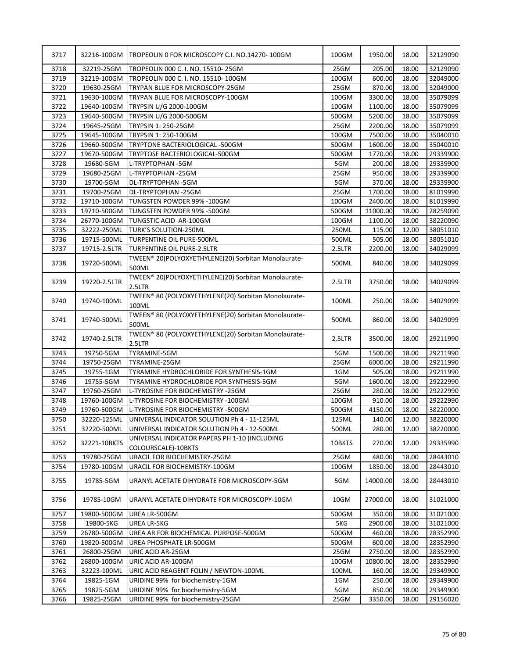| 3717 | 32216-100GM  | TROPEOLIN 0 FOR MICROSCOPY C.I. NO.14270-100GM                       | 100GM  | 1950.00  | 18.00 | 32129090 |
|------|--------------|----------------------------------------------------------------------|--------|----------|-------|----------|
| 3718 | 32219-25GM   | TROPEOLIN 000 C. I. NO. 15510-25GM                                   | 25GM   | 205.00   | 18.00 | 32129090 |
| 3719 | 32219-100GM  | TROPEOLIN 000 C. I. NO. 15510-100GM                                  | 100GM  | 600.00   | 18.00 | 32049000 |
| 3720 | 19630-25GM   | TRYPAN BLUE FOR MICROSCOPY-25GM                                      | 25GM   | 870.00   | 18.00 | 32049000 |
| 3721 | 19630-100GM  | TRYPAN BLUE FOR MICROSCOPY-100GM                                     | 100GM  | 3300.00  | 18.00 | 35079099 |
| 3722 | 19640-100GM  | TRYPSIN U/G 2000-100GM                                               | 100GM  | 1100.00  | 18.00 | 35079099 |
| 3723 | 19640-500GM  | TRYPSIN U/G 2000-500GM                                               | 500GM  | 5200.00  | 18.00 | 35079099 |
| 3724 | 19645-25GM   | TRYPSIN 1: 250-25GM                                                  | 25GM   | 2200.00  | 18.00 | 35079099 |
| 3725 | 19645-100GM  | TRYPSIN 1: 250-100GM                                                 | 100GM  | 7500.00  | 18.00 | 35040010 |
| 3726 | 19660-500GM  | TRYPTONE BACTERIOLOGICAL -500GM                                      | 500GM  | 1600.00  | 18.00 | 35040010 |
| 3727 | 19670-500GM  | TRYPTOSE BACTERIOLOGICAL-500GM                                       | 500GM  | 1770.00  | 18.00 | 29339900 |
| 3728 | 19680-5GM    | L-TRYPTOPHAN -5GM                                                    | 5GM    | 200.00   | 18.00 | 29339900 |
| 3729 | 19680-25GM   | L-TRYPTOPHAN -25GM                                                   | 25GM   | 950.00   | 18.00 | 29339900 |
| 3730 | 19700-5GM    | DL-TRYPTOPHAN -5GM                                                   | 5GM    | 370.00   | 18.00 | 29339900 |
| 3731 | 19700-25GM   | DL-TRYPTOPHAN -25GM                                                  | 25GM   | 1700.00  | 18.00 | 81019990 |
| 3732 | 19710-100GM  | TUNGSTEN POWDER 99% - 100GM                                          | 100GM  | 2400.00  | 18.00 | 81019990 |
| 3733 | 19710-500GM  | TUNGSTEN POWDER 99% -500GM                                           | 500GM  | 11000.00 | 18.00 | 28259090 |
| 3734 | 26770-100GM  | TUNGSTIC ACID AR-100GM                                               | 100GM  | 1100.00  | 18.00 | 38220090 |
| 3735 | 32222-250ML  | TURK'S SOLUTION-250ML                                                | 250ML  | 115.00   | 12.00 | 38051010 |
| 3736 | 19715-500ML  | TURPENTINE OIL PURE-500ML                                            | 500ML  | 505.00   | 18.00 | 38051010 |
| 3737 | 19715-2.5LTR | TURPENTINE OIL PURE-2.5LTR                                           | 2.5LTR | 2200.00  | 18.00 | 34029099 |
|      |              | TWEEN® 20(POLYOXYETHYLENE(20) Sorbitan Monolaurate-                  |        |          |       |          |
| 3738 | 19720-500ML  | 500ML                                                                | 500ML  | 840.00   | 18.00 | 34029099 |
| 3739 | 19720-2.5LTR | TWEEN® 20(POLYOXYETHYLENE(20) Sorbitan Monolaurate-<br>2.5LTR        | 2.5LTR | 3750.00  | 18.00 | 34029099 |
| 3740 | 19740-100ML  | TWEEN® 80 (POLYOXYETHYLENE(20) Sorbitan Monolaurate-<br>100ML        | 100ML  | 250.00   | 18.00 | 34029099 |
| 3741 | 19740-500ML  | TWEEN® 80 (POLYOXYETHYLENE(20) Sorbitan Monolaurate-<br>500ML        | 500ML  | 860.00   | 18.00 | 34029099 |
| 3742 | 19740-2.5LTR | TWEEN® 80 (POLYOXYETHYLENE(20) Sorbitan Monolaurate-<br>2.5LTR       | 2.5LTR | 3500.00  | 18.00 | 29211990 |
| 3743 | 19750-5GM    | TYRAMINE-5GM                                                         | 5GM    | 1500.00  | 18.00 | 29211990 |
| 3744 | 19750-25GM   | TYRAMINE-25GM                                                        | 25GM   | 6000.00  | 18.00 | 29211990 |
| 3745 | 19755-1GM    | TYRAMINE HYDROCHLORIDE FOR SYNTHESIS-1GM                             | 1GM    | 505.00   | 18.00 | 29211990 |
| 3746 | 19755-5GM    | TYRAMINE HYDROCHLORIDE FOR SYNTHESIS-5GM                             | 5GM    | 1600.00  | 18.00 | 29222990 |
| 3747 | 19760-25GM   | L-TYROSINE FOR BIOCHEMISTRY -25GM                                    | 25GM   | 280.00   | 18.00 | 29222990 |
| 3748 | 19760-100GM  | L-TYROSINE FOR BIOCHEMISTRY -100GM                                   | 100GM  | 910.00   | 18.00 | 29222990 |
| 3749 | 19760-500GM  | L-TYROSINE FOR BIOCHEMISTRY -500GM                                   | 500GM  | 4150.00  | 18.00 | 38220000 |
| 3750 | 32220-125ML  | UNIVERSAL INDICATOR SOLUTION Ph 4 - 11-125ML                         | 125ML  | 140.00   | 12.00 | 38220000 |
| 3751 | 32220-500ML  | UNIVERSAL INDICATOR SOLUTION Ph 4 - 12-500ML                         | 500ML  | 280.00   | 12.00 | 38220000 |
| 3752 | 32221-10BKTS | UNIVERSAL INDICATOR PAPERS PH 1-10 (INCLUDING<br>COLOURSCALE)-10BKTS | 10BKTS | 270.00   | 12.00 | 29335990 |
| 3753 | 19780-25GM   | URACIL FOR BIOCHEMISTRY-25GM                                         | 25GM   | 480.00   | 18.00 | 28443010 |
| 3754 | 19780-100GM  | URACIL FOR BIOCHEMISTRY-100GM                                        | 100GM  | 1850.00  | 18.00 | 28443010 |
| 3755 | 19785-5GM    | URANYL ACETATE DIHYDRATE FOR MICROSCOPY-5GM                          | 5GM    | 14000.00 | 18.00 | 28443010 |
| 3756 | 19785-10GM   | URANYL ACETATE DIHYDRATE FOR MICROSCOPY-10GM                         | 10GM   | 27000.00 | 18.00 | 31021000 |
| 3757 | 19800-500GM  | UREA LR-500GM                                                        | 500GM  | 350.00   | 18.00 | 31021000 |
| 3758 | 19800-5KG    | UREA LR-5KG                                                          | 5KG    | 2900.00  | 18.00 | 31021000 |
| 3759 | 26780-500GM  | UREA AR FOR BIOCHEMICAL PURPOSE-500GM                                | 500GM  | 460.00   | 18.00 | 28352990 |
| 3760 | 19820-500GM  | UREA PHOSPHATE LR-500GM                                              | 500GM  | 600.00   | 18.00 | 28352990 |
| 3761 | 26800-25GM   | URIC ACID AR-25GM                                                    | 25GM   | 2750.00  | 18.00 | 28352990 |
| 3762 | 26800-100GM  | URIC ACID AR-100GM                                                   | 100GM  | 10800.00 | 18.00 | 28352990 |
| 3763 | 32223-100ML  | URIC ACID REAGENT FOLIN / NEWTON-100ML                               | 100ML  | 160.00   | 18.00 | 29349900 |
| 3764 | 19825-1GM    | URIDINE 99% for biochemistry-1GM                                     | 1GM    | 250.00   | 18.00 | 29349900 |
| 3765 | 19825-5GM    | URIDINE 99% for biochemistry-5GM                                     | 5GM    | 850.00   | 18.00 | 29349900 |
| 3766 | 19825-25GM   | URIDINE 99% for biochemistry-25GM                                    | 25GM   | 3350.00  | 18.00 | 29156020 |
|      |              |                                                                      |        |          |       |          |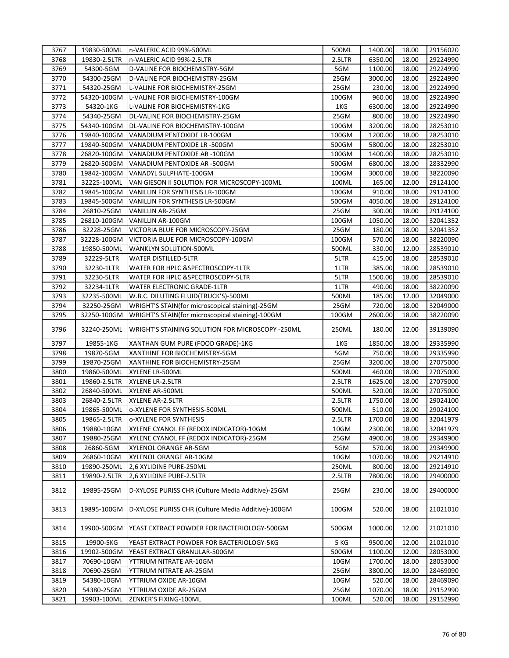| 3767 |              | 19830-500ML In-VALERIC ACID 99%-500ML                   | 500ML  | 1400.00 | 18.00 | 29156020 |
|------|--------------|---------------------------------------------------------|--------|---------|-------|----------|
| 3768 | 19830-2.5LTR | n-VALERIC ACID 99%-2.5LTR                               | 2.5LTR | 6350.00 | 18.00 | 29224990 |
| 3769 | 54300-5GM    | D-VALINE FOR BIOCHEMISTRY-5GM                           | 5GM    | 1100.00 | 18.00 | 29224990 |
| 3770 | 54300-25GM   | D-VALINE FOR BIOCHEMISTRY-25GM                          | 25GM   | 3000.00 | 18.00 | 29224990 |
| 3771 | 54320-25GM   | L-VALINE FOR BIOCHEMISTRY-25GM                          | 25GM   | 230.00  | 18.00 | 29224990 |
| 3772 | 54320-100GM  | L-VALINE FOR BIOCHEMISTRY-100GM                         | 100GM  | 960.00  | 18.00 | 29224990 |
| 3773 | 54320-1KG    | L-VALINE FOR BIOCHEMISTRY-1KG                           | 1KG    | 6300.00 | 18.00 | 29224990 |
| 3774 | 54340-25GM   | DL-VALINE FOR BIOCHEMISTRY-25GM                         | 25GM   | 800.00  | 18.00 | 29224990 |
| 3775 | 54340-100GM  | DL-VALINE FOR BIOCHEMISTRY-100GM                        | 100GM  | 3200.00 | 18.00 | 28253010 |
| 3776 | 19840-100GM  | VANADIUM PENTOXIDE LR-100GM                             | 100GM  | 1200.00 | 18.00 | 28253010 |
| 3777 | 19840-500GM  | VANADIUM PENTOXIDE LR -500GM                            | 500GM  | 5800.00 | 18.00 | 28253010 |
| 3778 | 26820-100GM  | VANADIUM PENTOXIDE AR -100GM                            | 100GM  | 1400.00 | 18.00 | 28253010 |
| 3779 | 26820-500GM  | VANADIUM PENTOXIDE AR -500GM                            | 500GM  | 6800.00 | 18.00 | 28332990 |
| 3780 | 19842-100GM  | VANADYL SULPHATE-100GM                                  | 100GM  | 3000.00 | 18.00 | 38220090 |
| 3781 | 32225-100ML  | VAN GIESON II SOLUTION FOR MICROSCOPY-100ML             | 100ML  | 165.00  | 12.00 | 29124100 |
| 3782 | 19845-100GM  | VANILLIN FOR SYNTHESIS LR-100GM                         | 100GM  | 910.00  | 18.00 | 29124100 |
| 3783 | 19845-500GM  | VANILLIN FOR SYNTHESIS LR-500GM                         | 500GM  | 4050.00 | 18.00 | 29124100 |
| 3784 | 26810-25GM   | VANILLIN AR-25GM                                        | 25GM   | 300.00  | 18.00 | 29124100 |
| 3785 | 26810-100GM  | VANILLIN AR-100GM                                       | 100GM  | 1050.00 | 18.00 | 32041352 |
| 3786 | 32228-25GM   | VICTORIA BLUE FOR MICROSCOPY-25GM                       | 25GM   | 180.00  | 18.00 | 32041352 |
| 3787 | 32228-100GM  | VICTORIA BLUE FOR MICROSCOPY-100GM                      | 100GM  | 570.00  | 18.00 | 38220090 |
| 3788 | 19850-500ML  | <b>WANKLYN SOLUTION-500ML</b>                           | 500ML  | 330.00  | 12.00 | 28539010 |
| 3789 | 32229-5LTR   | <b>WATER DISTILLED-5LTR</b>                             | 5LTR   | 415.00  | 18.00 | 28539010 |
| 3790 |              | WATER FOR HPLC & SPECTROSCOPY-1LTR                      | 1LTR   | 385.00  | 18.00 | 28539010 |
|      | 32230-1LTR   |                                                         |        | 1500.00 |       |          |
| 3791 | 32230-5LTR   | WATER FOR HPLC & SPECTROSCOPY-5LTR                      | 5LTR   |         | 18.00 | 28539010 |
| 3792 | 32234-1LTR   | WATER ELECTRONIC GRADE-1LTR                             | 1LTR   | 490.00  | 18.00 | 38220090 |
| 3793 | 32235-500ML  | W.B.C. DILUTING FLUID(TRUCK'S)-500ML                    | 500ML  | 185.00  | 12.00 | 32049000 |
| 3794 | 32250-25GM   | WRIGHT'S STAIN(for microscopical staining)-25GM         | 25GM   | 720.00  | 18.00 | 32049000 |
| 3795 | 32250-100GM  | WRIGHT'S STAIN(for microscopical staining)-100GM        | 100GM  | 2600.00 | 18.00 | 38220090 |
| 3796 | 32240-250ML  | <b>WRIGHT'S STAINING SOLUTION FOR MICROSCOPY -250ML</b> | 250ML  | 180.00  | 12.00 | 39139090 |
| 3797 | 19855-1KG    | XANTHAN GUM PURE (FOOD GRADE)-1KG                       | 1KG    | 1850.00 | 18.00 | 29335990 |
| 3798 | 19870-5GM    | XANTHINE FOR BIOCHEMISTRY-5GM                           | 5GM    | 750.00  | 18.00 | 29335990 |
| 3799 | 19870-25GM   | XANTHINE FOR BIOCHEMISTRY-25GM                          | 25GM   | 3200.00 | 18.00 | 27075000 |
| 3800 | 19860-500ML  | XYLENE LR-500ML                                         | 500ML  | 460.00  | 18.00 | 27075000 |
| 3801 | 19860-2.5LTR | XYLENE LR-2.5LTR                                        | 2.5LTR | 1625.00 | 18.00 | 27075000 |
| 3802 | 26840-500ML  | XYLENE AR-500ML                                         | 500ML  | 520.00  | 18.00 | 27075000 |
| 3803 | 26840-2.5LTR | XYLENE AR-2.5LTR                                        | 2.5LTR | 1750.00 | 18.00 | 29024100 |
| 3804 | 19865-500ML  | o-XYLENE FOR SYNTHESIS-500ML                            | 500ML  | 510.00  | 18.00 | 29024100 |
| 3805 | 19865-2.5LTR | <b>O-XYLENE FOR SYNTHESIS</b>                           | 2.5LTR | 1700.00 | 18.00 | 32041979 |
| 3806 | 19880-10GM   | XYLENE CYANOL FF (REDOX INDICATOR)-10GM                 | 10GM   | 2300.00 | 18.00 | 32041979 |
| 3807 | 19880-25GM   | XYLENE CYANOL FF (REDOX INDICATOR)-25GM                 | 25GM   | 4900.00 | 18.00 | 29349900 |
| 3808 | 26860-5GM    | XYLENOL ORANGE AR-5GM                                   | 5GM    | 570.00  | 18.00 | 29349900 |
| 3809 | 26860-10GM   | XYLENOL ORANGE AR-10GM                                  | 10GM   | 1070.00 | 18.00 | 29214910 |
| 3810 | 19890-250ML  | 2,6 XYLIDINE PURE-250ML                                 | 250ML  | 800.00  | 18.00 | 29214910 |
| 3811 | 19890-2.5LTR | 2,6 XYLIDINE PURE-2.5LTR                                | 2.5LTR | 7800.00 | 18.00 | 29400000 |
| 3812 | 19895-25GM   | D-XYLOSE PURISS CHR (Culture Media Additive)-25GM       | 25GM   | 230.00  | 18.00 | 29400000 |
| 3813 | 19895-100GM  | D-XYLOSE PURISS CHR (Culture Media Additive)-100GM      | 100GM  | 520.00  | 18.00 | 21021010 |
| 3814 | 19900-500GM  | YEAST EXTRACT POWDER FOR BACTERIOLOGY-500GM             | 500GM  | 1000.00 | 12.00 | 21021010 |
| 3815 | 19900-5KG    | YEAST EXTRACT POWDER FOR BACTERIOLOGY-5KG               | 5 KG   | 9500.00 | 12.00 | 21021010 |
| 3816 | 19902-500GM  | YEAST EXTRACT GRANULAR-500GM                            | 500GM  | 1100.00 | 12.00 | 28053000 |
| 3817 | 70690-10GM   | YTTRIUM NITRATE AR-10GM                                 | 10GM   | 1700.00 | 18.00 | 28053000 |
| 3818 | 70690-25GM   | YTTRIUM NITRATE AR-25GM                                 | 25GM   | 3800.00 | 18.00 | 28469090 |
| 3819 | 54380-10GM   | YTTRIUM OXIDE AR-10GM                                   | 10GM   | 520.00  | 18.00 | 28469090 |
| 3820 | 54380-25GM   | YTTRIUM OXIDE AR-25GM                                   | 25GM   | 1070.00 | 18.00 | 29152990 |
| 3821 | 19903-100ML  | ZENKER'S FIXING-100ML                                   | 100ML  | 520.00  | 18.00 | 29152990 |
|      |              |                                                         |        |         |       |          |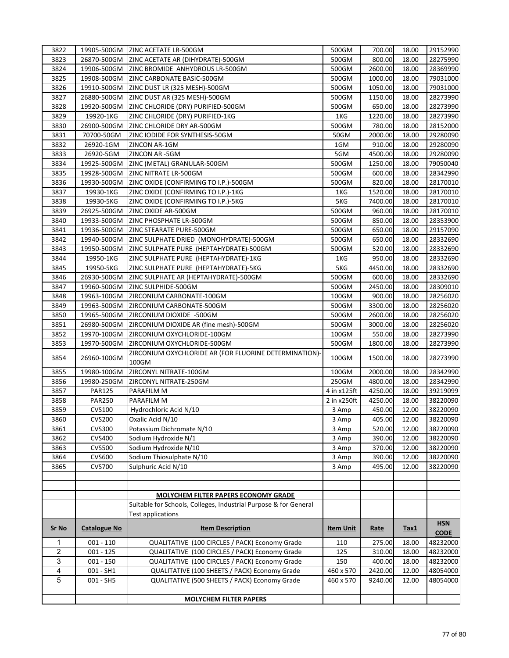| 3822           | 19905-500GM         | <b>ZINC ACETATE LR-500GM</b>                                                                 | 500GM            | 700.00  | 18.00 | 29152990    |
|----------------|---------------------|----------------------------------------------------------------------------------------------|------------------|---------|-------|-------------|
| 3823           | 26870-500GM         | ZINC ACETATE AR (DIHYDRATE)-500GM                                                            | 500GM            | 800.00  | 18.00 | 28275990    |
| 3824           | 19906-500GM         | ZINC BROMIDE ANHYDROUS LR-500GM                                                              | 500GM            | 2600.00 | 18.00 | 28369990    |
| 3825           | 19908-500GM         | ZINC CARBONATE BASIC-500GM                                                                   | 500GM            | 1000.00 | 18.00 | 79031000    |
| 3826           | 19910-500GM         | ZINC DUST LR (325 MESH)-500GM                                                                | 500GM            | 1050.00 | 18.00 | 79031000    |
| 3827           | 26880-500GM         | ZINC DUST AR (325 MESH)-500GM                                                                | 500GM            | 1150.00 | 18.00 | 28273990    |
| 3828           | 19920-500GM         | ZINC CHLORIDE (DRY) PURIFIED-500GM                                                           | 500GM            | 650.00  | 18.00 | 28273990    |
| 3829           | 19920-1KG           | ZINC CHLORIDE (DRY) PURIFIED-1KG                                                             | 1KG              | 1220.00 | 18.00 | 28273990    |
| 3830           | 26900-500GM         | ZINC CHLORIDE DRY AR-500GM                                                                   | 500GM            | 780.00  | 18.00 | 28152000    |
| 3831           | 70700-50GM          | ZINC IODIDE FOR SYNTHESIS-50GM                                                               | 50GM             | 2000.00 | 18.00 | 29280090    |
| 3832           | 26920-1GM           | ZINCON AR-1GM                                                                                | 1GM              | 910.00  | 18.00 | 29280090    |
| 3833           | 26920-5GM           | ZINCON AR-5GM                                                                                | 5GM              | 4500.00 | 18.00 | 29280090    |
| 3834           | 19925-500GM         | ZINC (METAL) GRANULAR-500GM                                                                  | 500GM            | 1250.00 | 18.00 | 79050040    |
| 3835           | 19928-500GM         | ZINC NITRATE LR-500GM                                                                        | 500GM            | 600.00  | 18.00 | 28342990    |
| 3836           | 19930-500GM         | ZINC OXIDE (CONFIRMING TO I.P.)-500GM                                                        | 500GM            | 820.00  | 18.00 | 28170010    |
| 3837           | 19930-1KG           | ZINC OXIDE (CONFIRMING TO I.P.)-1KG                                                          | 1KG              | 1520.00 | 18.00 | 28170010    |
| 3838           | 19930-5KG           | ZINC OXIDE (CONFIRMING TO I.P.)-5KG                                                          | 5KG              | 7400.00 | 18.00 | 28170010    |
| 3839           | 26925-500GM         | ZINC OXIDE AR-500GM                                                                          | 500GM            | 960.00  | 18.00 | 28170010    |
| 3840           | 19933-500GM         | ZINC PHOSPHATE LR-500GM                                                                      | 500GM            | 850.00  | 18.00 | 28353900    |
| 3841           | 19936-500GM         | ZINC STEARATE PURE-500GM                                                                     | 500GM            | 650.00  | 18.00 | 29157090    |
| 3842           | 19940-500GM         | ZINC SULPHATE DRIED (MONOHYDRATE)-500GM                                                      | 500GM            | 650.00  | 18.00 | 28332690    |
| 3843           | 19950-500GM         | ZINC SULPHATE PURE (HEPTAHYDRATE)-500GM                                                      | 500GM            | 520.00  | 18.00 | 28332690    |
| 3844           | 19950-1KG           | ZINC SULPHATE PURE (HEPTAHYDRATE)-1KG                                                        | 1KG              | 950.00  | 18.00 | 28332690    |
| 3845           | 19950-5KG           | ZINC SULPHATE PURE (HEPTAHYDRATE)-5KG                                                        | 5KG              | 4450.00 | 18.00 | 28332690    |
| 3846           | 26930-500GM         | ZINC SULPHATE AR (HEPTAHYDRATE)-500GM                                                        | 500GM            | 600.00  | 18.00 | 28332690    |
| 3847           | 19960-500GM         | ZINC SULPHIDE-500GM                                                                          | 500GM            | 2450.00 | 18.00 | 28309010    |
| 3848           | 19963-100GM         | ZIRCONIUM CARBONATE-100GM                                                                    | 100GM            | 900.00  | 18.00 | 28256020    |
| 3849           | 19963-500GM         | ZIRCONIUM CARBONATE-500GM                                                                    | 500GM            | 3300.00 | 18.00 | 28256020    |
| 3850           | 19965-500GM         | ZIRCONIUM DIOXIDE -500GM                                                                     | 500GM            | 2600.00 | 18.00 | 28256020    |
| 3851           | 26980-500GM         | ZIRCONIUM DIOXIDE AR (fine mesh)-500GM                                                       | 500GM            | 3000.00 | 18.00 | 28256020    |
| 3852           | 19970-100GM         | ZIRCONIUM OXYCHLORIDE-100GM                                                                  | 100GM            | 550.00  | 18.00 | 28273990    |
| 3853           | 19970-500GM         | ZIRCONIUM OXYCHLORIDE-500GM                                                                  | 500GM            | 1800.00 | 18.00 | 28273990    |
| 3854           | 26960-100GM         | ZIRCONIUM OXYCHLORIDE AR (FOR FLUORINE DETERMINATION)-<br>100GM                              | 100GM            | 1500.00 | 18.00 | 28273990    |
| 3855           | 19980-100GM         | ZIRCONYL NITRATE-100GM                                                                       | 100GM            | 2000.00 | 18.00 | 28342990    |
| 3856           | 19980-250GM         | ZIRCONYL NITRATE-250GM                                                                       | 250GM            | 4800.00 | 18.00 | 28342990    |
| 3857           | <b>PAR125</b>       | PARAFILM M                                                                                   | 4 in x125ft      | 4250.00 | 18.00 | 39219099    |
| 3858           | <b>PAR250</b>       | PARAFILM M                                                                                   | 2 in x250ft      | 4250.00 | 18.00 | 38220090    |
| 3859           | <b>CVS100</b>       | Hydrochloric Acid N/10                                                                       | 3 Amp            | 450.00  | 12.00 | 38220090    |
| 3860           | CVS200              | Oxalic Acid N/10                                                                             | 3 Amp            | 405.00  | 12.00 | 38220090    |
| 3861           | <b>CVS300</b>       | Potassium Dichromate N/10                                                                    | 3 Amp            | 520.00  | 12.00 | 38220090    |
| 3862           | <b>CVS400</b>       | Sodium Hydroxide N/1                                                                         | 3 Amp            | 390.00  | 12.00 | 38220090    |
| 3863           | <b>CVS500</b>       | Sodium Hydroxide N/10                                                                        | 3 Amp            | 370.00  | 12.00 | 38220090    |
| 3864           | <b>CVS600</b>       | Sodium Thiosulphate N/10                                                                     | 3 Amp            | 390.00  | 12.00 | 38220090    |
| 3865           | <b>CVS700</b>       | Sulphuric Acid N/10                                                                          | 3 Amp            | 495.00  | 12.00 | 38220090    |
|                |                     |                                                                                              |                  |         |       |             |
|                |                     |                                                                                              |                  |         |       |             |
|                |                     | MOLYCHEM FILTER PAPERS ECONOMY GRADE                                                         |                  |         |       |             |
|                |                     | Suitable for Schools, Colleges, Industrial Purpose & for General<br><b>Test applications</b> |                  |         |       |             |
| <b>Sr No</b>   | <b>Catalogue No</b> | <b>Item Description</b>                                                                      | <b>Item Unit</b> |         |       | <b>HSN</b>  |
|                |                     |                                                                                              |                  | Rate    | Tax1  | <b>CODE</b> |
| 1              | $001 - 110$         | QUALITATIVE (100 CIRCLES / PACK) Economy Grade                                               | 110              | 275.00  | 18.00 | 48232000    |
| $\overline{c}$ | $001 - 125$         | QUALITATIVE (100 CIRCLES / PACK) Economy Grade                                               | 125              | 310.00  | 18.00 | 48232000    |
| $\sqrt{3}$     | $001 - 150$         | QUALITATIVE (100 CIRCLES / PACK) Economy Grade                                               | 150              | 400.00  | 18.00 | 48232000    |
| $\overline{4}$ | 001 - SH1           | QUALITATIVE (100 SHEETS / PACK) Economy Grade                                                | 460 x 570        | 2420.00 | 12.00 | 48054000    |
| 5              | 001 - SH5           | QUALITATIVE (500 SHEETS / PACK) Economy Grade                                                | 460 x 570        | 9240.00 | 12.00 | 48054000    |
|                |                     | <b>MOLYCHEM FILTER PAPERS</b>                                                                |                  |         |       |             |
|                |                     |                                                                                              |                  |         |       |             |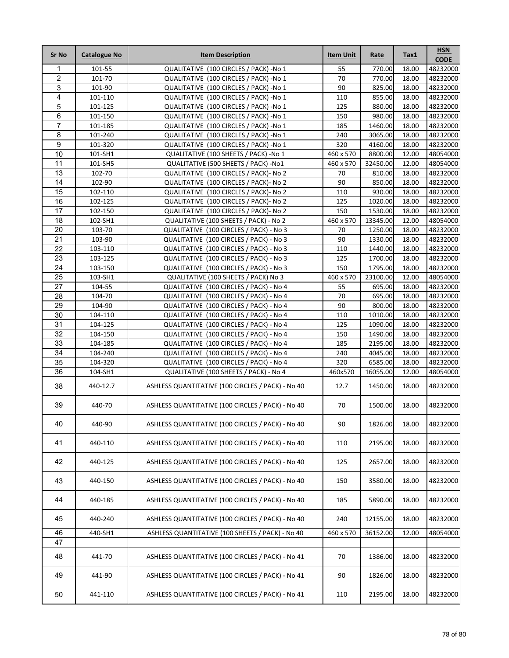| <b>Sr No</b>    | <b>Catalogue No</b> | <b>Item Description</b>                           | <b>Item Unit</b> | Rate     | Tax1  | <b>HSN</b><br><b>CODE</b> |
|-----------------|---------------------|---------------------------------------------------|------------------|----------|-------|---------------------------|
| 1               | 101-55              | QUALITATIVE (100 CIRCLES / PACK) -No 1            | 55               | 770.00   | 18.00 | 48232000                  |
| $\overline{2}$  | 101-70              | QUALITATIVE (100 CIRCLES / PACK) -No 1            | $\overline{70}$  | 770.00   | 18.00 | 48232000                  |
| 3               | 101-90              | QUALITATIVE (100 CIRCLES / PACK) -No 1            | 90               | 825.00   | 18.00 | 48232000                  |
| 4               | 101-110             | QUALITATIVE (100 CIRCLES / PACK) -No 1            | 110              | 855.00   | 18.00 | 48232000                  |
| 5               | 101-125             | QUALITATIVE (100 CIRCLES / PACK) -No 1            | 125              | 880.00   | 18.00 | 48232000                  |
| 6               | 101-150             | QUALITATIVE (100 CIRCLES / PACK) -No 1            | 150              | 980.00   | 18.00 | 48232000                  |
| $\overline{7}$  | 101-185             | QUALITATIVE (100 CIRCLES / PACK) -No 1            | 185              | 1460.00  | 18.00 | 48232000                  |
| 8               | 101-240             | QUALITATIVE (100 CIRCLES / PACK) -No 1            | 240              | 3065.00  | 18.00 | 48232000                  |
| $\overline{9}$  | 101-320             | QUALITATIVE (100 CIRCLES / PACK) -No 1            | 320              | 4160.00  | 18.00 | 48232000                  |
| 10              | 101-SH1             | QUALITATIVE (100 SHEETS / PACK) -No 1             | 460 x 570        | 8800.00  | 12.00 | 48054000                  |
| 11              | 101-SH5             | QUALITATIVE (500 SHEETS / PACK) -No1              | 460 x 570        | 32450.00 | 12.00 | 48054000                  |
| 13              | 102-70              | QUALITATIVE (100 CIRCLES / PACK) - No 2           | 70               | 810.00   | 18.00 | 48232000                  |
| 14              | 102-90              | QUALITATIVE (100 CIRCLES / PACK) - No 2           | 90               | 850.00   | 18.00 | 48232000                  |
| 15              | 102-110             | QUALITATIVE (100 CIRCLES / PACK) - No 2           | 110              | 930.00   | 18.00 | 48232000                  |
| 16              | 102-125             | QUALITATIVE (100 CIRCLES / PACK) - No 2           | 125              | 1020.00  | 18.00 | 48232000                  |
| 17              | 102-150             | QUALITATIVE (100 CIRCLES / PACK) - No 2           | 150              | 1530.00  | 18.00 | 48232000                  |
| 18              | 102-SH1             | QUALITATIVE (100 SHEETS / PACK) - No 2            | 460 x 570        | 13345.00 | 12.00 | 48054000                  |
| 20              | 103-70              | QUALITATIVE (100 CIRCLES / PACK) - No 3           | 70               | 1250.00  | 18.00 | 48232000                  |
| $\overline{21}$ | 103-90              | QUALITATIVE (100 CIRCLES / PACK) - No 3           | 90               | 1330.00  | 18.00 | 48232000                  |
| 22              | 103-110             | QUALITATIVE (100 CIRCLES / PACK) - No 3           | 110              | 1440.00  | 18.00 | 48232000                  |
| 23              | 103-125             | QUALITATIVE (100 CIRCLES / PACK) - No 3           | 125              | 1700.00  | 18.00 | 48232000                  |
| 24              | 103-150             | QUALITATIVE (100 CIRCLES / PACK) - No 3           | 150              | 1795.00  | 18.00 | 48232000                  |
| 25              | 103-SH1             | QUALITATIVE (100 SHEETS / PACK) No 3              | 460 x 570        | 23100.00 | 12.00 | 48054000                  |
| $\overline{27}$ | 104-55              | QUALITATIVE (100 CIRCLES / PACK) - No 4           | 55               | 695.00   | 18.00 | 48232000                  |
| 28              | 104-70              | QUALITATIVE (100 CIRCLES / PACK) - No 4           | 70               | 695.00   | 18.00 | 48232000                  |
| 29              | 104-90              | QUALITATIVE (100 CIRCLES / PACK) - No 4           | 90               | 800.00   | 18.00 | 48232000                  |
| 30              | 104-110             | QUALITATIVE (100 CIRCLES / PACK) - No 4           | 110              | 1010.00  | 18.00 | 48232000                  |
| 31              | 104-125             | QUALITATIVE (100 CIRCLES / PACK) - No 4           | 125              | 1090.00  | 18.00 | 48232000                  |
| $\overline{32}$ | 104-150             | QUALITATIVE (100 CIRCLES / PACK) - No 4           | 150              | 1490.00  | 18.00 | 48232000                  |
| 33              | 104-185             | QUALITATIVE (100 CIRCLES / PACK) - No 4           | 185              | 2195.00  | 18.00 | 48232000                  |
| 34              | 104-240             | QUALITATIVE (100 CIRCLES / PACK) - No 4           | 240              | 4045.00  | 18.00 | 48232000                  |
| 35              | 104-320             | QUALITATIVE (100 CIRCLES / PACK) - No 4           | 320              | 6585.00  | 18.00 | 48232000                  |
| 36              | 104-SH1             | QUALITATIVE (100 SHEETS / PACK) - No 4            | 460x570          | 16055.00 | 12.00 | 48054000                  |
| 38              | 440-12.7            | ASHLESS QUANTITATIVE (100 CIRCLES / PACK) - No 40 | 12.7             | 1450.00  | 18.00 | 48232000                  |
| 39              | 440-70              | ASHLESS QUANTITATIVE (100 CIRCLES / PACK) - No 40 | 70               | 1500.00  | 18.00 | 48232000                  |
| 40              | 440-90              | ASHLESS QUANTITATIVE (100 CIRCLES / PACK) - No 40 | 90               | 1826.00  | 18.00 | 48232000                  |
| 41              | 440-110             | ASHLESS QUANTITATIVE (100 CIRCLES / PACK) - No 40 | 110              | 2195.00  | 18.00 | 48232000                  |
| 42              | 440-125             | ASHLESS QUANTITATIVE (100 CIRCLES / PACK) - No 40 | 125              | 2657.00  | 18.00 | 48232000                  |
| 43              | 440-150             | ASHLESS QUANTITATIVE (100 CIRCLES / PACK) - No 40 | 150              | 3580.00  | 18.00 | 48232000                  |
| 44              | 440-185             | ASHLESS QUANTITATIVE (100 CIRCLES / PACK) - No 40 | 185              | 5890.00  | 18.00 | 48232000                  |
| 45              | 440-240             | ASHLESS QUANTITATIVE (100 CIRCLES / PACK) - No 40 | 240              | 12155.00 | 18.00 | 48232000                  |
| 46              | 440-SH1             | ASHLESS QUANTITATIVE (100 SHEETS / PACK) - No 40  | 460 x 570        | 36152.00 | 12.00 | 48054000                  |
| 47              |                     |                                                   |                  |          |       |                           |
| 48              | 441-70              | ASHLESS QUANTITATIVE (100 CIRCLES / PACK) - No 41 | 70               | 1386.00  | 18.00 | 48232000                  |
| 49              | 441-90              | ASHLESS QUANTITATIVE (100 CIRCLES / PACK) - No 41 | 90               | 1826.00  | 18.00 | 48232000                  |
| 50              | 441-110             | ASHLESS QUANTITATIVE (100 CIRCLES / PACK) - No 41 | 110              | 2195.00  | 18.00 | 48232000                  |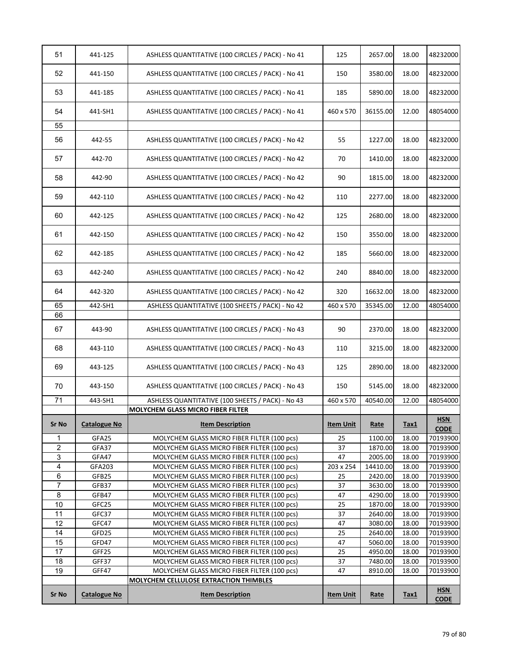| 53             | 441-185             | ASHLESS QUANTITATIVE (100 CIRCLES / PACK) - No 41<br>ASHLESS QUANTITATIVE (100 CIRCLES / PACK) - No 41 | 185              | 5890.00            | 18.00          | 48232000<br>48232000      |
|----------------|---------------------|--------------------------------------------------------------------------------------------------------|------------------|--------------------|----------------|---------------------------|
|                |                     |                                                                                                        |                  |                    |                |                           |
| 54             | 441-SH1             | ASHLESS QUANTITATIVE (100 CIRCLES / PACK) - No 41                                                      | 460 x 570        | 36155.00           | 12.00          | 48054000                  |
| 55             |                     |                                                                                                        |                  |                    |                |                           |
| 56             | 442-55              | ASHLESS QUANTITATIVE (100 CIRCLES / PACK) - No 42                                                      | 55               | 1227.00            | 18.00          | 48232000                  |
| 57             | 442-70              | ASHLESS QUANTITATIVE (100 CIRCLES / PACK) - No 42                                                      | 70               | 1410.00            | 18.00          | 48232000                  |
| 58             | 442-90              | ASHLESS QUANTITATIVE (100 CIRCLES / PACK) - No 42                                                      | 90               | 1815.00            | 18.00          | 48232000                  |
| 59             | 442-110             | ASHLESS QUANTITATIVE (100 CIRCLES / PACK) - No 42                                                      | 110              | 2277.00            | 18.00          | 48232000                  |
| 60             | 442-125             | ASHLESS QUANTITATIVE (100 CIRCLES / PACK) - No 42                                                      | 125              | 2680.00            | 18.00          | 48232000                  |
| 61             | 442-150             | ASHLESS QUANTITATIVE (100 CIRCLES / PACK) - No 42                                                      | 150              | 3550.00            | 18.00          | 48232000                  |
| 62             | 442-185             | ASHLESS QUANTITATIVE (100 CIRCLES / PACK) - No 42                                                      | 185              | 5660.00            | 18.00          | 48232000                  |
| 63             | 442-240             | ASHLESS QUANTITATIVE (100 CIRCLES / PACK) - No 42                                                      | 240              | 8840.00            | 18.00          | 48232000                  |
| 64             | 442-320             | ASHLESS QUANTITATIVE (100 CIRCLES / PACK) - No 42                                                      | 320              | 16632.00           | 18.00          | 48232000                  |
| 65             | 442-SH1             | ASHLESS QUANTITATIVE (100 SHEETS / PACK) - No 42                                                       | 460 x 570        | 35345.00           | 12.00          | 48054000                  |
| 66             |                     |                                                                                                        |                  |                    |                |                           |
| 67             | 443-90              | ASHLESS QUANTITATIVE (100 CIRCLES / PACK) - No 43                                                      | 90               | 2370.00            | 18.00          | 48232000                  |
| 68             | 443-110             | ASHLESS QUANTITATIVE (100 CIRCLES / PACK) - No 43                                                      | 110              | 3215.00            | 18.00          | 48232000                  |
| 69             | 443-125             | ASHLESS QUANTITATIVE (100 CIRCLES / PACK) - No 43                                                      | 125              | 2890.00            | 18.00          | 48232000                  |
| 70             | 443-150             | ASHLESS QUANTITATIVE (100 CIRCLES / PACK) - No 43                                                      | 150              | 5145.00            | 18.00          | 48232000                  |
| 71             | 443-SH1             | ASHLESS QUANTITATIVE (100 SHEETS / PACK) - No 43                                                       | 460 x 570        | 40540.00           | 12.00          | 48054000                  |
|                |                     | MOLYCHEM GLASS MICRO FIBER FILTER                                                                      |                  |                    |                |                           |
| <b>Sr No</b>   | <b>Catalogue No</b> | <b>Item Description</b>                                                                                | <b>Item Unit</b> | <b>Rate</b>        | Tax1           | <b>HSN</b><br><b>CODE</b> |
| 1              | GFA25               | MOLYCHEM GLASS MICRO FIBER FILTER (100 pcs)                                                            | 25               | 1100.00            | 18.00          | 70193900                  |
| $\overline{c}$ | GFA37               | MOLYCHEM GLASS MICRO FIBER FILTER (100 pcs)                                                            | 37               | 1870.00            | 18.00          | 70193900                  |
| 3              | GFA47               | MOLYCHEM GLASS MICRO FIBER FILTER (100 pcs)                                                            | 47               | 2005.00            | 18.00          | 70193900                  |
| 4              | GFA203              | MOLYCHEM GLASS MICRO FIBER FILTER (100 pcs)                                                            | 203 x 254        | 14410.00           | 18.00          | 70193900                  |
| 6              | GFB25               | MOLYCHEM GLASS MICRO FIBER FILTER (100 pcs)                                                            | 25               | 2420.00            | 18.00          | 70193900                  |
| 7              | GFB37               | MOLYCHEM GLASS MICRO FIBER FILTER (100 pcs)                                                            | 37               | 3630.00            | 18.00          | 70193900                  |
| 8              | GFB47               | MOLYCHEM GLASS MICRO FIBER FILTER (100 pcs)                                                            | 47               | 4290.00            | 18.00          | 70193900                  |
| 10<br>11       | GFC25<br>GFC37      | MOLYCHEM GLASS MICRO FIBER FILTER (100 pcs)                                                            | 25               | 1870.00            | 18.00          | 70193900                  |
| 12             | GFC47               | MOLYCHEM GLASS MICRO FIBER FILTER (100 pcs)<br>MOLYCHEM GLASS MICRO FIBER FILTER (100 pcs)             | 37<br>47         | 2640.00<br>3080.00 | 18.00          | 70193900                  |
| 14             |                     |                                                                                                        | 25               | 2640.00            | 18.00<br>18.00 | 70193900                  |
| 15             | GFD25<br>GFD47      | MOLYCHEM GLASS MICRO FIBER FILTER (100 pcs)<br>MOLYCHEM GLASS MICRO FIBER FILTER (100 pcs)             | 47               | 5060.00            | 18.00          | 70193900<br>70193900      |
| 17             | GFF25               | MOLYCHEM GLASS MICRO FIBER FILTER (100 pcs)                                                            | 25               | 4950.00            | 18.00          | 70193900                  |
| 18             | GFF37               | MOLYCHEM GLASS MICRO FIBER FILTER (100 pcs)                                                            | 37               | 7480.00            | 18.00          | 70193900                  |
| 19             | GFF47               | MOLYCHEM GLASS MICRO FIBER FILTER (100 pcs)                                                            | 47               | 8910.00            | 18.00          | 70193900                  |
|                |                     | MOLYCHEM CELLULOSE EXTRACTION THIMBLES                                                                 |                  |                    |                |                           |
| Sr No          | <b>Catalogue No</b> | <b>Item Description</b>                                                                                | <b>Item Unit</b> | Rate               | Tax1           | <b>HSN</b><br><b>CODE</b> |